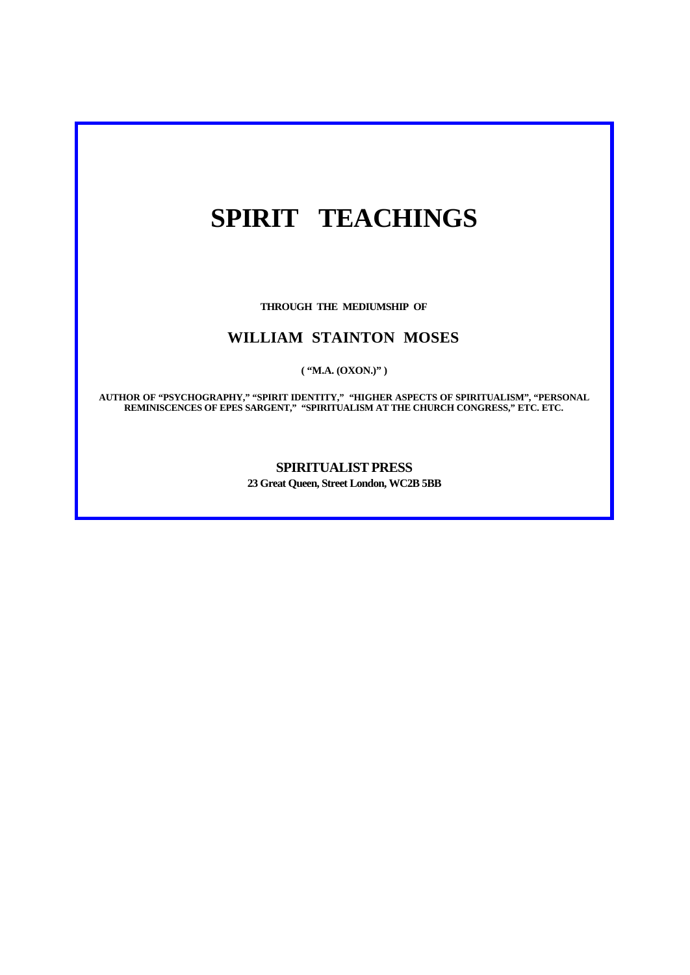# **SPIRIT TEACHINGS**

**THROUGH THE MEDIUMSHIP OF**

## **WILLIAM STAINTON MOSES**

**( "M.A. (OXON.)" )**

**AUTHOR OF "PSYCHOGRAPHY," "SPIRIT IDENTITY," "HIGHER ASPECTS OF SPIRITUALISM", "PERSONAL REMINISCENCES OF EPES SARGENT," "SPIRITUALISM AT THE CHURCH CONGRESS," ETC. ETC.**

> **SPIRITUALIST PRESS 23 Great Queen, Street London, WC2B 5BB**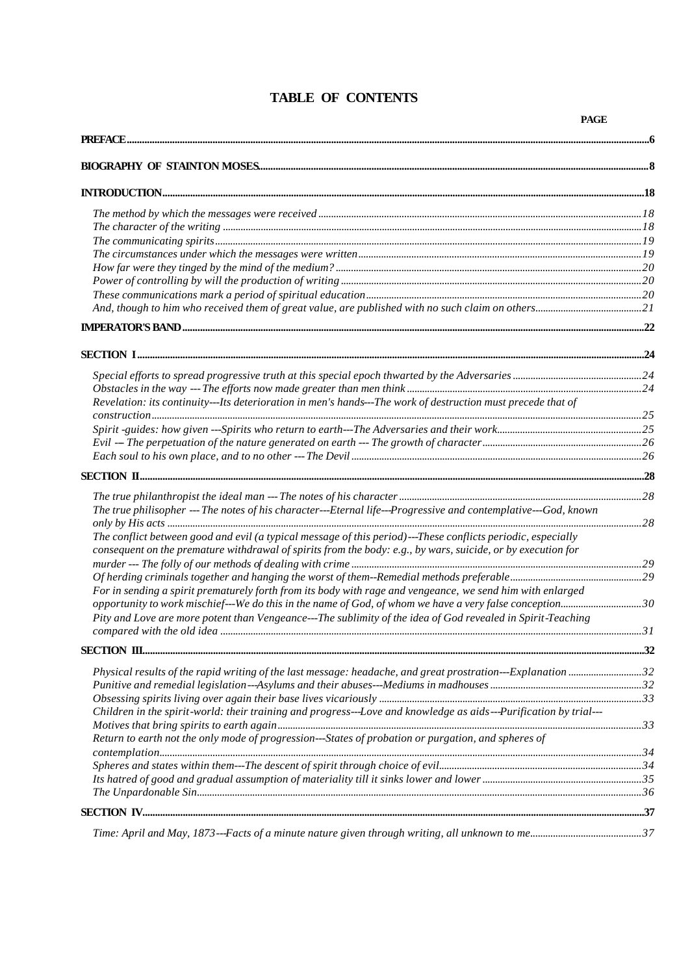# **TABLE OF CONTENTS**

| Revelation: its continuity---Its deterioration in men's hands---The work of destruction must precede that of     |  |
|------------------------------------------------------------------------------------------------------------------|--|
|                                                                                                                  |  |
|                                                                                                                  |  |
|                                                                                                                  |  |
|                                                                                                                  |  |
|                                                                                                                  |  |
|                                                                                                                  |  |
| The true philisopher --- The notes of his character---Eternal life---Progressive and contemplative---God, known  |  |
| The conflict between good and evil (a typical message of this period)---These conflicts periodic, especially     |  |
| consequent on the premature withdrawal of spirits from the body: e.g., by wars, suicide, or by execution for     |  |
|                                                                                                                  |  |
|                                                                                                                  |  |
| For in sending a spirit prematurely forth from its body with rage and vengeance, we send him with enlarged       |  |
| opportunity to work mischief---We do this in the name of God, of whom we have a very false conception30          |  |
| Pity and Love are more potent than Vengeance---The sublimity of the idea of God revealed in Spirit-Teaching      |  |
|                                                                                                                  |  |
|                                                                                                                  |  |
| Physical results of the rapid writing of the last message: headache, and great prostration---Explanation 32      |  |
|                                                                                                                  |  |
|                                                                                                                  |  |
| Children in the spirit-world: their training and progress--Love and knowledge as aids---Purification by trial--- |  |
|                                                                                                                  |  |
| Return to earth not the only mode of progression---States of probation or purgation, and spheres of              |  |
|                                                                                                                  |  |
|                                                                                                                  |  |
|                                                                                                                  |  |
|                                                                                                                  |  |
|                                                                                                                  |  |
|                                                                                                                  |  |

**PAGE**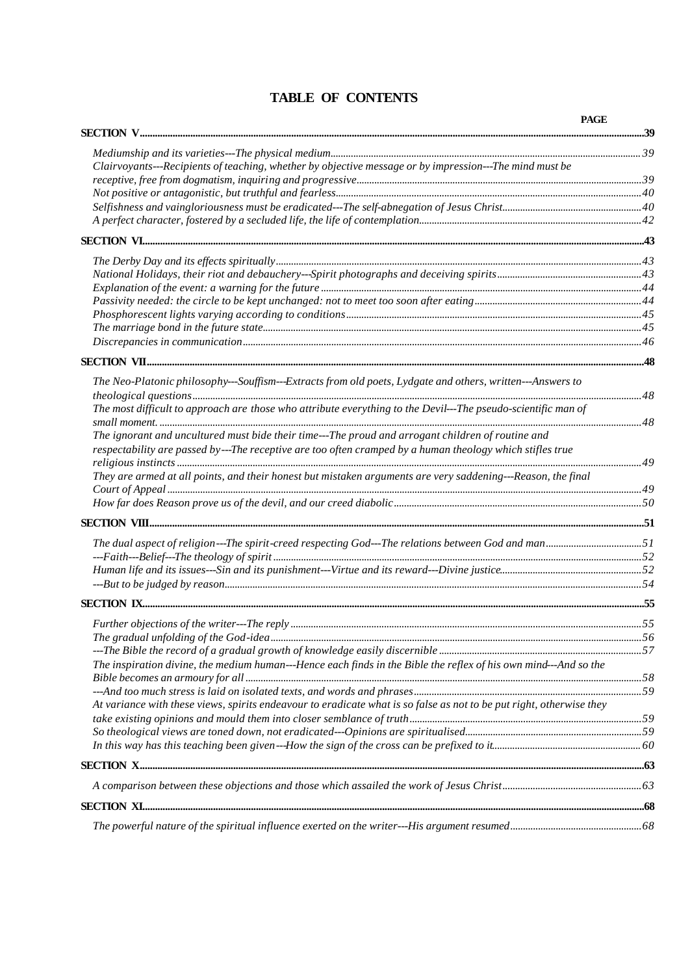| <b>PAGE</b>                                                                                                          |  |
|----------------------------------------------------------------------------------------------------------------------|--|
|                                                                                                                      |  |
| Clairvoyants---Recipients of teaching, whether by objective message or by impression---The mind must be              |  |
|                                                                                                                      |  |
|                                                                                                                      |  |
|                                                                                                                      |  |
|                                                                                                                      |  |
|                                                                                                                      |  |
|                                                                                                                      |  |
|                                                                                                                      |  |
|                                                                                                                      |  |
|                                                                                                                      |  |
|                                                                                                                      |  |
|                                                                                                                      |  |
|                                                                                                                      |  |
|                                                                                                                      |  |
| The Neo-Platonic philosophy---Souffism---Extracts from old poets, Lydgate and others, written---Answers to           |  |
| The most difficult to approach are those who attribute everything to the Devil---The pseudo-scientific man of        |  |
|                                                                                                                      |  |
| The ignorant and uncultured must bide their time---The proud and arrogant children of routine and                    |  |
| respectability are passed by---The receptive are too often cramped by a human theology which stifles true            |  |
|                                                                                                                      |  |
| They are armed at all points, and their honest but mistaken arguments are very saddening---Reason, the final         |  |
|                                                                                                                      |  |
|                                                                                                                      |  |
|                                                                                                                      |  |
| The dual aspect of religion---The spirit-creed respecting God---The relations between God and man51                  |  |
|                                                                                                                      |  |
|                                                                                                                      |  |
|                                                                                                                      |  |
|                                                                                                                      |  |
|                                                                                                                      |  |
|                                                                                                                      |  |
|                                                                                                                      |  |
| The inspiration divine, the medium human---Hence each finds in the Bible the reflex of his own mind---And so the     |  |
|                                                                                                                      |  |
| At variance with these views, spirits endeavour to eradicate what is so false as not to be put right, otherwise they |  |
|                                                                                                                      |  |
|                                                                                                                      |  |
|                                                                                                                      |  |
|                                                                                                                      |  |
|                                                                                                                      |  |
|                                                                                                                      |  |
|                                                                                                                      |  |
|                                                                                                                      |  |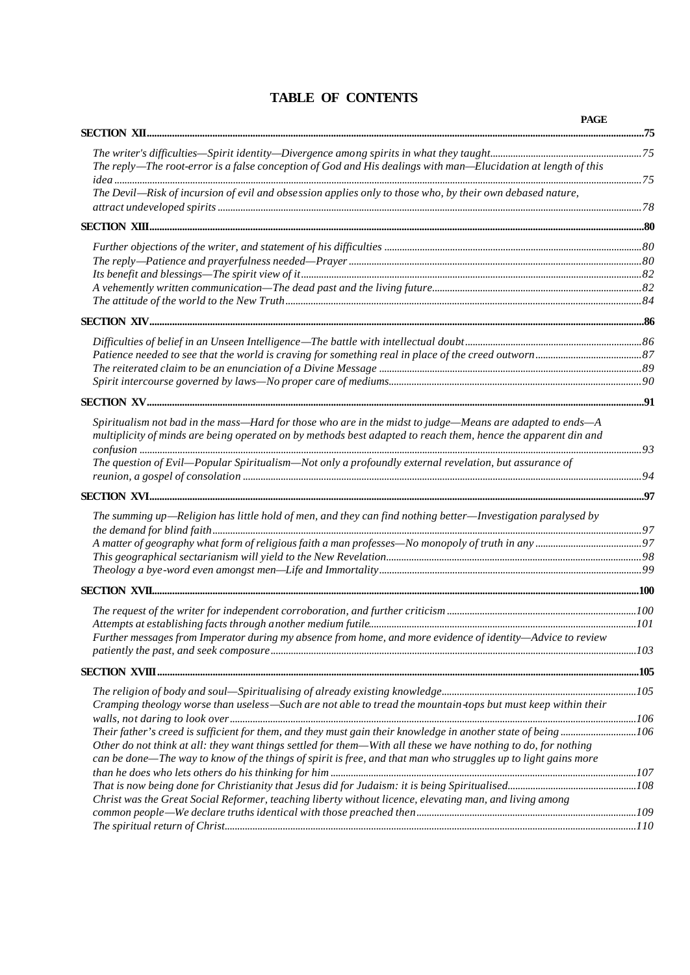| <b>PAGE</b>                                                                                                                                                                                                                      |  |
|----------------------------------------------------------------------------------------------------------------------------------------------------------------------------------------------------------------------------------|--|
|                                                                                                                                                                                                                                  |  |
| The reply—The root-error is a false conception of God and His dealings with man—Elucidation at length of this                                                                                                                    |  |
| The Devil—Risk of incursion of evil and obsession applies only to those who, by their own debased nature,                                                                                                                        |  |
|                                                                                                                                                                                                                                  |  |
|                                                                                                                                                                                                                                  |  |
|                                                                                                                                                                                                                                  |  |
|                                                                                                                                                                                                                                  |  |
|                                                                                                                                                                                                                                  |  |
|                                                                                                                                                                                                                                  |  |
|                                                                                                                                                                                                                                  |  |
|                                                                                                                                                                                                                                  |  |
|                                                                                                                                                                                                                                  |  |
|                                                                                                                                                                                                                                  |  |
|                                                                                                                                                                                                                                  |  |
|                                                                                                                                                                                                                                  |  |
| Spiritualism not bad in the mass—Hard for those who are in the midst to judge—Means are adapted to ends—A<br>multiplicity of minds are being operated on by methods best adapted to reach them, hence the apparent din and       |  |
| The question of Evil—Popular Spiritualism—Not only a profoundly external revelation, but assurance of                                                                                                                            |  |
|                                                                                                                                                                                                                                  |  |
| The summing up-Religion has little hold of men, and they can find nothing better-Investigation paralysed by                                                                                                                      |  |
|                                                                                                                                                                                                                                  |  |
|                                                                                                                                                                                                                                  |  |
|                                                                                                                                                                                                                                  |  |
|                                                                                                                                                                                                                                  |  |
|                                                                                                                                                                                                                                  |  |
|                                                                                                                                                                                                                                  |  |
| Further messages from Imperator during my absence from home, and more evidence of identity-Advice to review                                                                                                                      |  |
|                                                                                                                                                                                                                                  |  |
|                                                                                                                                                                                                                                  |  |
|                                                                                                                                                                                                                                  |  |
| Cramping theology worse than useless-Such are not able to tread the mountain-tops but must keep within their                                                                                                                     |  |
|                                                                                                                                                                                                                                  |  |
| Other do not think at all: they want things settled for them—With all these we have nothing to do, for nothing<br>can be done—The way to know of the things of spirit is free, and that man who struggles up to light gains more |  |
|                                                                                                                                                                                                                                  |  |
|                                                                                                                                                                                                                                  |  |
| Christ was the Great Social Reformer, teaching liberty without licence, elevating man, and living among                                                                                                                          |  |
|                                                                                                                                                                                                                                  |  |
|                                                                                                                                                                                                                                  |  |

# **TABLE OF CONTENTS**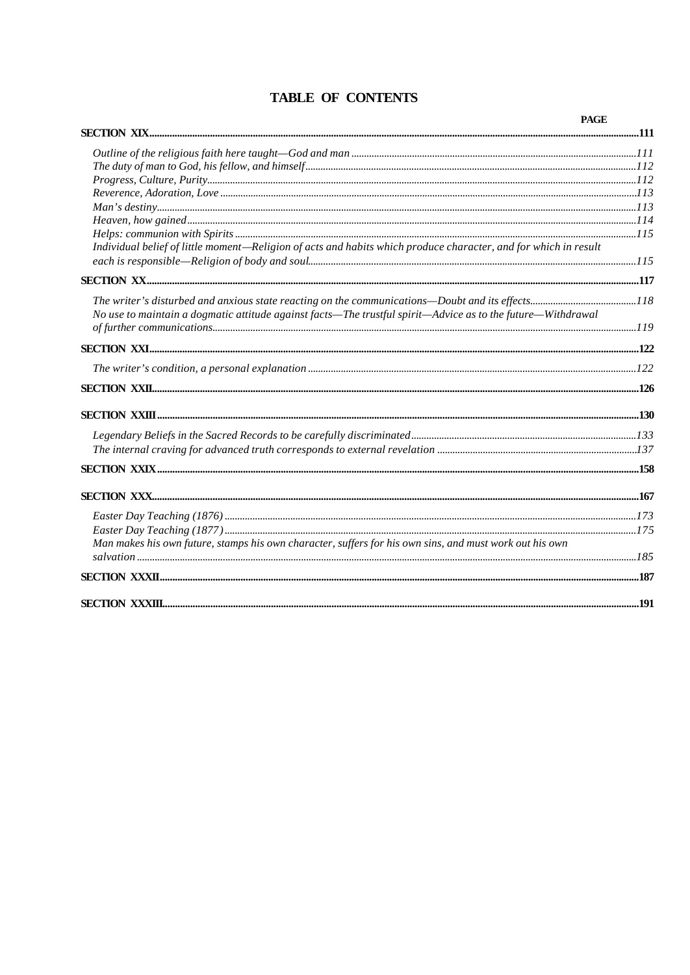|                                                                                                                 | <b>PAGE</b> |
|-----------------------------------------------------------------------------------------------------------------|-------------|
|                                                                                                                 |             |
|                                                                                                                 |             |
|                                                                                                                 |             |
|                                                                                                                 |             |
|                                                                                                                 |             |
|                                                                                                                 |             |
|                                                                                                                 |             |
|                                                                                                                 |             |
| Individual belief of little moment—Religion of acts and habits which produce character, and for which in result |             |
|                                                                                                                 |             |
| No use to maintain a dogmatic attitude against facts—The trustful spirit—Advice as to the future—Withdrawal     |             |
|                                                                                                                 |             |
|                                                                                                                 |             |
|                                                                                                                 |             |
|                                                                                                                 |             |
|                                                                                                                 |             |
|                                                                                                                 |             |
|                                                                                                                 |             |
|                                                                                                                 |             |
|                                                                                                                 |             |
|                                                                                                                 |             |
|                                                                                                                 |             |
| Man makes his own future, stamps his own character, suffers for his own sins, and must work out his own         |             |
|                                                                                                                 |             |
|                                                                                                                 |             |
|                                                                                                                 |             |

# **TABLE OF CONTENTS**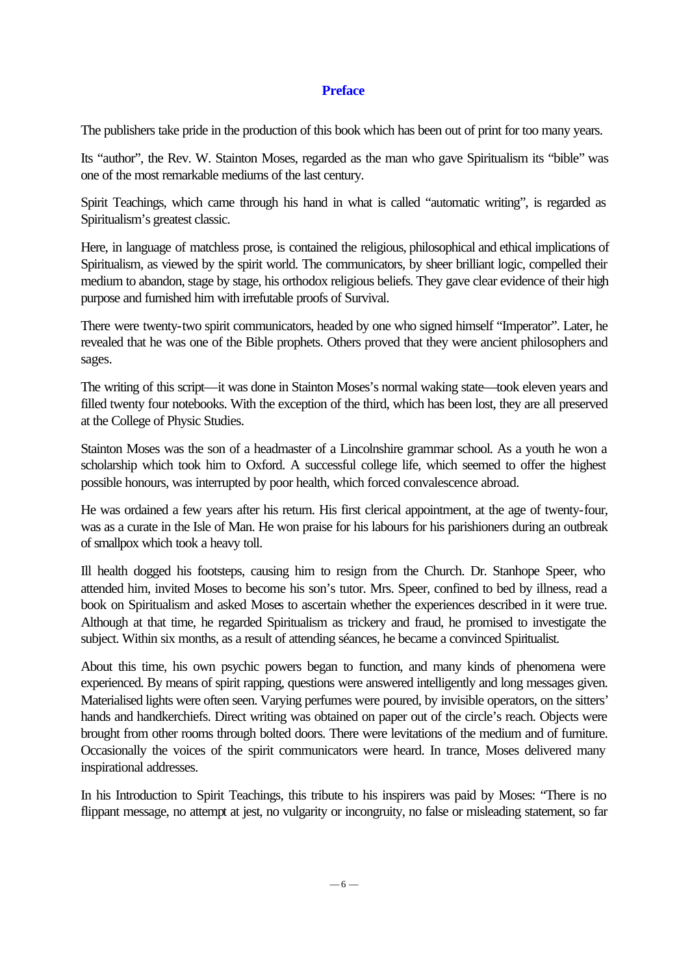## **Preface**

The publishers take pride in the production of this book which has been out of print for too many years.

Its "author", the Rev. W. Stainton Moses, regarded as the man who gave Spiritualism its "bible" was one of the most remarkable mediums of the last century.

Spirit Teachings, which came through his hand in what is called "automatic writing", is regarded as Spiritualism's greatest classic.

Here, in language of matchless prose, is contained the religious, philosophical and ethical implications of Spiritualism, as viewed by the spirit world. The communicators, by sheer brilliant logic, compelled their medium to abandon, stage by stage, his orthodox religious beliefs. They gave clear evidence of their high purpose and furnished him with irrefutable proofs of Survival.

There were twenty-two spirit communicators, headed by one who signed himself "Imperator". Later, he revealed that he was one of the Bible prophets. Others proved that they were ancient philosophers and sages.

The writing of this script—it was done in Stainton Moses's normal waking state—took eleven years and filled twenty four notebooks. With the exception of the third, which has been lost, they are all preserved at the College of Physic Studies.

Stainton Moses was the son of a headmaster of a Lincolnshire grammar school. As a youth he won a scholarship which took him to Oxford. A successful college life, which seemed to offer the highest possible honours, was interrupted by poor health, which forced convalescence abroad.

He was ordained a few years after his return. His first clerical appointment, at the age of twenty-four, was as a curate in the Isle of Man. He won praise for his labours for his parishioners during an outbreak of smallpox which took a heavy toll.

Ill health dogged his footsteps, causing him to resign from the Church. Dr. Stanhope Speer, who attended him, invited Moses to become his son's tutor. Mrs. Speer, confined to bed by illness, read a book on Spiritualism and asked Moses to ascertain whether the experiences described in it were true. Although at that time, he regarded Spiritualism as trickery and fraud, he promised to investigate the subject. Within six months, as a result of attending séances, he became a convinced Spiritualist.

About this time, his own psychic powers began to function, and many kinds of phenomena were experienced. By means of spirit rapping, questions were answered intelligently and long messages given. Materialised lights were often seen. Varying perfumes were poured, by invisible operators, on the sitters' hands and handkerchiefs. Direct writing was obtained on paper out of the circle's reach. Objects were brought from other rooms through bolted doors. There were levitations of the medium and of furniture. Occasionally the voices of the spirit communicators were heard. In trance, Moses delivered many inspirational addresses.

In his Introduction to Spirit Teachings, this tribute to his inspirers was paid by Moses: "There is no flippant message, no attempt at jest, no vulgarity or incongruity, no false or misleading statement, so far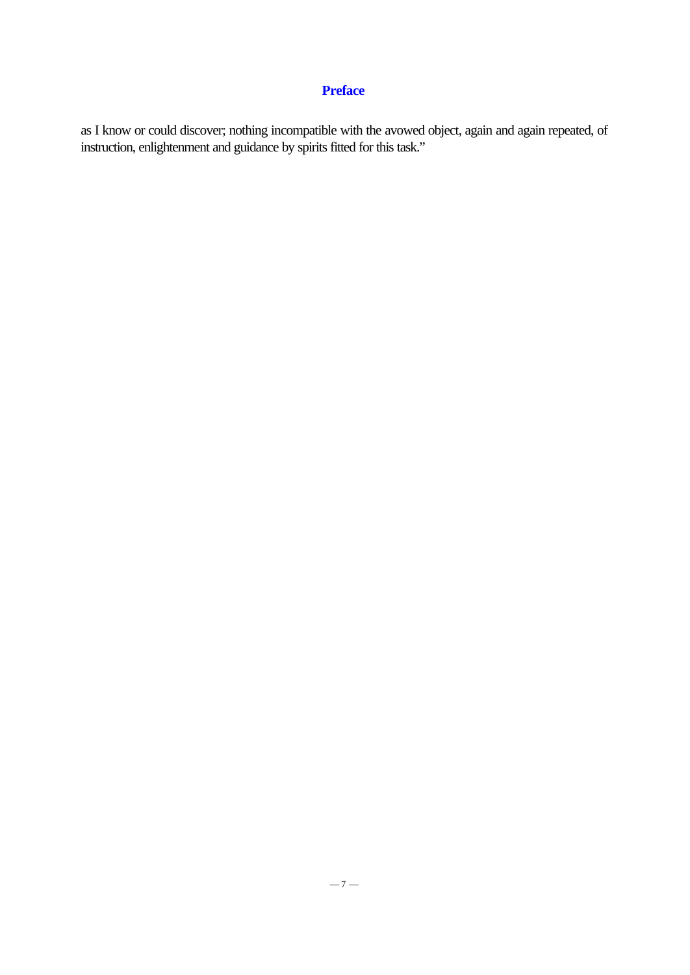# **Preface**

as I know or could discover; nothing incompatible with the avowed object, again and again repeated, of instruction, enlightenment and guidance by spirits fitted for this task."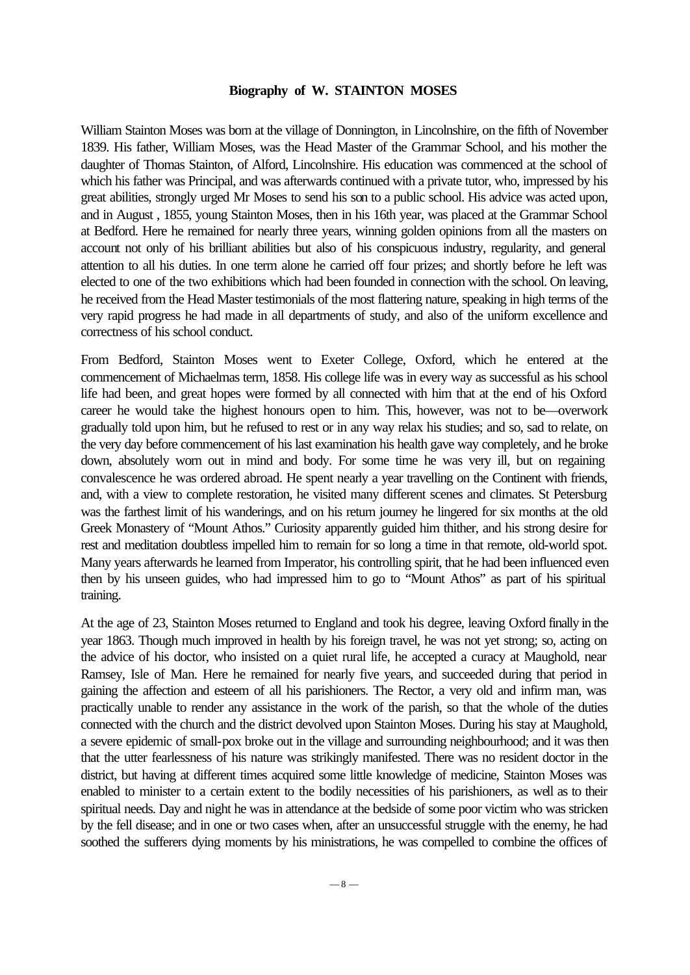William Stainton Moses was born at the village of Donnington, in Lincolnshire, on the fifth of November 1839. His father, William Moses, was the Head Master of the Grammar School, and his mother the daughter of Thomas Stainton, of Alford, Lincolnshire. His education was commenced at the school of which his father was Principal, and was afterwards continued with a private tutor, who, impressed by his great abilities, strongly urged Mr Moses to send his son to a public school. His advice was acted upon, and in August , 1855, young Stainton Moses, then in his 16th year, was placed at the Grammar School at Bedford. Here he remained for nearly three years, winning golden opinions from all the masters on account not only of his brilliant abilities but also of his conspicuous industry, regularity, and general attention to all his duties. In one term alone he carried off four prizes; and shortly before he left was elected to one of the two exhibitions which had been founded in connection with the school. On leaving, he received from the Head Master testimonials of the most flattering nature, speaking in high terms of the very rapid progress he had made in all departments of study, and also of the uniform excellence and correctness of his school conduct.

From Bedford, Stainton Moses went to Exeter College, Oxford, which he entered at the commencement of Michaelmas term, 1858. His college life was in every way as successful as his school life had been, and great hopes were formed by all connected with him that at the end of his Oxford career he would take the highest honours open to him. This, however, was not to be—overwork gradually told upon him, but he refused to rest or in any way relax his studies; and so, sad to relate, on the very day before commencement of his last examination his health gave way completely, and he broke down, absolutely worn out in mind and body. For some time he was very ill, but on regaining convalescence he was ordered abroad. He spent nearly a year travelling on the Continent with friends, and, with a view to complete restoration, he visited many different scenes and climates. St Petersburg was the farthest limit of his wanderings, and on his return journey he lingered for six months at the old Greek Monastery of "Mount Athos." Curiosity apparently guided him thither, and his strong desire for rest and meditation doubtless impelled him to remain for so long a time in that remote, old-world spot. Many years afterwards he learned from Imperator, his controlling spirit, that he had been influenced even then by his unseen guides, who had impressed him to go to "Mount Athos" as part of his spiritual training.

At the age of 23, Stainton Moses returned to England and took his degree, leaving Oxford finally in the year 1863. Though much improved in health by his foreign travel, he was not yet strong; so, acting on the advice of his doctor, who insisted on a quiet rural life, he accepted a curacy at Maughold, near Ramsey, Isle of Man. Here he remained for nearly five years, and succeeded during that period in gaining the affection and esteem of all his parishioners. The Rector, a very old and infirm man, was practically unable to render any assistance in the work of the parish, so that the whole of the duties connected with the church and the district devolved upon Stainton Moses. During his stay at Maughold, a severe epidemic of small-pox broke out in the village and surrounding neighbourhood; and it was then that the utter fearlessness of his nature was strikingly manifested. There was no resident doctor in the district, but having at different times acquired some little knowledge of medicine, Stainton Moses was enabled to minister to a certain extent to the bodily necessities of his parishioners, as well as to their spiritual needs. Day and night he was in attendance at the bedside of some poor victim who was stricken by the fell disease; and in one or two cases when, after an unsuccessful struggle with the enemy, he had soothed the sufferers dying moments by his ministrations, he was compelled to combine the offices of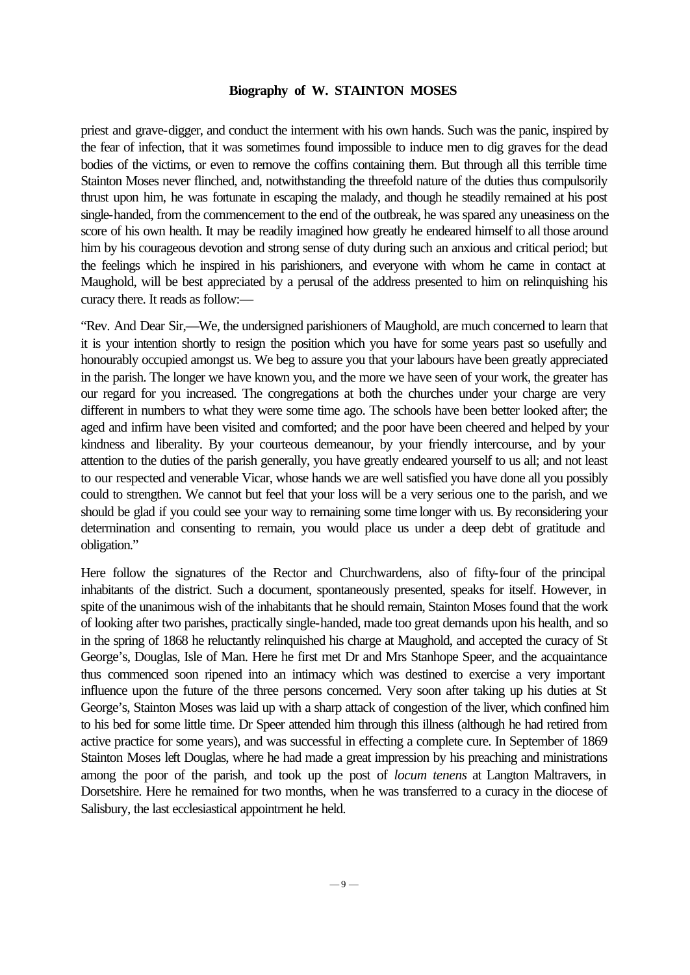priest and grave-digger, and conduct the interment with his own hands. Such was the panic, inspired by the fear of infection, that it was sometimes found impossible to induce men to dig graves for the dead bodies of the victims, or even to remove the coffins containing them. But through all this terrible time Stainton Moses never flinched, and, notwithstanding the threefold nature of the duties thus compulsorily thrust upon him, he was fortunate in escaping the malady, and though he steadily remained at his post single-handed, from the commencement to the end of the outbreak, he was spared any uneasiness on the score of his own health. It may be readily imagined how greatly he endeared himself to all those around him by his courageous devotion and strong sense of duty during such an anxious and critical period; but the feelings which he inspired in his parishioners, and everyone with whom he came in contact at Maughold, will be best appreciated by a perusal of the address presented to him on relinquishing his curacy there. It reads as follow:—

"Rev. And Dear Sir,—We, the undersigned parishioners of Maughold, are much concerned to learn that it is your intention shortly to resign the position which you have for some years past so usefully and honourably occupied amongst us. We beg to assure you that your labours have been greatly appreciated in the parish. The longer we have known you, and the more we have seen of your work, the greater has our regard for you increased. The congregations at both the churches under your charge are very different in numbers to what they were some time ago. The schools have been better looked after; the aged and infirm have been visited and comforted; and the poor have been cheered and helped by your kindness and liberality. By your courteous demeanour, by your friendly intercourse, and by your attention to the duties of the parish generally, you have greatly endeared yourself to us all; and not least to our respected and venerable Vicar, whose hands we are well satisfied you have done all you possibly could to strengthen. We cannot but feel that your loss will be a very serious one to the parish, and we should be glad if you could see your way to remaining some time longer with us. By reconsidering your determination and consenting to remain, you would place us under a deep debt of gratitude and obligation."

Here follow the signatures of the Rector and Churchwardens, also of fifty-four of the principal inhabitants of the district. Such a document, spontaneously presented, speaks for itself. However, in spite of the unanimous wish of the inhabitants that he should remain, Stainton Moses found that the work of looking after two parishes, practically single-handed, made too great demands upon his health, and so in the spring of 1868 he reluctantly relinquished his charge at Maughold, and accepted the curacy of St George's, Douglas, Isle of Man. Here he first met Dr and Mrs Stanhope Speer, and the acquaintance thus commenced soon ripened into an intimacy which was destined to exercise a very important influence upon the future of the three persons concerned. Very soon after taking up his duties at St George's, Stainton Moses was laid up with a sharp attack of congestion of the liver, which confined him to his bed for some little time. Dr Speer attended him through this illness (although he had retired from active practice for some years), and was successful in effecting a complete cure. In September of 1869 Stainton Moses left Douglas, where he had made a great impression by his preaching and ministrations among the poor of the parish, and took up the post of *locum tenens* at Langton Maltravers, in Dorsetshire. Here he remained for two months, when he was transferred to a curacy in the diocese of Salisbury, the last ecclesiastical appointment he held.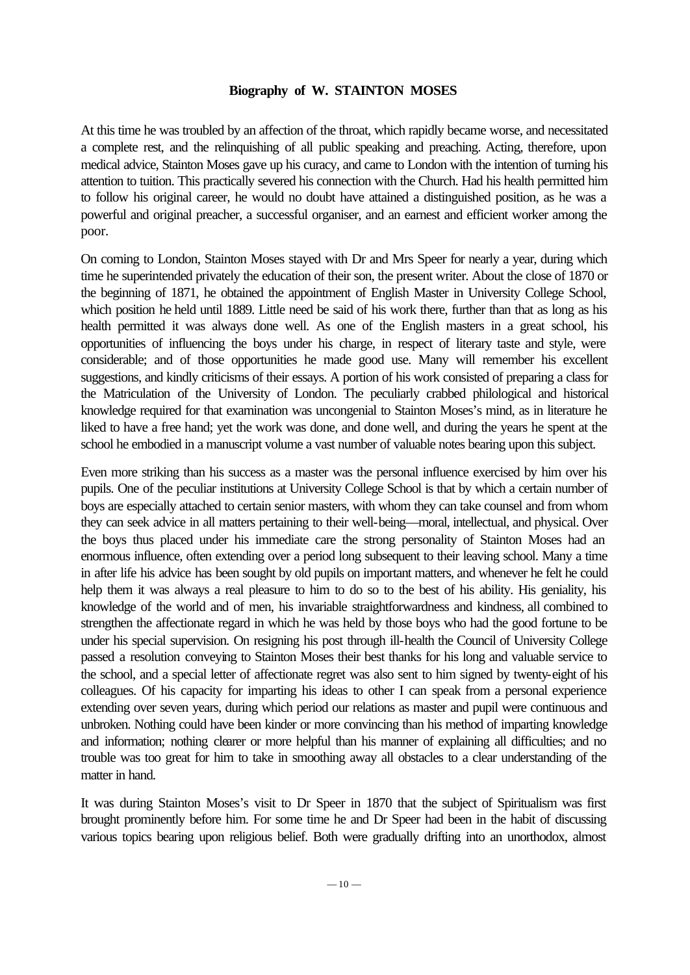At this time he was troubled by an affection of the throat, which rapidly became worse, and necessitated a complete rest, and the relinquishing of all public speaking and preaching. Acting, therefore, upon medical advice, Stainton Moses gave up his curacy, and came to London with the intention of turning his attention to tuition. This practically severed his connection with the Church. Had his health permitted him to follow his original career, he would no doubt have attained a distinguished position, as he was a powerful and original preacher, a successful organiser, and an earnest and efficient worker among the poor.

On coming to London, Stainton Moses stayed with Dr and Mrs Speer for nearly a year, during which time he superintended privately the education of their son, the present writer. About the close of 1870 or the beginning of 1871, he obtained the appointment of English Master in University College School, which position he held until 1889. Little need be said of his work there, further than that as long as his health permitted it was always done well. As one of the English masters in a great school, his opportunities of influencing the boys under his charge, in respect of literary taste and style, were considerable; and of those opportunities he made good use. Many will remember his excellent suggestions, and kindly criticisms of their essays. A portion of his work consisted of preparing a class for the Matriculation of the University of London. The peculiarly crabbed philological and historical knowledge required for that examination was uncongenial to Stainton Moses's mind, as in literature he liked to have a free hand; yet the work was done, and done well, and during the years he spent at the school he embodied in a manuscript volume a vast number of valuable notes bearing upon this subject.

Even more striking than his success as a master was the personal influence exercised by him over his pupils. One of the peculiar institutions at University College School is that by which a certain number of boys are especially attached to certain senior masters, with whom they can take counsel and from whom they can seek advice in all matters pertaining to their well-being—moral, intellectual, and physical. Over the boys thus placed under his immediate care the strong personality of Stainton Moses had an enormous influence, often extending over a period long subsequent to their leaving school. Many a time in after life his advice has been sought by old pupils on important matters, and whenever he felt he could help them it was always a real pleasure to him to do so to the best of his ability. His geniality, his knowledge of the world and of men, his invariable straightforwardness and kindness, all combined to strengthen the affectionate regard in which he was held by those boys who had the good fortune to be under his special supervision. On resigning his post through ill-health the Council of University College passed a resolution conveying to Stainton Moses their best thanks for his long and valuable service to the school, and a special letter of affectionate regret was also sent to him signed by twenty-eight of his colleagues. Of his capacity for imparting his ideas to other I can speak from a personal experience extending over seven years, during which period our relations as master and pupil were continuous and unbroken. Nothing could have been kinder or more convincing than his method of imparting knowledge and information; nothing clearer or more helpful than his manner of explaining all difficulties; and no trouble was too great for him to take in smoothing away all obstacles to a clear understanding of the matter in hand.

It was during Stainton Moses's visit to Dr Speer in 1870 that the subject of Spiritualism was first brought prominently before him. For some time he and Dr Speer had been in the habit of discussing various topics bearing upon religious belief. Both were gradually drifting into an unorthodox, almost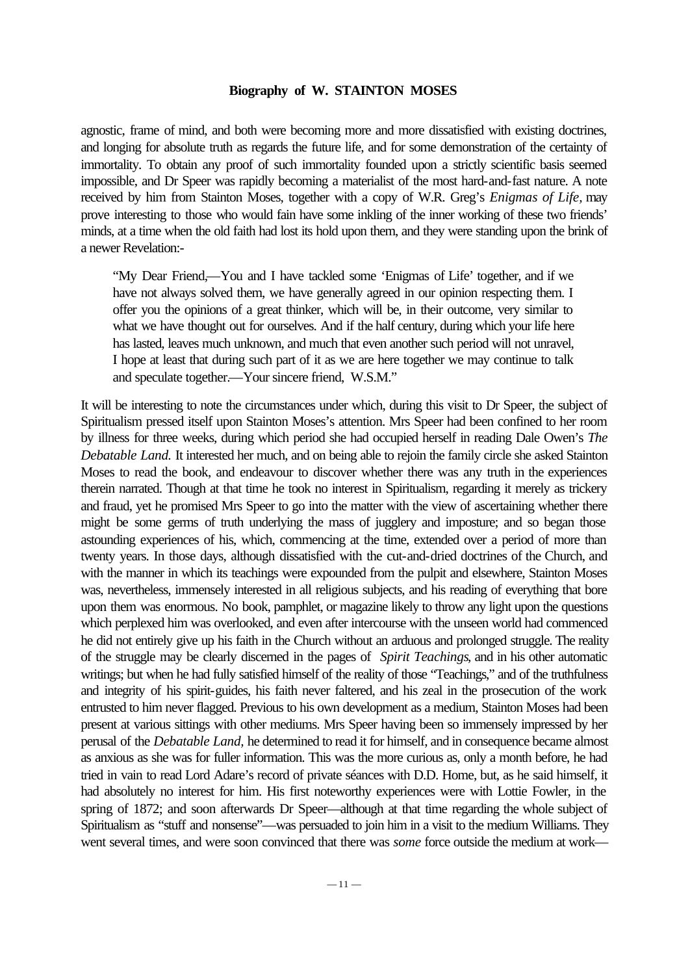agnostic, frame of mind, and both were becoming more and more dissatisfied with existing doctrines, and longing for absolute truth as regards the future life, and for some demonstration of the certainty of immortality. To obtain any proof of such immortality founded upon a strictly scientific basis seemed impossible, and Dr Speer was rapidly becoming a materialist of the most hard-and-fast nature. A note received by him from Stainton Moses, together with a copy of W.R. Greg's *Enigmas of Life,* may prove interesting to those who would fain have some inkling of the inner working of these two friends' minds, at a time when the old faith had lost its hold upon them, and they were standing upon the brink of a newer Revelation:-

"My Dear Friend,—You and I have tackled some 'Enigmas of Life' together, and if we have not always solved them, we have generally agreed in our opinion respecting them. I offer you the opinions of a great thinker, which will be, in their outcome, very similar to what we have thought out for ourselves. And if the half century, during which your life here has lasted, leaves much unknown, and much that even another such period will not unravel, I hope at least that during such part of it as we are here together we may continue to talk and speculate together.—Your sincere friend, W.S.M."

It will be interesting to note the circumstances under which, during this visit to Dr Speer, the subject of Spiritualism pressed itself upon Stainton Moses's attention. Mrs Speer had been confined to her room by illness for three weeks, during which period she had occupied herself in reading Dale Owen's *The Debatable Land.* It interested her much, and on being able to rejoin the family circle she asked Stainton Moses to read the book, and endeavour to discover whether there was any truth in the experiences therein narrated. Though at that time he took no interest in Spiritualism, regarding it merely as trickery and fraud, yet he promised Mrs Speer to go into the matter with the view of ascertaining whether there might be some germs of truth underlying the mass of jugglery and imposture; and so began those astounding experiences of his, which, commencing at the time, extended over a period of more than twenty years. In those days, although dissatisfied with the cut-and-dried doctrines of the Church, and with the manner in which its teachings were expounded from the pulpit and elsewhere, Stainton Moses was, nevertheless, immensely interested in all religious subjects, and his reading of everything that bore upon them was enormous. No book, pamphlet, or magazine likely to throw any light upon the questions which perplexed him was overlooked, and even after intercourse with the unseen world had commenced he did not entirely give up his faith in the Church without an arduous and prolonged struggle. The reality of the struggle may be clearly discerned in the pages of *Spirit Teachings*, and in his other automatic writings; but when he had fully satisfied himself of the reality of those "Teachings," and of the truthfulness and integrity of his spirit-guides, his faith never faltered, and his zeal in the prosecution of the work entrusted to him never flagged. Previous to his own development as a medium, Stainton Moses had been present at various sittings with other mediums. Mrs Speer having been so immensely impressed by her perusal of the *Debatable Land,* he determined to read it for himself, and in consequence became almost as anxious as she was for fuller information. This was the more curious as, only a month before, he had tried in vain to read Lord Adare's record of private séances with D.D. Home, but, as he said himself, it had absolutely no interest for him. His first noteworthy experiences were with Lottie Fowler, in the spring of 1872; and soon afterwards Dr Speer—although at that time regarding the whole subject of Spiritualism as "stuff and nonsense"—was persuaded to join him in a visit to the medium Williams. They went several times, and were soon convinced that there was *some* force outside the medium at work—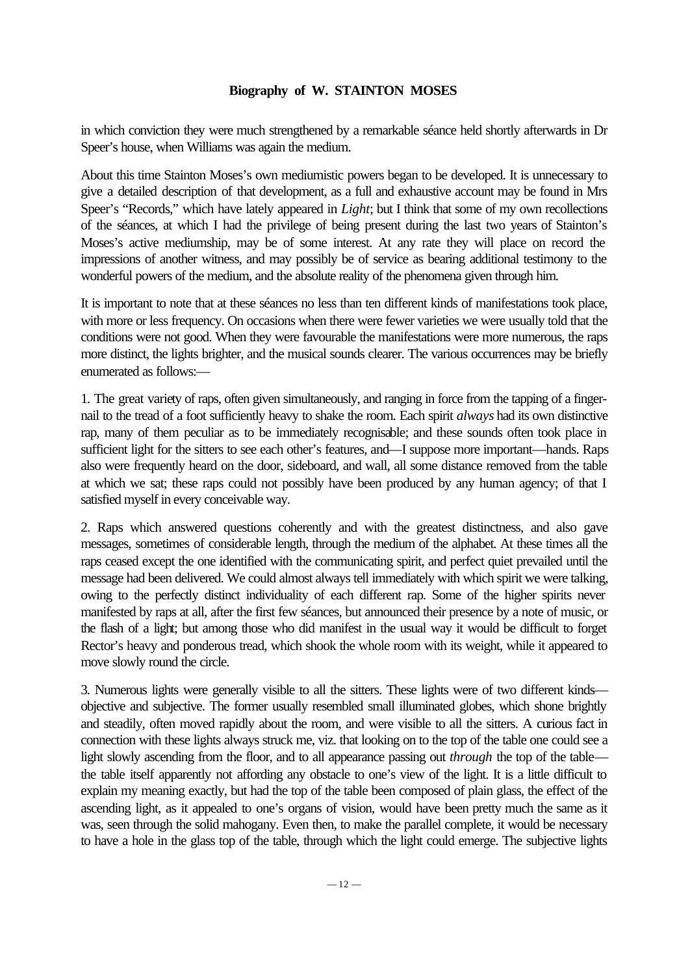in which conviction they were much strengthened by a remarkable séance held shortly afterwards in Dr Speer's house, when Williams was again the medium.

About this time Stainton Moses's own mediumistic powers began to be developed. It is unnecessary to give a detailed description of that development, as a full and exhaustive account may be found in Mrs Speer's "Records," which have lately appeared in *Light*; but I think that some of my own recollections of the séances, at which I had the privilege of being present during the last two years of Stainton's Moses's active mediumship, may be of some interest. At any rate they will place on record the impressions of another witness, and may possibly be of service as bearing additional testimony to the wonderful powers of the medium, and the absolute reality of the phenomena given through him.

It is important to note that at these séances no less than ten different kinds of manifestations took place, with more or less frequency. On occasions when there were fewer varieties we were usually told that the conditions were not good. When they were favourable the manifestations were more numerous, the raps more distinct, the lights brighter, and the musical sounds clearer. The various occurrences may be briefly enumerated as follows:—

1. The great variety of raps, often given simultaneously, and ranging in force from the tapping of a fingernail to the tread of a foot sufficiently heavy to shake the room. Each spirit *always* had its own distinctive rap, many of them peculiar as to be immediately recognisable; and these sounds often took place in sufficient light for the sitters to see each other's features, and—I suppose more important—hands. Raps also were frequently heard on the door, sideboard, and wall, all some distance removed from the table at which we sat; these raps could not possibly have been produced by any human agency; of that I satisfied myself in every conceivable way.

2. Raps which answered questions coherently and with the greatest distinctness, and also gave messages, sometimes of considerable length, through the medium of the alphabet. At these times all the raps ceased except the one identified with the communicating spirit, and perfect quiet prevailed until the message had been delivered. We could almost always tell immediately with which spirit we were talking, owing to the perfectly distinct individuality of each different rap. Some of the higher spirits never manifested by raps at all, after the first few séances, but announced their presence by a note of music, or the flash of a light; but among those who did manifest in the usual way it would be difficult to forget Rector's heavy and ponderous tread, which shook the whole room with its weight, while it appeared to move slowly round the circle.

3. Numerous lights were generally visible to all the sitters. These lights were of two different kinds objective and subjective. The former usually resembled small illuminated globes, which shone brightly and steadily, often moved rapidly about the room, and were visible to all the sitters. A curious fact in connection with these lights always struck me, viz. that looking on to the top of the table one could see a light slowly ascending from the floor, and to all appearance passing out *through* the top of the table the table itself apparently not affording any obstacle to one's view of the light. It is a little difficult to explain my meaning exactly, but had the top of the table been composed of plain glass, the effect of the ascending light, as it appealed to one's organs of vision, would have been pretty much the same as it was, seen through the solid mahogany. Even then, to make the parallel complete, it would be necessary to have a hole in the glass top of the table, through which the light could emerge. The subjective lights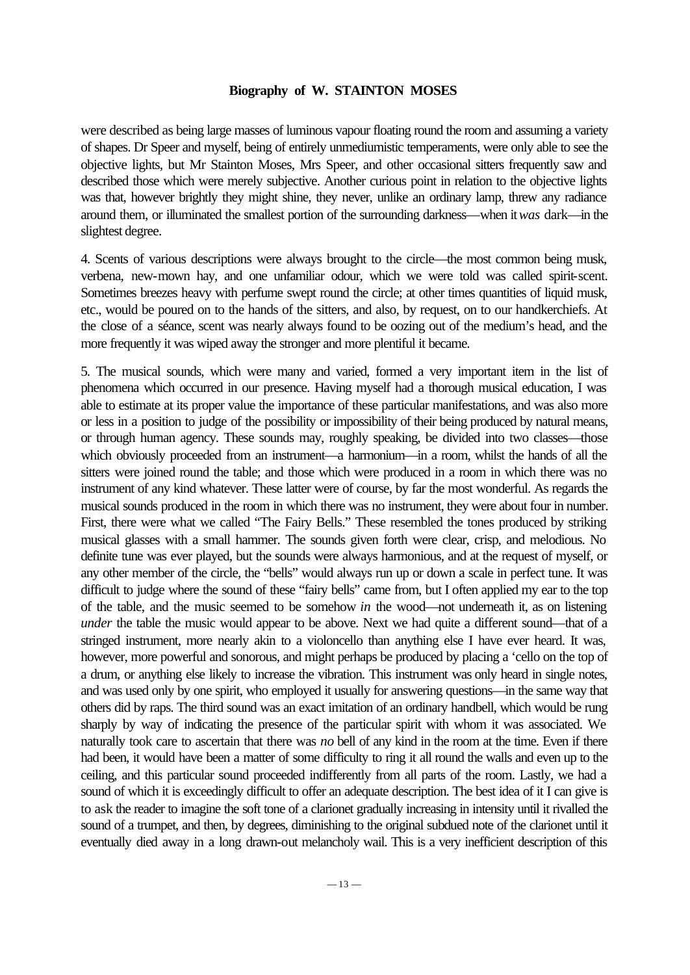were described as being large masses of luminous vapour floating round the room and assuming a variety of shapes. Dr Speer and myself, being of entirely unmediumistic temperaments, were only able to see the objective lights, but Mr Stainton Moses, Mrs Speer, and other occasional sitters frequently saw and described those which were merely subjective. Another curious point in relation to the objective lights was that, however brightly they might shine, they never, unlike an ordinary lamp, threw any radiance around them, or illuminated the smallest portion of the surrounding darkness—when it *was* dark—in the slightest degree.

4. Scents of various descriptions were always brought to the circle—the most common being musk, verbena, new-mown hay, and one unfamiliar odour, which we were told was called spirit-scent. Sometimes breezes heavy with perfume swept round the circle; at other times quantities of liquid musk, etc., would be poured on to the hands of the sitters, and also, by request, on to our handkerchiefs. At the close of a séance, scent was nearly always found to be oozing out of the medium's head, and the more frequently it was wiped away the stronger and more plentiful it became.

5. The musical sounds, which were many and varied, formed a very important item in the list of phenomena which occurred in our presence. Having myself had a thorough musical education, I was able to estimate at its proper value the importance of these particular manifestations, and was also more or less in a position to judge of the possibility or impossibility of their being produced by natural means, or through human agency. These sounds may, roughly speaking, be divided into two classes—those which obviously proceeded from an instrument—a harmonium—in a room, whilst the hands of all the sitters were joined round the table; and those which were produced in a room in which there was no instrument of any kind whatever. These latter were of course, by far the most wonderful. As regards the musical sounds produced in the room in which there was no instrument, they were about four in number. First, there were what we called "The Fairy Bells." These resembled the tones produced by striking musical glasses with a small hammer. The sounds given forth were clear, crisp, and melodious. No definite tune was ever played, but the sounds were always harmonious, and at the request of myself, or any other member of the circle, the "bells" would always run up or down a scale in perfect tune. It was difficult to judge where the sound of these "fairy bells" came from, but I often applied my ear to the top of the table, and the music seemed to be somehow *in* the wood—not underneath it, as on listening *under* the table the music would appear to be above. Next we had quite a different sound—that of a stringed instrument, more nearly akin to a violoncello than anything else I have ever heard. It was, however, more powerful and sonorous, and might perhaps be produced by placing a 'cello on the top of a drum, or anything else likely to increase the vibration. This instrument was only heard in single notes, and was used only by one spirit, who employed it usually for answering questions—in the same way that others did by raps. The third sound was an exact imitation of an ordinary handbell, which would be rung sharply by way of indicating the presence of the particular spirit with whom it was associated. We naturally took care to ascertain that there was *no* bell of any kind in the room at the time. Even if there had been, it would have been a matter of some difficulty to ring it all round the walls and even up to the ceiling, and this particular sound proceeded indifferently from all parts of the room. Lastly, we had a sound of which it is exceedingly difficult to offer an adequate description. The best idea of it I can give is to ask the reader to imagine the soft tone of a clarionet gradually increasing in intensity until it rivalled the sound of a trumpet, and then, by degrees, diminishing to the original subdued note of the clarionet until it eventually died away in a long drawn-out melancholy wail. This is a very inefficient description of this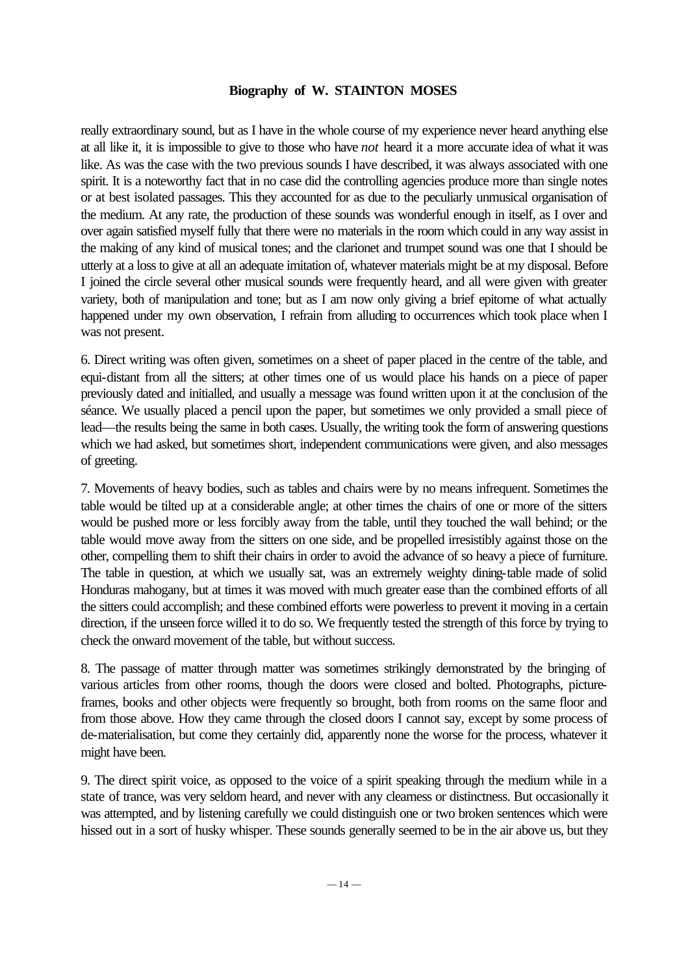really extraordinary sound, but as I have in the whole course of my experience never heard anything else at all like it, it is impossible to give to those who have *not* heard it a more accurate idea of what it was like. As was the case with the two previous sounds I have described, it was always associated with one spirit. It is a noteworthy fact that in no case did the controlling agencies produce more than single notes or at best isolated passages. This they accounted for as due to the peculiarly unmusical organisation of the medium. At any rate, the production of these sounds was wonderful enough in itself, as I over and over again satisfied myself fully that there were no materials in the room which could in any way assist in the making of any kind of musical tones; and the clarionet and trumpet sound was one that I should be utterly at a loss to give at all an adequate imitation of, whatever materials might be at my disposal. Before I joined the circle several other musical sounds were frequently heard, and all were given with greater variety, both of manipulation and tone; but as I am now only giving a brief epitome of what actually happened under my own observation, I refrain from alluding to occurrences which took place when I was not present.

6. Direct writing was often given, sometimes on a sheet of paper placed in the centre of the table, and equi-distant from all the sitters; at other times one of us would place his hands on a piece of paper previously dated and initialled, and usually a message was found written upon it at the conclusion of the séance. We usually placed a pencil upon the paper, but sometimes we only provided a small piece of lead—the results being the same in both cases. Usually, the writing took the form of answering questions which we had asked, but sometimes short, independent communications were given, and also messages of greeting.

7. Movements of heavy bodies, such as tables and chairs were by no means infrequent. Sometimes the table would be tilted up at a considerable angle; at other times the chairs of one or more of the sitters would be pushed more or less forcibly away from the table, until they touched the wall behind; or the table would move away from the sitters on one side, and be propelled irresistibly against those on the other, compelling them to shift their chairs in order to avoid the advance of so heavy a piece of furniture. The table in question, at which we usually sat, was an extremely weighty dining-table made of solid Honduras mahogany, but at times it was moved with much greater ease than the combined efforts of all the sitters could accomplish; and these combined efforts were powerless to prevent it moving in a certain direction, if the unseen force willed it to do so. We frequently tested the strength of this force by trying to check the onward movement of the table, but without success.

8. The passage of matter through matter was sometimes strikingly demonstrated by the bringing of various articles from other rooms, though the doors were closed and bolted. Photographs, pictureframes, books and other objects were frequently so brought, both from rooms on the same floor and from those above. How they came through the closed doors I cannot say, except by some process of de-materialisation, but come they certainly did, apparently none the worse for the process, whatever it might have been.

9. The direct spirit voice, as opposed to the voice of a spirit speaking through the medium while in a state of trance, was very seldom heard, and never with any clearness or distinctness. But occasionally it was attempted, and by listening carefully we could distinguish one or two broken sentences which were hissed out in a sort of husky whisper. These sounds generally seemed to be in the air above us, but they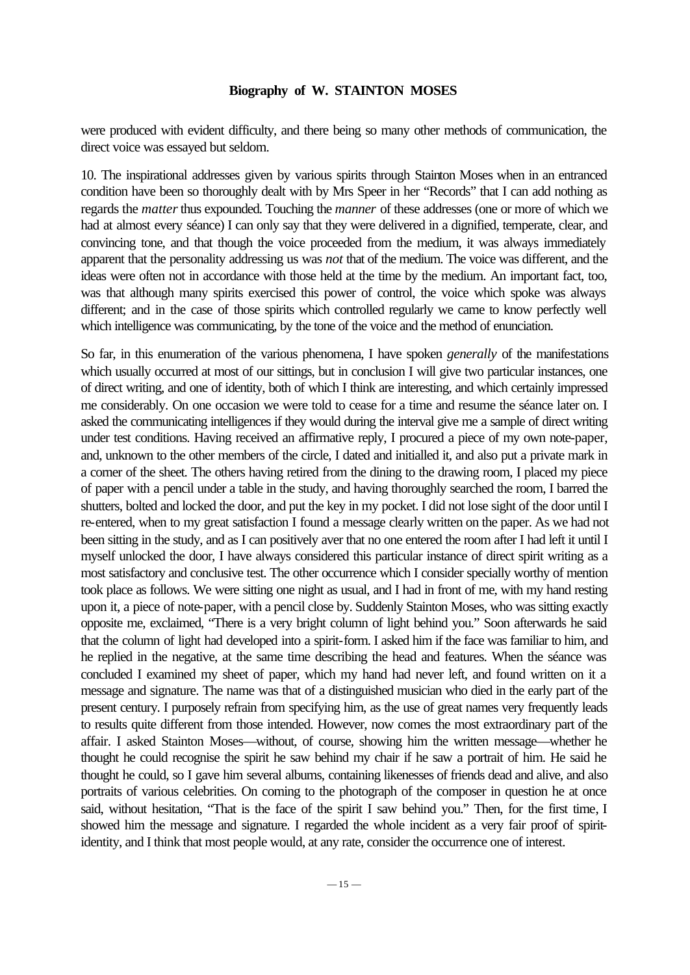were produced with evident difficulty, and there being so many other methods of communication, the direct voice was essayed but seldom.

10. The inspirational addresses given by various spirits through Stainton Moses when in an entranced condition have been so thoroughly dealt with by Mrs Speer in her "Records" that I can add nothing as regards the *matter* thus expounded. Touching the *manner* of these addresses (one or more of which we had at almost every séance) I can only say that they were delivered in a dignified, temperate, clear, and convincing tone, and that though the voice proceeded from the medium, it was always immediately apparent that the personality addressing us was *not* that of the medium. The voice was different, and the ideas were often not in accordance with those held at the time by the medium. An important fact, too, was that although many spirits exercised this power of control, the voice which spoke was always different; and in the case of those spirits which controlled regularly we came to know perfectly well which intelligence was communicating, by the tone of the voice and the method of enunciation.

So far, in this enumeration of the various phenomena, I have spoken *generally* of the manifestations which usually occurred at most of our sittings, but in conclusion I will give two particular instances, one of direct writing, and one of identity, both of which I think are interesting, and which certainly impressed me considerably. On one occasion we were told to cease for a time and resume the séance later on. I asked the communicating intelligences if they would during the interval give me a sample of direct writing under test conditions. Having received an affirmative reply, I procured a piece of my own note-paper, and, unknown to the other members of the circle, I dated and initialled it, and also put a private mark in a corner of the sheet. The others having retired from the dining to the drawing room, I placed my piece of paper with a pencil under a table in the study, and having thoroughly searched the room, I barred the shutters, bolted and locked the door, and put the key in my pocket. I did not lose sight of the door until I re-entered, when to my great satisfaction I found a message clearly written on the paper. As we had not been sitting in the study, and as I can positively aver that no one entered the room after I had left it until I myself unlocked the door, I have always considered this particular instance of direct spirit writing as a most satisfactory and conclusive test. The other occurrence which I consider specially worthy of mention took place as follows. We were sitting one night as usual, and I had in front of me, with my hand resting upon it, a piece of note-paper, with a pencil close by. Suddenly Stainton Moses, who was sitting exactly opposite me, exclaimed, "There is a very bright column of light behind you." Soon afterwards he said that the column of light had developed into a spirit-form. I asked him if the face was familiar to him, and he replied in the negative, at the same time describing the head and features. When the séance was concluded I examined my sheet of paper, which my hand had never left, and found written on it a message and signature. The name was that of a distinguished musician who died in the early part of the present century. I purposely refrain from specifying him, as the use of great names very frequently leads to results quite different from those intended. However, now comes the most extraordinary part of the affair. I asked Stainton Moses—without, of course, showing him the written message—whether he thought he could recognise the spirit he saw behind my chair if he saw a portrait of him. He said he thought he could, so I gave him several albums, containing likenesses of friends dead and alive, and also portraits of various celebrities. On coming to the photograph of the composer in question he at once said, without hesitation, "That is the face of the spirit I saw behind you." Then, for the first time, I showed him the message and signature. I regarded the whole incident as a very fair proof of spiritidentity, and I think that most people would, at any rate, consider the occurrence one of interest.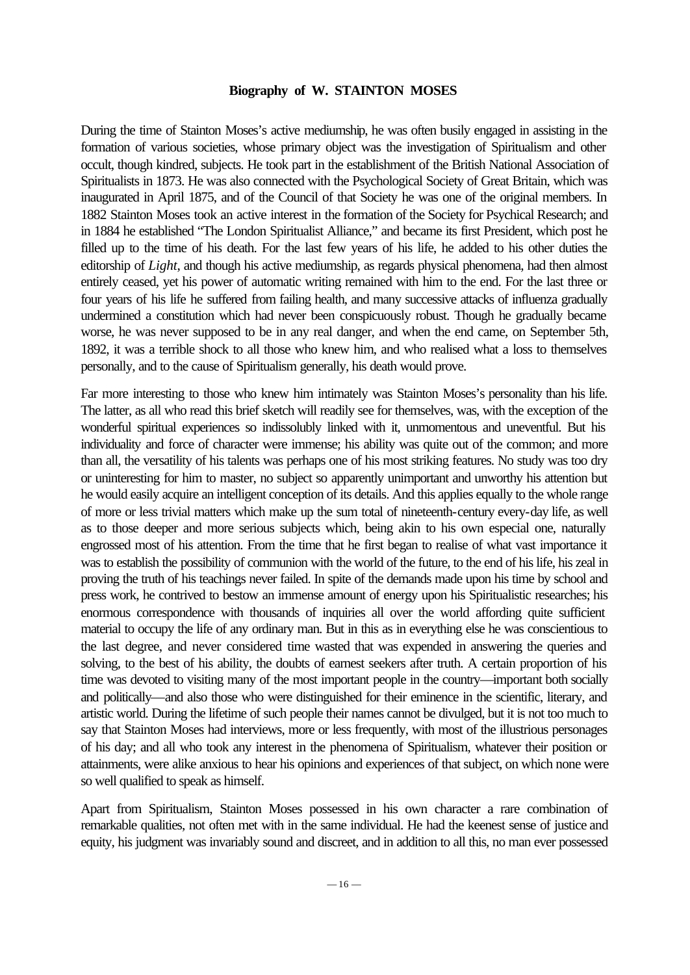During the time of Stainton Moses's active mediumship, he was often busily engaged in assisting in the formation of various societies, whose primary object was the investigation of Spiritualism and other occult, though kindred, subjects. He took part in the establishment of the British National Association of Spiritualists in 1873. He was also connected with the Psychological Society of Great Britain, which was inaugurated in April 1875, and of the Council of that Society he was one of the original members. In 1882 Stainton Moses took an active interest in the formation of the Society for Psychical Research; and in 1884 he established "The London Spiritualist Alliance," and became its first President, which post he filled up to the time of his death. For the last few years of his life, he added to his other duties the editorship of *Light*, and though his active mediumship, as regards physical phenomena, had then almost entirely ceased, yet his power of automatic writing remained with him to the end. For the last three or four years of his life he suffered from failing health, and many successive attacks of influenza gradually undermined a constitution which had never been conspicuously robust. Though he gradually became worse, he was never supposed to be in any real danger, and when the end came, on September 5th, 1892, it was a terrible shock to all those who knew him, and who realised what a loss to themselves personally, and to the cause of Spiritualism generally, his death would prove.

Far more interesting to those who knew him intimately was Stainton Moses's personality than his life. The latter, as all who read this brief sketch will readily see for themselves, was, with the exception of the wonderful spiritual experiences so indissolubly linked with it, unmomentous and uneventful. But his individuality and force of character were immense; his ability was quite out of the common; and more than all, the versatility of his talents was perhaps one of his most striking features. No study was too dry or uninteresting for him to master, no subject so apparently unimportant and unworthy his attention but he would easily acquire an intelligent conception of its details. And this applies equally to the whole range of more or less trivial matters which make up the sum total of nineteenth-century every-day life, as well as to those deeper and more serious subjects which, being akin to his own especial one, naturally engrossed most of his attention. From the time that he first began to realise of what vast importance it was to establish the possibility of communion with the world of the future, to the end of his life, his zeal in proving the truth of his teachings never failed. In spite of the demands made upon his time by school and press work, he contrived to bestow an immense amount of energy upon his Spiritualistic researches; his enormous correspondence with thousands of inquiries all over the world affording quite sufficient material to occupy the life of any ordinary man. But in this as in everything else he was conscientious to the last degree, and never considered time wasted that was expended in answering the queries and solving, to the best of his ability, the doubts of earnest seekers after truth. A certain proportion of his time was devoted to visiting many of the most important people in the country—important both socially and politically—and also those who were distinguished for their eminence in the scientific, literary, and artistic world. During the lifetime of such people their names cannot be divulged, but it is not too much to say that Stainton Moses had interviews, more or less frequently, with most of the illustrious personages of his day; and all who took any interest in the phenomena of Spiritualism, whatever their position or attainments, were alike anxious to hear his opinions and experiences of that subject, on which none were so well qualified to speak as himself.

Apart from Spiritualism, Stainton Moses possessed in his own character a rare combination of remarkable qualities, not often met with in the same individual. He had the keenest sense of justice and equity, his judgment was invariably sound and discreet, and in addition to all this, no man ever possessed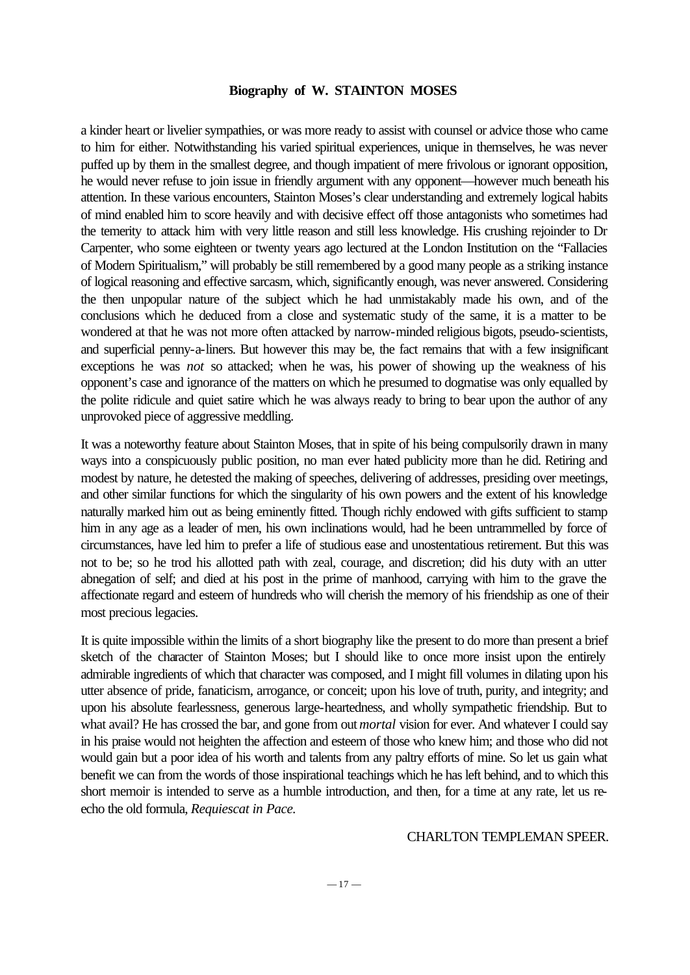a kinder heart or livelier sympathies, or was more ready to assist with counsel or advice those who came to him for either. Notwithstanding his varied spiritual experiences, unique in themselves, he was never puffed up by them in the smallest degree, and though impatient of mere frivolous or ignorant opposition, he would never refuse to join issue in friendly argument with any opponent—however much beneath his attention. In these various encounters, Stainton Moses's clear understanding and extremely logical habits of mind enabled him to score heavily and with decisive effect off those antagonists who sometimes had the temerity to attack him with very little reason and still less knowledge. His crushing rejoinder to Dr Carpenter, who some eighteen or twenty years ago lectured at the London Institution on the "Fallacies of Modern Spiritualism," will probably be still remembered by a good many people as a striking instance of logical reasoning and effective sarcasm, which, significantly enough, was never answered. Considering the then unpopular nature of the subject which he had unmistakably made his own, and of the conclusions which he deduced from a close and systematic study of the same, it is a matter to be wondered at that he was not more often attacked by narrow-minded religious bigots, pseudo-scientists, and superficial penny-a-liners. But however this may be, the fact remains that with a few insignificant exceptions he was *not* so attacked; when he was, his power of showing up the weakness of his opponent's case and ignorance of the matters on which he presumed to dogmatise was only equalled by the polite ridicule and quiet satire which he was always ready to bring to bear upon the author of any unprovoked piece of aggressive meddling.

It was a noteworthy feature about Stainton Moses, that in spite of his being compulsorily drawn in many ways into a conspicuously public position, no man ever hated publicity more than he did. Retiring and modest by nature, he detested the making of speeches, delivering of addresses, presiding over meetings, and other similar functions for which the singularity of his own powers and the extent of his knowledge naturally marked him out as being eminently fitted. Though richly endowed with gifts sufficient to stamp him in any age as a leader of men, his own inclinations would, had he been untrammelled by force of circumstances, have led him to prefer a life of studious ease and unostentatious retirement. But this was not to be; so he trod his allotted path with zeal, courage, and discretion; did his duty with an utter abnegation of self; and died at his post in the prime of manhood, carrying with him to the grave the affectionate regard and esteem of hundreds who will cherish the memory of his friendship as one of their most precious legacies.

It is quite impossible within the limits of a short biography like the present to do more than present a brief sketch of the character of Stainton Moses; but I should like to once more insist upon the entirely admirable ingredients of which that character was composed, and I might fill volumes in dilating upon his utter absence of pride, fanaticism, arrogance, or conceit; upon his love of truth, purity, and integrity; and upon his absolute fearlessness, generous large-heartedness, and wholly sympathetic friendship. But to what avail? He has crossed the bar, and gone from out *mortal* vision for ever. And whatever I could say in his praise would not heighten the affection and esteem of those who knew him; and those who did not would gain but a poor idea of his worth and talents from any paltry efforts of mine. So let us gain what benefit we can from the words of those inspirational teachings which he has left behind, and to which this short memoir is intended to serve as a humble introduction, and then, for a time at any rate, let us reecho the old formula, *Requiescat in Pace.*

## CHARLTON TEMPLEMAN SPEER.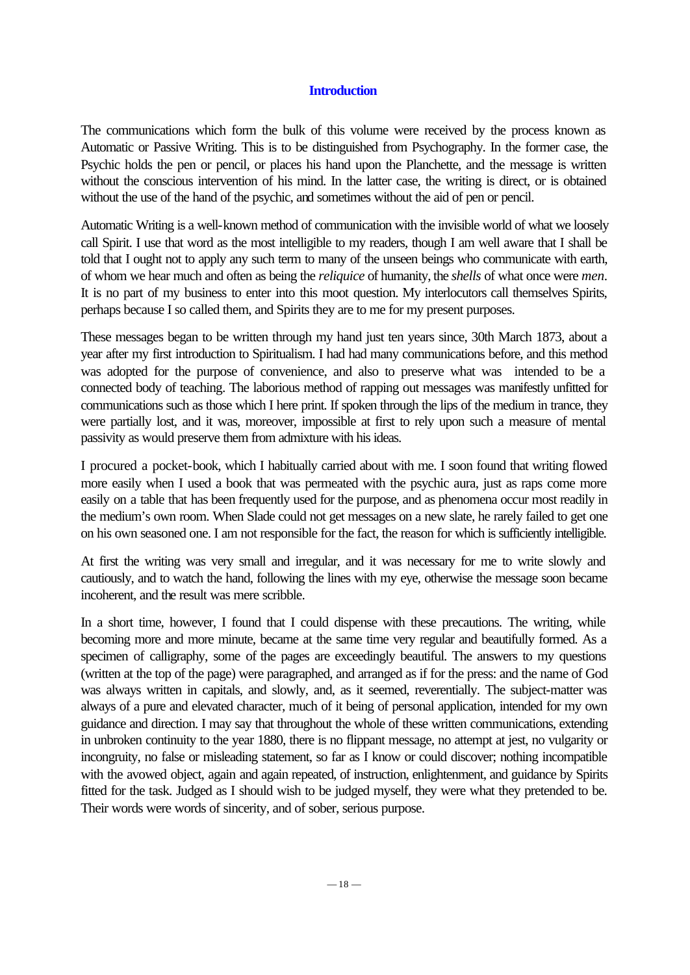The communications which form the bulk of this volume were received by the process known as Automatic or Passive Writing. This is to be distinguished from Psychography. In the former case, the Psychic holds the pen or pencil, or places his hand upon the Planchette, and the message is written without the conscious intervention of his mind. In the latter case, the writing is direct, or is obtained without the use of the hand of the psychic, and sometimes without the aid of pen or pencil.

Automatic Writing is a well-known method of communication with the invisible world of what we loosely call Spirit. I use that word as the most intelligible to my readers, though I am well aware that I shall be told that I ought not to apply any such term to many of the unseen beings who communicate with earth, of whom we hear much and often as being the *reliquice* of humanity, the *shells* of what once were *men*. It is no part of my business to enter into this moot question. My interlocutors call themselves Spirits, perhaps because I so called them, and Spirits they are to me for my present purposes.

These messages began to be written through my hand just ten years since, 30th March 1873, about a year after my first introduction to Spiritualism. I had had many communications before, and this method was adopted for the purpose of convenience, and also to preserve what was intended to be a connected body of teaching. The laborious method of rapping out messages was manifestly unfitted for communications such as those which I here print. If spoken through the lips of the medium in trance, they were partially lost, and it was, moreover, impossible at first to rely upon such a measure of mental passivity as would preserve them from admixture with his ideas.

I procured a pocket-book, which I habitually carried about with me. I soon found that writing flowed more easily when I used a book that was permeated with the psychic aura, just as raps come more easily on a table that has been frequently used for the purpose, and as phenomena occur most readily in the medium's own room. When Slade could not get messages on a new slate, he rarely failed to get one on his own seasoned one. I am not responsible for the fact, the reason for which is sufficiently intelligible.

At first the writing was very small and irregular, and it was necessary for me to write slowly and cautiously, and to watch the hand, following the lines with my eye, otherwise the message soon became incoherent, and the result was mere scribble.

In a short time, however, I found that I could dispense with these precautions. The writing, while becoming more and more minute, became at the same time very regular and beautifully formed. As a specimen of calligraphy, some of the pages are exceedingly beautiful. The answers to my questions (written at the top of the page) were paragraphed, and arranged as if for the press: and the name of God was always written in capitals, and slowly, and, as it seemed, reverentially. The subject-matter was always of a pure and elevated character, much of it being of personal application, intended for my own guidance and direction. I may say that throughout the whole of these written communications, extending in unbroken continuity to the year 1880, there is no flippant message, no attempt at jest, no vulgarity or incongruity, no false or misleading statement, so far as I know or could discover; nothing incompatible with the avowed object, again and again repeated, of instruction, enlightenment, and guidance by Spirits fitted for the task. Judged as I should wish to be judged myself, they were what they pretended to be. Their words were words of sincerity, and of sober, serious purpose.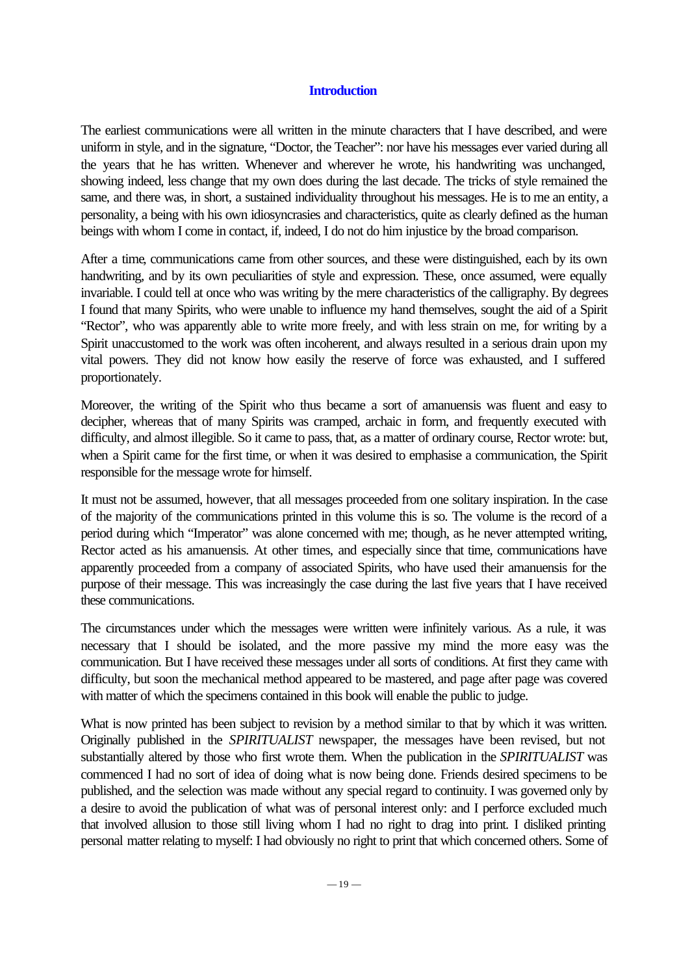The earliest communications were all written in the minute characters that I have described, and were uniform in style, and in the signature, "Doctor, the Teacher": nor have his messages ever varied during all the years that he has written. Whenever and wherever he wrote, his handwriting was unchanged, showing indeed, less change that my own does during the last decade. The tricks of style remained the same, and there was, in short, a sustained individuality throughout his messages. He is to me an entity, a personality, a being with his own idiosyncrasies and characteristics, quite as clearly defined as the human beings with whom I come in contact, if, indeed, I do not do him injustice by the broad comparison.

After a time, communications came from other sources, and these were distinguished, each by its own handwriting, and by its own peculiarities of style and expression. These, once assumed, were equally invariable. I could tell at once who was writing by the mere characteristics of the calligraphy. By degrees I found that many Spirits, who were unable to influence my hand themselves, sought the aid of a Spirit "Rector", who was apparently able to write more freely, and with less strain on me, for writing by a Spirit unaccustomed to the work was often incoherent, and always resulted in a serious drain upon my vital powers. They did not know how easily the reserve of force was exhausted, and I suffered proportionately.

Moreover, the writing of the Spirit who thus became a sort of amanuensis was fluent and easy to decipher, whereas that of many Spirits was cramped, archaic in form, and frequently executed with difficulty, and almost illegible. So it came to pass, that, as a matter of ordinary course, Rector wrote: but, when a Spirit came for the first time, or when it was desired to emphasise a communication, the Spirit responsible for the message wrote for himself.

It must not be assumed, however, that all messages proceeded from one solitary inspiration. In the case of the majority of the communications printed in this volume this is so. The volume is the record of a period during which "Imperator" was alone concerned with me; though, as he never attempted writing, Rector acted as his amanuensis. At other times, and especially since that time, communications have apparently proceeded from a company of associated Spirits, who have used their amanuensis for the purpose of their message. This was increasingly the case during the last five years that I have received these communications.

The circumstances under which the messages were written were infinitely various. As a rule, it was necessary that I should be isolated, and the more passive my mind the more easy was the communication. But I have received these messages under all sorts of conditions. At first they came with difficulty, but soon the mechanical method appeared to be mastered, and page after page was covered with matter of which the specimens contained in this book will enable the public to judge.

What is now printed has been subject to revision by a method similar to that by which it was written. Originally published in the *SPIRITUALIST* newspaper, the messages have been revised, but not substantially altered by those who first wrote them. When the publication in the *SPIRITUALIST* was commenced I had no sort of idea of doing what is now being done. Friends desired specimens to be published, and the selection was made without any special regard to continuity. I was governed only by a desire to avoid the publication of what was of personal interest only: and I perforce excluded much that involved allusion to those still living whom I had no right to drag into print. I disliked printing personal matter relating to myself: I had obviously no right to print that which concerned others. Some of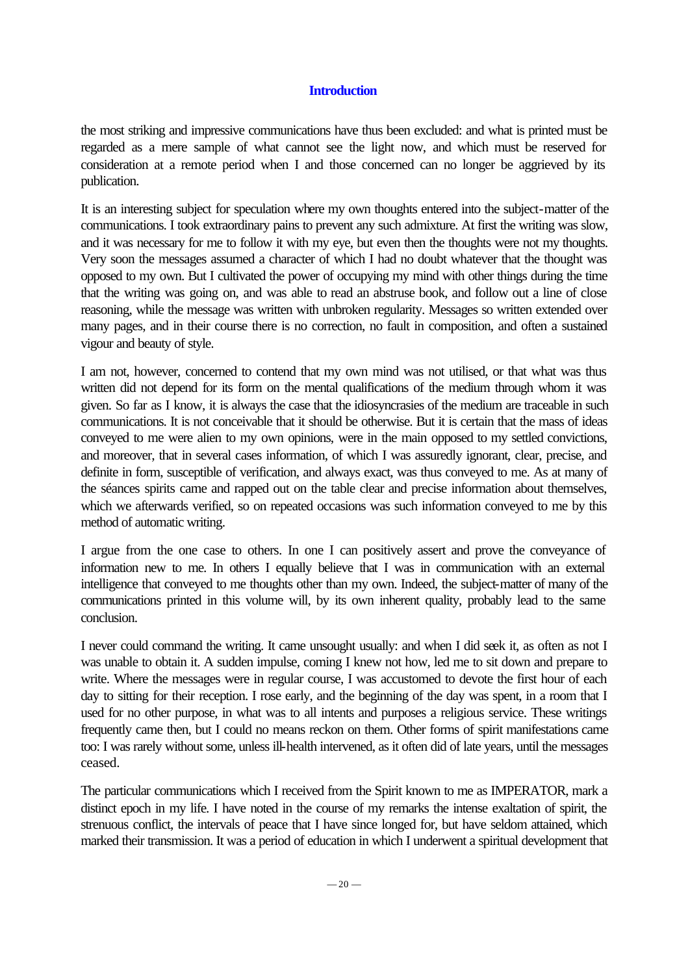the most striking and impressive communications have thus been excluded: and what is printed must be regarded as a mere sample of what cannot see the light now, and which must be reserved for consideration at a remote period when I and those concerned can no longer be aggrieved by its publication.

It is an interesting subject for speculation where my own thoughts entered into the subject-matter of the communications. I took extraordinary pains to prevent any such admixture. At first the writing was slow, and it was necessary for me to follow it with my eye, but even then the thoughts were not my thoughts. Very soon the messages assumed a character of which I had no doubt whatever that the thought was opposed to my own. But I cultivated the power of occupying my mind with other things during the time that the writing was going on, and was able to read an abstruse book, and follow out a line of close reasoning, while the message was written with unbroken regularity. Messages so written extended over many pages, and in their course there is no correction, no fault in composition, and often a sustained vigour and beauty of style.

I am not, however, concerned to contend that my own mind was not utilised, or that what was thus written did not depend for its form on the mental qualifications of the medium through whom it was given. So far as I know, it is always the case that the idiosyncrasies of the medium are traceable in such communications. It is not conceivable that it should be otherwise. But it is certain that the mass of ideas conveyed to me were alien to my own opinions, were in the main opposed to my settled convictions, and moreover, that in several cases information, of which I was assuredly ignorant, clear, precise, and definite in form, susceptible of verification, and always exact, was thus conveyed to me. As at many of the séances spirits came and rapped out on the table clear and precise information about themselves, which we afterwards verified, so on repeated occasions was such information conveyed to me by this method of automatic writing.

I argue from the one case to others. In one I can positively assert and prove the conveyance of information new to me. In others I equally believe that I was in communication with an external intelligence that conveyed to me thoughts other than my own. Indeed, the subject-matter of many of the communications printed in this volume will, by its own inherent quality, probably lead to the same conclusion.

I never could command the writing. It came unsought usually: and when I did seek it, as often as not I was unable to obtain it. A sudden impulse, coming I knew not how, led me to sit down and prepare to write. Where the messages were in regular course, I was accustomed to devote the first hour of each day to sitting for their reception. I rose early, and the beginning of the day was spent, in a room that I used for no other purpose, in what was to all intents and purposes a religious service. These writings frequently came then, but I could no means reckon on them. Other forms of spirit manifestations came too: I was rarely without some, unless ill-health intervened, as it often did of late years, until the messages ceased.

The particular communications which I received from the Spirit known to me as IMPERATOR, mark a distinct epoch in my life. I have noted in the course of my remarks the intense exaltation of spirit, the strenuous conflict, the intervals of peace that I have since longed for, but have seldom attained, which marked their transmission. It was a period of education in which I underwent a spiritual development that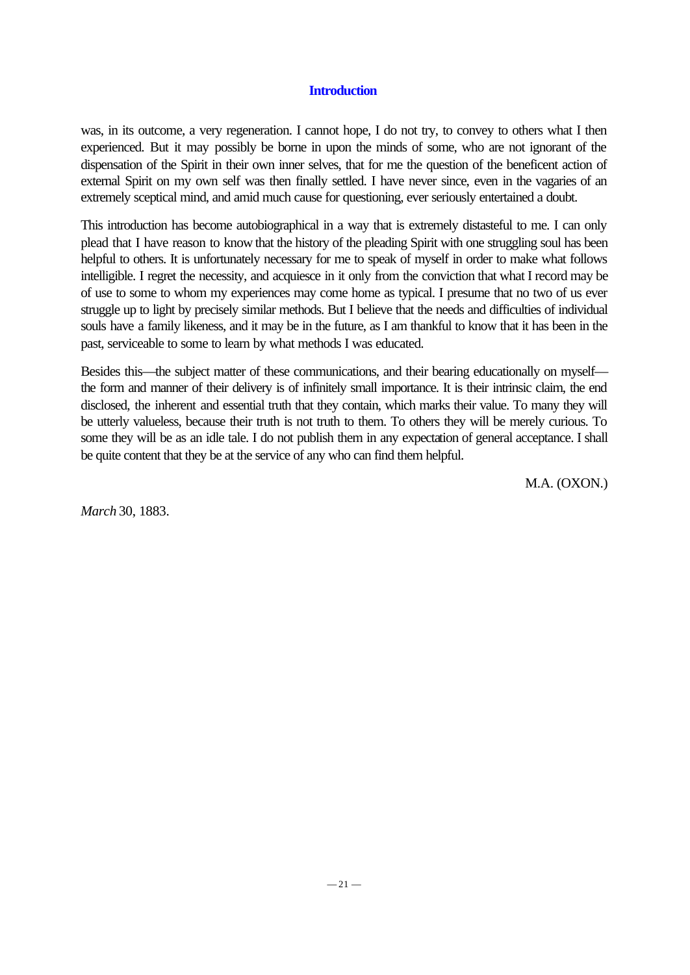was, in its outcome, a very regeneration. I cannot hope, I do not try, to convey to others what I then experienced. But it may possibly be borne in upon the minds of some, who are not ignorant of the dispensation of the Spirit in their own inner selves, that for me the question of the beneficent action of external Spirit on my own self was then finally settled. I have never since, even in the vagaries of an extremely sceptical mind, and amid much cause for questioning, ever seriously entertained a doubt.

This introduction has become autobiographical in a way that is extremely distasteful to me. I can only plead that I have reason to know that the history of the pleading Spirit with one struggling soul has been helpful to others. It is unfortunately necessary for me to speak of myself in order to make what follows intelligible. I regret the necessity, and acquiesce in it only from the conviction that what I record may be of use to some to whom my experiences may come home as typical. I presume that no two of us ever struggle up to light by precisely similar methods. But I believe that the needs and difficulties of individual souls have a family likeness, and it may be in the future, as I am thankful to know that it has been in the past, serviceable to some to learn by what methods I was educated.

Besides this—the subject matter of these communications, and their bearing educationally on myself the form and manner of their delivery is of infinitely small importance. It is their intrinsic claim, the end disclosed, the inherent and essential truth that they contain, which marks their value. To many they will be utterly valueless, because their truth is not truth to them. To others they will be merely curious. To some they will be as an idle tale. I do not publish them in any expectation of general acceptance. I shall be quite content that they be at the service of any who can find them helpful.

M.A. (OXON.)

*March* 30, 1883.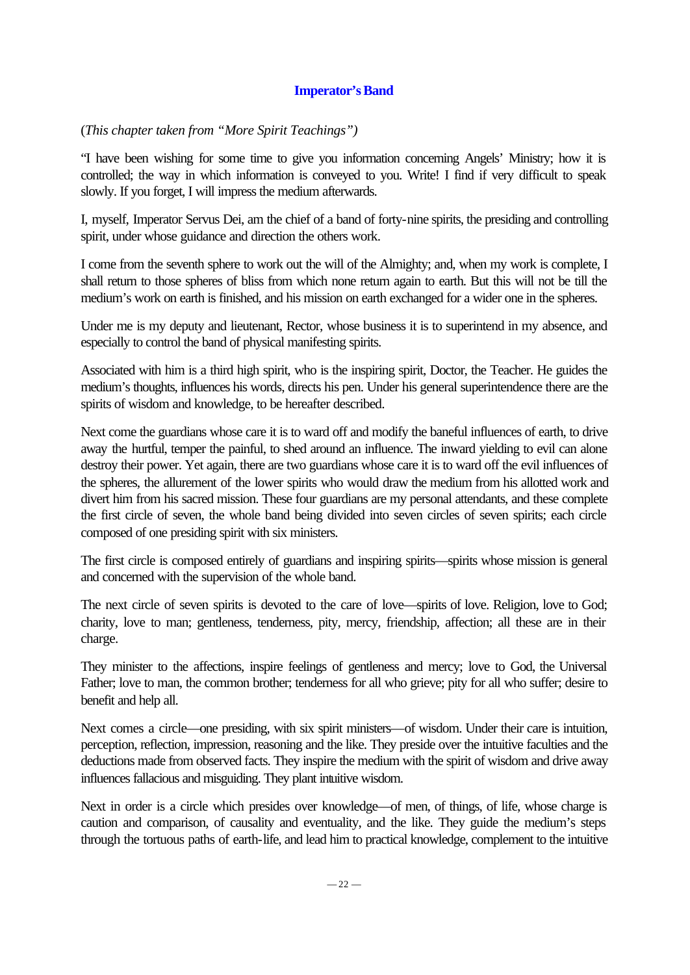## **Imperator's Band**

## (*This chapter taken from "More Spirit Teachings")*

"I have been wishing for some time to give you information concerning Angels' Ministry; how it is controlled; the way in which information is conveyed to you. Write! I find if very difficult to speak slowly. If you forget, I will impress the medium afterwards.

I, myself, Imperator Servus Dei, am the chief of a band of forty-nine spirits, the presiding and controlling spirit, under whose guidance and direction the others work.

I come from the seventh sphere to work out the will of the Almighty; and, when my work is complete, I shall return to those spheres of bliss from which none return again to earth. But this will not be till the medium's work on earth is finished, and his mission on earth exchanged for a wider one in the spheres.

Under me is my deputy and lieutenant, Rector, whose business it is to superintend in my absence, and especially to control the band of physical manifesting spirits.

Associated with him is a third high spirit, who is the inspiring spirit, Doctor, the Teacher. He guides the medium's thoughts, influences his words, directs his pen. Under his general superintendence there are the spirits of wisdom and knowledge, to be hereafter described.

Next come the guardians whose care it is to ward off and modify the baneful influences of earth, to drive away the hurtful, temper the painful, to shed around an influence. The inward yielding to evil can alone destroy their power. Yet again, there are two guardians whose care it is to ward off the evil influences of the spheres, the allurement of the lower spirits who would draw the medium from his allotted work and divert him from his sacred mission. These four guardians are my personal attendants, and these complete the first circle of seven, the whole band being divided into seven circles of seven spirits; each circle composed of one presiding spirit with six ministers.

The first circle is composed entirely of guardians and inspiring spirits—spirits whose mission is general and concerned with the supervision of the whole band.

The next circle of seven spirits is devoted to the care of love—spirits of love. Religion, love to God; charity, love to man; gentleness, tenderness, pity, mercy, friendship, affection; all these are in their charge.

They minister to the affections, inspire feelings of gentleness and mercy; love to God, the Universal Father; love to man, the common brother; tenderness for all who grieve; pity for all who suffer; desire to benefit and help all.

Next comes a circle—one presiding, with six spirit ministers—of wisdom. Under their care is intuition, perception, reflection, impression, reasoning and the like. They preside over the intuitive faculties and the deductions made from observed facts. They inspire the medium with the spirit of wisdom and drive away influences fallacious and misguiding. They plant intuitive wisdom.

Next in order is a circle which presides over knowledge—of men, of things, of life, whose charge is caution and comparison, of causality and eventuality, and the like. They guide the medium's steps through the tortuous paths of earth-life, and lead him to practical knowledge, complement to the intuitive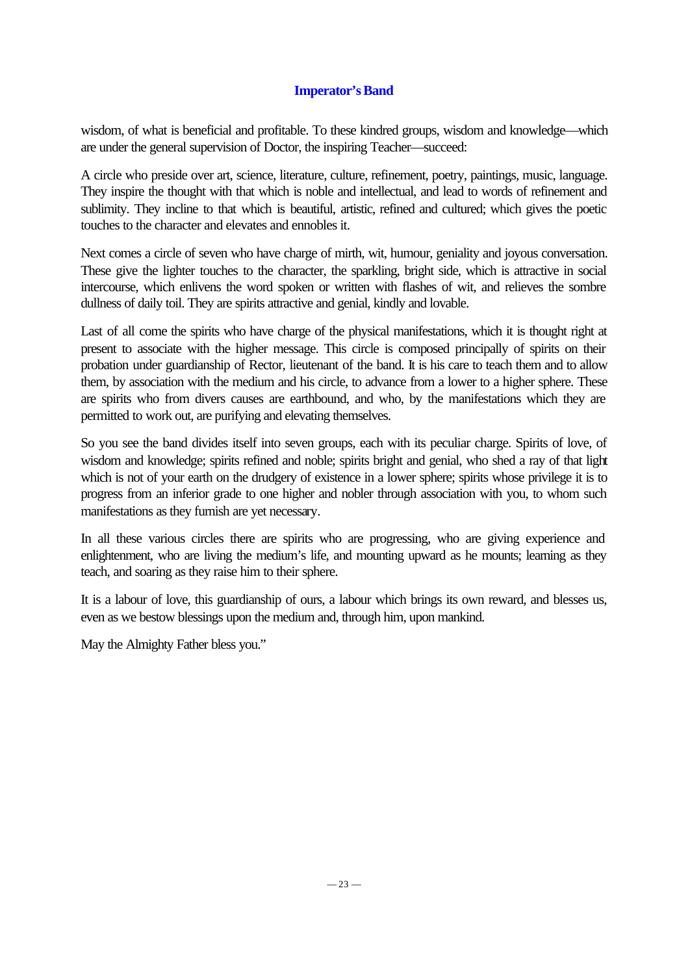## **Imperator's Band**

wisdom, of what is beneficial and profitable. To these kindred groups, wisdom and knowledge—which are under the general supervision of Doctor, the inspiring Teacher—succeed:

A circle who preside over art, science, literature, culture, refinement, poetry, paintings, music, language. They inspire the thought with that which is noble and intellectual, and lead to words of refinement and sublimity. They incline to that which is beautiful, artistic, refined and cultured; which gives the poetic touches to the character and elevates and ennobles it.

Next comes a circle of seven who have charge of mirth, wit, humour, geniality and joyous conversation. These give the lighter touches to the character, the sparkling, bright side, which is attractive in social intercourse, which enlivens the word spoken or written with flashes of wit, and relieves the sombre dullness of daily toil. They are spirits attractive and genial, kindly and lovable.

Last of all come the spirits who have charge of the physical manifestations, which it is thought right at present to associate with the higher message. This circle is composed principally of spirits on their probation under guardianship of Rector, lieutenant of the band. It is his care to teach them and to allow them, by association with the medium and his circle, to advance from a lower to a higher sphere. These are spirits who from divers causes are earthbound, and who, by the manifestations which they are permitted to work out, are purifying and elevating themselves.

So you see the band divides itself into seven groups, each with its peculiar charge. Spirits of love, of wisdom and knowledge; spirits refined and noble; spirits bright and genial, who shed a ray of that light which is not of your earth on the drudgery of existence in a lower sphere; spirits whose privilege it is to progress from an inferior grade to one higher and nobler through association with you, to whom such manifestations as they furnish are yet necessary.

In all these various circles there are spirits who are progressing, who are giving experience and enlightenment, who are living the medium's life, and mounting upward as he mounts; learning as they teach, and soaring as they raise him to their sphere.

It is a labour of love, this guardianship of ours, a labour which brings its own reward, and blesses us, even as we bestow blessings upon the medium and, through him, upon mankind.

May the Almighty Father bless you."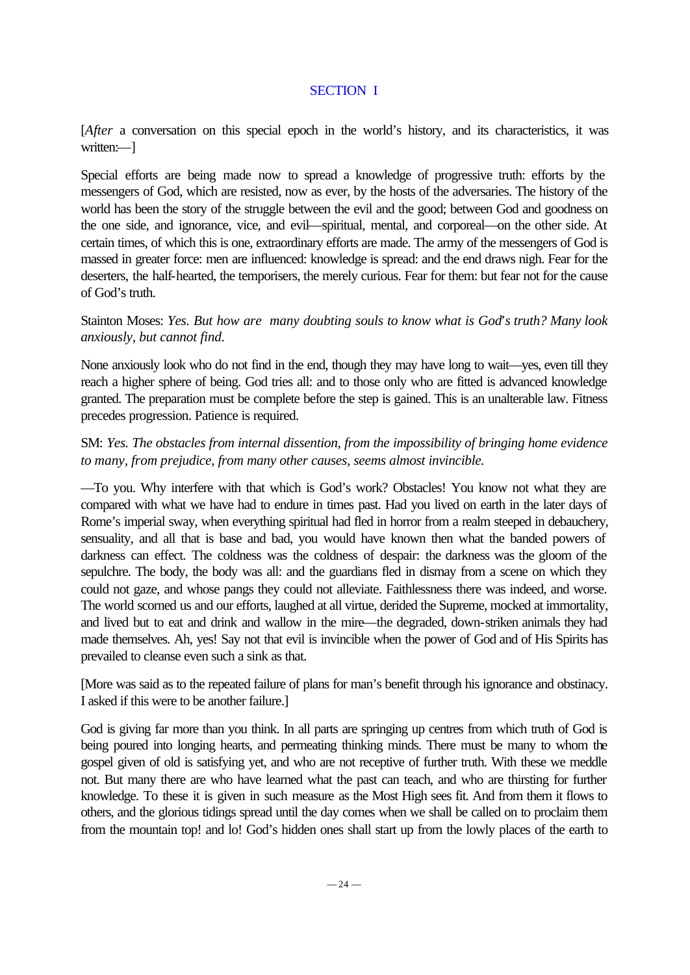[*After* a conversation on this special epoch in the world's history, and its characteristics, it was written:—]

Special efforts are being made now to spread a knowledge of progressive truth: efforts by the messengers of God, which are resisted, now as ever, by the hosts of the adversaries. The history of the world has been the story of the struggle between the evil and the good; between God and goodness on the one side, and ignorance, vice, and evil—spiritual, mental, and corporeal—on the other side. At certain times, of which this is one, extraordinary efforts are made. The army of the messengers of God is massed in greater force: men are influenced: knowledge is spread: and the end draws nigh. Fear for the deserters, the half-hearted, the temporisers, the merely curious. Fear for them: but fear not for the cause of God's truth.

Stainton Moses: *Yes. But how are many doubting souls to know what is God*'*s truth? Many look anxiously, but cannot find*.

None anxiously look who do not find in the end, though they may have long to wait—yes, even till they reach a higher sphere of being. God tries all: and to those only who are fitted is advanced knowledge granted. The preparation must be complete before the step is gained. This is an unalterable law. Fitness precedes progression. Patience is required.

SM: *Yes. The obstacles from internal dissention, from the impossibility of bringing home evidence to many, from prejudice, from many other causes, seems almost invincible.*

—To you. Why interfere with that which is God's work? Obstacles! You know not what they are compared with what we have had to endure in times past. Had you lived on earth in the later days of Rome's imperial sway, when everything spiritual had fled in horror from a realm steeped in debauchery, sensuality, and all that is base and bad, you would have known then what the banded powers of darkness can effect. The coldness was the coldness of despair: the darkness was the gloom of the sepulchre. The body, the body was all: and the guardians fled in dismay from a scene on which they could not gaze, and whose pangs they could not alleviate. Faithlessness there was indeed, and worse. The world scorned us and our efforts, laughed at all virtue, derided the Supreme, mocked at immortality, and lived but to eat and drink and wallow in the mire—the degraded, down-striken animals they had made themselves. Ah, yes! Say not that evil is invincible when the power of God and of His Spirits has prevailed to cleanse even such a sink as that.

[More was said as to the repeated failure of plans for man's benefit through his ignorance and obstinacy. I asked if this were to be another failure.]

God is giving far more than you think. In all parts are springing up centres from which truth of God is being poured into longing hearts, and permeating thinking minds. There must be many to whom the gospel given of old is satisfying yet, and who are not receptive of further truth. With these we meddle not. But many there are who have learned what the past can teach, and who are thirsting for further knowledge. To these it is given in such measure as the Most High sees fit. And from them it flows to others, and the glorious tidings spread until the day comes when we shall be called on to proclaim them from the mountain top! and lo! God's hidden ones shall start up from the lowly places of the earth to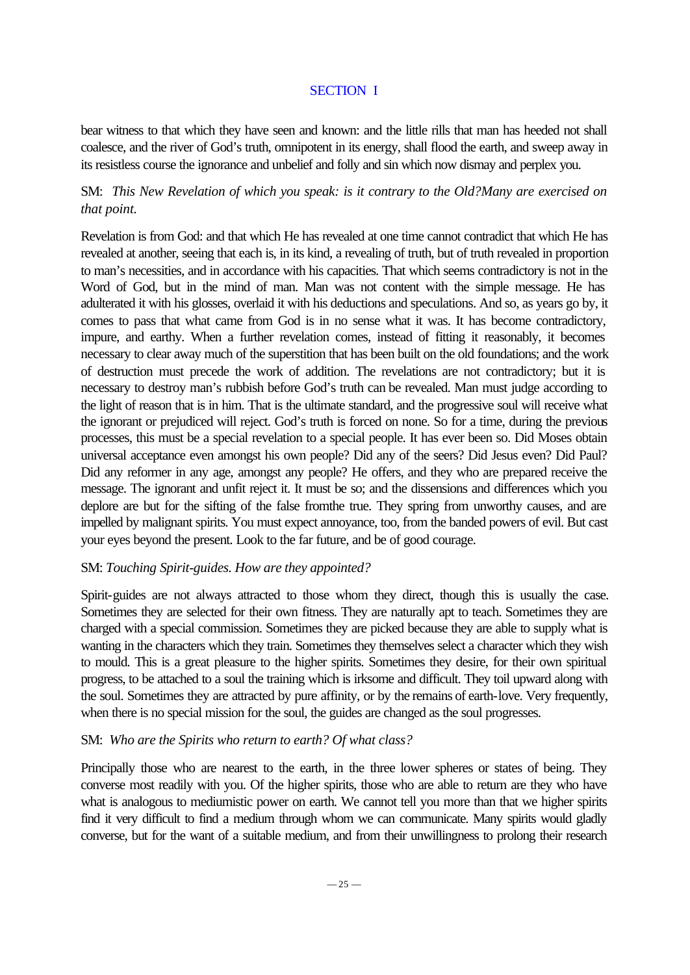bear witness to that which they have seen and known: and the little rills that man has heeded not shall coalesce, and the river of God's truth, omnipotent in its energy, shall flood the earth, and sweep away in its resistless course the ignorance and unbelief and folly and sin which now dismay and perplex you.

## SM: *This New Revelation of which you speak: is it contrary to the Old?Many are exercised on that point.*

Revelation is from God: and that which He has revealed at one time cannot contradict that which He has revealed at another, seeing that each is, in its kind, a revealing of truth, but of truth revealed in proportion to man's necessities, and in accordance with his capacities. That which seems contradictory is not in the Word of God, but in the mind of man. Man was not content with the simple message. He has adulterated it with his glosses, overlaid it with his deductions and speculations. And so, as years go by, it comes to pass that what came from God is in no sense what it was. It has become contradictory, impure, and earthy. When a further revelation comes, instead of fitting it reasonably, it becomes necessary to clear away much of the superstition that has been built on the old foundations; and the work of destruction must precede the work of addition. The revelations are not contradictory; but it is necessary to destroy man's rubbish before God's truth can be revealed. Man must judge according to the light of reason that is in him. That is the ultimate standard, and the progressive soul will receive what the ignorant or prejudiced will reject. God's truth is forced on none. So for a time, during the previous processes, this must be a special revelation to a special people. It has ever been so. Did Moses obtain universal acceptance even amongst his own people? Did any of the seers? Did Jesus even? Did Paul? Did any reformer in any age, amongst any people? He offers, and they who are prepared receive the message. The ignorant and unfit reject it. It must be so; and the dissensions and differences which you deplore are but for the sifting of the false fromthe true. They spring from unworthy causes, and are impelled by malignant spirits. You must expect annoyance, too, from the banded powers of evil. But cast your eyes beyond the present. Look to the far future, and be of good courage.

## SM: *Touching Spirit-guides. How are they appointed?*

Spirit-guides are not always attracted to those whom they direct, though this is usually the case. Sometimes they are selected for their own fitness. They are naturally apt to teach. Sometimes they are charged with a special commission. Sometimes they are picked because they are able to supply what is wanting in the characters which they train. Sometimes they themselves select a character which they wish to mould. This is a great pleasure to the higher spirits. Sometimes they desire, for their own spiritual progress, to be attached to a soul the training which is irksome and difficult. They toil upward along with the soul. Sometimes they are attracted by pure affinity, or by the remains of earth-love. Very frequently, when there is no special mission for the soul, the guides are changed as the soul progresses.

## SM: *Who are the Spirits who return to earth? Of what class?*

Principally those who are nearest to the earth, in the three lower spheres or states of being. They converse most readily with you. Of the higher spirits, those who are able to return are they who have what is analogous to mediumistic power on earth. We cannot tell you more than that we higher spirits find it very difficult to find a medium through whom we can communicate. Many spirits would gladly converse, but for the want of a suitable medium, and from their unwillingness to prolong their research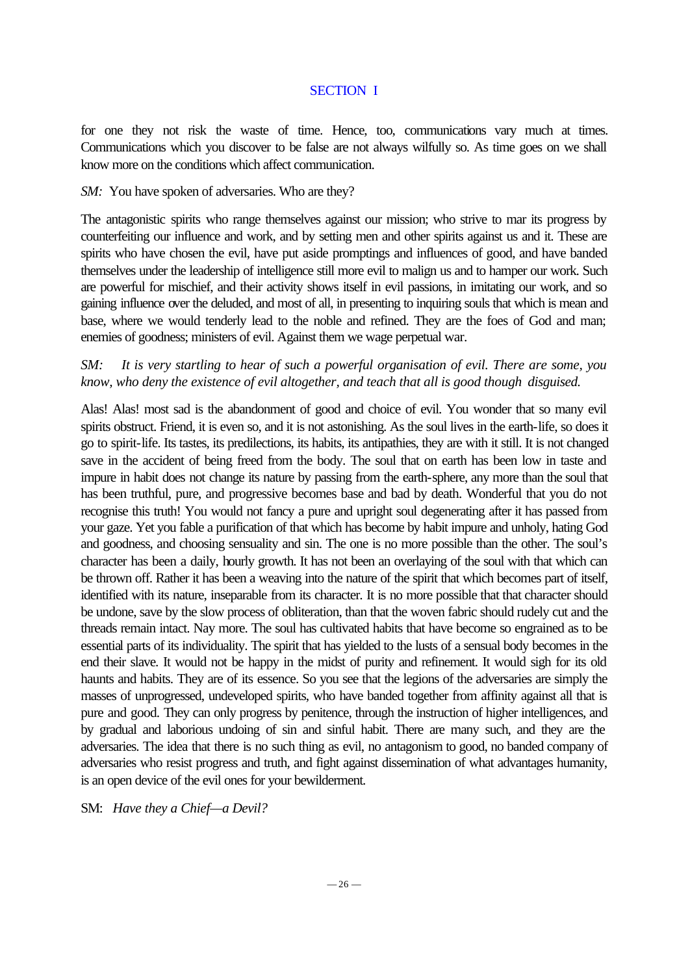for one they not risk the waste of time. Hence, too, communications vary much at times. Communications which you discover to be false are not always wilfully so. As time goes on we shall know more on the conditions which affect communication.

### *SM:* You have spoken of adversaries. Who are they?

The antagonistic spirits who range themselves against our mission; who strive to mar its progress by counterfeiting our influence and work, and by setting men and other spirits against us and it. These are spirits who have chosen the evil, have put aside promptings and influences of good, and have banded themselves under the leadership of intelligence still more evil to malign us and to hamper our work. Such are powerful for mischief, and their activity shows itself in evil passions, in imitating our work, and so gaining influence over the deluded, and most of all, in presenting to inquiring souls that which is mean and base, where we would tenderly lead to the noble and refined. They are the foes of God and man; enemies of goodness; ministers of evil. Against them we wage perpetual war.

## *SM: It is very startling to hear of such a powerful organisation of evil. There are some, you know, who deny the existence of evil altogether, and teach that all is good though disguised.*

Alas! Alas! most sad is the abandonment of good and choice of evil. You wonder that so many evil spirits obstruct. Friend, it is even so, and it is not astonishing. As the soul lives in the earth-life, so does it go to spirit-life. Its tastes, its predilections, its habits, its antipathies, they are with it still. It is not changed save in the accident of being freed from the body. The soul that on earth has been low in taste and impure in habit does not change its nature by passing from the earth-sphere, any more than the soul that has been truthful, pure, and progressive becomes base and bad by death. Wonderful that you do not recognise this truth! You would not fancy a pure and upright soul degenerating after it has passed from your gaze. Yet you fable a purification of that which has become by habit impure and unholy, hating God and goodness, and choosing sensuality and sin. The one is no more possible than the other. The soul's character has been a daily, hourly growth. It has not been an overlaying of the soul with that which can be thrown off. Rather it has been a weaving into the nature of the spirit that which becomes part of itself, identified with its nature, inseparable from its character. It is no more possible that that character should be undone, save by the slow process of obliteration, than that the woven fabric should rudely cut and the threads remain intact. Nay more. The soul has cultivated habits that have become so engrained as to be essential parts of its individuality. The spirit that has yielded to the lusts of a sensual body becomes in the end their slave. It would not be happy in the midst of purity and refinement. It would sigh for its old haunts and habits. They are of its essence. So you see that the legions of the adversaries are simply the masses of unprogressed, undeveloped spirits, who have banded together from affinity against all that is pure and good. They can only progress by penitence, through the instruction of higher intelligences, and by gradual and laborious undoing of sin and sinful habit. There are many such, and they are the adversaries. The idea that there is no such thing as evil, no antagonism to good, no banded company of adversaries who resist progress and truth, and fight against dissemination of what advantages humanity, is an open device of the evil ones for your bewilderment.

SM: *Have they a Chief—a Devil?*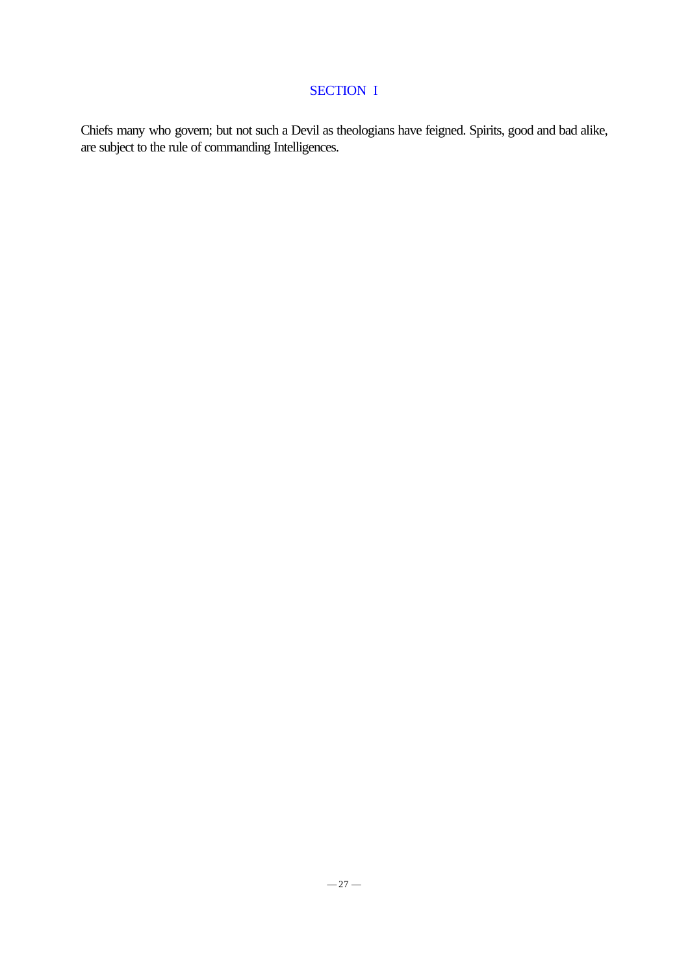Chiefs many who govern; but not such a Devil as theologians have feigned. Spirits, good and bad alike, are subject to the rule of commanding Intelligences.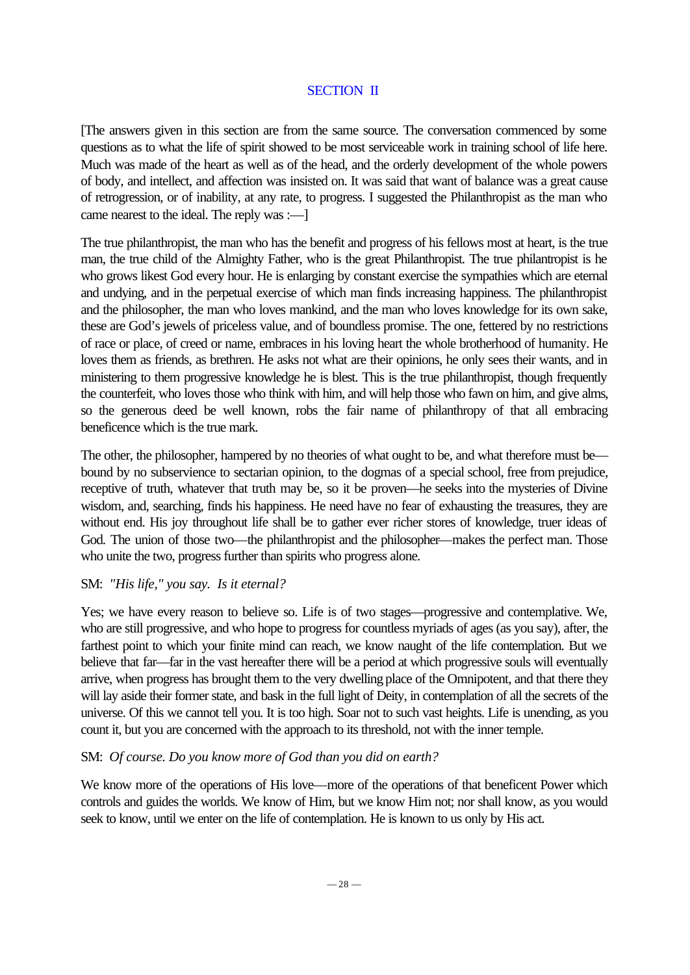[The answers given in this section are from the same source. The conversation commenced by some questions as to what the life of spirit showed to be most serviceable work in training school of life here. Much was made of the heart as well as of the head, and the orderly development of the whole powers of body, and intellect, and affection was insisted on. It was said that want of balance was a great cause of retrogression, or of inability, at any rate, to progress. I suggested the Philanthropist as the man who came nearest to the ideal. The reply was :—]

The true philanthropist, the man who has the benefit and progress of his fellows most at heart, is the true man, the true child of the Almighty Father, who is the great Philanthropist. The true philantropist is he who grows likest God every hour. He is enlarging by constant exercise the sympathies which are eternal and undying, and in the perpetual exercise of which man finds increasing happiness. The philanthropist and the philosopher, the man who loves mankind, and the man who loves knowledge for its own sake, these are God's jewels of priceless value, and of boundless promise. The one, fettered by no restrictions of race or place, of creed or name, embraces in his loving heart the whole brotherhood of humanity. He loves them as friends, as brethren. He asks not what are their opinions, he only sees their wants, and in ministering to them progressive knowledge he is blest. This is the true philanthropist, though frequently the counterfeit, who loves those who think with him, and will help those who fawn on him, and give alms, so the generous deed be well known, robs the fair name of philanthropy of that all embracing beneficence which is the true mark.

The other, the philosopher, hampered by no theories of what ought to be, and what therefore must be bound by no subservience to sectarian opinion, to the dogmas of a special school, free from prejudice, receptive of truth, whatever that truth may be, so it be proven—he seeks into the mysteries of Divine wisdom, and, searching, finds his happiness. He need have no fear of exhausting the treasures, they are without end. His joy throughout life shall be to gather ever richer stores of knowledge, truer ideas of God. The union of those two—the philanthropist and the philosopher—makes the perfect man. Those who unite the two, progress further than spirits who progress alone.

## SM: *"His life," you say. Is it eternal?*

Yes; we have every reason to believe so. Life is of two stages—progressive and contemplative. We, who are still progressive, and who hope to progress for countless myriads of ages (as you say), after, the farthest point to which your finite mind can reach, we know naught of the life contemplation. But we believe that far—far in the vast hereafter there will be a period at which progressive souls will eventually arrive, when progress has brought them to the very dwelling place of the Omnipotent, and that there they will lay aside their former state, and bask in the full light of Deity, in contemplation of all the secrets of the universe. Of this we cannot tell you. It is too high. Soar not to such vast heights. Life is unending, as you count it, but you are concerned with the approach to its threshold, not with the inner temple.

## SM: *Of course. Do you know more of God than you did on earth?*

We know more of the operations of His love—more of the operations of that beneficent Power which controls and guides the worlds. We know of Him, but we know Him not; nor shall know, as you would seek to know, until we enter on the life of contemplation. He is known to us only by His act.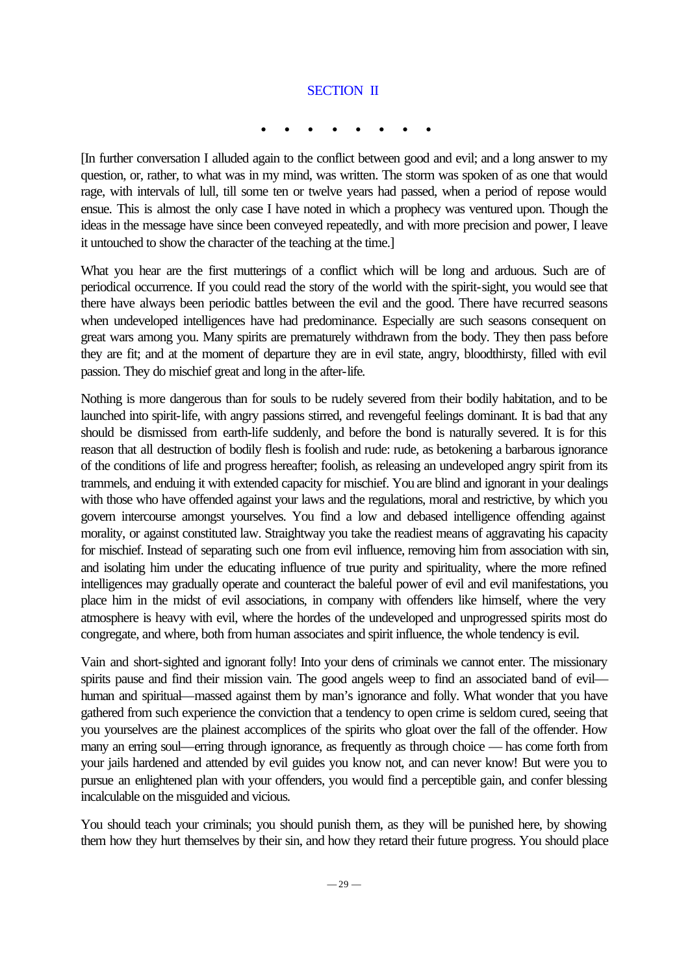#### • • • • • • • •

[In further conversation I alluded again to the conflict between good and evil; and a long answer to my question, or, rather, to what was in my mind, was written. The storm was spoken of as one that would rage, with intervals of lull, till some ten or twelve years had passed, when a period of repose would ensue. This is almost the only case I have noted in which a prophecy was ventured upon. Though the ideas in the message have since been conveyed repeatedly, and with more precision and power, I leave it untouched to show the character of the teaching at the time.]

What you hear are the first mutterings of a conflict which will be long and arduous. Such are of periodical occurrence. If you could read the story of the world with the spirit-sight, you would see that there have always been periodic battles between the evil and the good. There have recurred seasons when undeveloped intelligences have had predominance. Especially are such seasons consequent on great wars among you. Many spirits are prematurely withdrawn from the body. They then pass before they are fit; and at the moment of departure they are in evil state, angry, bloodthirsty, filled with evil passion. They do mischief great and long in the after-life.

Nothing is more dangerous than for souls to be rudely severed from their bodily habitation, and to be launched into spirit-life, with angry passions stirred, and revengeful feelings dominant. It is bad that any should be dismissed from earth-life suddenly, and before the bond is naturally severed. It is for this reason that all destruction of bodily flesh is foolish and rude: rude, as betokening a barbarous ignorance of the conditions of life and progress hereafter; foolish, as releasing an undeveloped angry spirit from its trammels, and enduing it with extended capacity for mischief. You are blind and ignorant in your dealings with those who have offended against your laws and the regulations, moral and restrictive, by which you govern intercourse amongst yourselves. You find a low and debased intelligence offending against morality, or against constituted law. Straightway you take the readiest means of aggravating his capacity for mischief. Instead of separating such one from evil influence, removing him from association with sin, and isolating him under the educating influence of true purity and spirituality, where the more refined intelligences may gradually operate and counteract the baleful power of evil and evil manifestations, you place him in the midst of evil associations, in company with offenders like himself, where the very atmosphere is heavy with evil, where the hordes of the undeveloped and unprogressed spirits most do congregate, and where, both from human associates and spirit influence, the whole tendency is evil.

Vain and short-sighted and ignorant folly! Into your dens of criminals we cannot enter. The missionary spirits pause and find their mission vain. The good angels weep to find an associated band of evilhuman and spiritual—massed against them by man's ignorance and folly. What wonder that you have gathered from such experience the conviction that a tendency to open crime is seldom cured, seeing that you yourselves are the plainest accomplices of the spirits who gloat over the fall of the offender. How many an erring soul—erring through ignorance, as frequently as through choice — has come forth from your jails hardened and attended by evil guides you know not, and can never know! But were you to pursue an enlightened plan with your offenders, you would find a perceptible gain, and confer blessing incalculable on the misguided and vicious.

You should teach your criminals; you should punish them, as they will be punished here, by showing them how they hurt themselves by their sin, and how they retard their future progress. You should place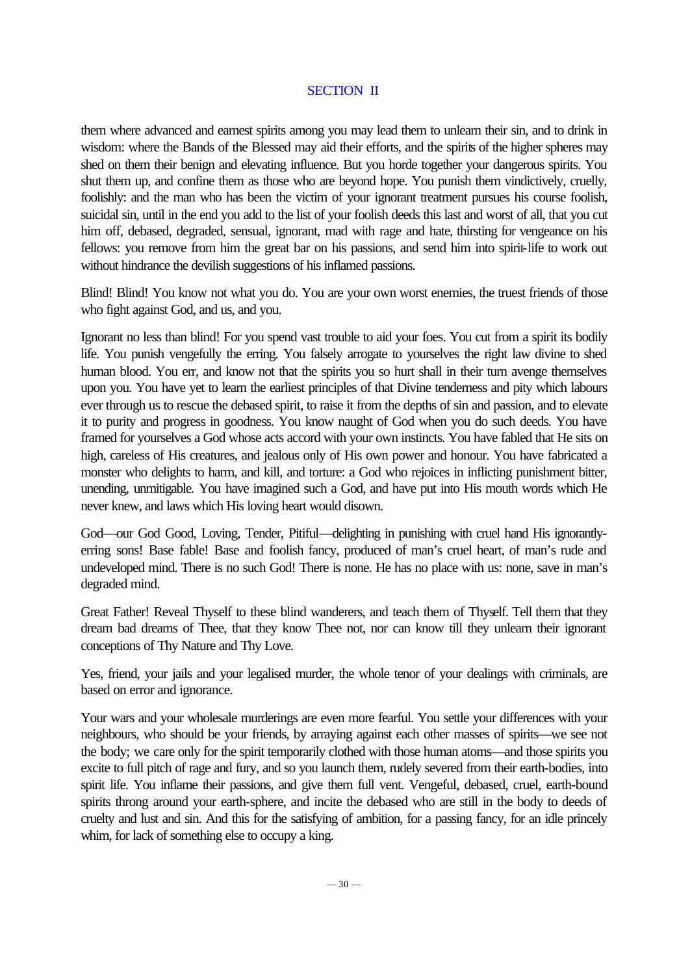them where advanced and earnest spirits among you may lead them to unlearn their sin, and to drink in wisdom: where the Bands of the Blessed may aid their efforts, and the spirits of the higher spheres may shed on them their benign and elevating influence. But you horde together your dangerous spirits. You shut them up, and confine them as those who are beyond hope. You punish them vindictively, cruelly, foolishly: and the man who has been the victim of your ignorant treatment pursues his course foolish, suicidal sin, until in the end you add to the list of your foolish deeds this last and worst of all, that you cut him off, debased, degraded, sensual, ignorant, mad with rage and hate, thirsting for vengeance on his fellows: you remove from him the great bar on his passions, and send him into spirit-life to work out without hindrance the devilish suggestions of his inflamed passions.

Blind! Blind! You know not what you do. You are your own worst enemies, the truest friends of those who fight against God, and us, and you.

Ignorant no less than blind! For you spend vast trouble to aid your foes. You cut from a spirit its bodily life. You punish vengefully the erring. You falsely arrogate to yourselves the right law divine to shed human blood. You err, and know not that the spirits you so hurt shall in their turn avenge themselves upon you. You have yet to learn the earliest principles of that Divine tenderness and pity which labours ever through us to rescue the debased spirit, to raise it from the depths of sin and passion, and to elevate it to purity and progress in goodness. You know naught of God when you do such deeds. You have framed for yourselves a God whose acts accord with your own instincts. You have fabled that He sits on high, careless of His creatures, and jealous only of His own power and honour. You have fabricated a monster who delights to harm, and kill, and torture: a God who rejoices in inflicting punishment bitter, unending, unmitigable. You have imagined such a God, and have put into His mouth words which He never knew, and laws which His loving heart would disown.

God—our God Good, Loving, Tender, Pitiful—delighting in punishing with cruel hand His ignorantlyerring sons! Base fable! Base and foolish fancy, produced of man's cruel heart, of man's rude and undeveloped mind. There is no such God! There is none. He has no place with us: none, save in man's degraded mind.

Great Father! Reveal Thyself to these blind wanderers, and teach them of Thyself. Tell them that they dream bad dreams of Thee, that they know Thee not, nor can know till they unlearn their ignorant conceptions of Thy Nature and Thy Love.

Yes, friend, your jails and your legalised murder, the whole tenor of your dealings with criminals, are based on error and ignorance.

Your wars and your wholesale murderings are even more fearful. You settle your differences with your neighbours, who should be your friends, by arraying against each other masses of spirits—we see not the body; we care only for the spirit temporarily clothed with those human atoms—and those spirits you excite to full pitch of rage and fury, and so you launch them, rudely severed from their earth-bodies, into spirit life. You inflame their passions, and give them full vent. Vengeful, debased, cruel, earth-bound spirits throng around your earth-sphere, and incite the debased who are still in the body to deeds of cruelty and lust and sin. And this for the satisfying of ambition, for a passing fancy, for an idle princely whim, for lack of something else to occupy a king.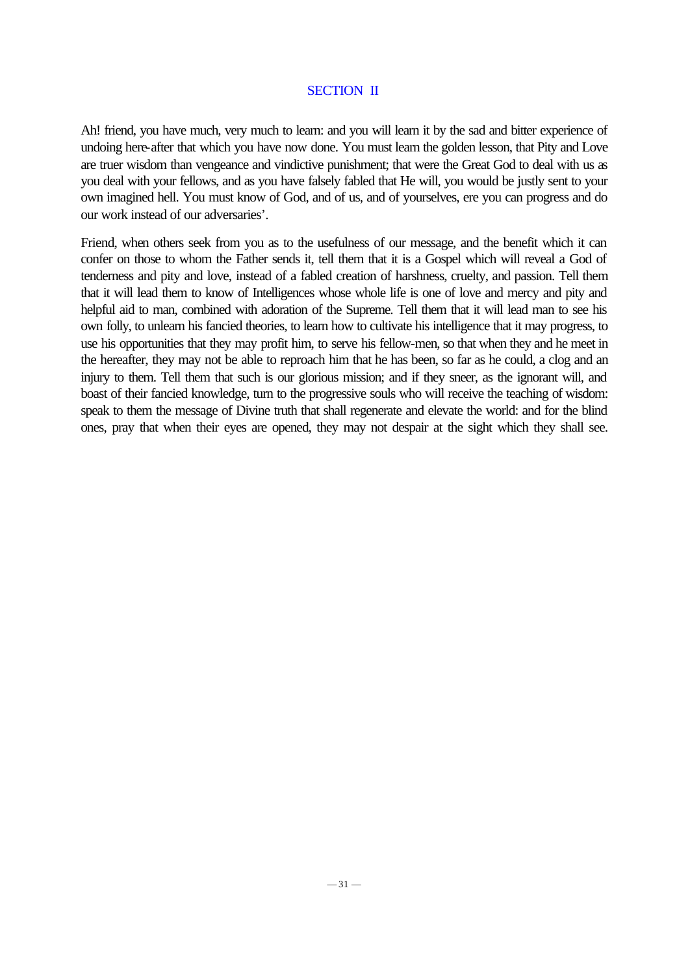Ah! friend, you have much, very much to learn: and you will learn it by the sad and bitter experience of undoing here-after that which you have now done. You must learn the golden lesson, that Pity and Love are truer wisdom than vengeance and vindictive punishment; that were the Great God to deal with us as you deal with your fellows, and as you have falsely fabled that He will, you would be justly sent to your own imagined hell. You must know of God, and of us, and of yourselves, ere you can progress and do our work instead of our adversaries'.

Friend, when others seek from you as to the usefulness of our message, and the benefit which it can confer on those to whom the Father sends it, tell them that it is a Gospel which will reveal a God of tenderness and pity and love, instead of a fabled creation of harshness, cruelty, and passion. Tell them that it will lead them to know of Intelligences whose whole life is one of love and mercy and pity and helpful aid to man, combined with adoration of the Supreme. Tell them that it will lead man to see his own folly, to unlearn his fancied theories, to learn how to cultivate his intelligence that it may progress, to use his opportunities that they may profit him, to serve his fellow-men, so that when they and he meet in the hereafter, they may not be able to reproach him that he has been, so far as he could, a clog and an injury to them. Tell them that such is our glorious mission; and if they sneer, as the ignorant will, and boast of their fancied knowledge, turn to the progressive souls who will receive the teaching of wisdom: speak to them the message of Divine truth that shall regenerate and elevate the world: and for the blind ones, pray that when their eyes are opened, they may not despair at the sight which they shall see.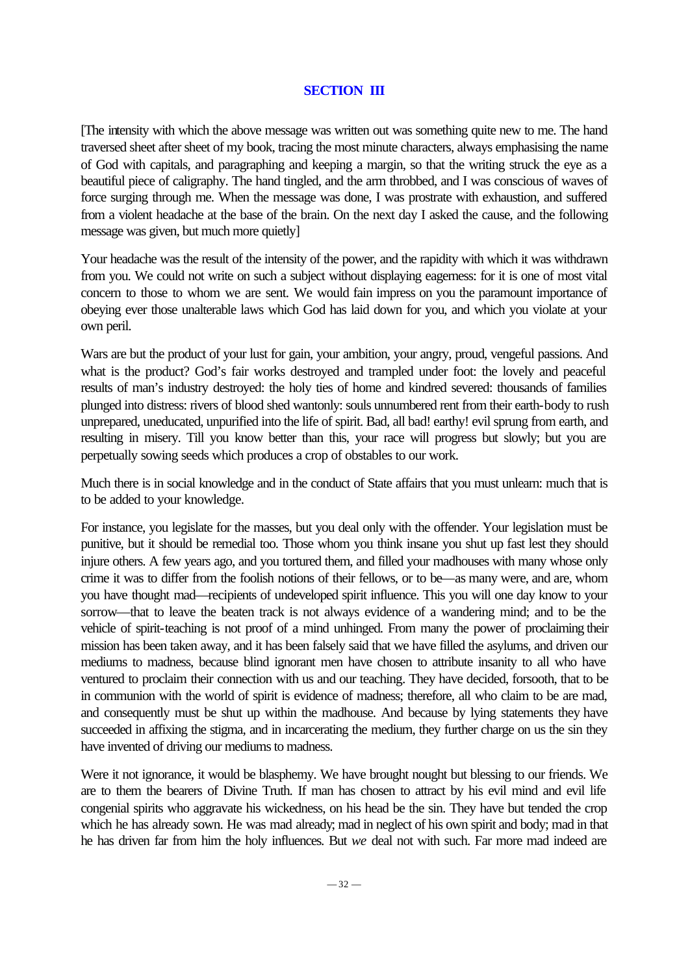[The intensity with which the above message was written out was something quite new to me. The hand traversed sheet after sheet of my book, tracing the most minute characters, always emphasising the name of God with capitals, and paragraphing and keeping a margin, so that the writing struck the eye as a beautiful piece of caligraphy. The hand tingled, and the arm throbbed, and I was conscious of waves of force surging through me. When the message was done, I was prostrate with exhaustion, and suffered from a violent headache at the base of the brain. On the next day I asked the cause, and the following message was given, but much more quietly]

Your headache was the result of the intensity of the power, and the rapidity with which it was withdrawn from you. We could not write on such a subject without displaying eagerness: for it is one of most vital concern to those to whom we are sent. We would fain impress on you the paramount importance of obeying ever those unalterable laws which God has laid down for you, and which you violate at your own peril.

Wars are but the product of your lust for gain, your ambition, your angry, proud, vengeful passions. And what is the product? God's fair works destroyed and trampled under foot: the lovely and peaceful results of man's industry destroyed: the holy ties of home and kindred severed: thousands of families plunged into distress: rivers of blood shed wantonly: souls unnumbered rent from their earth-body to rush unprepared, uneducated, unpurified into the life of spirit. Bad, all bad! earthy! evil sprung from earth, and resulting in misery. Till you know better than this, your race will progress but slowly; but you are perpetually sowing seeds which produces a crop of obstables to our work.

Much there is in social knowledge and in the conduct of State affairs that you must unlearn: much that is to be added to your knowledge.

For instance, you legislate for the masses, but you deal only with the offender. Your legislation must be punitive, but it should be remedial too. Those whom you think insane you shut up fast lest they should injure others. A few years ago, and you tortured them, and filled your madhouses with many whose only crime it was to differ from the foolish notions of their fellows, or to be—as many were, and are, whom you have thought mad—recipients of undeveloped spirit influence. This you will one day know to your sorrow—that to leave the beaten track is not always evidence of a wandering mind; and to be the vehicle of spirit-teaching is not proof of a mind unhinged. From many the power of proclaiming their mission has been taken away, and it has been falsely said that we have filled the asylums, and driven our mediums to madness, because blind ignorant men have chosen to attribute insanity to all who have ventured to proclaim their connection with us and our teaching. They have decided, forsooth, that to be in communion with the world of spirit is evidence of madness; therefore, all who claim to be are mad, and consequently must be shut up within the madhouse. And because by lying statements they have succeeded in affixing the stigma, and in incarcerating the medium, they further charge on us the sin they have invented of driving our mediums to madness.

Were it not ignorance, it would be blasphemy. We have brought nought but blessing to our friends. We are to them the bearers of Divine Truth. If man has chosen to attract by his evil mind and evil life congenial spirits who aggravate his wickedness, on his head be the sin. They have but tended the crop which he has already sown. He was mad already; mad in neglect of his own spirit and body; mad in that he has driven far from him the holy influences. But *we* deal not with such. Far more mad indeed are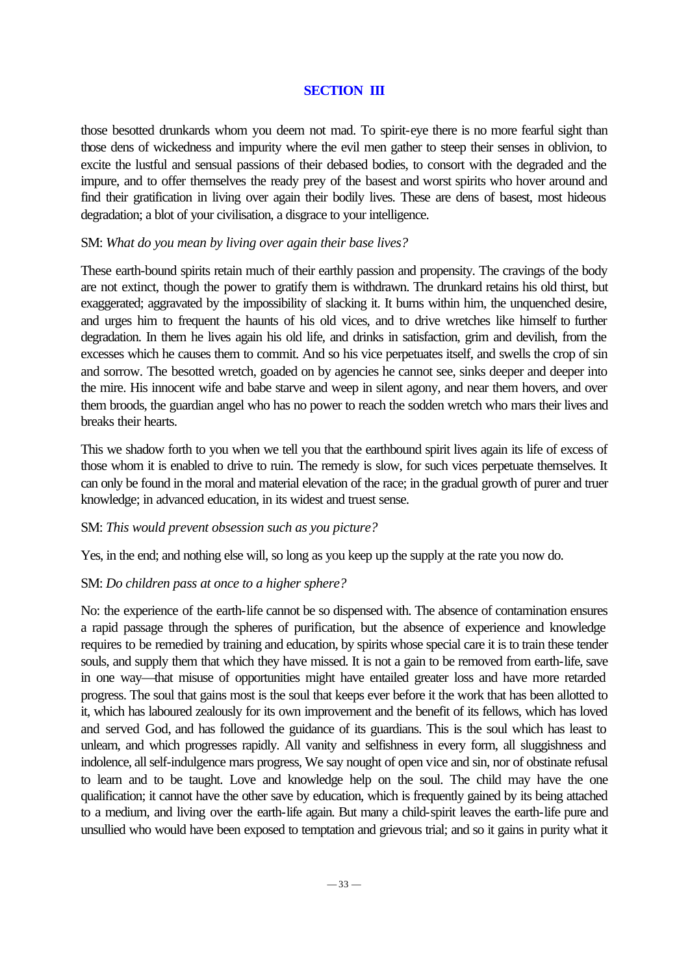those besotted drunkards whom you deem not mad. To spirit-eye there is no more fearful sight than those dens of wickedness and impurity where the evil men gather to steep their senses in oblivion, to excite the lustful and sensual passions of their debased bodies, to consort with the degraded and the impure, and to offer themselves the ready prey of the basest and worst spirits who hover around and find their gratification in living over again their bodily lives. These are dens of basest, most hideous degradation; a blot of your civilisation, a disgrace to your intelligence.

## SM: *What do you mean by living over again their base lives?*

These earth-bound spirits retain much of their earthly passion and propensity. The cravings of the body are not extinct, though the power to gratify them is withdrawn. The drunkard retains his old thirst, but exaggerated; aggravated by the impossibility of slacking it. It burns within him, the unquenched desire, and urges him to frequent the haunts of his old vices, and to drive wretches like himself to further degradation. In them he lives again his old life, and drinks in satisfaction, grim and devilish, from the excesses which he causes them to commit. And so his vice perpetuates itself, and swells the crop of sin and sorrow. The besotted wretch, goaded on by agencies he cannot see, sinks deeper and deeper into the mire. His innocent wife and babe starve and weep in silent agony, and near them hovers, and over them broods, the guardian angel who has no power to reach the sodden wretch who mars their lives and breaks their hearts.

This we shadow forth to you when we tell you that the earthbound spirit lives again its life of excess of those whom it is enabled to drive to ruin. The remedy is slow, for such vices perpetuate themselves. It can only be found in the moral and material elevation of the race; in the gradual growth of purer and truer knowledge; in advanced education, in its widest and truest sense.

## SM: *This would prevent obsession such as you picture?*

Yes, in the end; and nothing else will, so long as you keep up the supply at the rate you now do.

## SM: *Do children pass at once to a higher sphere?*

No: the experience of the earth-life cannot be so dispensed with. The absence of contamination ensures a rapid passage through the spheres of purification, but the absence of experience and knowledge requires to be remedied by training and education, by spirits whose special care it is to train these tender souls, and supply them that which they have missed. It is not a gain to be removed from earth-life, save in one way—that misuse of opportunities might have entailed greater loss and have more retarded progress. The soul that gains most is the soul that keeps ever before it the work that has been allotted to it, which has laboured zealously for its own improvement and the benefit of its fellows, which has loved and served God, and has followed the guidance of its guardians. This is the soul which has least to unlearn, and which progresses rapidly. All vanity and selfishness in every form, all sluggishness and indolence, all self-indulgence mars progress, We say nought of open vice and sin, nor of obstinate refusal to learn and to be taught. Love and knowledge help on the soul. The child may have the one qualification; it cannot have the other save by education, which is frequently gained by its being attached to a medium, and living over the earth-life again. But many a child-spirit leaves the earth-life pure and unsullied who would have been exposed to temptation and grievous trial; and so it gains in purity what it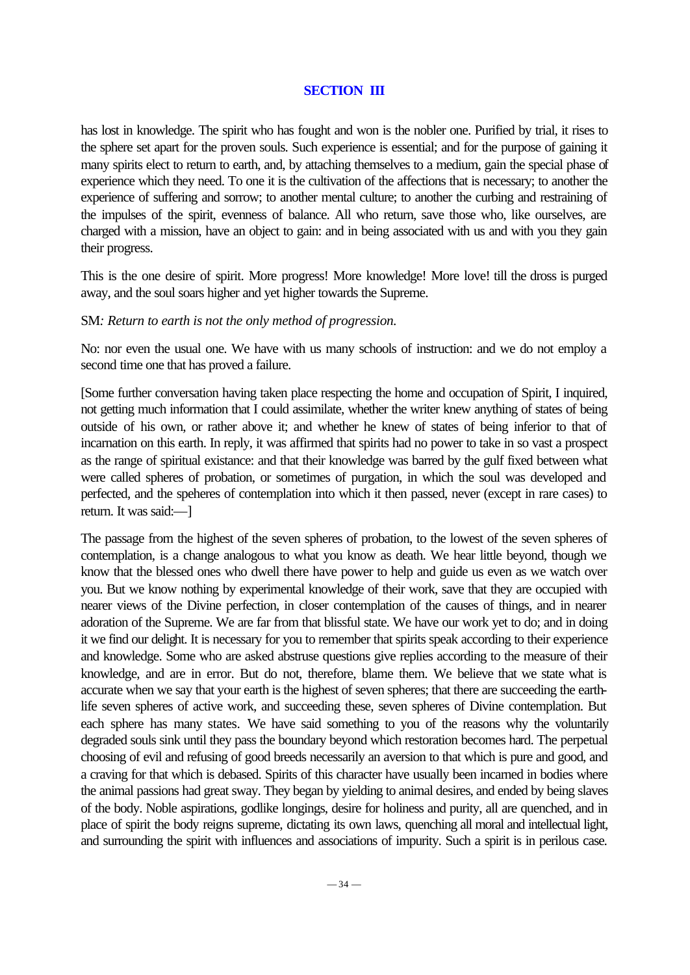has lost in knowledge. The spirit who has fought and won is the nobler one. Purified by trial, it rises to the sphere set apart for the proven souls. Such experience is essential; and for the purpose of gaining it many spirits elect to return to earth, and, by attaching themselves to a medium, gain the special phase of experience which they need. To one it is the cultivation of the affections that is necessary; to another the experience of suffering and sorrow; to another mental culture; to another the curbing and restraining of the impulses of the spirit, evenness of balance. All who return, save those who, like ourselves, are charged with a mission, have an object to gain: and in being associated with us and with you they gain their progress.

This is the one desire of spirit. More progress! More knowledge! More love! till the dross is purged away, and the soul soars higher and yet higher towards the Supreme.

#### SM*: Return to earth is not the only method of progression.*

No: nor even the usual one. We have with us many schools of instruction: and we do not employ a second time one that has proved a failure.

[Some further conversation having taken place respecting the home and occupation of Spirit, I inquired, not getting much information that I could assimilate, whether the writer knew anything of states of being outside of his own, or rather above it; and whether he knew of states of being inferior to that of incarnation on this earth. In reply, it was affirmed that spirits had no power to take in so vast a prospect as the range of spiritual existance: and that their knowledge was barred by the gulf fixed between what were called spheres of probation, or sometimes of purgation, in which the soul was developed and perfected, and the speheres of contemplation into which it then passed, never (except in rare cases) to return. It was said:—]

The passage from the highest of the seven spheres of probation, to the lowest of the seven spheres of contemplation, is a change analogous to what you know as death. We hear little beyond, though we know that the blessed ones who dwell there have power to help and guide us even as we watch over you. But we know nothing by experimental knowledge of their work, save that they are occupied with nearer views of the Divine perfection, in closer contemplation of the causes of things, and in nearer adoration of the Supreme. We are far from that blissful state. We have our work yet to do; and in doing it we find our delight. It is necessary for you to remember that spirits speak according to their experience and knowledge. Some who are asked abstruse questions give replies according to the measure of their knowledge, and are in error. But do not, therefore, blame them. We believe that we state what is accurate when we say that your earth is the highest of seven spheres; that there are succeeding the earthlife seven spheres of active work, and succeeding these, seven spheres of Divine contemplation. But each sphere has many states. We have said something to you of the reasons why the voluntarily degraded souls sink until they pass the boundary beyond which restoration becomes hard. The perpetual choosing of evil and refusing of good breeds necessarily an aversion to that which is pure and good, and a craving for that which is debased. Spirits of this character have usually been incarned in bodies where the animal passions had great sway. They began by yielding to animal desires, and ended by being slaves of the body. Noble aspirations, godlike longings, desire for holiness and purity, all are quenched, and in place of spirit the body reigns supreme, dictating its own laws, quenching all moral and intellectual light, and surrounding the spirit with influences and associations of impurity. Such a spirit is in perilous case.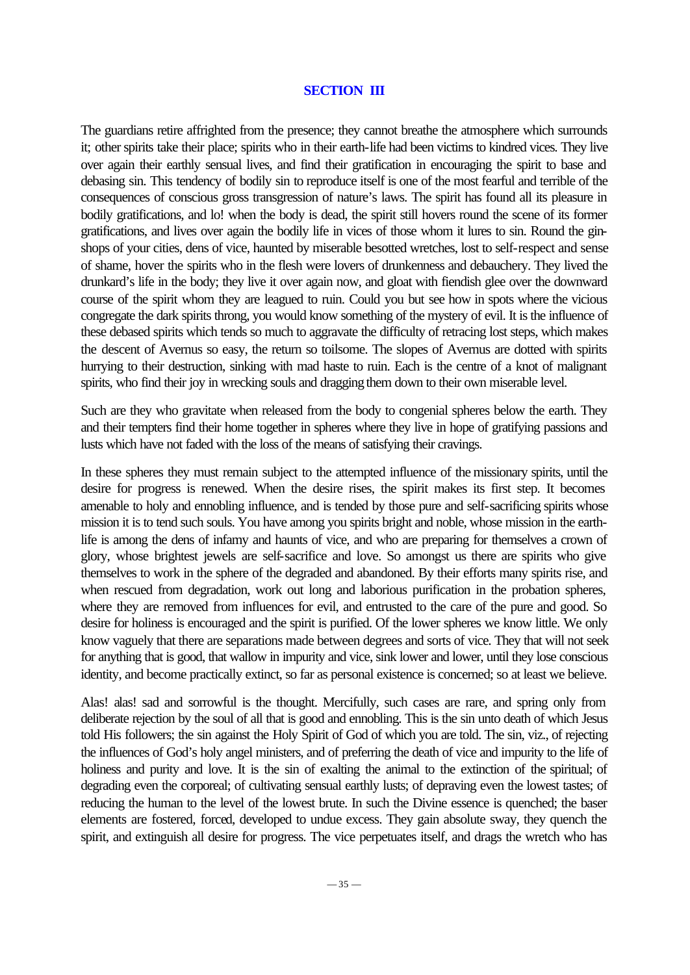The guardians retire affrighted from the presence; they cannot breathe the atmosphere which surrounds it; other spirits take their place; spirits who in their earth-life had been victims to kindred vices. They live over again their earthly sensual lives, and find their gratification in encouraging the spirit to base and debasing sin. This tendency of bodily sin to reproduce itself is one of the most fearful and terrible of the consequences of conscious gross transgression of nature's laws. The spirit has found all its pleasure in bodily gratifications, and lo! when the body is dead, the spirit still hovers round the scene of its former gratifications, and lives over again the bodily life in vices of those whom it lures to sin. Round the ginshops of your cities, dens of vice, haunted by miserable besotted wretches, lost to self-respect and sense of shame, hover the spirits who in the flesh were lovers of drunkenness and debauchery. They lived the drunkard's life in the body; they live it over again now, and gloat with fiendish glee over the downward course of the spirit whom they are leagued to ruin. Could you but see how in spots where the vicious congregate the dark spirits throng, you would know something of the mystery of evil. It is the influence of these debased spirits which tends so much to aggravate the difficulty of retracing lost steps, which makes the descent of Avernus so easy, the return so toilsome. The slopes of Avernus are dotted with spirits hurrying to their destruction, sinking with mad haste to ruin. Each is the centre of a knot of malignant spirits, who find their joy in wrecking souls and dragging them down to their own miserable level.

Such are they who gravitate when released from the body to congenial spheres below the earth. They and their tempters find their home together in spheres where they live in hope of gratifying passions and lusts which have not faded with the loss of the means of satisfying their cravings.

In these spheres they must remain subject to the attempted influence of the missionary spirits, until the desire for progress is renewed. When the desire rises, the spirit makes its first step. It becomes amenable to holy and ennobling influence, and is tended by those pure and self-sacrificing spirits whose mission it is to tend such souls. You have among you spirits bright and noble, whose mission in the earthlife is among the dens of infamy and haunts of vice, and who are preparing for themselves a crown of glory, whose brightest jewels are self-sacrifice and love. So amongst us there are spirits who give themselves to work in the sphere of the degraded and abandoned. By their efforts many spirits rise, and when rescued from degradation, work out long and laborious purification in the probation spheres, where they are removed from influences for evil, and entrusted to the care of the pure and good. So desire for holiness is encouraged and the spirit is purified. Of the lower spheres we know little. We only know vaguely that there are separations made between degrees and sorts of vice. They that will not seek for anything that is good, that wallow in impurity and vice, sink lower and lower, until they lose conscious identity, and become practically extinct, so far as personal existence is concerned; so at least we believe.

Alas! alas! sad and sorrowful is the thought. Mercifully, such cases are rare, and spring only from deliberate rejection by the soul of all that is good and ennobling. This is the sin unto death of which Jesus told His followers; the sin against the Holy Spirit of God of which you are told. The sin, viz., of rejecting the influences of God's holy angel ministers, and of preferring the death of vice and impurity to the life of holiness and purity and love. It is the sin of exalting the animal to the extinction of the spiritual; of degrading even the corporeal; of cultivating sensual earthly lusts; of depraving even the lowest tastes; of reducing the human to the level of the lowest brute. In such the Divine essence is quenched; the baser elements are fostered, forced, developed to undue excess. They gain absolute sway, they quench the spirit, and extinguish all desire for progress. The vice perpetuates itself, and drags the wretch who has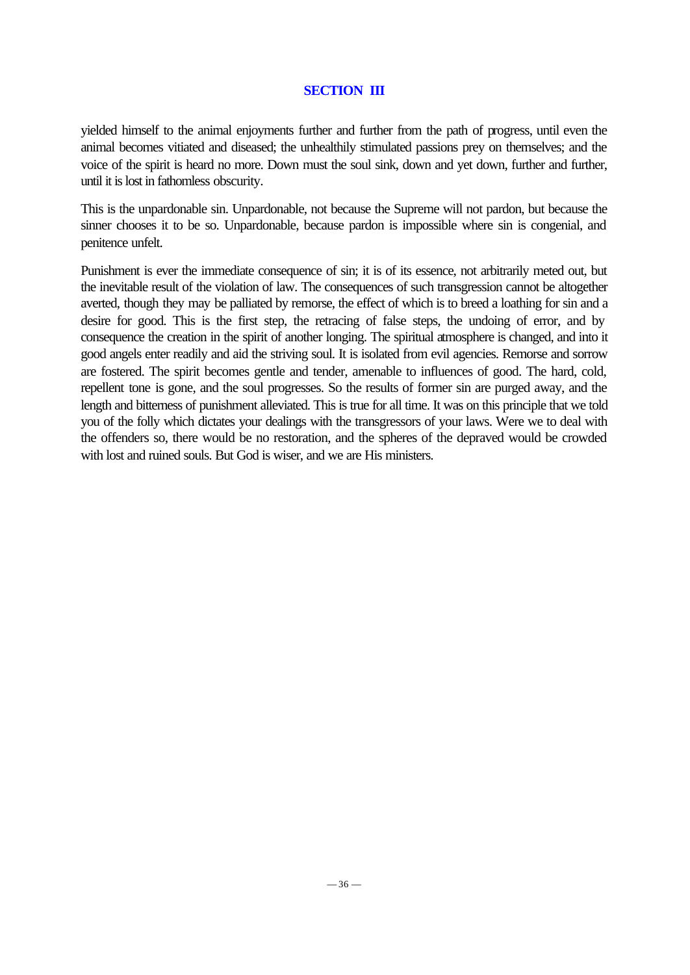yielded himself to the animal enjoyments further and further from the path of progress, until even the animal becomes vitiated and diseased; the unhealthily stimulated passions prey on themselves; and the voice of the spirit is heard no more. Down must the soul sink, down and yet down, further and further, until it is lost in fathomless obscurity.

This is the unpardonable sin. Unpardonable, not because the Supreme will not pardon, but because the sinner chooses it to be so. Unpardonable, because pardon is impossible where sin is congenial, and penitence unfelt.

Punishment is ever the immediate consequence of sin; it is of its essence, not arbitrarily meted out, but the inevitable result of the violation of law. The consequences of such transgression cannot be altogether averted, though they may be palliated by remorse, the effect of which is to breed a loathing for sin and a desire for good. This is the first step, the retracing of false steps, the undoing of error, and by consequence the creation in the spirit of another longing. The spiritual atmosphere is changed, and into it good angels enter readily and aid the striving soul. It is isolated from evil agencies. Remorse and sorrow are fostered. The spirit becomes gentle and tender, amenable to influences of good. The hard, cold, repellent tone is gone, and the soul progresses. So the results of former sin are purged away, and the length and bitterness of punishment alleviated. This is true for all time. It was on this principle that we told you of the folly which dictates your dealings with the transgressors of your laws. Were we to deal with the offenders so, there would be no restoration, and the spheres of the depraved would be crowded with lost and ruined souls. But God is wiser, and we are His ministers.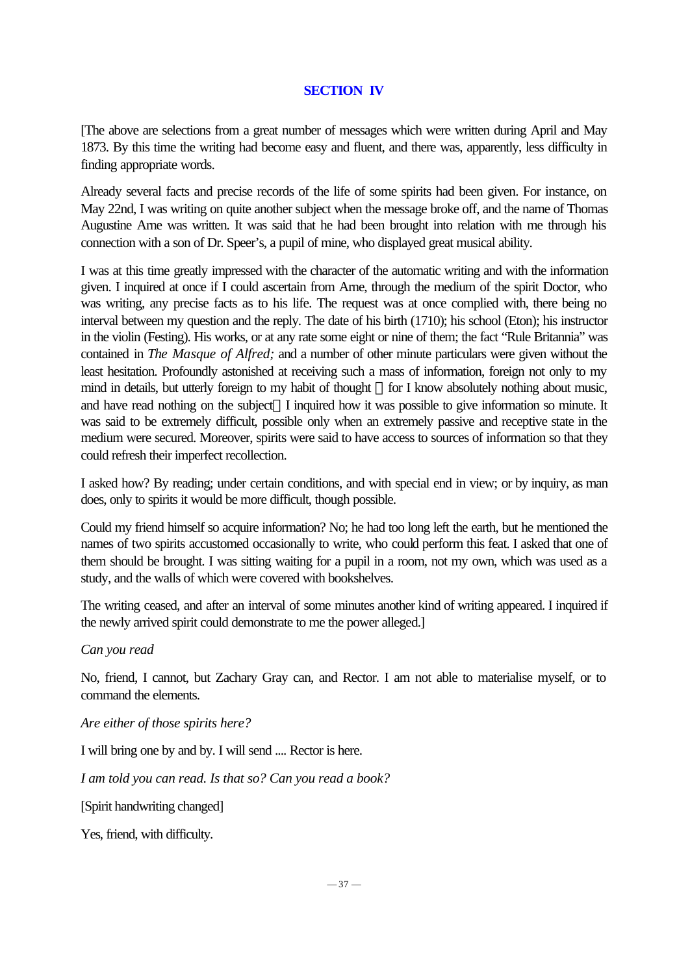[The above are selections from a great number of messages which were written during April and May 1873. By this time the writing had become easy and fluent, and there was, apparently, less difficulty in finding appropriate words.

Already several facts and precise records of the life of some spirits had been given. For instance, on May 22nd, I was writing on quite another subject when the message broke off, and the name of Thomas Augustine Arne was written. It was said that he had been brought into relation with me through his connection with a son of Dr. Speer's, a pupil of mine, who displayed great musical ability.

I was at this time greatly impressed with the character of the automatic writing and with the information given. I inquired at once if I could ascertain from Arne, through the medium of the spirit Doctor, who was writing, any precise facts as to his life. The request was at once complied with, there being no interval between my question and the reply. The date of his birth (1710); his school (Eton); his instructor in the violin (Festing). His works, or at any rate some eight or nine of them; the fact "Rule Britannia" was contained in *The Masque of Alfred;* and a number of other minute particulars were given without the least hesitation. Profoundly astonished at receiving such a mass of information, foreign not only to my mind in details, but utterly foreign to my habit of thought -for I know absolutely nothing about music, and have read nothing on the subject—I inquired how it was possible to give information so minute. It was said to be extremely difficult, possible only when an extremely passive and receptive state in the medium were secured. Moreover, spirits were said to have access to sources of information so that they could refresh their imperfect recollection.

I asked how? By reading; under certain conditions, and with special end in view; or by inquiry, as man does, only to spirits it would be more difficult, though possible.

Could my friend himself so acquire information? No; he had too long left the earth, but he mentioned the names of two spirits accustomed occasionally to write, who could perform this feat. I asked that one of them should be brought. I was sitting waiting for a pupil in a room, not my own, which was used as a study, and the walls of which were covered with bookshelves.

The writing ceased, and after an interval of some minutes another kind of writing appeared. I inquired if the newly arrived spirit could demonstrate to me the power alleged.]

*Can you read*

No, friend, I cannot, but Zachary Gray can, and Rector. I am not able to materialise myself, or to command the elements.

*Are either of those spirits here?*

I will bring one by and by. I will send .... Rector is here.

*I am told you can read. Is that so? Can you read a book?*

[Spirit handwriting changed]

Yes, friend, with difficulty.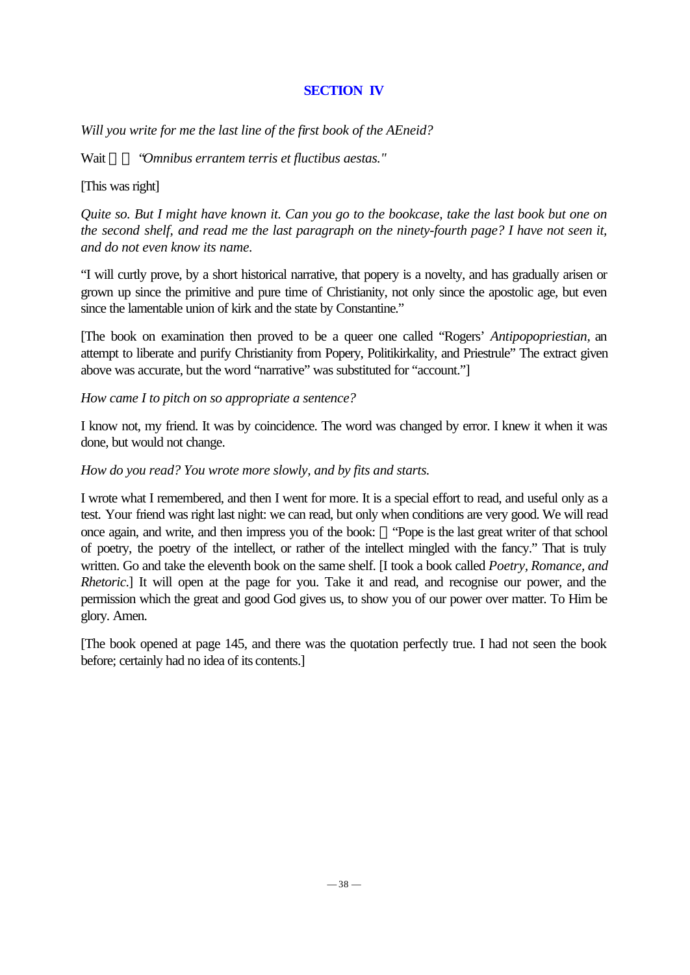*Will you write for me the last line of the first book of the AEneid?*

Wait "*Omnibus errantem terris et fluctibus aestas."*

[This was right]

*Quite so. But I might have known it. Can you go to the bookcase, take the last book but one on the second shelf, and read me the last paragraph on the ninety-fourth page? I have not seen it, and do not even know its name.*

"I will curtly prove, by a short historical narrative, that popery is a novelty, and has gradually arisen or grown up since the primitive and pure time of Christianity, not only since the apostolic age, but even since the lamentable union of kirk and the state by Constantine."

[The book on examination then proved to be a queer one called "Rogers' *Antipopopriestian,* an attempt to liberate and purify Christianity from Popery, Politikirkality, and Priestrule" The extract given above was accurate, but the word "narrative" was substituted for "account."]

#### *How came I to pitch on so appropriate a sentence?*

I know not, my friend. It was by coincidence. The word was changed by error. I knew it when it was done, but would not change.

## *How do you read? You wrote more slowly, and by fits and starts.*

I wrote what I remembered, and then I went for more. It is a special effort to read, and useful only as a test. Your friend was right last night: we can read, but only when conditions are very good. We will read once again, and write, and then impress you of the book: - "Pope is the last great writer of that school of poetry, the poetry of the intellect, or rather of the intellect mingled with the fancy." That is truly written. Go and take the eleventh book on the same shelf. [I took a book called *Poetry, Romance, and Rhetoric*.] It will open at the page for you. Take it and read, and recognise our power, and the permission which the great and good God gives us, to show you of our power over matter. To Him be glory. Amen.

[The book opened at page 145, and there was the quotation perfectly true. I had not seen the book before; certainly had no idea of its contents.]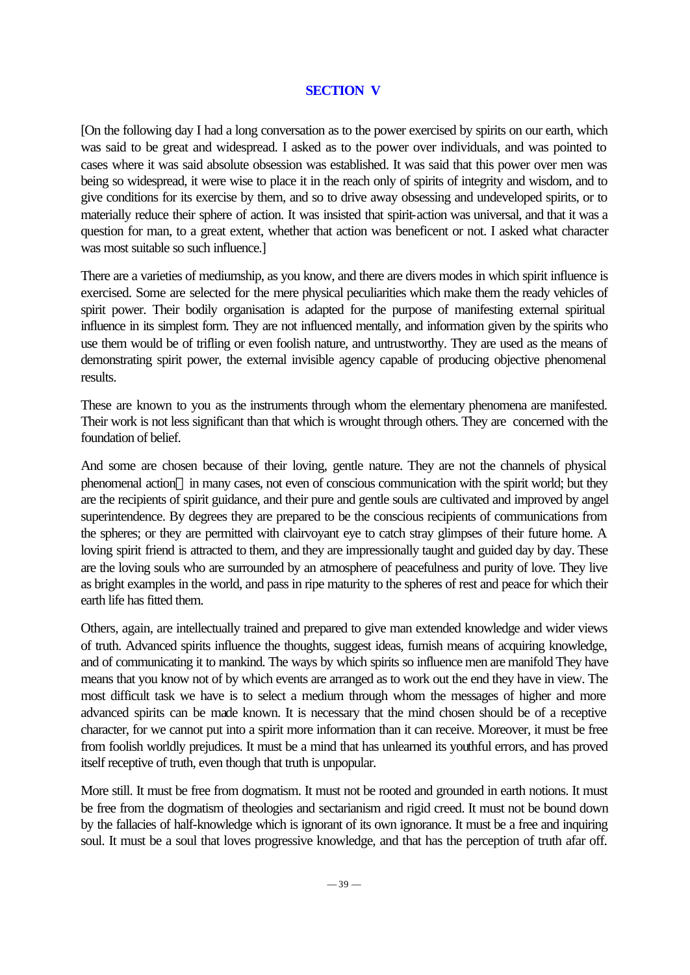[On the following day I had a long conversation as to the power exercised by spirits on our earth, which was said to be great and widespread. I asked as to the power over individuals, and was pointed to cases where it was said absolute obsession was established. It was said that this power over men was being so widespread, it were wise to place it in the reach only of spirits of integrity and wisdom, and to give conditions for its exercise by them, and so to drive away obsessing and undeveloped spirits, or to materially reduce their sphere of action. It was insisted that spirit-action was universal, and that it was a question for man, to a great extent, whether that action was beneficent or not. I asked what character was most suitable so such influence.]

There are a varieties of mediumship, as you know, and there are divers modes in which spirit influence is exercised. Some are selected for the mere physical peculiarities which make them the ready vehicles of spirit power. Their bodily organisation is adapted for the purpose of manifesting external spiritual influence in its simplest form. They are not influenced mentally, and information given by the spirits who use them would be of trifling or even foolish nature, and untrustworthy. They are used as the means of demonstrating spirit power, the external invisible agency capable of producing objective phenomenal results.

These are known to you as the instruments through whom the elementary phenomena are manifested. Their work is not less significant than that which is wrought through others. They are concerned with the foundation of belief.

And some are chosen because of their loving, gentle nature. They are not the channels of physical phenomenal action—in many cases, not even of conscious communication with the spirit world; but they are the recipients of spirit guidance, and their pure and gentle souls are cultivated and improved by angel superintendence. By degrees they are prepared to be the conscious recipients of communications from the spheres; or they are permitted with clairvoyant eye to catch stray glimpses of their future home. A loving spirit friend is attracted to them, and they are impressionally taught and guided day by day. These are the loving souls who are surrounded by an atmosphere of peacefulness and purity of love. They live as bright examples in the world, and pass in ripe maturity to the spheres of rest and peace for which their earth life has fitted them.

Others, again, are intellectually trained and prepared to give man extended knowledge and wider views of truth. Advanced spirits influence the thoughts, suggest ideas, furnish means of acquiring knowledge, and of communicating it to mankind. The ways by which spirits so influence men are manifold They have means that you know not of by which events are arranged as to work out the end they have in view. The most difficult task we have is to select a medium through whom the messages of higher and more advanced spirits can be made known. It is necessary that the mind chosen should be of a receptive character, for we cannot put into a spirit more information than it can receive. Moreover, it must be free from foolish worldly prejudices. It must be a mind that has unlearned its youthful errors, and has proved itself receptive of truth, even though that truth is unpopular.

More still. It must be free from dogmatism. It must not be rooted and grounded in earth notions. It must be free from the dogmatism of theologies and sectarianism and rigid creed. It must not be bound down by the fallacies of half-knowledge which is ignorant of its own ignorance. It must be a free and inquiring soul. It must be a soul that loves progressive knowledge, and that has the perception of truth afar off.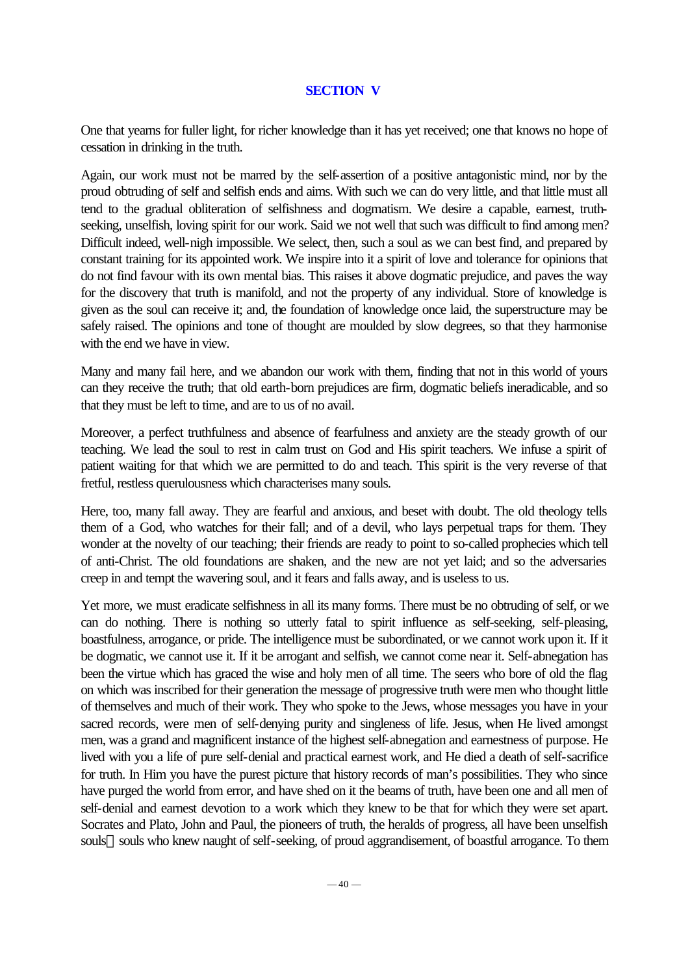One that yearns for fuller light, for richer knowledge than it has yet received; one that knows no hope of cessation in drinking in the truth.

Again, our work must not be marred by the self-assertion of a positive antagonistic mind, nor by the proud obtruding of self and selfish ends and aims. With such we can do very little, and that little must all tend to the gradual obliteration of selfishness and dogmatism. We desire a capable, earnest, truthseeking, unselfish, loving spirit for our work. Said we not well that such was difficult to find among men? Difficult indeed, well-nigh impossible. We select, then, such a soul as we can best find, and prepared by constant training for its appointed work. We inspire into it a spirit of love and tolerance for opinions that do not find favour with its own mental bias. This raises it above dogmatic prejudice, and paves the way for the discovery that truth is manifold, and not the property of any individual. Store of knowledge is given as the soul can receive it; and, the foundation of knowledge once laid, the superstructure may be safely raised. The opinions and tone of thought are moulded by slow degrees, so that they harmonise with the end we have in view.

Many and many fail here, and we abandon our work with them, finding that not in this world of yours can they receive the truth; that old earth-born prejudices are firm, dogmatic beliefs ineradicable, and so that they must be left to time, and are to us of no avail.

Moreover, a perfect truthfulness and absence of fearfulness and anxiety are the steady growth of our teaching. We lead the soul to rest in calm trust on God and His spirit teachers. We infuse a spirit of patient waiting for that which we are permitted to do and teach. This spirit is the very reverse of that fretful, restless querulousness which characterises many souls.

Here, too, many fall away. They are fearful and anxious, and beset with doubt. The old theology tells them of a God, who watches for their fall; and of a devil, who lays perpetual traps for them. They wonder at the novelty of our teaching; their friends are ready to point to so-called prophecies which tell of anti-Christ. The old foundations are shaken, and the new are not yet laid; and so the adversaries creep in and tempt the wavering soul, and it fears and falls away, and is useless to us.

Yet more, we must eradicate selfishness in all its many forms. There must be no obtruding of self, or we can do nothing. There is nothing so utterly fatal to spirit influence as self-seeking, self-pleasing, boastfulness, arrogance, or pride. The intelligence must be subordinated, or we cannot work upon it. If it be dogmatic, we cannot use it. If it be arrogant and selfish, we cannot come near it. Self-abnegation has been the virtue which has graced the wise and holy men of all time. The seers who bore of old the flag on which was inscribed for their generation the message of progressive truth were men who thought little of themselves and much of their work. They who spoke to the Jews, whose messages you have in your sacred records, were men of self-denying purity and singleness of life. Jesus, when He lived amongst men, was a grand and magnificent instance of the highest self-abnegation and earnestness of purpose. He lived with you a life of pure self-denial and practical earnest work, and He died a death of self-sacrifice for truth. In Him you have the purest picture that history records of man's possibilities. They who since have purged the world from error, and have shed on it the beams of truth, have been one and all men of self-denial and earnest devotion to a work which they knew to be that for which they were set apart. Socrates and Plato, John and Paul, the pioneers of truth, the heralds of progress, all have been unselfish souls—souls who knew naught of self-seeking, of proud aggrandisement, of boastful arrogance. To them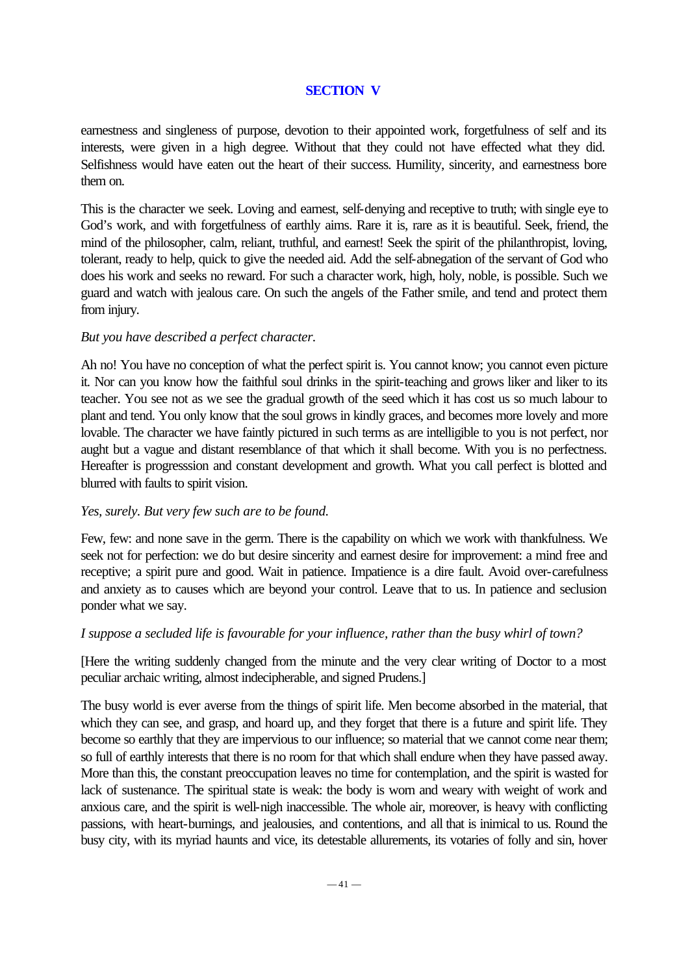earnestness and singleness of purpose, devotion to their appointed work, forgetfulness of self and its interests, were given in a high degree. Without that they could not have effected what they did. Selfishness would have eaten out the heart of their success. Humility, sincerity, and earnestness bore them on.

This is the character we seek. Loving and earnest, self-denying and receptive to truth; with single eye to God's work, and with forgetfulness of earthly aims. Rare it is, rare as it is beautiful. Seek, friend, the mind of the philosopher, calm, reliant, truthful, and earnest! Seek the spirit of the philanthropist, loving, tolerant, ready to help, quick to give the needed aid. Add the self-abnegation of the servant of God who does his work and seeks no reward. For such a character work, high, holy, noble, is possible. Such we guard and watch with jealous care. On such the angels of the Father smile, and tend and protect them from injury.

#### *But you have described a perfect character.*

Ah no! You have no conception of what the perfect spirit is. You cannot know; you cannot even picture it. Nor can you know how the faithful soul drinks in the spirit-teaching and grows liker and liker to its teacher. You see not as we see the gradual growth of the seed which it has cost us so much labour to plant and tend. You only know that the soul grows in kindly graces, and becomes more lovely and more lovable. The character we have faintly pictured in such terms as are intelligible to you is not perfect, nor aught but a vague and distant resemblance of that which it shall become. With you is no perfectness. Hereafter is progresssion and constant development and growth. What you call perfect is blotted and blurred with faults to spirit vision.

#### *Yes, surely. But very few such are to be found.*

Few, few: and none save in the germ. There is the capability on which we work with thankfulness. We seek not for perfection: we do but desire sincerity and earnest desire for improvement: a mind free and receptive; a spirit pure and good. Wait in patience. Impatience is a dire fault. Avoid over-carefulness and anxiety as to causes which are beyond your control. Leave that to us. In patience and seclusion ponder what we say.

#### *I suppose a secluded life is favourable for your influence, rather than the busy whirl of town?*

[Here the writing suddenly changed from the minute and the very clear writing of Doctor to a most peculiar archaic writing, almost indecipherable, and signed Prudens.]

The busy world is ever averse from the things of spirit life. Men become absorbed in the material, that which they can see, and grasp, and hoard up, and they forget that there is a future and spirit life. They become so earthly that they are impervious to our influence; so material that we cannot come near them; so full of earthly interests that there is no room for that which shall endure when they have passed away. More than this, the constant preoccupation leaves no time for contemplation, and the spirit is wasted for lack of sustenance. The spiritual state is weak: the body is worn and weary with weight of work and anxious care, and the spirit is well-nigh inaccessible. The whole air, moreover, is heavy with conflicting passions, with heart-burnings, and jealousies, and contentions, and all that is inimical to us. Round the busy city, with its myriad haunts and vice, its detestable allurements, its votaries of folly and sin, hover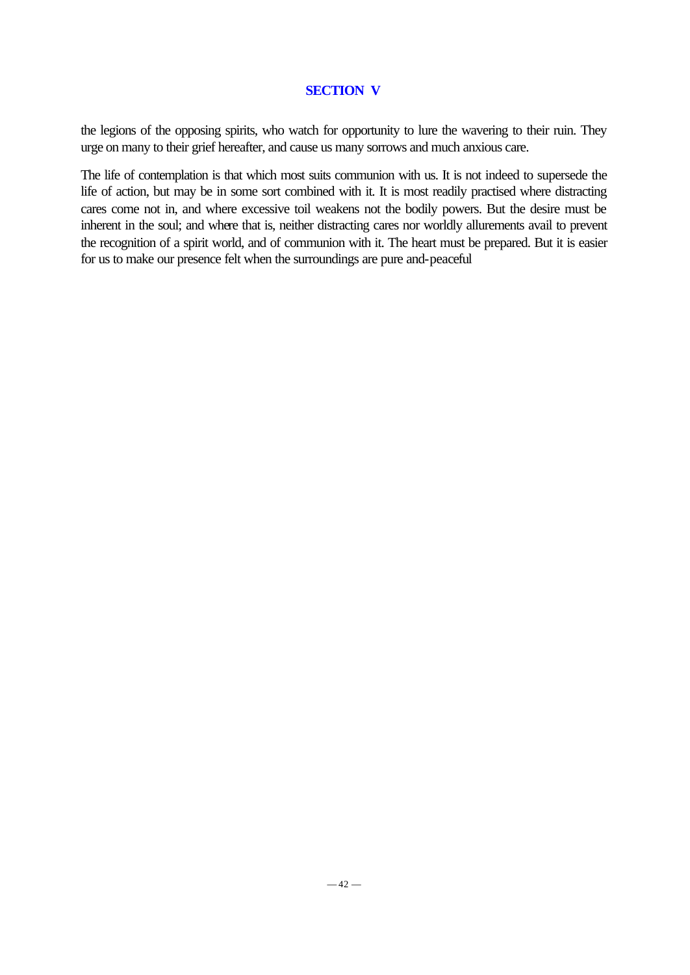the legions of the opposing spirits, who watch for opportunity to lure the wavering to their ruin. They urge on many to their grief hereafter, and cause us many sorrows and much anxious care.

The life of contemplation is that which most suits communion with us. It is not indeed to supersede the life of action, but may be in some sort combined with it. It is most readily practised where distracting cares come not in, and where excessive toil weakens not the bodily powers. But the desire must be inherent in the soul; and where that is, neither distracting cares nor worldly allurements avail to prevent the recognition of a spirit world, and of communion with it. The heart must be prepared. But it is easier for us to make our presence felt when the surroundings are pure and-peaceful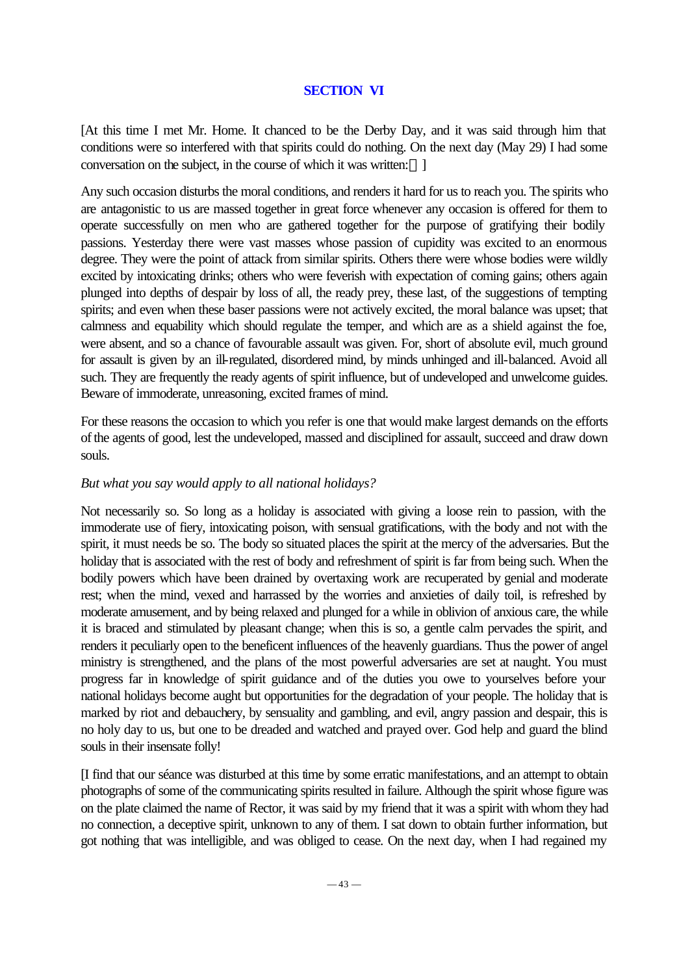[At this time I met Mr. Home. It chanced to be the Derby Day, and it was said through him that conditions were so interfered with that spirits could do nothing. On the next day (May 29) I had some conversation on the subject, in the course of which it was written:—

Any such occasion disturbs the moral conditions, and renders it hard for us to reach you. The spirits who are antagonistic to us are massed together in great force whenever any occasion is offered for them to operate successfully on men who are gathered together for the purpose of gratifying their bodily passions. Yesterday there were vast masses whose passion of cupidity was excited to an enormous degree. They were the point of attack from similar spirits. Others there were whose bodies were wildly excited by intoxicating drinks; others who were feverish with expectation of coming gains; others again plunged into depths of despair by loss of all, the ready prey, these last, of the suggestions of tempting spirits; and even when these baser passions were not actively excited, the moral balance was upset; that calmness and equability which should regulate the temper, and which are as a shield against the foe, were absent, and so a chance of favourable assault was given. For, short of absolute evil, much ground for assault is given by an ill-regulated, disordered mind, by minds unhinged and ill-balanced. Avoid all such. They are frequently the ready agents of spirit influence, but of undeveloped and unwelcome guides. Beware of immoderate, unreasoning, excited frames of mind.

For these reasons the occasion to which you refer is one that would make largest demands on the efforts of the agents of good, lest the undeveloped, massed and disciplined for assault, succeed and draw down souls.

#### *But what you say would apply to all national holidays?*

Not necessarily so. So long as a holiday is associated with giving a loose rein to passion, with the immoderate use of fiery, intoxicating poison, with sensual gratifications, with the body and not with the spirit, it must needs be so. The body so situated places the spirit at the mercy of the adversaries. But the holiday that is associated with the rest of body and refreshment of spirit is far from being such. When the bodily powers which have been drained by overtaxing work are recuperated by genial and moderate rest; when the mind, vexed and harrassed by the worries and anxieties of daily toil, is refreshed by moderate amusement, and by being relaxed and plunged for a while in oblivion of anxious care, the while it is braced and stimulated by pleasant change; when this is so, a gentle calm pervades the spirit, and renders it peculiarly open to the beneficent influences of the heavenly guardians. Thus the power of angel ministry is strengthened, and the plans of the most powerful adversaries are set at naught. You must progress far in knowledge of spirit guidance and of the duties you owe to yourselves before your national holidays become aught but opportunities for the degradation of your people. The holiday that is marked by riot and debauchery, by sensuality and gambling, and evil, angry passion and despair, this is no holy day to us, but one to be dreaded and watched and prayed over. God help and guard the blind souls in their insensate folly!

[I find that our séance was disturbed at this time by some erratic manifestations, and an attempt to obtain photographs of some of the communicating spirits resulted in failure. Although the spirit whose figure was on the plate claimed the name of Rector, it was said by my friend that it was a spirit with whom they had no connection, a deceptive spirit, unknown to any of them. I sat down to obtain further information, but got nothing that was intelligible, and was obliged to cease. On the next day, when I had regained my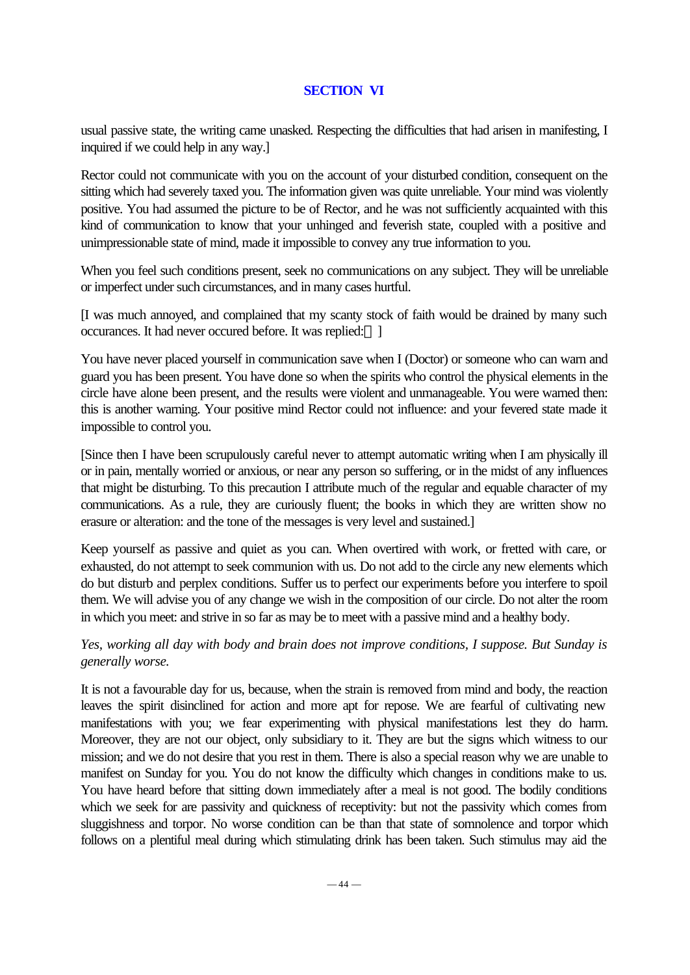usual passive state, the writing came unasked. Respecting the difficulties that had arisen in manifesting, I inquired if we could help in any way.]

Rector could not communicate with you on the account of your disturbed condition, consequent on the sitting which had severely taxed you. The information given was quite unreliable. Your mind was violently positive. You had assumed the picture to be of Rector, and he was not sufficiently acquainted with this kind of communication to know that your unhinged and feverish state, coupled with a positive and unimpressionable state of mind, made it impossible to convey any true information to you.

When you feel such conditions present, seek no communications on any subject. They will be unreliable or imperfect under such circumstances, and in many cases hurtful.

[I was much annoyed, and complained that my scanty stock of faith would be drained by many such occurances. It had never occured before. It was replied:-

You have never placed yourself in communication save when I (Doctor) or someone who can warn and guard you has been present. You have done so when the spirits who control the physical elements in the circle have alone been present, and the results were violent and unmanageable. You were warned then: this is another warning. Your positive mind Rector could not influence: and your fevered state made it impossible to control you.

[Since then I have been scrupulously careful never to attempt automatic writing when I am physically ill or in pain, mentally worried or anxious, or near any person so suffering, or in the midst of any influences that might be disturbing. To this precaution I attribute much of the regular and equable character of my communications. As a rule, they are curiously fluent; the books in which they are written show no erasure or alteration: and the tone of the messages is very level and sustained.]

Keep yourself as passive and quiet as you can. When overtired with work, or fretted with care, or exhausted, do not attempt to seek communion with us. Do not add to the circle any new elements which do but disturb and perplex conditions. Suffer us to perfect our experiments before you interfere to spoil them. We will advise you of any change we wish in the composition of our circle. Do not alter the room in which you meet: and strive in so far as may be to meet with a passive mind and a healthy body.

# *Yes, working all day with body and brain does not improve conditions, I suppose. But Sunday is generally worse.*

It is not a favourable day for us, because, when the strain is removed from mind and body, the reaction leaves the spirit disinclined for action and more apt for repose. We are fearful of cultivating new manifestations with you; we fear experimenting with physical manifestations lest they do harm. Moreover, they are not our object, only subsidiary to it. They are but the signs which witness to our mission; and we do not desire that you rest in them. There is also a special reason why we are unable to manifest on Sunday for you. You do not know the difficulty which changes in conditions make to us. You have heard before that sitting down immediately after a meal is not good. The bodily conditions which we seek for are passivity and quickness of receptivity: but not the passivity which comes from sluggishness and torpor. No worse condition can be than that state of somnolence and torpor which follows on a plentiful meal during which stimulating drink has been taken. Such stimulus may aid the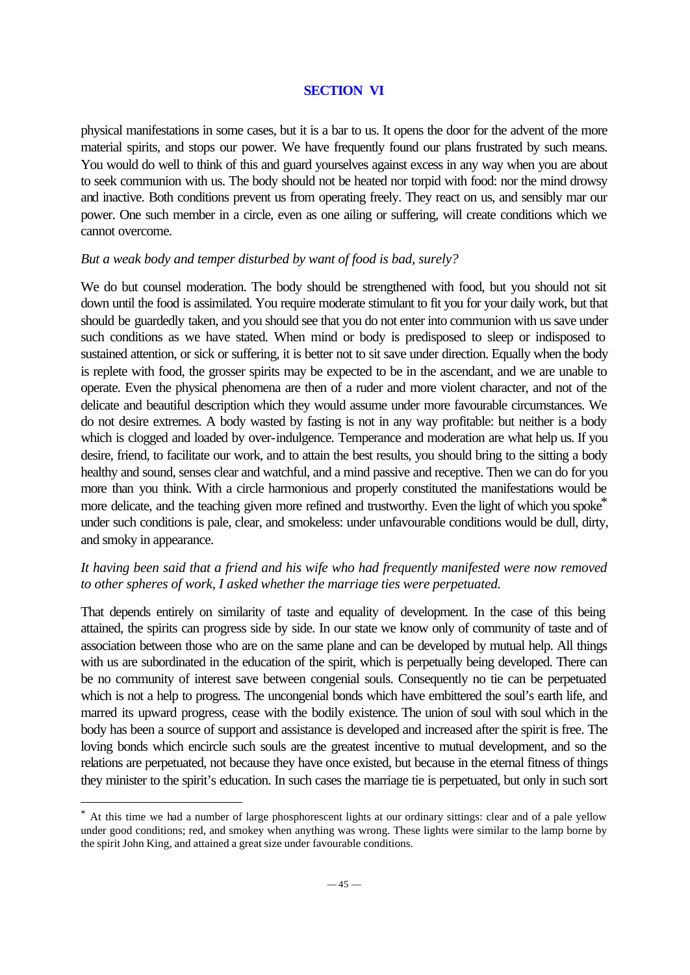physical manifestations in some cases, but it is a bar to us. It opens the door for the advent of the more material spirits, and stops our power. We have frequently found our plans frustrated by such means. You would do well to think of this and guard yourselves against excess in any way when you are about to seek communion with us. The body should not be heated nor torpid with food: nor the mind drowsy and inactive. Both conditions prevent us from operating freely. They react on us, and sensibly mar our power. One such member in a circle, even as one ailing or suffering, will create conditions which we cannot overcome.

#### *But a weak body and temper disturbed by want of food is bad, surely?*

We do but counsel moderation. The body should be strengthened with food, but you should not sit down until the food is assimilated. You require moderate stimulant to fit you for your daily work, but that should be guardedly taken, and you should see that you do not enter into communion with us save under such conditions as we have stated. When mind or body is predisposed to sleep or indisposed to sustained attention, or sick or suffering, it is better not to sit save under direction. Equally when the body is replete with food, the grosser spirits may be expected to be in the ascendant, and we are unable to operate. Even the physical phenomena are then of a ruder and more violent character, and not of the delicate and beautiful description which they would assume under more favourable circumstances. We do not desire extremes. A body wasted by fasting is not in any way profitable: but neither is a body which is clogged and loaded by over-indulgence. Temperance and moderation are what help us. If you desire, friend, to facilitate our work, and to attain the best results, you should bring to the sitting a body healthy and sound, senses clear and watchful, and a mind passive and receptive. Then we can do for you more than you think. With a circle harmonious and properly constituted the manifestations would be more delicate, and the teaching given more refined and trustworthy. Even the light of which you spoke<sup>\*</sup> under such conditions is pale, clear, and smokeless: under unfavourable conditions would be dull, dirty, and smoky in appearance.

# *It having been said that a friend and his wife who had frequently manifested were now removed to other spheres of work, I asked whether the marriage ties were perpetuated.*

That depends entirely on similarity of taste and equality of development. In the case of this being attained, the spirits can progress side by side. In our state we know only of community of taste and of association between those who are on the same plane and can be developed by mutual help. All things with us are subordinated in the education of the spirit, which is perpetually being developed. There can be no community of interest save between congenial souls. Consequently no tie can be perpetuated which is not a help to progress. The uncongenial bonds which have embittered the soul's earth life, and marred its upward progress, cease with the bodily existence. The union of soul with soul which in the body has been a source of support and assistance is developed and increased after the spirit is free. The loving bonds which encircle such souls are the greatest incentive to mutual development, and so the relations are perpetuated, not because they have once existed, but because in the eternal fitness of things they minister to the spirit's education. In such cases the marriage tie is perpetuated, but only in such sort

l

<sup>\*</sup> At this time we had a number of large phosphorescent lights at our ordinary sittings: clear and of a pale yellow under good conditions; red, and smokey when anything was wrong. These lights were similar to the lamp borne by the spirit John King, and attained a great size under favourable conditions.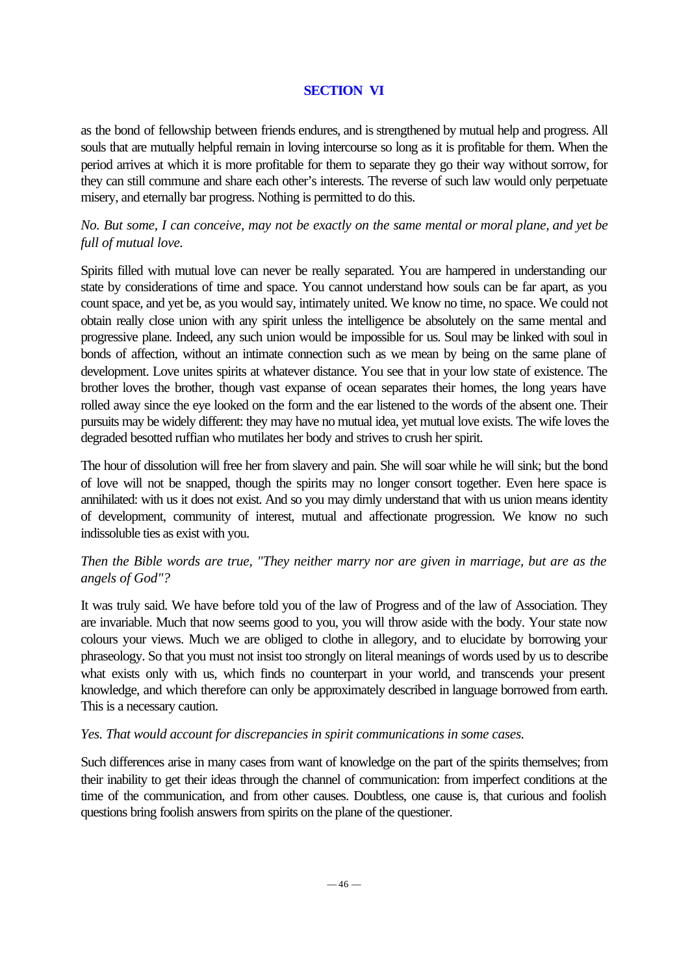as the bond of fellowship between friends endures, and is strengthened by mutual help and progress. All souls that are mutually helpful remain in loving intercourse so long as it is profitable for them. When the period arrives at which it is more profitable for them to separate they go their way without sorrow, for they can still commune and share each other's interests. The reverse of such law would only perpetuate misery, and eternally bar progress. Nothing is permitted to do this.

# *No. But some, I can conceive, may not be exactly on the same mental or moral plane, and yet be full of mutual love.*

Spirits filled with mutual love can never be really separated. You are hampered in understanding our state by considerations of time and space. You cannot understand how souls can be far apart, as you count space, and yet be, as you would say, intimately united. We know no time, no space. We could not obtain really close union with any spirit unless the intelligence be absolutely on the same mental and progressive plane. Indeed, any such union would be impossible for us. Soul may be linked with soul in bonds of affection, without an intimate connection such as we mean by being on the same plane of development. Love unites spirits at whatever distance. You see that in your low state of existence. The brother loves the brother, though vast expanse of ocean separates their homes, the long years have rolled away since the eye looked on the form and the ear listened to the words of the absent one. Their pursuits may be widely different: they may have no mutual idea, yet mutual love exists. The wife loves the degraded besotted ruffian who mutilates her body and strives to crush her spirit.

The hour of dissolution will free her from slavery and pain. She will soar while he will sink; but the bond of love will not be snapped, though the spirits may no longer consort together. Even here space is annihilated: with us it does not exist. And so you may dimly understand that with us union means identity of development, community of interest, mutual and affectionate progression. We know no such indissoluble ties as exist with you.

# *Then the Bible words are true, "They neither marry nor are given in marriage, but are as the angels of God"?*

It was truly said. We have before told you of the law of Progress and of the law of Association. They are invariable. Much that now seems good to you, you will throw aside with the body. Your state now colours your views. Much we are obliged to clothe in allegory, and to elucidate by borrowing your phraseology. So that you must not insist too strongly on literal meanings of words used by us to describe what exists only with us, which finds no counterpart in your world, and transcends your present knowledge, and which therefore can only be approximately described in language borrowed from earth. This is a necessary caution.

#### *Yes. That would account for discrepancies in spirit communications in some cases.*

Such differences arise in many cases from want of knowledge on the part of the spirits themselves; from their inability to get their ideas through the channel of communication: from imperfect conditions at the time of the communication, and from other causes. Doubtless, one cause is, that curious and foolish questions bring foolish answers from spirits on the plane of the questioner.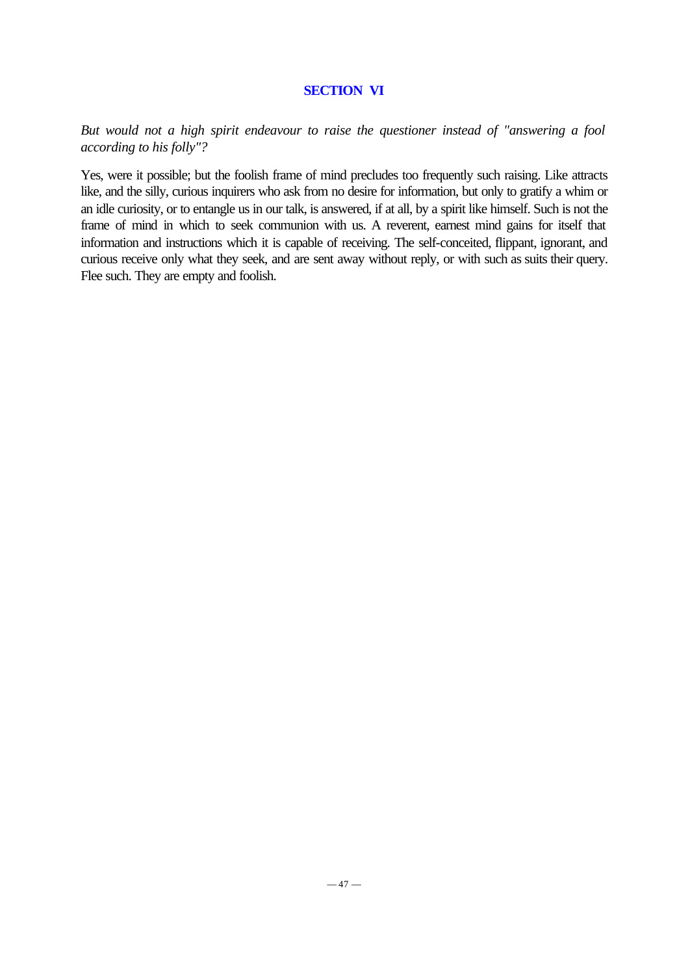*But would not a high spirit endeavour to raise the questioner instead of "answering a fool according to his folly"?*

Yes, were it possible; but the foolish frame of mind precludes too frequently such raising. Like attracts like, and the silly, curious inquirers who ask from no desire for information, but only to gratify a whim or an idle curiosity, or to entangle us in our talk, is answered, if at all, by a spirit like himself. Such is not the frame of mind in which to seek communion with us. A reverent, earnest mind gains for itself that information and instructions which it is capable of receiving. The self-conceited, flippant, ignorant, and curious receive only what they seek, and are sent away without reply, or with such as suits their query. Flee such. They are empty and foolish.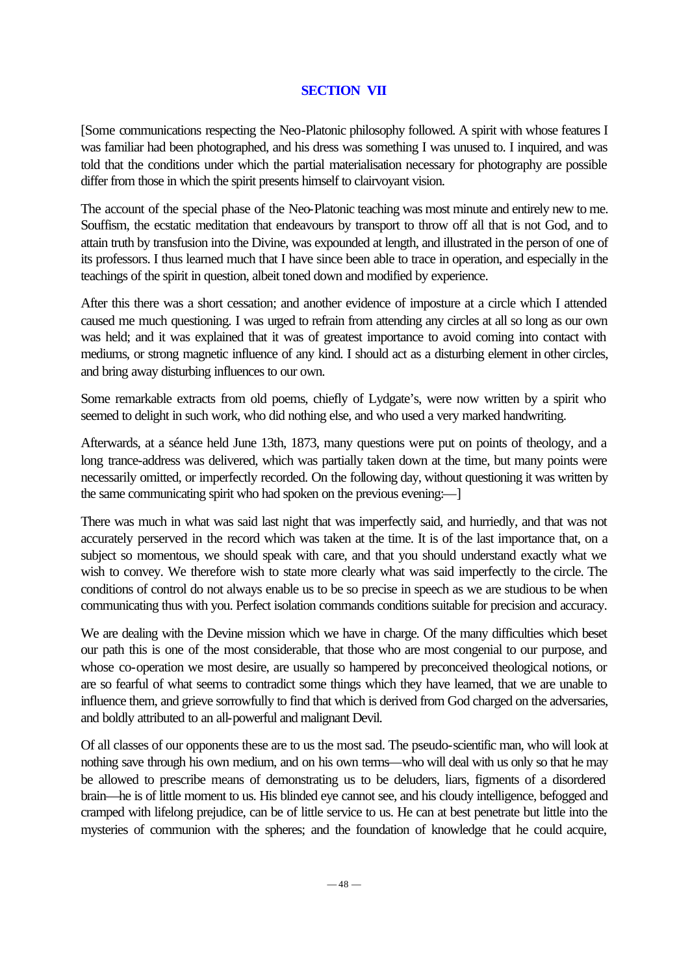[Some communications respecting the Neo-Platonic philosophy followed. A spirit with whose features I was familiar had been photographed, and his dress was something I was unused to. I inquired, and was told that the conditions under which the partial materialisation necessary for photography are possible differ from those in which the spirit presents himself to clairvoyant vision.

The account of the special phase of the Neo-Platonic teaching was most minute and entirely new to me. Souffism, the ecstatic meditation that endeavours by transport to throw off all that is not God, and to attain truth by transfusion into the Divine, was expounded at length, and illustrated in the person of one of its professors. I thus learned much that I have since been able to trace in operation, and especially in the teachings of the spirit in question, albeit toned down and modified by experience.

After this there was a short cessation; and another evidence of imposture at a circle which I attended caused me much questioning. I was urged to refrain from attending any circles at all so long as our own was held; and it was explained that it was of greatest importance to avoid coming into contact with mediums, or strong magnetic influence of any kind. I should act as a disturbing element in other circles, and bring away disturbing influences to our own.

Some remarkable extracts from old poems, chiefly of Lydgate's, were now written by a spirit who seemed to delight in such work, who did nothing else, and who used a very marked handwriting.

Afterwards, at a séance held June 13th, 1873, many questions were put on points of theology, and a long trance-address was delivered, which was partially taken down at the time, but many points were necessarily omitted, or imperfectly recorded. On the following day, without questioning it was written by the same communicating spirit who had spoken on the previous evening:—]

There was much in what was said last night that was imperfectly said, and hurriedly, and that was not accurately perserved in the record which was taken at the time. It is of the last importance that, on a subject so momentous, we should speak with care, and that you should understand exactly what we wish to convey. We therefore wish to state more clearly what was said imperfectly to the circle. The conditions of control do not always enable us to be so precise in speech as we are studious to be when communicating thus with you. Perfect isolation commands conditions suitable for precision and accuracy.

We are dealing with the Devine mission which we have in charge. Of the many difficulties which beset our path this is one of the most considerable, that those who are most congenial to our purpose, and whose co-operation we most desire, are usually so hampered by preconceived theological notions, or are so fearful of what seems to contradict some things which they have learned, that we are unable to influence them, and grieve sorrowfully to find that which is derived from God charged on the adversaries, and boldly attributed to an all-powerful and malignant Devil.

Of all classes of our opponents these are to us the most sad. The pseudo-scientific man, who will look at nothing save through his own medium, and on his own terms—who will deal with us only so that he may be allowed to prescribe means of demonstrating us to be deluders, liars, figments of a disordered brain—he is of little moment to us. His blinded eye cannot see, and his cloudy intelligence, befogged and cramped with lifelong prejudice, can be of little service to us. He can at best penetrate but little into the mysteries of communion with the spheres; and the foundation of knowledge that he could acquire,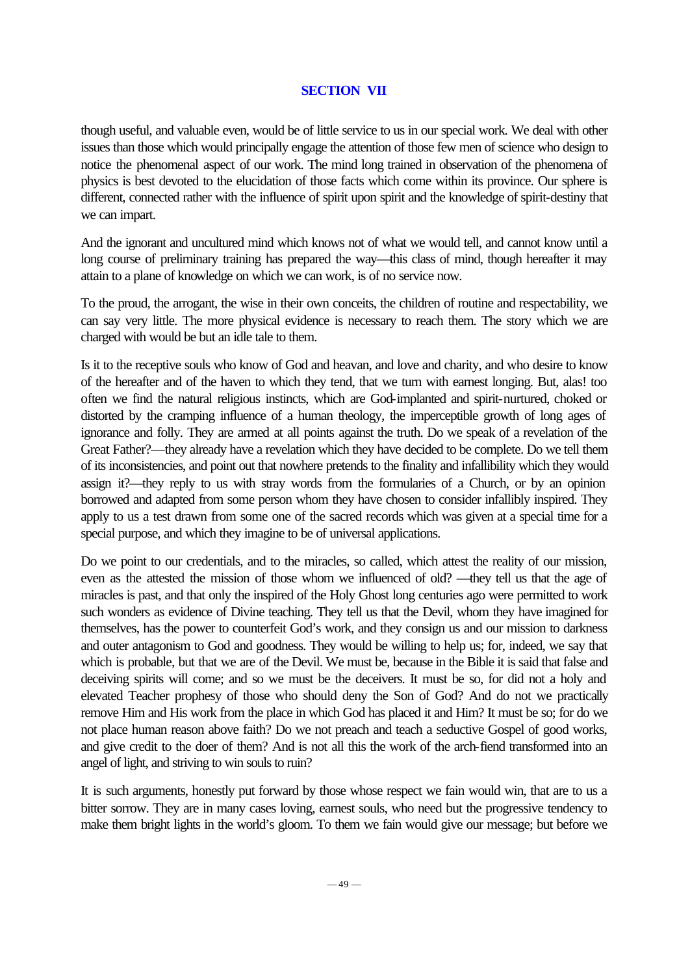though useful, and valuable even, would be of little service to us in our special work. We deal with other issues than those which would principally engage the attention of those few men of science who design to notice the phenomenal aspect of our work. The mind long trained in observation of the phenomena of physics is best devoted to the elucidation of those facts which come within its province. Our sphere is different, connected rather with the influence of spirit upon spirit and the knowledge of spirit-destiny that we can impart.

And the ignorant and uncultured mind which knows not of what we would tell, and cannot know until a long course of preliminary training has prepared the way—this class of mind, though hereafter it may attain to a plane of knowledge on which we can work, is of no service now.

To the proud, the arrogant, the wise in their own conceits, the children of routine and respectability, we can say very little. The more physical evidence is necessary to reach them. The story which we are charged with would be but an idle tale to them.

Is it to the receptive souls who know of God and heavan, and love and charity, and who desire to know of the hereafter and of the haven to which they tend, that we turn with earnest longing. But, alas! too often we find the natural religious instincts, which are God-implanted and spirit-nurtured, choked or distorted by the cramping influence of a human theology, the imperceptible growth of long ages of ignorance and folly. They are armed at all points against the truth. Do we speak of a revelation of the Great Father?—they already have a revelation which they have decided to be complete. Do we tell them of its inconsistencies, and point out that nowhere pretends to the finality and infallibility which they would assign it?—they reply to us with stray words from the formularies of a Church, or by an opinion borrowed and adapted from some person whom they have chosen to consider infallibly inspired. They apply to us a test drawn from some one of the sacred records which was given at a special time for a special purpose, and which they imagine to be of universal applications.

Do we point to our credentials, and to the miracles, so called, which attest the reality of our mission, even as the attested the mission of those whom we influenced of old? —they tell us that the age of miracles is past, and that only the inspired of the Holy Ghost long centuries ago were permitted to work such wonders as evidence of Divine teaching. They tell us that the Devil, whom they have imagined for themselves, has the power to counterfeit God's work, and they consign us and our mission to darkness and outer antagonism to God and goodness. They would be willing to help us; for, indeed, we say that which is probable, but that we are of the Devil. We must be, because in the Bible it is said that false and deceiving spirits will come; and so we must be the deceivers. It must be so, for did not a holy and elevated Teacher prophesy of those who should deny the Son of God? And do not we practically remove Him and His work from the place in which God has placed it and Him? It must be so; for do we not place human reason above faith? Do we not preach and teach a seductive Gospel of good works, and give credit to the doer of them? And is not all this the work of the arch-fiend transformed into an angel of light, and striving to win souls to ruin?

It is such arguments, honestly put forward by those whose respect we fain would win, that are to us a bitter sorrow. They are in many cases loving, earnest souls, who need but the progressive tendency to make them bright lights in the world's gloom. To them we fain would give our message; but before we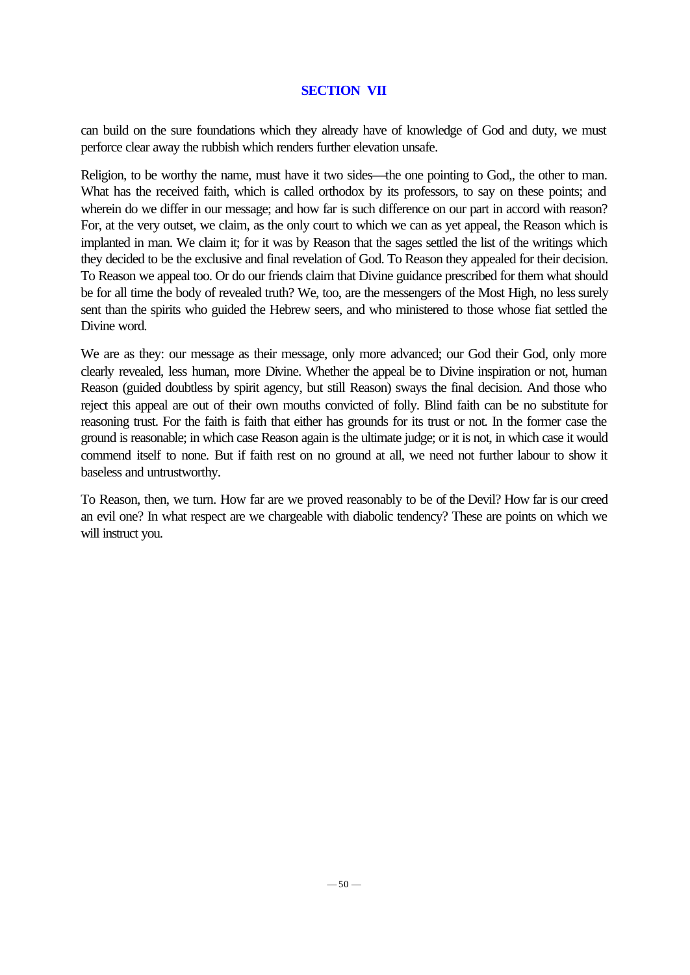can build on the sure foundations which they already have of knowledge of God and duty, we must perforce clear away the rubbish which renders further elevation unsafe.

Religion, to be worthy the name, must have it two sides—the one pointing to God,, the other to man. What has the received faith, which is called orthodox by its professors, to say on these points; and wherein do we differ in our message; and how far is such difference on our part in accord with reason? For, at the very outset, we claim, as the only court to which we can as yet appeal, the Reason which is implanted in man. We claim it; for it was by Reason that the sages settled the list of the writings which they decided to be the exclusive and final revelation of God. To Reason they appealed for their decision. To Reason we appeal too. Or do our friends claim that Divine guidance prescribed for them what should be for all time the body of revealed truth? We, too, are the messengers of the Most High, no less surely sent than the spirits who guided the Hebrew seers, and who ministered to those whose fiat settled the Divine word.

We are as they: our message as their message, only more advanced; our God their God, only more clearly revealed, less human, more Divine. Whether the appeal be to Divine inspiration or not, human Reason (guided doubtless by spirit agency, but still Reason) sways the final decision. And those who reject this appeal are out of their own mouths convicted of folly. Blind faith can be no substitute for reasoning trust. For the faith is faith that either has grounds for its trust or not. In the former case the ground is reasonable; in which case Reason again is the ultimate judge; or it is not, in which case it would commend itself to none. But if faith rest on no ground at all, we need not further labour to show it baseless and untrustworthy.

To Reason, then, we turn. How far are we proved reasonably to be of the Devil? How far is our creed an evil one? In what respect are we chargeable with diabolic tendency? These are points on which we will instruct you.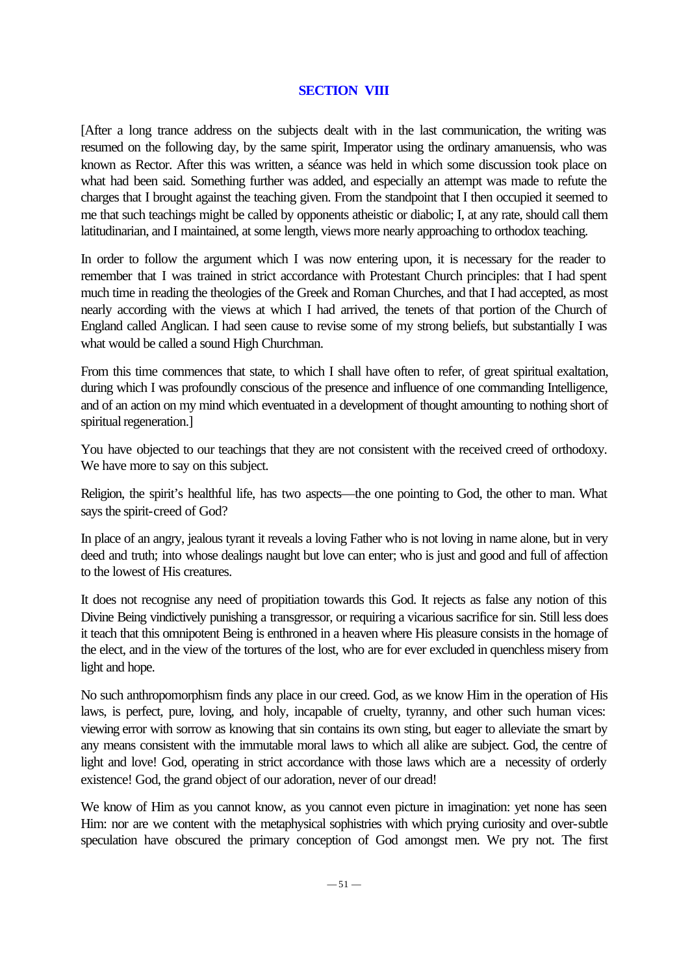[After a long trance address on the subjects dealt with in the last communication, the writing was resumed on the following day, by the same spirit, Imperator using the ordinary amanuensis, who was known as Rector. After this was written, a séance was held in which some discussion took place on what had been said. Something further was added, and especially an attempt was made to refute the charges that I brought against the teaching given. From the standpoint that I then occupied it seemed to me that such teachings might be called by opponents atheistic or diabolic; I, at any rate, should call them latitudinarian, and I maintained, at some length, views more nearly approaching to orthodox teaching.

In order to follow the argument which I was now entering upon, it is necessary for the reader to remember that I was trained in strict accordance with Protestant Church principles: that I had spent much time in reading the theologies of the Greek and Roman Churches, and that I had accepted, as most nearly according with the views at which I had arrived, the tenets of that portion of the Church of England called Anglican. I had seen cause to revise some of my strong beliefs, but substantially I was what would be called a sound High Churchman.

From this time commences that state, to which I shall have often to refer, of great spiritual exaltation, during which I was profoundly conscious of the presence and influence of one commanding Intelligence, and of an action on my mind which eventuated in a development of thought amounting to nothing short of spiritual regeneration.]

You have objected to our teachings that they are not consistent with the received creed of orthodoxy. We have more to say on this subject.

Religion, the spirit's healthful life, has two aspects—the one pointing to God, the other to man. What says the spirit-creed of God?

In place of an angry, jealous tyrant it reveals a loving Father who is not loving in name alone, but in very deed and truth; into whose dealings naught but love can enter; who is just and good and full of affection to the lowest of His creatures.

It does not recognise any need of propitiation towards this God. It rejects as false any notion of this Divine Being vindictively punishing a transgressor, or requiring a vicarious sacrifice for sin. Still less does it teach that this omnipotent Being is enthroned in a heaven where His pleasure consists in the homage of the elect, and in the view of the tortures of the lost, who are for ever excluded in quenchless misery from light and hope.

No such anthropomorphism finds any place in our creed. God, as we know Him in the operation of His laws, is perfect, pure, loving, and holy, incapable of cruelty, tyranny, and other such human vices: viewing error with sorrow as knowing that sin contains its own sting, but eager to alleviate the smart by any means consistent with the immutable moral laws to which all alike are subject. God, the centre of light and love! God, operating in strict accordance with those laws which are a necessity of orderly existence! God, the grand object of our adoration, never of our dread!

We know of Him as you cannot know, as you cannot even picture in imagination: yet none has seen Him: nor are we content with the metaphysical sophistries with which prying curiosity and over-subtle speculation have obscured the primary conception of God amongst men. We pry not. The first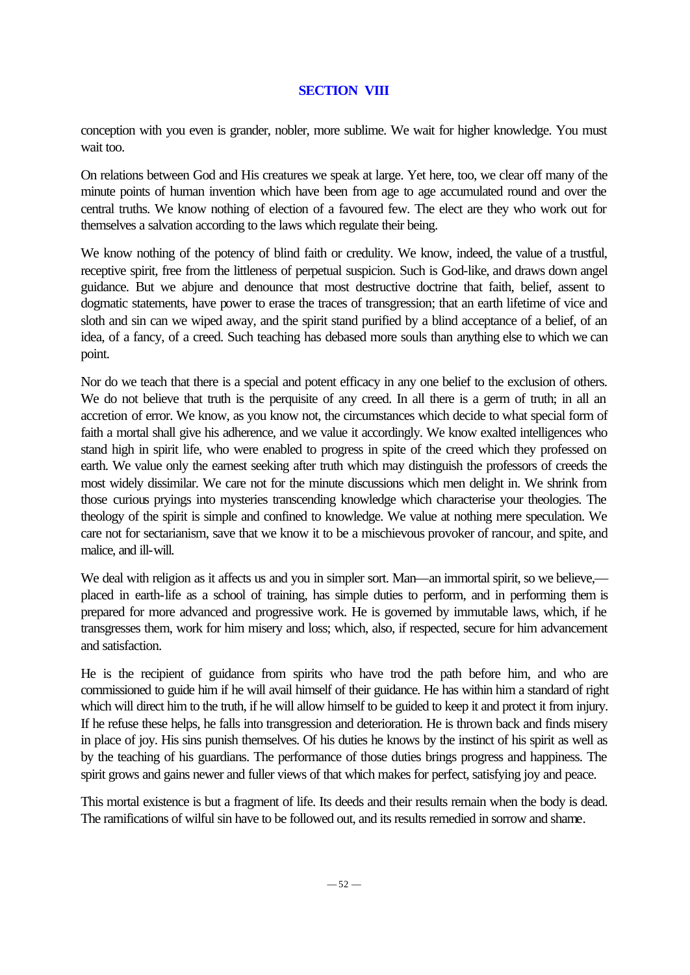conception with you even is grander, nobler, more sublime. We wait for higher knowledge. You must wait too.

On relations between God and His creatures we speak at large. Yet here, too, we clear off many of the minute points of human invention which have been from age to age accumulated round and over the central truths. We know nothing of election of a favoured few. The elect are they who work out for themselves a salvation according to the laws which regulate their being.

We know nothing of the potency of blind faith or credulity. We know, indeed, the value of a trustful, receptive spirit, free from the littleness of perpetual suspicion. Such is God-like, and draws down angel guidance. But we abjure and denounce that most destructive doctrine that faith, belief, assent to dogmatic statements, have power to erase the traces of transgression; that an earth lifetime of vice and sloth and sin can we wiped away, and the spirit stand purified by a blind acceptance of a belief, of an idea, of a fancy, of a creed. Such teaching has debased more souls than anything else to which we can point.

Nor do we teach that there is a special and potent efficacy in any one belief to the exclusion of others. We do not believe that truth is the perquisite of any creed. In all there is a germ of truth; in all an accretion of error. We know, as you know not, the circumstances which decide to what special form of faith a mortal shall give his adherence, and we value it accordingly. We know exalted intelligences who stand high in spirit life, who were enabled to progress in spite of the creed which they professed on earth. We value only the earnest seeking after truth which may distinguish the professors of creeds the most widely dissimilar. We care not for the minute discussions which men delight in. We shrink from those curious pryings into mysteries transcending knowledge which characterise your theologies. The theology of the spirit is simple and confined to knowledge. We value at nothing mere speculation. We care not for sectarianism, save that we know it to be a mischievous provoker of rancour, and spite, and malice, and ill-will.

We deal with religion as it affects us and you in simpler sort. Man—an immortal spirit, so we believe, placed in earth-life as a school of training, has simple duties to perform, and in performing them is prepared for more advanced and progressive work. He is governed by immutable laws, which, if he transgresses them, work for him misery and loss; which, also, if respected, secure for him advancement and satisfaction.

He is the recipient of guidance from spirits who have trod the path before him, and who are commissioned to guide him if he will avail himself of their guidance. He has within him a standard of right which will direct him to the truth, if he will allow himself to be guided to keep it and protect it from injury. If he refuse these helps, he falls into transgression and deterioration. He is thrown back and finds misery in place of joy. His sins punish themselves. Of his duties he knows by the instinct of his spirit as well as by the teaching of his guardians. The performance of those duties brings progress and happiness. The spirit grows and gains newer and fuller views of that which makes for perfect, satisfying joy and peace.

This mortal existence is but a fragment of life. Its deeds and their results remain when the body is dead. The ramifications of wilful sin have to be followed out, and its results remedied in sorrow and shame.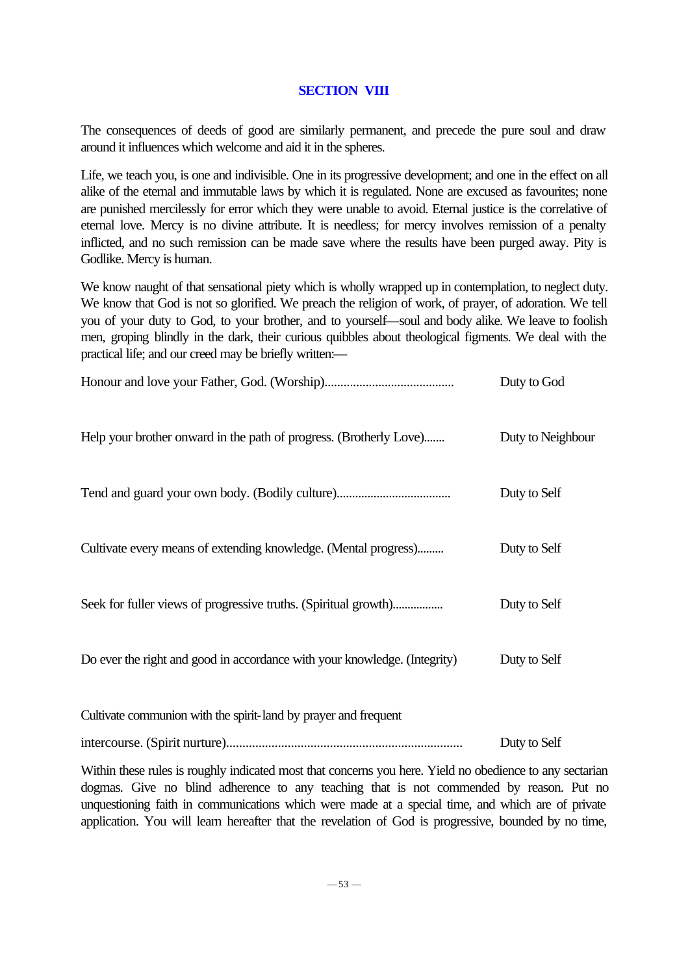The consequences of deeds of good are similarly permanent, and precede the pure soul and draw around it influences which welcome and aid it in the spheres.

Life, we teach you, is one and indivisible. One in its progressive development; and one in the effect on all alike of the eternal and immutable laws by which it is regulated. None are excused as favourites; none are punished mercilessly for error which they were unable to avoid. Eternal justice is the correlative of eternal love. Mercy is no divine attribute. It is needless; for mercy involves remission of a penalty inflicted, and no such remission can be made save where the results have been purged away. Pity is Godlike. Mercy is human.

We know naught of that sensational piety which is wholly wrapped up in contemplation, to neglect duty. We know that God is not so glorified. We preach the religion of work, of prayer, of adoration. We tell you of your duty to God, to your brother, and to yourself—soul and body alike. We leave to foolish men, groping blindly in the dark, their curious quibbles about theological figments. We deal with the practical life; and our creed may be briefly written:—

|                                                                           | Duty to God       |
|---------------------------------------------------------------------------|-------------------|
| Help your brother onward in the path of progress. (Brotherly Love)        | Duty to Neighbour |
|                                                                           | Duty to Self      |
| Cultivate every means of extending knowledge. (Mental progress)           | Duty to Self      |
| Seek for fuller views of progressive truths. (Spiritual growth)           | Duty to Self      |
| Do ever the right and good in accordance with your knowledge. (Integrity) | Duty to Self      |
| Cultivate communion with the spirit-land by prayer and frequent           |                   |
|                                                                           | Duty to Self      |

Within these rules is roughly indicated most that concerns you here. Yield no obedience to any sectarian dogmas. Give no blind adherence to any teaching that is not commended by reason. Put no unquestioning faith in communications which were made at a special time, and which are of private application. You will learn hereafter that the revelation of God is progressive, bounded by no time,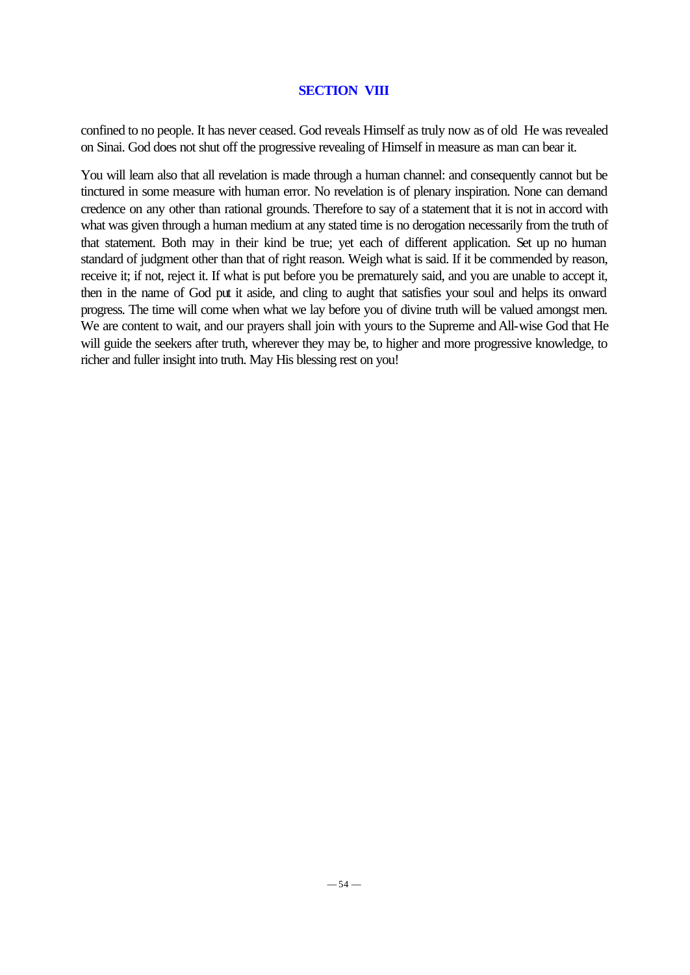confined to no people. It has never ceased. God reveals Himself as truly now as of old He was revealed on Sinai. God does not shut off the progressive revealing of Himself in measure as man can bear it.

You will learn also that all revelation is made through a human channel: and consequently cannot but be tinctured in some measure with human error. No revelation is of plenary inspiration. None can demand credence on any other than rational grounds. Therefore to say of a statement that it is not in accord with what was given through a human medium at any stated time is no derogation necessarily from the truth of that statement. Both may in their kind be true; yet each of different application. Set up no human standard of judgment other than that of right reason. Weigh what is said. If it be commended by reason, receive it; if not, reject it. If what is put before you be prematurely said, and you are unable to accept it, then in the name of God put it aside, and cling to aught that satisfies your soul and helps its onward progress. The time will come when what we lay before you of divine truth will be valued amongst men. We are content to wait, and our prayers shall join with yours to the Supreme and All-wise God that He will guide the seekers after truth, wherever they may be, to higher and more progressive knowledge, to richer and fuller insight into truth. May His blessing rest on you!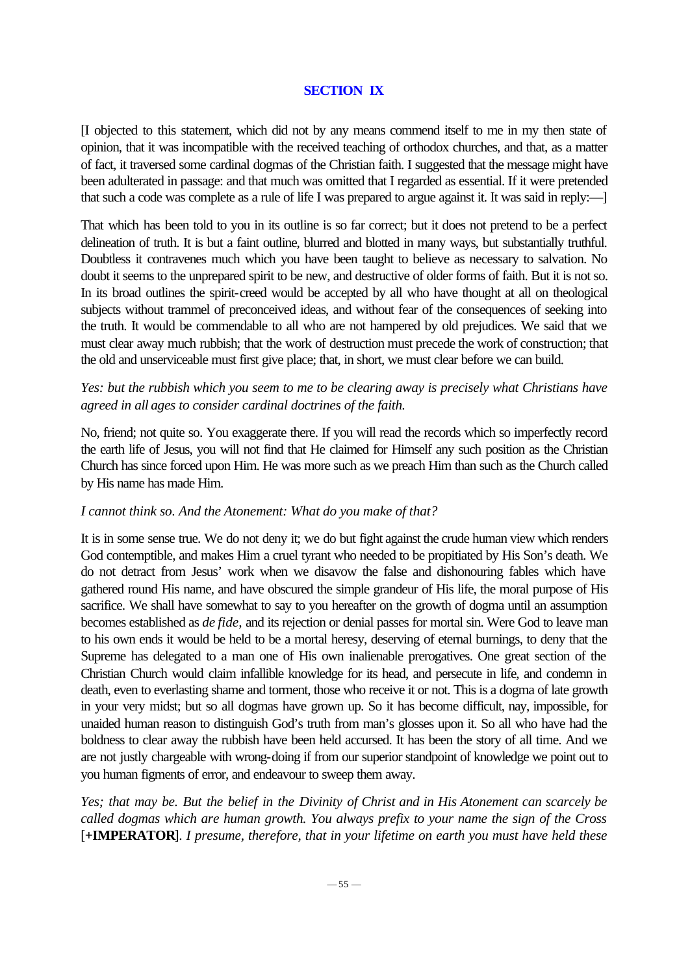[I objected to this statement, which did not by any means commend itself to me in my then state of opinion, that it was incompatible with the received teaching of orthodox churches, and that, as a matter of fact, it traversed some cardinal dogmas of the Christian faith. I suggested that the message might have been adulterated in passage: and that much was omitted that I regarded as essential. If it were pretended that such a code was complete as a rule of life I was prepared to argue against it. It was said in reply:—]

That which has been told to you in its outline is so far correct; but it does not pretend to be a perfect delineation of truth. It is but a faint outline, blurred and blotted in many ways, but substantially truthful. Doubtless it contravenes much which you have been taught to believe as necessary to salvation. No doubt it seems to the unprepared spirit to be new, and destructive of older forms of faith. But it is not so. In its broad outlines the spirit-creed would be accepted by all who have thought at all on theological subjects without trammel of preconceived ideas, and without fear of the consequences of seeking into the truth. It would be commendable to all who are not hampered by old prejudices. We said that we must clear away much rubbish; that the work of destruction must precede the work of construction; that the old and unserviceable must first give place; that, in short, we must clear before we can build.

# *Yes: but the rubbish which you seem to me to be clearing away is precisely what Christians have agreed in all ages to consider cardinal doctrines of the faith.*

No, friend; not quite so. You exaggerate there. If you will read the records which so imperfectly record the earth life of Jesus, you will not find that He claimed for Himself any such position as the Christian Church has since forced upon Him. He was more such as we preach Him than such as the Church called by His name has made Him.

#### *I cannot think so. And the Atonement: What do you make of that?*

It is in some sense true. We do not deny it; we do but fight against the crude human view which renders God contemptible, and makes Him a cruel tyrant who needed to be propitiated by His Son's death. We do not detract from Jesus' work when we disavow the false and dishonouring fables which have gathered round His name, and have obscured the simple grandeur of His life, the moral purpose of His sacrifice. We shall have somewhat to say to you hereafter on the growth of dogma until an assumption becomes established as *de fide,* and its rejection or denial passes for mortal sin. Were God to leave man to his own ends it would be held to be a mortal heresy, deserving of eternal burnings, to deny that the Supreme has delegated to a man one of His own inalienable prerogatives. One great section of the Christian Church would claim infallible knowledge for its head, and persecute in life, and condemn in death, even to everlasting shame and torment, those who receive it or not. This is a dogma of late growth in your very midst; but so all dogmas have grown up. So it has become difficult, nay, impossible, for unaided human reason to distinguish God's truth from man's glosses upon it. So all who have had the boldness to clear away the rubbish have been held accursed. It has been the story of all time. And we are not justly chargeable with wrong-doing if from our superior standpoint of knowledge we point out to you human figments of error, and endeavour to sweep them away.

*Yes; that may be. But the belief in the Divinity of Christ and in His Atonement can scarcely be called dogmas which are human growth. You always prefix to your name the sign of the Cross*  [**+IMPERATOR**]. *I presume, therefore, that in your lifetime on earth you must have held these*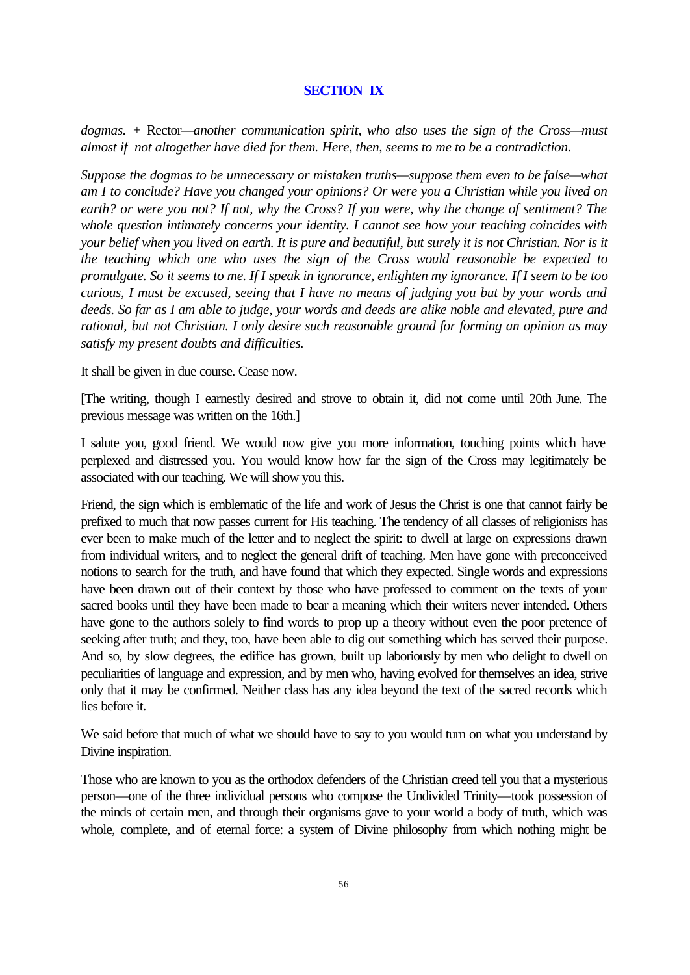*dogmas. +* Rector*—another communication spirit, who also uses the sign of the Cross—must almost if not altogether have died for them. Here, then, seems to me to be a contradiction.* 

*Suppose the dogmas to be unnecessary or mistaken truths—suppose them even to be false—what am I to conclude? Have you changed your opinions? Or were you a Christian while you lived on earth? or were you not? If not, why the Cross? If you were, why the change of sentiment? The whole question intimately concerns your identity. I cannot see how your teaching coincides with your belief when you lived on earth. It is pure and beautiful, but surely it is not Christian. Nor is it the teaching which one who uses the sign of the Cross would reasonable be expected to promulgate. So it seems to me. If I speak in ignorance, enlighten my ignorance. If I seem to be too curious, I must be excused, seeing that I have no means of judging you but by your words and deeds. So far as I am able to judge, your words and deeds are alike noble and elevated, pure and rational, but not Christian. I only desire such reasonable ground for forming an opinion as may satisfy my present doubts and difficulties.*

It shall be given in due course. Cease now.

[The writing, though I earnestly desired and strove to obtain it, did not come until 20th June. The previous message was written on the 16th.]

I salute you, good friend. We would now give you more information, touching points which have perplexed and distressed you. You would know how far the sign of the Cross may legitimately be associated with our teaching. We will show you this.

Friend, the sign which is emblematic of the life and work of Jesus the Christ is one that cannot fairly be prefixed to much that now passes current for His teaching. The tendency of all classes of religionists has ever been to make much of the letter and to neglect the spirit: to dwell at large on expressions drawn from individual writers, and to neglect the general drift of teaching. Men have gone with preconceived notions to search for the truth, and have found that which they expected. Single words and expressions have been drawn out of their context by those who have professed to comment on the texts of your sacred books until they have been made to bear a meaning which their writers never intended. Others have gone to the authors solely to find words to prop up a theory without even the poor pretence of seeking after truth; and they, too, have been able to dig out something which has served their purpose. And so, by slow degrees, the edifice has grown, built up laboriously by men who delight to dwell on peculiarities of language and expression, and by men who, having evolved for themselves an idea, strive only that it may be confirmed. Neither class has any idea beyond the text of the sacred records which lies before it.

We said before that much of what we should have to say to you would turn on what you understand by Divine inspiration.

Those who are known to you as the orthodox defenders of the Christian creed tell you that a mysterious person—one of the three individual persons who compose the Undivided Trinity—took possession of the minds of certain men, and through their organisms gave to your world a body of truth, which was whole, complete, and of eternal force: a system of Divine philosophy from which nothing might be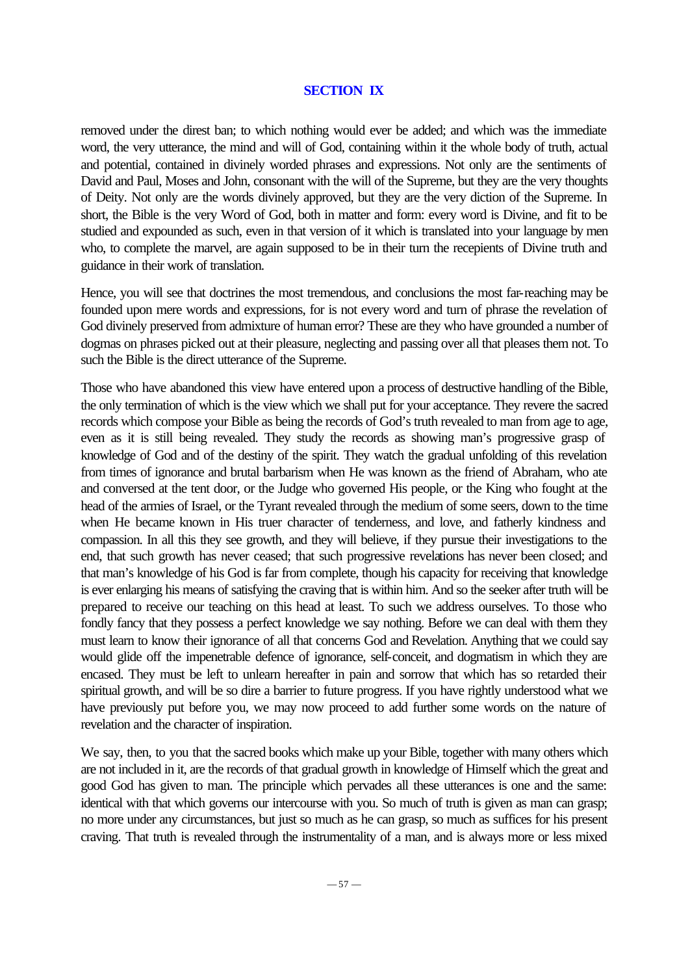removed under the direst ban; to which nothing would ever be added; and which was the immediate word, the very utterance, the mind and will of God, containing within it the whole body of truth, actual and potential, contained in divinely worded phrases and expressions. Not only are the sentiments of David and Paul, Moses and John, consonant with the will of the Supreme, but they are the very thoughts of Deity. Not only are the words divinely approved, but they are the very diction of the Supreme. In short, the Bible is the very Word of God, both in matter and form: every word is Divine, and fit to be studied and expounded as such, even in that version of it which is translated into your language by men who, to complete the marvel, are again supposed to be in their turn the recepients of Divine truth and guidance in their work of translation.

Hence, you will see that doctrines the most tremendous, and conclusions the most far-reaching may be founded upon mere words and expressions, for is not every word and turn of phrase the revelation of God divinely preserved from admixture of human error? These are they who have grounded a number of dogmas on phrases picked out at their pleasure, neglecting and passing over all that pleases them not. To such the Bible is the direct utterance of the Supreme.

Those who have abandoned this view have entered upon a process of destructive handling of the Bible, the only termination of which is the view which we shall put for your acceptance. They revere the sacred records which compose your Bible as being the records of God's truth revealed to man from age to age, even as it is still being revealed. They study the records as showing man's progressive grasp of knowledge of God and of the destiny of the spirit. They watch the gradual unfolding of this revelation from times of ignorance and brutal barbarism when He was known as the friend of Abraham, who ate and conversed at the tent door, or the Judge who governed His people, or the King who fought at the head of the armies of Israel, or the Tyrant revealed through the medium of some seers, down to the time when He became known in His truer character of tenderness, and love, and fatherly kindness and compassion. In all this they see growth, and they will believe, if they pursue their investigations to the end, that such growth has never ceased; that such progressive revelations has never been closed; and that man's knowledge of his God is far from complete, though his capacity for receiving that knowledge is ever enlarging his means of satisfying the craving that is within him. And so the seeker after truth will be prepared to receive our teaching on this head at least. To such we address ourselves. To those who fondly fancy that they possess a perfect knowledge we say nothing. Before we can deal with them they must learn to know their ignorance of all that concerns God and Revelation. Anything that we could say would glide off the impenetrable defence of ignorance, self-conceit, and dogmatism in which they are encased. They must be left to unlearn hereafter in pain and sorrow that which has so retarded their spiritual growth, and will be so dire a barrier to future progress. If you have rightly understood what we have previously put before you, we may now proceed to add further some words on the nature of revelation and the character of inspiration.

We say, then, to you that the sacred books which make up your Bible, together with many others which are not included in it, are the records of that gradual growth in knowledge of Himself which the great and good God has given to man. The principle which pervades all these utterances is one and the same: identical with that which governs our intercourse with you. So much of truth is given as man can grasp; no more under any circumstances, but just so much as he can grasp, so much as suffices for his present craving. That truth is revealed through the instrumentality of a man, and is always more or less mixed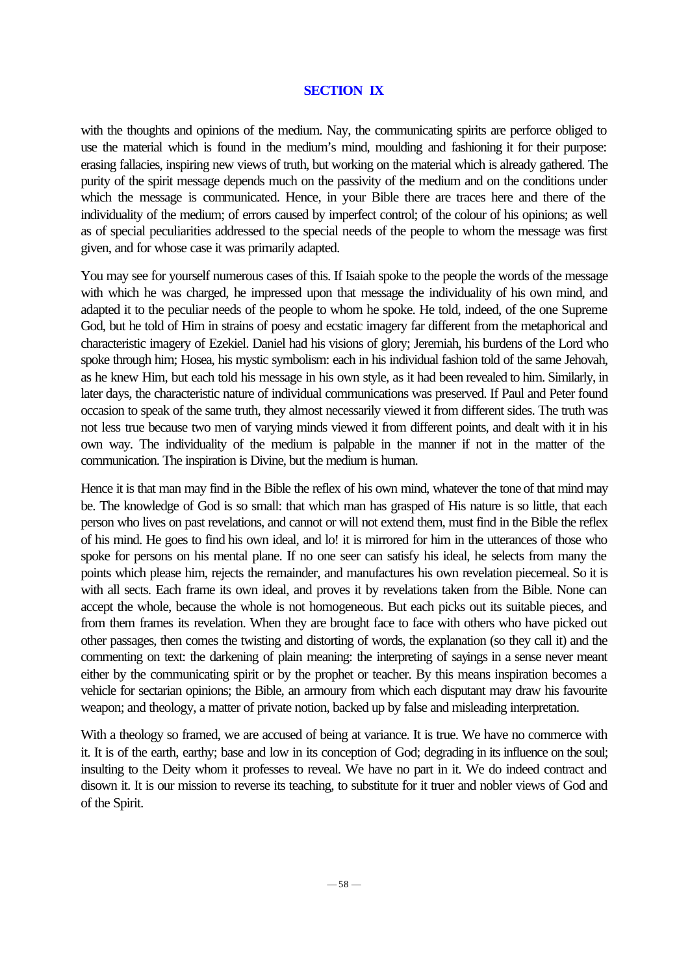with the thoughts and opinions of the medium. Nay, the communicating spirits are perforce obliged to use the material which is found in the medium's mind, moulding and fashioning it for their purpose: erasing fallacies, inspiring new views of truth, but working on the material which is already gathered. The purity of the spirit message depends much on the passivity of the medium and on the conditions under which the message is communicated. Hence, in your Bible there are traces here and there of the individuality of the medium; of errors caused by imperfect control; of the colour of his opinions; as well as of special peculiarities addressed to the special needs of the people to whom the message was first given, and for whose case it was primarily adapted.

You may see for yourself numerous cases of this. If Isaiah spoke to the people the words of the message with which he was charged, he impressed upon that message the individuality of his own mind, and adapted it to the peculiar needs of the people to whom he spoke. He told, indeed, of the one Supreme God, but he told of Him in strains of poesy and ecstatic imagery far different from the metaphorical and characteristic imagery of Ezekiel. Daniel had his visions of glory; Jeremiah, his burdens of the Lord who spoke through him; Hosea, his mystic symbolism: each in his individual fashion told of the same Jehovah, as he knew Him, but each told his message in his own style, as it had been revealed to him. Similarly, in later days, the characteristic nature of individual communications was preserved. If Paul and Peter found occasion to speak of the same truth, they almost necessarily viewed it from different sides. The truth was not less true because two men of varying minds viewed it from different points, and dealt with it in his own way. The individuality of the medium is palpable in the manner if not in the matter of the communication. The inspiration is Divine, but the medium is human.

Hence it is that man may find in the Bible the reflex of his own mind, whatever the tone of that mind may be. The knowledge of God is so small: that which man has grasped of His nature is so little, that each person who lives on past revelations, and cannot or will not extend them, must find in the Bible the reflex of his mind. He goes to find his own ideal, and lo! it is mirrored for him in the utterances of those who spoke for persons on his mental plane. If no one seer can satisfy his ideal, he selects from many the points which please him, rejects the remainder, and manufactures his own revelation piecemeal. So it is with all sects. Each frame its own ideal, and proves it by revelations taken from the Bible. None can accept the whole, because the whole is not homogeneous. But each picks out its suitable pieces, and from them frames its revelation. When they are brought face to face with others who have picked out other passages, then comes the twisting and distorting of words, the explanation (so they call it) and the commenting on text: the darkening of plain meaning: the interpreting of sayings in a sense never meant either by the communicating spirit or by the prophet or teacher. By this means inspiration becomes a vehicle for sectarian opinions; the Bible, an armoury from which each disputant may draw his favourite weapon; and theology, a matter of private notion, backed up by false and misleading interpretation.

With a theology so framed, we are accused of being at variance. It is true. We have no commerce with it. It is of the earth, earthy; base and low in its conception of God; degrading in its influence on the soul; insulting to the Deity whom it professes to reveal. We have no part in it. We do indeed contract and disown it. It is our mission to reverse its teaching, to substitute for it truer and nobler views of God and of the Spirit.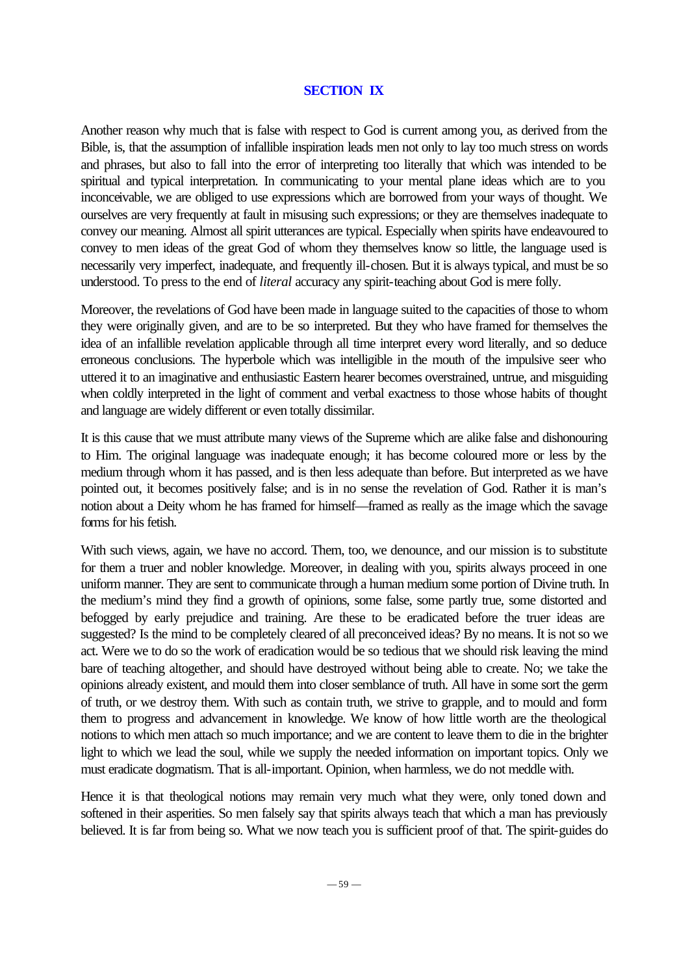Another reason why much that is false with respect to God is current among you, as derived from the Bible, is, that the assumption of infallible inspiration leads men not only to lay too much stress on words and phrases, but also to fall into the error of interpreting too literally that which was intended to be spiritual and typical interpretation. In communicating to your mental plane ideas which are to you inconceivable, we are obliged to use expressions which are borrowed from your ways of thought. We ourselves are very frequently at fault in misusing such expressions; or they are themselves inadequate to convey our meaning. Almost all spirit utterances are typical. Especially when spirits have endeavoured to convey to men ideas of the great God of whom they themselves know so little, the language used is necessarily very imperfect, inadequate, and frequently ill-chosen. But it is always typical, and must be so understood. To press to the end of *literal* accuracy any spirit-teaching about God is mere folly.

Moreover, the revelations of God have been made in language suited to the capacities of those to whom they were originally given, and are to be so interpreted. But they who have framed for themselves the idea of an infallible revelation applicable through all time interpret every word literally, and so deduce erroneous conclusions. The hyperbole which was intelligible in the mouth of the impulsive seer who uttered it to an imaginative and enthusiastic Eastern hearer becomes overstrained, untrue, and misguiding when coldly interpreted in the light of comment and verbal exactness to those whose habits of thought and language are widely different or even totally dissimilar.

It is this cause that we must attribute many views of the Supreme which are alike false and dishonouring to Him. The original language was inadequate enough; it has become coloured more or less by the medium through whom it has passed, and is then less adequate than before. But interpreted as we have pointed out, it becomes positively false; and is in no sense the revelation of God. Rather it is man's notion about a Deity whom he has framed for himself—framed as really as the image which the savage forms for his fetish.

With such views, again, we have no accord. Them, too, we denounce, and our mission is to substitute for them a truer and nobler knowledge. Moreover, in dealing with you, spirits always proceed in one uniform manner. They are sent to communicate through a human medium some portion of Divine truth. In the medium's mind they find a growth of opinions, some false, some partly true, some distorted and befogged by early prejudice and training. Are these to be eradicated before the truer ideas are suggested? Is the mind to be completely cleared of all preconceived ideas? By no means. It is not so we act. Were we to do so the work of eradication would be so tedious that we should risk leaving the mind bare of teaching altogether, and should have destroyed without being able to create. No; we take the opinions already existent, and mould them into closer semblance of truth. All have in some sort the germ of truth, or we destroy them. With such as contain truth, we strive to grapple, and to mould and form them to progress and advancement in knowledge. We know of how little worth are the theological notions to which men attach so much importance; and we are content to leave them to die in the brighter light to which we lead the soul, while we supply the needed information on important topics. Only we must eradicate dogmatism. That is all-important. Opinion, when harmless, we do not meddle with.

Hence it is that theological notions may remain very much what they were, only toned down and softened in their asperities. So men falsely say that spirits always teach that which a man has previously believed. It is far from being so. What we now teach you is sufficient proof of that. The spirit-guides do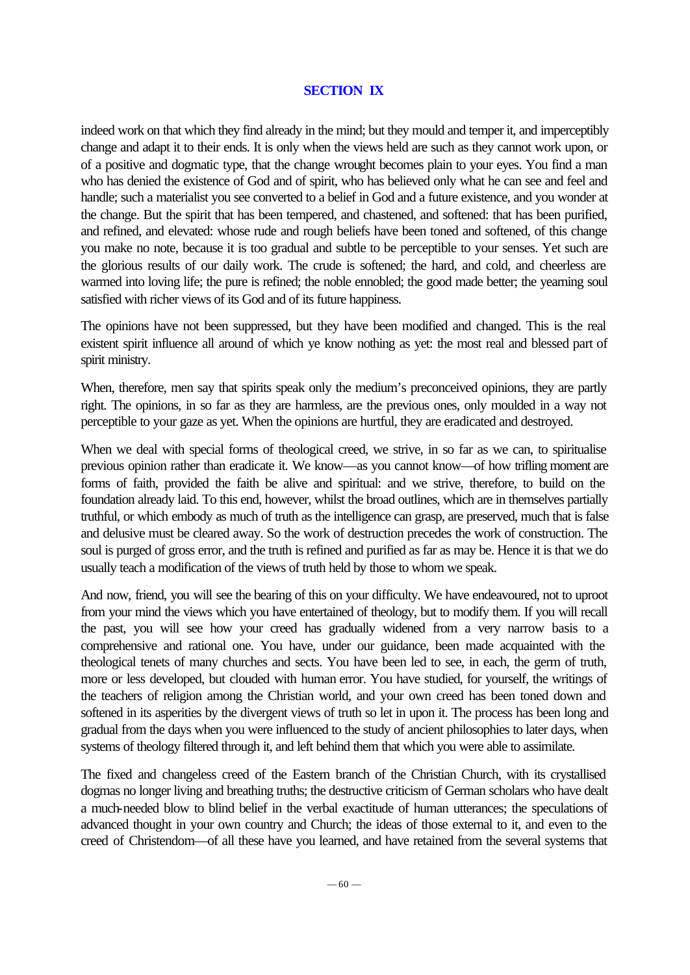indeed work on that which they find already in the mind; but they mould and temper it, and imperceptibly change and adapt it to their ends. It is only when the views held are such as they cannot work upon, or of a positive and dogmatic type, that the change wrought becomes plain to your eyes. You find a man who has denied the existence of God and of spirit, who has believed only what he can see and feel and handle; such a materialist you see converted to a belief in God and a future existence, and you wonder at the change. But the spirit that has been tempered, and chastened, and softened: that has been purified, and refined, and elevated: whose rude and rough beliefs have been toned and softened, of this change you make no note, because it is too gradual and subtle to be perceptible to your senses. Yet such are the glorious results of our daily work. The crude is softened; the hard, and cold, and cheerless are warmed into loving life; the pure is refined; the noble ennobled; the good made better; the yearning soul satisfied with richer views of its God and of its future happiness.

The opinions have not been suppressed, but they have been modified and changed. This is the real existent spirit influence all around of which ye know nothing as yet: the most real and blessed part of spirit ministry.

When, therefore, men say that spirits speak only the medium's preconceived opinions, they are partly right. The opinions, in so far as they are harmless, are the previous ones, only moulded in a way not perceptible to your gaze as yet. When the opinions are hurtful, they are eradicated and destroyed.

When we deal with special forms of theological creed, we strive, in so far as we can, to spiritualise previous opinion rather than eradicate it. We know—as you cannot know—of how trifling moment are forms of faith, provided the faith be alive and spiritual: and we strive, therefore, to build on the foundation already laid. To this end, however, whilst the broad outlines, which are in themselves partially truthful, or which embody as much of truth as the intelligence can grasp, are preserved, much that is false and delusive must be cleared away. So the work of destruction precedes the work of construction. The soul is purged of gross error, and the truth is refined and purified as far as may be. Hence it is that we do usually teach a modification of the views of truth held by those to whom we speak.

And now, friend, you will see the bearing of this on your difficulty. We have endeavoured, not to uproot from your mind the views which you have entertained of theology, but to modify them. If you will recall the past, you will see how your creed has gradually widened from a very narrow basis to a comprehensive and rational one. You have, under our guidance, been made acquainted with the theological tenets of many churches and sects. You have been led to see, in each, the germ of truth, more or less developed, but clouded with human error. You have studied, for yourself, the writings of the teachers of religion among the Christian world, and your own creed has been toned down and softened in its asperities by the divergent views of truth so let in upon it. The process has been long and gradual from the days when you were influenced to the study of ancient philosophies to later days, when systems of theology filtered through it, and left behind them that which you were able to assimilate.

The fixed and changeless creed of the Eastern branch of the Christian Church, with its crystallised dogmas no longer living and breathing truths; the destructive criticism of German scholars who have dealt a much-needed blow to blind belief in the verbal exactitude of human utterances; the speculations of advanced thought in your own country and Church; the ideas of those external to it, and even to the creed of Christendom—of all these have you learned, and have retained from the several systems that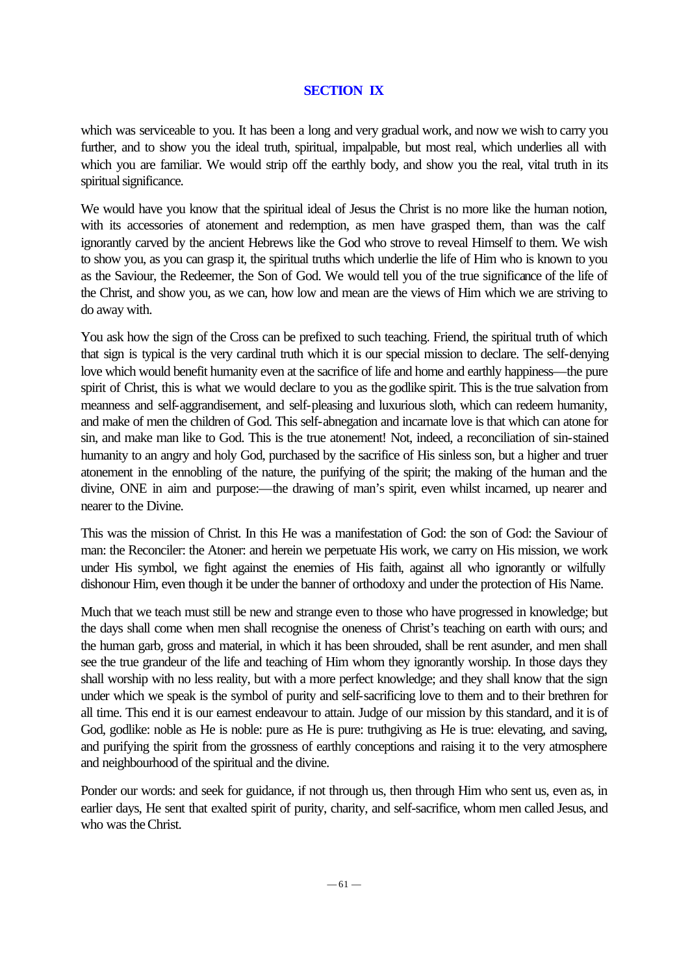which was serviceable to you. It has been a long and very gradual work, and now we wish to carry you further, and to show you the ideal truth, spiritual, impalpable, but most real, which underlies all with which you are familiar. We would strip off the earthly body, and show you the real, vital truth in its spiritual significance.

We would have you know that the spiritual ideal of Jesus the Christ is no more like the human notion, with its accessories of atonement and redemption, as men have grasped them, than was the calf ignorantly carved by the ancient Hebrews like the God who strove to reveal Himself to them. We wish to show you, as you can grasp it, the spiritual truths which underlie the life of Him who is known to you as the Saviour, the Redeemer, the Son of God. We would tell you of the true significance of the life of the Christ, and show you, as we can, how low and mean are the views of Him which we are striving to do away with.

You ask how the sign of the Cross can be prefixed to such teaching. Friend, the spiritual truth of which that sign is typical is the very cardinal truth which it is our special mission to declare. The self-denying love which would benefit humanity even at the sacrifice of life and home and earthly happiness—the pure spirit of Christ, this is what we would declare to you as the godlike spirit. This is the true salvation from meanness and self-aggrandisement, and self-pleasing and luxurious sloth, which can redeem humanity, and make of men the children of God. This self-abnegation and incarnate love is that which can atone for sin, and make man like to God. This is the true atonement! Not, indeed, a reconciliation of sin-stained humanity to an angry and holy God, purchased by the sacrifice of His sinless son, but a higher and truer atonement in the ennobling of the nature, the purifying of the spirit; the making of the human and the divine, ONE in aim and purpose:—the drawing of man's spirit, even whilst incarned, up nearer and nearer to the Divine.

This was the mission of Christ. In this He was a manifestation of God: the son of God: the Saviour of man: the Reconciler: the Atoner: and herein we perpetuate His work, we carry on His mission, we work under His symbol, we fight against the enemies of His faith, against all who ignorantly or wilfully dishonour Him, even though it be under the banner of orthodoxy and under the protection of His Name.

Much that we teach must still be new and strange even to those who have progressed in knowledge; but the days shall come when men shall recognise the oneness of Christ's teaching on earth with ours; and the human garb, gross and material, in which it has been shrouded, shall be rent asunder, and men shall see the true grandeur of the life and teaching of Him whom they ignorantly worship. In those days they shall worship with no less reality, but with a more perfect knowledge; and they shall know that the sign under which we speak is the symbol of purity and self-sacrificing love to them and to their brethren for all time. This end it is our earnest endeavour to attain. Judge of our mission by this standard, and it is of God, godlike: noble as He is noble: pure as He is pure: truthgiving as He is true: elevating, and saving, and purifying the spirit from the grossness of earthly conceptions and raising it to the very atmosphere and neighbourhood of the spiritual and the divine.

Ponder our words: and seek for guidance, if not through us, then through Him who sent us, even as, in earlier days, He sent that exalted spirit of purity, charity, and self-sacrifice, whom men called Jesus, and who was the Christ.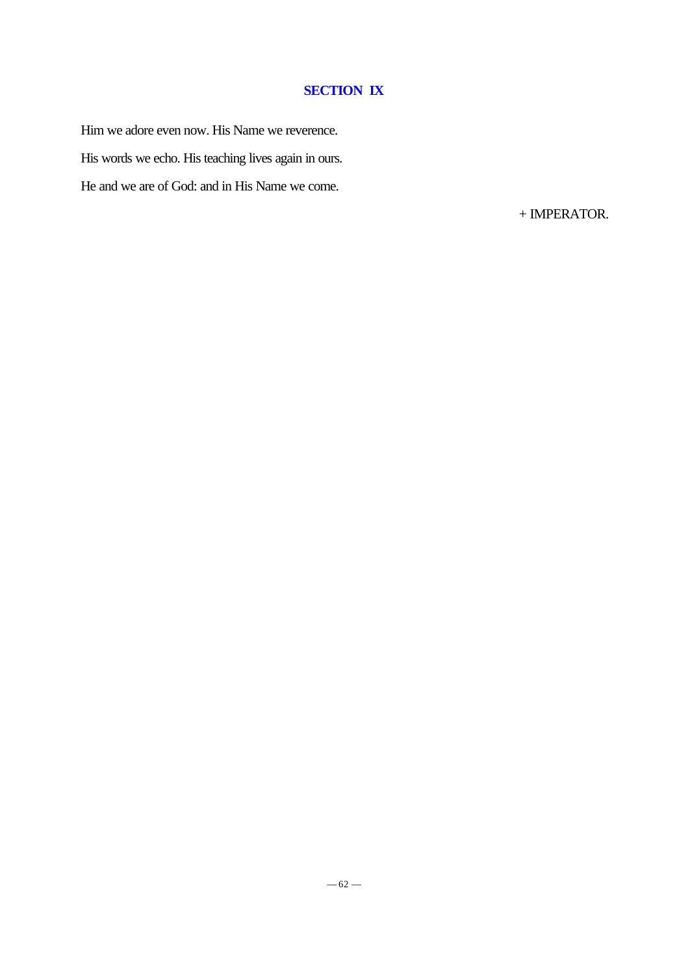Him we adore even now. His Name we reverence. His words we echo. His teaching lives again in ours. He and we are of God: and in His Name we come.

+ IMPERATOR.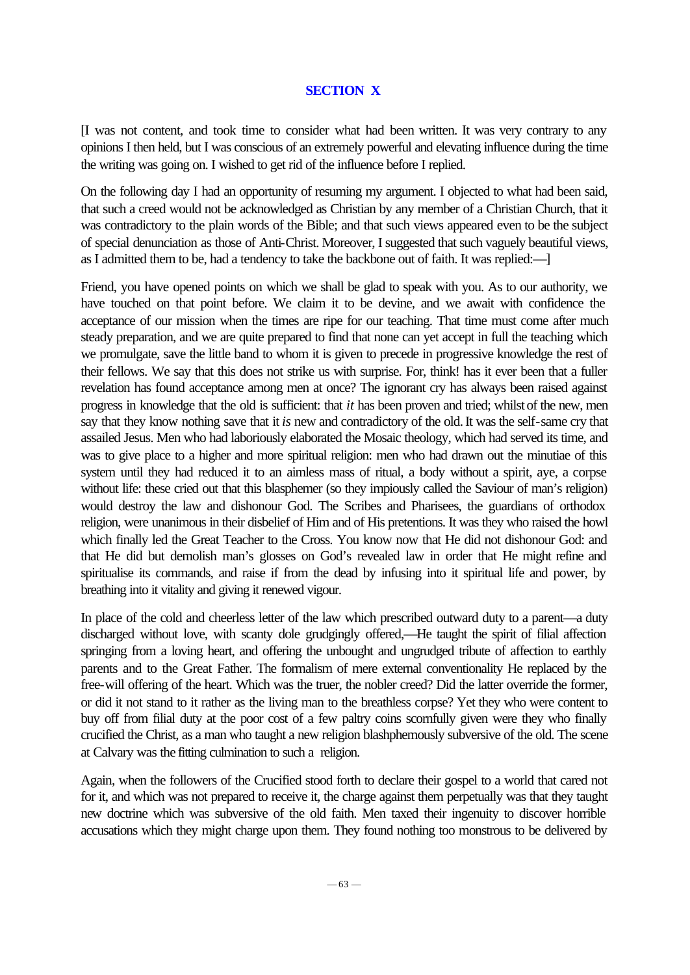[I was not content, and took time to consider what had been written. It was very contrary to any opinions I then held, but I was conscious of an extremely powerful and elevating influence during the time the writing was going on. I wished to get rid of the influence before I replied.

On the following day I had an opportunity of resuming my argument. I objected to what had been said, that such a creed would not be acknowledged as Christian by any member of a Christian Church, that it was contradictory to the plain words of the Bible; and that such views appeared even to be the subject of special denunciation as those of Anti-Christ. Moreover, I suggested that such vaguely beautiful views, as I admitted them to be, had a tendency to take the backbone out of faith. It was replied:—]

Friend, you have opened points on which we shall be glad to speak with you. As to our authority, we have touched on that point before. We claim it to be devine, and we await with confidence the acceptance of our mission when the times are ripe for our teaching. That time must come after much steady preparation, and we are quite prepared to find that none can yet accept in full the teaching which we promulgate, save the little band to whom it is given to precede in progressive knowledge the rest of their fellows. We say that this does not strike us with surprise. For, think! has it ever been that a fuller revelation has found acceptance among men at once? The ignorant cry has always been raised against progress in knowledge that the old is sufficient: that *it* has been proven and tried; whilst of the new, men say that they know nothing save that it *is* new and contradictory of the old. It was the self-same cry that assailed Jesus. Men who had laboriously elaborated the Mosaic theology, which had served its time, and was to give place to a higher and more spiritual religion: men who had drawn out the minutiae of this system until they had reduced it to an aimless mass of ritual, a body without a spirit, aye, a corpse without life: these cried out that this blasphemer (so they impiously called the Saviour of man's religion) would destroy the law and dishonour God. The Scribes and Pharisees, the guardians of orthodox religion, were unanimous in their disbelief of Him and of His pretentions. It was they who raised the howl which finally led the Great Teacher to the Cross. You know now that He did not dishonour God: and that He did but demolish man's glosses on God's revealed law in order that He might refine and spiritualise its commands, and raise if from the dead by infusing into it spiritual life and power, by breathing into it vitality and giving it renewed vigour.

In place of the cold and cheerless letter of the law which prescribed outward duty to a parent—a duty discharged without love, with scanty dole grudgingly offered,—He taught the spirit of filial affection springing from a loving heart, and offering the unbought and ungrudged tribute of affection to earthly parents and to the Great Father. The formalism of mere external conventionality He replaced by the free-will offering of the heart. Which was the truer, the nobler creed? Did the latter override the former, or did it not stand to it rather as the living man to the breathless corpse? Yet they who were content to buy off from filial duty at the poor cost of a few paltry coins scornfully given were they who finally crucified the Christ, as a man who taught a new religion blashphemously subversive of the old. The scene at Calvary was the fitting culmination to such a religion.

Again, when the followers of the Crucified stood forth to declare their gospel to a world that cared not for it, and which was not prepared to receive it, the charge against them perpetually was that they taught new doctrine which was subversive of the old faith. Men taxed their ingenuity to discover horrible accusations which they might charge upon them. They found nothing too monstrous to be delivered by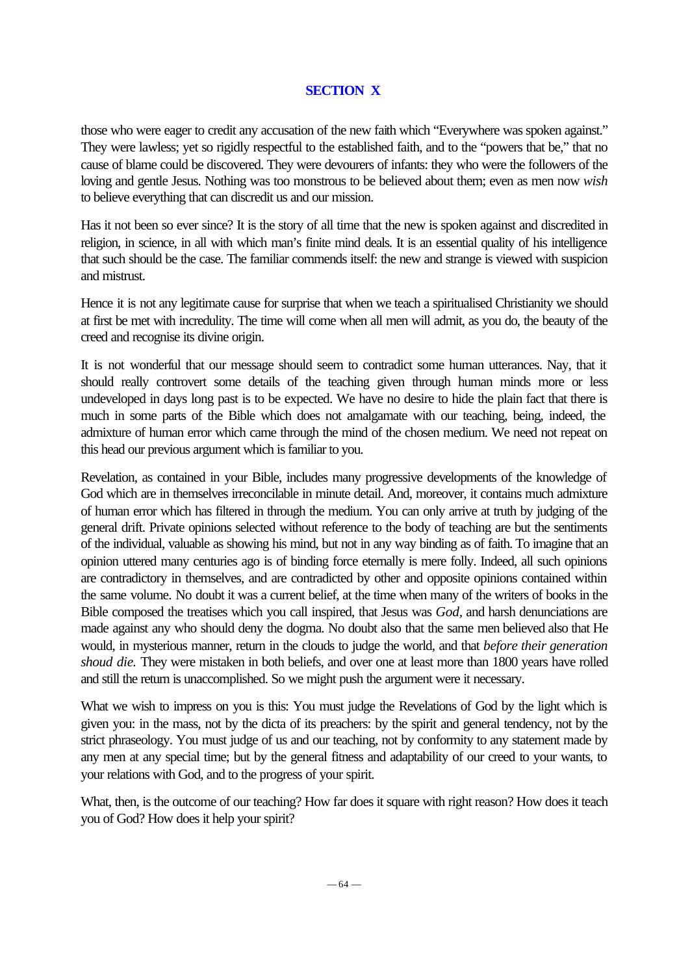those who were eager to credit any accusation of the new faith which "Everywhere was spoken against." They were lawless; yet so rigidly respectful to the established faith, and to the "powers that be," that no cause of blame could be discovered. They were devourers of infants: they who were the followers of the loving and gentle Jesus. Nothing was too monstrous to be believed about them; even as men now *wish*  to believe everything that can discredit us and our mission.

Has it not been so ever since? It is the story of all time that the new is spoken against and discredited in religion, in science, in all with which man's finite mind deals. It is an essential quality of his intelligence that such should be the case. The familiar commends itself: the new and strange is viewed with suspicion and mistrust.

Hence it is not any legitimate cause for surprise that when we teach a spiritualised Christianity we should at first be met with incredulity. The time will come when all men will admit, as you do, the beauty of the creed and recognise its divine origin.

It is not wonderful that our message should seem to contradict some human utterances. Nay, that it should really controvert some details of the teaching given through human minds more or less undeveloped in days long past is to be expected. We have no desire to hide the plain fact that there is much in some parts of the Bible which does not amalgamate with our teaching, being, indeed, the admixture of human error which came through the mind of the chosen medium. We need not repeat on this head our previous argument which is familiar to you.

Revelation, as contained in your Bible, includes many progressive developments of the knowledge of God which are in themselves irreconcilable in minute detail. And, moreover, it contains much admixture of human error which has filtered in through the medium. You can only arrive at truth by judging of the general drift. Private opinions selected without reference to the body of teaching are but the sentiments of the individual, valuable as showing his mind, but not in any way binding as of faith. To imagine that an opinion uttered many centuries ago is of binding force eternally is mere folly. Indeed, all such opinions are contradictory in themselves, and are contradicted by other and opposite opinions contained within the same volume. No doubt it was a current belief, at the time when many of the writers of books in the Bible composed the treatises which you call inspired, that Jesus was *God,* and harsh denunciations are made against any who should deny the dogma. No doubt also that the same men believed also that He would, in mysterious manner, return in the clouds to judge the world, and that *before their generation shoud die.* They were mistaken in both beliefs, and over one at least more than 1800 years have rolled and still the return is unaccomplished. So we might push the argument were it necessary.

What we wish to impress on you is this: You must judge the Revelations of God by the light which is given you: in the mass, not by the dicta of its preachers: by the spirit and general tendency, not by the strict phraseology. You must judge of us and our teaching, not by conformity to any statement made by any men at any special time; but by the general fitness and adaptability of our creed to your wants, to your relations with God, and to the progress of your spirit.

What, then, is the outcome of our teaching? How far does it square with right reason? How does it teach you of God? How does it help your spirit?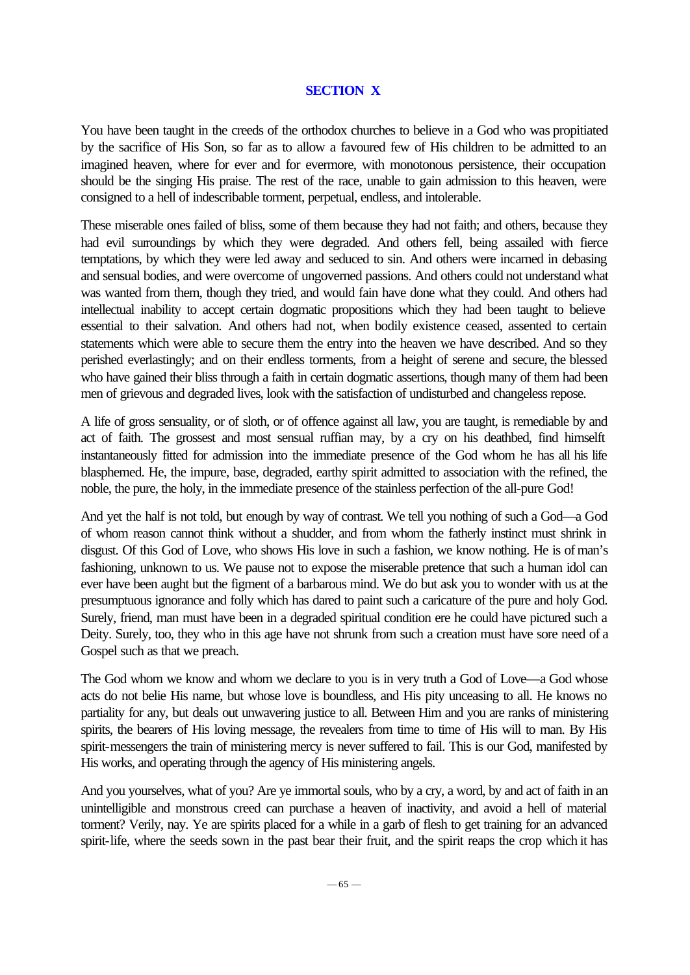You have been taught in the creeds of the orthodox churches to believe in a God who was propitiated by the sacrifice of His Son, so far as to allow a favoured few of His children to be admitted to an imagined heaven, where for ever and for evermore, with monotonous persistence, their occupation should be the singing His praise. The rest of the race, unable to gain admission to this heaven, were consigned to a hell of indescribable torment, perpetual, endless, and intolerable.

These miserable ones failed of bliss, some of them because they had not faith; and others, because they had evil surroundings by which they were degraded. And others fell, being assailed with fierce temptations, by which they were led away and seduced to sin. And others were incarned in debasing and sensual bodies, and were overcome of ungoverned passions. And others could not understand what was wanted from them, though they tried, and would fain have done what they could. And others had intellectual inability to accept certain dogmatic propositions which they had been taught to believe essential to their salvation. And others had not, when bodily existence ceased, assented to certain statements which were able to secure them the entry into the heaven we have described. And so they perished everlastingly; and on their endless torments, from a height of serene and secure, the blessed who have gained their bliss through a faith in certain dogmatic assertions, though many of them had been men of grievous and degraded lives, look with the satisfaction of undisturbed and changeless repose.

A life of gross sensuality, or of sloth, or of offence against all law, you are taught, is remediable by and act of faith. The grossest and most sensual ruffian may, by a cry on his deathbed, find himselft instantaneously fitted for admission into the immediate presence of the God whom he has all his life blasphemed. He, the impure, base, degraded, earthy spirit admitted to association with the refined, the noble, the pure, the holy, in the immediate presence of the stainless perfection of the all-pure God!

And yet the half is not told, but enough by way of contrast. We tell you nothing of such a God—a God of whom reason cannot think without a shudder, and from whom the fatherly instinct must shrink in disgust. Of this God of Love, who shows His love in such a fashion, we know nothing. He is of man's fashioning, unknown to us. We pause not to expose the miserable pretence that such a human idol can ever have been aught but the figment of a barbarous mind. We do but ask you to wonder with us at the presumptuous ignorance and folly which has dared to paint such a caricature of the pure and holy God. Surely, friend, man must have been in a degraded spiritual condition ere he could have pictured such a Deity. Surely, too, they who in this age have not shrunk from such a creation must have sore need of a Gospel such as that we preach.

The God whom we know and whom we declare to you is in very truth a God of Love—a God whose acts do not belie His name, but whose love is boundless, and His pity unceasing to all. He knows no partiality for any, but deals out unwavering justice to all. Between Him and you are ranks of ministering spirits, the bearers of His loving message, the revealers from time to time of His will to man. By His spirit-messengers the train of ministering mercy is never suffered to fail. This is our God, manifested by His works, and operating through the agency of His ministering angels.

And you yourselves, what of you? Are ye immortal souls, who by a cry, a word, by and act of faith in an unintelligible and monstrous creed can purchase a heaven of inactivity, and avoid a hell of material torment? Verily, nay. Ye are spirits placed for a while in a garb of flesh to get training for an advanced spirit-life, where the seeds sown in the past bear their fruit, and the spirit reaps the crop which it has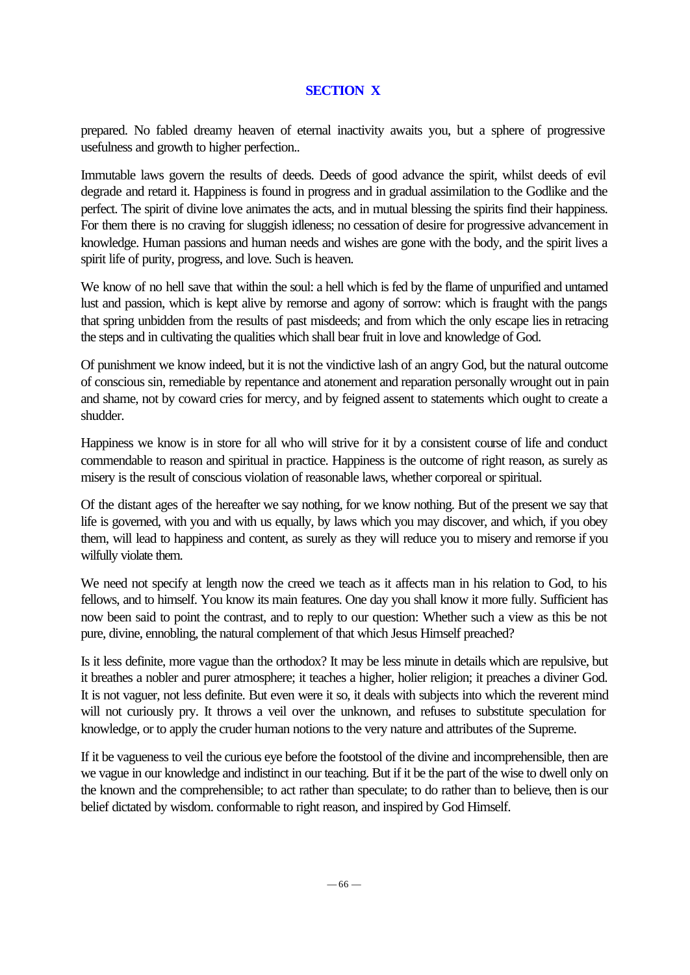prepared. No fabled dreamy heaven of eternal inactivity awaits you, but a sphere of progressive usefulness and growth to higher perfection..

Immutable laws govern the results of deeds. Deeds of good advance the spirit, whilst deeds of evil degrade and retard it. Happiness is found in progress and in gradual assimilation to the Godlike and the perfect. The spirit of divine love animates the acts, and in mutual blessing the spirits find their happiness. For them there is no craving for sluggish idleness; no cessation of desire for progressive advancement in knowledge. Human passions and human needs and wishes are gone with the body, and the spirit lives a spirit life of purity, progress, and love. Such is heaven.

We know of no hell save that within the soul: a hell which is fed by the flame of unpurified and untamed lust and passion, which is kept alive by remorse and agony of sorrow: which is fraught with the pangs that spring unbidden from the results of past misdeeds; and from which the only escape lies in retracing the steps and in cultivating the qualities which shall bear fruit in love and knowledge of God.

Of punishment we know indeed, but it is not the vindictive lash of an angry God, but the natural outcome of conscious sin, remediable by repentance and atonement and reparation personally wrought out in pain and shame, not by coward cries for mercy, and by feigned assent to statements which ought to create a shudder.

Happiness we know is in store for all who will strive for it by a consistent course of life and conduct commendable to reason and spiritual in practice. Happiness is the outcome of right reason, as surely as misery is the result of conscious violation of reasonable laws, whether corporeal or spiritual.

Of the distant ages of the hereafter we say nothing, for we know nothing. But of the present we say that life is governed, with you and with us equally, by laws which you may discover, and which, if you obey them, will lead to happiness and content, as surely as they will reduce you to misery and remorse if you wilfully violate them.

We need not specify at length now the creed we teach as it affects man in his relation to God, to his fellows, and to himself. You know its main features. One day you shall know it more fully. Sufficient has now been said to point the contrast, and to reply to our question: Whether such a view as this be not pure, divine, ennobling, the natural complement of that which Jesus Himself preached?

Is it less definite, more vague than the orthodox? It may be less minute in details which are repulsive, but it breathes a nobler and purer atmosphere; it teaches a higher, holier religion; it preaches a diviner God. It is not vaguer, not less definite. But even were it so, it deals with subjects into which the reverent mind will not curiously pry. It throws a veil over the unknown, and refuses to substitute speculation for knowledge, or to apply the cruder human notions to the very nature and attributes of the Supreme.

If it be vagueness to veil the curious eye before the footstool of the divine and incomprehensible, then are we vague in our knowledge and indistinct in our teaching. But if it be the part of the wise to dwell only on the known and the comprehensible; to act rather than speculate; to do rather than to believe, then is our belief dictated by wisdom. conformable to right reason, and inspired by God Himself.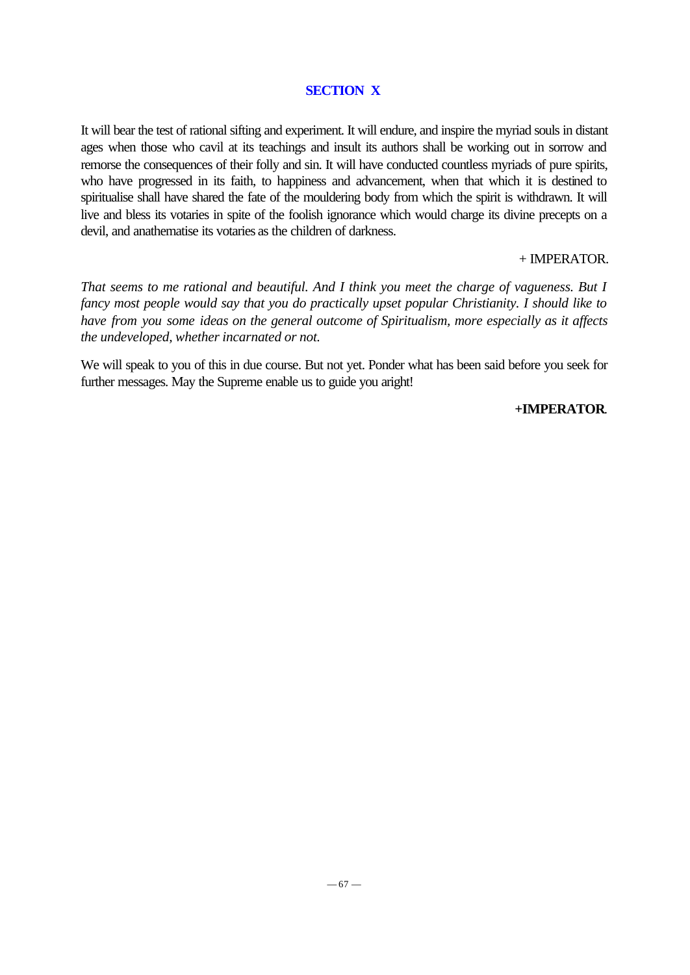It will bear the test of rational sifting and experiment. It will endure, and inspire the myriad souls in distant ages when those who cavil at its teachings and insult its authors shall be working out in sorrow and remorse the consequences of their folly and sin. It will have conducted countless myriads of pure spirits, who have progressed in its faith, to happiness and advancement, when that which it is destined to spiritualise shall have shared the fate of the mouldering body from which the spirit is withdrawn. It will live and bless its votaries in spite of the foolish ignorance which would charge its divine precepts on a devil, and anathematise its votaries as the children of darkness.

#### + IMPERATOR.

*That seems to me rational and beautiful. And I think you meet the charge of vagueness. But I fancy most people would say that you do practically upset popular Christianity. I should like to have from you some ideas on the general outcome of Spiritualism, more especially as it affects the undeveloped, whether incarnated or not.*

We will speak to you of this in due course. But not yet. Ponder what has been said before you seek for further messages. May the Supreme enable us to guide you aright!

#### **+IMPERATOR**.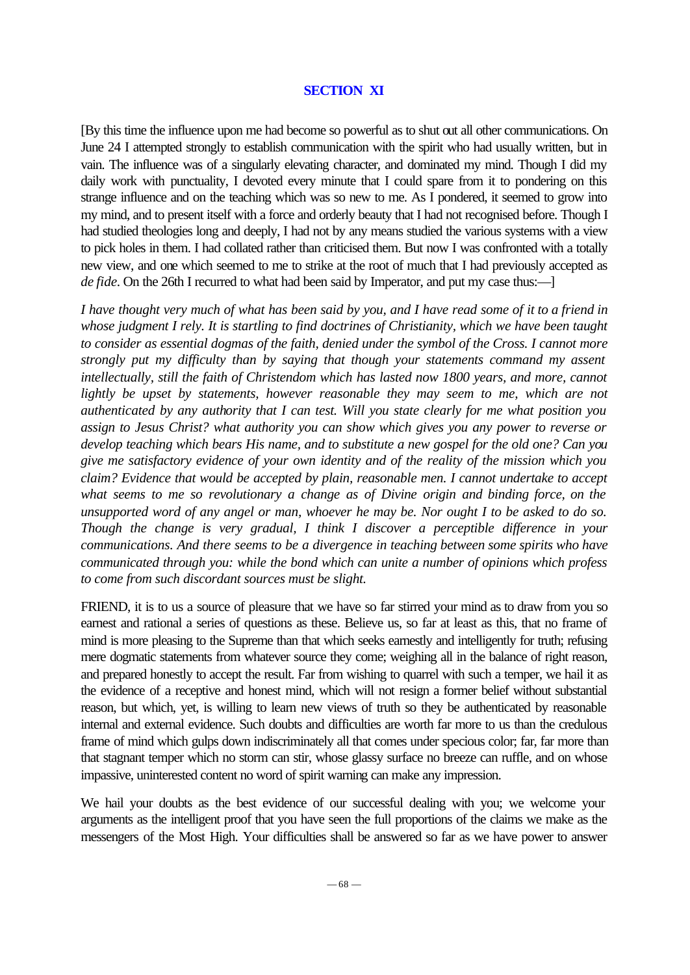[By this time the influence upon me had become so powerful as to shut out all other communications. On June 24 I attempted strongly to establish communication with the spirit who had usually written, but in vain. The influence was of a singularly elevating character, and dominated my mind. Though I did my daily work with punctuality, I devoted every minute that I could spare from it to pondering on this strange influence and on the teaching which was so new to me. As I pondered, it seemed to grow into my mind, and to present itself with a force and orderly beauty that I had not recognised before. Though I had studied theologies long and deeply, I had not by any means studied the various systems with a view to pick holes in them. I had collated rather than criticised them. But now I was confronted with a totally new view, and one which seemed to me to strike at the root of much that I had previously accepted as *de fide.* On the 26th I recurred to what had been said by Imperator, and put my case thus:—]

*I have thought very much of what has been said by you, and I have read some of it to a friend in whose judgment I rely. It is startling to find doctrines of Christianity, which we have been taught to consider as essential dogmas of the faith, denied under the symbol of the Cross. I cannot more strongly put my difficulty than by saying that though your statements command my assent intellectually, still the faith of Christendom which has lasted now 1800 years, and more, cannot lightly be upset by statements, however reasonable they may seem to me, which are not authenticated by any authority that I can test. Will you state clearly for me what position you assign to Jesus Christ? what authority you can show which gives you any power to reverse or develop teaching which bears His name, and to substitute a new gospel for the old one? Can you give me satisfactory evidence of your own identity and of the reality of the mission which you claim? Evidence that would be accepted by plain, reasonable men. I cannot undertake to accept what seems to me so revolutionary a change as of Divine origin and binding force, on the unsupported word of any angel or man, whoever he may be. Nor ought I to be asked to do so. Though the change is very gradual, I think I discover a perceptible difference in your communications. And there seems to be a divergence in teaching between some spirits who have communicated through you: while the bond which can unite a number of opinions which profess to come from such discordant sources must be slight.*

FRIEND, it is to us a source of pleasure that we have so far stirred your mind as to draw from you so earnest and rational a series of questions as these. Believe us, so far at least as this, that no frame of mind is more pleasing to the Supreme than that which seeks earnestly and intelligently for truth; refusing mere dogmatic statements from whatever source they come; weighing all in the balance of right reason, and prepared honestly to accept the result. Far from wishing to quarrel with such a temper, we hail it as the evidence of a receptive and honest mind, which will not resign a former belief without substantial reason, but which, yet, is willing to learn new views of truth so they be authenticated by reasonable internal and external evidence. Such doubts and difficulties are worth far more to us than the credulous frame of mind which gulps down indiscriminately all that comes under specious color; far, far more than that stagnant temper which no storm can stir, whose glassy surface no breeze can ruffle, and on whose impassive, uninterested content no word of spirit warning can make any impression.

We hail your doubts as the best evidence of our successful dealing with you; we welcome your arguments as the intelligent proof that you have seen the full proportions of the claims we make as the messengers of the Most High. Your difficulties shall be answered so far as we have power to answer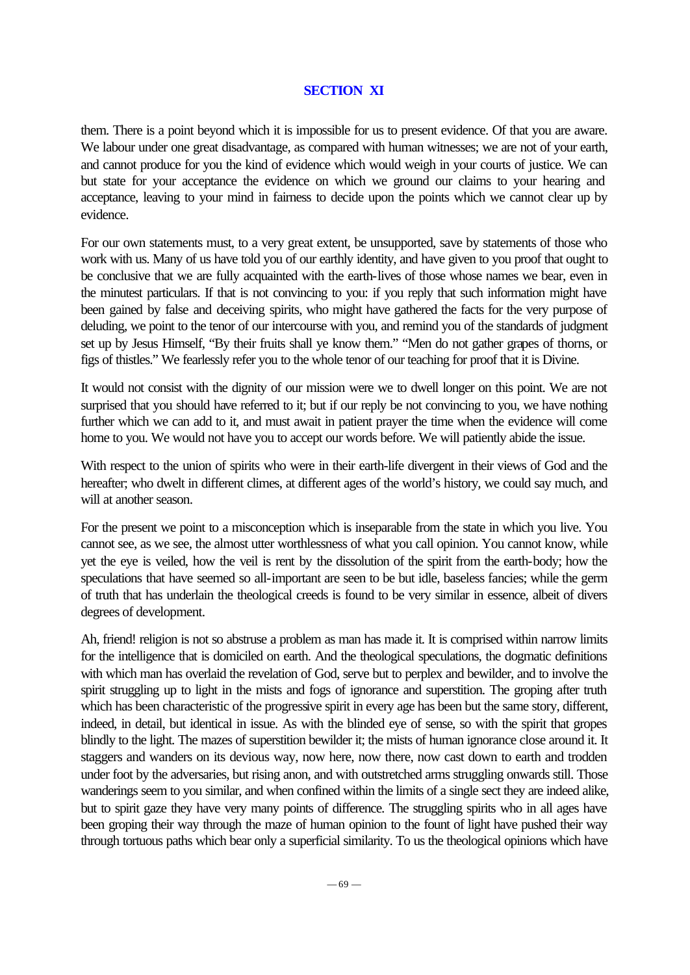them. There is a point beyond which it is impossible for us to present evidence. Of that you are aware. We labour under one great disadvantage, as compared with human witnesses; we are not of your earth, and cannot produce for you the kind of evidence which would weigh in your courts of justice. We can but state for your acceptance the evidence on which we ground our claims to your hearing and acceptance, leaving to your mind in fairness to decide upon the points which we cannot clear up by evidence.

For our own statements must, to a very great extent, be unsupported, save by statements of those who work with us. Many of us have told you of our earthly identity, and have given to you proof that ought to be conclusive that we are fully acquainted with the earth-lives of those whose names we bear, even in the minutest particulars. If that is not convincing to you: if you reply that such information might have been gained by false and deceiving spirits, who might have gathered the facts for the very purpose of deluding, we point to the tenor of our intercourse with you, and remind you of the standards of judgment set up by Jesus Himself, "By their fruits shall ye know them." "Men do not gather grapes of thorns, or figs of thistles." We fearlessly refer you to the whole tenor of our teaching for proof that it is Divine.

It would not consist with the dignity of our mission were we to dwell longer on this point. We are not surprised that you should have referred to it; but if our reply be not convincing to you, we have nothing further which we can add to it, and must await in patient prayer the time when the evidence will come home to you. We would not have you to accept our words before. We will patiently abide the issue.

With respect to the union of spirits who were in their earth-life divergent in their views of God and the hereafter; who dwelt in different climes, at different ages of the world's history, we could say much, and will at another season.

For the present we point to a misconception which is inseparable from the state in which you live. You cannot see, as we see, the almost utter worthlessness of what you call opinion. You cannot know, while yet the eye is veiled, how the veil is rent by the dissolution of the spirit from the earth-body; how the speculations that have seemed so all-important are seen to be but idle, baseless fancies; while the germ of truth that has underlain the theological creeds is found to be very similar in essence, albeit of divers degrees of development.

Ah, friend! religion is not so abstruse a problem as man has made it. It is comprised within narrow limits for the intelligence that is domiciled on earth. And the theological speculations, the dogmatic definitions with which man has overlaid the revelation of God, serve but to perplex and bewilder, and to involve the spirit struggling up to light in the mists and fogs of ignorance and superstition. The groping after truth which has been characteristic of the progressive spirit in every age has been but the same story, different, indeed, in detail, but identical in issue. As with the blinded eye of sense, so with the spirit that gropes blindly to the light. The mazes of superstition bewilder it; the mists of human ignorance close around it. It staggers and wanders on its devious way, now here, now there, now cast down to earth and trodden under foot by the adversaries, but rising anon, and with outstretched arms struggling onwards still. Those wanderings seem to you similar, and when confined within the limits of a single sect they are indeed alike, but to spirit gaze they have very many points of difference. The struggling spirits who in all ages have been groping their way through the maze of human opinion to the fount of light have pushed their way through tortuous paths which bear only a superficial similarity. To us the theological opinions which have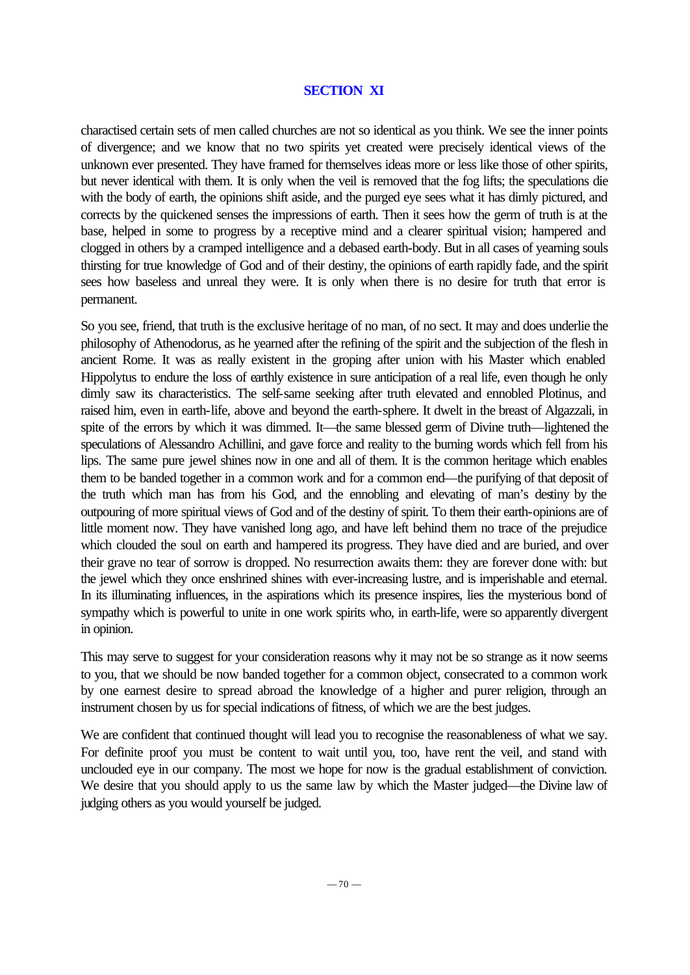charactised certain sets of men called churches are not so identical as you think. We see the inner points of divergence; and we know that no two spirits yet created were precisely identical views of the unknown ever presented. They have framed for themselves ideas more or less like those of other spirits, but never identical with them. It is only when the veil is removed that the fog lifts; the speculations die with the body of earth, the opinions shift aside, and the purged eye sees what it has dimly pictured, and corrects by the quickened senses the impressions of earth. Then it sees how the germ of truth is at the base, helped in some to progress by a receptive mind and a clearer spiritual vision; hampered and clogged in others by a cramped intelligence and a debased earth-body. But in all cases of yearning souls thirsting for true knowledge of God and of their destiny, the opinions of earth rapidly fade, and the spirit sees how baseless and unreal they were. It is only when there is no desire for truth that error is permanent.

So you see, friend, that truth is the exclusive heritage of no man, of no sect. It may and does underlie the philosophy of Athenodorus, as he yearned after the refining of the spirit and the subjection of the flesh in ancient Rome. It was as really existent in the groping after union with his Master which enabled Hippolytus to endure the loss of earthly existence in sure anticipation of a real life, even though he only dimly saw its characteristics. The self-same seeking after truth elevated and ennobled Plotinus, and raised him, even in earth-life, above and beyond the earth-sphere. It dwelt in the breast of Algazzali, in spite of the errors by which it was dimmed. It—the same blessed germ of Divine truth—lightened the speculations of Alessandro Achillini, and gave force and reality to the burning words which fell from his lips. The same pure jewel shines now in one and all of them. It is the common heritage which enables them to be banded together in a common work and for a common end—the purifying of that deposit of the truth which man has from his God, and the ennobling and elevating of man's destiny by the outpouring of more spiritual views of God and of the destiny of spirit. To them their earth-opinions are of little moment now. They have vanished long ago, and have left behind them no trace of the prejudice which clouded the soul on earth and hampered its progress. They have died and are buried, and over their grave no tear of sorrow is dropped. No resurrection awaits them: they are forever done with: but the jewel which they once enshrined shines with ever-increasing lustre, and is imperishable and eternal. In its illuminating influences, in the aspirations which its presence inspires, lies the mysterious bond of sympathy which is powerful to unite in one work spirits who, in earth-life, were so apparently divergent in opinion.

This may serve to suggest for your consideration reasons why it may not be so strange as it now seems to you, that we should be now banded together for a common object, consecrated to a common work by one earnest desire to spread abroad the knowledge of a higher and purer religion, through an instrument chosen by us for special indications of fitness, of which we are the best judges.

We are confident that continued thought will lead you to recognise the reasonableness of what we say. For definite proof you must be content to wait until you, too, have rent the veil, and stand with unclouded eye in our company. The most we hope for now is the gradual establishment of conviction. We desire that you should apply to us the same law by which the Master judged—the Divine law of judging others as you would yourself be judged.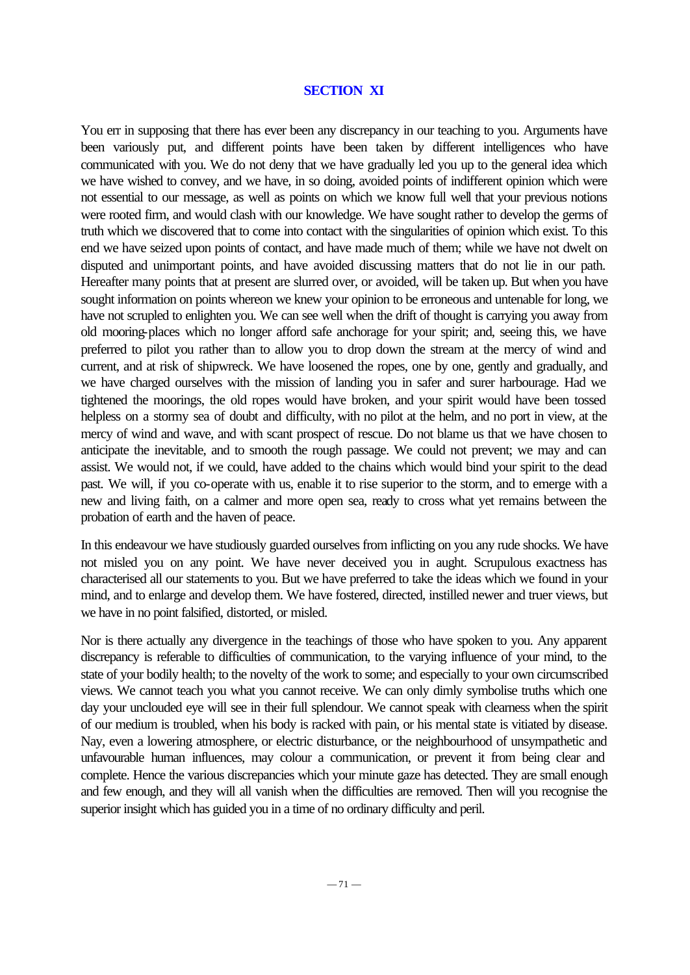You err in supposing that there has ever been any discrepancy in our teaching to you. Arguments have been variously put, and different points have been taken by different intelligences who have communicated with you. We do not deny that we have gradually led you up to the general idea which we have wished to convey, and we have, in so doing, avoided points of indifferent opinion which were not essential to our message, as well as points on which we know full well that your previous notions were rooted firm, and would clash with our knowledge. We have sought rather to develop the germs of truth which we discovered that to come into contact with the singularities of opinion which exist. To this end we have seized upon points of contact, and have made much of them; while we have not dwelt on disputed and unimportant points, and have avoided discussing matters that do not lie in our path. Hereafter many points that at present are slurred over, or avoided, will be taken up. But when you have sought information on points whereon we knew your opinion to be erroneous and untenable for long, we have not scrupled to enlighten you. We can see well when the drift of thought is carrying you away from old mooring-places which no longer afford safe anchorage for your spirit; and, seeing this, we have preferred to pilot you rather than to allow you to drop down the stream at the mercy of wind and current, and at risk of shipwreck. We have loosened the ropes, one by one, gently and gradually, and we have charged ourselves with the mission of landing you in safer and surer harbourage. Had we tightened the moorings, the old ropes would have broken, and your spirit would have been tossed helpless on a stormy sea of doubt and difficulty, with no pilot at the helm, and no port in view, at the mercy of wind and wave, and with scant prospect of rescue. Do not blame us that we have chosen to anticipate the inevitable, and to smooth the rough passage. We could not prevent; we may and can assist. We would not, if we could, have added to the chains which would bind your spirit to the dead past. We will, if you co-operate with us, enable it to rise superior to the storm, and to emerge with a new and living faith, on a calmer and more open sea, ready to cross what yet remains between the probation of earth and the haven of peace.

In this endeavour we have studiously guarded ourselves from inflicting on you any rude shocks. We have not misled you on any point. We have never deceived you in aught. Scrupulous exactness has characterised all our statements to you. But we have preferred to take the ideas which we found in your mind, and to enlarge and develop them. We have fostered, directed, instilled newer and truer views, but we have in no point falsified, distorted, or misled.

Nor is there actually any divergence in the teachings of those who have spoken to you. Any apparent discrepancy is referable to difficulties of communication, to the varying influence of your mind, to the state of your bodily health; to the novelty of the work to some; and especially to your own circumscribed views. We cannot teach you what you cannot receive. We can only dimly symbolise truths which one day your unclouded eye will see in their full splendour. We cannot speak with clearness when the spirit of our medium is troubled, when his body is racked with pain, or his mental state is vitiated by disease. Nay, even a lowering atmosphere, or electric disturbance, or the neighbourhood of unsympathetic and unfavourable human influences, may colour a communication, or prevent it from being clear and complete. Hence the various discrepancies which your minute gaze has detected. They are small enough and few enough, and they will all vanish when the difficulties are removed. Then will you recognise the superior insight which has guided you in a time of no ordinary difficulty and peril.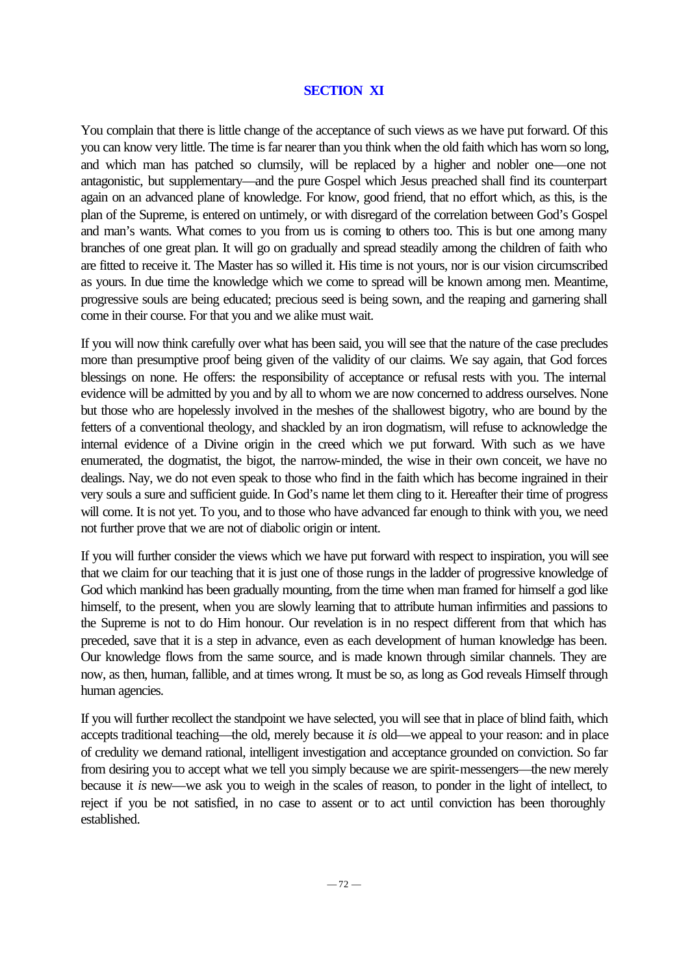You complain that there is little change of the acceptance of such views as we have put forward. Of this you can know very little. The time is far nearer than you think when the old faith which has worn so long, and which man has patched so clumsily, will be replaced by a higher and nobler one—one not antagonistic, but supplementary—and the pure Gospel which Jesus preached shall find its counterpart again on an advanced plane of knowledge. For know, good friend, that no effort which, as this, is the plan of the Supreme, is entered on untimely, or with disregard of the correlation between God's Gospel and man's wants. What comes to you from us is coming to others too. This is but one among many branches of one great plan. It will go on gradually and spread steadily among the children of faith who are fitted to receive it. The Master has so willed it. His time is not yours, nor is our vision circumscribed as yours. In due time the knowledge which we come to spread will be known among men. Meantime, progressive souls are being educated; precious seed is being sown, and the reaping and garnering shall come in their course. For that you and we alike must wait.

If you will now think carefully over what has been said, you will see that the nature of the case precludes more than presumptive proof being given of the validity of our claims. We say again, that God forces blessings on none. He offers: the responsibility of acceptance or refusal rests with you. The internal evidence will be admitted by you and by all to whom we are now concerned to address ourselves. None but those who are hopelessly involved in the meshes of the shallowest bigotry, who are bound by the fetters of a conventional theology, and shackled by an iron dogmatism, will refuse to acknowledge the internal evidence of a Divine origin in the creed which we put forward. With such as we have enumerated, the dogmatist, the bigot, the narrow-minded, the wise in their own conceit, we have no dealings. Nay, we do not even speak to those who find in the faith which has become ingrained in their very souls a sure and sufficient guide. In God's name let them cling to it. Hereafter their time of progress will come. It is not yet. To you, and to those who have advanced far enough to think with you, we need not further prove that we are not of diabolic origin or intent.

If you will further consider the views which we have put forward with respect to inspiration, you will see that we claim for our teaching that it is just one of those rungs in the ladder of progressive knowledge of God which mankind has been gradually mounting, from the time when man framed for himself a god like himself, to the present, when you are slowly learning that to attribute human infirmities and passions to the Supreme is not to do Him honour. Our revelation is in no respect different from that which has preceded, save that it is a step in advance, even as each development of human knowledge has been. Our knowledge flows from the same source, and is made known through similar channels. They are now, as then, human, fallible, and at times wrong. It must be so, as long as God reveals Himself through human agencies.

If you will further recollect the standpoint we have selected, you will see that in place of blind faith, which accepts traditional teaching—the old, merely because it *is* old—we appeal to your reason: and in place of credulity we demand rational, intelligent investigation and acceptance grounded on conviction. So far from desiring you to accept what we tell you simply because we are spirit-messengers—the new merely because it *is* new—we ask you to weigh in the scales of reason, to ponder in the light of intellect, to reject if you be not satisfied, in no case to assent or to act until conviction has been thoroughly established.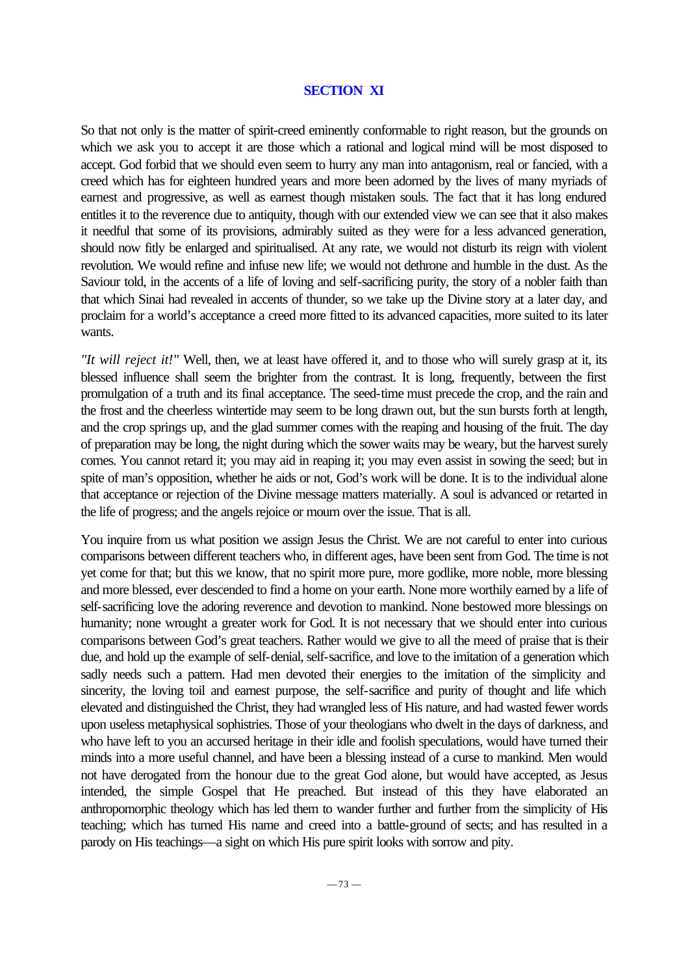So that not only is the matter of spirit-creed eminently conformable to right reason, but the grounds on which we ask you to accept it are those which a rational and logical mind will be most disposed to accept. God forbid that we should even seem to hurry any man into antagonism, real or fancied, with a creed which has for eighteen hundred years and more been adorned by the lives of many myriads of earnest and progressive, as well as earnest though mistaken souls. The fact that it has long endured entitles it to the reverence due to antiquity, though with our extended view we can see that it also makes it needful that some of its provisions, admirably suited as they were for a less advanced generation, should now fitly be enlarged and spiritualised. At any rate, we would not disturb its reign with violent revolution. We would refine and infuse new life; we would not dethrone and humble in the dust. As the Saviour told, in the accents of a life of loving and self-sacrificing purity, the story of a nobler faith than that which Sinai had revealed in accents of thunder, so we take up the Divine story at a later day, and proclaim for a world's acceptance a creed more fitted to its advanced capacities, more suited to its later wants.

*"It will reject it!"* Well, then, we at least have offered it, and to those who will surely grasp at it, its blessed influence shall seem the brighter from the contrast. It is long, frequently, between the first promulgation of a truth and its final acceptance. The seed-time must precede the crop, and the rain and the frost and the cheerless wintertide may seem to be long drawn out, but the sun bursts forth at length, and the crop springs up, and the glad summer comes with the reaping and housing of the fruit. The day of preparation may be long, the night during which the sower waits may be weary, but the harvest surely comes. You cannot retard it; you may aid in reaping it; you may even assist in sowing the seed; but in spite of man's opposition, whether he aids or not, God's work will be done. It is to the individual alone that acceptance or rejection of the Divine message matters materially. A soul is advanced or retarted in the life of progress; and the angels rejoice or mourn over the issue. That is all.

You inquire from us what position we assign Jesus the Christ. We are not careful to enter into curious comparisons between different teachers who, in different ages, have been sent from God. The time is not yet come for that; but this we know, that no spirit more pure, more godlike, more noble, more blessing and more blessed, ever descended to find a home on your earth. None more worthily earned by a life of self-sacrificing love the adoring reverence and devotion to mankind. None bestowed more blessings on humanity; none wrought a greater work for God. It is not necessary that we should enter into curious comparisons between God's great teachers. Rather would we give to all the meed of praise that is their due, and hold up the example of self-denial, self-sacrifice, and love to the imitation of a generation which sadly needs such a pattern. Had men devoted their energies to the imitation of the simplicity and sincerity, the loving toil and earnest purpose, the self-sacrifice and purity of thought and life which elevated and distinguished the Christ, they had wrangled less of His nature, and had wasted fewer words upon useless metaphysical sophistries. Those of your theologians who dwelt in the days of darkness, and who have left to you an accursed heritage in their idle and foolish speculations, would have turned their minds into a more useful channel, and have been a blessing instead of a curse to mankind. Men would not have derogated from the honour due to the great God alone, but would have accepted, as Jesus intended, the simple Gospel that He preached. But instead of this they have elaborated an anthropomorphic theology which has led them to wander further and further from the simplicity of His teaching; which has turned His name and creed into a battle-ground of sects; and has resulted in a parody on His teachings—a sight on which His pure spirit looks with sorrow and pity.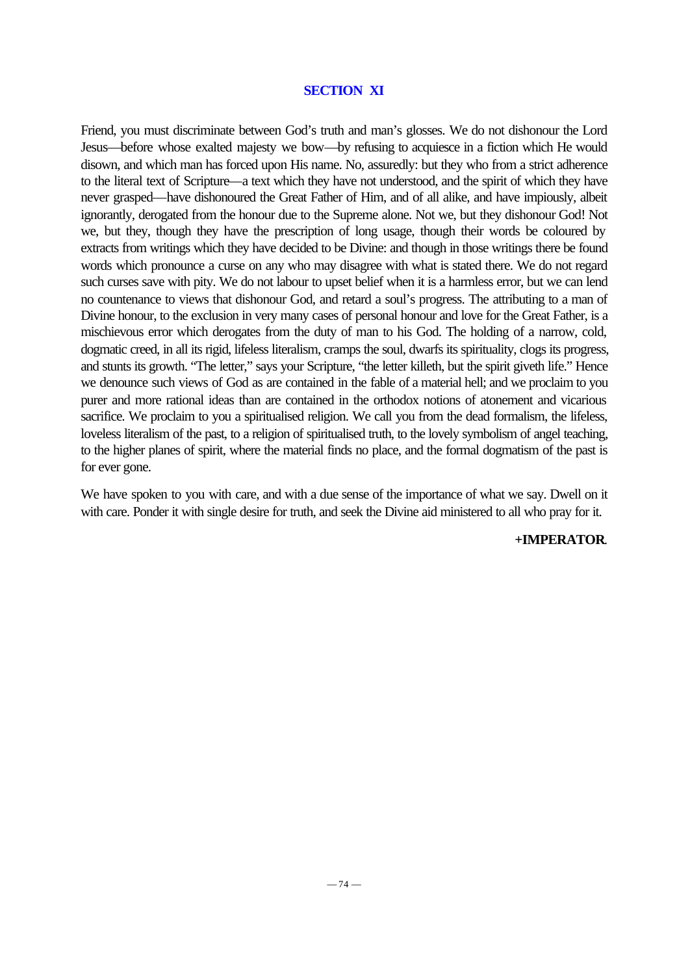Friend, you must discriminate between God's truth and man's glosses. We do not dishonour the Lord Jesus—before whose exalted majesty we bow—by refusing to acquiesce in a fiction which He would disown, and which man has forced upon His name. No, assuredly: but they who from a strict adherence to the literal text of Scripture—a text which they have not understood, and the spirit of which they have never grasped—have dishonoured the Great Father of Him, and of all alike, and have impiously, albeit ignorantly, derogated from the honour due to the Supreme alone. Not we, but they dishonour God! Not we, but they, though they have the prescription of long usage, though their words be coloured by extracts from writings which they have decided to be Divine: and though in those writings there be found words which pronounce a curse on any who may disagree with what is stated there. We do not regard such curses save with pity. We do not labour to upset belief when it is a harmless error, but we can lend no countenance to views that dishonour God, and retard a soul's progress. The attributing to a man of Divine honour, to the exclusion in very many cases of personal honour and love for the Great Father, is a mischievous error which derogates from the duty of man to his God. The holding of a narrow, cold, dogmatic creed, in all its rigid, lifeless literalism, cramps the soul, dwarfs its spirituality, clogs its progress, and stunts its growth. "The letter," says your Scripture, "the letter killeth, but the spirit giveth life." Hence we denounce such views of God as are contained in the fable of a material hell; and we proclaim to you purer and more rational ideas than are contained in the orthodox notions of atonement and vicarious sacrifice. We proclaim to you a spiritualised religion. We call you from the dead formalism, the lifeless, loveless literalism of the past, to a religion of spiritualised truth, to the lovely symbolism of angel teaching, to the higher planes of spirit, where the material finds no place, and the formal dogmatism of the past is for ever gone.

We have spoken to you with care, and with a due sense of the importance of what we say. Dwell on it with care. Ponder it with single desire for truth, and seek the Divine aid ministered to all who pray for it.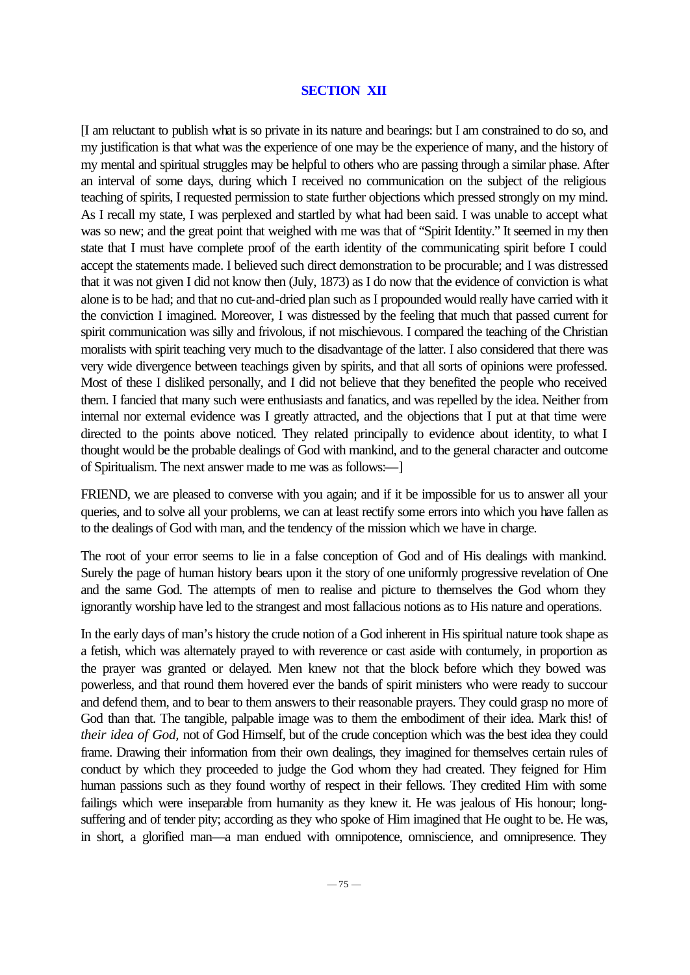[I am reluctant to publish what is so private in its nature and bearings: but I am constrained to do so, and my justification is that what was the experience of one may be the experience of many, and the history of my mental and spiritual struggles may be helpful to others who are passing through a similar phase. After an interval of some days, during which I received no communication on the subject of the religious teaching of spirits, I requested permission to state further objections which pressed strongly on my mind. As I recall my state, I was perplexed and startled by what had been said. I was unable to accept what was so new; and the great point that weighed with me was that of "Spirit Identity." It seemed in my then state that I must have complete proof of the earth identity of the communicating spirit before I could accept the statements made. I believed such direct demonstration to be procurable; and I was distressed that it was not given I did not know then (July, 1873) as I do now that the evidence of conviction is what alone is to be had; and that no cut-and-dried plan such as I propounded would really have carried with it the conviction I imagined. Moreover, I was distressed by the feeling that much that passed current for spirit communication was silly and frivolous, if not mischievous. I compared the teaching of the Christian moralists with spirit teaching very much to the disadvantage of the latter. I also considered that there was very wide divergence between teachings given by spirits, and that all sorts of opinions were professed. Most of these I disliked personally, and I did not believe that they benefited the people who received them. I fancied that many such were enthusiasts and fanatics, and was repelled by the idea. Neither from internal nor external evidence was I greatly attracted, and the objections that I put at that time were directed to the points above noticed. They related principally to evidence about identity, to what I thought would be the probable dealings of God with mankind, and to the general character and outcome of Spiritualism. The next answer made to me was as follows:—]

FRIEND, we are pleased to converse with you again; and if it be impossible for us to answer all your queries, and to solve all your problems, we can at least rectify some errors into which you have fallen as to the dealings of God with man, and the tendency of the mission which we have in charge.

The root of your error seems to lie in a false conception of God and of His dealings with mankind. Surely the page of human history bears upon it the story of one uniformly progressive revelation of One and the same God. The attempts of men to realise and picture to themselves the God whom they ignorantly worship have led to the strangest and most fallacious notions as to His nature and operations.

In the early days of man's history the crude notion of a God inherent in His spiritual nature took shape as a fetish, which was alternately prayed to with reverence or cast aside with contumely, in proportion as the prayer was granted or delayed. Men knew not that the block before which they bowed was powerless, and that round them hovered ever the bands of spirit ministers who were ready to succour and defend them, and to bear to them answers to their reasonable prayers. They could grasp no more of God than that. The tangible, palpable image was to them the embodiment of their idea. Mark this! of *their idea of God,* not of God Himself, but of the crude conception which was the best idea they could frame. Drawing their information from their own dealings, they imagined for themselves certain rules of conduct by which they proceeded to judge the God whom they had created. They feigned for Him human passions such as they found worthy of respect in their fellows. They credited Him with some failings which were inseparable from humanity as they knew it. He was jealous of His honour; longsuffering and of tender pity; according as they who spoke of Him imagined that He ought to be. He was, in short, a glorified man—a man endued with omnipotence, omniscience, and omnipresence. They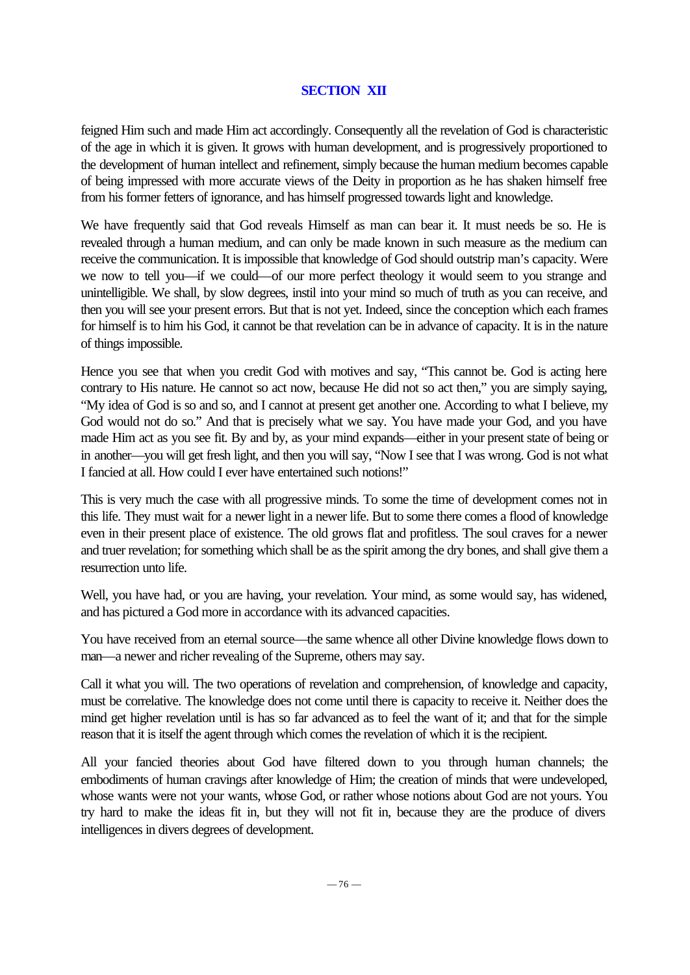feigned Him such and made Him act accordingly. Consequently all the revelation of God is characteristic of the age in which it is given. It grows with human development, and is progressively proportioned to the development of human intellect and refinement, simply because the human medium becomes capable of being impressed with more accurate views of the Deity in proportion as he has shaken himself free from his former fetters of ignorance, and has himself progressed towards light and knowledge.

We have frequently said that God reveals Himself as man can bear it. It must needs be so. He is revealed through a human medium, and can only be made known in such measure as the medium can receive the communication. It is impossible that knowledge of God should outstrip man's capacity. Were we now to tell you—if we could—of our more perfect theology it would seem to you strange and unintelligible. We shall, by slow degrees, instil into your mind so much of truth as you can receive, and then you will see your present errors. But that is not yet. Indeed, since the conception which each frames for himself is to him his God, it cannot be that revelation can be in advance of capacity. It is in the nature of things impossible.

Hence you see that when you credit God with motives and say, "This cannot be. God is acting here contrary to His nature. He cannot so act now, because He did not so act then," you are simply saying, "My idea of God is so and so, and I cannot at present get another one. According to what I believe, my God would not do so." And that is precisely what we say. You have made your God, and you have made Him act as you see fit. By and by, as your mind expands—either in your present state of being or in another—you will get fresh light, and then you will say, "Now I see that I was wrong. God is not what I fancied at all. How could I ever have entertained such notions!"

This is very much the case with all progressive minds. To some the time of development comes not in this life. They must wait for a newer light in a newer life. But to some there comes a flood of knowledge even in their present place of existence. The old grows flat and profitless. The soul craves for a newer and truer revelation; for something which shall be as the spirit among the dry bones, and shall give them a resurrection unto life.

Well, you have had, or you are having, your revelation. Your mind, as some would say, has widened, and has pictured a God more in accordance with its advanced capacities.

You have received from an eternal source—the same whence all other Divine knowledge flows down to man—a newer and richer revealing of the Supreme, others may say.

Call it what you will. The two operations of revelation and comprehension, of knowledge and capacity, must be correlative. The knowledge does not come until there is capacity to receive it. Neither does the mind get higher revelation until is has so far advanced as to feel the want of it; and that for the simple reason that it is itself the agent through which comes the revelation of which it is the recipient.

All your fancied theories about God have filtered down to you through human channels; the embodiments of human cravings after knowledge of Him; the creation of minds that were undeveloped, whose wants were not your wants, whose God, or rather whose notions about God are not yours. You try hard to make the ideas fit in, but they will not fit in, because they are the produce of divers intelligences in divers degrees of development.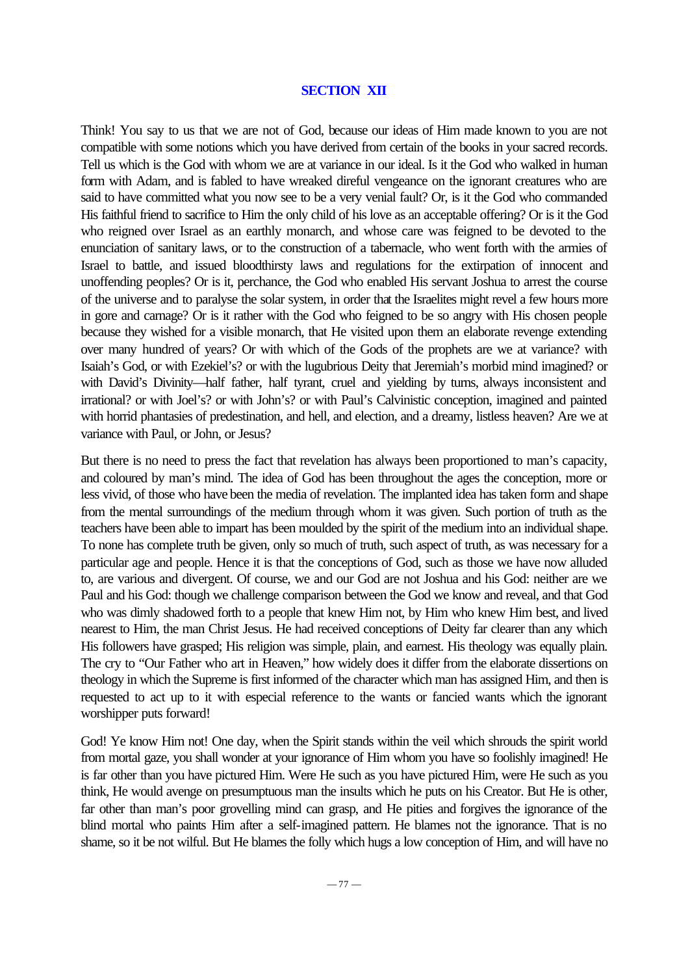Think! You say to us that we are not of God, because our ideas of Him made known to you are not compatible with some notions which you have derived from certain of the books in your sacred records. Tell us which is the God with whom we are at variance in our ideal. Is it the God who walked in human form with Adam, and is fabled to have wreaked direful vengeance on the ignorant creatures who are said to have committed what you now see to be a very venial fault? Or, is it the God who commanded His faithful friend to sacrifice to Him the only child of his love as an acceptable offering? Or is it the God who reigned over Israel as an earthly monarch, and whose care was feigned to be devoted to the enunciation of sanitary laws, or to the construction of a tabernacle, who went forth with the armies of Israel to battle, and issued bloodthirsty laws and regulations for the extirpation of innocent and unoffending peoples? Or is it, perchance, the God who enabled His servant Joshua to arrest the course of the universe and to paralyse the solar system, in order that the Israelites might revel a few hours more in gore and carnage? Or is it rather with the God who feigned to be so angry with His chosen people because they wished for a visible monarch, that He visited upon them an elaborate revenge extending over many hundred of years? Or with which of the Gods of the prophets are we at variance? with Isaiah's God, or with Ezekiel's? or with the lugubrious Deity that Jeremiah's morbid mind imagined? or with David's Divinity—half father, half tyrant, cruel and yielding by turns, always inconsistent and irrational? or with Joel's? or with John's? or with Paul's Calvinistic conception, imagined and painted with horrid phantasies of predestination, and hell, and election, and a dreamy, listless heaven? Are we at variance with Paul, or John, or Jesus?

But there is no need to press the fact that revelation has always been proportioned to man's capacity, and coloured by man's mind. The idea of God has been throughout the ages the conception, more or less vivid, of those who have been the media of revelation. The implanted idea has taken form and shape from the mental surroundings of the medium through whom it was given. Such portion of truth as the teachers have been able to impart has been moulded by the spirit of the medium into an individual shape. To none has complete truth be given, only so much of truth, such aspect of truth, as was necessary for a particular age and people. Hence it is that the conceptions of God, such as those we have now alluded to, are various and divergent. Of course, we and our God are not Joshua and his God: neither are we Paul and his God: though we challenge comparison between the God we know and reveal, and that God who was dimly shadowed forth to a people that knew Him not, by Him who knew Him best, and lived nearest to Him, the man Christ Jesus. He had received conceptions of Deity far clearer than any which His followers have grasped; His religion was simple, plain, and earnest. His theology was equally plain. The cry to "Our Father who art in Heaven," how widely does it differ from the elaborate dissertions on theology in which the Supreme is first informed of the character which man has assigned Him, and then is requested to act up to it with especial reference to the wants or fancied wants which the ignorant worshipper puts forward!

God! Ye know Him not! One day, when the Spirit stands within the veil which shrouds the spirit world from mortal gaze, you shall wonder at your ignorance of Him whom you have so foolishly imagined! He is far other than you have pictured Him. Were He such as you have pictured Him, were He such as you think, He would avenge on presumptuous man the insults which he puts on his Creator. But He is other, far other than man's poor grovelling mind can grasp, and He pities and forgives the ignorance of the blind mortal who paints Him after a self-imagined pattern. He blames not the ignorance. That is no shame, so it be not wilful. But He blames the folly which hugs a low conception of Him, and will have no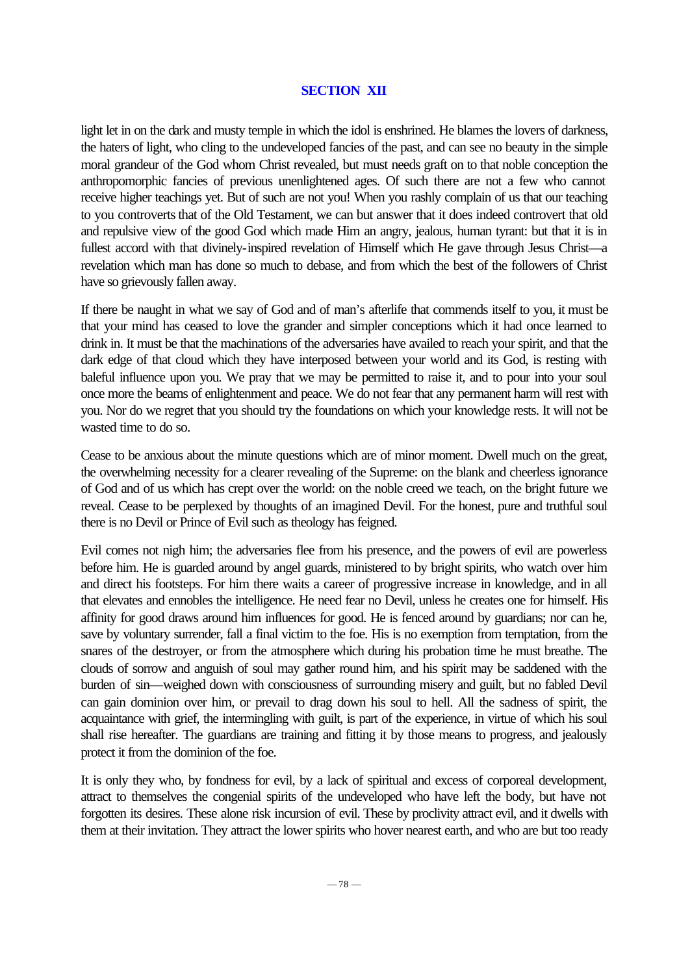light let in on the dark and musty temple in which the idol is enshrined. He blames the lovers of darkness, the haters of light, who cling to the undeveloped fancies of the past, and can see no beauty in the simple moral grandeur of the God whom Christ revealed, but must needs graft on to that noble conception the anthropomorphic fancies of previous unenlightened ages. Of such there are not a few who cannot receive higher teachings yet. But of such are not you! When you rashly complain of us that our teaching to you controverts that of the Old Testament, we can but answer that it does indeed controvert that old and repulsive view of the good God which made Him an angry, jealous, human tyrant: but that it is in fullest accord with that divinely-inspired revelation of Himself which He gave through Jesus Christ—a revelation which man has done so much to debase, and from which the best of the followers of Christ have so grievously fallen away.

If there be naught in what we say of God and of man's afterlife that commends itself to you, it must be that your mind has ceased to love the grander and simpler conceptions which it had once learned to drink in. It must be that the machinations of the adversaries have availed to reach your spirit, and that the dark edge of that cloud which they have interposed between your world and its God, is resting with baleful influence upon you. We pray that we may be permitted to raise it, and to pour into your soul once more the beams of enlightenment and peace. We do not fear that any permanent harm will rest with you. Nor do we regret that you should try the foundations on which your knowledge rests. It will not be wasted time to do so.

Cease to be anxious about the minute questions which are of minor moment. Dwell much on the great, the overwhelming necessity for a clearer revealing of the Supreme: on the blank and cheerless ignorance of God and of us which has crept over the world: on the noble creed we teach, on the bright future we reveal. Cease to be perplexed by thoughts of an imagined Devil. For the honest, pure and truthful soul there is no Devil or Prince of Evil such as theology has feigned.

Evil comes not nigh him; the adversaries flee from his presence, and the powers of evil are powerless before him. He is guarded around by angel guards, ministered to by bright spirits, who watch over him and direct his footsteps. For him there waits a career of progressive increase in knowledge, and in all that elevates and ennobles the intelligence. He need fear no Devil, unless he creates one for himself. His affinity for good draws around him influences for good. He is fenced around by guardians; nor can he, save by voluntary surrender, fall a final victim to the foe. His is no exemption from temptation, from the snares of the destroyer, or from the atmosphere which during his probation time he must breathe. The clouds of sorrow and anguish of soul may gather round him, and his spirit may be saddened with the burden of sin—weighed down with consciousness of surrounding misery and guilt, but no fabled Devil can gain dominion over him, or prevail to drag down his soul to hell. All the sadness of spirit, the acquaintance with grief, the intermingling with guilt, is part of the experience, in virtue of which his soul shall rise hereafter. The guardians are training and fitting it by those means to progress, and jealously protect it from the dominion of the foe.

It is only they who, by fondness for evil, by a lack of spiritual and excess of corporeal development, attract to themselves the congenial spirits of the undeveloped who have left the body, but have not forgotten its desires. These alone risk incursion of evil. These by proclivity attract evil, and it dwells with them at their invitation. They attract the lower spirits who hover nearest earth, and who are but too ready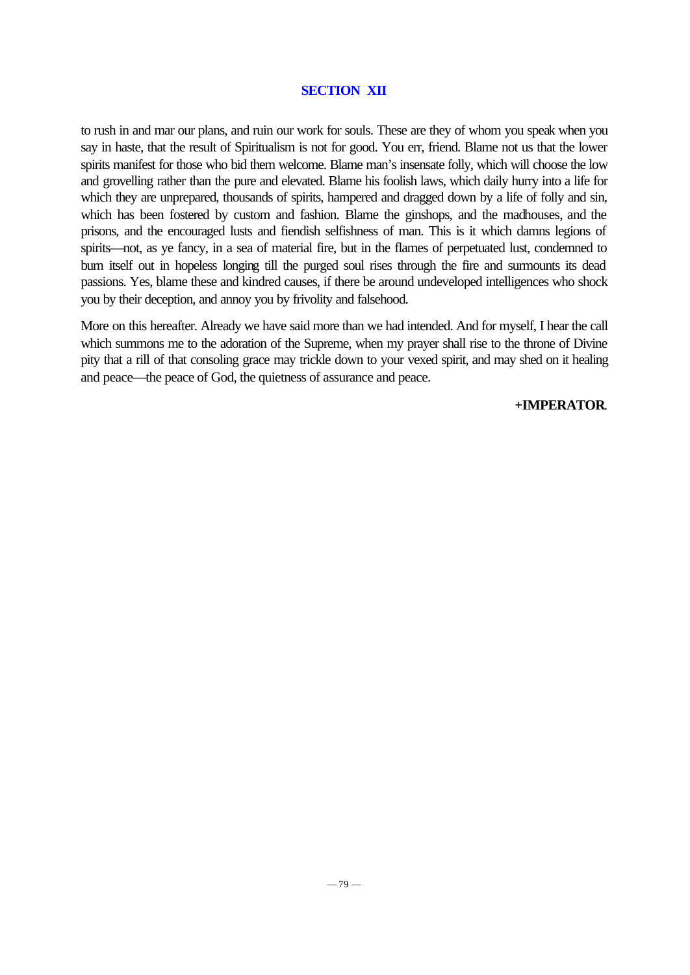to rush in and mar our plans, and ruin our work for souls. These are they of whom you speak when you say in haste, that the result of Spiritualism is not for good. You err, friend. Blame not us that the lower spirits manifest for those who bid them welcome. Blame man's insensate folly, which will choose the low and grovelling rather than the pure and elevated. Blame his foolish laws, which daily hurry into a life for which they are unprepared, thousands of spirits, hampered and dragged down by a life of folly and sin, which has been fostered by custom and fashion. Blame the ginshops, and the madhouses, and the prisons, and the encouraged lusts and fiendish selfishness of man. This is it which damns legions of spirits—not, as ye fancy, in a sea of material fire, but in the flames of perpetuated lust, condemned to burn itself out in hopeless longing till the purged soul rises through the fire and surmounts its dead passions. Yes, blame these and kindred causes, if there be around undeveloped intelligences who shock you by their deception, and annoy you by frivolity and falsehood.

More on this hereafter. Already we have said more than we had intended. And for myself, I hear the call which summons me to the adoration of the Supreme, when my prayer shall rise to the throne of Divine pity that a rill of that consoling grace may trickle down to your vexed spirit, and may shed on it healing and peace—the peace of God, the quietness of assurance and peace.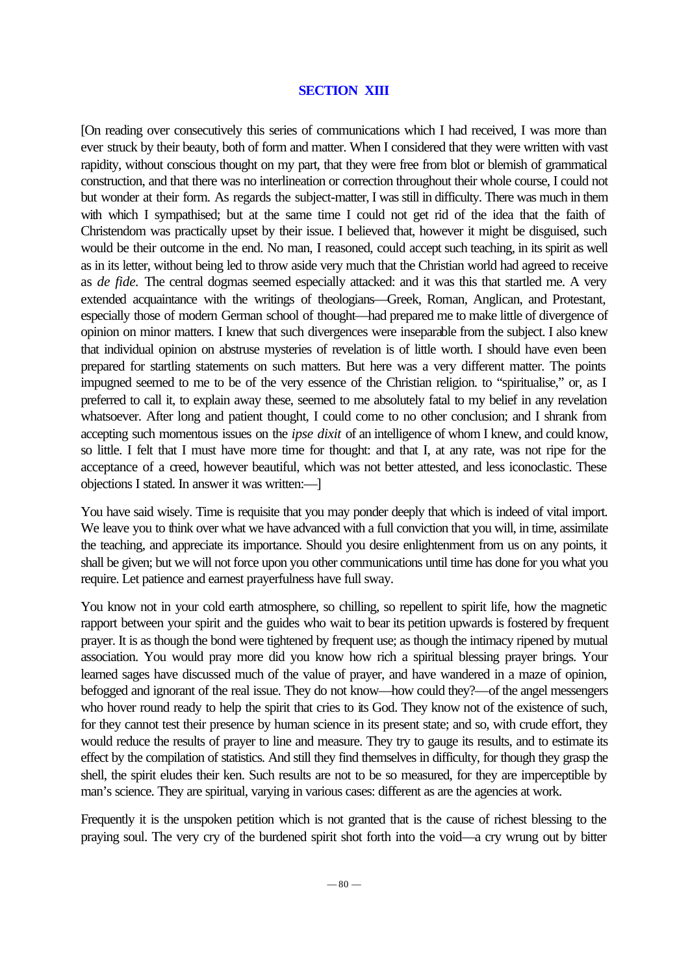[On reading over consecutively this series of communications which I had received, I was more than ever struck by their beauty, both of form and matter. When I considered that they were written with vast rapidity, without conscious thought on my part, that they were free from blot or blemish of grammatical construction, and that there was no interlineation or correction throughout their whole course, I could not but wonder at their form. As regards the subject-matter, I was still in difficulty. There was much in them with which I sympathised; but at the same time I could not get rid of the idea that the faith of Christendom was practically upset by their issue. I believed that, however it might be disguised, such would be their outcome in the end. No man, I reasoned, could accept such teaching, in its spirit as well as in its letter, without being led to throw aside very much that the Christian world had agreed to receive as *de fide.* The central dogmas seemed especially attacked: and it was this that startled me. A very extended acquaintance with the writings of theologians—Greek, Roman, Anglican, and Protestant, especially those of modern German school of thought—had prepared me to make little of divergence of opinion on minor matters. I knew that such divergences were inseparable from the subject. I also knew that individual opinion on abstruse mysteries of revelation is of little worth. I should have even been prepared for startling statements on such matters. But here was a very different matter. The points impugned seemed to me to be of the very essence of the Christian religion. to "spiritualise," or, as I preferred to call it, to explain away these, seemed to me absolutely fatal to my belief in any revelation whatsoever. After long and patient thought, I could come to no other conclusion; and I shrank from accepting such momentous issues on the *ipse dixit* of an intelligence of whom I knew, and could know, so little. I felt that I must have more time for thought: and that I, at any rate, was not ripe for the acceptance of a creed, however beautiful, which was not better attested, and less iconoclastic. These objections I stated. In answer it was written:—]

You have said wisely. Time is requisite that you may ponder deeply that which is indeed of vital import. We leave you to think over what we have advanced with a full conviction that you will, in time, assimilate the teaching, and appreciate its importance. Should you desire enlightenment from us on any points, it shall be given; but we will not force upon you other communications until time has done for you what you require. Let patience and earnest prayerfulness have full sway.

You know not in your cold earth atmosphere, so chilling, so repellent to spirit life, how the magnetic rapport between your spirit and the guides who wait to bear its petition upwards is fostered by frequent prayer. It is as though the bond were tightened by frequent use; as though the intimacy ripened by mutual association. You would pray more did you know how rich a spiritual blessing prayer brings. Your learned sages have discussed much of the value of prayer, and have wandered in a maze of opinion, befogged and ignorant of the real issue. They do not know—how could they?—of the angel messengers who hover round ready to help the spirit that cries to its God. They know not of the existence of such, for they cannot test their presence by human science in its present state; and so, with crude effort, they would reduce the results of prayer to line and measure. They try to gauge its results, and to estimate its effect by the compilation of statistics. And still they find themselves in difficulty, for though they grasp the shell, the spirit eludes their ken. Such results are not to be so measured, for they are imperceptible by man's science. They are spiritual, varying in various cases: different as are the agencies at work.

Frequently it is the unspoken petition which is not granted that is the cause of richest blessing to the praying soul. The very cry of the burdened spirit shot forth into the void—a cry wrung out by bitter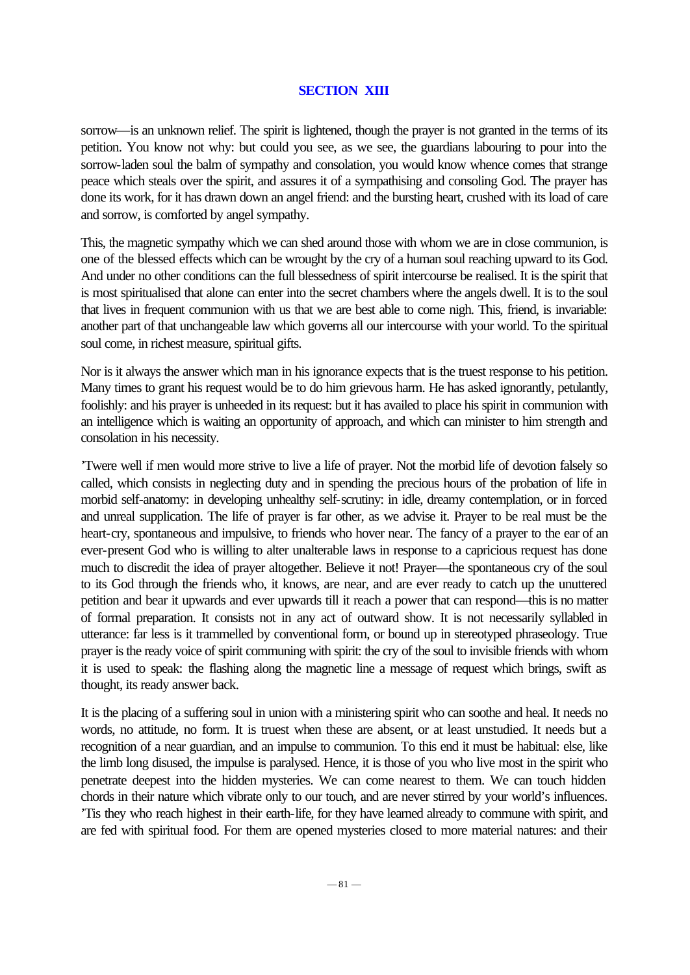sorrow—is an unknown relief. The spirit is lightened, though the prayer is not granted in the terms of its petition. You know not why: but could you see, as we see, the guardians labouring to pour into the sorrow-laden soul the balm of sympathy and consolation, you would know whence comes that strange peace which steals over the spirit, and assures it of a sympathising and consoling God. The prayer has done its work, for it has drawn down an angel friend: and the bursting heart, crushed with its load of care and sorrow, is comforted by angel sympathy.

This, the magnetic sympathy which we can shed around those with whom we are in close communion, is one of the blessed effects which can be wrought by the cry of a human soul reaching upward to its God. And under no other conditions can the full blessedness of spirit intercourse be realised. It is the spirit that is most spiritualised that alone can enter into the secret chambers where the angels dwell. It is to the soul that lives in frequent communion with us that we are best able to come nigh. This, friend, is invariable: another part of that unchangeable law which governs all our intercourse with your world. To the spiritual soul come, in richest measure, spiritual gifts.

Nor is it always the answer which man in his ignorance expects that is the truest response to his petition. Many times to grant his request would be to do him grievous harm. He has asked ignorantly, petulantly, foolishly: and his prayer is unheeded in its request: but it has availed to place his spirit in communion with an intelligence which is waiting an opportunity of approach, and which can minister to him strength and consolation in his necessity.

'Twere well if men would more strive to live a life of prayer. Not the morbid life of devotion falsely so called, which consists in neglecting duty and in spending the precious hours of the probation of life in morbid self-anatomy: in developing unhealthy self-scrutiny: in idle, dreamy contemplation, or in forced and unreal supplication. The life of prayer is far other, as we advise it. Prayer to be real must be the heart-cry, spontaneous and impulsive, to friends who hover near. The fancy of a prayer to the ear of an ever-present God who is willing to alter unalterable laws in response to a capricious request has done much to discredit the idea of prayer altogether. Believe it not! Prayer—the spontaneous cry of the soul to its God through the friends who, it knows, are near, and are ever ready to catch up the unuttered petition and bear it upwards and ever upwards till it reach a power that can respond—this is no matter of formal preparation. It consists not in any act of outward show. It is not necessarily syllabled in utterance: far less is it trammelled by conventional form, or bound up in stereotyped phraseology. True prayer is the ready voice of spirit communing with spirit: the cry of the soul to invisible friends with whom it is used to speak: the flashing along the magnetic line a message of request which brings, swift as thought, its ready answer back.

It is the placing of a suffering soul in union with a ministering spirit who can soothe and heal. It needs no words, no attitude, no form. It is truest when these are absent, or at least unstudied. It needs but a recognition of a near guardian, and an impulse to communion. To this end it must be habitual: else, like the limb long disused, the impulse is paralysed. Hence, it is those of you who live most in the spirit who penetrate deepest into the hidden mysteries. We can come nearest to them. We can touch hidden chords in their nature which vibrate only to our touch, and are never stirred by your world's influences. 'Tis they who reach highest in their earth-life, for they have learned already to commune with spirit, and are fed with spiritual food. For them are opened mysteries closed to more material natures: and their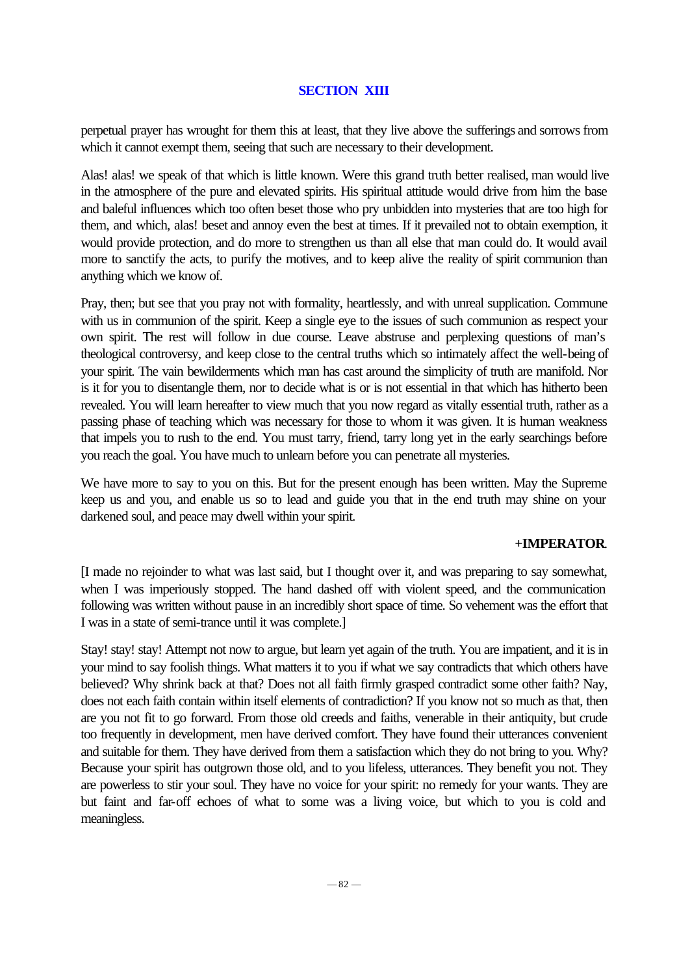perpetual prayer has wrought for them this at least, that they live above the sufferings and sorrows from which it cannot exempt them, seeing that such are necessary to their development.

Alas! alas! we speak of that which is little known. Were this grand truth better realised, man would live in the atmosphere of the pure and elevated spirits. His spiritual attitude would drive from him the base and baleful influences which too often beset those who pry unbidden into mysteries that are too high for them, and which, alas! beset and annoy even the best at times. If it prevailed not to obtain exemption, it would provide protection, and do more to strengthen us than all else that man could do. It would avail more to sanctify the acts, to purify the motives, and to keep alive the reality of spirit communion than anything which we know of.

Pray, then; but see that you pray not with formality, heartlessly, and with unreal supplication. Commune with us in communion of the spirit. Keep a single eye to the issues of such communion as respect your own spirit. The rest will follow in due course. Leave abstruse and perplexing questions of man's theological controversy, and keep close to the central truths which so intimately affect the well-being of your spirit. The vain bewilderments which man has cast around the simplicity of truth are manifold. Nor is it for you to disentangle them, nor to decide what is or is not essential in that which has hitherto been revealed. You will learn hereafter to view much that you now regard as vitally essential truth, rather as a passing phase of teaching which was necessary for those to whom it was given. It is human weakness that impels you to rush to the end. You must tarry, friend, tarry long yet in the early searchings before you reach the goal. You have much to unlearn before you can penetrate all mysteries.

We have more to say to you on this. But for the present enough has been written. May the Supreme keep us and you, and enable us so to lead and guide you that in the end truth may shine on your darkened soul, and peace may dwell within your spirit.

#### **+IMPERATOR**.

[I made no rejoinder to what was last said, but I thought over it, and was preparing to say somewhat, when I was imperiously stopped. The hand dashed off with violent speed, and the communication following was written without pause in an incredibly short space of time. So vehement was the effort that I was in a state of semi-trance until it was complete.]

Stay! stay! stay! Attempt not now to argue, but learn yet again of the truth. You are impatient, and it is in your mind to say foolish things. What matters it to you if what we say contradicts that which others have believed? Why shrink back at that? Does not all faith firmly grasped contradict some other faith? Nay, does not each faith contain within itself elements of contradiction? If you know not so much as that, then are you not fit to go forward. From those old creeds and faiths, venerable in their antiquity, but crude too frequently in development, men have derived comfort. They have found their utterances convenient and suitable for them. They have derived from them a satisfaction which they do not bring to you. Why? Because your spirit has outgrown those old, and to you lifeless, utterances. They benefit you not. They are powerless to stir your soul. They have no voice for your spirit: no remedy for your wants. They are but faint and far-off echoes of what to some was a living voice, but which to you is cold and meaningless.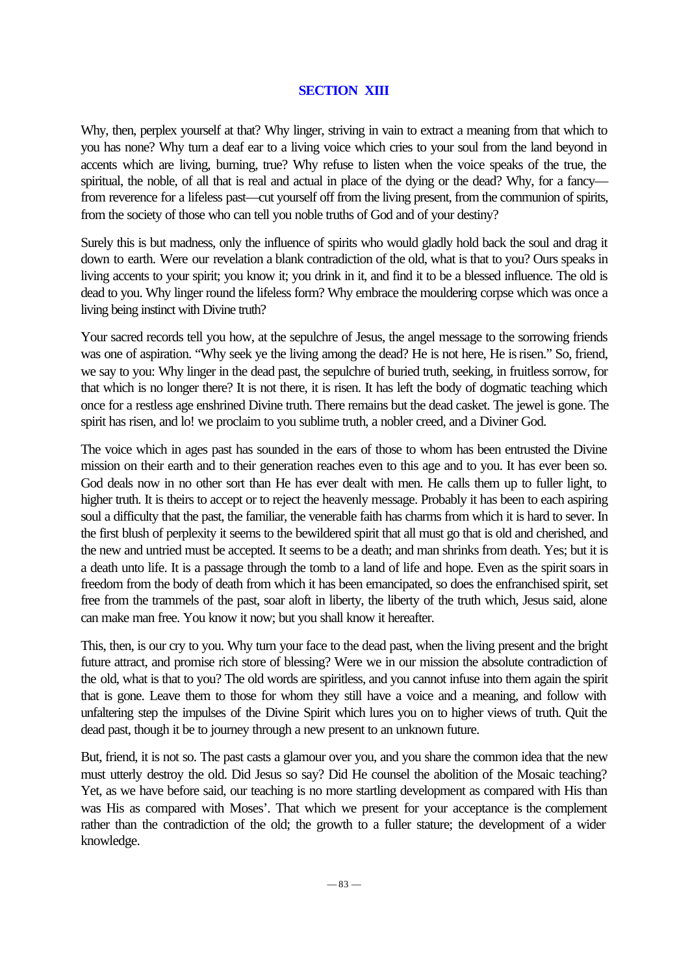Why, then, perplex yourself at that? Why linger, striving in vain to extract a meaning from that which to you has none? Why turn a deaf ear to a living voice which cries to your soul from the land beyond in accents which are living, burning, true? Why refuse to listen when the voice speaks of the true, the spiritual, the noble, of all that is real and actual in place of the dying or the dead? Why, for a fancy from reverence for a lifeless past—cut yourself off from the living present, from the communion of spirits, from the society of those who can tell you noble truths of God and of your destiny?

Surely this is but madness, only the influence of spirits who would gladly hold back the soul and drag it down to earth. Were our revelation a blank contradiction of the old, what is that to you? Ours speaks in living accents to your spirit; you know it; you drink in it, and find it to be a blessed influence. The old is dead to you. Why linger round the lifeless form? Why embrace the mouldering corpse which was once a living being instinct with Divine truth?

Your sacred records tell you how, at the sepulchre of Jesus, the angel message to the sorrowing friends was one of aspiration. "Why seek ye the living among the dead? He is not here, He is risen." So, friend, we say to you: Why linger in the dead past, the sepulchre of buried truth, seeking, in fruitless sorrow, for that which is no longer there? It is not there, it is risen. It has left the body of dogmatic teaching which once for a restless age enshrined Divine truth. There remains but the dead casket. The jewel is gone. The spirit has risen, and lo! we proclaim to you sublime truth, a nobler creed, and a Diviner God.

The voice which in ages past has sounded in the ears of those to whom has been entrusted the Divine mission on their earth and to their generation reaches even to this age and to you. It has ever been so. God deals now in no other sort than He has ever dealt with men. He calls them up to fuller light, to higher truth. It is theirs to accept or to reject the heavenly message. Probably it has been to each aspiring soul a difficulty that the past, the familiar, the venerable faith has charms from which it is hard to sever. In the first blush of perplexity it seems to the bewildered spirit that all must go that is old and cherished, and the new and untried must be accepted. It seems to be a death; and man shrinks from death. Yes; but it is a death unto life. It is a passage through the tomb to a land of life and hope. Even as the spirit soars in freedom from the body of death from which it has been emancipated, so does the enfranchised spirit, set free from the trammels of the past, soar aloft in liberty, the liberty of the truth which, Jesus said, alone can make man free. You know it now; but you shall know it hereafter.

This, then, is our cry to you. Why turn your face to the dead past, when the living present and the bright future attract, and promise rich store of blessing? Were we in our mission the absolute contradiction of the old, what is that to you? The old words are spiritless, and you cannot infuse into them again the spirit that is gone. Leave them to those for whom they still have a voice and a meaning, and follow with unfaltering step the impulses of the Divine Spirit which lures you on to higher views of truth. Quit the dead past, though it be to journey through a new present to an unknown future.

But, friend, it is not so. The past casts a glamour over you, and you share the common idea that the new must utterly destroy the old. Did Jesus so say? Did He counsel the abolition of the Mosaic teaching? Yet, as we have before said, our teaching is no more startling development as compared with His than was His as compared with Moses'. That which we present for your acceptance is the complement rather than the contradiction of the old; the growth to a fuller stature; the development of a wider knowledge.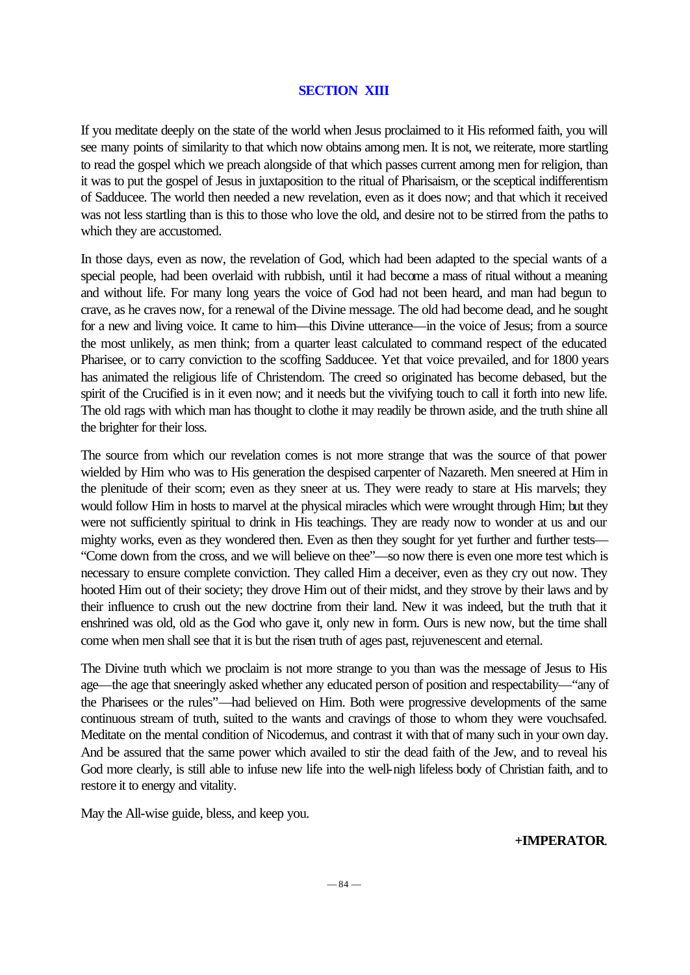If you meditate deeply on the state of the world when Jesus proclaimed to it His reformed faith, you will see many points of similarity to that which now obtains among men. It is not, we reiterate, more startling to read the gospel which we preach alongside of that which passes current among men for religion, than it was to put the gospel of Jesus in juxtaposition to the ritual of Pharisaism, or the sceptical indifferentism of Sadducee. The world then needed a new revelation, even as it does now; and that which it received was not less startling than is this to those who love the old, and desire not to be stirred from the paths to which they are accustomed.

In those days, even as now, the revelation of God, which had been adapted to the special wants of a special people, had been overlaid with rubbish, until it had become a mass of ritual without a meaning and without life. For many long years the voice of God had not been heard, and man had begun to crave, as he craves now, for a renewal of the Divine message. The old had become dead, and he sought for a new and living voice. It came to him—this Divine utterance—in the voice of Jesus; from a source the most unlikely, as men think; from a quarter least calculated to command respect of the educated Pharisee, or to carry conviction to the scoffing Sadducee. Yet that voice prevailed, and for 1800 years has animated the religious life of Christendom. The creed so originated has become debased, but the spirit of the Crucified is in it even now; and it needs but the vivifying touch to call it forth into new life. The old rags with which man has thought to clothe it may readily be thrown aside, and the truth shine all the brighter for their loss.

The source from which our revelation comes is not more strange that was the source of that power wielded by Him who was to His generation the despised carpenter of Nazareth. Men sneered at Him in the plenitude of their scorn; even as they sneer at us. They were ready to stare at His marvels; they would follow Him in hosts to marvel at the physical miracles which were wrought through Him; but they were not sufficiently spiritual to drink in His teachings. They are ready now to wonder at us and our mighty works, even as they wondered then. Even as then they sought for yet further and further tests— "Come down from the cross, and we will believe on thee"—so now there is even one more test which is necessary to ensure complete conviction. They called Him a deceiver, even as they cry out now. They hooted Him out of their society; they drove Him out of their midst, and they strove by their laws and by their influence to crush out the new doctrine from their land. New it was indeed, but the truth that it enshrined was old, old as the God who gave it, only new in form. Ours is new now, but the time shall come when men shall see that it is but the risen truth of ages past, rejuvenescent and eternal.

The Divine truth which we proclaim is not more strange to you than was the message of Jesus to His age—the age that sneeringly asked whether any educated person of position and respectability—"any of the Pharisees or the rules"—had believed on Him. Both were progressive developments of the same continuous stream of truth, suited to the wants and cravings of those to whom they were vouchsafed. Meditate on the mental condition of Nicodemus, and contrast it with that of many such in your own day. And be assured that the same power which availed to stir the dead faith of the Jew, and to reveal his God more clearly, is still able to infuse new life into the well-nigh lifeless body of Christian faith, and to restore it to energy and vitality.

May the All-wise guide, bless, and keep you.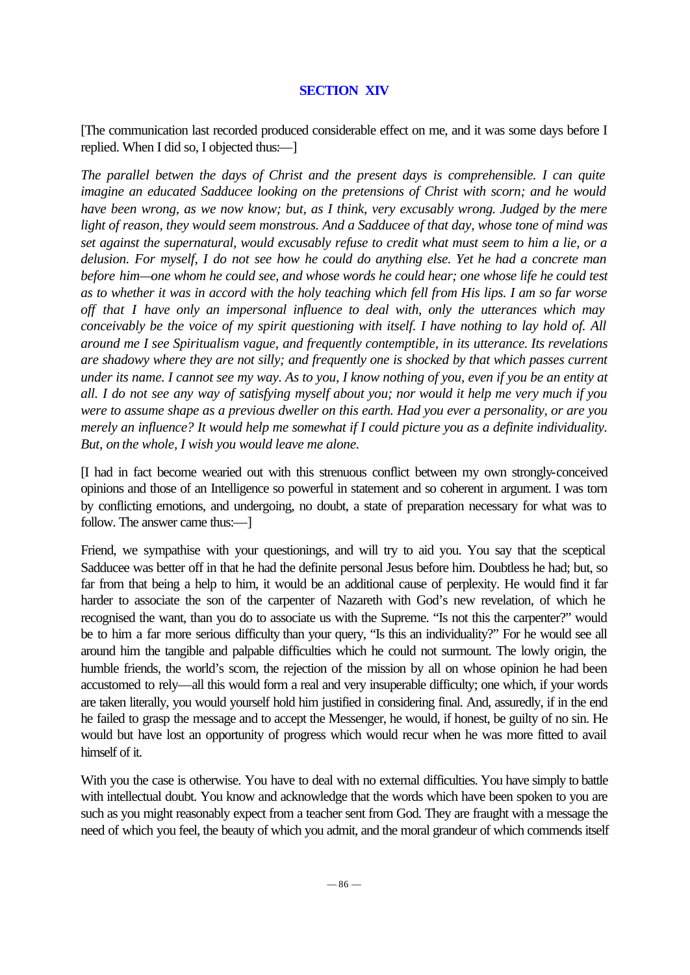[The communication last recorded produced considerable effect on me, and it was some days before I replied. When I did so, I objected thus:—]

*The parallel betwen the days of Christ and the present days is comprehensible. I can quite*  imagine an educated Sadducee looking on the pretensions of Christ with scorn; and he would *have been wrong, as we now know; but, as I think, very excusably wrong. Judged by the mere light of reason, they would seem monstrous. And a Sadducee of that day, whose tone of mind was set against the supernatural, would excusably refuse to credit what must seem to him a lie, or a delusion. For myself, I do not see how he could do anything else. Yet he had a concrete man before him—one whom he could see, and whose words he could hear; one whose life he could test as to whether it was in accord with the holy teaching which fell from His lips. I am so far worse off that I have only an impersonal influence to deal with, only the utterances which may conceivably be the voice of my spirit questioning with itself. I have nothing to lay hold of. All around me I see Spiritualism vague, and frequently contemptible, in its utterance. Its revelations are shadowy where they are not silly; and frequently one is shocked by that which passes current under its name. I cannot see my way. As to you, I know nothing of you, even if you be an entity at all. I do not see any way of satisfying myself about you; nor would it help me very much if you were to assume shape as a previous dweller on this earth. Had you ever a personality, or are you merely an influence? It would help me somewhat if I could picture you as a definite individuality. But, on the whole, I wish you would leave me alone.*

[I had in fact become wearied out with this strenuous conflict between my own strongly-conceived opinions and those of an Intelligence so powerful in statement and so coherent in argument. I was torn by conflicting emotions, and undergoing, no doubt, a state of preparation necessary for what was to follow. The answer came thus:—]

Friend, we sympathise with your questionings, and will try to aid you. You say that the sceptical Sadducee was better off in that he had the definite personal Jesus before him. Doubtless he had; but, so far from that being a help to him, it would be an additional cause of perplexity. He would find it far harder to associate the son of the carpenter of Nazareth with God's new revelation, of which he recognised the want, than you do to associate us with the Supreme. "Is not this the carpenter?" would be to him a far more serious difficulty than your query, "Is this an individuality?" For he would see all around him the tangible and palpable difficulties which he could not surmount. The lowly origin, the humble friends, the world's scorn, the rejection of the mission by all on whose opinion he had been accustomed to rely—all this would form a real and very insuperable difficulty; one which, if your words are taken literally, you would yourself hold him justified in considering final. And, assuredly, if in the end he failed to grasp the message and to accept the Messenger, he would, if honest, be guilty of no sin. He would but have lost an opportunity of progress which would recur when he was more fitted to avail himself of it.

With you the case is otherwise. You have to deal with no external difficulties. You have simply to battle with intellectual doubt. You know and acknowledge that the words which have been spoken to you are such as you might reasonably expect from a teacher sent from God. They are fraught with a message the need of which you feel, the beauty of which you admit, and the moral grandeur of which commends itself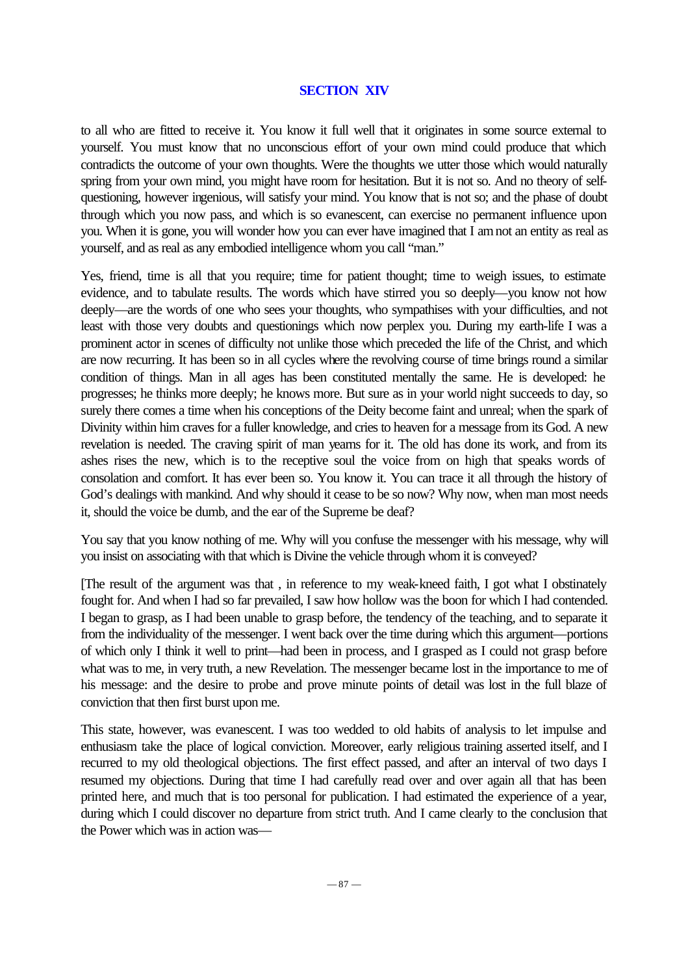to all who are fitted to receive it. You know it full well that it originates in some source external to yourself. You must know that no unconscious effort of your own mind could produce that which contradicts the outcome of your own thoughts. Were the thoughts we utter those which would naturally spring from your own mind, you might have room for hesitation. But it is not so. And no theory of selfquestioning, however ingenious, will satisfy your mind. You know that is not so; and the phase of doubt through which you now pass, and which is so evanescent, can exercise no permanent influence upon you. When it is gone, you will wonder how you can ever have imagined that I am not an entity as real as yourself, and as real as any embodied intelligence whom you call "man."

Yes, friend, time is all that you require; time for patient thought; time to weigh issues, to estimate evidence, and to tabulate results. The words which have stirred you so deeply—you know not how deeply—are the words of one who sees your thoughts, who sympathises with your difficulties, and not least with those very doubts and questionings which now perplex you. During my earth-life I was a prominent actor in scenes of difficulty not unlike those which preceded the life of the Christ, and which are now recurring. It has been so in all cycles where the revolving course of time brings round a similar condition of things. Man in all ages has been constituted mentally the same. He is developed: he progresses; he thinks more deeply; he knows more. But sure as in your world night succeeds to day, so surely there comes a time when his conceptions of the Deity become faint and unreal; when the spark of Divinity within him craves for a fuller knowledge, and cries to heaven for a message from its God. A new revelation is needed. The craving spirit of man yearns for it. The old has done its work, and from its ashes rises the new, which is to the receptive soul the voice from on high that speaks words of consolation and comfort. It has ever been so. You know it. You can trace it all through the history of God's dealings with mankind. And why should it cease to be so now? Why now, when man most needs it, should the voice be dumb, and the ear of the Supreme be deaf?

You say that you know nothing of me. Why will you confuse the messenger with his message, why will you insist on associating with that which is Divine the vehicle through whom it is conveyed?

[The result of the argument was that , in reference to my weak-kneed faith, I got what I obstinately fought for. And when I had so far prevailed, I saw how hollow was the boon for which I had contended. I began to grasp, as I had been unable to grasp before, the tendency of the teaching, and to separate it from the individuality of the messenger. I went back over the time during which this argument—portions of which only I think it well to print—had been in process, and I grasped as I could not grasp before what was to me, in very truth, a new Revelation. The messenger became lost in the importance to me of his message: and the desire to probe and prove minute points of detail was lost in the full blaze of conviction that then first burst upon me.

This state, however, was evanescent. I was too wedded to old habits of analysis to let impulse and enthusiasm take the place of logical conviction. Moreover, early religious training asserted itself, and I recurred to my old theological objections. The first effect passed, and after an interval of two days I resumed my objections. During that time I had carefully read over and over again all that has been printed here, and much that is too personal for publication. I had estimated the experience of a year, during which I could discover no departure from strict truth. And I came clearly to the conclusion that the Power which was in action was—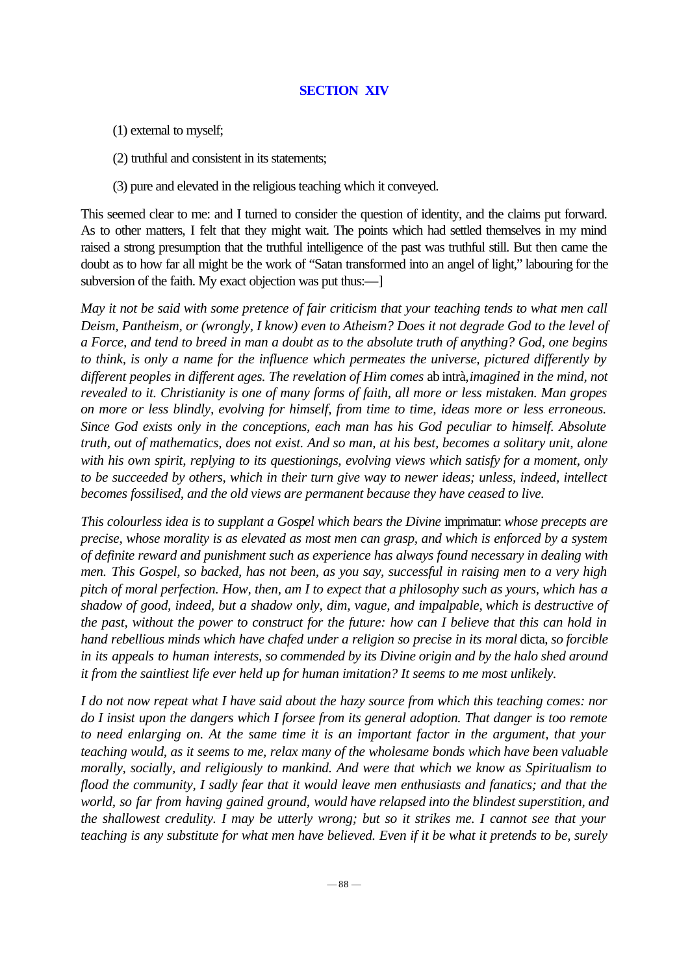- (1) external to myself;
- (2) truthful and consistent in its statements;
- (3) pure and elevated in the religious teaching which it conveyed.

This seemed clear to me: and I turned to consider the question of identity, and the claims put forward. As to other matters, I felt that they might wait. The points which had settled themselves in my mind raised a strong presumption that the truthful intelligence of the past was truthful still. But then came the doubt as to how far all might be the work of "Satan transformed into an angel of light," labouring for the subversion of the faith. My exact objection was put thus:—]

*May it not be said with some pretence of fair criticism that your teaching tends to what men call Deism, Pantheism, or (wrongly, I know) even to Atheism? Does it not degrade God to the level of a Force, and tend to breed in man a doubt as to the absolute truth of anything? God, one begins to think, is only a name for the influence which permeates the universe, pictured differently by different peoples in different ages. The revelation of Him comes* ab intrà, *imagined in the mind, not revealed to it. Christianity is one of many forms of faith, all more or less mistaken. Man gropes on more or less blindly, evolving for himself, from time to time, ideas more or less erroneous. Since God exists only in the conceptions, each man has his God peculiar to himself. Absolute truth, out of mathematics, does not exist. And so man, at his best, becomes a solitary unit, alone with his own spirit, replying to its questionings, evolving views which satisfy for a moment, only to be succeeded by others, which in their turn give way to newer ideas; unless, indeed, intellect becomes fossilised, and the old views are permanent because they have ceased to live.*

*This colourless idea is to supplant a Gospel which bears the Divine* imprimatur: *whose precepts are precise, whose morality is as elevated as most men can grasp, and which is enforced by a system of definite reward and punishment such as experience has always found necessary in dealing with men. This Gospel, so backed, has not been, as you say, successful in raising men to a very high pitch of moral perfection. How, then, am I to expect that a philosophy such as yours, which has a shadow of good, indeed, but a shadow only, dim, vague, and impalpable, which is destructive of the past, without the power to construct for the future: how can I believe that this can hold in hand rebellious minds which have chafed under a religion so precise in its moral* dicta, *so forcible in its appeals to human interests, so commended by its Divine origin and by the halo shed around it from the saintliest life ever held up for human imitation? It seems to me most unlikely.*

*I do not now repeat what I have said about the hazy source from which this teaching comes: nor do I insist upon the dangers which I forsee from its general adoption. That danger is too remote to need enlarging on. At the same time it is an important factor in the argument, that your teaching would, as it seems to me, relax many of the wholesame bonds which have been valuable morally, socially, and religiously to mankind. And were that which we know as Spiritualism to flood the community, I sadly fear that it would leave men enthusiasts and fanatics; and that the world, so far from having gained ground, would have relapsed into the blindest superstition, and the shallowest credulity. I may be utterly wrong; but so it strikes me. I cannot see that your teaching is any substitute for what men have believed. Even if it be what it pretends to be, surely*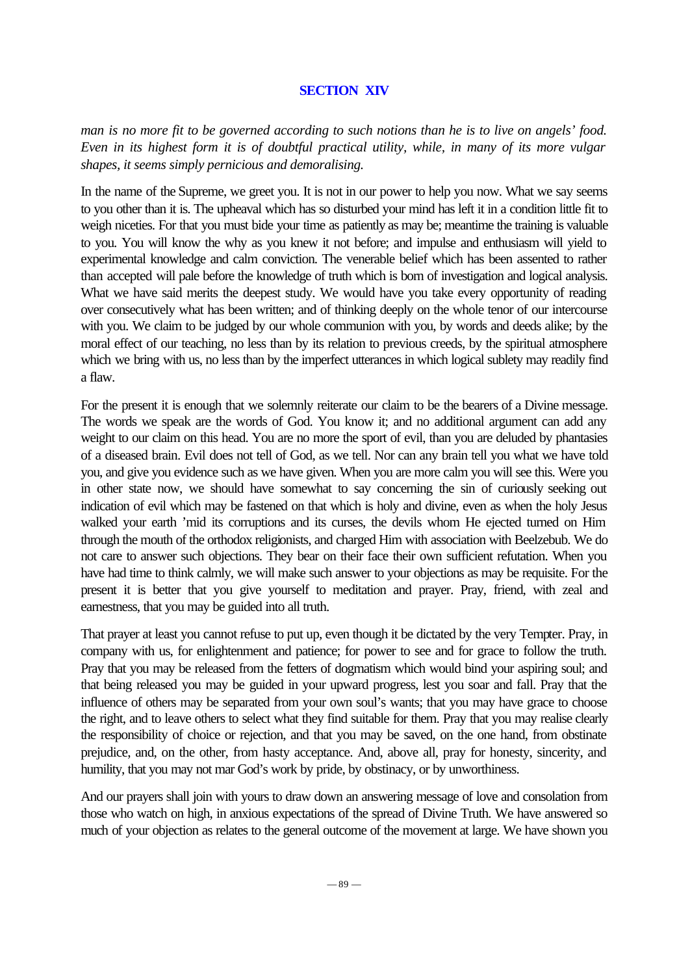*man is no more fit to be governed according to such notions than he is to live on angels' food. Even in its highest form it is of doubtful practical utility, while, in many of its more vulgar shapes, it seems simply pernicious and demoralising.*

In the name of the Supreme, we greet you. It is not in our power to help you now. What we say seems to you other than it is. The upheaval which has so disturbed your mind has left it in a condition little fit to weigh niceties. For that you must bide your time as patiently as may be; meantime the training is valuable to you. You will know the why as you knew it not before; and impulse and enthusiasm will yield to experimental knowledge and calm conviction. The venerable belief which has been assented to rather than accepted will pale before the knowledge of truth which is born of investigation and logical analysis. What we have said merits the deepest study. We would have you take every opportunity of reading over consecutively what has been written; and of thinking deeply on the whole tenor of our intercourse with you. We claim to be judged by our whole communion with you, by words and deeds alike; by the moral effect of our teaching, no less than by its relation to previous creeds, by the spiritual atmosphere which we bring with us, no less than by the imperfect utterances in which logical sublety may readily find a flaw.

For the present it is enough that we solemnly reiterate our claim to be the bearers of a Divine message. The words we speak are the words of God. You know it; and no additional argument can add any weight to our claim on this head. You are no more the sport of evil, than you are deluded by phantasies of a diseased brain. Evil does not tell of God, as we tell. Nor can any brain tell you what we have told you, and give you evidence such as we have given. When you are more calm you will see this. Were you in other state now, we should have somewhat to say concerning the sin of curiously seeking out indication of evil which may be fastened on that which is holy and divine, even as when the holy Jesus walked your earth 'mid its corruptions and its curses, the devils whom He ejected turned on Him through the mouth of the orthodox religionists, and charged Him with association with Beelzebub. We do not care to answer such objections. They bear on their face their own sufficient refutation. When you have had time to think calmly, we will make such answer to your objections as may be requisite. For the present it is better that you give yourself to meditation and prayer. Pray, friend, with zeal and earnestness, that you may be guided into all truth.

That prayer at least you cannot refuse to put up, even though it be dictated by the very Tempter. Pray, in company with us, for enlightenment and patience; for power to see and for grace to follow the truth. Pray that you may be released from the fetters of dogmatism which would bind your aspiring soul; and that being released you may be guided in your upward progress, lest you soar and fall. Pray that the influence of others may be separated from your own soul's wants; that you may have grace to choose the right, and to leave others to select what they find suitable for them. Pray that you may realise clearly the responsibility of choice or rejection, and that you may be saved, on the one hand, from obstinate prejudice, and, on the other, from hasty acceptance. And, above all, pray for honesty, sincerity, and humility, that you may not mar God's work by pride, by obstinacy, or by unworthiness.

And our prayers shall join with yours to draw down an answering message of love and consolation from those who watch on high, in anxious expectations of the spread of Divine Truth. We have answered so much of your objection as relates to the general outcome of the movement at large. We have shown you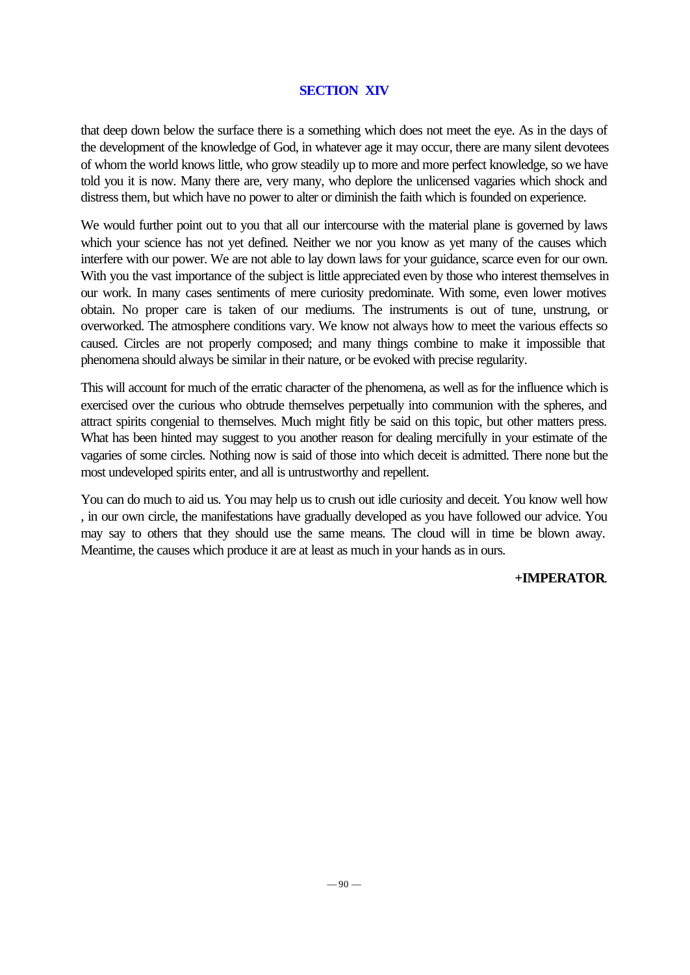that deep down below the surface there is a something which does not meet the eye. As in the days of the development of the knowledge of God, in whatever age it may occur, there are many silent devotees of whom the world knows little, who grow steadily up to more and more perfect knowledge, so we have told you it is now. Many there are, very many, who deplore the unlicensed vagaries which shock and distress them, but which have no power to alter or diminish the faith which is founded on experience.

We would further point out to you that all our intercourse with the material plane is governed by laws which your science has not yet defined. Neither we nor you know as yet many of the causes which interfere with our power. We are not able to lay down laws for your guidance, scarce even for our own. With you the vast importance of the subject is little appreciated even by those who interest themselves in our work. In many cases sentiments of mere curiosity predominate. With some, even lower motives obtain. No proper care is taken of our mediums. The instruments is out of tune, unstrung, or overworked. The atmosphere conditions vary. We know not always how to meet the various effects so caused. Circles are not properly composed; and many things combine to make it impossible that phenomena should always be similar in their nature, or be evoked with precise regularity.

This will account for much of the erratic character of the phenomena, as well as for the influence which is exercised over the curious who obtrude themselves perpetually into communion with the spheres, and attract spirits congenial to themselves. Much might fitly be said on this topic, but other matters press. What has been hinted may suggest to you another reason for dealing mercifully in your estimate of the vagaries of some circles. Nothing now is said of those into which deceit is admitted. There none but the most undeveloped spirits enter, and all is untrustworthy and repellent.

You can do much to aid us. You may help us to crush out idle curiosity and deceit. You know well how , in our own circle, the manifestations have gradually developed as you have followed our advice. You may say to others that they should use the same means. The cloud will in time be blown away. Meantime, the causes which produce it are at least as much in your hands as in ours.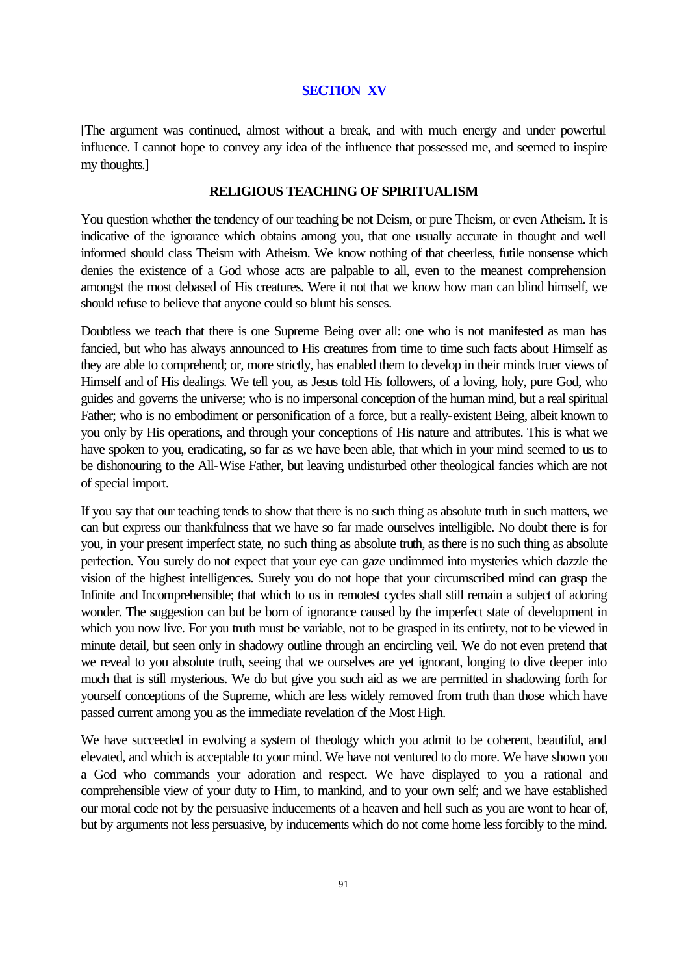[The argument was continued, almost without a break, and with much energy and under powerful influence. I cannot hope to convey any idea of the influence that possessed me, and seemed to inspire my thoughts.]

### **RELIGIOUS TEACHING OF SPIRITUALISM**

You question whether the tendency of our teaching be not Deism, or pure Theism, or even Atheism. It is indicative of the ignorance which obtains among you, that one usually accurate in thought and well informed should class Theism with Atheism. We know nothing of that cheerless, futile nonsense which denies the existence of a God whose acts are palpable to all, even to the meanest comprehension amongst the most debased of His creatures. Were it not that we know how man can blind himself, we should refuse to believe that anyone could so blunt his senses.

Doubtless we teach that there is one Supreme Being over all: one who is not manifested as man has fancied, but who has always announced to His creatures from time to time such facts about Himself as they are able to comprehend; or, more strictly, has enabled them to develop in their minds truer views of Himself and of His dealings. We tell you, as Jesus told His followers, of a loving, holy, pure God, who guides and governs the universe; who is no impersonal conception of the human mind, but a real spiritual Father; who is no embodiment or personification of a force, but a really-existent Being, albeit known to you only by His operations, and through your conceptions of His nature and attributes. This is what we have spoken to you, eradicating, so far as we have been able, that which in your mind seemed to us to be dishonouring to the All-Wise Father, but leaving undisturbed other theological fancies which are not of special import.

If you say that our teaching tends to show that there is no such thing as absolute truth in such matters, we can but express our thankfulness that we have so far made ourselves intelligible. No doubt there is for you, in your present imperfect state, no such thing as absolute truth, as there is no such thing as absolute perfection. You surely do not expect that your eye can gaze undimmed into mysteries which dazzle the vision of the highest intelligences. Surely you do not hope that your circumscribed mind can grasp the Infinite and Incomprehensible; that which to us in remotest cycles shall still remain a subject of adoring wonder. The suggestion can but be born of ignorance caused by the imperfect state of development in which you now live. For you truth must be variable, not to be grasped in its entirety, not to be viewed in minute detail, but seen only in shadowy outline through an encircling veil. We do not even pretend that we reveal to you absolute truth, seeing that we ourselves are yet ignorant, longing to dive deeper into much that is still mysterious. We do but give you such aid as we are permitted in shadowing forth for yourself conceptions of the Supreme, which are less widely removed from truth than those which have passed current among you as the immediate revelation of the Most High.

We have succeeded in evolving a system of theology which you admit to be coherent, beautiful, and elevated, and which is acceptable to your mind. We have not ventured to do more. We have shown you a God who commands your adoration and respect. We have displayed to you a rational and comprehensible view of your duty to Him, to mankind, and to your own self; and we have established our moral code not by the persuasive inducements of a heaven and hell such as you are wont to hear of, but by arguments not less persuasive, by inducements which do not come home less forcibly to the mind.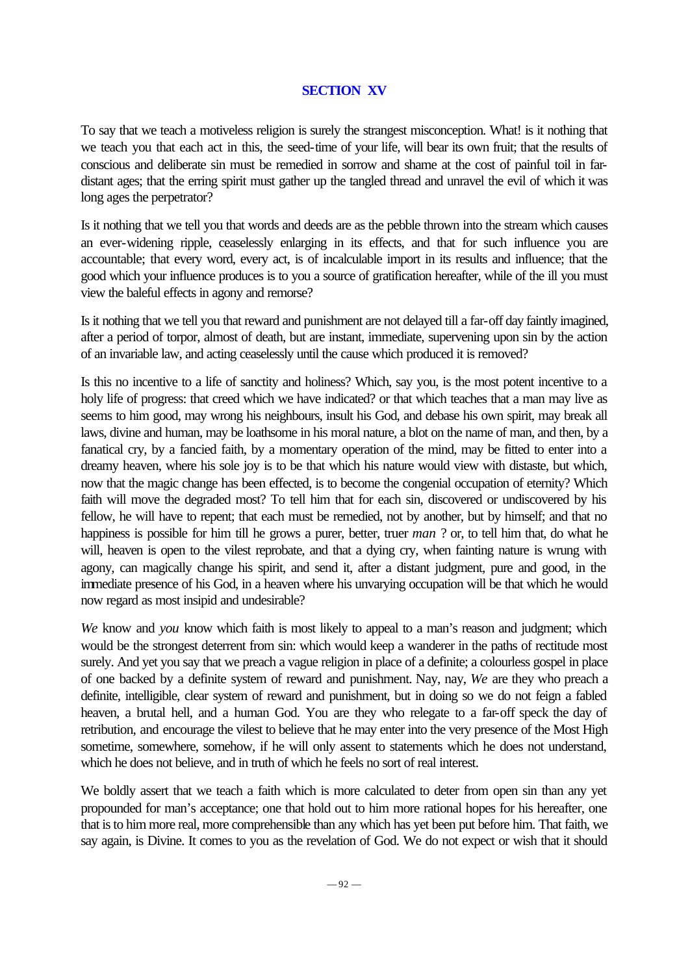To say that we teach a motiveless religion is surely the strangest misconception. What! is it nothing that we teach you that each act in this, the seed-time of your life, will bear its own fruit; that the results of conscious and deliberate sin must be remedied in sorrow and shame at the cost of painful toil in fardistant ages; that the erring spirit must gather up the tangled thread and unravel the evil of which it was long ages the perpetrator?

Is it nothing that we tell you that words and deeds are as the pebble thrown into the stream which causes an ever-widening ripple, ceaselessly enlarging in its effects, and that for such influence you are accountable; that every word, every act, is of incalculable import in its results and influence; that the good which your influence produces is to you a source of gratification hereafter, while of the ill you must view the baleful effects in agony and remorse?

Is it nothing that we tell you that reward and punishment are not delayed till a far-off day faintly imagined, after a period of torpor, almost of death, but are instant, immediate, supervening upon sin by the action of an invariable law, and acting ceaselessly until the cause which produced it is removed?

Is this no incentive to a life of sanctity and holiness? Which, say you, is the most potent incentive to a holy life of progress: that creed which we have indicated? or that which teaches that a man may live as seems to him good, may wrong his neighbours, insult his God, and debase his own spirit, may break all laws, divine and human, may be loathsome in his moral nature, a blot on the name of man, and then, by a fanatical cry, by a fancied faith, by a momentary operation of the mind, may be fitted to enter into a dreamy heaven, where his sole joy is to be that which his nature would view with distaste, but which, now that the magic change has been effected, is to become the congenial occupation of eternity? Which faith will move the degraded most? To tell him that for each sin, discovered or undiscovered by his fellow, he will have to repent; that each must be remedied, not by another, but by himself; and that no happiness is possible for him till he grows a purer, better, truer *man* ? or, to tell him that, do what he will, heaven is open to the vilest reprobate, and that a dying cry, when fainting nature is wrung with agony, can magically change his spirit, and send it, after a distant judgment, pure and good, in the immediate presence of his God, in a heaven where his unvarying occupation will be that which he would now regard as most insipid and undesirable?

*We* know and *you* know which faith is most likely to appeal to a man's reason and judgment; which would be the strongest deterrent from sin: which would keep a wanderer in the paths of rectitude most surely. And yet you say that we preach a vague religion in place of a definite; a colourless gospel in place of one backed by a definite system of reward and punishment. Nay, nay, *We* are they who preach a definite, intelligible, clear system of reward and punishment, but in doing so we do not feign a fabled heaven, a brutal hell, and a human God. You are they who relegate to a far-off speck the day of retribution, and encourage the vilest to believe that he may enter into the very presence of the Most High sometime, somewhere, somehow, if he will only assent to statements which he does not understand, which he does not believe, and in truth of which he feels no sort of real interest.

We boldly assert that we teach a faith which is more calculated to deter from open sin than any yet propounded for man's acceptance; one that hold out to him more rational hopes for his hereafter, one that is to him more real, more comprehensible than any which has yet been put before him. That faith, we say again, is Divine. It comes to you as the revelation of God. We do not expect or wish that it should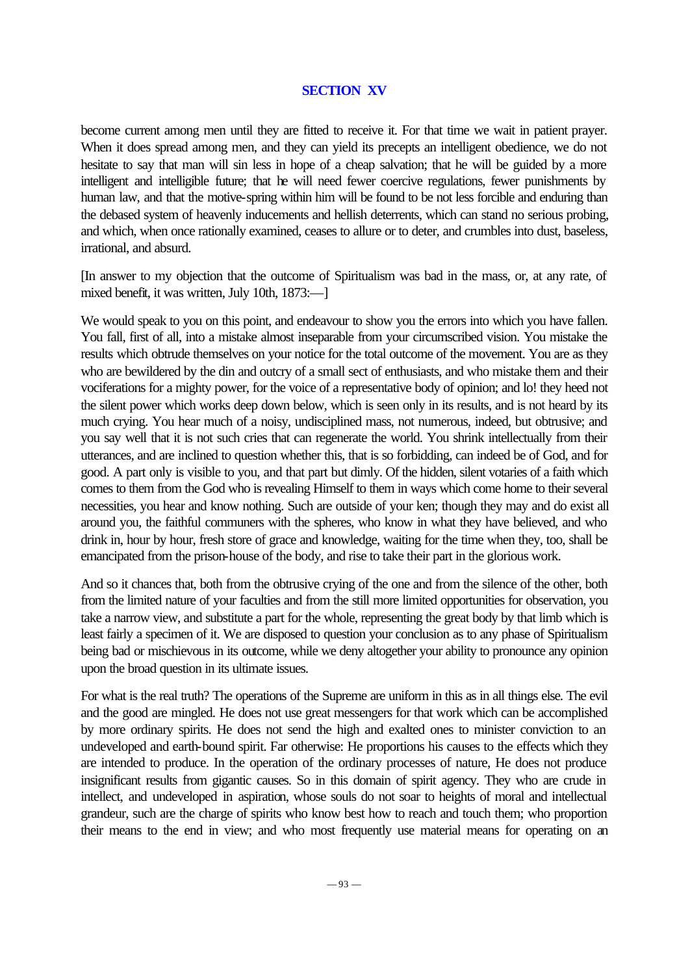become current among men until they are fitted to receive it. For that time we wait in patient prayer. When it does spread among men, and they can yield its precepts an intelligent obedience, we do not hesitate to say that man will sin less in hope of a cheap salvation; that he will be guided by a more intelligent and intelligible future; that he will need fewer coercive regulations, fewer punishments by human law, and that the motive-spring within him will be found to be not less forcible and enduring than the debased system of heavenly inducements and hellish deterrents, which can stand no serious probing, and which, when once rationally examined, ceases to allure or to deter, and crumbles into dust, baseless, irrational, and absurd.

[In answer to my objection that the outcome of Spiritualism was bad in the mass, or, at any rate, of mixed benefit, it was written, July 10th, 1873:—]

We would speak to you on this point, and endeavour to show you the errors into which you have fallen. You fall, first of all, into a mistake almost inseparable from your circumscribed vision. You mistake the results which obtrude themselves on your notice for the total outcome of the movement. You are as they who are bewildered by the din and outcry of a small sect of enthusiasts, and who mistake them and their vociferations for a mighty power, for the voice of a representative body of opinion; and lo! they heed not the silent power which works deep down below, which is seen only in its results, and is not heard by its much crying. You hear much of a noisy, undisciplined mass, not numerous, indeed, but obtrusive; and you say well that it is not such cries that can regenerate the world. You shrink intellectually from their utterances, and are inclined to question whether this, that is so forbidding, can indeed be of God, and for good. A part only is visible to you, and that part but dimly. Of the hidden, silent votaries of a faith which comes to them from the God who is revealing Himself to them in ways which come home to their several necessities, you hear and know nothing. Such are outside of your ken; though they may and do exist all around you, the faithful communers with the spheres, who know in what they have believed, and who drink in, hour by hour, fresh store of grace and knowledge, waiting for the time when they, too, shall be emancipated from the prison-house of the body, and rise to take their part in the glorious work.

And so it chances that, both from the obtrusive crying of the one and from the silence of the other, both from the limited nature of your faculties and from the still more limited opportunities for observation, you take a narrow view, and substitute a part for the whole, representing the great body by that limb which is least fairly a specimen of it. We are disposed to question your conclusion as to any phase of Spiritualism being bad or mischievous in its outcome, while we deny altogether your ability to pronounce any opinion upon the broad question in its ultimate issues.

For what is the real truth? The operations of the Supreme are uniform in this as in all things else. The evil and the good are mingled. He does not use great messengers for that work which can be accomplished by more ordinary spirits. He does not send the high and exalted ones to minister conviction to an undeveloped and earth-bound spirit. Far otherwise: He proportions his causes to the effects which they are intended to produce. In the operation of the ordinary processes of nature, He does not produce insignificant results from gigantic causes. So in this domain of spirit agency. They who are crude in intellect, and undeveloped in aspiration, whose souls do not soar to heights of moral and intellectual grandeur, such are the charge of spirits who know best how to reach and touch them; who proportion their means to the end in view; and who most frequently use material means for operating on an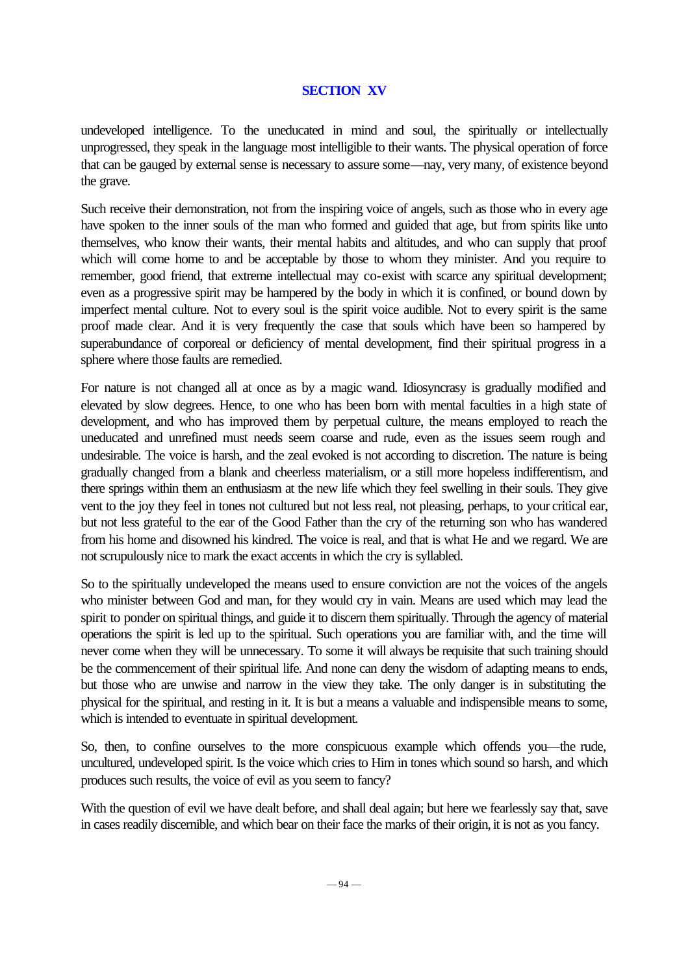undeveloped intelligence. To the uneducated in mind and soul, the spiritually or intellectually unprogressed, they speak in the language most intelligible to their wants. The physical operation of force that can be gauged by external sense is necessary to assure some—nay, very many, of existence beyond the grave.

Such receive their demonstration, not from the inspiring voice of angels, such as those who in every age have spoken to the inner souls of the man who formed and guided that age, but from spirits like unto themselves, who know their wants, their mental habits and altitudes, and who can supply that proof which will come home to and be acceptable by those to whom they minister. And you require to remember, good friend, that extreme intellectual may co-exist with scarce any spiritual development; even as a progressive spirit may be hampered by the body in which it is confined, or bound down by imperfect mental culture. Not to every soul is the spirit voice audible. Not to every spirit is the same proof made clear. And it is very frequently the case that souls which have been so hampered by superabundance of corporeal or deficiency of mental development, find their spiritual progress in a sphere where those faults are remedied.

For nature is not changed all at once as by a magic wand. Idiosyncrasy is gradually modified and elevated by slow degrees. Hence, to one who has been born with mental faculties in a high state of development, and who has improved them by perpetual culture, the means employed to reach the uneducated and unrefined must needs seem coarse and rude, even as the issues seem rough and undesirable. The voice is harsh, and the zeal evoked is not according to discretion. The nature is being gradually changed from a blank and cheerless materialism, or a still more hopeless indifferentism, and there springs within them an enthusiasm at the new life which they feel swelling in their souls. They give vent to the joy they feel in tones not cultured but not less real, not pleasing, perhaps, to your critical ear, but not less grateful to the ear of the Good Father than the cry of the returning son who has wandered from his home and disowned his kindred. The voice is real, and that is what He and we regard. We are not scrupulously nice to mark the exact accents in which the cry is syllabled.

So to the spiritually undeveloped the means used to ensure conviction are not the voices of the angels who minister between God and man, for they would cry in vain. Means are used which may lead the spirit to ponder on spiritual things, and guide it to discern them spiritually. Through the agency of material operations the spirit is led up to the spiritual. Such operations you are familiar with, and the time will never come when they will be unnecessary. To some it will always be requisite that such training should be the commencement of their spiritual life. And none can deny the wisdom of adapting means to ends, but those who are unwise and narrow in the view they take. The only danger is in substituting the physical for the spiritual, and resting in it. It is but a means a valuable and indispensible means to some, which is intended to eventuate in spiritual development.

So, then, to confine ourselves to the more conspicuous example which offends you—the rude, uncultured, undeveloped spirit. Is the voice which cries to Him in tones which sound so harsh, and which produces such results, the voice of evil as you seem to fancy?

With the question of evil we have dealt before, and shall deal again; but here we fearlessly say that, save in cases readily discernible, and which bear on their face the marks of their origin, it is not as you fancy.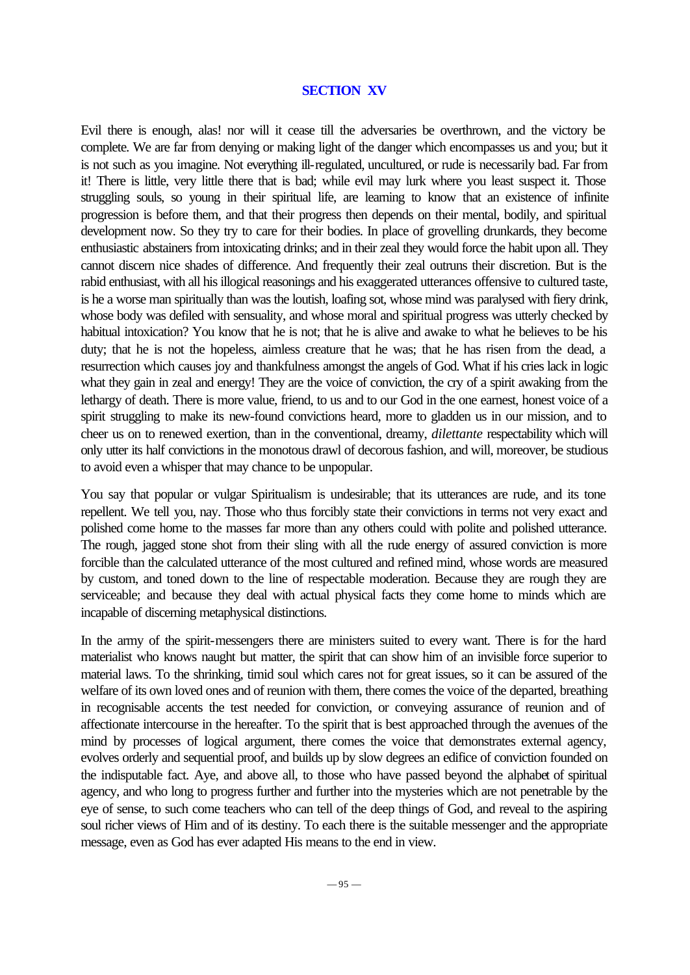Evil there is enough, alas! nor will it cease till the adversaries be overthrown, and the victory be complete. We are far from denying or making light of the danger which encompasses us and you; but it is not such as you imagine. Not everything ill-regulated, uncultured, or rude is necessarily bad. Far from it! There is little, very little there that is bad; while evil may lurk where you least suspect it. Those struggling souls, so young in their spiritual life, are learning to know that an existence of infinite progression is before them, and that their progress then depends on their mental, bodily, and spiritual development now. So they try to care for their bodies. In place of grovelling drunkards, they become enthusiastic abstainers from intoxicating drinks; and in their zeal they would force the habit upon all. They cannot discern nice shades of difference. And frequently their zeal outruns their discretion. But is the rabid enthusiast, with all his illogical reasonings and his exaggerated utterances offensive to cultured taste, is he a worse man spiritually than was the loutish, loafing sot, whose mind was paralysed with fiery drink, whose body was defiled with sensuality, and whose moral and spiritual progress was utterly checked by habitual intoxication? You know that he is not; that he is alive and awake to what he believes to be his duty; that he is not the hopeless, aimless creature that he was; that he has risen from the dead, a resurrection which causes joy and thankfulness amongst the angels of God. What if his cries lack in logic what they gain in zeal and energy! They are the voice of conviction, the cry of a spirit awaking from the lethargy of death. There is more value, friend, to us and to our God in the one earnest, honest voice of a spirit struggling to make its new-found convictions heard, more to gladden us in our mission, and to cheer us on to renewed exertion, than in the conventional, dreamy, *dilettante* respectability which will only utter its half convictions in the monotous drawl of decorous fashion, and will, moreover, be studious to avoid even a whisper that may chance to be unpopular.

You say that popular or vulgar Spiritualism is undesirable; that its utterances are rude, and its tone repellent. We tell you, nay. Those who thus forcibly state their convictions in terms not very exact and polished come home to the masses far more than any others could with polite and polished utterance. The rough, jagged stone shot from their sling with all the rude energy of assured conviction is more forcible than the calculated utterance of the most cultured and refined mind, whose words are measured by custom, and toned down to the line of respectable moderation. Because they are rough they are serviceable; and because they deal with actual physical facts they come home to minds which are incapable of discerning metaphysical distinctions.

In the army of the spirit-messengers there are ministers suited to every want. There is for the hard materialist who knows naught but matter, the spirit that can show him of an invisible force superior to material laws. To the shrinking, timid soul which cares not for great issues, so it can be assured of the welfare of its own loved ones and of reunion with them, there comes the voice of the departed, breathing in recognisable accents the test needed for conviction, or conveying assurance of reunion and of affectionate intercourse in the hereafter. To the spirit that is best approached through the avenues of the mind by processes of logical argument, there comes the voice that demonstrates external agency, evolves orderly and sequential proof, and builds up by slow degrees an edifice of conviction founded on the indisputable fact. Aye, and above all, to those who have passed beyond the alphabet of spiritual agency, and who long to progress further and further into the mysteries which are not penetrable by the eye of sense, to such come teachers who can tell of the deep things of God, and reveal to the aspiring soul richer views of Him and of its destiny. To each there is the suitable messenger and the appropriate message, even as God has ever adapted His means to the end in view.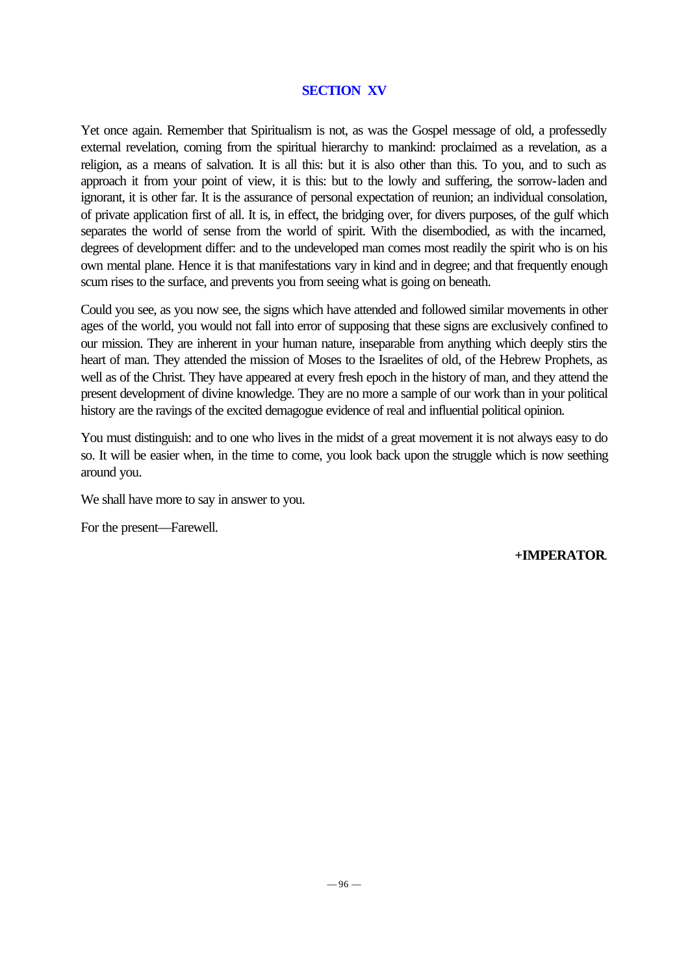Yet once again. Remember that Spiritualism is not, as was the Gospel message of old, a professedly external revelation, coming from the spiritual hierarchy to mankind: proclaimed as a revelation, as a religion, as a means of salvation. It is all this: but it is also other than this. To you, and to such as approach it from your point of view, it is this: but to the lowly and suffering, the sorrow-laden and ignorant, it is other far. It is the assurance of personal expectation of reunion; an individual consolation, of private application first of all. It is, in effect, the bridging over, for divers purposes, of the gulf which separates the world of sense from the world of spirit. With the disembodied, as with the incarned, degrees of development differ: and to the undeveloped man comes most readily the spirit who is on his own mental plane. Hence it is that manifestations vary in kind and in degree; and that frequently enough scum rises to the surface, and prevents you from seeing what is going on beneath.

Could you see, as you now see, the signs which have attended and followed similar movements in other ages of the world, you would not fall into error of supposing that these signs are exclusively confined to our mission. They are inherent in your human nature, inseparable from anything which deeply stirs the heart of man. They attended the mission of Moses to the Israelites of old, of the Hebrew Prophets, as well as of the Christ. They have appeared at every fresh epoch in the history of man, and they attend the present development of divine knowledge. They are no more a sample of our work than in your political history are the ravings of the excited demagogue evidence of real and influential political opinion.

You must distinguish: and to one who lives in the midst of a great movement it is not always easy to do so. It will be easier when, in the time to come, you look back upon the struggle which is now seething around you.

We shall have more to say in answer to you.

For the present—Farewell.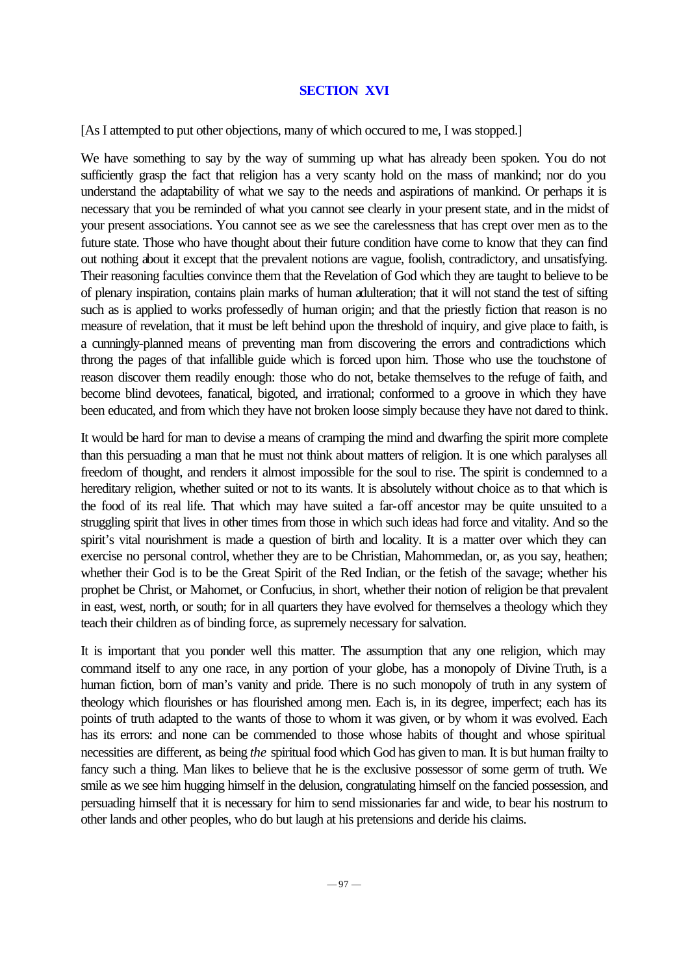[As I attempted to put other objections, many of which occured to me, I was stopped.]

We have something to say by the way of summing up what has already been spoken. You do not sufficiently grasp the fact that religion has a very scanty hold on the mass of mankind; nor do you understand the adaptability of what we say to the needs and aspirations of mankind. Or perhaps it is necessary that you be reminded of what you cannot see clearly in your present state, and in the midst of your present associations. You cannot see as we see the carelessness that has crept over men as to the future state. Those who have thought about their future condition have come to know that they can find out nothing about it except that the prevalent notions are vague, foolish, contradictory, and unsatisfying. Their reasoning faculties convince them that the Revelation of God which they are taught to believe to be of plenary inspiration, contains plain marks of human adulteration; that it will not stand the test of sifting such as is applied to works professedly of human origin; and that the priestly fiction that reason is no measure of revelation, that it must be left behind upon the threshold of inquiry, and give place to faith, is a cunningly-planned means of preventing man from discovering the errors and contradictions which throng the pages of that infallible guide which is forced upon him. Those who use the touchstone of reason discover them readily enough: those who do not, betake themselves to the refuge of faith, and become blind devotees, fanatical, bigoted, and irrational; conformed to a groove in which they have been educated, and from which they have not broken loose simply because they have not dared to think.

It would be hard for man to devise a means of cramping the mind and dwarfing the spirit more complete than this persuading a man that he must not think about matters of religion. It is one which paralyses all freedom of thought, and renders it almost impossible for the soul to rise. The spirit is condemned to a hereditary religion, whether suited or not to its wants. It is absolutely without choice as to that which is the food of its real life. That which may have suited a far-off ancestor may be quite unsuited to a struggling spirit that lives in other times from those in which such ideas had force and vitality. And so the spirit's vital nourishment is made a question of birth and locality. It is a matter over which they can exercise no personal control, whether they are to be Christian, Mahommedan, or, as you say, heathen; whether their God is to be the Great Spirit of the Red Indian, or the fetish of the savage; whether his prophet be Christ, or Mahomet, or Confucius, in short, whether their notion of religion be that prevalent in east, west, north, or south; for in all quarters they have evolved for themselves a theology which they teach their children as of binding force, as supremely necessary for salvation.

It is important that you ponder well this matter. The assumption that any one religion, which may command itself to any one race, in any portion of your globe, has a monopoly of Divine Truth, is a human fiction, born of man's vanity and pride. There is no such monopoly of truth in any system of theology which flourishes or has flourished among men. Each is, in its degree, imperfect; each has its points of truth adapted to the wants of those to whom it was given, or by whom it was evolved. Each has its errors: and none can be commended to those whose habits of thought and whose spiritual necessities are different, as being *the* spiritual food which God has given to man. It is but human frailty to fancy such a thing. Man likes to believe that he is the exclusive possessor of some germ of truth. We smile as we see him hugging himself in the delusion, congratulating himself on the fancied possession, and persuading himself that it is necessary for him to send missionaries far and wide, to bear his nostrum to other lands and other peoples, who do but laugh at his pretensions and deride his claims.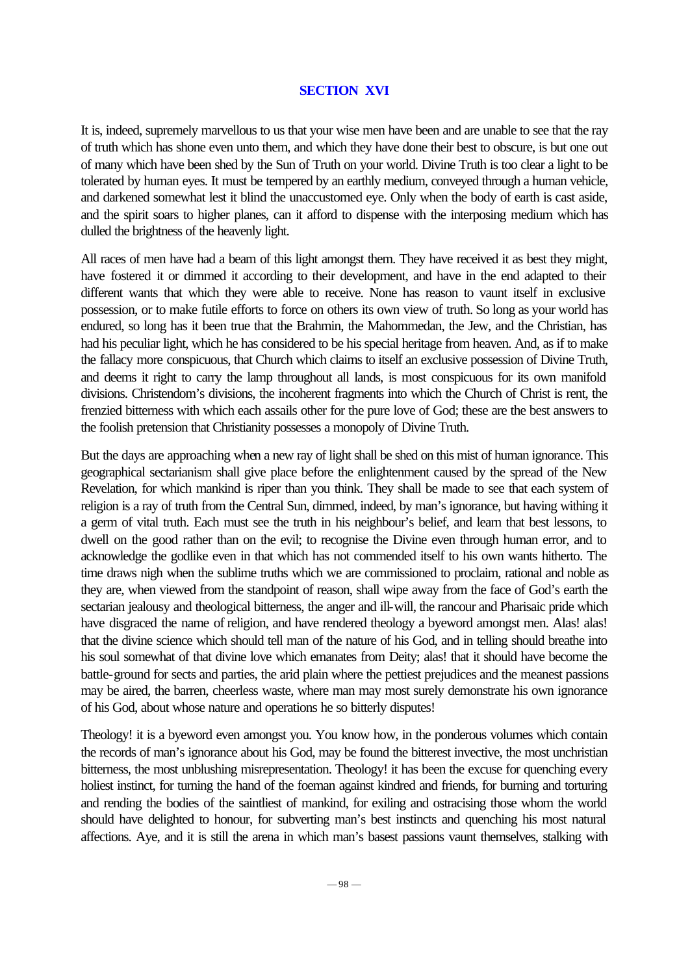It is, indeed, supremely marvellous to us that your wise men have been and are unable to see that the ray of truth which has shone even unto them, and which they have done their best to obscure, is but one out of many which have been shed by the Sun of Truth on your world. Divine Truth is too clear a light to be tolerated by human eyes. It must be tempered by an earthly medium, conveyed through a human vehicle, and darkened somewhat lest it blind the unaccustomed eye. Only when the body of earth is cast aside, and the spirit soars to higher planes, can it afford to dispense with the interposing medium which has dulled the brightness of the heavenly light.

All races of men have had a beam of this light amongst them. They have received it as best they might, have fostered it or dimmed it according to their development, and have in the end adapted to their different wants that which they were able to receive. None has reason to vaunt itself in exclusive possession, or to make futile efforts to force on others its own view of truth. So long as your world has endured, so long has it been true that the Brahmin, the Mahommedan, the Jew, and the Christian, has had his peculiar light, which he has considered to be his special heritage from heaven. And, as if to make the fallacy more conspicuous, that Church which claims to itself an exclusive possession of Divine Truth, and deems it right to carry the lamp throughout all lands, is most conspicuous for its own manifold divisions. Christendom's divisions, the incoherent fragments into which the Church of Christ is rent, the frenzied bitterness with which each assails other for the pure love of God; these are the best answers to the foolish pretension that Christianity possesses a monopoly of Divine Truth.

But the days are approaching when a new ray of light shall be shed on this mist of human ignorance. This geographical sectarianism shall give place before the enlightenment caused by the spread of the New Revelation, for which mankind is riper than you think. They shall be made to see that each system of religion is a ray of truth from the Central Sun, dimmed, indeed, by man's ignorance, but having withing it a germ of vital truth. Each must see the truth in his neighbour's belief, and learn that best lessons, to dwell on the good rather than on the evil; to recognise the Divine even through human error, and to acknowledge the godlike even in that which has not commended itself to his own wants hitherto. The time draws nigh when the sublime truths which we are commissioned to proclaim, rational and noble as they are, when viewed from the standpoint of reason, shall wipe away from the face of God's earth the sectarian jealousy and theological bitterness, the anger and ill-will, the rancour and Pharisaic pride which have disgraced the name of religion, and have rendered theology a byeword amongst men. Alas! alas! that the divine science which should tell man of the nature of his God, and in telling should breathe into his soul somewhat of that divine love which emanates from Deity; alas! that it should have become the battle-ground for sects and parties, the arid plain where the pettiest prejudices and the meanest passions may be aired, the barren, cheerless waste, where man may most surely demonstrate his own ignorance of his God, about whose nature and operations he so bitterly disputes!

Theology! it is a byeword even amongst you. You know how, in the ponderous volumes which contain the records of man's ignorance about his God, may be found the bitterest invective, the most unchristian bitterness, the most unblushing misrepresentation. Theology! it has been the excuse for quenching every holiest instinct, for turning the hand of the foeman against kindred and friends, for burning and torturing and rending the bodies of the saintliest of mankind, for exiling and ostracising those whom the world should have delighted to honour, for subverting man's best instincts and quenching his most natural affections. Aye, and it is still the arena in which man's basest passions vaunt themselves, stalking with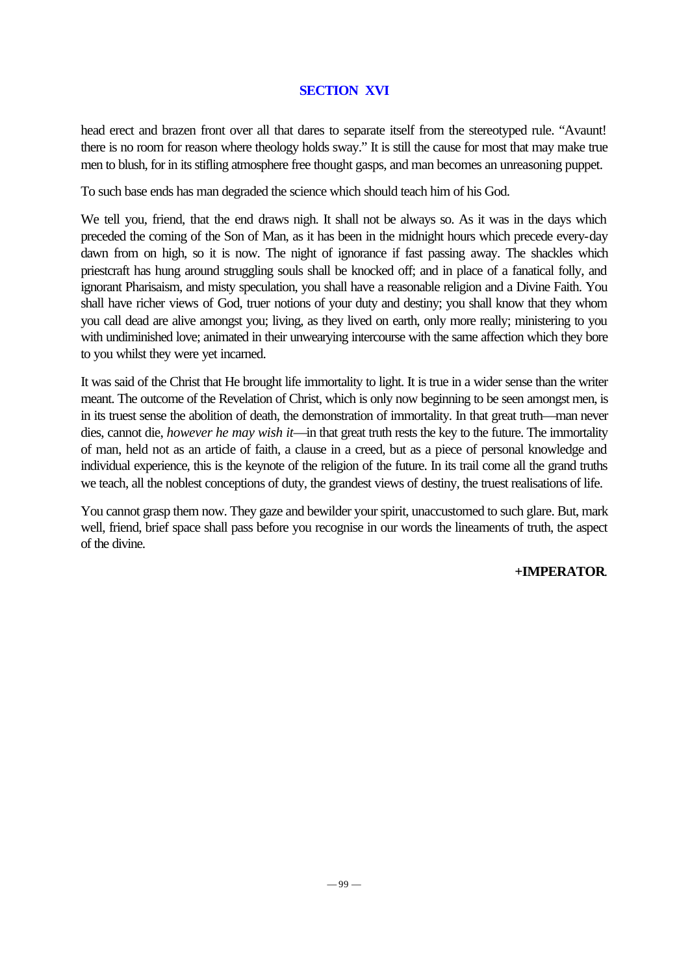head erect and brazen front over all that dares to separate itself from the stereotyped rule. "Avaunt! there is no room for reason where theology holds sway." It is still the cause for most that may make true men to blush, for in its stifling atmosphere free thought gasps, and man becomes an unreasoning puppet.

To such base ends has man degraded the science which should teach him of his God.

We tell you, friend, that the end draws nigh. It shall not be always so. As it was in the days which preceded the coming of the Son of Man, as it has been in the midnight hours which precede every-day dawn from on high, so it is now. The night of ignorance if fast passing away. The shackles which priestcraft has hung around struggling souls shall be knocked off; and in place of a fanatical folly, and ignorant Pharisaism, and misty speculation, you shall have a reasonable religion and a Divine Faith. You shall have richer views of God, truer notions of your duty and destiny; you shall know that they whom you call dead are alive amongst you; living, as they lived on earth, only more really; ministering to you with undiminished love; animated in their unwearying intercourse with the same affection which they bore to you whilst they were yet incarned.

It was said of the Christ that He brought life immortality to light. It is true in a wider sense than the writer meant. The outcome of the Revelation of Christ, which is only now beginning to be seen amongst men, is in its truest sense the abolition of death, the demonstration of immortality. In that great truth—man never dies, cannot die, *however he may wish it*—in that great truth rests the key to the future. The immortality of man, held not as an article of faith, a clause in a creed, but as a piece of personal knowledge and individual experience, this is the keynote of the religion of the future. In its trail come all the grand truths we teach, all the noblest conceptions of duty, the grandest views of destiny, the truest realisations of life.

You cannot grasp them now. They gaze and bewilder your spirit, unaccustomed to such glare. But, mark well, friend, brief space shall pass before you recognise in our words the lineaments of truth, the aspect of the divine.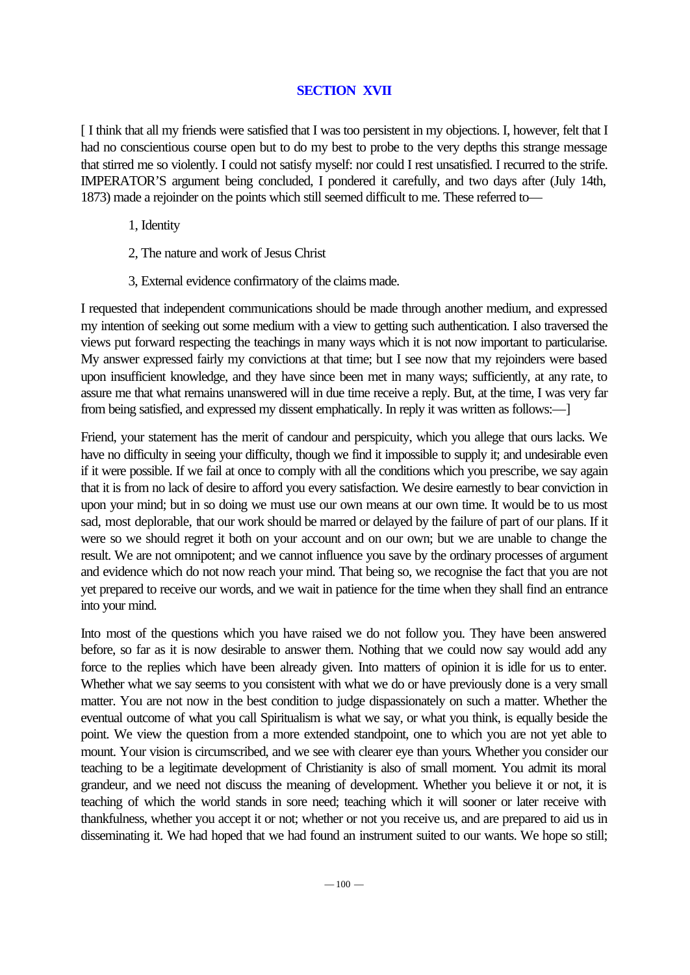[ I think that all my friends were satisfied that I was too persistent in my objections. I, however, felt that I had no conscientious course open but to do my best to probe to the very depths this strange message that stirred me so violently. I could not satisfy myself: nor could I rest unsatisfied. I recurred to the strife. IMPERATOR'S argument being concluded, I pondered it carefully, and two days after (July 14th, 1873) made a rejoinder on the points which still seemed difficult to me. These referred to—

- 1, Identity
- 2, The nature and work of Jesus Christ
- 3, External evidence confirmatory of the claims made.

I requested that independent communications should be made through another medium, and expressed my intention of seeking out some medium with a view to getting such authentication. I also traversed the views put forward respecting the teachings in many ways which it is not now important to particularise. My answer expressed fairly my convictions at that time; but I see now that my rejoinders were based upon insufficient knowledge, and they have since been met in many ways; sufficiently, at any rate, to assure me that what remains unanswered will in due time receive a reply. But, at the time, I was very far from being satisfied, and expressed my dissent emphatically. In reply it was written as follows:—]

Friend, your statement has the merit of candour and perspicuity, which you allege that ours lacks. We have no difficulty in seeing your difficulty, though we find it impossible to supply it; and undesirable even if it were possible. If we fail at once to comply with all the conditions which you prescribe, we say again that it is from no lack of desire to afford you every satisfaction. We desire earnestly to bear conviction in upon your mind; but in so doing we must use our own means at our own time. It would be to us most sad, most deplorable, that our work should be marred or delayed by the failure of part of our plans. If it were so we should regret it both on your account and on our own; but we are unable to change the result. We are not omnipotent; and we cannot influence you save by the ordinary processes of argument and evidence which do not now reach your mind. That being so, we recognise the fact that you are not yet prepared to receive our words, and we wait in patience for the time when they shall find an entrance into your mind.

Into most of the questions which you have raised we do not follow you. They have been answered before, so far as it is now desirable to answer them. Nothing that we could now say would add any force to the replies which have been already given. Into matters of opinion it is idle for us to enter. Whether what we say seems to you consistent with what we do or have previously done is a very small matter. You are not now in the best condition to judge dispassionately on such a matter. Whether the eventual outcome of what you call Spiritualism is what we say, or what you think, is equally beside the point. We view the question from a more extended standpoint, one to which you are not yet able to mount. Your vision is circumscribed, and we see with clearer eye than yours. Whether you consider our teaching to be a legitimate development of Christianity is also of small moment. You admit its moral grandeur, and we need not discuss the meaning of development. Whether you believe it or not, it is teaching of which the world stands in sore need; teaching which it will sooner or later receive with thankfulness, whether you accept it or not; whether or not you receive us, and are prepared to aid us in disseminating it. We had hoped that we had found an instrument suited to our wants. We hope so still;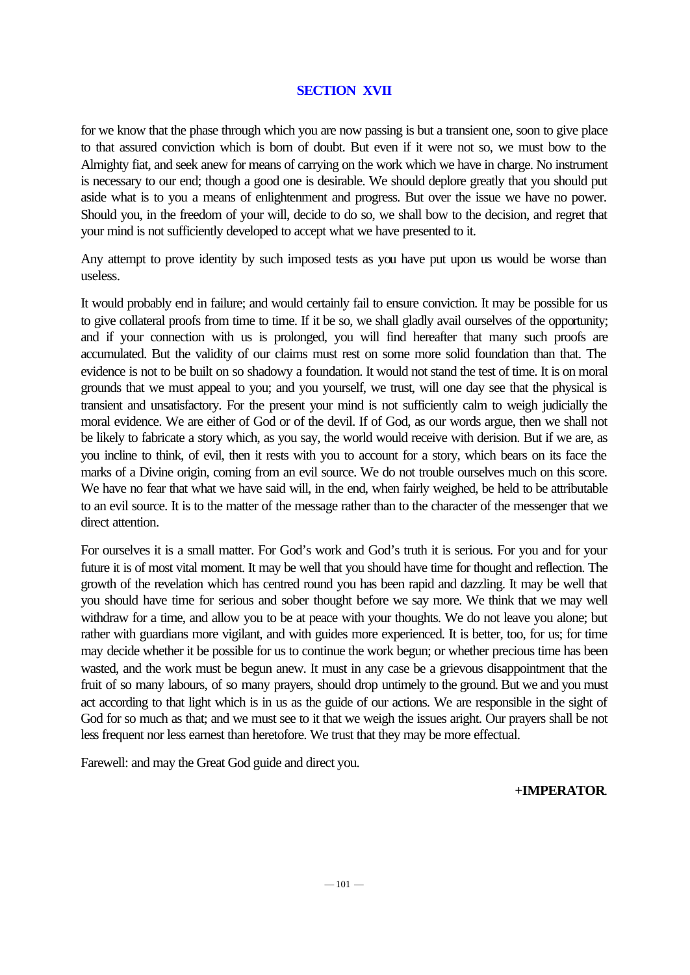for we know that the phase through which you are now passing is but a transient one, soon to give place to that assured conviction which is born of doubt. But even if it were not so, we must bow to the Almighty fiat, and seek anew for means of carrying on the work which we have in charge. No instrument is necessary to our end; though a good one is desirable. We should deplore greatly that you should put aside what is to you a means of enlightenment and progress. But over the issue we have no power. Should you, in the freedom of your will, decide to do so, we shall bow to the decision, and regret that your mind is not sufficiently developed to accept what we have presented to it.

Any attempt to prove identity by such imposed tests as you have put upon us would be worse than useless.

It would probably end in failure; and would certainly fail to ensure conviction. It may be possible for us to give collateral proofs from time to time. If it be so, we shall gladly avail ourselves of the opportunity; and if your connection with us is prolonged, you will find hereafter that many such proofs are accumulated. But the validity of our claims must rest on some more solid foundation than that. The evidence is not to be built on so shadowy a foundation. It would not stand the test of time. It is on moral grounds that we must appeal to you; and you yourself, we trust, will one day see that the physical is transient and unsatisfactory. For the present your mind is not sufficiently calm to weigh judicially the moral evidence. We are either of God or of the devil. If of God, as our words argue, then we shall not be likely to fabricate a story which, as you say, the world would receive with derision. But if we are, as you incline to think, of evil, then it rests with you to account for a story, which bears on its face the marks of a Divine origin, coming from an evil source. We do not trouble ourselves much on this score. We have no fear that what we have said will, in the end, when fairly weighed, be held to be attributable to an evil source. It is to the matter of the message rather than to the character of the messenger that we direct attention.

For ourselves it is a small matter. For God's work and God's truth it is serious. For you and for your future it is of most vital moment. It may be well that you should have time for thought and reflection. The growth of the revelation which has centred round you has been rapid and dazzling. It may be well that you should have time for serious and sober thought before we say more. We think that we may well withdraw for a time, and allow you to be at peace with your thoughts. We do not leave you alone; but rather with guardians more vigilant, and with guides more experienced. It is better, too, for us; for time may decide whether it be possible for us to continue the work begun; or whether precious time has been wasted, and the work must be begun anew. It must in any case be a grievous disappointment that the fruit of so many labours, of so many prayers, should drop untimely to the ground. But we and you must act according to that light which is in us as the guide of our actions. We are responsible in the sight of God for so much as that; and we must see to it that we weigh the issues aright. Our prayers shall be not less frequent nor less earnest than heretofore. We trust that they may be more effectual.

Farewell: and may the Great God guide and direct you.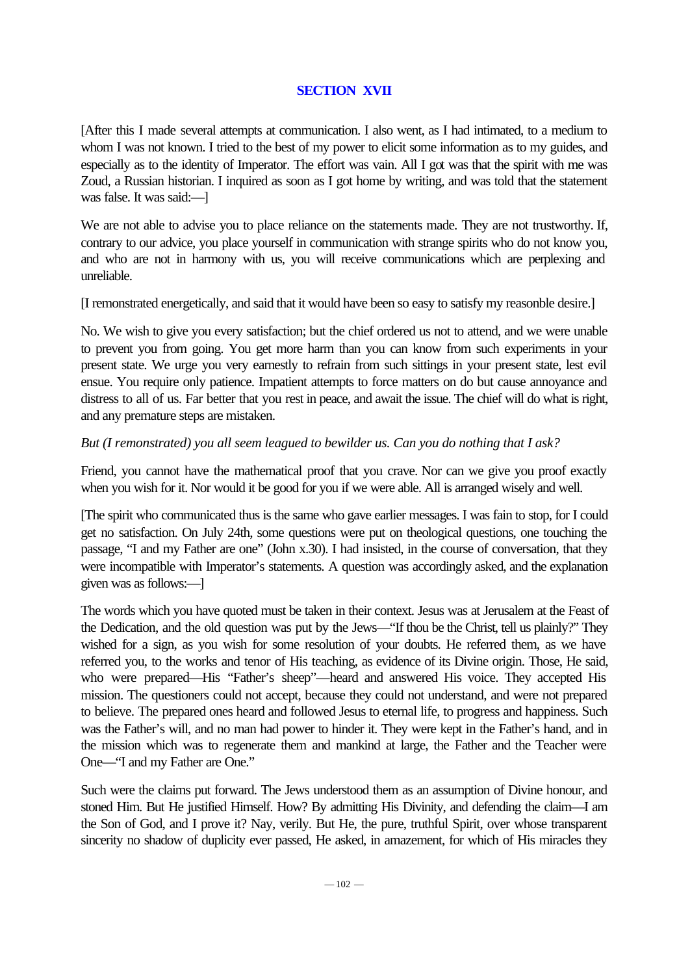[After this I made several attempts at communication. I also went, as I had intimated, to a medium to whom I was not known. I tried to the best of my power to elicit some information as to my guides, and especially as to the identity of Imperator. The effort was vain. All I got was that the spirit with me was Zoud, a Russian historian. I inquired as soon as I got home by writing, and was told that the statement was false. It was said:—]

We are not able to advise you to place reliance on the statements made. They are not trustworthy. If, contrary to our advice, you place yourself in communication with strange spirits who do not know you, and who are not in harmony with us, you will receive communications which are perplexing and unreliable.

[I remonstrated energetically, and said that it would have been so easy to satisfy my reasonble desire.]

No. We wish to give you every satisfaction; but the chief ordered us not to attend, and we were unable to prevent you from going. You get more harm than you can know from such experiments in your present state. We urge you very earnestly to refrain from such sittings in your present state, lest evil ensue. You require only patience. Impatient attempts to force matters on do but cause annoyance and distress to all of us. Far better that you rest in peace, and await the issue. The chief will do what is right, and any premature steps are mistaken.

## *But (I remonstrated) you all seem leagued to bewilder us. Can you do nothing that I ask?*

Friend, you cannot have the mathematical proof that you crave. Nor can we give you proof exactly when you wish for it. Nor would it be good for you if we were able. All is arranged wisely and well.

[The spirit who communicated thus is the same who gave earlier messages. I was fain to stop, for I could get no satisfaction. On July 24th, some questions were put on theological questions, one touching the passage, "I and my Father are one" (John x.30). I had insisted, in the course of conversation, that they were incompatible with Imperator's statements. A question was accordingly asked, and the explanation given was as follows:—]

The words which you have quoted must be taken in their context. Jesus was at Jerusalem at the Feast of the Dedication, and the old question was put by the Jews—"If thou be the Christ, tell us plainly?" They wished for a sign, as you wish for some resolution of your doubts. He referred them, as we have referred you, to the works and tenor of His teaching, as evidence of its Divine origin. Those, He said, who were prepared—His "Father's sheep"—heard and answered His voice. They accepted His mission. The questioners could not accept, because they could not understand, and were not prepared to believe. The prepared ones heard and followed Jesus to eternal life, to progress and happiness. Such was the Father's will, and no man had power to hinder it. They were kept in the Father's hand, and in the mission which was to regenerate them and mankind at large, the Father and the Teacher were One—"I and my Father are One."

Such were the claims put forward. The Jews understood them as an assumption of Divine honour, and stoned Him. But He justified Himself. How? By admitting His Divinity, and defending the claim—I am the Son of God, and I prove it? Nay, verily. But He, the pure, truthful Spirit, over whose transparent sincerity no shadow of duplicity ever passed, He asked, in amazement, for which of His miracles they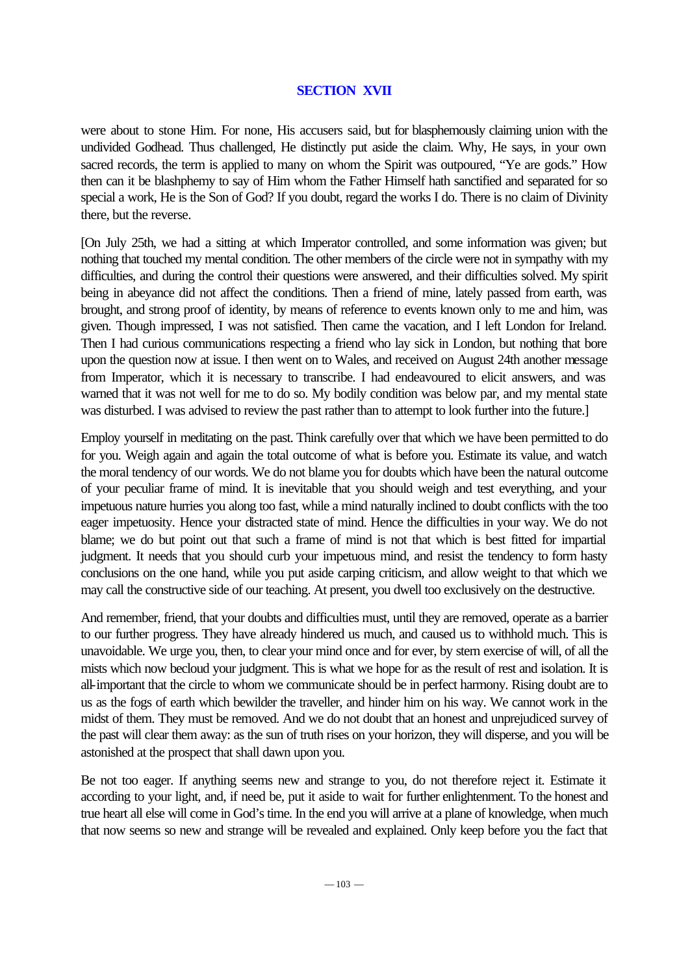were about to stone Him. For none, His accusers said, but for blasphemously claiming union with the undivided Godhead. Thus challenged, He distinctly put aside the claim. Why, He says, in your own sacred records, the term is applied to many on whom the Spirit was outpoured, "Ye are gods." How then can it be blashphemy to say of Him whom the Father Himself hath sanctified and separated for so special a work, He is the Son of God? If you doubt, regard the works I do. There is no claim of Divinity there, but the reverse.

[On July 25th, we had a sitting at which Imperator controlled, and some information was given; but nothing that touched my mental condition. The other members of the circle were not in sympathy with my difficulties, and during the control their questions were answered, and their difficulties solved. My spirit being in abeyance did not affect the conditions. Then a friend of mine, lately passed from earth, was brought, and strong proof of identity, by means of reference to events known only to me and him, was given. Though impressed, I was not satisfied. Then came the vacation, and I left London for Ireland. Then I had curious communications respecting a friend who lay sick in London, but nothing that bore upon the question now at issue. I then went on to Wales, and received on August 24th another message from Imperator, which it is necessary to transcribe. I had endeavoured to elicit answers, and was warned that it was not well for me to do so. My bodily condition was below par, and my mental state was disturbed. I was advised to review the past rather than to attempt to look further into the future.]

Employ yourself in meditating on the past. Think carefully over that which we have been permitted to do for you. Weigh again and again the total outcome of what is before you. Estimate its value, and watch the moral tendency of our words. We do not blame you for doubts which have been the natural outcome of your peculiar frame of mind. It is inevitable that you should weigh and test everything, and your impetuous nature hurries you along too fast, while a mind naturally inclined to doubt conflicts with the too eager impetuosity. Hence your distracted state of mind. Hence the difficulties in your way. We do not blame; we do but point out that such a frame of mind is not that which is best fitted for impartial judgment. It needs that you should curb your impetuous mind, and resist the tendency to form hasty conclusions on the one hand, while you put aside carping criticism, and allow weight to that which we may call the constructive side of our teaching. At present, you dwell too exclusively on the destructive.

And remember, friend, that your doubts and difficulties must, until they are removed, operate as a barrier to our further progress. They have already hindered us much, and caused us to withhold much. This is unavoidable. We urge you, then, to clear your mind once and for ever, by stern exercise of will, of all the mists which now becloud your judgment. This is what we hope for as the result of rest and isolation. It is all-important that the circle to whom we communicate should be in perfect harmony. Rising doubt are to us as the fogs of earth which bewilder the traveller, and hinder him on his way. We cannot work in the midst of them. They must be removed. And we do not doubt that an honest and unprejudiced survey of the past will clear them away: as the sun of truth rises on your horizon, they will disperse, and you will be astonished at the prospect that shall dawn upon you.

Be not too eager. If anything seems new and strange to you, do not therefore reject it. Estimate it according to your light, and, if need be, put it aside to wait for further enlightenment. To the honest and true heart all else will come in God's time. In the end you will arrive at a plane of knowledge, when much that now seems so new and strange will be revealed and explained. Only keep before you the fact that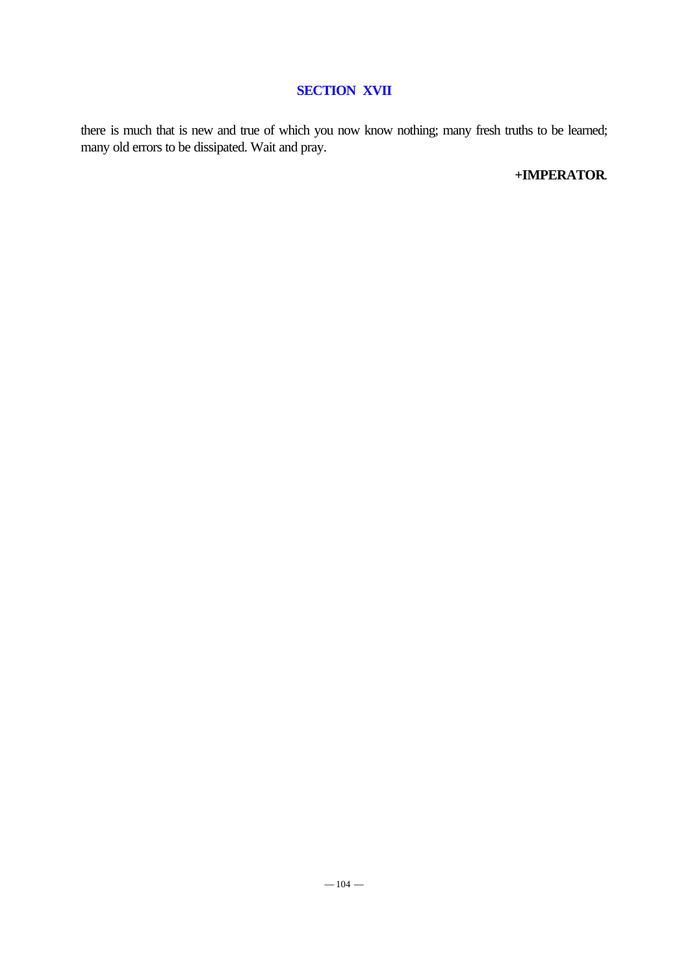there is much that is new and true of which you now know nothing; many fresh truths to be learned; many old errors to be dissipated. Wait and pray.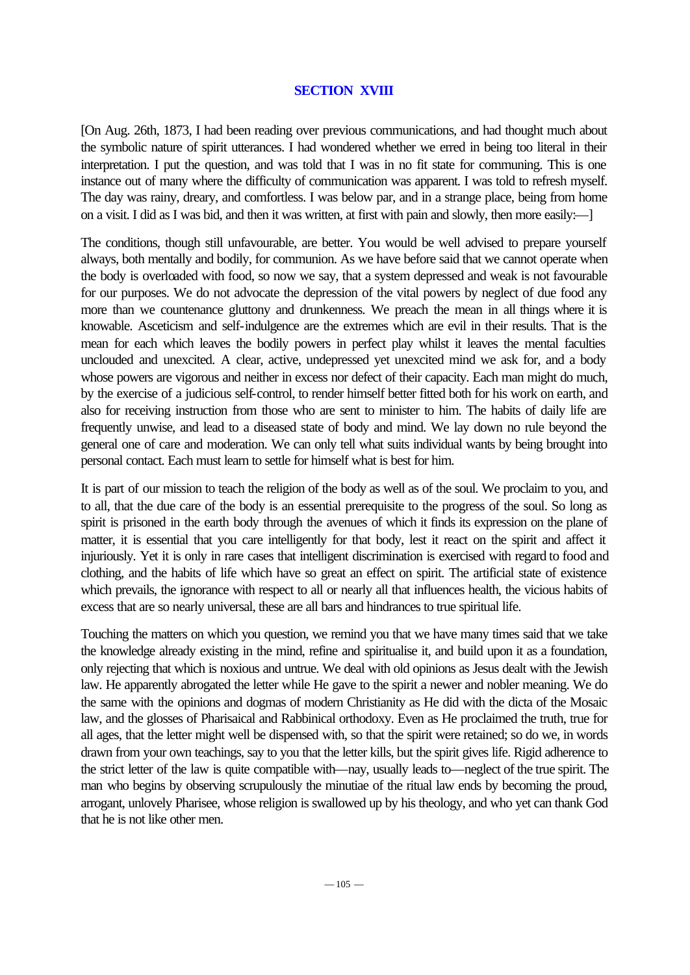[On Aug. 26th, 1873, I had been reading over previous communications, and had thought much about the symbolic nature of spirit utterances. I had wondered whether we erred in being too literal in their interpretation. I put the question, and was told that I was in no fit state for communing. This is one instance out of many where the difficulty of communication was apparent. I was told to refresh myself. The day was rainy, dreary, and comfortless. I was below par, and in a strange place, being from home on a visit. I did as I was bid, and then it was written, at first with pain and slowly, then more easily:—]

The conditions, though still unfavourable, are better. You would be well advised to prepare yourself always, both mentally and bodily, for communion. As we have before said that we cannot operate when the body is overloaded with food, so now we say, that a system depressed and weak is not favourable for our purposes. We do not advocate the depression of the vital powers by neglect of due food any more than we countenance gluttony and drunkenness. We preach the mean in all things where it is knowable. Asceticism and self-indulgence are the extremes which are evil in their results. That is the mean for each which leaves the bodily powers in perfect play whilst it leaves the mental faculties unclouded and unexcited. A clear, active, undepressed yet unexcited mind we ask for, and a body whose powers are vigorous and neither in excess nor defect of their capacity. Each man might do much, by the exercise of a judicious self-control, to render himself better fitted both for his work on earth, and also for receiving instruction from those who are sent to minister to him. The habits of daily life are frequently unwise, and lead to a diseased state of body and mind. We lay down no rule beyond the general one of care and moderation. We can only tell what suits individual wants by being brought into personal contact. Each must learn to settle for himself what is best for him.

It is part of our mission to teach the religion of the body as well as of the soul. We proclaim to you, and to all, that the due care of the body is an essential prerequisite to the progress of the soul. So long as spirit is prisoned in the earth body through the avenues of which it finds its expression on the plane of matter, it is essential that you care intelligently for that body, lest it react on the spirit and affect it injuriously. Yet it is only in rare cases that intelligent discrimination is exercised with regard to food and clothing, and the habits of life which have so great an effect on spirit. The artificial state of existence which prevails, the ignorance with respect to all or nearly all that influences health, the vicious habits of excess that are so nearly universal, these are all bars and hindrances to true spiritual life.

Touching the matters on which you question, we remind you that we have many times said that we take the knowledge already existing in the mind, refine and spiritualise it, and build upon it as a foundation, only rejecting that which is noxious and untrue. We deal with old opinions as Jesus dealt with the Jewish law. He apparently abrogated the letter while He gave to the spirit a newer and nobler meaning. We do the same with the opinions and dogmas of modern Christianity as He did with the dicta of the Mosaic law, and the glosses of Pharisaical and Rabbinical orthodoxy. Even as He proclaimed the truth, true for all ages, that the letter might well be dispensed with, so that the spirit were retained; so do we, in words drawn from your own teachings, say to you that the letter kills, but the spirit gives life. Rigid adherence to the strict letter of the law is quite compatible with—nay, usually leads to—neglect of the true spirit. The man who begins by observing scrupulously the minutiae of the ritual law ends by becoming the proud, arrogant, unlovely Pharisee, whose religion is swallowed up by his theology, and who yet can thank God that he is not like other men.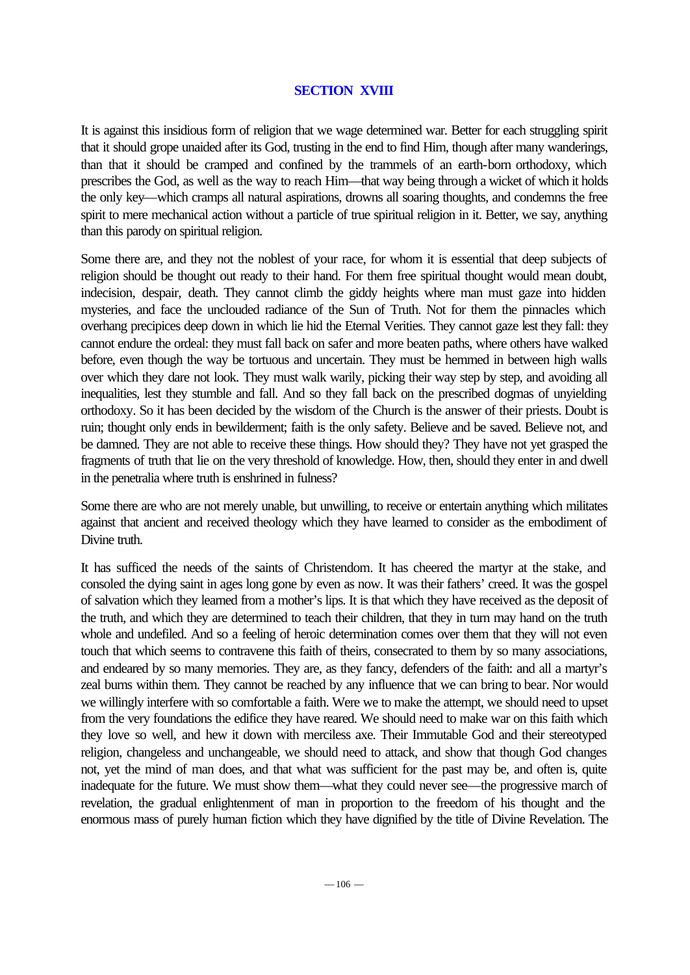It is against this insidious form of religion that we wage determined war. Better for each struggling spirit that it should grope unaided after its God, trusting in the end to find Him, though after many wanderings, than that it should be cramped and confined by the trammels of an earth-born orthodoxy, which prescribes the God, as well as the way to reach Him—that way being through a wicket of which it holds the only key—which cramps all natural aspirations, drowns all soaring thoughts, and condemns the free spirit to mere mechanical action without a particle of true spiritual religion in it. Better, we say, anything than this parody on spiritual religion.

Some there are, and they not the noblest of your race, for whom it is essential that deep subjects of religion should be thought out ready to their hand. For them free spiritual thought would mean doubt, indecision, despair, death. They cannot climb the giddy heights where man must gaze into hidden mysteries, and face the unclouded radiance of the Sun of Truth. Not for them the pinnacles which overhang precipices deep down in which lie hid the Eternal Verities. They cannot gaze lest they fall: they cannot endure the ordeal: they must fall back on safer and more beaten paths, where others have walked before, even though the way be tortuous and uncertain. They must be hemmed in between high walls over which they dare not look. They must walk warily, picking their way step by step, and avoiding all inequalities, lest they stumble and fall. And so they fall back on the prescribed dogmas of unyielding orthodoxy. So it has been decided by the wisdom of the Church is the answer of their priests. Doubt is ruin; thought only ends in bewilderment; faith is the only safety. Believe and be saved. Believe not, and be damned. They are not able to receive these things. How should they? They have not yet grasped the fragments of truth that lie on the very threshold of knowledge. How, then, should they enter in and dwell in the penetralia where truth is enshrined in fulness?

Some there are who are not merely unable, but unwilling, to receive or entertain anything which militates against that ancient and received theology which they have learned to consider as the embodiment of Divine truth.

It has sufficed the needs of the saints of Christendom. It has cheered the martyr at the stake, and consoled the dying saint in ages long gone by even as now. It was their fathers' creed. It was the gospel of salvation which they learned from a mother's lips. It is that which they have received as the deposit of the truth, and which they are determined to teach their children, that they in turn may hand on the truth whole and undefiled. And so a feeling of heroic determination comes over them that they will not even touch that which seems to contravene this faith of theirs, consecrated to them by so many associations, and endeared by so many memories. They are, as they fancy, defenders of the faith: and all a martyr's zeal burns within them. They cannot be reached by any influence that we can bring to bear. Nor would we willingly interfere with so comfortable a faith. Were we to make the attempt, we should need to upset from the very foundations the edifice they have reared. We should need to make war on this faith which they love so well, and hew it down with merciless axe. Their Immutable God and their stereotyped religion, changeless and unchangeable, we should need to attack, and show that though God changes not, yet the mind of man does, and that what was sufficient for the past may be, and often is, quite inadequate for the future. We must show them—what they could never see—the progressive march of revelation, the gradual enlightenment of man in proportion to the freedom of his thought and the enormous mass of purely human fiction which they have dignified by the title of Divine Revelation. The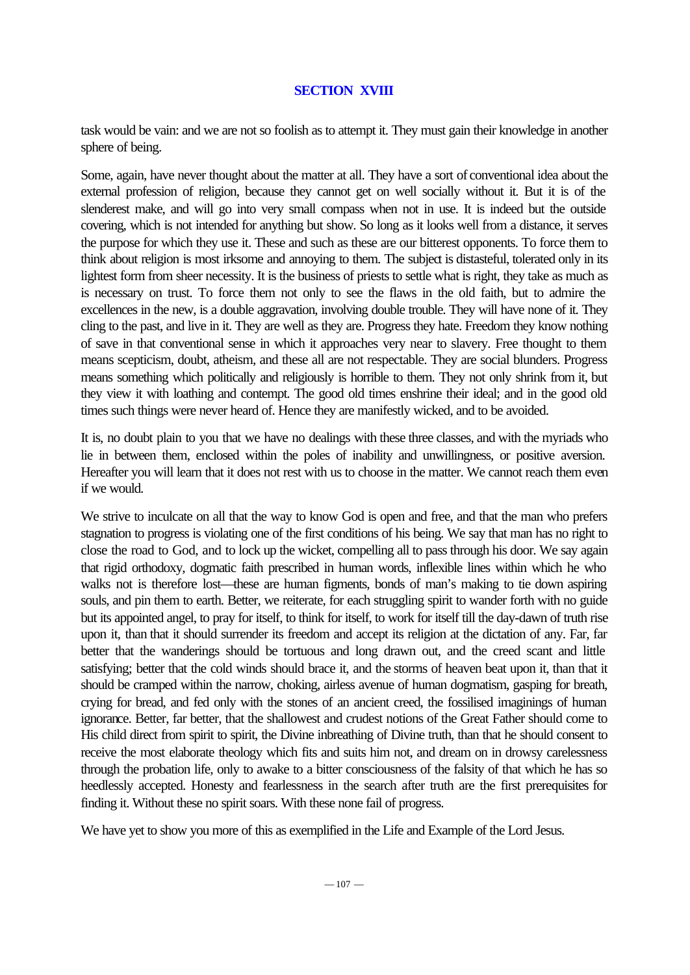task would be vain: and we are not so foolish as to attempt it. They must gain their knowledge in another sphere of being.

Some, again, have never thought about the matter at all. They have a sort of conventional idea about the external profession of religion, because they cannot get on well socially without it. But it is of the slenderest make, and will go into very small compass when not in use. It is indeed but the outside covering, which is not intended for anything but show. So long as it looks well from a distance, it serves the purpose for which they use it. These and such as these are our bitterest opponents. To force them to think about religion is most irksome and annoying to them. The subject is distasteful, tolerated only in its lightest form from sheer necessity. It is the business of priests to settle what is right, they take as much as is necessary on trust. To force them not only to see the flaws in the old faith, but to admire the excellences in the new, is a double aggravation, involving double trouble. They will have none of it. They cling to the past, and live in it. They are well as they are. Progress they hate. Freedom they know nothing of save in that conventional sense in which it approaches very near to slavery. Free thought to them means scepticism, doubt, atheism, and these all are not respectable. They are social blunders. Progress means something which politically and religiously is horrible to them. They not only shrink from it, but they view it with loathing and contempt. The good old times enshrine their ideal; and in the good old times such things were never heard of. Hence they are manifestly wicked, and to be avoided.

It is, no doubt plain to you that we have no dealings with these three classes, and with the myriads who lie in between them, enclosed within the poles of inability and unwillingness, or positive aversion. Hereafter you will learn that it does not rest with us to choose in the matter. We cannot reach them even if we would.

We strive to inculcate on all that the way to know God is open and free, and that the man who prefers stagnation to progress is violating one of the first conditions of his being. We say that man has no right to close the road to God, and to lock up the wicket, compelling all to pass through his door. We say again that rigid orthodoxy, dogmatic faith prescribed in human words, inflexible lines within which he who walks not is therefore lost—these are human figments, bonds of man's making to tie down aspiring souls, and pin them to earth. Better, we reiterate, for each struggling spirit to wander forth with no guide but its appointed angel, to pray for itself, to think for itself, to work for itself till the day-dawn of truth rise upon it, than that it should surrender its freedom and accept its religion at the dictation of any. Far, far better that the wanderings should be tortuous and long drawn out, and the creed scant and little satisfying; better that the cold winds should brace it, and the storms of heaven beat upon it, than that it should be cramped within the narrow, choking, airless avenue of human dogmatism, gasping for breath, crying for bread, and fed only with the stones of an ancient creed, the fossilised imaginings of human ignorance. Better, far better, that the shallowest and crudest notions of the Great Father should come to His child direct from spirit to spirit, the Divine inbreathing of Divine truth, than that he should consent to receive the most elaborate theology which fits and suits him not, and dream on in drowsy carelessness through the probation life, only to awake to a bitter consciousness of the falsity of that which he has so heedlessly accepted. Honesty and fearlessness in the search after truth are the first prerequisites for finding it. Without these no spirit soars. With these none fail of progress.

We have yet to show you more of this as exemplified in the Life and Example of the Lord Jesus.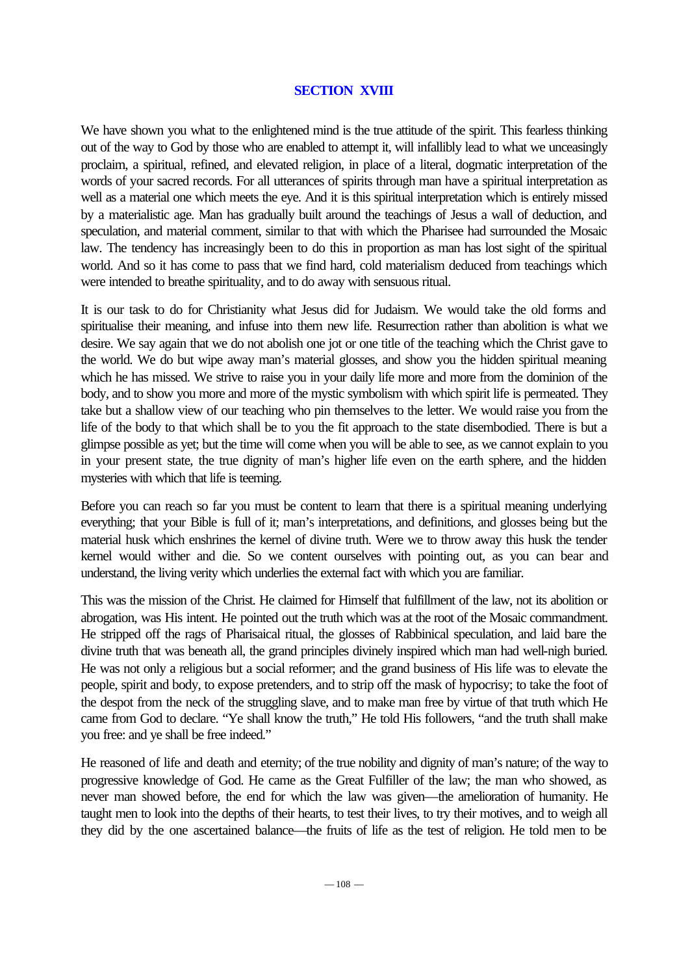We have shown you what to the enlightened mind is the true attitude of the spirit. This fearless thinking out of the way to God by those who are enabled to attempt it, will infallibly lead to what we unceasingly proclaim, a spiritual, refined, and elevated religion, in place of a literal, dogmatic interpretation of the words of your sacred records. For all utterances of spirits through man have a spiritual interpretation as well as a material one which meets the eye. And it is this spiritual interpretation which is entirely missed by a materialistic age. Man has gradually built around the teachings of Jesus a wall of deduction, and speculation, and material comment, similar to that with which the Pharisee had surrounded the Mosaic law. The tendency has increasingly been to do this in proportion as man has lost sight of the spiritual world. And so it has come to pass that we find hard, cold materialism deduced from teachings which were intended to breathe spirituality, and to do away with sensuous ritual.

It is our task to do for Christianity what Jesus did for Judaism. We would take the old forms and spiritualise their meaning, and infuse into them new life. Resurrection rather than abolition is what we desire. We say again that we do not abolish one jot or one title of the teaching which the Christ gave to the world. We do but wipe away man's material glosses, and show you the hidden spiritual meaning which he has missed. We strive to raise you in your daily life more and more from the dominion of the body, and to show you more and more of the mystic symbolism with which spirit life is permeated. They take but a shallow view of our teaching who pin themselves to the letter. We would raise you from the life of the body to that which shall be to you the fit approach to the state disembodied. There is but a glimpse possible as yet; but the time will come when you will be able to see, as we cannot explain to you in your present state, the true dignity of man's higher life even on the earth sphere, and the hidden mysteries with which that life is teeming.

Before you can reach so far you must be content to learn that there is a spiritual meaning underlying everything; that your Bible is full of it; man's interpretations, and definitions, and glosses being but the material husk which enshrines the kernel of divine truth. Were we to throw away this husk the tender kernel would wither and die. So we content ourselves with pointing out, as you can bear and understand, the living verity which underlies the external fact with which you are familiar.

This was the mission of the Christ. He claimed for Himself that fulfillment of the law, not its abolition or abrogation, was His intent. He pointed out the truth which was at the root of the Mosaic commandment. He stripped off the rags of Pharisaical ritual, the glosses of Rabbinical speculation, and laid bare the divine truth that was beneath all, the grand principles divinely inspired which man had well-nigh buried. He was not only a religious but a social reformer; and the grand business of His life was to elevate the people, spirit and body, to expose pretenders, and to strip off the mask of hypocrisy; to take the foot of the despot from the neck of the struggling slave, and to make man free by virtue of that truth which He came from God to declare. "Ye shall know the truth," He told His followers, "and the truth shall make you free: and ye shall be free indeed."

He reasoned of life and death and eternity; of the true nobility and dignity of man's nature; of the way to progressive knowledge of God. He came as the Great Fulfiller of the law; the man who showed, as never man showed before, the end for which the law was given—the amelioration of humanity. He taught men to look into the depths of their hearts, to test their lives, to try their motives, and to weigh all they did by the one ascertained balance—the fruits of life as the test of religion. He told men to be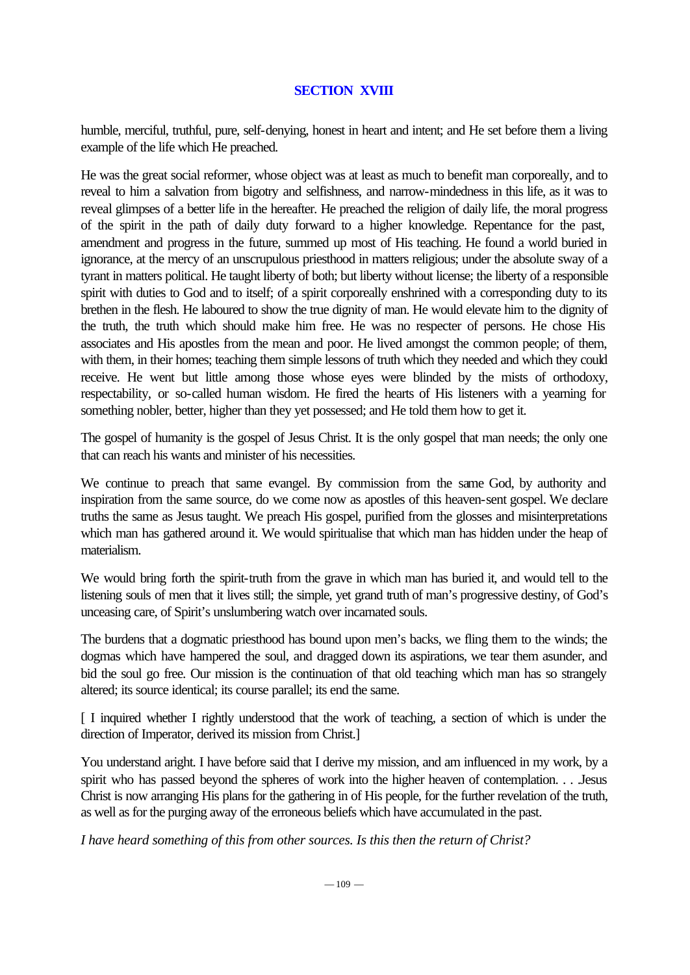humble, merciful, truthful, pure, self-denying, honest in heart and intent; and He set before them a living example of the life which He preached.

He was the great social reformer, whose object was at least as much to benefit man corporeally, and to reveal to him a salvation from bigotry and selfishness, and narrow-mindedness in this life, as it was to reveal glimpses of a better life in the hereafter. He preached the religion of daily life, the moral progress of the spirit in the path of daily duty forward to a higher knowledge. Repentance for the past, amendment and progress in the future, summed up most of His teaching. He found a world buried in ignorance, at the mercy of an unscrupulous priesthood in matters religious; under the absolute sway of a tyrant in matters political. He taught liberty of both; but liberty without license; the liberty of a responsible spirit with duties to God and to itself; of a spirit corporeally enshrined with a corresponding duty to its brethen in the flesh. He laboured to show the true dignity of man. He would elevate him to the dignity of the truth, the truth which should make him free. He was no respecter of persons. He chose His associates and His apostles from the mean and poor. He lived amongst the common people; of them, with them, in their homes; teaching them simple lessons of truth which they needed and which they could receive. He went but little among those whose eyes were blinded by the mists of orthodoxy, respectability, or so-called human wisdom. He fired the hearts of His listeners with a yearning for something nobler, better, higher than they yet possessed; and He told them how to get it.

The gospel of humanity is the gospel of Jesus Christ. It is the only gospel that man needs; the only one that can reach his wants and minister of his necessities.

We continue to preach that same evangel. By commission from the same God, by authority and inspiration from the same source, do we come now as apostles of this heaven-sent gospel. We declare truths the same as Jesus taught. We preach His gospel, purified from the glosses and misinterpretations which man has gathered around it. We would spiritualise that which man has hidden under the heap of materialism.

We would bring forth the spirit-truth from the grave in which man has buried it, and would tell to the listening souls of men that it lives still; the simple, yet grand truth of man's progressive destiny, of God's unceasing care, of Spirit's unslumbering watch over incarnated souls.

The burdens that a dogmatic priesthood has bound upon men's backs, we fling them to the winds; the dogmas which have hampered the soul, and dragged down its aspirations, we tear them asunder, and bid the soul go free. Our mission is the continuation of that old teaching which man has so strangely altered; its source identical; its course parallel; its end the same.

[ I inquired whether I rightly understood that the work of teaching, a section of which is under the direction of Imperator, derived its mission from Christ.]

You understand aright. I have before said that I derive my mission, and am influenced in my work, by a spirit who has passed beyond the spheres of work into the higher heaven of contemplation. . . .Jesus Christ is now arranging His plans for the gathering in of His people, for the further revelation of the truth, as well as for the purging away of the erroneous beliefs which have accumulated in the past.

*I have heard something of this from other sources. Is this then the return of Christ?*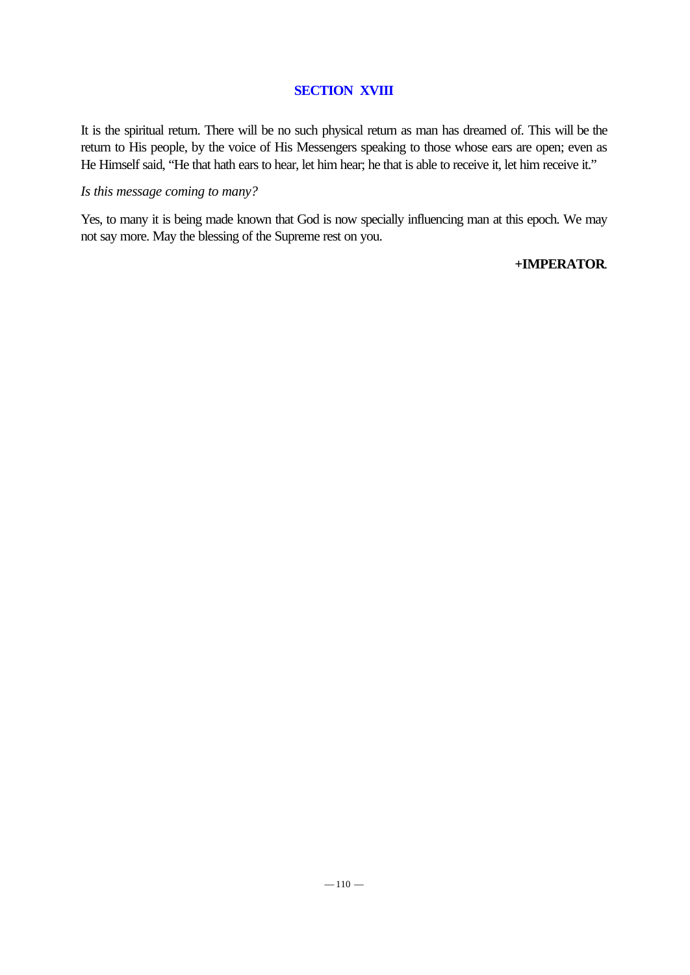It is the spiritual return. There will be no such physical return as man has dreamed of. This will be the return to His people, by the voice of His Messengers speaking to those whose ears are open; even as He Himself said, "He that hath ears to hear, let him hear; he that is able to receive it, let him receive it."

### *Is this message coming to many?*

Yes, to many it is being made known that God is now specially influencing man at this epoch. We may not say more. May the blessing of the Supreme rest on you.

#### **+IMPERATOR**.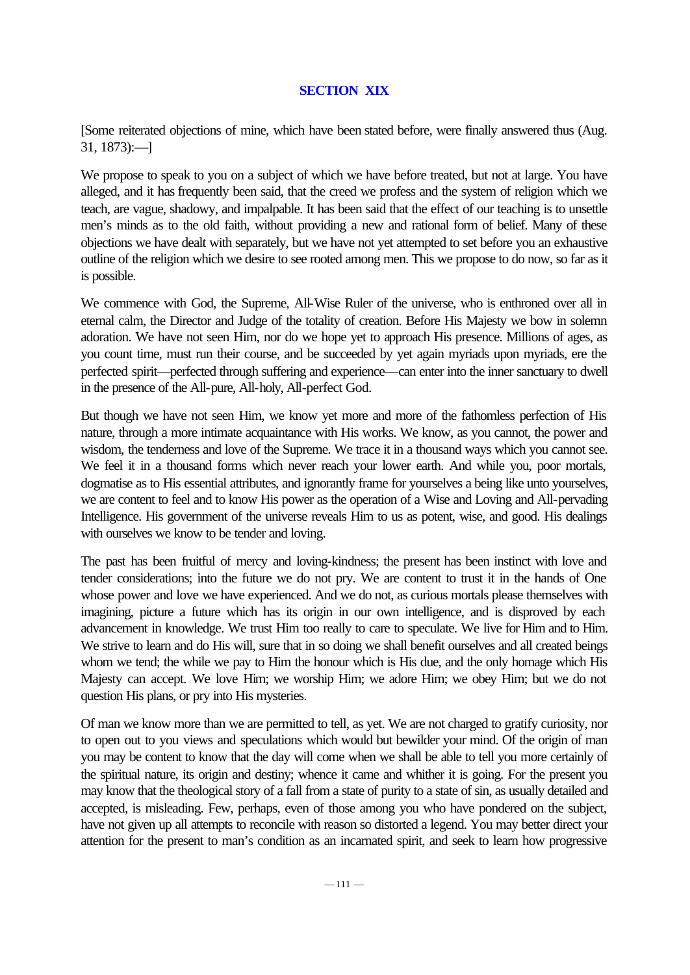[Some reiterated objections of mine, which have been stated before, were finally answered thus (Aug. 31, 1873):—]

We propose to speak to you on a subject of which we have before treated, but not at large. You have alleged, and it has frequently been said, that the creed we profess and the system of religion which we teach, are vague, shadowy, and impalpable. It has been said that the effect of our teaching is to unsettle men's minds as to the old faith, without providing a new and rational form of belief. Many of these objections we have dealt with separately, but we have not yet attempted to set before you an exhaustive outline of the religion which we desire to see rooted among men. This we propose to do now, so far as it is possible.

We commence with God, the Supreme, All-Wise Ruler of the universe, who is enthroned over all in eternal calm, the Director and Judge of the totality of creation. Before His Majesty we bow in solemn adoration. We have not seen Him, nor do we hope yet to approach His presence. Millions of ages, as you count time, must run their course, and be succeeded by yet again myriads upon myriads, ere the perfected spirit—perfected through suffering and experience—can enter into the inner sanctuary to dwell in the presence of the All-pure, All-holy, All-perfect God.

But though we have not seen Him, we know yet more and more of the fathomless perfection of His nature, through a more intimate acquaintance with His works. We know, as you cannot, the power and wisdom, the tenderness and love of the Supreme. We trace it in a thousand ways which you cannot see. We feel it in a thousand forms which never reach your lower earth. And while you, poor mortals, dogmatise as to His essential attributes, and ignorantly frame for yourselves a being like unto yourselves, we are content to feel and to know His power as the operation of a Wise and Loving and All-pervading Intelligence. His government of the universe reveals Him to us as potent, wise, and good. His dealings with ourselves we know to be tender and loving.

The past has been fruitful of mercy and loving-kindness; the present has been instinct with love and tender considerations; into the future we do not pry. We are content to trust it in the hands of One whose power and love we have experienced. And we do not, as curious mortals please themselves with imagining, picture a future which has its origin in our own intelligence, and is disproved by each advancement in knowledge. We trust Him too really to care to speculate. We live for Him and to Him. We strive to learn and do His will, sure that in so doing we shall benefit ourselves and all created beings whom we tend; the while we pay to Him the honour which is His due, and the only homage which His Majesty can accept. We love Him; we worship Him; we adore Him; we obey Him; but we do not question His plans, or pry into His mysteries.

Of man we know more than we are permitted to tell, as yet. We are not charged to gratify curiosity, nor to open out to you views and speculations which would but bewilder your mind. Of the origin of man you may be content to know that the day will come when we shall be able to tell you more certainly of the spiritual nature, its origin and destiny; whence it came and whither it is going. For the present you may know that the theological story of a fall from a state of purity to a state of sin, as usually detailed and accepted, is misleading. Few, perhaps, even of those among you who have pondered on the subject, have not given up all attempts to reconcile with reason so distorted a legend. You may better direct your attention for the present to man's condition as an incarnated spirit, and seek to learn how progressive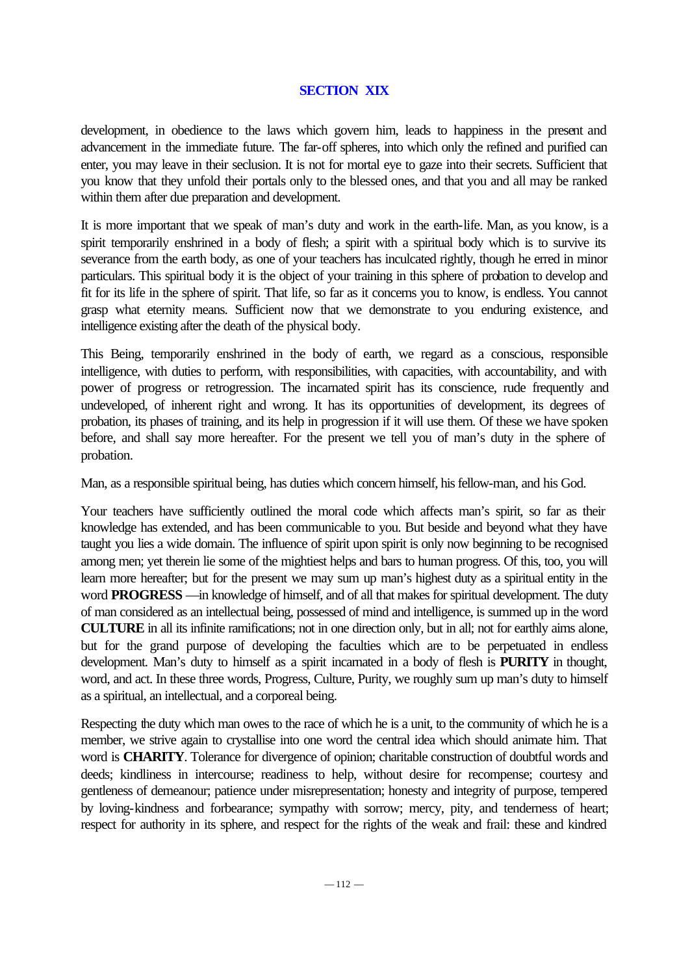development, in obedience to the laws which govern him, leads to happiness in the present and advancement in the immediate future. The far-off spheres, into which only the refined and purified can enter, you may leave in their seclusion. It is not for mortal eye to gaze into their secrets. Sufficient that you know that they unfold their portals only to the blessed ones, and that you and all may be ranked within them after due preparation and development.

It is more important that we speak of man's duty and work in the earth-life. Man, as you know, is a spirit temporarily enshrined in a body of flesh; a spirit with a spiritual body which is to survive its severance from the earth body, as one of your teachers has inculcated rightly, though he erred in minor particulars. This spiritual body it is the object of your training in this sphere of probation to develop and fit for its life in the sphere of spirit. That life, so far as it concerns you to know, is endless. You cannot grasp what eternity means. Sufficient now that we demonstrate to you enduring existence, and intelligence existing after the death of the physical body.

This Being, temporarily enshrined in the body of earth, we regard as a conscious, responsible intelligence, with duties to perform, with responsibilities, with capacities, with accountability, and with power of progress or retrogression. The incarnated spirit has its conscience, rude frequently and undeveloped, of inherent right and wrong. It has its opportunities of development, its degrees of probation, its phases of training, and its help in progression if it will use them. Of these we have spoken before, and shall say more hereafter. For the present we tell you of man's duty in the sphere of probation.

Man, as a responsible spiritual being, has duties which concern himself, his fellow-man, and his God.

Your teachers have sufficiently outlined the moral code which affects man's spirit, so far as their knowledge has extended, and has been communicable to you. But beside and beyond what they have taught you lies a wide domain. The influence of spirit upon spirit is only now beginning to be recognised among men; yet therein lie some of the mightiest helps and bars to human progress. Of this, too, you will learn more hereafter; but for the present we may sum up man's highest duty as a spiritual entity in the word **PROGRESS** —in knowledge of himself, and of all that makes for spiritual development. The duty of man considered as an intellectual being, possessed of mind and intelligence, is summed up in the word **CULTURE** in all its infinite ramifications; not in one direction only, but in all; not for earthly aims alone, but for the grand purpose of developing the faculties which are to be perpetuated in endless development. Man's duty to himself as a spirit incarnated in a body of flesh is **PURITY** in thought, word, and act. In these three words, Progress, Culture, Purity, we roughly sum up man's duty to himself as a spiritual, an intellectual, and a corporeal being.

Respecting the duty which man owes to the race of which he is a unit, to the community of which he is a member, we strive again to crystallise into one word the central idea which should animate him. That word is **CHARITY**. Tolerance for divergence of opinion; charitable construction of doubtful words and deeds; kindliness in intercourse; readiness to help, without desire for recompense; courtesy and gentleness of demeanour; patience under misrepresentation; honesty and integrity of purpose, tempered by loving-kindness and forbearance; sympathy with sorrow; mercy, pity, and tenderness of heart; respect for authority in its sphere, and respect for the rights of the weak and frail: these and kindred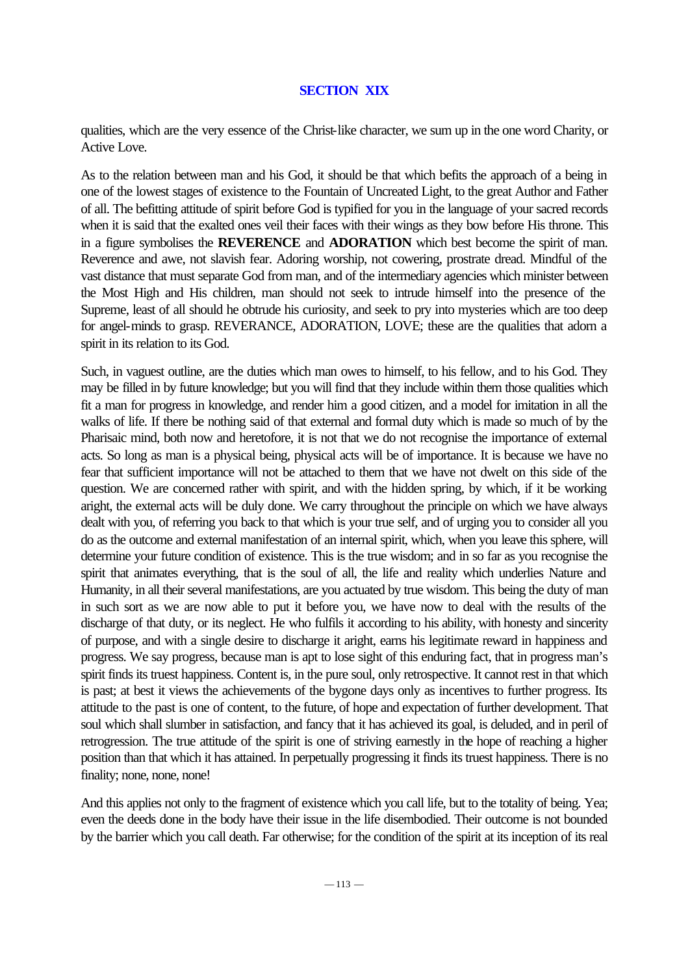qualities, which are the very essence of the Christ-like character, we sum up in the one word Charity, or Active Love.

As to the relation between man and his God, it should be that which befits the approach of a being in one of the lowest stages of existence to the Fountain of Uncreated Light, to the great Author and Father of all. The befitting attitude of spirit before God is typified for you in the language of your sacred records when it is said that the exalted ones veil their faces with their wings as they bow before His throne. This in a figure symbolises the **REVERENCE** and **ADORATION** which best become the spirit of man. Reverence and awe, not slavish fear. Adoring worship, not cowering, prostrate dread. Mindful of the vast distance that must separate God from man, and of the intermediary agencies which minister between the Most High and His children, man should not seek to intrude himself into the presence of the Supreme, least of all should he obtrude his curiosity, and seek to pry into mysteries which are too deep for angel-minds to grasp. REVERANCE, ADORATION, LOVE; these are the qualities that adorn a spirit in its relation to its God.

Such, in vaguest outline, are the duties which man owes to himself, to his fellow, and to his God. They may be filled in by future knowledge; but you will find that they include within them those qualities which fit a man for progress in knowledge, and render him a good citizen, and a model for imitation in all the walks of life. If there be nothing said of that external and formal duty which is made so much of by the Pharisaic mind, both now and heretofore, it is not that we do not recognise the importance of external acts. So long as man is a physical being, physical acts will be of importance. It is because we have no fear that sufficient importance will not be attached to them that we have not dwelt on this side of the question. We are concerned rather with spirit, and with the hidden spring, by which, if it be working aright, the external acts will be duly done. We carry throughout the principle on which we have always dealt with you, of referring you back to that which is your true self, and of urging you to consider all you do as the outcome and external manifestation of an internal spirit, which, when you leave this sphere, will determine your future condition of existence. This is the true wisdom; and in so far as you recognise the spirit that animates everything, that is the soul of all, the life and reality which underlies Nature and Humanity, in all their several manifestations, are you actuated by true wisdom. This being the duty of man in such sort as we are now able to put it before you, we have now to deal with the results of the discharge of that duty, or its neglect. He who fulfils it according to his ability, with honesty and sincerity of purpose, and with a single desire to discharge it aright, earns his legitimate reward in happiness and progress. We say progress, because man is apt to lose sight of this enduring fact, that in progress man's spirit finds its truest happiness. Content is, in the pure soul, only retrospective. It cannot rest in that which is past; at best it views the achievements of the bygone days only as incentives to further progress. Its attitude to the past is one of content, to the future, of hope and expectation of further development. That soul which shall slumber in satisfaction, and fancy that it has achieved its goal, is deluded, and in peril of retrogression. The true attitude of the spirit is one of striving earnestly in the hope of reaching a higher position than that which it has attained. In perpetually progressing it finds its truest happiness. There is no finality; none, none, none!

And this applies not only to the fragment of existence which you call life, but to the totality of being. Yea; even the deeds done in the body have their issue in the life disembodied. Their outcome is not bounded by the barrier which you call death. Far otherwise; for the condition of the spirit at its inception of its real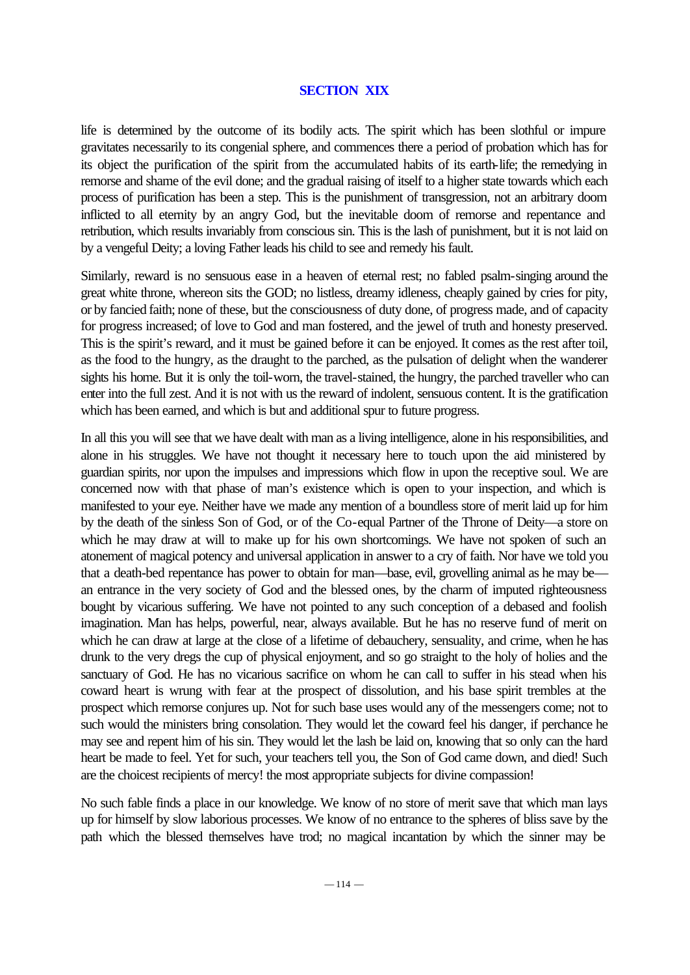life is determined by the outcome of its bodily acts. The spirit which has been slothful or impure gravitates necessarily to its congenial sphere, and commences there a period of probation which has for its object the purification of the spirit from the accumulated habits of its earth-life; the remedying in remorse and shame of the evil done; and the gradual raising of itself to a higher state towards which each process of purification has been a step. This is the punishment of transgression, not an arbitrary doom inflicted to all eternity by an angry God, but the inevitable doom of remorse and repentance and retribution, which results invariably from conscious sin. This is the lash of punishment, but it is not laid on by a vengeful Deity; a loving Father leads his child to see and remedy his fault.

Similarly, reward is no sensuous ease in a heaven of eternal rest; no fabled psalm-singing around the great white throne, whereon sits the GOD; no listless, dreamy idleness, cheaply gained by cries for pity, or by fancied faith; none of these, but the consciousness of duty done, of progress made, and of capacity for progress increased; of love to God and man fostered, and the jewel of truth and honesty preserved. This is the spirit's reward, and it must be gained before it can be enjoyed. It comes as the rest after toil, as the food to the hungry, as the draught to the parched, as the pulsation of delight when the wanderer sights his home. But it is only the toil-worn, the travel-stained, the hungry, the parched traveller who can enter into the full zest. And it is not with us the reward of indolent, sensuous content. It is the gratification which has been earned, and which is but and additional spur to future progress.

In all this you will see that we have dealt with man as a living intelligence, alone in his responsibilities, and alone in his struggles. We have not thought it necessary here to touch upon the aid ministered by guardian spirits, nor upon the impulses and impressions which flow in upon the receptive soul. We are concerned now with that phase of man's existence which is open to your inspection, and which is manifested to your eye. Neither have we made any mention of a boundless store of merit laid up for him by the death of the sinless Son of God, or of the Co-equal Partner of the Throne of Deity—a store on which he may draw at will to make up for his own shortcomings. We have not spoken of such an atonement of magical potency and universal application in answer to a cry of faith. Nor have we told you that a death-bed repentance has power to obtain for man—base, evil, grovelling animal as he may be an entrance in the very society of God and the blessed ones, by the charm of imputed righteousness bought by vicarious suffering. We have not pointed to any such conception of a debased and foolish imagination. Man has helps, powerful, near, always available. But he has no reserve fund of merit on which he can draw at large at the close of a lifetime of debauchery, sensuality, and crime, when he has drunk to the very dregs the cup of physical enjoyment, and so go straight to the holy of holies and the sanctuary of God. He has no vicarious sacrifice on whom he can call to suffer in his stead when his coward heart is wrung with fear at the prospect of dissolution, and his base spirit trembles at the prospect which remorse conjures up. Not for such base uses would any of the messengers come; not to such would the ministers bring consolation. They would let the coward feel his danger, if perchance he may see and repent him of his sin. They would let the lash be laid on, knowing that so only can the hard heart be made to feel. Yet for such, your teachers tell you, the Son of God came down, and died! Such are the choicest recipients of mercy! the most appropriate subjects for divine compassion!

No such fable finds a place in our knowledge. We know of no store of merit save that which man lays up for himself by slow laborious processes. We know of no entrance to the spheres of bliss save by the path which the blessed themselves have trod; no magical incantation by which the sinner may be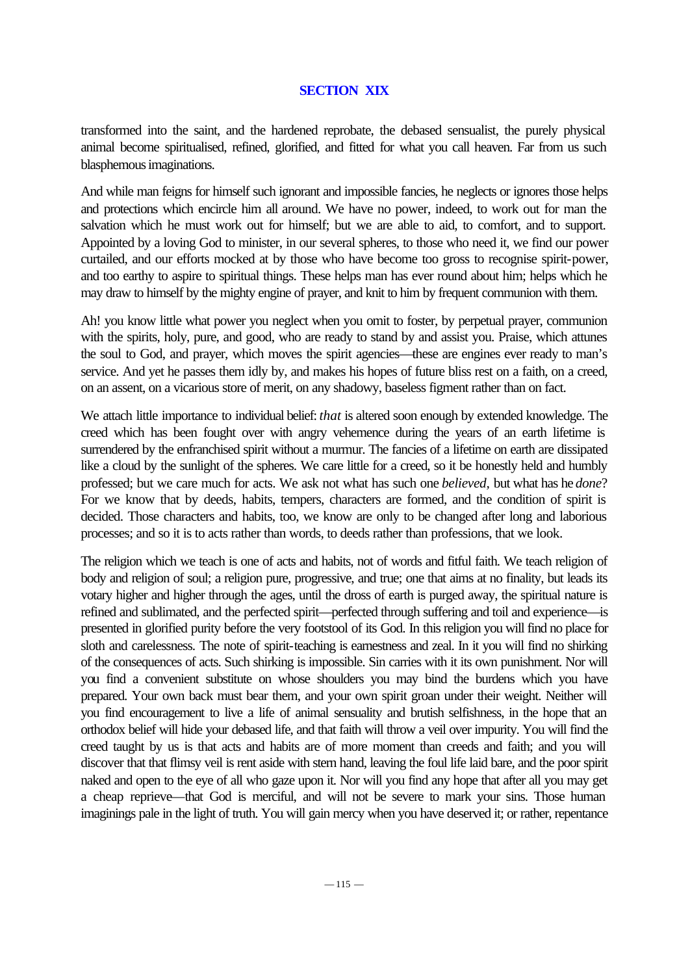transformed into the saint, and the hardened reprobate, the debased sensualist, the purely physical animal become spiritualised, refined, glorified, and fitted for what you call heaven. Far from us such blasphemous imaginations.

And while man feigns for himself such ignorant and impossible fancies, he neglects or ignores those helps and protections which encircle him all around. We have no power, indeed, to work out for man the salvation which he must work out for himself; but we are able to aid, to comfort, and to support. Appointed by a loving God to minister, in our several spheres, to those who need it, we find our power curtailed, and our efforts mocked at by those who have become too gross to recognise spirit-power, and too earthy to aspire to spiritual things. These helps man has ever round about him; helps which he may draw to himself by the mighty engine of prayer, and knit to him by frequent communion with them.

Ah! you know little what power you neglect when you omit to foster, by perpetual prayer, communion with the spirits, holy, pure, and good, who are ready to stand by and assist you. Praise, which attunes the soul to God, and prayer, which moves the spirit agencies—these are engines ever ready to man's service. And yet he passes them idly by, and makes his hopes of future bliss rest on a faith, on a creed, on an assent, on a vicarious store of merit, on any shadowy, baseless figment rather than on fact.

We attach little importance to individual belief: *that* is altered soon enough by extended knowledge. The creed which has been fought over with angry vehemence during the years of an earth lifetime is surrendered by the enfranchised spirit without a murmur. The fancies of a lifetime on earth are dissipated like a cloud by the sunlight of the spheres. We care little for a creed, so it be honestly held and humbly professed; but we care much for acts. We ask not what has such one *believed,* but what has he *done*? For we know that by deeds, habits, tempers, characters are formed, and the condition of spirit is decided. Those characters and habits, too, we know are only to be changed after long and laborious processes; and so it is to acts rather than words, to deeds rather than professions, that we look.

The religion which we teach is one of acts and habits, not of words and fitful faith. We teach religion of body and religion of soul; a religion pure, progressive, and true; one that aims at no finality, but leads its votary higher and higher through the ages, until the dross of earth is purged away, the spiritual nature is refined and sublimated, and the perfected spirit—perfected through suffering and toil and experience—is presented in glorified purity before the very footstool of its God. In this religion you will find no place for sloth and carelessness. The note of spirit-teaching is earnestness and zeal. In it you will find no shirking of the consequences of acts. Such shirking is impossible. Sin carries with it its own punishment. Nor will you find a convenient substitute on whose shoulders you may bind the burdens which you have prepared. Your own back must bear them, and your own spirit groan under their weight. Neither will you find encouragement to live a life of animal sensuality and brutish selfishness, in the hope that an orthodox belief will hide your debased life, and that faith will throw a veil over impurity. You will find the creed taught by us is that acts and habits are of more moment than creeds and faith; and you will discover that that flimsy veil is rent aside with stern hand, leaving the foul life laid bare, and the poor spirit naked and open to the eye of all who gaze upon it. Nor will you find any hope that after all you may get a cheap reprieve—that God is merciful, and will not be severe to mark your sins. Those human imaginings pale in the light of truth. You will gain mercy when you have deserved it; or rather, repentance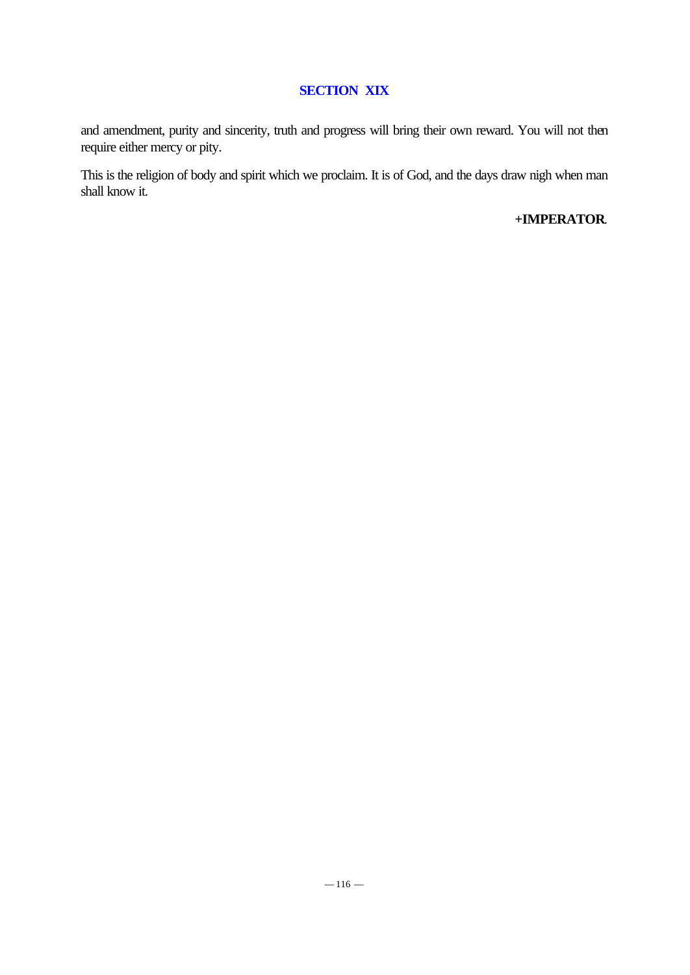and amendment, purity and sincerity, truth and progress will bring their own reward. You will not then require either mercy or pity.

This is the religion of body and spirit which we proclaim. It is of God, and the days draw nigh when man shall know it.

### **+IMPERATOR**.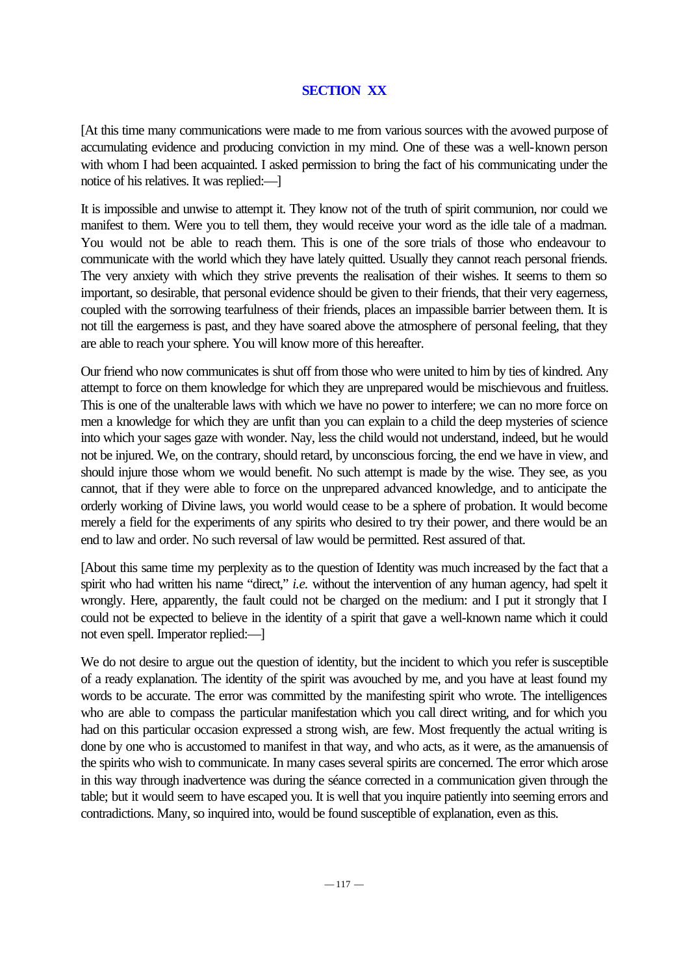[At this time many communications were made to me from various sources with the avowed purpose of accumulating evidence and producing conviction in my mind. One of these was a well-known person with whom I had been acquainted. I asked permission to bring the fact of his communicating under the notice of his relatives. It was replied:—]

It is impossible and unwise to attempt it. They know not of the truth of spirit communion, nor could we manifest to them. Were you to tell them, they would receive your word as the idle tale of a madman. You would not be able to reach them. This is one of the sore trials of those who endeavour to communicate with the world which they have lately quitted. Usually they cannot reach personal friends. The very anxiety with which they strive prevents the realisation of their wishes. It seems to them so important, so desirable, that personal evidence should be given to their friends, that their very eagerness, coupled with the sorrowing tearfulness of their friends, places an impassible barrier between them. It is not till the eargerness is past, and they have soared above the atmosphere of personal feeling, that they are able to reach your sphere. You will know more of this hereafter.

Our friend who now communicates is shut off from those who were united to him by ties of kindred. Any attempt to force on them knowledge for which they are unprepared would be mischievous and fruitless. This is one of the unalterable laws with which we have no power to interfere; we can no more force on men a knowledge for which they are unfit than you can explain to a child the deep mysteries of science into which your sages gaze with wonder. Nay, less the child would not understand, indeed, but he would not be injured. We, on the contrary, should retard, by unconscious forcing, the end we have in view, and should injure those whom we would benefit. No such attempt is made by the wise. They see, as you cannot, that if they were able to force on the unprepared advanced knowledge, and to anticipate the orderly working of Divine laws, you world would cease to be a sphere of probation. It would become merely a field for the experiments of any spirits who desired to try their power, and there would be an end to law and order. No such reversal of law would be permitted. Rest assured of that.

[About this same time my perplexity as to the question of Identity was much increased by the fact that a spirit who had written his name "direct," *i.e.* without the intervention of any human agency, had spelt it wrongly. Here, apparently, the fault could not be charged on the medium: and I put it strongly that I could not be expected to believe in the identity of a spirit that gave a well-known name which it could not even spell. Imperator replied:—]

We do not desire to argue out the question of identity, but the incident to which you refer is susceptible of a ready explanation. The identity of the spirit was avouched by me, and you have at least found my words to be accurate. The error was committed by the manifesting spirit who wrote. The intelligences who are able to compass the particular manifestation which you call direct writing, and for which you had on this particular occasion expressed a strong wish, are few. Most frequently the actual writing is done by one who is accustomed to manifest in that way, and who acts, as it were, as the amanuensis of the spirits who wish to communicate. In many cases several spirits are concerned. The error which arose in this way through inadvertence was during the séance corrected in a communication given through the table; but it would seem to have escaped you. It is well that you inquire patiently into seeming errors and contradictions. Many, so inquired into, would be found susceptible of explanation, even as this.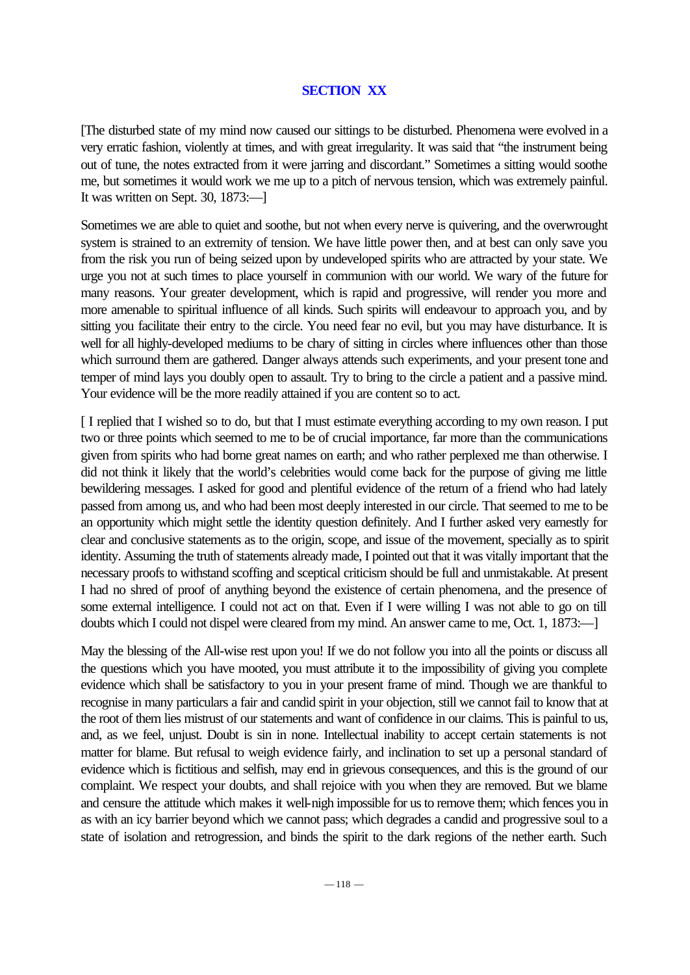[The disturbed state of my mind now caused our sittings to be disturbed. Phenomena were evolved in a very erratic fashion, violently at times, and with great irregularity. It was said that "the instrument being out of tune, the notes extracted from it were jarring and discordant." Sometimes a sitting would soothe me, but sometimes it would work we me up to a pitch of nervous tension, which was extremely painful. It was written on Sept. 30, 1873:—]

Sometimes we are able to quiet and soothe, but not when every nerve is quivering, and the overwrought system is strained to an extremity of tension. We have little power then, and at best can only save you from the risk you run of being seized upon by undeveloped spirits who are attracted by your state. We urge you not at such times to place yourself in communion with our world. We wary of the future for many reasons. Your greater development, which is rapid and progressive, will render you more and more amenable to spiritual influence of all kinds. Such spirits will endeavour to approach you, and by sitting you facilitate their entry to the circle. You need fear no evil, but you may have disturbance. It is well for all highly-developed mediums to be chary of sitting in circles where influences other than those which surround them are gathered. Danger always attends such experiments, and your present tone and temper of mind lays you doubly open to assault. Try to bring to the circle a patient and a passive mind. Your evidence will be the more readily attained if you are content so to act.

[ I replied that I wished so to do, but that I must estimate everything according to my own reason. I put two or three points which seemed to me to be of crucial importance, far more than the communications given from spirits who had borne great names on earth; and who rather perplexed me than otherwise. I did not think it likely that the world's celebrities would come back for the purpose of giving me little bewildering messages. I asked for good and plentiful evidence of the return of a friend who had lately passed from among us, and who had been most deeply interested in our circle. That seemed to me to be an opportunity which might settle the identity question definitely. And I further asked very earnestly for clear and conclusive statements as to the origin, scope, and issue of the movement, specially as to spirit identity. Assuming the truth of statements already made, I pointed out that it was vitally important that the necessary proofs to withstand scoffing and sceptical criticism should be full and unmistakable. At present I had no shred of proof of anything beyond the existence of certain phenomena, and the presence of some external intelligence. I could not act on that. Even if I were willing I was not able to go on till doubts which I could not dispel were cleared from my mind. An answer came to me, Oct. 1, 1873:—]

May the blessing of the All-wise rest upon you! If we do not follow you into all the points or discuss all the questions which you have mooted, you must attribute it to the impossibility of giving you complete evidence which shall be satisfactory to you in your present frame of mind. Though we are thankful to recognise in many particulars a fair and candid spirit in your objection, still we cannot fail to know that at the root of them lies mistrust of our statements and want of confidence in our claims. This is painful to us, and, as we feel, unjust. Doubt is sin in none. Intellectual inability to accept certain statements is not matter for blame. But refusal to weigh evidence fairly, and inclination to set up a personal standard of evidence which is fictitious and selfish, may end in grievous consequences, and this is the ground of our complaint. We respect your doubts, and shall rejoice with you when they are removed. But we blame and censure the attitude which makes it well-nigh impossible for us to remove them; which fences you in as with an icy barrier beyond which we cannot pass; which degrades a candid and progressive soul to a state of isolation and retrogression, and binds the spirit to the dark regions of the nether earth. Such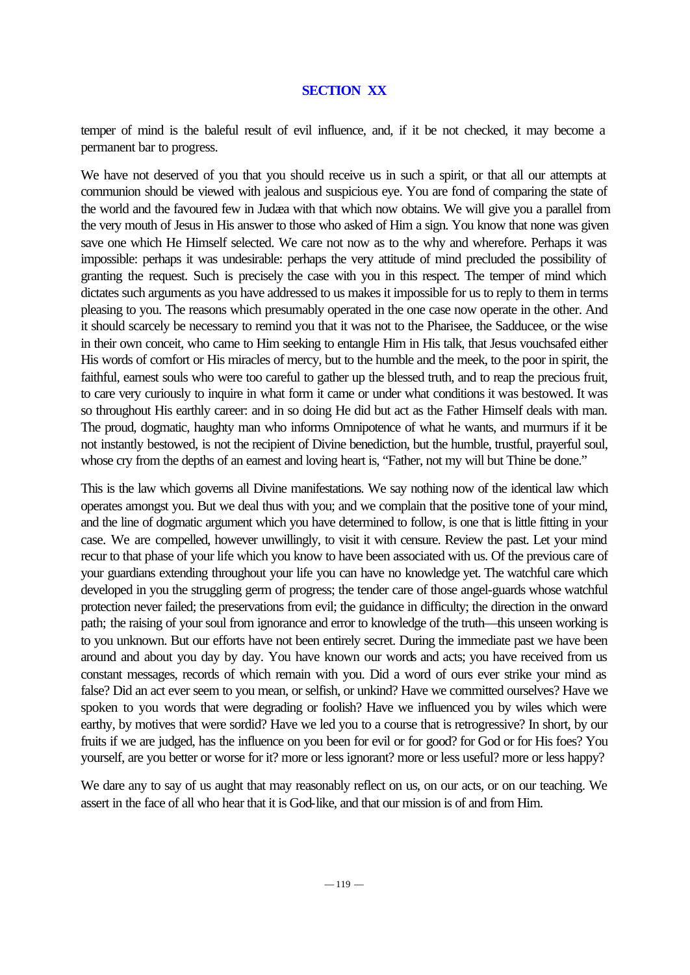temper of mind is the baleful result of evil influence, and, if it be not checked, it may become a permanent bar to progress.

We have not deserved of you that you should receive us in such a spirit, or that all our attempts at communion should be viewed with jealous and suspicious eye. You are fond of comparing the state of the world and the favoured few in Judæa with that which now obtains. We will give you a parallel from the very mouth of Jesus in His answer to those who asked of Him a sign. You know that none was given save one which He Himself selected. We care not now as to the why and wherefore. Perhaps it was impossible: perhaps it was undesirable: perhaps the very attitude of mind precluded the possibility of granting the request. Such is precisely the case with you in this respect. The temper of mind which dictates such arguments as you have addressed to us makes it impossible for us to reply to them in terms pleasing to you. The reasons which presumably operated in the one case now operate in the other. And it should scarcely be necessary to remind you that it was not to the Pharisee, the Sadducee, or the wise in their own conceit, who came to Him seeking to entangle Him in His talk, that Jesus vouchsafed either His words of comfort or His miracles of mercy, but to the humble and the meek, to the poor in spirit, the faithful, earnest souls who were too careful to gather up the blessed truth, and to reap the precious fruit, to care very curiously to inquire in what form it came or under what conditions it was bestowed. It was so throughout His earthly career: and in so doing He did but act as the Father Himself deals with man. The proud, dogmatic, haughty man who informs Omnipotence of what he wants, and murmurs if it be not instantly bestowed, is not the recipient of Divine benediction, but the humble, trustful, prayerful soul, whose cry from the depths of an earnest and loving heart is, "Father, not my will but Thine be done."

This is the law which governs all Divine manifestations. We say nothing now of the identical law which operates amongst you. But we deal thus with you; and we complain that the positive tone of your mind, and the line of dogmatic argument which you have determined to follow, is one that is little fitting in your case. We are compelled, however unwillingly, to visit it with censure. Review the past. Let your mind recur to that phase of your life which you know to have been associated with us. Of the previous care of your guardians extending throughout your life you can have no knowledge yet. The watchful care which developed in you the struggling germ of progress; the tender care of those angel-guards whose watchful protection never failed; the preservations from evil; the guidance in difficulty; the direction in the onward path; the raising of your soul from ignorance and error to knowledge of the truth—this unseen working is to you unknown. But our efforts have not been entirely secret. During the immediate past we have been around and about you day by day. You have known our words and acts; you have received from us constant messages, records of which remain with you. Did a word of ours ever strike your mind as false? Did an act ever seem to you mean, or selfish, or unkind? Have we committed ourselves? Have we spoken to you words that were degrading or foolish? Have we influenced you by wiles which were earthy, by motives that were sordid? Have we led you to a course that is retrogressive? In short, by our fruits if we are judged, has the influence on you been for evil or for good? for God or for His foes? You yourself, are you better or worse for it? more or less ignorant? more or less useful? more or less happy?

We dare any to say of us aught that may reasonably reflect on us, on our acts, or on our teaching. We assert in the face of all who hear that it is God-like, and that our mission is of and from Him.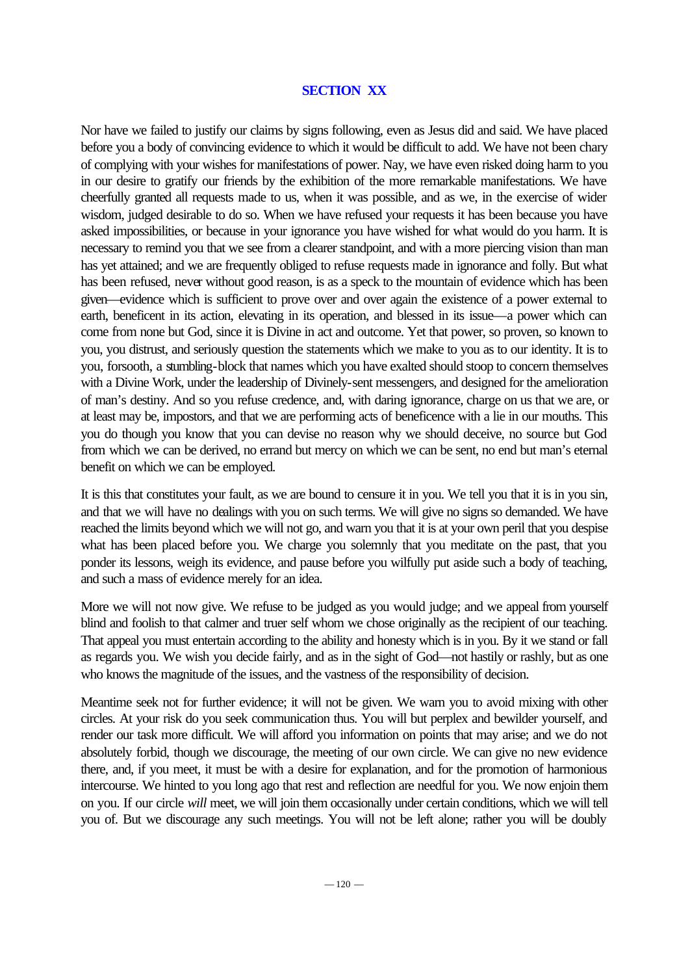Nor have we failed to justify our claims by signs following, even as Jesus did and said. We have placed before you a body of convincing evidence to which it would be difficult to add. We have not been chary of complying with your wishes for manifestations of power. Nay, we have even risked doing harm to you in our desire to gratify our friends by the exhibition of the more remarkable manifestations. We have cheerfully granted all requests made to us, when it was possible, and as we, in the exercise of wider wisdom, judged desirable to do so. When we have refused your requests it has been because you have asked impossibilities, or because in your ignorance you have wished for what would do you harm. It is necessary to remind you that we see from a clearer standpoint, and with a more piercing vision than man has yet attained; and we are frequently obliged to refuse requests made in ignorance and folly. But what has been refused, never without good reason, is as a speck to the mountain of evidence which has been given—evidence which is sufficient to prove over and over again the existence of a power external to earth, beneficent in its action, elevating in its operation, and blessed in its issue—a power which can come from none but God, since it is Divine in act and outcome. Yet that power, so proven, so known to you, you distrust, and seriously question the statements which we make to you as to our identity. It is to you, forsooth, a stumbling-block that names which you have exalted should stoop to concern themselves with a Divine Work, under the leadership of Divinely-sent messengers, and designed for the amelioration of man's destiny. And so you refuse credence, and, with daring ignorance, charge on us that we are, or at least may be, impostors, and that we are performing acts of beneficence with a lie in our mouths. This you do though you know that you can devise no reason why we should deceive, no source but God from which we can be derived, no errand but mercy on which we can be sent, no end but man's eternal benefit on which we can be employed.

It is this that constitutes your fault, as we are bound to censure it in you. We tell you that it is in you sin, and that we will have no dealings with you on such terms. We will give no signs so demanded. We have reached the limits beyond which we will not go, and warn you that it is at your own peril that you despise what has been placed before you. We charge you solemnly that you meditate on the past, that you ponder its lessons, weigh its evidence, and pause before you wilfully put aside such a body of teaching, and such a mass of evidence merely for an idea.

More we will not now give. We refuse to be judged as you would judge; and we appeal from yourself blind and foolish to that calmer and truer self whom we chose originally as the recipient of our teaching. That appeal you must entertain according to the ability and honesty which is in you. By it we stand or fall as regards you. We wish you decide fairly, and as in the sight of God—not hastily or rashly, but as one who knows the magnitude of the issues, and the vastness of the responsibility of decision.

Meantime seek not for further evidence; it will not be given. We warn you to avoid mixing with other circles. At your risk do you seek communication thus. You will but perplex and bewilder yourself, and render our task more difficult. We will afford you information on points that may arise; and we do not absolutely forbid, though we discourage, the meeting of our own circle. We can give no new evidence there, and, if you meet, it must be with a desire for explanation, and for the promotion of harmonious intercourse. We hinted to you long ago that rest and reflection are needful for you. We now enjoin them on you. If our circle *will* meet, we will join them occasionally under certain conditions, which we will tell you of. But we discourage any such meetings. You will not be left alone; rather you will be doubly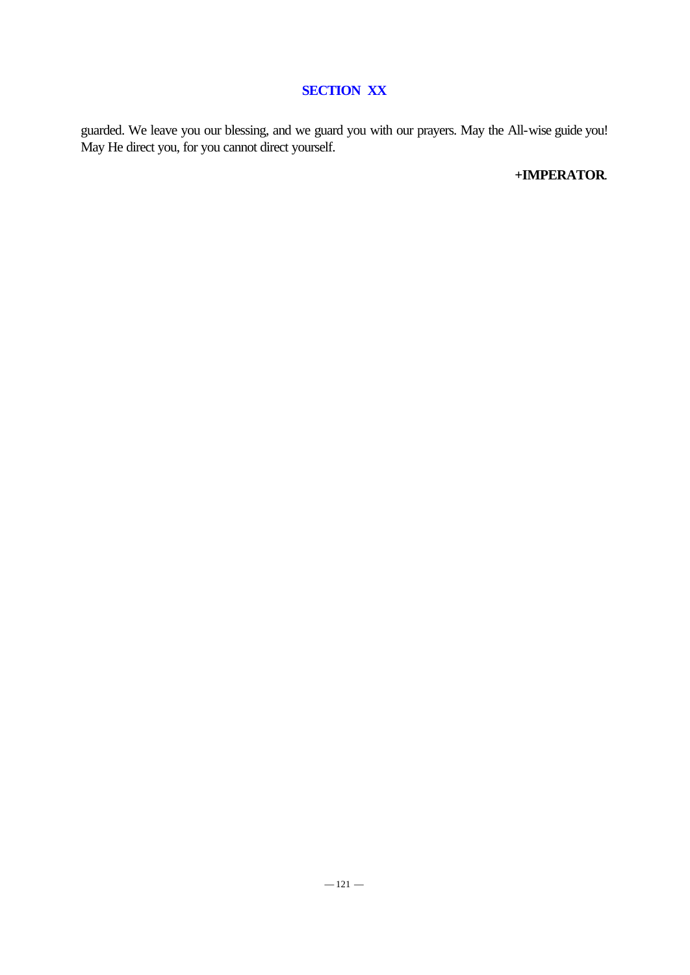guarded. We leave you our blessing, and we guard you with our prayers. May the All-wise guide you! May He direct you, for you cannot direct yourself.

# **+IMPERATOR**.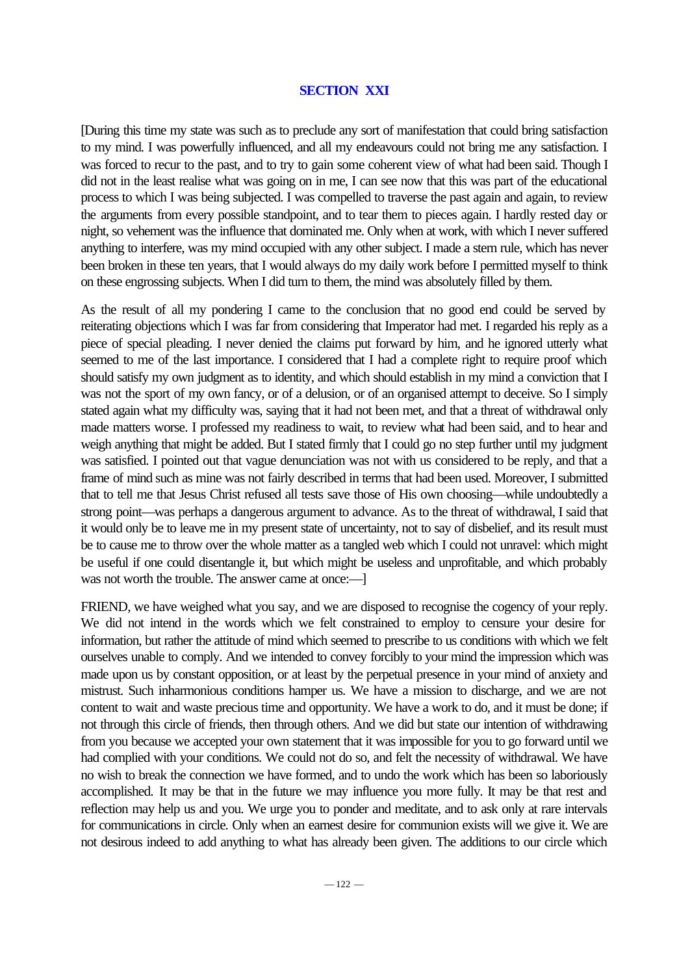[During this time my state was such as to preclude any sort of manifestation that could bring satisfaction to my mind. I was powerfully influenced, and all my endeavours could not bring me any satisfaction. I was forced to recur to the past, and to try to gain some coherent view of what had been said. Though I did not in the least realise what was going on in me, I can see now that this was part of the educational process to which I was being subjected. I was compelled to traverse the past again and again, to review the arguments from every possible standpoint, and to tear them to pieces again. I hardly rested day or night, so vehement was the influence that dominated me. Only when at work, with which I never suffered anything to interfere, was my mind occupied with any other subject. I made a stern rule, which has never been broken in these ten years, that I would always do my daily work before I permitted myself to think on these engrossing subjects. When I did turn to them, the mind was absolutely filled by them.

As the result of all my pondering I came to the conclusion that no good end could be served by reiterating objections which I was far from considering that Imperator had met. I regarded his reply as a piece of special pleading. I never denied the claims put forward by him, and he ignored utterly what seemed to me of the last importance. I considered that I had a complete right to require proof which should satisfy my own judgment as to identity, and which should establish in my mind a conviction that I was not the sport of my own fancy, or of a delusion, or of an organised attempt to deceive. So I simply stated again what my difficulty was, saying that it had not been met, and that a threat of withdrawal only made matters worse. I professed my readiness to wait, to review what had been said, and to hear and weigh anything that might be added. But I stated firmly that I could go no step further until my judgment was satisfied. I pointed out that vague denunciation was not with us considered to be reply, and that a frame of mind such as mine was not fairly described in terms that had been used. Moreover, I submitted that to tell me that Jesus Christ refused all tests save those of His own choosing—while undoubtedly a strong point—was perhaps a dangerous argument to advance. As to the threat of withdrawal, I said that it would only be to leave me in my present state of uncertainty, not to say of disbelief, and its result must be to cause me to throw over the whole matter as a tangled web which I could not unravel: which might be useful if one could disentangle it, but which might be useless and unprofitable, and which probably was not worth the trouble. The answer came at once:—]

FRIEND, we have weighed what you say, and we are disposed to recognise the cogency of your reply. We did not intend in the words which we felt constrained to employ to censure your desire for information, but rather the attitude of mind which seemed to prescribe to us conditions with which we felt ourselves unable to comply. And we intended to convey forcibly to your mind the impression which was made upon us by constant opposition, or at least by the perpetual presence in your mind of anxiety and mistrust. Such inharmonious conditions hamper us. We have a mission to discharge, and we are not content to wait and waste precious time and opportunity. We have a work to do, and it must be done; if not through this circle of friends, then through others. And we did but state our intention of withdrawing from you because we accepted your own statement that it was impossible for you to go forward until we had complied with your conditions. We could not do so, and felt the necessity of withdrawal. We have no wish to break the connection we have formed, and to undo the work which has been so laboriously accomplished. It may be that in the future we may influence you more fully. It may be that rest and reflection may help us and you. We urge you to ponder and meditate, and to ask only at rare intervals for communications in circle. Only when an earnest desire for communion exists will we give it. We are not desirous indeed to add anything to what has already been given. The additions to our circle which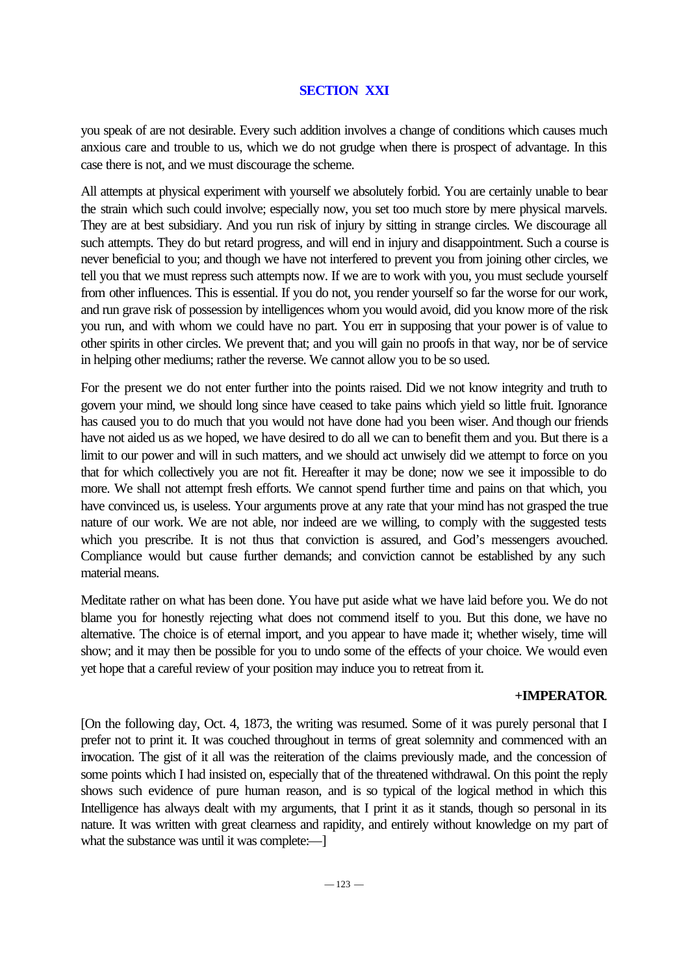you speak of are not desirable. Every such addition involves a change of conditions which causes much anxious care and trouble to us, which we do not grudge when there is prospect of advantage. In this case there is not, and we must discourage the scheme.

All attempts at physical experiment with yourself we absolutely forbid. You are certainly unable to bear the strain which such could involve; especially now, you set too much store by mere physical marvels. They are at best subsidiary. And you run risk of injury by sitting in strange circles. We discourage all such attempts. They do but retard progress, and will end in injury and disappointment. Such a course is never beneficial to you; and though we have not interfered to prevent you from joining other circles, we tell you that we must repress such attempts now. If we are to work with you, you must seclude yourself from other influences. This is essential. If you do not, you render yourself so far the worse for our work, and run grave risk of possession by intelligences whom you would avoid, did you know more of the risk you run, and with whom we could have no part. You err in supposing that your power is of value to other spirits in other circles. We prevent that; and you will gain no proofs in that way, nor be of service in helping other mediums; rather the reverse. We cannot allow you to be so used.

For the present we do not enter further into the points raised. Did we not know integrity and truth to govern your mind, we should long since have ceased to take pains which yield so little fruit. Ignorance has caused you to do much that you would not have done had you been wiser. And though our friends have not aided us as we hoped, we have desired to do all we can to benefit them and you. But there is a limit to our power and will in such matters, and we should act unwisely did we attempt to force on you that for which collectively you are not fit. Hereafter it may be done; now we see it impossible to do more. We shall not attempt fresh efforts. We cannot spend further time and pains on that which, you have convinced us, is useless. Your arguments prove at any rate that your mind has not grasped the true nature of our work. We are not able, nor indeed are we willing, to comply with the suggested tests which you prescribe. It is not thus that conviction is assured, and God's messengers avouched. Compliance would but cause further demands; and conviction cannot be established by any such material means.

Meditate rather on what has been done. You have put aside what we have laid before you. We do not blame you for honestly rejecting what does not commend itself to you. But this done, we have no alternative. The choice is of eternal import, and you appear to have made it; whether wisely, time will show; and it may then be possible for you to undo some of the effects of your choice. We would even yet hope that a careful review of your position may induce you to retreat from it.

#### **+IMPERATOR**.

[On the following day, Oct. 4, 1873, the writing was resumed. Some of it was purely personal that I prefer not to print it. It was couched throughout in terms of great solemnity and commenced with an invocation. The gist of it all was the reiteration of the claims previously made, and the concession of some points which I had insisted on, especially that of the threatened withdrawal. On this point the reply shows such evidence of pure human reason, and is so typical of the logical method in which this Intelligence has always dealt with my arguments, that I print it as it stands, though so personal in its nature. It was written with great clearness and rapidity, and entirely without knowledge on my part of what the substance was until it was complete:—]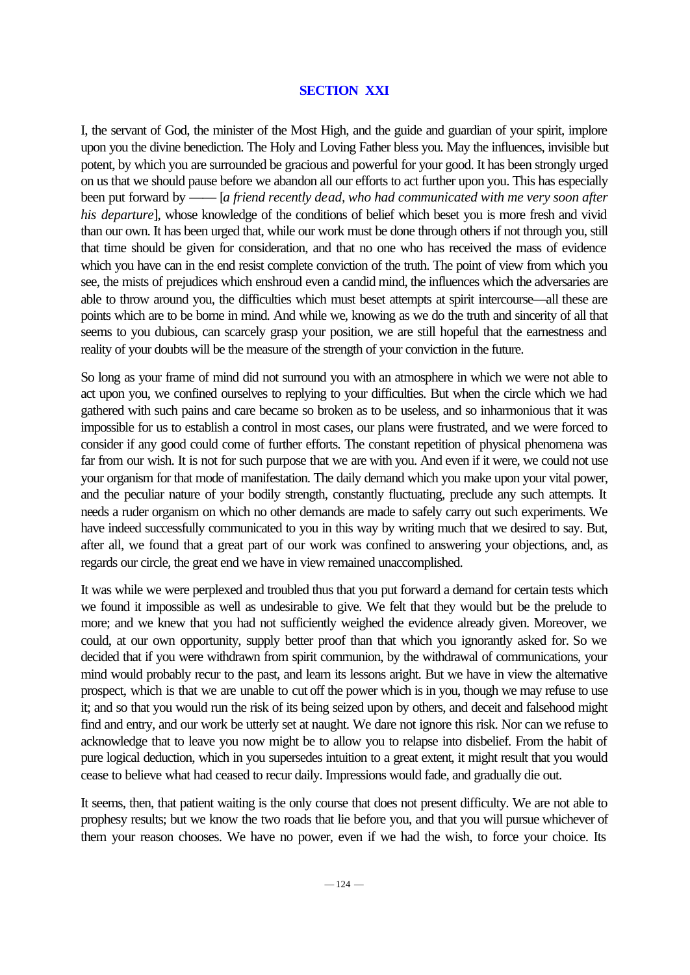I, the servant of God, the minister of the Most High, and the guide and guardian of your spirit, implore upon you the divine benediction. The Holy and Loving Father bless you. May the influences, invisible but potent, by which you are surrounded be gracious and powerful for your good. It has been strongly urged on us that we should pause before we abandon all our efforts to act further upon you. This has especially been put forward by —— [*a friend recently dead, who had communicated with me very soon after his departure*], whose knowledge of the conditions of belief which beset you is more fresh and vivid than our own. It has been urged that, while our work must be done through others if not through you, still that time should be given for consideration, and that no one who has received the mass of evidence which you have can in the end resist complete conviction of the truth. The point of view from which you see, the mists of prejudices which enshroud even a candid mind, the influences which the adversaries are able to throw around you, the difficulties which must beset attempts at spirit intercourse—all these are points which are to be borne in mind. And while we, knowing as we do the truth and sincerity of all that seems to you dubious, can scarcely grasp your position, we are still hopeful that the earnestness and reality of your doubts will be the measure of the strength of your conviction in the future.

So long as your frame of mind did not surround you with an atmosphere in which we were not able to act upon you, we confined ourselves to replying to your difficulties. But when the circle which we had gathered with such pains and care became so broken as to be useless, and so inharmonious that it was impossible for us to establish a control in most cases, our plans were frustrated, and we were forced to consider if any good could come of further efforts. The constant repetition of physical phenomena was far from our wish. It is not for such purpose that we are with you. And even if it were, we could not use your organism for that mode of manifestation. The daily demand which you make upon your vital power, and the peculiar nature of your bodily strength, constantly fluctuating, preclude any such attempts. It needs a ruder organism on which no other demands are made to safely carry out such experiments. We have indeed successfully communicated to you in this way by writing much that we desired to say. But, after all, we found that a great part of our work was confined to answering your objections, and, as regards our circle, the great end we have in view remained unaccomplished.

It was while we were perplexed and troubled thus that you put forward a demand for certain tests which we found it impossible as well as undesirable to give. We felt that they would but be the prelude to more; and we knew that you had not sufficiently weighed the evidence already given. Moreover, we could, at our own opportunity, supply better proof than that which you ignorantly asked for. So we decided that if you were withdrawn from spirit communion, by the withdrawal of communications, your mind would probably recur to the past, and learn its lessons aright. But we have in view the alternative prospect, which is that we are unable to cut off the power which is in you, though we may refuse to use it; and so that you would run the risk of its being seized upon by others, and deceit and falsehood might find and entry, and our work be utterly set at naught. We dare not ignore this risk. Nor can we refuse to acknowledge that to leave you now might be to allow you to relapse into disbelief. From the habit of pure logical deduction, which in you supersedes intuition to a great extent, it might result that you would cease to believe what had ceased to recur daily. Impressions would fade, and gradually die out.

It seems, then, that patient waiting is the only course that does not present difficulty. We are not able to prophesy results; but we know the two roads that lie before you, and that you will pursue whichever of them your reason chooses. We have no power, even if we had the wish, to force your choice. Its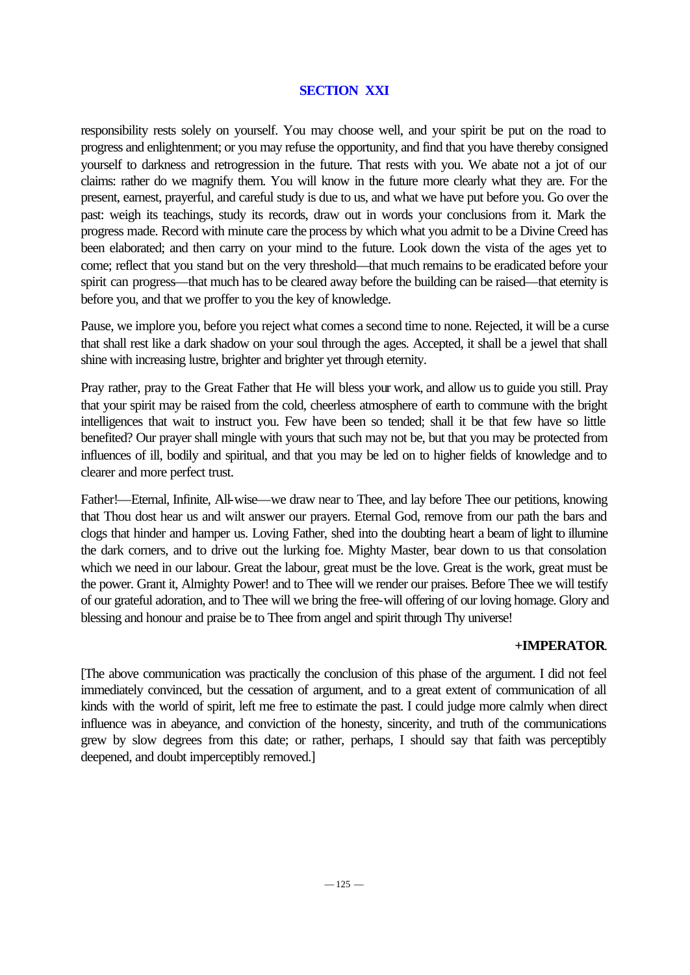responsibility rests solely on yourself. You may choose well, and your spirit be put on the road to progress and enlightenment; or you may refuse the opportunity, and find that you have thereby consigned yourself to darkness and retrogression in the future. That rests with you. We abate not a jot of our claims: rather do we magnify them. You will know in the future more clearly what they are. For the present, earnest, prayerful, and careful study is due to us, and what we have put before you. Go over the past: weigh its teachings, study its records, draw out in words your conclusions from it. Mark the progress made. Record with minute care the process by which what you admit to be a Divine Creed has been elaborated; and then carry on your mind to the future. Look down the vista of the ages yet to come; reflect that you stand but on the very threshold—that much remains to be eradicated before your spirit can progress—that much has to be cleared away before the building can be raised—that eternity is before you, and that we proffer to you the key of knowledge.

Pause, we implore you, before you reject what comes a second time to none. Rejected, it will be a curse that shall rest like a dark shadow on your soul through the ages. Accepted, it shall be a jewel that shall shine with increasing lustre, brighter and brighter yet through eternity.

Pray rather, pray to the Great Father that He will bless your work, and allow us to guide you still. Pray that your spirit may be raised from the cold, cheerless atmosphere of earth to commune with the bright intelligences that wait to instruct you. Few have been so tended; shall it be that few have so little benefited? Our prayer shall mingle with yours that such may not be, but that you may be protected from influences of ill, bodily and spiritual, and that you may be led on to higher fields of knowledge and to clearer and more perfect trust.

Father!—Eternal, Infinite, All-wise—we draw near to Thee, and lay before Thee our petitions, knowing that Thou dost hear us and wilt answer our prayers. Eternal God, remove from our path the bars and clogs that hinder and hamper us. Loving Father, shed into the doubting heart a beam of light to illumine the dark corners, and to drive out the lurking foe. Mighty Master, bear down to us that consolation which we need in our labour. Great the labour, great must be the love. Great is the work, great must be the power. Grant it, Almighty Power! and to Thee will we render our praises. Before Thee we will testify of our grateful adoration, and to Thee will we bring the free-will offering of our loving homage. Glory and blessing and honour and praise be to Thee from angel and spirit through Thy universe!

#### **+IMPERATOR**.

[The above communication was practically the conclusion of this phase of the argument. I did not feel immediately convinced, but the cessation of argument, and to a great extent of communication of all kinds with the world of spirit, left me free to estimate the past. I could judge more calmly when direct influence was in abeyance, and conviction of the honesty, sincerity, and truth of the communications grew by slow degrees from this date; or rather, perhaps, I should say that faith was perceptibly deepened, and doubt imperceptibly removed.]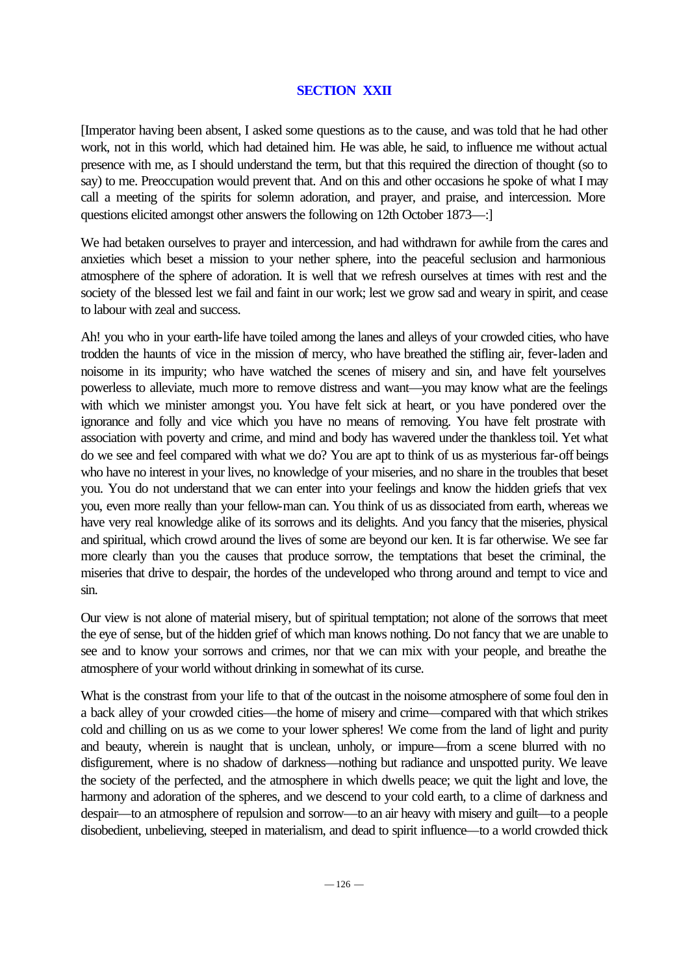[Imperator having been absent, I asked some questions as to the cause, and was told that he had other work, not in this world, which had detained him. He was able, he said, to influence me without actual presence with me, as I should understand the term, but that this required the direction of thought (so to say) to me. Preoccupation would prevent that. And on this and other occasions he spoke of what I may call a meeting of the spirits for solemn adoration, and prayer, and praise, and intercession. More questions elicited amongst other answers the following on 12th October 1873—:]

We had betaken ourselves to prayer and intercession, and had withdrawn for awhile from the cares and anxieties which beset a mission to your nether sphere, into the peaceful seclusion and harmonious atmosphere of the sphere of adoration. It is well that we refresh ourselves at times with rest and the society of the blessed lest we fail and faint in our work; lest we grow sad and weary in spirit, and cease to labour with zeal and success.

Ah! you who in your earth-life have toiled among the lanes and alleys of your crowded cities, who have trodden the haunts of vice in the mission of mercy, who have breathed the stifling air, fever-laden and noisome in its impurity; who have watched the scenes of misery and sin, and have felt yourselves powerless to alleviate, much more to remove distress and want—you may know what are the feelings with which we minister amongst you. You have felt sick at heart, or you have pondered over the ignorance and folly and vice which you have no means of removing. You have felt prostrate with association with poverty and crime, and mind and body has wavered under the thankless toil. Yet what do we see and feel compared with what we do? You are apt to think of us as mysterious far-off beings who have no interest in your lives, no knowledge of your miseries, and no share in the troubles that beset you. You do not understand that we can enter into your feelings and know the hidden griefs that vex you, even more really than your fellow-man can. You think of us as dissociated from earth, whereas we have very real knowledge alike of its sorrows and its delights. And you fancy that the miseries, physical and spiritual, which crowd around the lives of some are beyond our ken. It is far otherwise. We see far more clearly than you the causes that produce sorrow, the temptations that beset the criminal, the miseries that drive to despair, the hordes of the undeveloped who throng around and tempt to vice and sin.

Our view is not alone of material misery, but of spiritual temptation; not alone of the sorrows that meet the eye of sense, but of the hidden grief of which man knows nothing. Do not fancy that we are unable to see and to know your sorrows and crimes, nor that we can mix with your people, and breathe the atmosphere of your world without drinking in somewhat of its curse.

What is the constrast from your life to that of the outcast in the noisome atmosphere of some foul den in a back alley of your crowded cities—the home of misery and crime—compared with that which strikes cold and chilling on us as we come to your lower spheres! We come from the land of light and purity and beauty, wherein is naught that is unclean, unholy, or impure—from a scene blurred with no disfigurement, where is no shadow of darkness—nothing but radiance and unspotted purity. We leave the society of the perfected, and the atmosphere in which dwells peace; we quit the light and love, the harmony and adoration of the spheres, and we descend to your cold earth, to a clime of darkness and despair—to an atmosphere of repulsion and sorrow—to an air heavy with misery and guilt—to a people disobedient, unbelieving, steeped in materialism, and dead to spirit influence—to a world crowded thick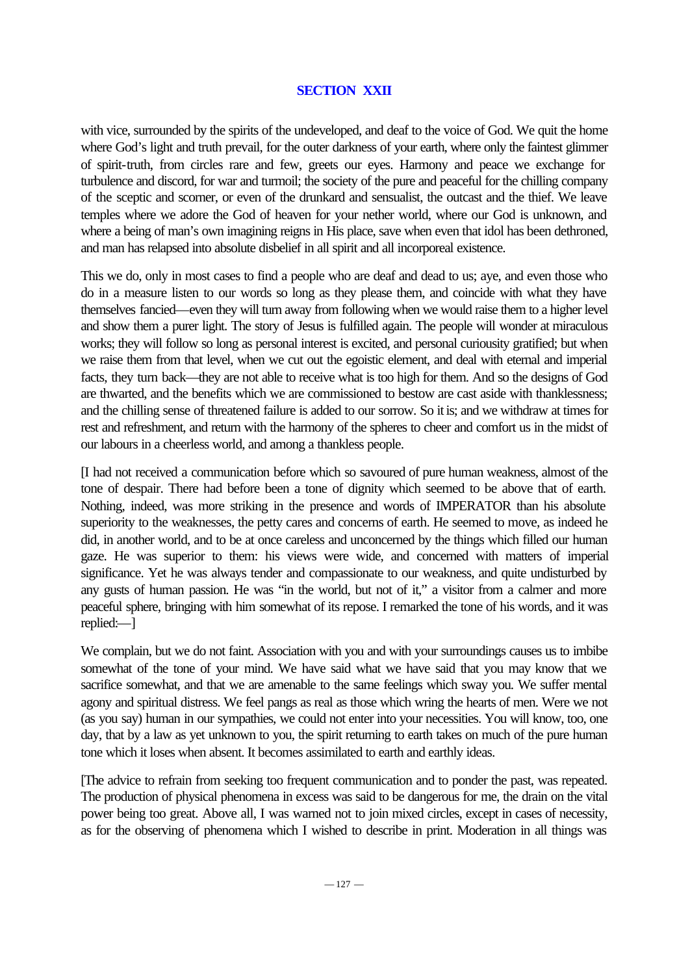with vice, surrounded by the spirits of the undeveloped, and deaf to the voice of God. We quit the home where God's light and truth prevail, for the outer darkness of your earth, where only the faintest glimmer of spirit-truth, from circles rare and few, greets our eyes. Harmony and peace we exchange for turbulence and discord, for war and turmoil; the society of the pure and peaceful for the chilling company of the sceptic and scorner, or even of the drunkard and sensualist, the outcast and the thief. We leave temples where we adore the God of heaven for your nether world, where our God is unknown, and where a being of man's own imagining reigns in His place, save when even that idol has been dethroned, and man has relapsed into absolute disbelief in all spirit and all incorporeal existence.

This we do, only in most cases to find a people who are deaf and dead to us; aye, and even those who do in a measure listen to our words so long as they please them, and coincide with what they have themselves fancied—even they will turn away from following when we would raise them to a higher level and show them a purer light. The story of Jesus is fulfilled again. The people will wonder at miraculous works; they will follow so long as personal interest is excited, and personal curiousity gratified; but when we raise them from that level, when we cut out the egoistic element, and deal with eternal and imperial facts, they turn back—they are not able to receive what is too high for them. And so the designs of God are thwarted, and the benefits which we are commissioned to bestow are cast aside with thanklessness; and the chilling sense of threatened failure is added to our sorrow. So it is; and we withdraw at times for rest and refreshment, and return with the harmony of the spheres to cheer and comfort us in the midst of our labours in a cheerless world, and among a thankless people.

[I had not received a communication before which so savoured of pure human weakness, almost of the tone of despair. There had before been a tone of dignity which seemed to be above that of earth. Nothing, indeed, was more striking in the presence and words of IMPERATOR than his absolute superiority to the weaknesses, the petty cares and concerns of earth. He seemed to move, as indeed he did, in another world, and to be at once careless and unconcerned by the things which filled our human gaze. He was superior to them: his views were wide, and concerned with matters of imperial significance. Yet he was always tender and compassionate to our weakness, and quite undisturbed by any gusts of human passion. He was "in the world, but not of it," a visitor from a calmer and more peaceful sphere, bringing with him somewhat of its repose. I remarked the tone of his words, and it was replied:—]

We complain, but we do not faint. Association with you and with your surroundings causes us to imbibe somewhat of the tone of your mind. We have said what we have said that you may know that we sacrifice somewhat, and that we are amenable to the same feelings which sway you. We suffer mental agony and spiritual distress. We feel pangs as real as those which wring the hearts of men. Were we not (as you say) human in our sympathies, we could not enter into your necessities. You will know, too, one day, that by a law as yet unknown to you, the spirit returning to earth takes on much of the pure human tone which it loses when absent. It becomes assimilated to earth and earthly ideas.

[The advice to refrain from seeking too frequent communication and to ponder the past, was repeated. The production of physical phenomena in excess was said to be dangerous for me, the drain on the vital power being too great. Above all, I was warned not to join mixed circles, except in cases of necessity, as for the observing of phenomena which I wished to describe in print. Moderation in all things was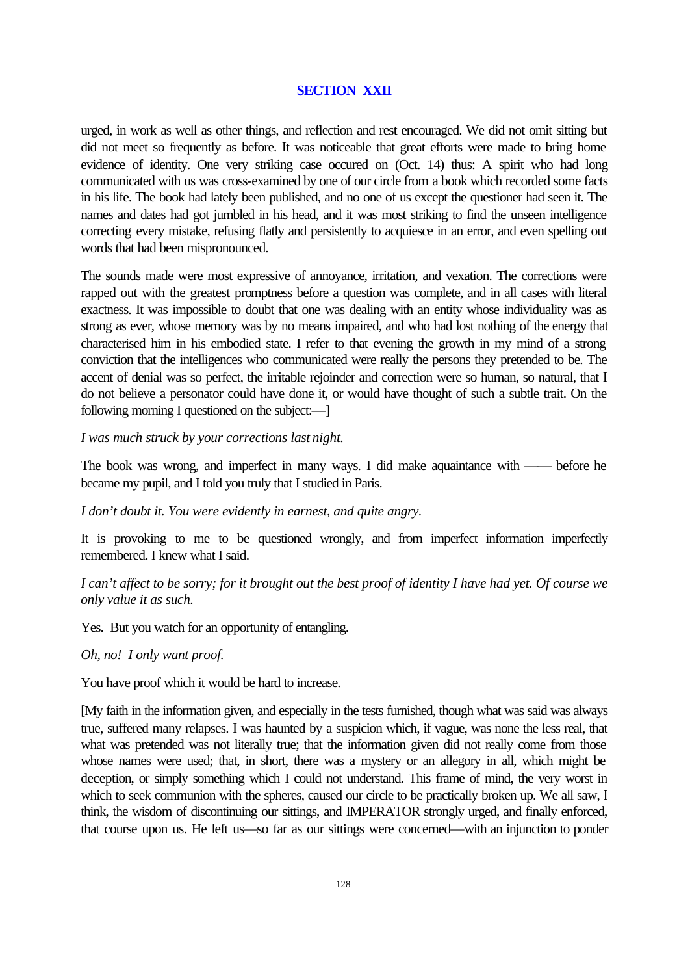urged, in work as well as other things, and reflection and rest encouraged. We did not omit sitting but did not meet so frequently as before. It was noticeable that great efforts were made to bring home evidence of identity. One very striking case occured on (Oct. 14) thus: A spirit who had long communicated with us was cross-examined by one of our circle from a book which recorded some facts in his life. The book had lately been published, and no one of us except the questioner had seen it. The names and dates had got jumbled in his head, and it was most striking to find the unseen intelligence correcting every mistake, refusing flatly and persistently to acquiesce in an error, and even spelling out words that had been mispronounced.

The sounds made were most expressive of annoyance, irritation, and vexation. The corrections were rapped out with the greatest promptness before a question was complete, and in all cases with literal exactness. It was impossible to doubt that one was dealing with an entity whose individuality was as strong as ever, whose memory was by no means impaired, and who had lost nothing of the energy that characterised him in his embodied state. I refer to that evening the growth in my mind of a strong conviction that the intelligences who communicated were really the persons they pretended to be. The accent of denial was so perfect, the irritable rejoinder and correction were so human, so natural, that I do not believe a personator could have done it, or would have thought of such a subtle trait. On the following morning I questioned on the subject:—]

*I was much struck by your corrections last night.*

The book was wrong, and imperfect in many ways. I did make aquaintance with —— before he became my pupil, and I told you truly that I studied in Paris.

*I don't doubt it. You were evidently in earnest, and quite angry.*

It is provoking to me to be questioned wrongly, and from imperfect information imperfectly remembered. I knew what I said.

*I can't affect to be sorry; for it brought out the best proof of identity I have had yet. Of course we only value it as such.*

Yes. But you watch for an opportunity of entangling.

*Oh, no! I only want proof.*

You have proof which it would be hard to increase.

[My faith in the information given, and especially in the tests furnished, though what was said was always true, suffered many relapses. I was haunted by a suspicion which, if vague, was none the less real, that what was pretended was not literally true; that the information given did not really come from those whose names were used; that, in short, there was a mystery or an allegory in all, which might be deception, or simply something which I could not understand. This frame of mind, the very worst in which to seek communion with the spheres, caused our circle to be practically broken up. We all saw, I think, the wisdom of discontinuing our sittings, and IMPERATOR strongly urged, and finally enforced, that course upon us. He left us—so far as our sittings were concerned—with an injunction to ponder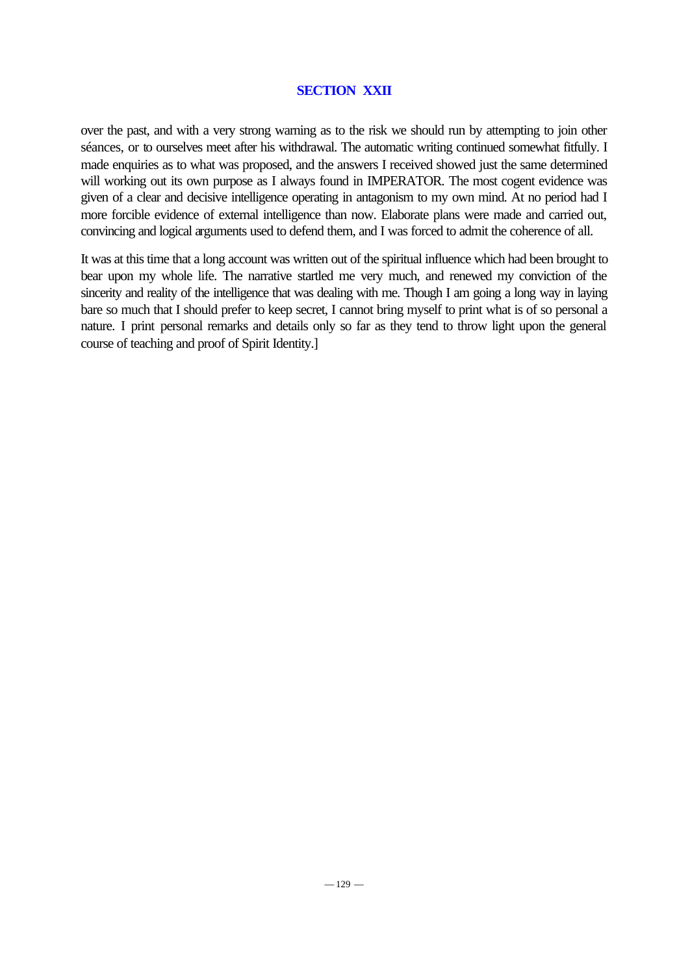over the past, and with a very strong warning as to the risk we should run by attempting to join other séances, or to ourselves meet after his withdrawal. The automatic writing continued somewhat fitfully. I made enquiries as to what was proposed, and the answers I received showed just the same determined will working out its own purpose as I always found in IMPERATOR. The most cogent evidence was given of a clear and decisive intelligence operating in antagonism to my own mind. At no period had I more forcible evidence of external intelligence than now. Elaborate plans were made and carried out, convincing and logical arguments used to defend them, and I was forced to admit the coherence of all.

It was at this time that a long account was written out of the spiritual influence which had been brought to bear upon my whole life. The narrative startled me very much, and renewed my conviction of the sincerity and reality of the intelligence that was dealing with me. Though I am going a long way in laying bare so much that I should prefer to keep secret, I cannot bring myself to print what is of so personal a nature. I print personal remarks and details only so far as they tend to throw light upon the general course of teaching and proof of Spirit Identity.]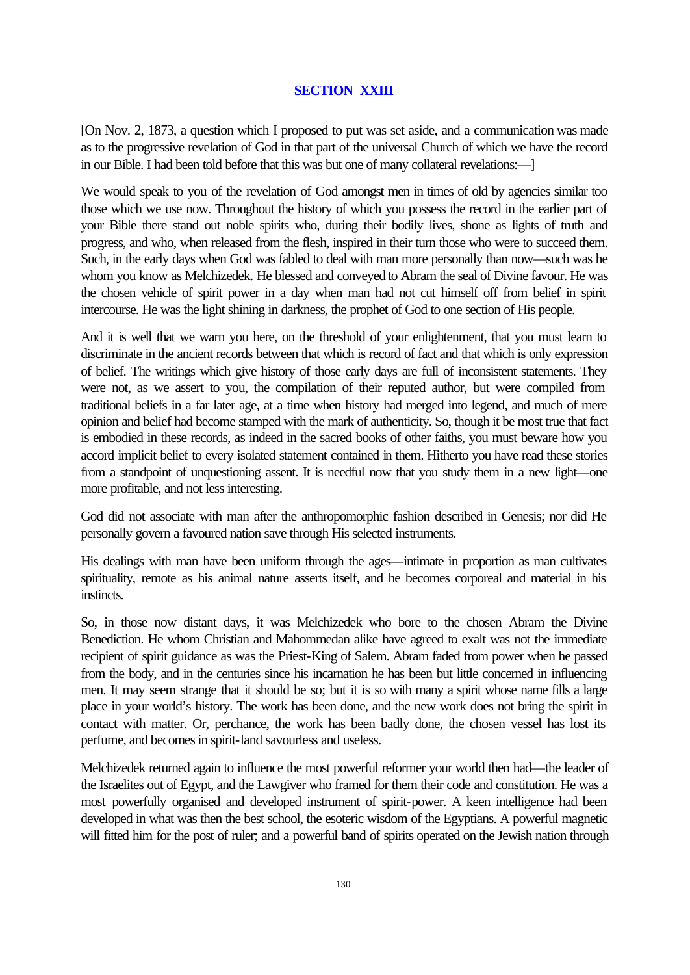[On Nov. 2, 1873, a question which I proposed to put was set aside, and a communication was made as to the progressive revelation of God in that part of the universal Church of which we have the record in our Bible. I had been told before that this was but one of many collateral revelations:—]

We would speak to you of the revelation of God amongst men in times of old by agencies similar too those which we use now. Throughout the history of which you possess the record in the earlier part of your Bible there stand out noble spirits who, during their bodily lives, shone as lights of truth and progress, and who, when released from the flesh, inspired in their turn those who were to succeed them. Such, in the early days when God was fabled to deal with man more personally than now—such was he whom you know as Melchizedek. He blessed and conveyed to Abram the seal of Divine favour. He was the chosen vehicle of spirit power in a day when man had not cut himself off from belief in spirit intercourse. He was the light shining in darkness, the prophet of God to one section of His people.

And it is well that we warn you here, on the threshold of your enlightenment, that you must learn to discriminate in the ancient records between that which is record of fact and that which is only expression of belief. The writings which give history of those early days are full of inconsistent statements. They were not, as we assert to you, the compilation of their reputed author, but were compiled from traditional beliefs in a far later age, at a time when history had merged into legend, and much of mere opinion and belief had become stamped with the mark of authenticity. So, though it be most true that fact is embodied in these records, as indeed in the sacred books of other faiths, you must beware how you accord implicit belief to every isolated statement contained in them. Hitherto you have read these stories from a standpoint of unquestioning assent. It is needful now that you study them in a new light—one more profitable, and not less interesting.

God did not associate with man after the anthropomorphic fashion described in Genesis; nor did He personally govern a favoured nation save through His selected instruments.

His dealings with man have been uniform through the ages—intimate in proportion as man cultivates spirituality, remote as his animal nature asserts itself, and he becomes corporeal and material in his instincts.

So, in those now distant days, it was Melchizedek who bore to the chosen Abram the Divine Benediction. He whom Christian and Mahommedan alike have agreed to exalt was not the immediate recipient of spirit guidance as was the Priest-King of Salem. Abram faded from power when he passed from the body, and in the centuries since his incarnation he has been but little concerned in influencing men. It may seem strange that it should be so; but it is so with many a spirit whose name fills a large place in your world's history. The work has been done, and the new work does not bring the spirit in contact with matter. Or, perchance, the work has been badly done, the chosen vessel has lost its perfume, and becomes in spirit-land savourless and useless.

Melchizedek returned again to influence the most powerful reformer your world then had—the leader of the Israelites out of Egypt, and the Lawgiver who framed for them their code and constitution. He was a most powerfully organised and developed instrument of spirit-power. A keen intelligence had been developed in what was then the best school, the esoteric wisdom of the Egyptians. A powerful magnetic will fitted him for the post of ruler; and a powerful band of spirits operated on the Jewish nation through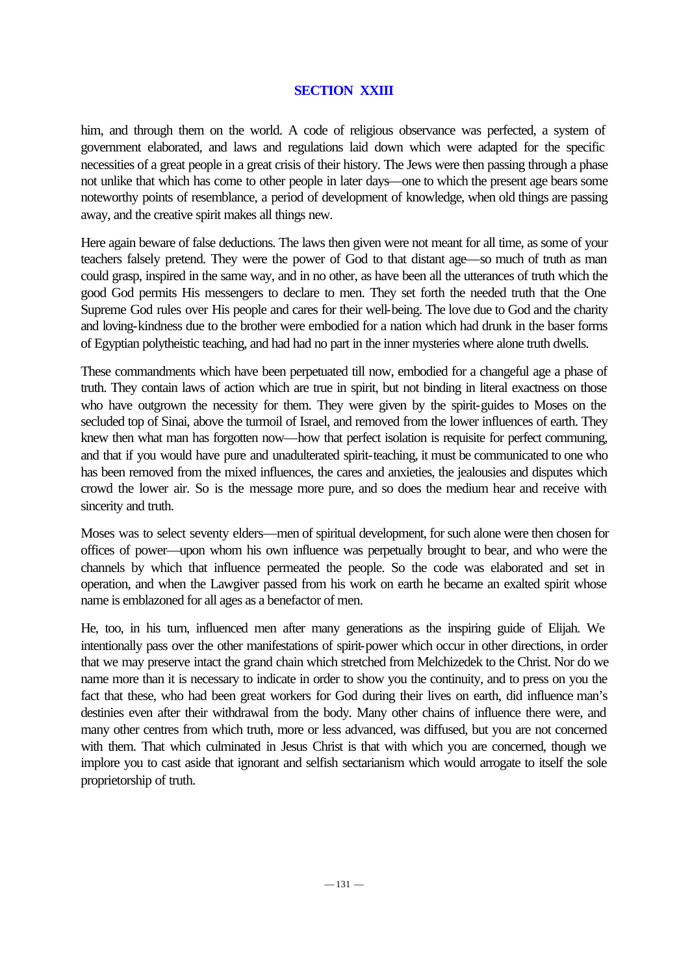him, and through them on the world. A code of religious observance was perfected, a system of government elaborated, and laws and regulations laid down which were adapted for the specific necessities of a great people in a great crisis of their history. The Jews were then passing through a phase not unlike that which has come to other people in later days—one to which the present age bears some noteworthy points of resemblance, a period of development of knowledge, when old things are passing away, and the creative spirit makes all things new.

Here again beware of false deductions. The laws then given were not meant for all time, as some of your teachers falsely pretend. They were the power of God to that distant age—so much of truth as man could grasp, inspired in the same way, and in no other, as have been all the utterances of truth which the good God permits His messengers to declare to men. They set forth the needed truth that the One Supreme God rules over His people and cares for their well-being. The love due to God and the charity and loving-kindness due to the brother were embodied for a nation which had drunk in the baser forms of Egyptian polytheistic teaching, and had had no part in the inner mysteries where alone truth dwells.

These commandments which have been perpetuated till now, embodied for a changeful age a phase of truth. They contain laws of action which are true in spirit, but not binding in literal exactness on those who have outgrown the necessity for them. They were given by the spirit-guides to Moses on the secluded top of Sinai, above the turmoil of Israel, and removed from the lower influences of earth. They knew then what man has forgotten now—how that perfect isolation is requisite for perfect communing, and that if you would have pure and unadulterated spirit-teaching, it must be communicated to one who has been removed from the mixed influences, the cares and anxieties, the jealousies and disputes which crowd the lower air. So is the message more pure, and so does the medium hear and receive with sincerity and truth.

Moses was to select seventy elders—men of spiritual development, for such alone were then chosen for offices of power—upon whom his own influence was perpetually brought to bear, and who were the channels by which that influence permeated the people. So the code was elaborated and set in operation, and when the Lawgiver passed from his work on earth he became an exalted spirit whose name is emblazoned for all ages as a benefactor of men.

He, too, in his turn, influenced men after many generations as the inspiring guide of Elijah. We intentionally pass over the other manifestations of spirit-power which occur in other directions, in order that we may preserve intact the grand chain which stretched from Melchizedek to the Christ. Nor do we name more than it is necessary to indicate in order to show you the continuity, and to press on you the fact that these, who had been great workers for God during their lives on earth, did influence man's destinies even after their withdrawal from the body. Many other chains of influence there were, and many other centres from which truth, more or less advanced, was diffused, but you are not concerned with them. That which culminated in Jesus Christ is that with which you are concerned, though we implore you to cast aside that ignorant and selfish sectarianism which would arrogate to itself the sole proprietorship of truth.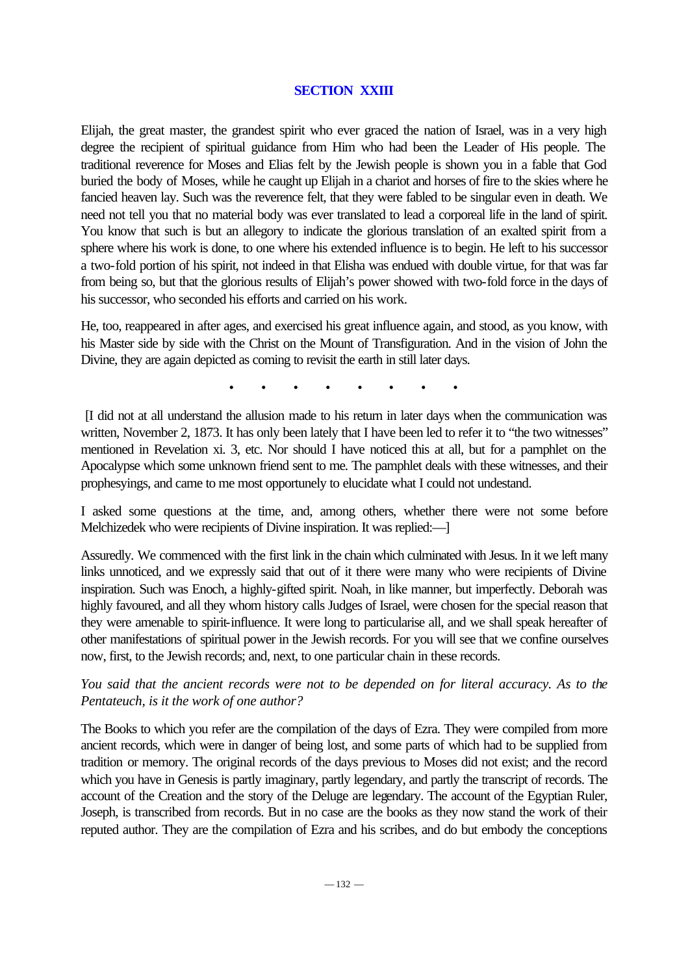Elijah, the great master, the grandest spirit who ever graced the nation of Israel, was in a very high degree the recipient of spiritual guidance from Him who had been the Leader of His people. The traditional reverence for Moses and Elias felt by the Jewish people is shown you in a fable that God buried the body of Moses, while he caught up Elijah in a chariot and horses of fire to the skies where he fancied heaven lay. Such was the reverence felt, that they were fabled to be singular even in death. We need not tell you that no material body was ever translated to lead a corporeal life in the land of spirit. You know that such is but an allegory to indicate the glorious translation of an exalted spirit from a sphere where his work is done, to one where his extended influence is to begin. He left to his successor a two-fold portion of his spirit, not indeed in that Elisha was endued with double virtue, for that was far from being so, but that the glorious results of Elijah's power showed with two-fold force in the days of his successor, who seconded his efforts and carried on his work.

He, too, reappeared in after ages, and exercised his great influence again, and stood, as you know, with his Master side by side with the Christ on the Mount of Transfiguration. And in the vision of John the Divine, they are again depicted as coming to revisit the earth in still later days.

• • • • • • • •

 [I did not at all understand the allusion made to his return in later days when the communication was written, November 2, 1873. It has only been lately that I have been led to refer it to "the two witnesses" mentioned in Revelation xi. 3, etc. Nor should I have noticed this at all, but for a pamphlet on the Apocalypse which some unknown friend sent to me. The pamphlet deals with these witnesses, and their prophesyings, and came to me most opportunely to elucidate what I could not undestand.

I asked some questions at the time, and, among others, whether there were not some before Melchizedek who were recipients of Divine inspiration. It was replied:—]

Assuredly. We commenced with the first link in the chain which culminated with Jesus. In it we left many links unnoticed, and we expressly said that out of it there were many who were recipients of Divine inspiration. Such was Enoch, a highly-gifted spirit. Noah, in like manner, but imperfectly. Deborah was highly favoured, and all they whom history calls Judges of Israel, were chosen for the special reason that they were amenable to spirit-influence. It were long to particularise all, and we shall speak hereafter of other manifestations of spiritual power in the Jewish records. For you will see that we confine ourselves now, first, to the Jewish records; and, next, to one particular chain in these records.

*You said that the ancient records were not to be depended on for literal accuracy. As to the Pentateuch, is it the work of one author?*

The Books to which you refer are the compilation of the days of Ezra. They were compiled from more ancient records, which were in danger of being lost, and some parts of which had to be supplied from tradition or memory. The original records of the days previous to Moses did not exist; and the record which you have in Genesis is partly imaginary, partly legendary, and partly the transcript of records. The account of the Creation and the story of the Deluge are legendary. The account of the Egyptian Ruler, Joseph, is transcribed from records. But in no case are the books as they now stand the work of their reputed author. They are the compilation of Ezra and his scribes, and do but embody the conceptions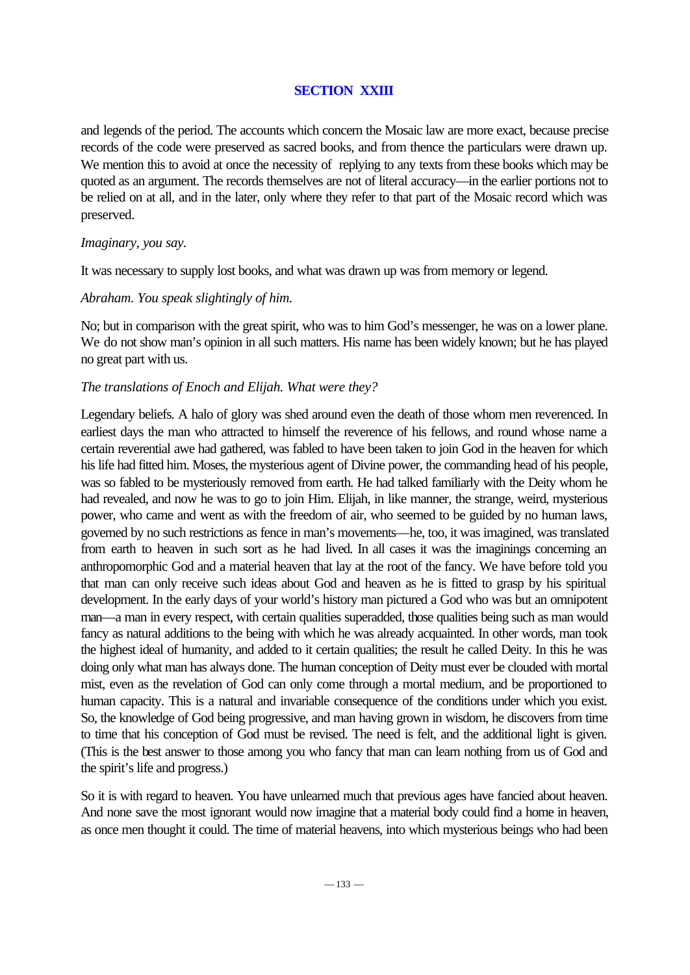and legends of the period. The accounts which concern the Mosaic law are more exact, because precise records of the code were preserved as sacred books, and from thence the particulars were drawn up. We mention this to avoid at once the necessity of replying to any texts from these books which may be quoted as an argument. The records themselves are not of literal accuracy—in the earlier portions not to be relied on at all, and in the later, only where they refer to that part of the Mosaic record which was preserved.

#### *Imaginary, you say.*

It was necessary to supply lost books, and what was drawn up was from memory or legend.

### *Abraham. You speak slightingly of him.*

No; but in comparison with the great spirit, who was to him God's messenger, he was on a lower plane. We do not show man's opinion in all such matters. His name has been widely known; but he has played no great part with us.

### *The translations of Enoch and Elijah. What were they?*

Legendary beliefs. A halo of glory was shed around even the death of those whom men reverenced. In earliest days the man who attracted to himself the reverence of his fellows, and round whose name a certain reverential awe had gathered, was fabled to have been taken to join God in the heaven for which his life had fitted him. Moses, the mysterious agent of Divine power, the commanding head of his people, was so fabled to be mysteriously removed from earth. He had talked familiarly with the Deity whom he had revealed, and now he was to go to join Him. Elijah, in like manner, the strange, weird, mysterious power, who came and went as with the freedom of air, who seemed to be guided by no human laws, governed by no such restrictions as fence in man's movements—he, too, it was imagined, was translated from earth to heaven in such sort as he had lived. In all cases it was the imaginings concerning an anthropomorphic God and a material heaven that lay at the root of the fancy. We have before told you that man can only receive such ideas about God and heaven as he is fitted to grasp by his spiritual development. In the early days of your world's history man pictured a God who was but an omnipotent man—a man in every respect, with certain qualities superadded, those qualities being such as man would fancy as natural additions to the being with which he was already acquainted. In other words, man took the highest ideal of humanity, and added to it certain qualities; the result he called Deity. In this he was doing only what man has always done. The human conception of Deity must ever be clouded with mortal mist, even as the revelation of God can only come through a mortal medium, and be proportioned to human capacity. This is a natural and invariable consequence of the conditions under which you exist. So, the knowledge of God being progressive, and man having grown in wisdom, he discovers from time to time that his conception of God must be revised. The need is felt, and the additional light is given. (This is the best answer to those among you who fancy that man can learn nothing from us of God and the spirit's life and progress.)

So it is with regard to heaven. You have unlearned much that previous ages have fancied about heaven. And none save the most ignorant would now imagine that a material body could find a home in heaven, as once men thought it could. The time of material heavens, into which mysterious beings who had been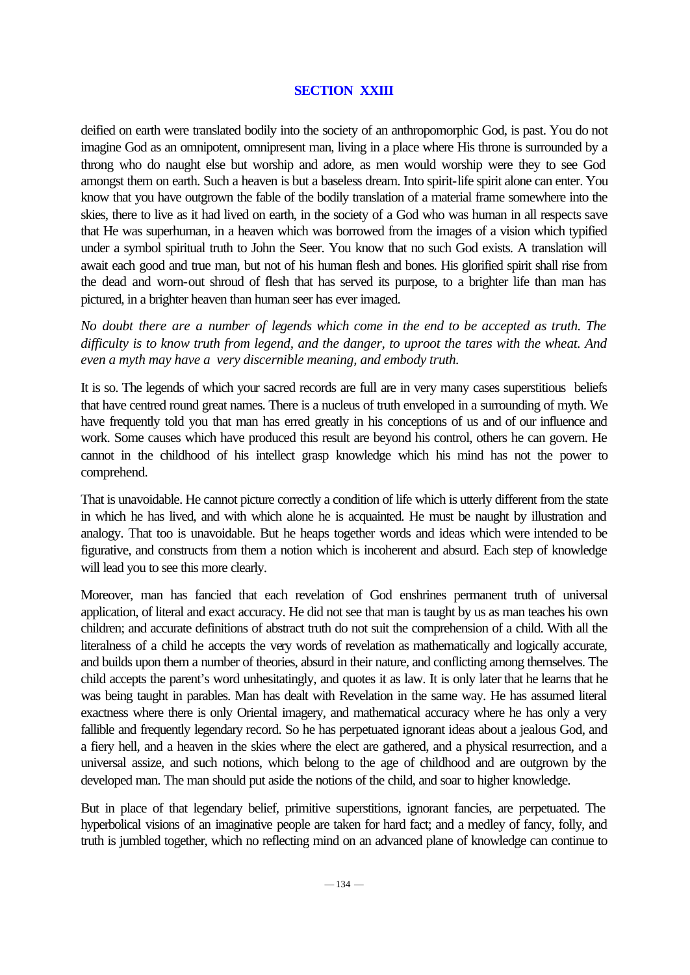deified on earth were translated bodily into the society of an anthropomorphic God, is past. You do not imagine God as an omnipotent, omnipresent man, living in a place where His throne is surrounded by a throng who do naught else but worship and adore, as men would worship were they to see God amongst them on earth. Such a heaven is but a baseless dream. Into spirit-life spirit alone can enter. You know that you have outgrown the fable of the bodily translation of a material frame somewhere into the skies, there to live as it had lived on earth, in the society of a God who was human in all respects save that He was superhuman, in a heaven which was borrowed from the images of a vision which typified under a symbol spiritual truth to John the Seer. You know that no such God exists. A translation will await each good and true man, but not of his human flesh and bones. His glorified spirit shall rise from the dead and worn-out shroud of flesh that has served its purpose, to a brighter life than man has pictured, in a brighter heaven than human seer has ever imaged.

*No doubt there are a number of legends which come in the end to be accepted as truth. The difficulty is to know truth from legend, and the danger, to uproot the tares with the wheat. And even a myth may have a very discernible meaning, and embody truth.*

It is so. The legends of which your sacred records are full are in very many cases superstitious beliefs that have centred round great names. There is a nucleus of truth enveloped in a surrounding of myth. We have frequently told you that man has erred greatly in his conceptions of us and of our influence and work. Some causes which have produced this result are beyond his control, others he can govern. He cannot in the childhood of his intellect grasp knowledge which his mind has not the power to comprehend.

That is unavoidable. He cannot picture correctly a condition of life which is utterly different from the state in which he has lived, and with which alone he is acquainted. He must be naught by illustration and analogy. That too is unavoidable. But he heaps together words and ideas which were intended to be figurative, and constructs from them a notion which is incoherent and absurd. Each step of knowledge will lead you to see this more clearly.

Moreover, man has fancied that each revelation of God enshrines permanent truth of universal application, of literal and exact accuracy. He did not see that man is taught by us as man teaches his own children; and accurate definitions of abstract truth do not suit the comprehension of a child. With all the literalness of a child he accepts the very words of revelation as mathematically and logically accurate, and builds upon them a number of theories, absurd in their nature, and conflicting among themselves. The child accepts the parent's word unhesitatingly, and quotes it as law. It is only later that he learns that he was being taught in parables. Man has dealt with Revelation in the same way. He has assumed literal exactness where there is only Oriental imagery, and mathematical accuracy where he has only a very fallible and frequently legendary record. So he has perpetuated ignorant ideas about a jealous God, and a fiery hell, and a heaven in the skies where the elect are gathered, and a physical resurrection, and a universal assize, and such notions, which belong to the age of childhood and are outgrown by the developed man. The man should put aside the notions of the child, and soar to higher knowledge.

But in place of that legendary belief, primitive superstitions, ignorant fancies, are perpetuated. The hyperbolical visions of an imaginative people are taken for hard fact; and a medley of fancy, folly, and truth is jumbled together, which no reflecting mind on an advanced plane of knowledge can continue to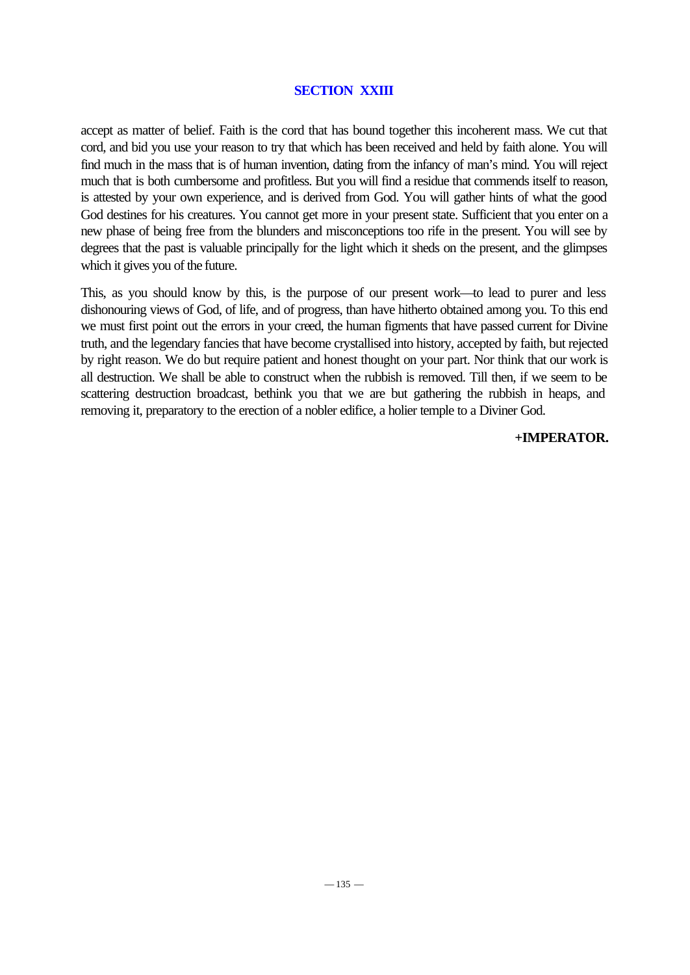accept as matter of belief. Faith is the cord that has bound together this incoherent mass. We cut that cord, and bid you use your reason to try that which has been received and held by faith alone. You will find much in the mass that is of human invention, dating from the infancy of man's mind. You will reject much that is both cumbersome and profitless. But you will find a residue that commends itself to reason, is attested by your own experience, and is derived from God. You will gather hints of what the good God destines for his creatures. You cannot get more in your present state. Sufficient that you enter on a new phase of being free from the blunders and misconceptions too rife in the present. You will see by degrees that the past is valuable principally for the light which it sheds on the present, and the glimpses which it gives you of the future.

This, as you should know by this, is the purpose of our present work—to lead to purer and less dishonouring views of God, of life, and of progress, than have hitherto obtained among you. To this end we must first point out the errors in your creed, the human figments that have passed current for Divine truth, and the legendary fancies that have become crystallised into history, accepted by faith, but rejected by right reason. We do but require patient and honest thought on your part. Nor think that our work is all destruction. We shall be able to construct when the rubbish is removed. Till then, if we seem to be scattering destruction broadcast, bethink you that we are but gathering the rubbish in heaps, and removing it, preparatory to the erection of a nobler edifice, a holier temple to a Diviner God.

#### **+IMPERATOR.**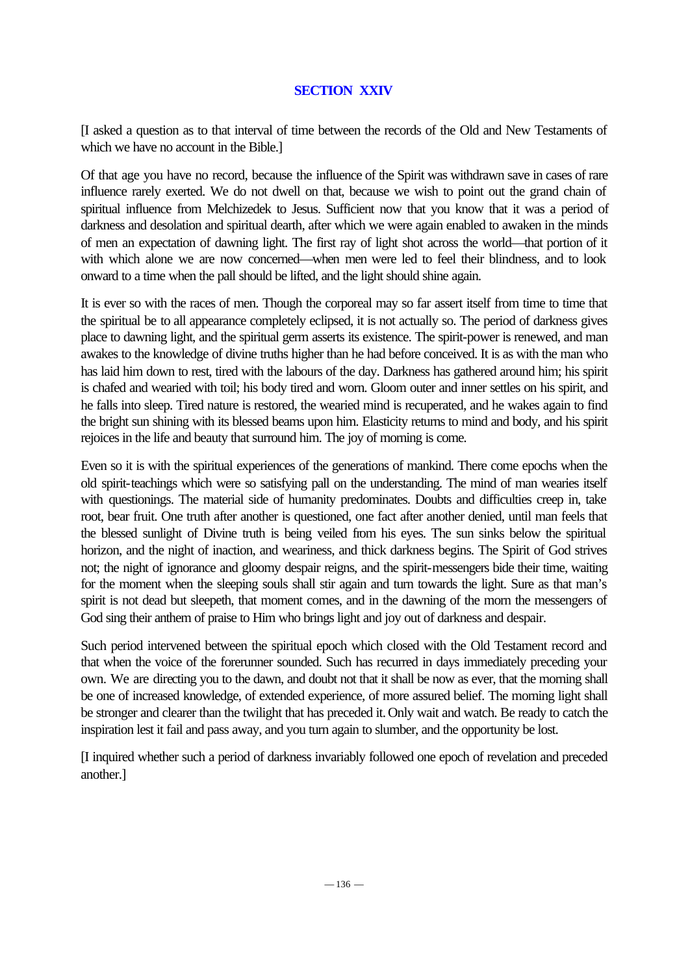[I asked a question as to that interval of time between the records of the Old and New Testaments of which we have no account in the Bible.

Of that age you have no record, because the influence of the Spirit was withdrawn save in cases of rare influence rarely exerted. We do not dwell on that, because we wish to point out the grand chain of spiritual influence from Melchizedek to Jesus. Sufficient now that you know that it was a period of darkness and desolation and spiritual dearth, after which we were again enabled to awaken in the minds of men an expectation of dawning light. The first ray of light shot across the world—that portion of it with which alone we are now concerned—when men were led to feel their blindness, and to look onward to a time when the pall should be lifted, and the light should shine again.

It is ever so with the races of men. Though the corporeal may so far assert itself from time to time that the spiritual be to all appearance completely eclipsed, it is not actually so. The period of darkness gives place to dawning light, and the spiritual germ asserts its existence. The spirit-power is renewed, and man awakes to the knowledge of divine truths higher than he had before conceived. It is as with the man who has laid him down to rest, tired with the labours of the day. Darkness has gathered around him; his spirit is chafed and wearied with toil; his body tired and worn. Gloom outer and inner settles on his spirit, and he falls into sleep. Tired nature is restored, the wearied mind is recuperated, and he wakes again to find the bright sun shining with its blessed beams upon him. Elasticity returns to mind and body, and his spirit rejoices in the life and beauty that surround him. The joy of morning is come.

Even so it is with the spiritual experiences of the generations of mankind. There come epochs when the old spirit-teachings which were so satisfying pall on the understanding. The mind of man wearies itself with questionings. The material side of humanity predominates. Doubts and difficulties creep in, take root, bear fruit. One truth after another is questioned, one fact after another denied, until man feels that the blessed sunlight of Divine truth is being veiled from his eyes. The sun sinks below the spiritual horizon, and the night of inaction, and weariness, and thick darkness begins. The Spirit of God strives not; the night of ignorance and gloomy despair reigns, and the spirit-messengers bide their time, waiting for the moment when the sleeping souls shall stir again and turn towards the light. Sure as that man's spirit is not dead but sleepeth, that moment comes, and in the dawning of the morn the messengers of God sing their anthem of praise to Him who brings light and joy out of darkness and despair.

Such period intervened between the spiritual epoch which closed with the Old Testament record and that when the voice of the forerunner sounded. Such has recurred in days immediately preceding your own. We are directing you to the dawn, and doubt not that it shall be now as ever, that the morning shall be one of increased knowledge, of extended experience, of more assured belief. The morning light shall be stronger and clearer than the twilight that has preceded it. Only wait and watch. Be ready to catch the inspiration lest it fail and pass away, and you turn again to slumber, and the opportunity be lost.

[I inquired whether such a period of darkness invariably followed one epoch of revelation and preceded another.]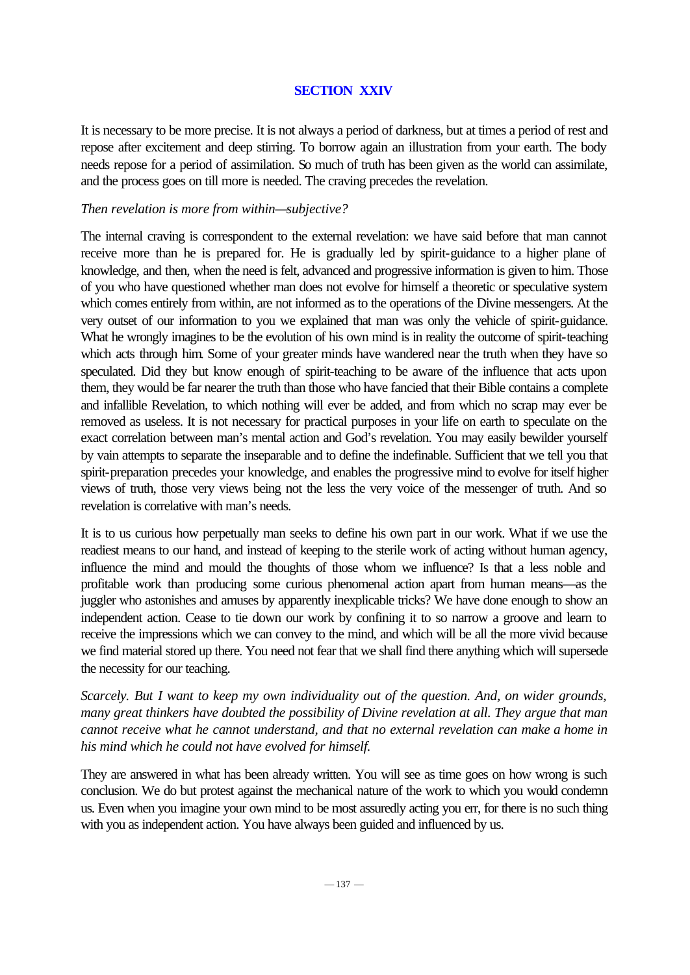It is necessary to be more precise. It is not always a period of darkness, but at times a period of rest and repose after excitement and deep stirring. To borrow again an illustration from your earth. The body needs repose for a period of assimilation. So much of truth has been given as the world can assimilate, and the process goes on till more is needed. The craving precedes the revelation.

### *Then revelation is more from within—subjective?*

The internal craving is correspondent to the external revelation: we have said before that man cannot receive more than he is prepared for. He is gradually led by spirit-guidance to a higher plane of knowledge, and then, when the need is felt, advanced and progressive information is given to him. Those of you who have questioned whether man does not evolve for himself a theoretic or speculative system which comes entirely from within, are not informed as to the operations of the Divine messengers. At the very outset of our information to you we explained that man was only the vehicle of spirit-guidance. What he wrongly imagines to be the evolution of his own mind is in reality the outcome of spirit-teaching which acts through him. Some of your greater minds have wandered near the truth when they have so speculated. Did they but know enough of spirit-teaching to be aware of the influence that acts upon them, they would be far nearer the truth than those who have fancied that their Bible contains a complete and infallible Revelation, to which nothing will ever be added, and from which no scrap may ever be removed as useless. It is not necessary for practical purposes in your life on earth to speculate on the exact correlation between man's mental action and God's revelation. You may easily bewilder yourself by vain attempts to separate the inseparable and to define the indefinable. Sufficient that we tell you that spirit-preparation precedes your knowledge, and enables the progressive mind to evolve for itself higher views of truth, those very views being not the less the very voice of the messenger of truth. And so revelation is correlative with man's needs.

It is to us curious how perpetually man seeks to define his own part in our work. What if we use the readiest means to our hand, and instead of keeping to the sterile work of acting without human agency, influence the mind and mould the thoughts of those whom we influence? Is that a less noble and profitable work than producing some curious phenomenal action apart from human means—as the juggler who astonishes and amuses by apparently inexplicable tricks? We have done enough to show an independent action. Cease to tie down our work by confining it to so narrow a groove and learn to receive the impressions which we can convey to the mind, and which will be all the more vivid because we find material stored up there. You need not fear that we shall find there anything which will supersede the necessity for our teaching.

*Scarcely. But I want to keep my own individuality out of the question. And, on wider grounds, many great thinkers have doubted the possibility of Divine revelation at all. They argue that man cannot receive what he cannot understand, and that no external revelation can make a home in his mind which he could not have evolved for himself.*

They are answered in what has been already written. You will see as time goes on how wrong is such conclusion. We do but protest against the mechanical nature of the work to which you would condemn us. Even when you imagine your own mind to be most assuredly acting you err, for there is no such thing with you as independent action. You have always been guided and influenced by us.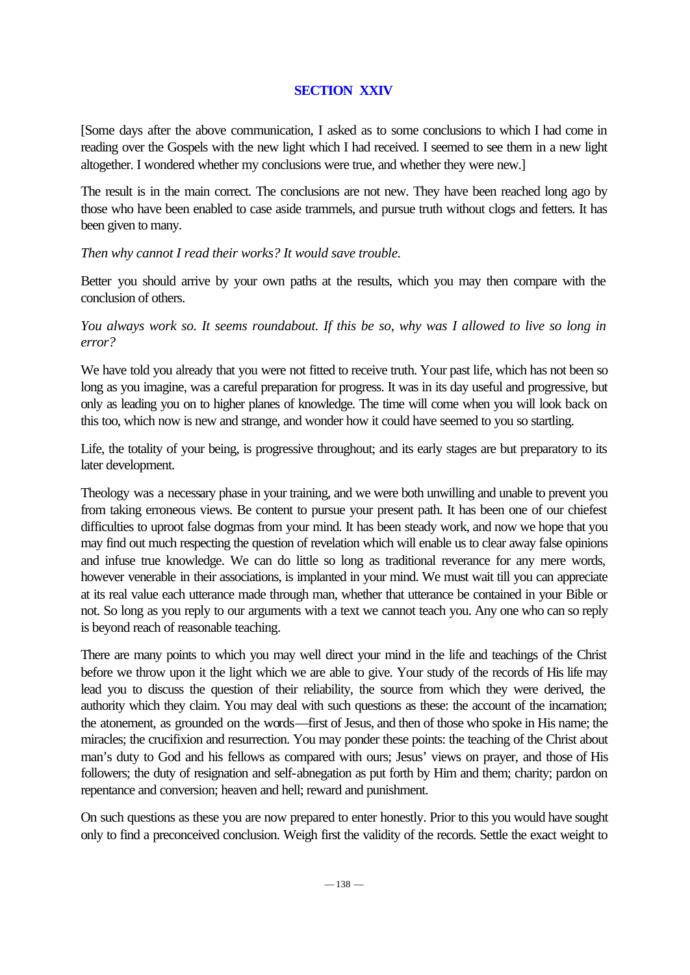[Some days after the above communication, I asked as to some conclusions to which I had come in reading over the Gospels with the new light which I had received. I seemed to see them in a new light altogether. I wondered whether my conclusions were true, and whether they were new.]

The result is in the main correct. The conclusions are not new. They have been reached long ago by those who have been enabled to case aside trammels, and pursue truth without clogs and fetters. It has been given to many.

## *Then why cannot I read their works? It would save trouble.*

Better you should arrive by your own paths at the results, which you may then compare with the conclusion of others.

*You always work so. It seems roundabout. If this be so, why was I allowed to live so long in error?*

We have told you already that you were not fitted to receive truth. Your past life, which has not been so long as you imagine, was a careful preparation for progress. It was in its day useful and progressive, but only as leading you on to higher planes of knowledge. The time will come when you will look back on this too, which now is new and strange, and wonder how it could have seemed to you so startling.

Life, the totality of your being, is progressive throughout; and its early stages are but preparatory to its later development.

Theology was a necessary phase in your training, and we were both unwilling and unable to prevent you from taking erroneous views. Be content to pursue your present path. It has been one of our chiefest difficulties to uproot false dogmas from your mind. It has been steady work, and now we hope that you may find out much respecting the question of revelation which will enable us to clear away false opinions and infuse true knowledge. We can do little so long as traditional reverance for any mere words, however venerable in their associations, is implanted in your mind. We must wait till you can appreciate at its real value each utterance made through man, whether that utterance be contained in your Bible or not. So long as you reply to our arguments with a text we cannot teach you. Any one who can so reply is beyond reach of reasonable teaching.

There are many points to which you may well direct your mind in the life and teachings of the Christ before we throw upon it the light which we are able to give. Your study of the records of His life may lead you to discuss the question of their reliability, the source from which they were derived, the authority which they claim. You may deal with such questions as these: the account of the incarnation; the atonement, as grounded on the words—first of Jesus, and then of those who spoke in His name; the miracles; the crucifixion and resurrection. You may ponder these points: the teaching of the Christ about man's duty to God and his fellows as compared with ours; Jesus' views on prayer, and those of His followers; the duty of resignation and self-abnegation as put forth by Him and them; charity; pardon on repentance and conversion; heaven and hell; reward and punishment.

On such questions as these you are now prepared to enter honestly. Prior to this you would have sought only to find a preconceived conclusion. Weigh first the validity of the records. Settle the exact weight to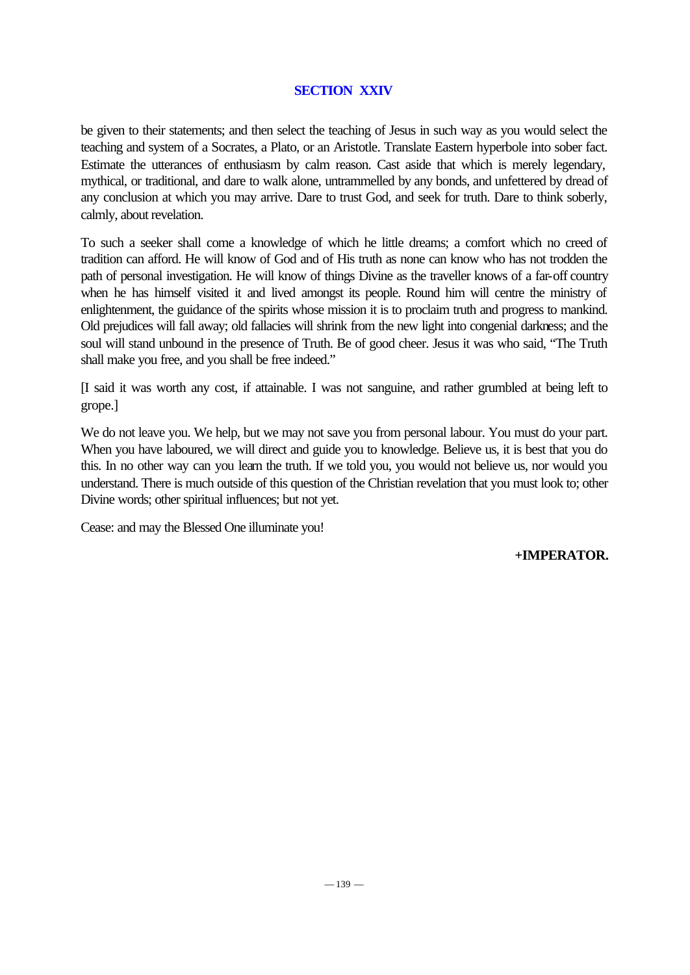be given to their statements; and then select the teaching of Jesus in such way as you would select the teaching and system of a Socrates, a Plato, or an Aristotle. Translate Eastern hyperbole into sober fact. Estimate the utterances of enthusiasm by calm reason. Cast aside that which is merely legendary, mythical, or traditional, and dare to walk alone, untrammelled by any bonds, and unfettered by dread of any conclusion at which you may arrive. Dare to trust God, and seek for truth. Dare to think soberly, calmly, about revelation.

To such a seeker shall come a knowledge of which he little dreams; a comfort which no creed of tradition can afford. He will know of God and of His truth as none can know who has not trodden the path of personal investigation. He will know of things Divine as the traveller knows of a far-off country when he has himself visited it and lived amongst its people. Round him will centre the ministry of enlightenment, the guidance of the spirits whose mission it is to proclaim truth and progress to mankind. Old prejudices will fall away; old fallacies will shrink from the new light into congenial darkness; and the soul will stand unbound in the presence of Truth. Be of good cheer. Jesus it was who said, "The Truth shall make you free, and you shall be free indeed."

[I said it was worth any cost, if attainable. I was not sanguine, and rather grumbled at being left to grope.]

We do not leave you. We help, but we may not save you from personal labour. You must do your part. When you have laboured, we will direct and guide you to knowledge. Believe us, it is best that you do this. In no other way can you learn the truth. If we told you, you would not believe us, nor would you understand. There is much outside of this question of the Christian revelation that you must look to; other Divine words; other spiritual influences; but not yet.

Cease: and may the Blessed One illuminate you!

### **+IMPERATOR.**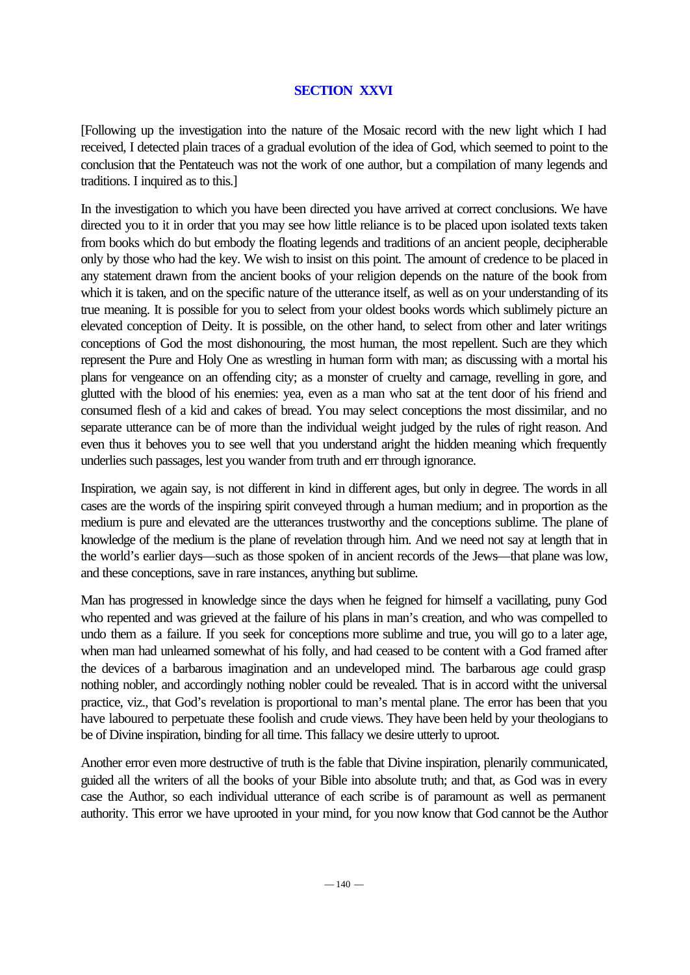[Following up the investigation into the nature of the Mosaic record with the new light which I had received, I detected plain traces of a gradual evolution of the idea of God, which seemed to point to the conclusion that the Pentateuch was not the work of one author, but a compilation of many legends and traditions. I inquired as to this.]

In the investigation to which you have been directed you have arrived at correct conclusions. We have directed you to it in order that you may see how little reliance is to be placed upon isolated texts taken from books which do but embody the floating legends and traditions of an ancient people, decipherable only by those who had the key. We wish to insist on this point. The amount of credence to be placed in any statement drawn from the ancient books of your religion depends on the nature of the book from which it is taken, and on the specific nature of the utterance itself, as well as on your understanding of its true meaning. It is possible for you to select from your oldest books words which sublimely picture an elevated conception of Deity. It is possible, on the other hand, to select from other and later writings conceptions of God the most dishonouring, the most human, the most repellent. Such are they which represent the Pure and Holy One as wrestling in human form with man; as discussing with a mortal his plans for vengeance on an offending city; as a monster of cruelty and carnage, revelling in gore, and glutted with the blood of his enemies: yea, even as a man who sat at the tent door of his friend and consumed flesh of a kid and cakes of bread. You may select conceptions the most dissimilar, and no separate utterance can be of more than the individual weight judged by the rules of right reason. And even thus it behoves you to see well that you understand aright the hidden meaning which frequently underlies such passages, lest you wander from truth and err through ignorance.

Inspiration, we again say, is not different in kind in different ages, but only in degree. The words in all cases are the words of the inspiring spirit conveyed through a human medium; and in proportion as the medium is pure and elevated are the utterances trustworthy and the conceptions sublime. The plane of knowledge of the medium is the plane of revelation through him. And we need not say at length that in the world's earlier days—such as those spoken of in ancient records of the Jews—that plane was low, and these conceptions, save in rare instances, anything but sublime.

Man has progressed in knowledge since the days when he feigned for himself a vacillating, puny God who repented and was grieved at the failure of his plans in man's creation, and who was compelled to undo them as a failure. If you seek for conceptions more sublime and true, you will go to a later age, when man had unlearned somewhat of his folly, and had ceased to be content with a God framed after the devices of a barbarous imagination and an undeveloped mind. The barbarous age could grasp nothing nobler, and accordingly nothing nobler could be revealed. That is in accord witht the universal practice, viz., that God's revelation is proportional to man's mental plane. The error has been that you have laboured to perpetuate these foolish and crude views. They have been held by your theologians to be of Divine inspiration, binding for all time. This fallacy we desire utterly to uproot.

Another error even more destructive of truth is the fable that Divine inspiration, plenarily communicated, guided all the writers of all the books of your Bible into absolute truth; and that, as God was in every case the Author, so each individual utterance of each scribe is of paramount as well as permanent authority. This error we have uprooted in your mind, for you now know that God cannot be the Author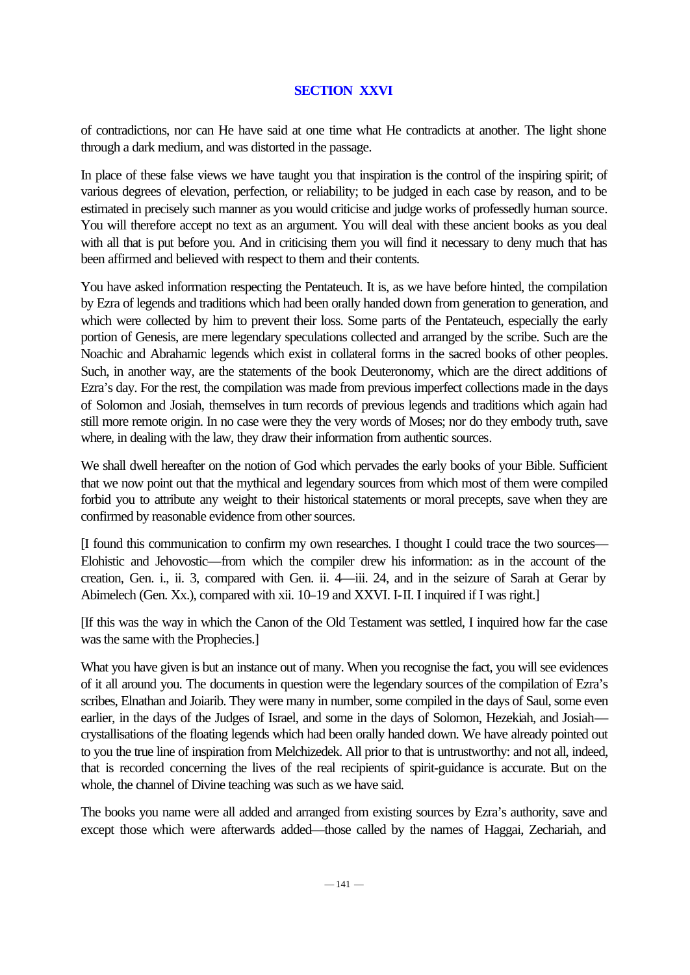of contradictions, nor can He have said at one time what He contradicts at another. The light shone through a dark medium, and was distorted in the passage.

In place of these false views we have taught you that inspiration is the control of the inspiring spirit; of various degrees of elevation, perfection, or reliability; to be judged in each case by reason, and to be estimated in precisely such manner as you would criticise and judge works of professedly human source. You will therefore accept no text as an argument. You will deal with these ancient books as you deal with all that is put before you. And in criticising them you will find it necessary to deny much that has been affirmed and believed with respect to them and their contents.

You have asked information respecting the Pentateuch. It is, as we have before hinted, the compilation by Ezra of legends and traditions which had been orally handed down from generation to generation, and which were collected by him to prevent their loss. Some parts of the Pentateuch, especially the early portion of Genesis, are mere legendary speculations collected and arranged by the scribe. Such are the Noachic and Abrahamic legends which exist in collateral forms in the sacred books of other peoples. Such, in another way, are the statements of the book Deuteronomy, which are the direct additions of Ezra's day. For the rest, the compilation was made from previous imperfect collections made in the days of Solomon and Josiah, themselves in turn records of previous legends and traditions which again had still more remote origin. In no case were they the very words of Moses; nor do they embody truth, save where, in dealing with the law, they draw their information from authentic sources.

We shall dwell hereafter on the notion of God which pervades the early books of your Bible. Sufficient that we now point out that the mythical and legendary sources from which most of them were compiled forbid you to attribute any weight to their historical statements or moral precepts, save when they are confirmed by reasonable evidence from other sources.

[I found this communication to confirm my own researches. I thought I could trace the two sources— Elohistic and Jehovostic—from which the compiler drew his information: as in the account of the creation, Gen. i., ii. 3, compared with Gen. ii. 4—iii. 24, and in the seizure of Sarah at Gerar by Abimelech (Gen. Xx.), compared with xii. 10–19 and XXVI. I-II. I inquired if I was right.]

[If this was the way in which the Canon of the Old Testament was settled, I inquired how far the case was the same with the Prophecies.]

What you have given is but an instance out of many. When you recognise the fact, you will see evidences of it all around you. The documents in question were the legendary sources of the compilation of Ezra's scribes, Elnathan and Joiarib. They were many in number, some compiled in the days of Saul, some even earlier, in the days of the Judges of Israel, and some in the days of Solomon, Hezekiah, and Josiah crystallisations of the floating legends which had been orally handed down. We have already pointed out to you the true line of inspiration from Melchizedek. All prior to that is untrustworthy: and not all, indeed, that is recorded concerning the lives of the real recipients of spirit-guidance is accurate. But on the whole, the channel of Divine teaching was such as we have said.

The books you name were all added and arranged from existing sources by Ezra's authority, save and except those which were afterwards added—those called by the names of Haggai, Zechariah, and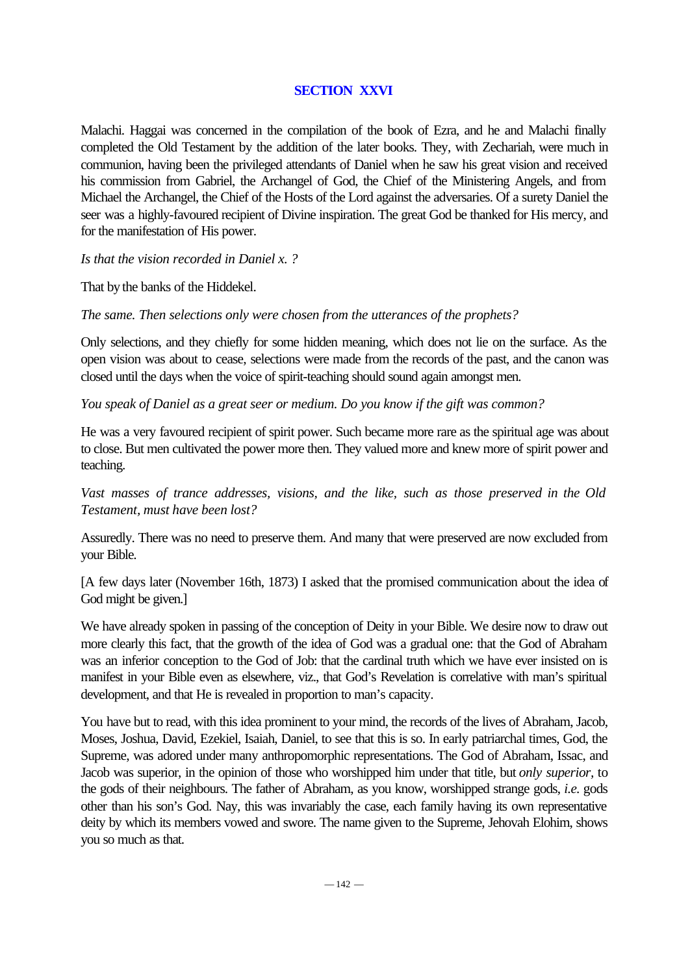Malachi. Haggai was concerned in the compilation of the book of Ezra, and he and Malachi finally completed the Old Testament by the addition of the later books. They, with Zechariah, were much in communion, having been the privileged attendants of Daniel when he saw his great vision and received his commission from Gabriel, the Archangel of God, the Chief of the Ministering Angels, and from Michael the Archangel, the Chief of the Hosts of the Lord against the adversaries. Of a surety Daniel the seer was a highly-favoured recipient of Divine inspiration. The great God be thanked for His mercy, and for the manifestation of His power.

*Is that the vision recorded in Daniel x. ?*

That by the banks of the Hiddekel.

*The same. Then selections only were chosen from the utterances of the prophets?*

Only selections, and they chiefly for some hidden meaning, which does not lie on the surface. As the open vision was about to cease, selections were made from the records of the past, and the canon was closed until the days when the voice of spirit-teaching should sound again amongst men.

*You speak of Daniel as a great seer or medium. Do you know if the gift was common?*

He was a very favoured recipient of spirit power. Such became more rare as the spiritual age was about to close. But men cultivated the power more then. They valued more and knew more of spirit power and teaching.

*Vast masses of trance addresses, visions, and the like, such as those preserved in the Old Testament, must have been lost?*

Assuredly. There was no need to preserve them. And many that were preserved are now excluded from your Bible.

[A few days later (November 16th, 1873) I asked that the promised communication about the idea of God might be given.]

We have already spoken in passing of the conception of Deity in your Bible. We desire now to draw out more clearly this fact, that the growth of the idea of God was a gradual one: that the God of Abraham was an inferior conception to the God of Job: that the cardinal truth which we have ever insisted on is manifest in your Bible even as elsewhere, viz., that God's Revelation is correlative with man's spiritual development, and that He is revealed in proportion to man's capacity.

You have but to read, with this idea prominent to your mind, the records of the lives of Abraham, Jacob, Moses, Joshua, David, Ezekiel, Isaiah, Daniel, to see that this is so. In early patriarchal times, God, the Supreme, was adored under many anthropomorphic representations. The God of Abraham, Issac, and Jacob was superior, in the opinion of those who worshipped him under that title, but *only superior,* to the gods of their neighbours. The father of Abraham, as you know, worshipped strange gods, *i.e.* gods other than his son's God. Nay, this was invariably the case, each family having its own representative deity by which its members vowed and swore. The name given to the Supreme, Jehovah Elohim, shows you so much as that.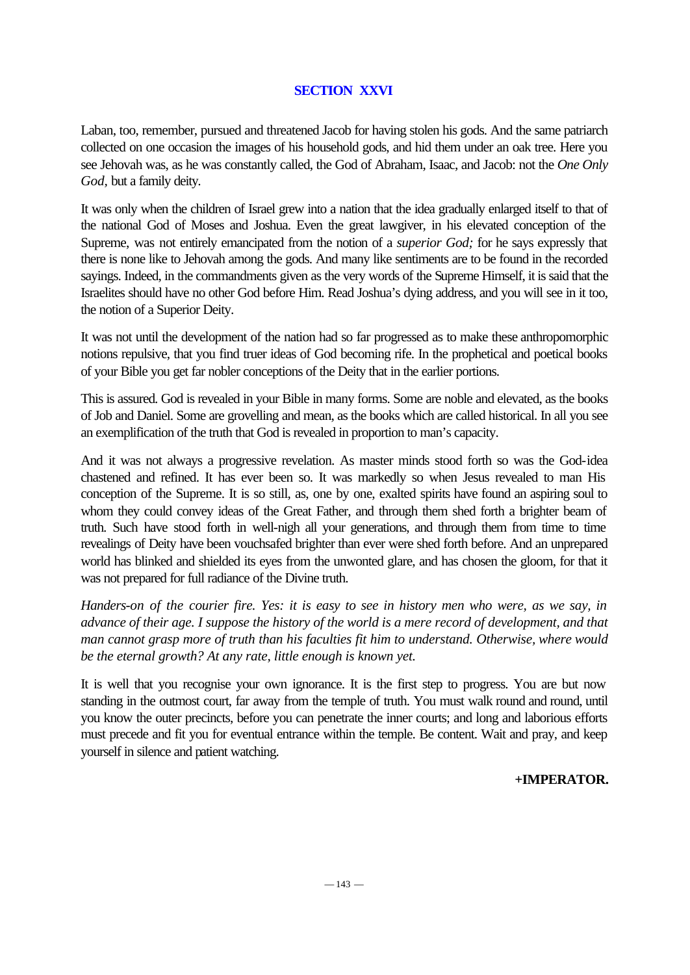Laban, too, remember, pursued and threatened Jacob for having stolen his gods. And the same patriarch collected on one occasion the images of his household gods, and hid them under an oak tree. Here you see Jehovah was, as he was constantly called, the God of Abraham, Isaac, and Jacob: not the *One Only God,* but a family deity.

It was only when the children of Israel grew into a nation that the idea gradually enlarged itself to that of the national God of Moses and Joshua. Even the great lawgiver, in his elevated conception of the Supreme, was not entirely emancipated from the notion of a *superior God;* for he says expressly that there is none like to Jehovah among the gods. And many like sentiments are to be found in the recorded sayings. Indeed, in the commandments given as the very words of the Supreme Himself, it is said that the Israelites should have no other God before Him. Read Joshua's dying address, and you will see in it too, the notion of a Superior Deity.

It was not until the development of the nation had so far progressed as to make these anthropomorphic notions repulsive, that you find truer ideas of God becoming rife. In the prophetical and poetical books of your Bible you get far nobler conceptions of the Deity that in the earlier portions.

This is assured. God is revealed in your Bible in many forms. Some are noble and elevated, as the books of Job and Daniel. Some are grovelling and mean, as the books which are called historical. In all you see an exemplification of the truth that God is revealed in proportion to man's capacity.

And it was not always a progressive revelation. As master minds stood forth so was the God-idea chastened and refined. It has ever been so. It was markedly so when Jesus revealed to man His conception of the Supreme. It is so still, as, one by one, exalted spirits have found an aspiring soul to whom they could convey ideas of the Great Father, and through them shed forth a brighter beam of truth. Such have stood forth in well-nigh all your generations, and through them from time to time revealings of Deity have been vouchsafed brighter than ever were shed forth before. And an unprepared world has blinked and shielded its eyes from the unwonted glare, and has chosen the gloom, for that it was not prepared for full radiance of the Divine truth.

*Handers-on of the courier fire. Yes: it is easy to see in history men who were, as we say, in advance of their age. I suppose the history of the world is a mere record of development, and that man cannot grasp more of truth than his faculties fit him to understand. Otherwise, where would be the eternal growth? At any rate, little enough is known yet.*

It is well that you recognise your own ignorance. It is the first step to progress. You are but now standing in the outmost court, far away from the temple of truth. You must walk round and round, until you know the outer precincts, before you can penetrate the inner courts; and long and laborious efforts must precede and fit you for eventual entrance within the temple. Be content. Wait and pray, and keep yourself in silence and patient watching.

### **+IMPERATOR.**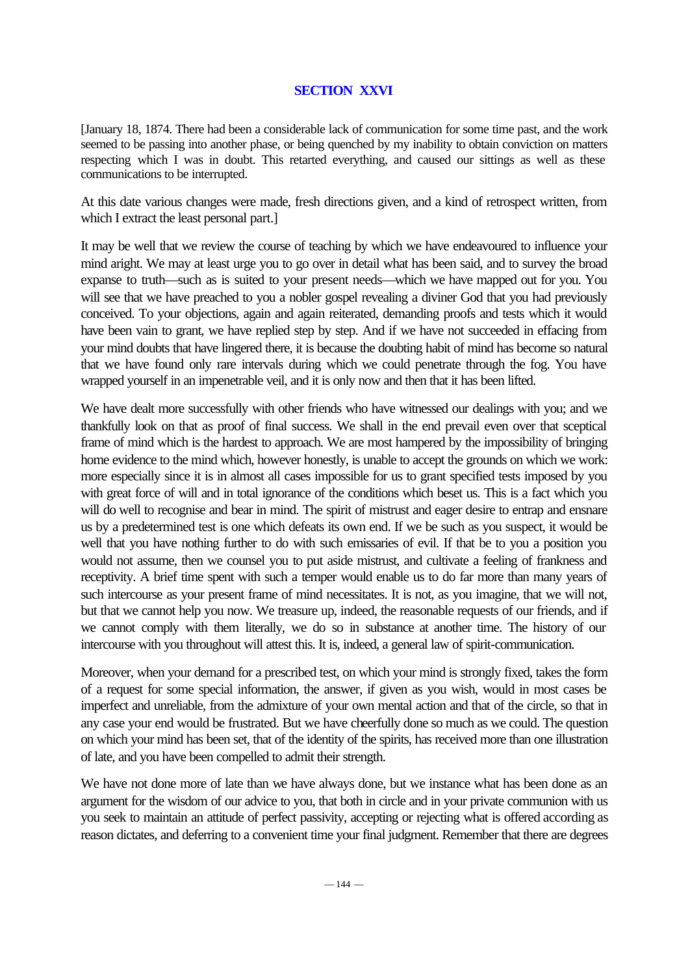[January 18, 1874. There had been a considerable lack of communication for some time past, and the work seemed to be passing into another phase, or being quenched by my inability to obtain conviction on matters respecting which I was in doubt. This retarted everything, and caused our sittings as well as these communications to be interrupted.

At this date various changes were made, fresh directions given, and a kind of retrospect written, from which I extract the least personal part.]

It may be well that we review the course of teaching by which we have endeavoured to influence your mind aright. We may at least urge you to go over in detail what has been said, and to survey the broad expanse to truth—such as is suited to your present needs—which we have mapped out for you. You will see that we have preached to you a nobler gospel revealing a diviner God that you had previously conceived. To your objections, again and again reiterated, demanding proofs and tests which it would have been vain to grant, we have replied step by step. And if we have not succeeded in effacing from your mind doubts that have lingered there, it is because the doubting habit of mind has become so natural that we have found only rare intervals during which we could penetrate through the fog. You have wrapped yourself in an impenetrable veil, and it is only now and then that it has been lifted.

We have dealt more successfully with other friends who have witnessed our dealings with you; and we thankfully look on that as proof of final success. We shall in the end prevail even over that sceptical frame of mind which is the hardest to approach. We are most hampered by the impossibility of bringing home evidence to the mind which, however honestly, is unable to accept the grounds on which we work: more especially since it is in almost all cases impossible for us to grant specified tests imposed by you with great force of will and in total ignorance of the conditions which beset us. This is a fact which you will do well to recognise and bear in mind. The spirit of mistrust and eager desire to entrap and ensnare us by a predetermined test is one which defeats its own end. If we be such as you suspect, it would be well that you have nothing further to do with such emissaries of evil. If that be to you a position you would not assume, then we counsel you to put aside mistrust, and cultivate a feeling of frankness and receptivity. A brief time spent with such a temper would enable us to do far more than many years of such intercourse as your present frame of mind necessitates. It is not, as you imagine, that we will not, but that we cannot help you now. We treasure up, indeed, the reasonable requests of our friends, and if we cannot comply with them literally, we do so in substance at another time. The history of our intercourse with you throughout will attest this. It is, indeed, a general law of spirit-communication.

Moreover, when your demand for a prescribed test, on which your mind is strongly fixed, takes the form of a request for some special information, the answer, if given as you wish, would in most cases be imperfect and unreliable, from the admixture of your own mental action and that of the circle, so that in any case your end would be frustrated. But we have cheerfully done so much as we could. The question on which your mind has been set, that of the identity of the spirits, has received more than one illustration of late, and you have been compelled to admit their strength.

We have not done more of late than we have always done, but we instance what has been done as an argument for the wisdom of our advice to you, that both in circle and in your private communion with us you seek to maintain an attitude of perfect passivity, accepting or rejecting what is offered according as reason dictates, and deferring to a convenient time your final judgment. Remember that there are degrees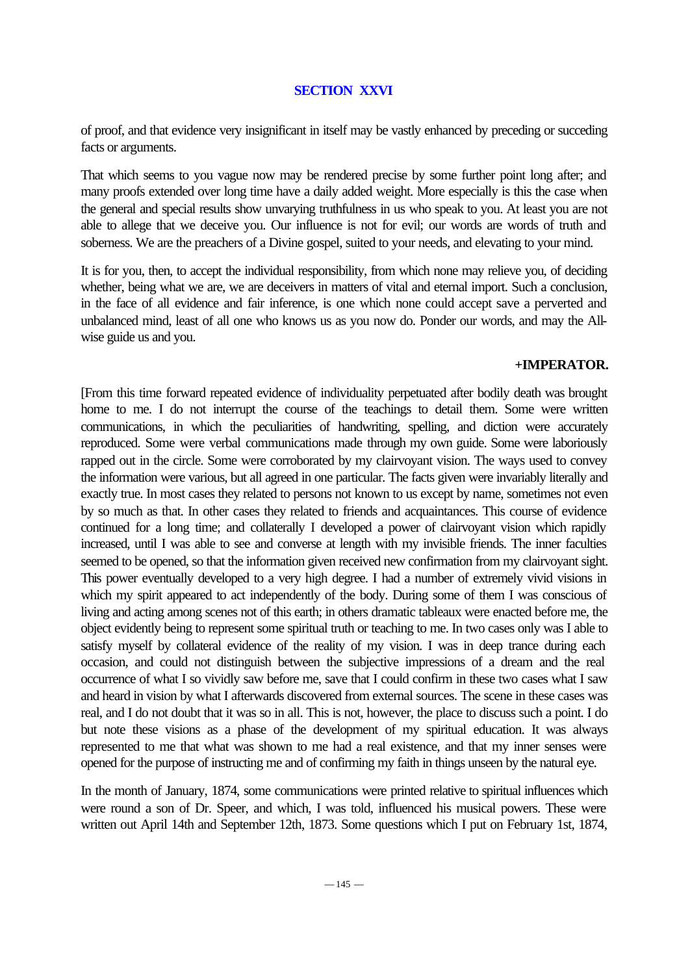of proof, and that evidence very insignificant in itself may be vastly enhanced by preceding or succeding facts or arguments.

That which seems to you vague now may be rendered precise by some further point long after; and many proofs extended over long time have a daily added weight. More especially is this the case when the general and special results show unvarying truthfulness in us who speak to you. At least you are not able to allege that we deceive you. Our influence is not for evil; our words are words of truth and soberness. We are the preachers of a Divine gospel, suited to your needs, and elevating to your mind.

It is for you, then, to accept the individual responsibility, from which none may relieve you, of deciding whether, being what we are, we are deceivers in matters of vital and eternal import. Such a conclusion, in the face of all evidence and fair inference, is one which none could accept save a perverted and unbalanced mind, least of all one who knows us as you now do. Ponder our words, and may the Allwise guide us and you.

#### **+IMPERATOR.**

[From this time forward repeated evidence of individuality perpetuated after bodily death was brought home to me. I do not interrupt the course of the teachings to detail them. Some were written communications, in which the peculiarities of handwriting, spelling, and diction were accurately reproduced. Some were verbal communications made through my own guide. Some were laboriously rapped out in the circle. Some were corroborated by my clairvoyant vision. The ways used to convey the information were various, but all agreed in one particular. The facts given were invariably literally and exactly true. In most cases they related to persons not known to us except by name, sometimes not even by so much as that. In other cases they related to friends and acquaintances. This course of evidence continued for a long time; and collaterally I developed a power of clairvoyant vision which rapidly increased, until I was able to see and converse at length with my invisible friends. The inner faculties seemed to be opened, so that the information given received new confirmation from my clairvoyant sight. This power eventually developed to a very high degree. I had a number of extremely vivid visions in which my spirit appeared to act independently of the body. During some of them I was conscious of living and acting among scenes not of this earth; in others dramatic tableaux were enacted before me, the object evidently being to represent some spiritual truth or teaching to me. In two cases only was I able to satisfy myself by collateral evidence of the reality of my vision. I was in deep trance during each occasion, and could not distinguish between the subjective impressions of a dream and the real occurrence of what I so vividly saw before me, save that I could confirm in these two cases what I saw and heard in vision by what I afterwards discovered from external sources. The scene in these cases was real, and I do not doubt that it was so in all. This is not, however, the place to discuss such a point. I do but note these visions as a phase of the development of my spiritual education. It was always represented to me that what was shown to me had a real existence, and that my inner senses were opened for the purpose of instructing me and of confirming my faith in things unseen by the natural eye.

In the month of January, 1874, some communications were printed relative to spiritual influences which were round a son of Dr. Speer, and which, I was told, influenced his musical powers. These were written out April 14th and September 12th, 1873. Some questions which I put on February 1st, 1874,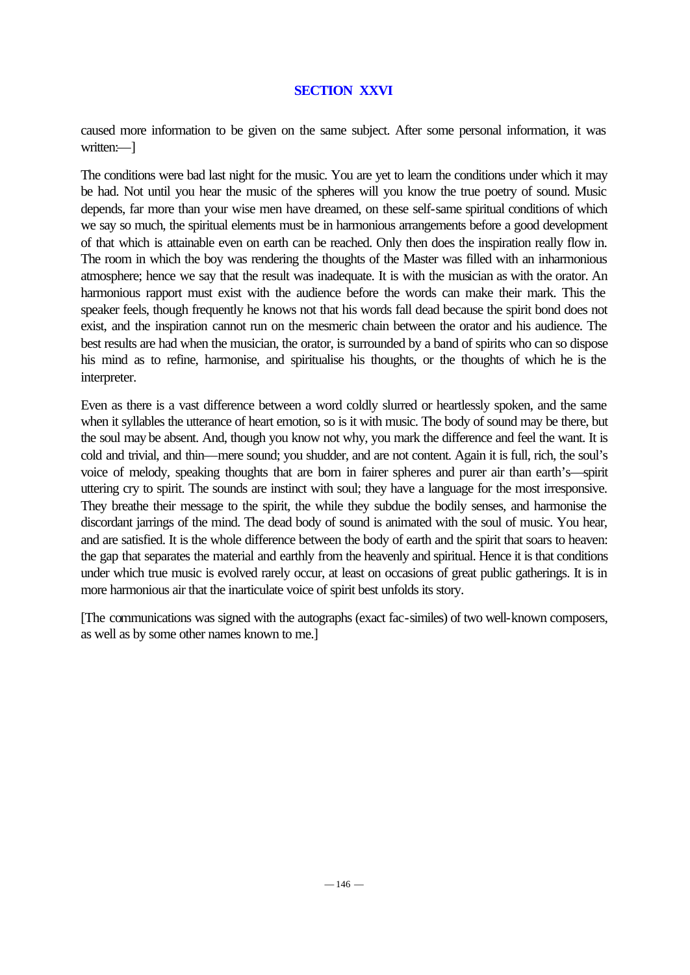caused more information to be given on the same subject. After some personal information, it was written:—]

The conditions were bad last night for the music. You are yet to learn the conditions under which it may be had. Not until you hear the music of the spheres will you know the true poetry of sound. Music depends, far more than your wise men have dreamed, on these self-same spiritual conditions of which we say so much, the spiritual elements must be in harmonious arrangements before a good development of that which is attainable even on earth can be reached. Only then does the inspiration really flow in. The room in which the boy was rendering the thoughts of the Master was filled with an inharmonious atmosphere; hence we say that the result was inadequate. It is with the musician as with the orator. An harmonious rapport must exist with the audience before the words can make their mark. This the speaker feels, though frequently he knows not that his words fall dead because the spirit bond does not exist, and the inspiration cannot run on the mesmeric chain between the orator and his audience. The best results are had when the musician, the orator, is surrounded by a band of spirits who can so dispose his mind as to refine, harmonise, and spiritualise his thoughts, or the thoughts of which he is the interpreter.

Even as there is a vast difference between a word coldly slurred or heartlessly spoken, and the same when it syllables the utterance of heart emotion, so is it with music. The body of sound may be there, but the soul may be absent. And, though you know not why, you mark the difference and feel the want. It is cold and trivial, and thin—mere sound; you shudder, and are not content. Again it is full, rich, the soul's voice of melody, speaking thoughts that are born in fairer spheres and purer air than earth's—spirit uttering cry to spirit. The sounds are instinct with soul; they have a language for the most irresponsive. They breathe their message to the spirit, the while they subdue the bodily senses, and harmonise the discordant jarrings of the mind. The dead body of sound is animated with the soul of music. You hear, and are satisfied. It is the whole difference between the body of earth and the spirit that soars to heaven: the gap that separates the material and earthly from the heavenly and spiritual. Hence it is that conditions under which true music is evolved rarely occur, at least on occasions of great public gatherings. It is in more harmonious air that the inarticulate voice of spirit best unfolds its story.

[The communications was signed with the autographs (exact fac-similes) of two well-known composers, as well as by some other names known to me.]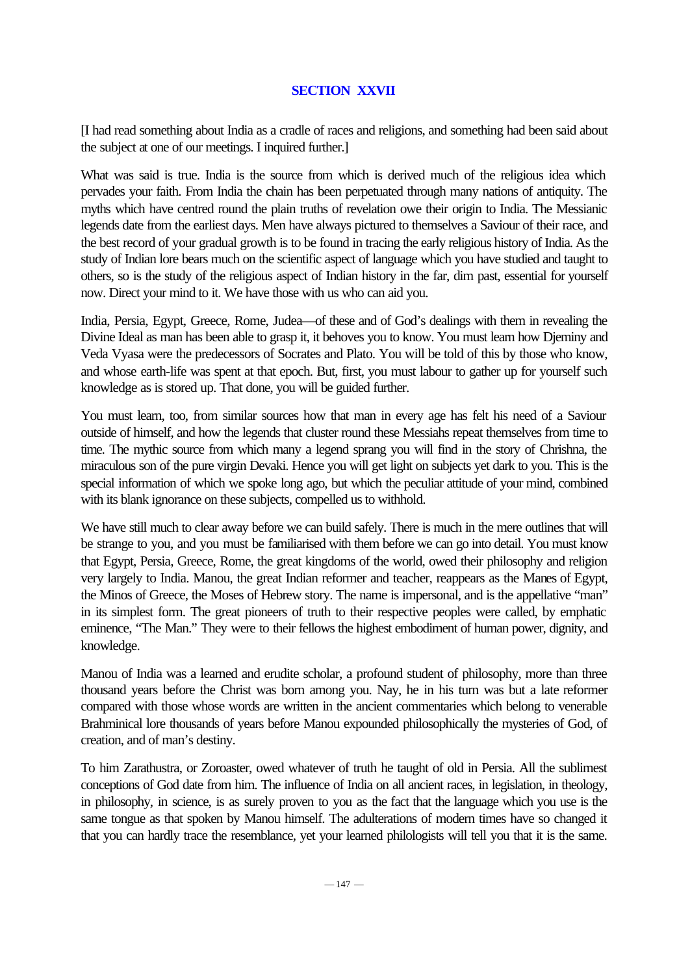[I had read something about India as a cradle of races and religions, and something had been said about the subject at one of our meetings. I inquired further.]

What was said is true. India is the source from which is derived much of the religious idea which pervades your faith. From India the chain has been perpetuated through many nations of antiquity. The myths which have centred round the plain truths of revelation owe their origin to India. The Messianic legends date from the earliest days. Men have always pictured to themselves a Saviour of their race, and the best record of your gradual growth is to be found in tracing the early religious history of India. As the study of Indian lore bears much on the scientific aspect of language which you have studied and taught to others, so is the study of the religious aspect of Indian history in the far, dim past, essential for yourself now. Direct your mind to it. We have those with us who can aid you.

India, Persia, Egypt, Greece, Rome, Judea—of these and of God's dealings with them in revealing the Divine Ideal as man has been able to grasp it, it behoves you to know. You must learn how Djeminy and Veda Vyasa were the predecessors of Socrates and Plato. You will be told of this by those who know, and whose earth-life was spent at that epoch. But, first, you must labour to gather up for yourself such knowledge as is stored up. That done, you will be guided further.

You must learn, too, from similar sources how that man in every age has felt his need of a Saviour outside of himself, and how the legends that cluster round these Messiahs repeat themselves from time to time. The mythic source from which many a legend sprang you will find in the story of Chrishna, the miraculous son of the pure virgin Devaki. Hence you will get light on subjects yet dark to you. This is the special information of which we spoke long ago, but which the peculiar attitude of your mind, combined with its blank ignorance on these subjects, compelled us to withhold.

We have still much to clear away before we can build safely. There is much in the mere outlines that will be strange to you, and you must be familiarised with them before we can go into detail. You must know that Egypt, Persia, Greece, Rome, the great kingdoms of the world, owed their philosophy and religion very largely to India. Manou, the great Indian reformer and teacher, reappears as the Manes of Egypt, the Minos of Greece, the Moses of Hebrew story. The name is impersonal, and is the appellative "man" in its simplest form. The great pioneers of truth to their respective peoples were called, by emphatic eminence, "The Man." They were to their fellows the highest embodiment of human power, dignity, and knowledge.

Manou of India was a learned and erudite scholar, a profound student of philosophy, more than three thousand years before the Christ was born among you. Nay, he in his turn was but a late reformer compared with those whose words are written in the ancient commentaries which belong to venerable Brahminical lore thousands of years before Manou expounded philosophically the mysteries of God, of creation, and of man's destiny.

To him Zarathustra, or Zoroaster, owed whatever of truth he taught of old in Persia. All the sublimest conceptions of God date from him. The influence of India on all ancient races, in legislation, in theology, in philosophy, in science, is as surely proven to you as the fact that the language which you use is the same tongue as that spoken by Manou himself. The adulterations of modern times have so changed it that you can hardly trace the resemblance, yet your learned philologists will tell you that it is the same.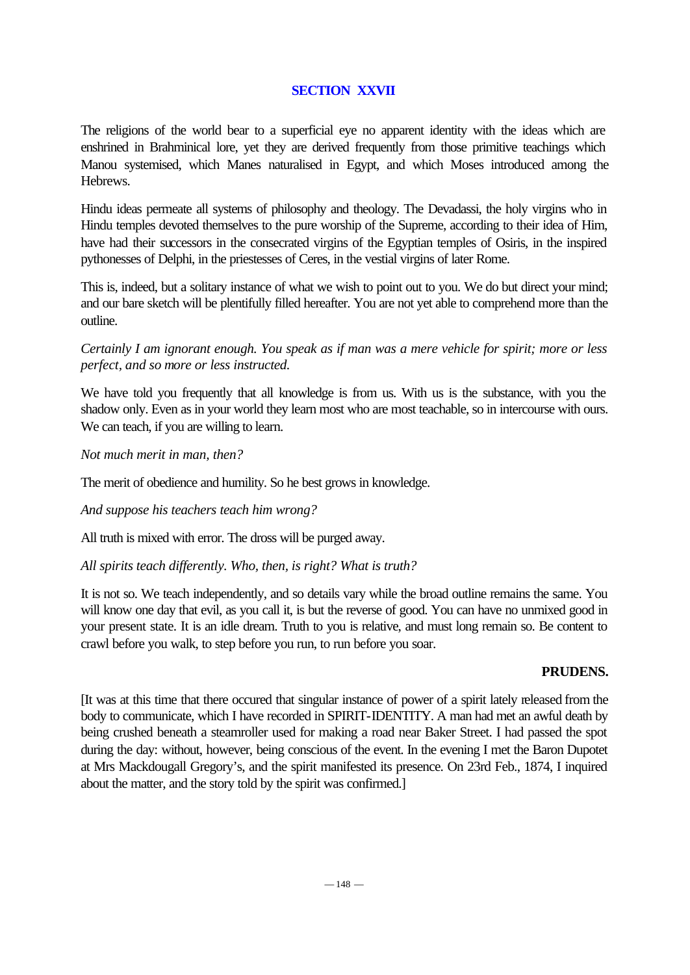The religions of the world bear to a superficial eye no apparent identity with the ideas which are enshrined in Brahminical lore, yet they are derived frequently from those primitive teachings which Manou systemised, which Manes naturalised in Egypt, and which Moses introduced among the Hebrews.

Hindu ideas permeate all systems of philosophy and theology. The Devadassi, the holy virgins who in Hindu temples devoted themselves to the pure worship of the Supreme, according to their idea of Him, have had their successors in the consecrated virgins of the Egyptian temples of Osiris, in the inspired pythonesses of Delphi, in the priestesses of Ceres, in the vestial virgins of later Rome.

This is, indeed, but a solitary instance of what we wish to point out to you. We do but direct your mind; and our bare sketch will be plentifully filled hereafter. You are not yet able to comprehend more than the outline.

*Certainly I am ignorant enough. You speak as if man was a mere vehicle for spirit; more or less perfect, and so more or less instructed.*

We have told you frequently that all knowledge is from us. With us is the substance, with you the shadow only. Even as in your world they learn most who are most teachable, so in intercourse with ours. We can teach, if you are willing to learn.

#### *Not much merit in man, then?*

The merit of obedience and humility. So he best grows in knowledge.

*And suppose his teachers teach him wrong?*

All truth is mixed with error. The dross will be purged away.

*All spirits teach differently. Who, then, is right? What is truth?*

It is not so. We teach independently, and so details vary while the broad outline remains the same. You will know one day that evil, as you call it, is but the reverse of good. You can have no unmixed good in your present state. It is an idle dream. Truth to you is relative, and must long remain so. Be content to crawl before you walk, to step before you run, to run before you soar.

#### **PRUDENS.**

[It was at this time that there occured that singular instance of power of a spirit lately released from the body to communicate, which I have recorded in SPIRIT-IDENTITY. A man had met an awful death by being crushed beneath a steamroller used for making a road near Baker Street. I had passed the spot during the day: without, however, being conscious of the event. In the evening I met the Baron Dupotet at Mrs Mackdougall Gregory's, and the spirit manifested its presence. On 23rd Feb., 1874, I inquired about the matter, and the story told by the spirit was confirmed.]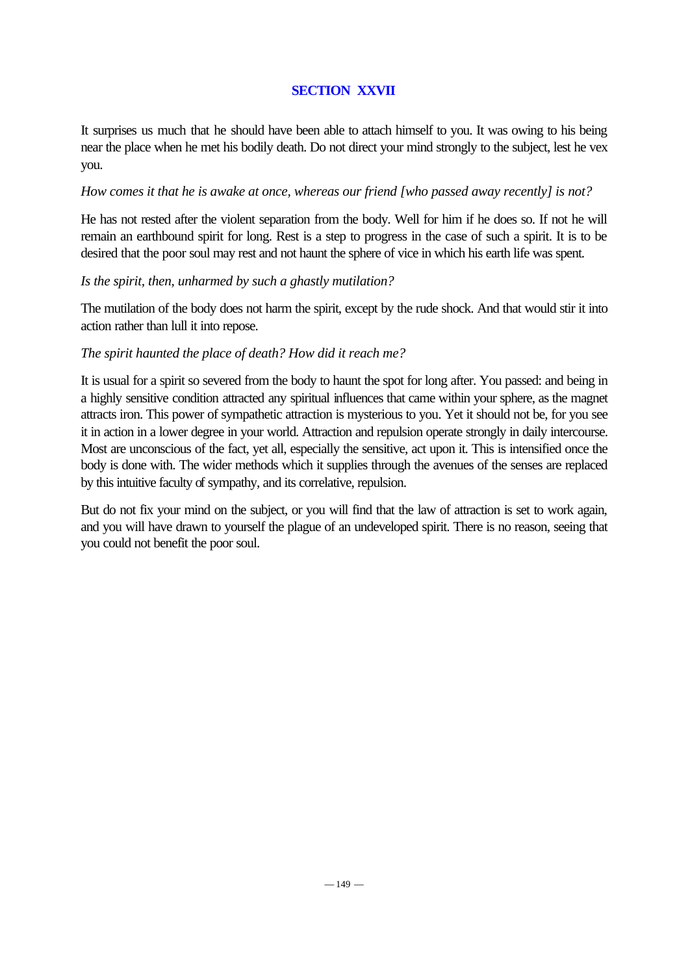It surprises us much that he should have been able to attach himself to you. It was owing to his being near the place when he met his bodily death. Do not direct your mind strongly to the subject, lest he vex you.

#### *How comes it that he is awake at once, whereas our friend [who passed away recently] is not?*

He has not rested after the violent separation from the body. Well for him if he does so. If not he will remain an earthbound spirit for long. Rest is a step to progress in the case of such a spirit. It is to be desired that the poor soul may rest and not haunt the sphere of vice in which his earth life was spent.

### *Is the spirit, then, unharmed by such a ghastly mutilation?*

The mutilation of the body does not harm the spirit, except by the rude shock. And that would stir it into action rather than lull it into repose.

### *The spirit haunted the place of death? How did it reach me?*

It is usual for a spirit so severed from the body to haunt the spot for long after. You passed: and being in a highly sensitive condition attracted any spiritual influences that came within your sphere, as the magnet attracts iron. This power of sympathetic attraction is mysterious to you. Yet it should not be, for you see it in action in a lower degree in your world. Attraction and repulsion operate strongly in daily intercourse. Most are unconscious of the fact, yet all, especially the sensitive, act upon it. This is intensified once the body is done with. The wider methods which it supplies through the avenues of the senses are replaced by this intuitive faculty of sympathy, and its correlative, repulsion.

But do not fix your mind on the subject, or you will find that the law of attraction is set to work again, and you will have drawn to yourself the plague of an undeveloped spirit. There is no reason, seeing that you could not benefit the poor soul.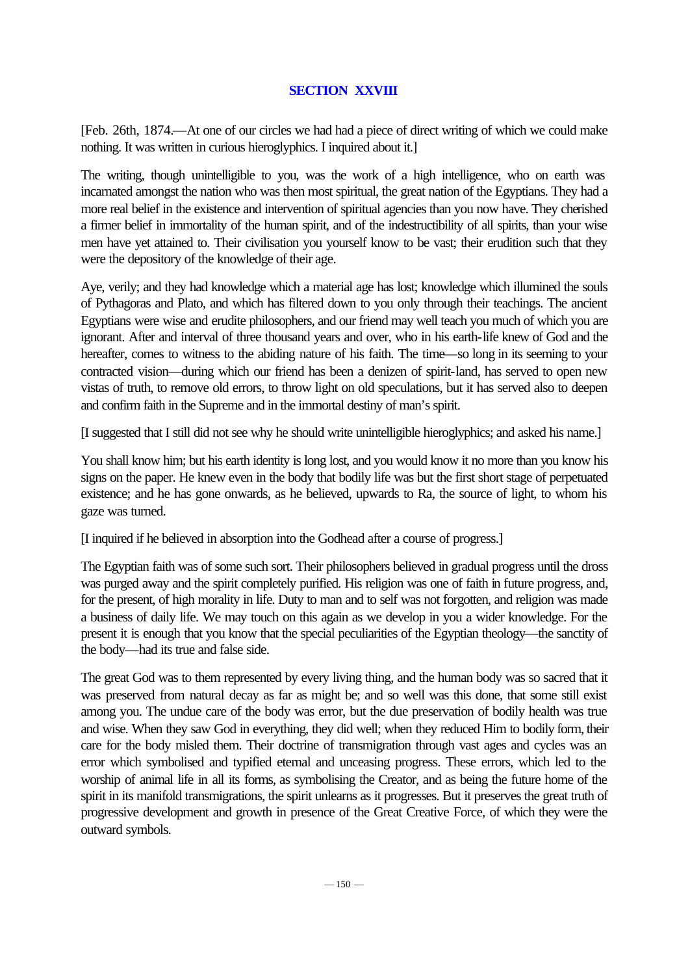[Feb. 26th, 1874.—At one of our circles we had had a piece of direct writing of which we could make nothing. It was written in curious hieroglyphics. I inquired about it.]

The writing, though unintelligible to you, was the work of a high intelligence, who on earth was incarnated amongst the nation who was then most spiritual, the great nation of the Egyptians. They had a more real belief in the existence and intervention of spiritual agencies than you now have. They cherished a firmer belief in immortality of the human spirit, and of the indestructibility of all spirits, than your wise men have yet attained to. Their civilisation you yourself know to be vast; their erudition such that they were the depository of the knowledge of their age.

Aye, verily; and they had knowledge which a material age has lost; knowledge which illumined the souls of Pythagoras and Plato, and which has filtered down to you only through their teachings. The ancient Egyptians were wise and erudite philosophers, and our friend may well teach you much of which you are ignorant. After and interval of three thousand years and over, who in his earth-life knew of God and the hereafter, comes to witness to the abiding nature of his faith. The time—so long in its seeming to your contracted vision—during which our friend has been a denizen of spirit-land, has served to open new vistas of truth, to remove old errors, to throw light on old speculations, but it has served also to deepen and confirm faith in the Supreme and in the immortal destiny of man's spirit.

[I suggested that I still did not see why he should write unintelligible hieroglyphics; and asked his name.]

You shall know him; but his earth identity is long lost, and you would know it no more than you know his signs on the paper. He knew even in the body that bodily life was but the first short stage of perpetuated existence; and he has gone onwards, as he believed, upwards to Ra, the source of light, to whom his gaze was turned.

[I inquired if he believed in absorption into the Godhead after a course of progress.]

The Egyptian faith was of some such sort. Their philosophers believed in gradual progress until the dross was purged away and the spirit completely purified. His religion was one of faith in future progress, and, for the present, of high morality in life. Duty to man and to self was not forgotten, and religion was made a business of daily life. We may touch on this again as we develop in you a wider knowledge. For the present it is enough that you know that the special peculiarities of the Egyptian theology—the sanctity of the body—had its true and false side.

The great God was to them represented by every living thing, and the human body was so sacred that it was preserved from natural decay as far as might be; and so well was this done, that some still exist among you. The undue care of the body was error, but the due preservation of bodily health was true and wise. When they saw God in everything, they did well; when they reduced Him to bodily form, their care for the body misled them. Their doctrine of transmigration through vast ages and cycles was an error which symbolised and typified eternal and unceasing progress. These errors, which led to the worship of animal life in all its forms, as symbolising the Creator, and as being the future home of the spirit in its manifold transmigrations, the spirit unlearns as it progresses. But it preserves the great truth of progressive development and growth in presence of the Great Creative Force, of which they were the outward symbols.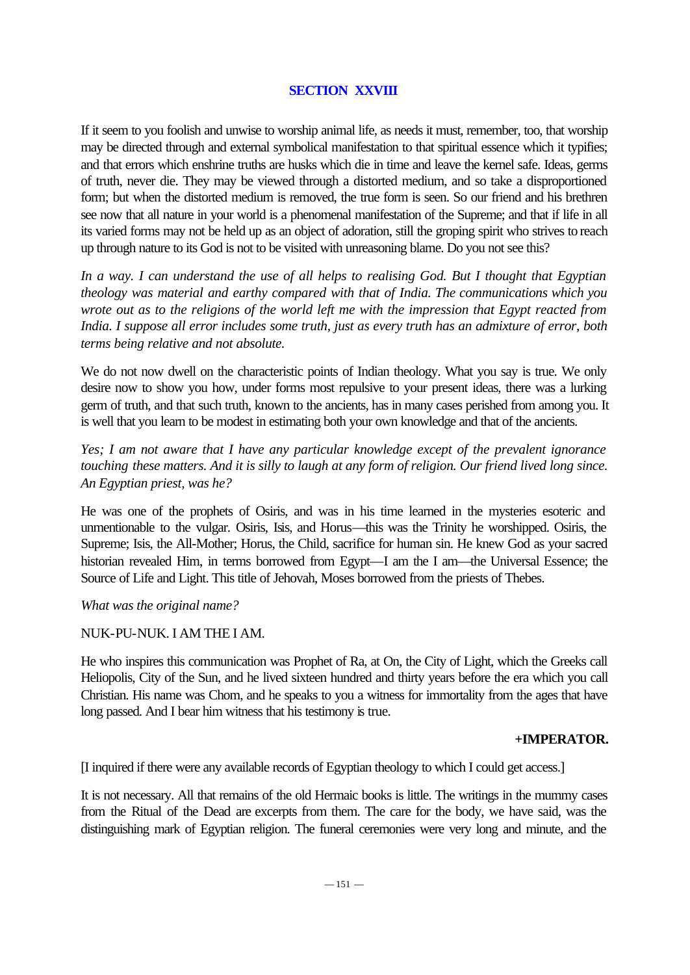If it seem to you foolish and unwise to worship animal life, as needs it must, remember, too, that worship may be directed through and external symbolical manifestation to that spiritual essence which it typifies; and that errors which enshrine truths are husks which die in time and leave the kernel safe. Ideas, germs of truth, never die. They may be viewed through a distorted medium, and so take a disproportioned form; but when the distorted medium is removed, the true form is seen. So our friend and his brethren see now that all nature in your world is a phenomenal manifestation of the Supreme; and that if life in all its varied forms may not be held up as an object of adoration, still the groping spirit who strives to reach up through nature to its God is not to be visited with unreasoning blame. Do you not see this?

*In a way. I can understand the use of all helps to realising God. But I thought that Egyptian theology was material and earthy compared with that of India. The communications which you wrote out as to the religions of the world left me with the impression that Egypt reacted from India. I suppose all error includes some truth, just as every truth has an admixture of error, both terms being relative and not absolute.*

We do not now dwell on the characteristic points of Indian theology. What you say is true. We only desire now to show you how, under forms most repulsive to your present ideas, there was a lurking germ of truth, and that such truth, known to the ancients, has in many cases perished from among you. It is well that you learn to be modest in estimating both your own knowledge and that of the ancients.

# *Yes; I am not aware that I have any particular knowledge except of the prevalent ignorance touching these matters. And it is silly to laugh at any form of religion. Our friend lived long since. An Egyptian priest, was he?*

He was one of the prophets of Osiris, and was in his time learned in the mysteries esoteric and unmentionable to the vulgar. Osiris, Isis, and Horus—this was the Trinity he worshipped. Osiris, the Supreme; Isis, the All-Mother; Horus, the Child, sacrifice for human sin. He knew God as your sacred historian revealed Him, in terms borrowed from Egypt—I am the I am—the Universal Essence; the Source of Life and Light. This title of Jehovah, Moses borrowed from the priests of Thebes.

*What was the original name?*

#### NUK-PU-NUK. I AM THE I AM.

He who inspires this communication was Prophet of Ra, at On, the City of Light, which the Greeks call Heliopolis, City of the Sun, and he lived sixteen hundred and thirty years before the era which you call Christian. His name was Chom, and he speaks to you a witness for immortality from the ages that have long passed. And I bear him witness that his testimony is true.

#### **+IMPERATOR.**

[I inquired if there were any available records of Egyptian theology to which I could get access.]

It is not necessary. All that remains of the old Hermaic books is little. The writings in the mummy cases from the Ritual of the Dead are excerpts from them. The care for the body, we have said, was the distinguishing mark of Egyptian religion. The funeral ceremonies were very long and minute, and the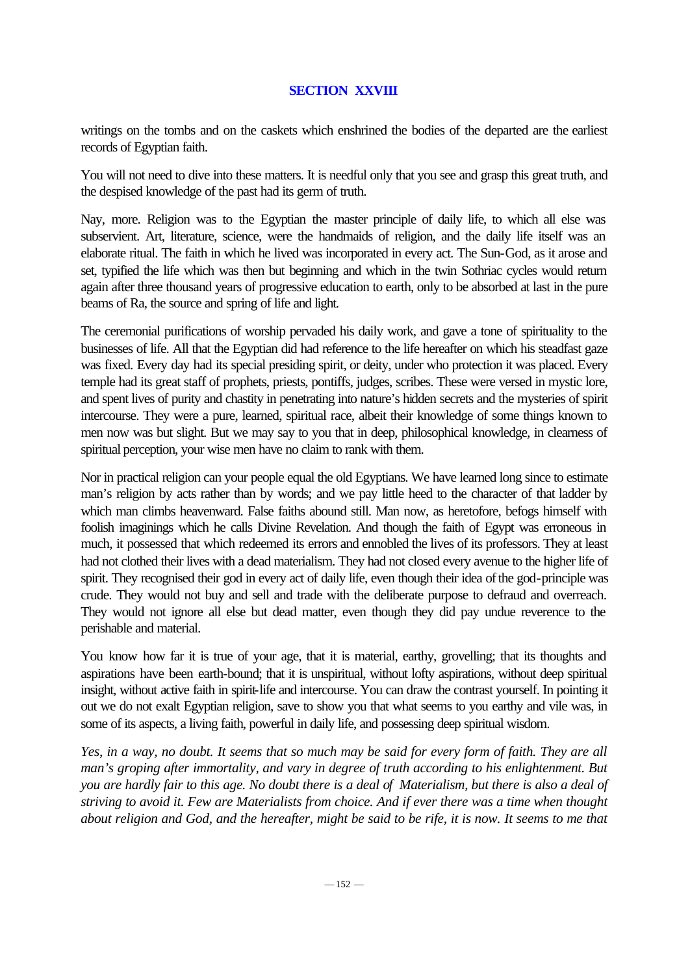writings on the tombs and on the caskets which enshrined the bodies of the departed are the earliest records of Egyptian faith.

You will not need to dive into these matters. It is needful only that you see and grasp this great truth, and the despised knowledge of the past had its germ of truth.

Nay, more. Religion was to the Egyptian the master principle of daily life, to which all else was subservient. Art, literature, science, were the handmaids of religion, and the daily life itself was an elaborate ritual. The faith in which he lived was incorporated in every act. The Sun-God, as it arose and set, typified the life which was then but beginning and which in the twin Sothriac cycles would return again after three thousand years of progressive education to earth, only to be absorbed at last in the pure beams of Ra, the source and spring of life and light.

The ceremonial purifications of worship pervaded his daily work, and gave a tone of spirituality to the businesses of life. All that the Egyptian did had reference to the life hereafter on which his steadfast gaze was fixed. Every day had its special presiding spirit, or deity, under who protection it was placed. Every temple had its great staff of prophets, priests, pontiffs, judges, scribes. These were versed in mystic lore, and spent lives of purity and chastity in penetrating into nature's hidden secrets and the mysteries of spirit intercourse. They were a pure, learned, spiritual race, albeit their knowledge of some things known to men now was but slight. But we may say to you that in deep, philosophical knowledge, in clearness of spiritual perception, your wise men have no claim to rank with them.

Nor in practical religion can your people equal the old Egyptians. We have learned long since to estimate man's religion by acts rather than by words; and we pay little heed to the character of that ladder by which man climbs heavenward. False faiths abound still. Man now, as heretofore, befogs himself with foolish imaginings which he calls Divine Revelation. And though the faith of Egypt was erroneous in much, it possessed that which redeemed its errors and ennobled the lives of its professors. They at least had not clothed their lives with a dead materialism. They had not closed every avenue to the higher life of spirit. They recognised their god in every act of daily life, even though their idea of the god-principle was crude. They would not buy and sell and trade with the deliberate purpose to defraud and overreach. They would not ignore all else but dead matter, even though they did pay undue reverence to the perishable and material.

You know how far it is true of your age, that it is material, earthy, grovelling; that its thoughts and aspirations have been earth-bound; that it is unspiritual, without lofty aspirations, without deep spiritual insight, without active faith in spirit-life and intercourse. You can draw the contrast yourself. In pointing it out we do not exalt Egyptian religion, save to show you that what seems to you earthy and vile was, in some of its aspects, a living faith, powerful in daily life, and possessing deep spiritual wisdom.

*Yes, in a way, no doubt. It seems that so much may be said for every form of faith. They are all man's groping after immortality, and vary in degree of truth according to his enlightenment. But you are hardly fair to this age. No doubt there is a deal of Materialism, but there is also a deal of striving to avoid it. Few are Materialists from choice. And if ever there was a time when thought about religion and God, and the hereafter, might be said to be rife, it is now. It seems to me that*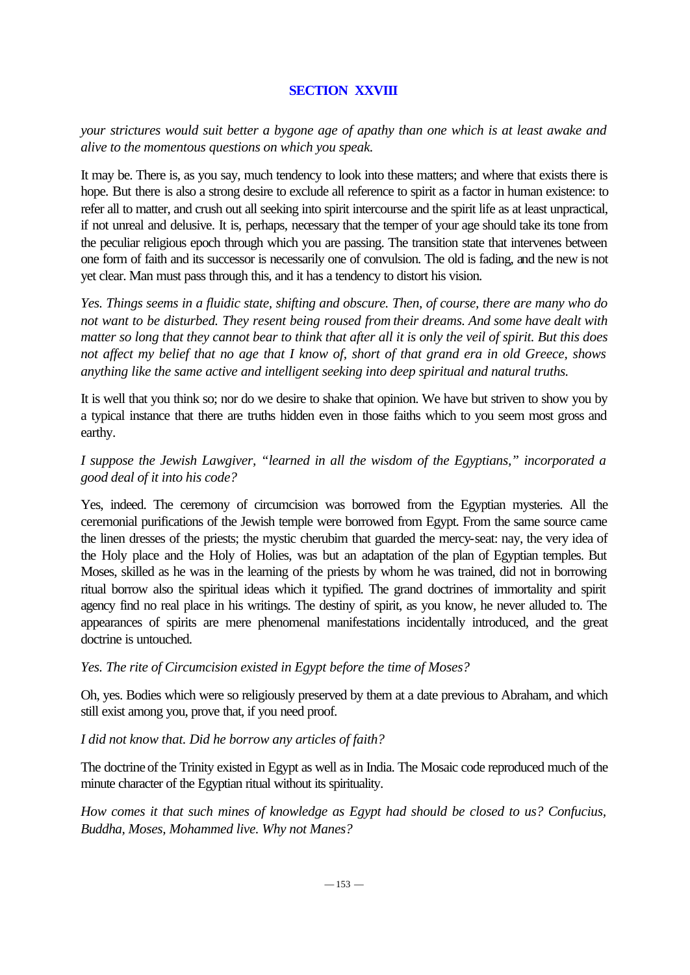*your strictures would suit better a bygone age of apathy than one which is at least awake and alive to the momentous questions on which you speak.*

It may be. There is, as you say, much tendency to look into these matters; and where that exists there is hope. But there is also a strong desire to exclude all reference to spirit as a factor in human existence: to refer all to matter, and crush out all seeking into spirit intercourse and the spirit life as at least unpractical, if not unreal and delusive. It is, perhaps, necessary that the temper of your age should take its tone from the peculiar religious epoch through which you are passing. The transition state that intervenes between one form of faith and its successor is necessarily one of convulsion. The old is fading, and the new is not yet clear. Man must pass through this, and it has a tendency to distort his vision.

*Yes. Things seems in a fluidic state, shifting and obscure. Then, of course, there are many who do not want to be disturbed. They resent being roused from their dreams. And some have dealt with matter so long that they cannot bear to think that after all it is only the veil of spirit. But this does not affect my belief that no age that I know of, short of that grand era in old Greece, shows anything like the same active and intelligent seeking into deep spiritual and natural truths.*

It is well that you think so; nor do we desire to shake that opinion. We have but striven to show you by a typical instance that there are truths hidden even in those faiths which to you seem most gross and earthy.

# *I suppose the Jewish Lawgiver, "learned in all the wisdom of the Egyptians," incorporated a good deal of it into his code?*

Yes, indeed. The ceremony of circumcision was borrowed from the Egyptian mysteries. All the ceremonial purifications of the Jewish temple were borrowed from Egypt. From the same source came the linen dresses of the priests; the mystic cherubim that guarded the mercy-seat: nay, the very idea of the Holy place and the Holy of Holies, was but an adaptation of the plan of Egyptian temples. But Moses, skilled as he was in the learning of the priests by whom he was trained, did not in borrowing ritual borrow also the spiritual ideas which it typified. The grand doctrines of immortality and spirit agency find no real place in his writings. The destiny of spirit, as you know, he never alluded to. The appearances of spirits are mere phenomenal manifestations incidentally introduced, and the great doctrine is untouched.

*Yes. The rite of Circumcision existed in Egypt before the time of Moses?*

Oh, yes. Bodies which were so religiously preserved by them at a date previous to Abraham, and which still exist among you, prove that, if you need proof.

*I did not know that. Did he borrow any articles of faith?*

The doctrine of the Trinity existed in Egypt as well as in India. The Mosaic code reproduced much of the minute character of the Egyptian ritual without its spirituality.

*How comes it that such mines of knowledge as Egypt had should be closed to us? Confucius, Buddha, Moses, Mohammed live. Why not Manes?*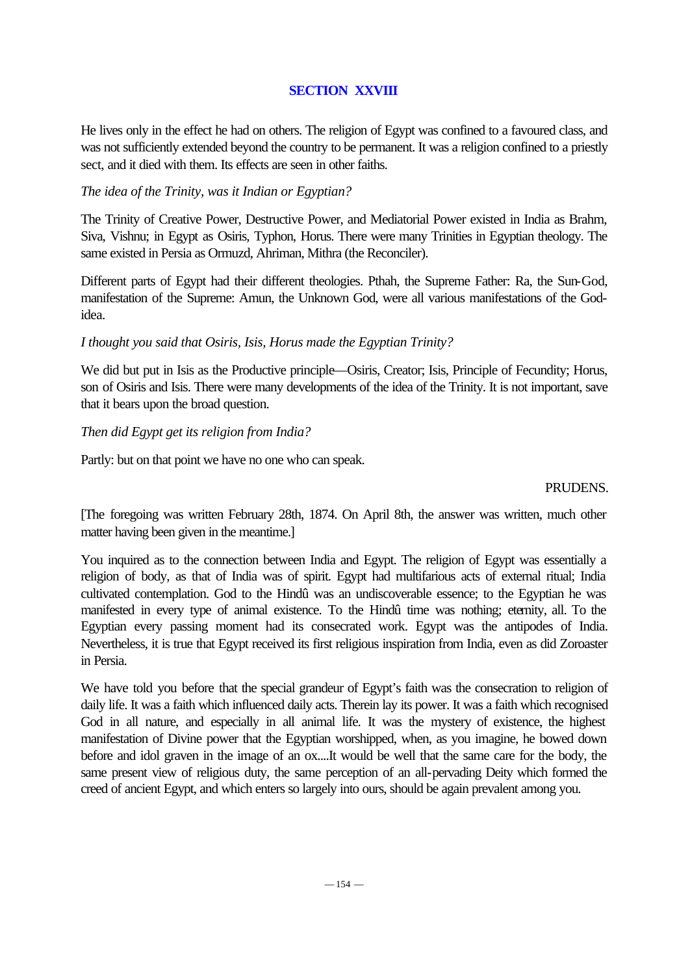He lives only in the effect he had on others. The religion of Egypt was confined to a favoured class, and was not sufficiently extended beyond the country to be permanent. It was a religion confined to a priestly sect, and it died with them. Its effects are seen in other faiths.

### *The idea of the Trinity, was it Indian or Egyptian?*

The Trinity of Creative Power, Destructive Power, and Mediatorial Power existed in India as Brahm, Siva, Vishnu; in Egypt as Osiris, Typhon, Horus. There were many Trinities in Egyptian theology. The same existed in Persia as Ormuzd, Ahriman, Mithra (the Reconciler).

Different parts of Egypt had their different theologies. Pthah, the Supreme Father: Ra, the Sun-God, manifestation of the Supreme: Amun, the Unknown God, were all various manifestations of the Godidea.

### *I thought you said that Osiris, Isis, Horus made the Egyptian Trinity?*

We did but put in Isis as the Productive principle—Osiris, Creator; Isis, Principle of Fecundity; Horus, son of Osiris and Isis. There were many developments of the idea of the Trinity. It is not important, save that it bears upon the broad question.

# *Then did Egypt get its religion from India?*

Partly: but on that point we have no one who can speak.

#### PRUDENS.

[The foregoing was written February 28th, 1874. On April 8th, the answer was written, much other matter having been given in the meantime.]

You inquired as to the connection between India and Egypt. The religion of Egypt was essentially a religion of body, as that of India was of spirit. Egypt had multifarious acts of external ritual; India cultivated contemplation. God to the Hindû was an undiscoverable essence; to the Egyptian he was manifested in every type of animal existence. To the Hindû time was nothing; eternity, all. To the Egyptian every passing moment had its consecrated work. Egypt was the antipodes of India. Nevertheless, it is true that Egypt received its first religious inspiration from India, even as did Zoroaster in Persia.

We have told you before that the special grandeur of Egypt's faith was the consecration to religion of daily life. It was a faith which influenced daily acts. Therein lay its power. It was a faith which recognised God in all nature, and especially in all animal life. It was the mystery of existence, the highest manifestation of Divine power that the Egyptian worshipped, when, as you imagine, he bowed down before and idol graven in the image of an ox....It would be well that the same care for the body, the same present view of religious duty, the same perception of an all-pervading Deity which formed the creed of ancient Egypt, and which enters so largely into ours, should be again prevalent among you.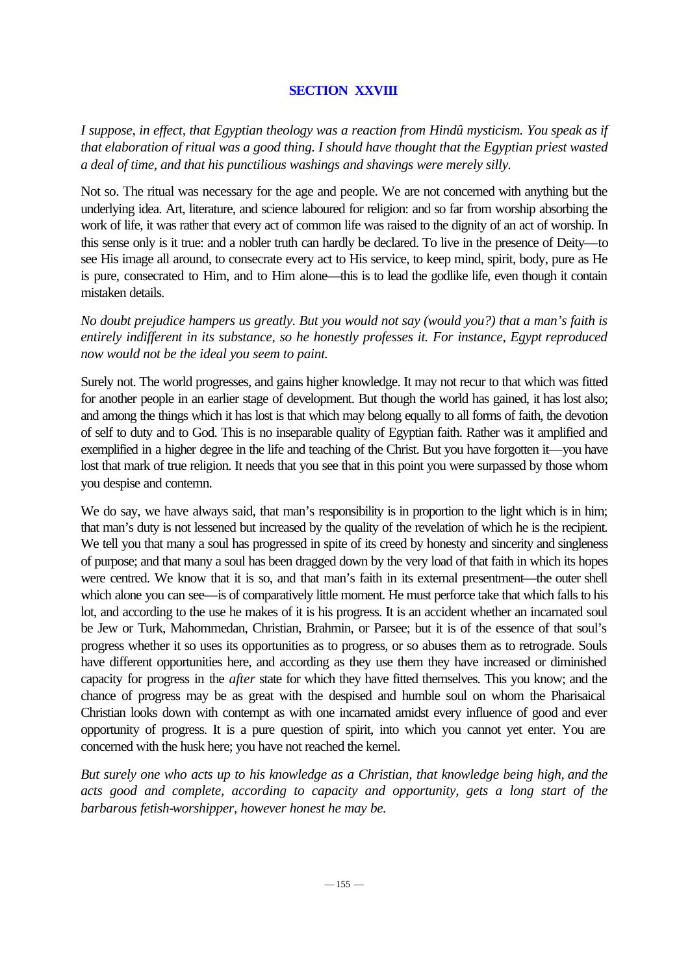*I suppose, in effect, that Egyptian theology was a reaction from Hindû mysticism. You speak as if that elaboration of ritual was a good thing. I should have thought that the Egyptian priest wasted a deal of time, and that his punctilious washings and shavings were merely silly.*

Not so. The ritual was necessary for the age and people. We are not concerned with anything but the underlying idea. Art, literature, and science laboured for religion: and so far from worship absorbing the work of life, it was rather that every act of common life was raised to the dignity of an act of worship. In this sense only is it true: and a nobler truth can hardly be declared. To live in the presence of Deity—to see His image all around, to consecrate every act to His service, to keep mind, spirit, body, pure as He is pure, consecrated to Him, and to Him alone—this is to lead the godlike life, even though it contain mistaken details.

*No doubt prejudice hampers us greatly. But you would not say (would you?) that a man's faith is entirely indifferent in its substance, so he honestly professes it. For instance, Egypt reproduced now would not be the ideal you seem to paint.*

Surely not. The world progresses, and gains higher knowledge. It may not recur to that which was fitted for another people in an earlier stage of development. But though the world has gained, it has lost also; and among the things which it has lost is that which may belong equally to all forms of faith, the devotion of self to duty and to God. This is no inseparable quality of Egyptian faith. Rather was it amplified and exemplified in a higher degree in the life and teaching of the Christ. But you have forgotten it—you have lost that mark of true religion. It needs that you see that in this point you were surpassed by those whom you despise and contemn.

We do say, we have always said, that man's responsibility is in proportion to the light which is in him; that man's duty is not lessened but increased by the quality of the revelation of which he is the recipient. We tell you that many a soul has progressed in spite of its creed by honesty and sincerity and singleness of purpose; and that many a soul has been dragged down by the very load of that faith in which its hopes were centred. We know that it is so, and that man's faith in its external presentment—the outer shell which alone you can see—is of comparatively little moment. He must perforce take that which falls to his lot, and according to the use he makes of it is his progress. It is an accident whether an incarnated soul be Jew or Turk, Mahommedan, Christian, Brahmin, or Parsee; but it is of the essence of that soul's progress whether it so uses its opportunities as to progress, or so abuses them as to retrograde. Souls have different opportunities here, and according as they use them they have increased or diminished capacity for progress in the *after* state for which they have fitted themselves. This you know; and the chance of progress may be as great with the despised and humble soul on whom the Pharisaical Christian looks down with contempt as with one incarnated amidst every influence of good and ever opportunity of progress. It is a pure question of spirit, into which you cannot yet enter. You are concerned with the husk here; you have not reached the kernel.

*But surely one who acts up to his knowledge as a Christian, that knowledge being high, and the acts good and complete, according to capacity and opportunity, gets a long start of the barbarous fetish-worshipper, however honest he may be.*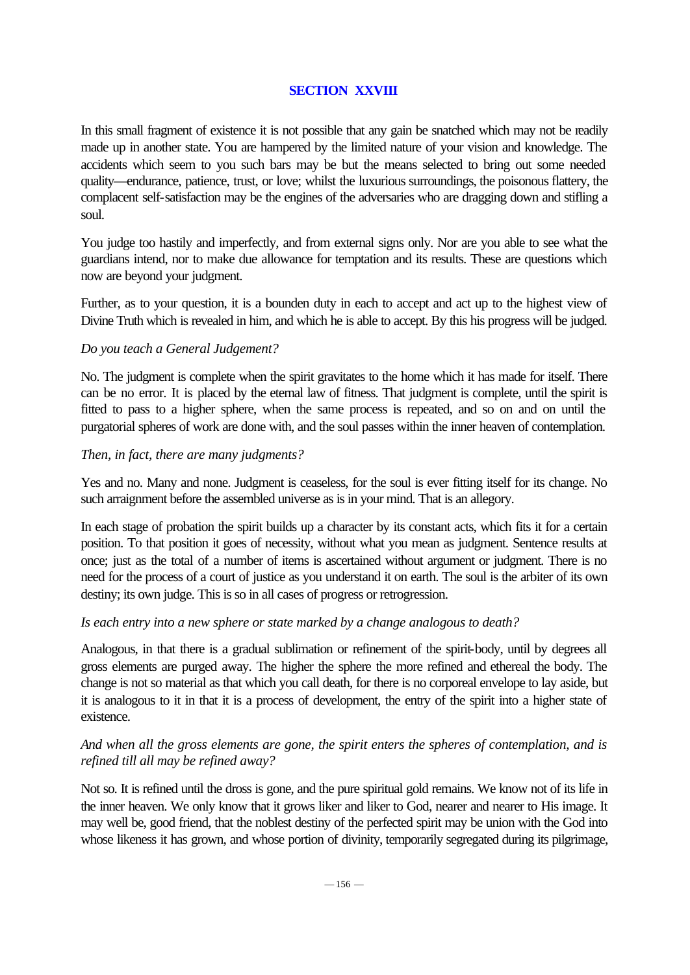In this small fragment of existence it is not possible that any gain be snatched which may not be readily made up in another state. You are hampered by the limited nature of your vision and knowledge. The accidents which seem to you such bars may be but the means selected to bring out some needed quality—endurance, patience, trust, or love; whilst the luxurious surroundings, the poisonous flattery, the complacent self-satisfaction may be the engines of the adversaries who are dragging down and stifling a soul.

You judge too hastily and imperfectly, and from external signs only. Nor are you able to see what the guardians intend, nor to make due allowance for temptation and its results. These are questions which now are beyond your judgment.

Further, as to your question, it is a bounden duty in each to accept and act up to the highest view of Divine Truth which is revealed in him, and which he is able to accept. By this his progress will be judged.

### *Do you teach a General Judgement?*

No. The judgment is complete when the spirit gravitates to the home which it has made for itself. There can be no error. It is placed by the eternal law of fitness. That judgment is complete, until the spirit is fitted to pass to a higher sphere, when the same process is repeated, and so on and on until the purgatorial spheres of work are done with, and the soul passes within the inner heaven of contemplation.

### *Then, in fact, there are many judgments?*

Yes and no. Many and none. Judgment is ceaseless, for the soul is ever fitting itself for its change. No such arraignment before the assembled universe as is in your mind. That is an allegory.

In each stage of probation the spirit builds up a character by its constant acts, which fits it for a certain position. To that position it goes of necessity, without what you mean as judgment. Sentence results at once; just as the total of a number of items is ascertained without argument or judgment. There is no need for the process of a court of justice as you understand it on earth. The soul is the arbiter of its own destiny; its own judge. This is so in all cases of progress or retrogression.

# *Is each entry into a new sphere or state marked by a change analogous to death?*

Analogous, in that there is a gradual sublimation or refinement of the spirit-body, until by degrees all gross elements are purged away. The higher the sphere the more refined and ethereal the body. The change is not so material as that which you call death, for there is no corporeal envelope to lay aside, but it is analogous to it in that it is a process of development, the entry of the spirit into a higher state of existence.

# *And when all the gross elements are gone, the spirit enters the spheres of contemplation, and is refined till all may be refined away?*

Not so. It is refined until the dross is gone, and the pure spiritual gold remains. We know not of its life in the inner heaven. We only know that it grows liker and liker to God, nearer and nearer to His image. It may well be, good friend, that the noblest destiny of the perfected spirit may be union with the God into whose likeness it has grown, and whose portion of divinity, temporarily segregated during its pilgrimage,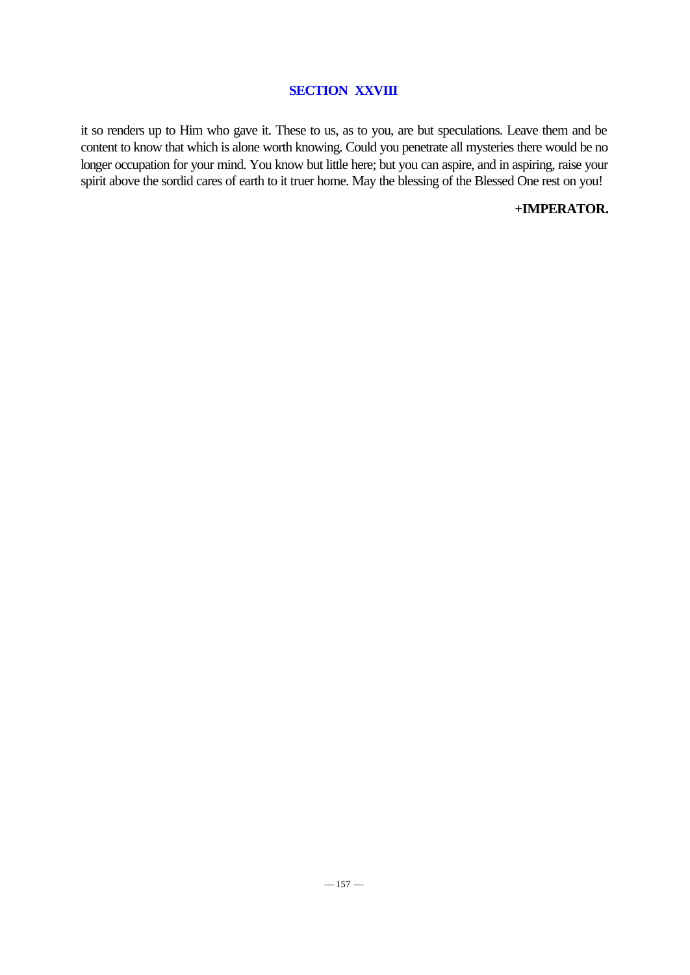it so renders up to Him who gave it. These to us, as to you, are but speculations. Leave them and be content to know that which is alone worth knowing. Could you penetrate all mysteries there would be no longer occupation for your mind. You know but little here; but you can aspire, and in aspiring, raise your spirit above the sordid cares of earth to it truer home. May the blessing of the Blessed One rest on you!

#### **+IMPERATOR.**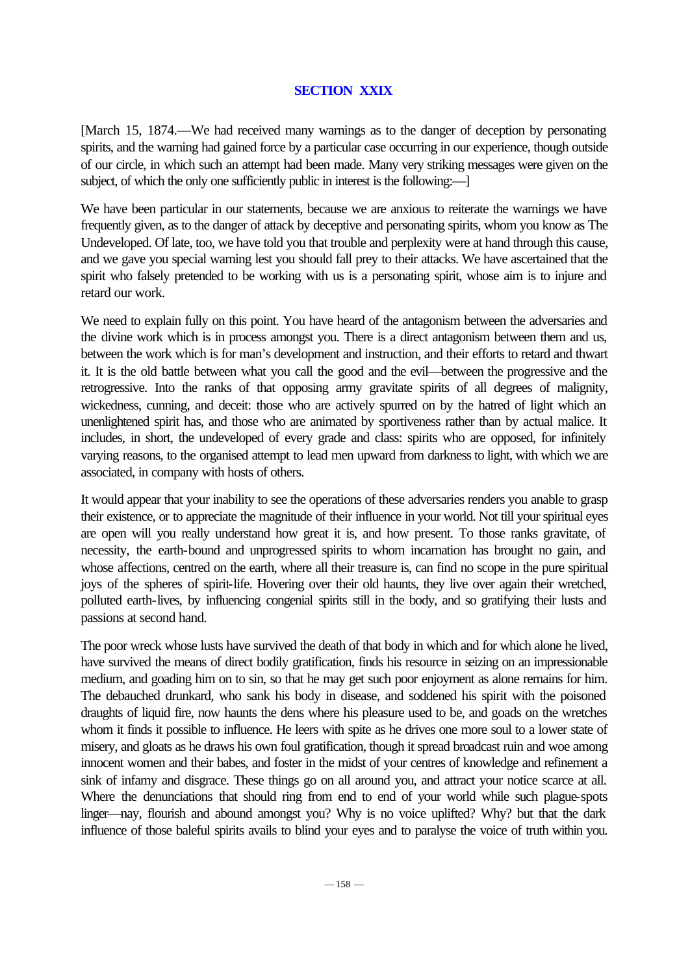[March 15, 1874.—We had received many warnings as to the danger of deception by personating spirits, and the warning had gained force by a particular case occurring in our experience, though outside of our circle, in which such an attempt had been made. Many very striking messages were given on the subject, of which the only one sufficiently public in interest is the following:—]

We have been particular in our statements, because we are anxious to reiterate the warnings we have frequently given, as to the danger of attack by deceptive and personating spirits, whom you know as The Undeveloped. Of late, too, we have told you that trouble and perplexity were at hand through this cause, and we gave you special warning lest you should fall prey to their attacks. We have ascertained that the spirit who falsely pretended to be working with us is a personating spirit, whose aim is to injure and retard our work.

We need to explain fully on this point. You have heard of the antagonism between the adversaries and the divine work which is in process amongst you. There is a direct antagonism between them and us, between the work which is for man's development and instruction, and their efforts to retard and thwart it. It is the old battle between what you call the good and the evil—between the progressive and the retrogressive. Into the ranks of that opposing army gravitate spirits of all degrees of malignity, wickedness, cunning, and deceit: those who are actively spurred on by the hatred of light which an unenlightened spirit has, and those who are animated by sportiveness rather than by actual malice. It includes, in short, the undeveloped of every grade and class: spirits who are opposed, for infinitely varying reasons, to the organised attempt to lead men upward from darkness to light, with which we are associated, in company with hosts of others.

It would appear that your inability to see the operations of these adversaries renders you anable to grasp their existence, or to appreciate the magnitude of their influence in your world. Not till your spiritual eyes are open will you really understand how great it is, and how present. To those ranks gravitate, of necessity, the earth-bound and unprogressed spirits to whom incarnation has brought no gain, and whose affections, centred on the earth, where all their treasure is, can find no scope in the pure spiritual joys of the spheres of spirit-life. Hovering over their old haunts, they live over again their wretched, polluted earth-lives, by influencing congenial spirits still in the body, and so gratifying their lusts and passions at second hand.

The poor wreck whose lusts have survived the death of that body in which and for which alone he lived, have survived the means of direct bodily gratification, finds his resource in seizing on an impressionable medium, and goading him on to sin, so that he may get such poor enjoyment as alone remains for him. The debauched drunkard, who sank his body in disease, and soddened his spirit with the poisoned draughts of liquid fire, now haunts the dens where his pleasure used to be, and goads on the wretches whom it finds it possible to influence. He leers with spite as he drives one more soul to a lower state of misery, and gloats as he draws his own foul gratification, though it spread broadcast ruin and woe among innocent women and their babes, and foster in the midst of your centres of knowledge and refinement a sink of infamy and disgrace. These things go on all around you, and attract your notice scarce at all. Where the denunciations that should ring from end to end of your world while such plague-spots linger—nay, flourish and abound amongst you? Why is no voice uplifted? Why? but that the dark influence of those baleful spirits avails to blind your eyes and to paralyse the voice of truth within you.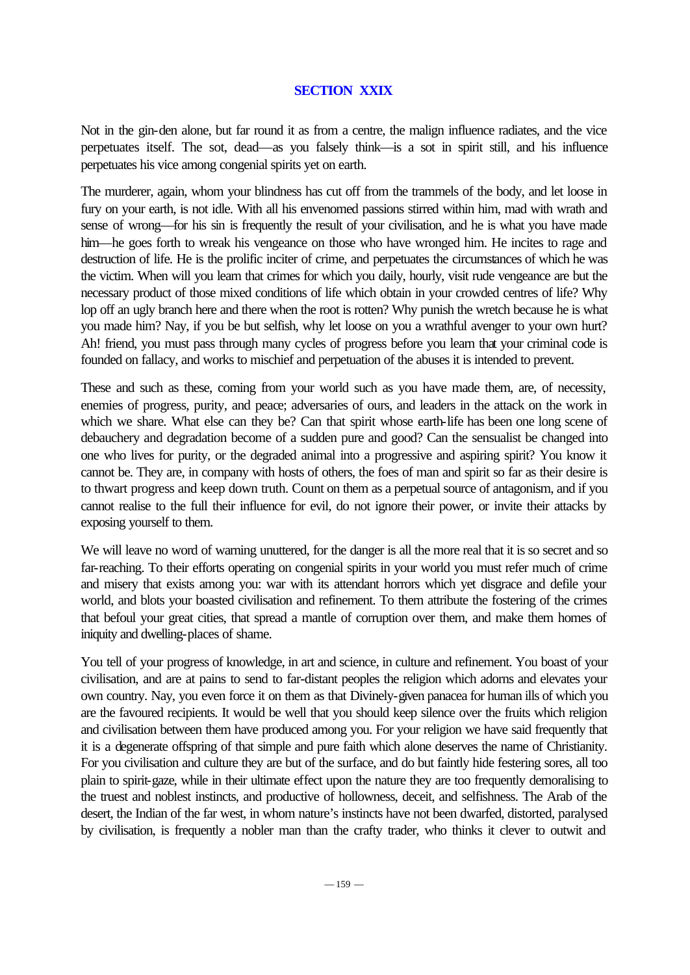Not in the gin-den alone, but far round it as from a centre, the malign influence radiates, and the vice perpetuates itself. The sot, dead—as you falsely think—is a sot in spirit still, and his influence perpetuates his vice among congenial spirits yet on earth.

The murderer, again, whom your blindness has cut off from the trammels of the body, and let loose in fury on your earth, is not idle. With all his envenomed passions stirred within him, mad with wrath and sense of wrong—for his sin is frequently the result of your civilisation, and he is what you have made him—he goes forth to wreak his vengeance on those who have wronged him. He incites to rage and destruction of life. He is the prolific inciter of crime, and perpetuates the circumstances of which he was the victim. When will you learn that crimes for which you daily, hourly, visit rude vengeance are but the necessary product of those mixed conditions of life which obtain in your crowded centres of life? Why lop off an ugly branch here and there when the root is rotten? Why punish the wretch because he is what you made him? Nay, if you be but selfish, why let loose on you a wrathful avenger to your own hurt? Ah! friend, you must pass through many cycles of progress before you learn that your criminal code is founded on fallacy, and works to mischief and perpetuation of the abuses it is intended to prevent.

These and such as these, coming from your world such as you have made them, are, of necessity, enemies of progress, purity, and peace; adversaries of ours, and leaders in the attack on the work in which we share. What else can they be? Can that spirit whose earth-life has been one long scene of debauchery and degradation become of a sudden pure and good? Can the sensualist be changed into one who lives for purity, or the degraded animal into a progressive and aspiring spirit? You know it cannot be. They are, in company with hosts of others, the foes of man and spirit so far as their desire is to thwart progress and keep down truth. Count on them as a perpetual source of antagonism, and if you cannot realise to the full their influence for evil, do not ignore their power, or invite their attacks by exposing yourself to them.

We will leave no word of warning unuttered, for the danger is all the more real that it is so secret and so far-reaching. To their efforts operating on congenial spirits in your world you must refer much of crime and misery that exists among you: war with its attendant horrors which yet disgrace and defile your world, and blots your boasted civilisation and refinement. To them attribute the fostering of the crimes that befoul your great cities, that spread a mantle of corruption over them, and make them homes of iniquity and dwelling-places of shame.

You tell of your progress of knowledge, in art and science, in culture and refinement. You boast of your civilisation, and are at pains to send to far-distant peoples the religion which adorns and elevates your own country. Nay, you even force it on them as that Divinely-given panacea for human ills of which you are the favoured recipients. It would be well that you should keep silence over the fruits which religion and civilisation between them have produced among you. For your religion we have said frequently that it is a degenerate offspring of that simple and pure faith which alone deserves the name of Christianity. For you civilisation and culture they are but of the surface, and do but faintly hide festering sores, all too plain to spirit-gaze, while in their ultimate effect upon the nature they are too frequently demoralising to the truest and noblest instincts, and productive of hollowness, deceit, and selfishness. The Arab of the desert, the Indian of the far west, in whom nature's instincts have not been dwarfed, distorted, paralysed by civilisation, is frequently a nobler man than the crafty trader, who thinks it clever to outwit and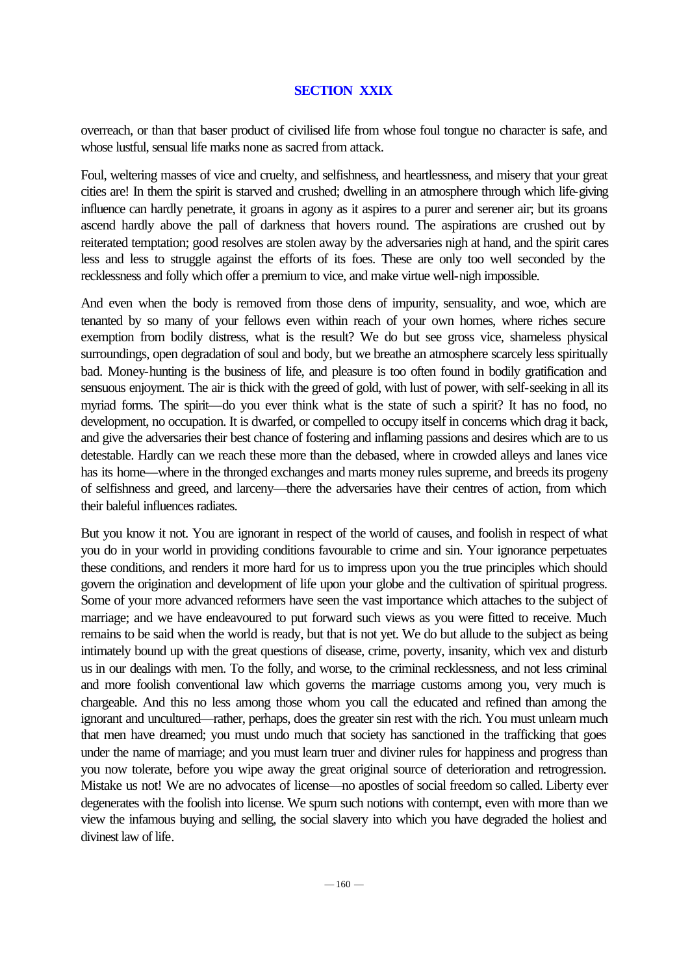overreach, or than that baser product of civilised life from whose foul tongue no character is safe, and whose lustful, sensual life marks none as sacred from attack.

Foul, weltering masses of vice and cruelty, and selfishness, and heartlessness, and misery that your great cities are! In them the spirit is starved and crushed; dwelling in an atmosphere through which life-giving influence can hardly penetrate, it groans in agony as it aspires to a purer and serener air; but its groans ascend hardly above the pall of darkness that hovers round. The aspirations are crushed out by reiterated temptation; good resolves are stolen away by the adversaries nigh at hand, and the spirit cares less and less to struggle against the efforts of its foes. These are only too well seconded by the recklessness and folly which offer a premium to vice, and make virtue well-nigh impossible.

And even when the body is removed from those dens of impurity, sensuality, and woe, which are tenanted by so many of your fellows even within reach of your own homes, where riches secure exemption from bodily distress, what is the result? We do but see gross vice, shameless physical surroundings, open degradation of soul and body, but we breathe an atmosphere scarcely less spiritually bad. Money-hunting is the business of life, and pleasure is too often found in bodily gratification and sensuous enjoyment. The air is thick with the greed of gold, with lust of power, with self-seeking in all its myriad forms. The spirit—do you ever think what is the state of such a spirit? It has no food, no development, no occupation. It is dwarfed, or compelled to occupy itself in concerns which drag it back, and give the adversaries their best chance of fostering and inflaming passions and desires which are to us detestable. Hardly can we reach these more than the debased, where in crowded alleys and lanes vice has its home—where in the thronged exchanges and marts money rules supreme, and breeds its progeny of selfishness and greed, and larceny—there the adversaries have their centres of action, from which their baleful influences radiates.

But you know it not. You are ignorant in respect of the world of causes, and foolish in respect of what you do in your world in providing conditions favourable to crime and sin. Your ignorance perpetuates these conditions, and renders it more hard for us to impress upon you the true principles which should govern the origination and development of life upon your globe and the cultivation of spiritual progress. Some of your more advanced reformers have seen the vast importance which attaches to the subject of marriage; and we have endeavoured to put forward such views as you were fitted to receive. Much remains to be said when the world is ready, but that is not yet. We do but allude to the subject as being intimately bound up with the great questions of disease, crime, poverty, insanity, which vex and disturb us in our dealings with men. To the folly, and worse, to the criminal recklessness, and not less criminal and more foolish conventional law which governs the marriage customs among you, very much is chargeable. And this no less among those whom you call the educated and refined than among the ignorant and uncultured—rather, perhaps, does the greater sin rest with the rich. You must unlearn much that men have dreamed; you must undo much that society has sanctioned in the trafficking that goes under the name of marriage; and you must learn truer and diviner rules for happiness and progress than you now tolerate, before you wipe away the great original source of deterioration and retrogression. Mistake us not! We are no advocates of license—no apostles of social freedom so called. Liberty ever degenerates with the foolish into license. We spurn such notions with contempt, even with more than we view the infamous buying and selling, the social slavery into which you have degraded the holiest and divinest law of life.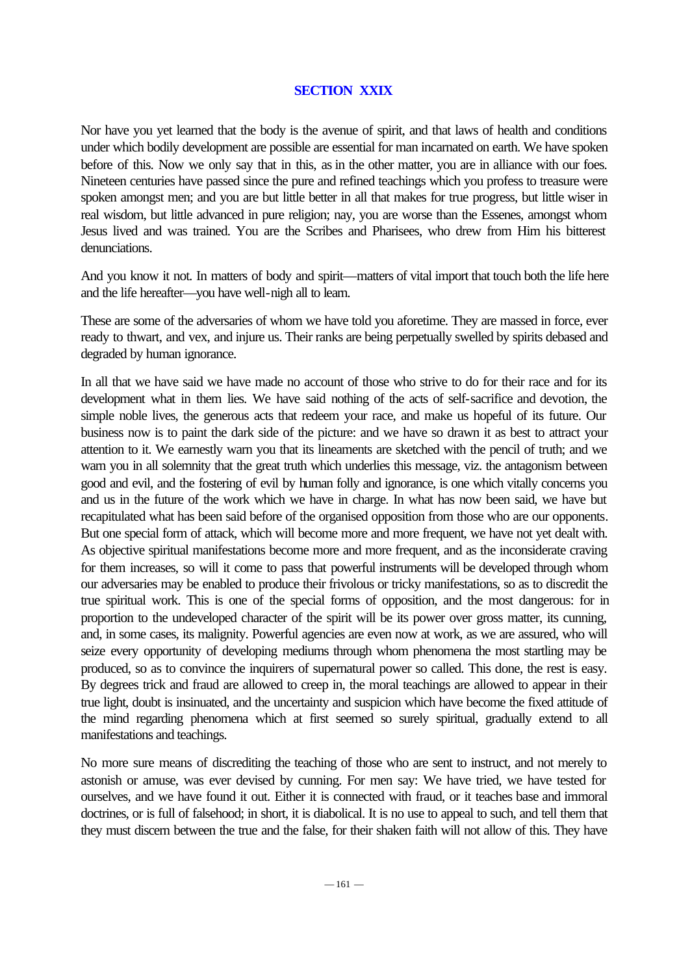Nor have you yet learned that the body is the avenue of spirit, and that laws of health and conditions under which bodily development are possible are essential for man incarnated on earth. We have spoken before of this. Now we only say that in this, as in the other matter, you are in alliance with our foes. Nineteen centuries have passed since the pure and refined teachings which you profess to treasure were spoken amongst men; and you are but little better in all that makes for true progress, but little wiser in real wisdom, but little advanced in pure religion; nay, you are worse than the Essenes, amongst whom Jesus lived and was trained. You are the Scribes and Pharisees, who drew from Him his bitterest denunciations.

And you know it not. In matters of body and spirit—matters of vital import that touch both the life here and the life hereafter—you have well-nigh all to learn.

These are some of the adversaries of whom we have told you aforetime. They are massed in force, ever ready to thwart, and vex, and injure us. Their ranks are being perpetually swelled by spirits debased and degraded by human ignorance.

In all that we have said we have made no account of those who strive to do for their race and for its development what in them lies. We have said nothing of the acts of self-sacrifice and devotion, the simple noble lives, the generous acts that redeem your race, and make us hopeful of its future. Our business now is to paint the dark side of the picture: and we have so drawn it as best to attract your attention to it. We earnestly warn you that its lineaments are sketched with the pencil of truth; and we warn you in all solemnity that the great truth which underlies this message, viz. the antagonism between good and evil, and the fostering of evil by human folly and ignorance, is one which vitally concerns you and us in the future of the work which we have in charge. In what has now been said, we have but recapitulated what has been said before of the organised opposition from those who are our opponents. But one special form of attack, which will become more and more frequent, we have not yet dealt with. As objective spiritual manifestations become more and more frequent, and as the inconsiderate craving for them increases, so will it come to pass that powerful instruments will be developed through whom our adversaries may be enabled to produce their frivolous or tricky manifestations, so as to discredit the true spiritual work. This is one of the special forms of opposition, and the most dangerous: for in proportion to the undeveloped character of the spirit will be its power over gross matter, its cunning, and, in some cases, its malignity. Powerful agencies are even now at work, as we are assured, who will seize every opportunity of developing mediums through whom phenomena the most startling may be produced, so as to convince the inquirers of supernatural power so called. This done, the rest is easy. By degrees trick and fraud are allowed to creep in, the moral teachings are allowed to appear in their true light, doubt is insinuated, and the uncertainty and suspicion which have become the fixed attitude of the mind regarding phenomena which at first seemed so surely spiritual, gradually extend to all manifestations and teachings.

No more sure means of discrediting the teaching of those who are sent to instruct, and not merely to astonish or amuse, was ever devised by cunning. For men say: We have tried, we have tested for ourselves, and we have found it out. Either it is connected with fraud, or it teaches base and immoral doctrines, or is full of falsehood; in short, it is diabolical. It is no use to appeal to such, and tell them that they must discern between the true and the false, for their shaken faith will not allow of this. They have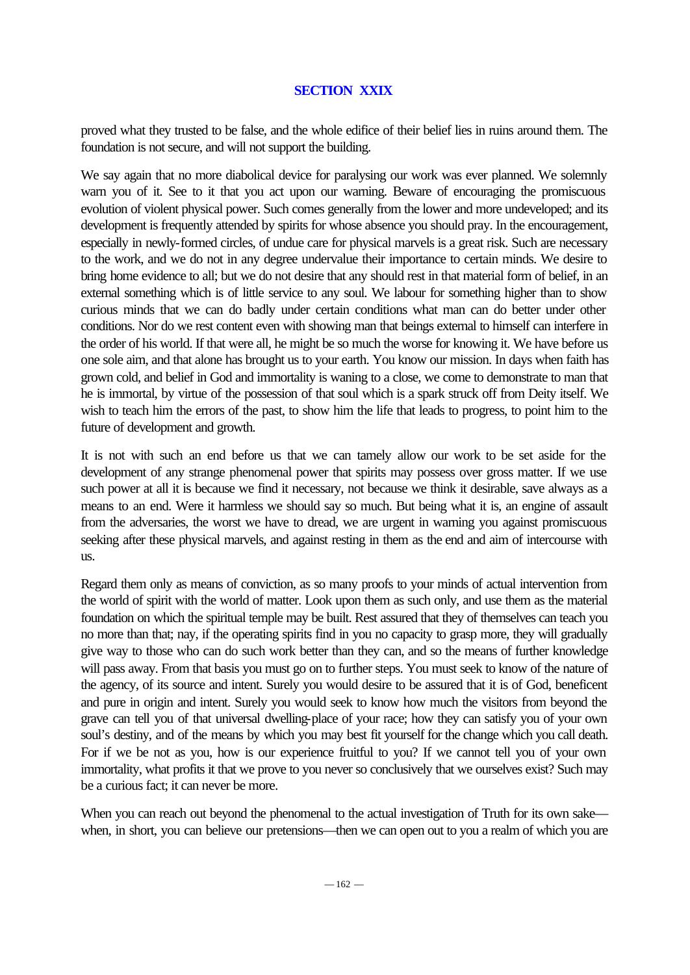proved what they trusted to be false, and the whole edifice of their belief lies in ruins around them. The foundation is not secure, and will not support the building.

We say again that no more diabolical device for paralysing our work was ever planned. We solemnly warn you of it. See to it that you act upon our warning. Beware of encouraging the promiscuous evolution of violent physical power. Such comes generally from the lower and more undeveloped; and its development is frequently attended by spirits for whose absence you should pray. In the encouragement, especially in newly-formed circles, of undue care for physical marvels is a great risk. Such are necessary to the work, and we do not in any degree undervalue their importance to certain minds. We desire to bring home evidence to all; but we do not desire that any should rest in that material form of belief, in an external something which is of little service to any soul. We labour for something higher than to show curious minds that we can do badly under certain conditions what man can do better under other conditions. Nor do we rest content even with showing man that beings external to himself can interfere in the order of his world. If that were all, he might be so much the worse for knowing it. We have before us one sole aim, and that alone has brought us to your earth. You know our mission. In days when faith has grown cold, and belief in God and immortality is waning to a close, we come to demonstrate to man that he is immortal, by virtue of the possession of that soul which is a spark struck off from Deity itself. We wish to teach him the errors of the past, to show him the life that leads to progress, to point him to the future of development and growth.

It is not with such an end before us that we can tamely allow our work to be set aside for the development of any strange phenomenal power that spirits may possess over gross matter. If we use such power at all it is because we find it necessary, not because we think it desirable, save always as a means to an end. Were it harmless we should say so much. But being what it is, an engine of assault from the adversaries, the worst we have to dread, we are urgent in warning you against promiscuous seeking after these physical marvels, and against resting in them as the end and aim of intercourse with us.

Regard them only as means of conviction, as so many proofs to your minds of actual intervention from the world of spirit with the world of matter. Look upon them as such only, and use them as the material foundation on which the spiritual temple may be built. Rest assured that they of themselves can teach you no more than that; nay, if the operating spirits find in you no capacity to grasp more, they will gradually give way to those who can do such work better than they can, and so the means of further knowledge will pass away. From that basis you must go on to further steps. You must seek to know of the nature of the agency, of its source and intent. Surely you would desire to be assured that it is of God, beneficent and pure in origin and intent. Surely you would seek to know how much the visitors from beyond the grave can tell you of that universal dwelling-place of your race; how they can satisfy you of your own soul's destiny, and of the means by which you may best fit yourself for the change which you call death. For if we be not as you, how is our experience fruitful to you? If we cannot tell you of your own immortality, what profits it that we prove to you never so conclusively that we ourselves exist? Such may be a curious fact; it can never be more.

When you can reach out beyond the phenomenal to the actual investigation of Truth for its own sake when, in short, you can believe our pretensions—then we can open out to you a realm of which you are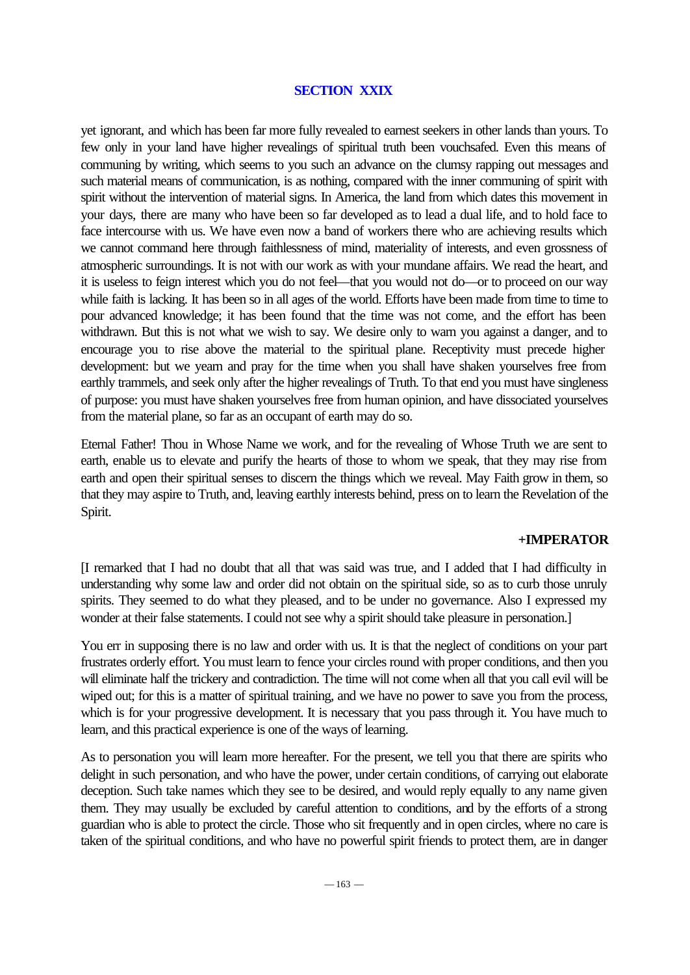yet ignorant, and which has been far more fully revealed to earnest seekers in other lands than yours. To few only in your land have higher revealings of spiritual truth been vouchsafed. Even this means of communing by writing, which seems to you such an advance on the clumsy rapping out messages and such material means of communication, is as nothing, compared with the inner communing of spirit with spirit without the intervention of material signs. In America, the land from which dates this movement in your days, there are many who have been so far developed as to lead a dual life, and to hold face to face intercourse with us. We have even now a band of workers there who are achieving results which we cannot command here through faithlessness of mind, materiality of interests, and even grossness of atmospheric surroundings. It is not with our work as with your mundane affairs. We read the heart, and it is useless to feign interest which you do not feel—that you would not do—or to proceed on our way while faith is lacking. It has been so in all ages of the world. Efforts have been made from time to time to pour advanced knowledge; it has been found that the time was not come, and the effort has been withdrawn. But this is not what we wish to say. We desire only to warn you against a danger, and to encourage you to rise above the material to the spiritual plane. Receptivity must precede higher development: but we yearn and pray for the time when you shall have shaken yourselves free from earthly trammels, and seek only after the higher revealings of Truth. To that end you must have singleness of purpose: you must have shaken yourselves free from human opinion, and have dissociated yourselves from the material plane, so far as an occupant of earth may do so.

Eternal Father! Thou in Whose Name we work, and for the revealing of Whose Truth we are sent to earth, enable us to elevate and purify the hearts of those to whom we speak, that they may rise from earth and open their spiritual senses to discern the things which we reveal. May Faith grow in them, so that they may aspire to Truth, and, leaving earthly interests behind, press on to learn the Revelation of the Spirit.

#### **+IMPERATOR**

[I remarked that I had no doubt that all that was said was true, and I added that I had difficulty in understanding why some law and order did not obtain on the spiritual side, so as to curb those unruly spirits. They seemed to do what they pleased, and to be under no governance. Also I expressed my wonder at their false statements. I could not see why a spirit should take pleasure in personation.]

You err in supposing there is no law and order with us. It is that the neglect of conditions on your part frustrates orderly effort. You must learn to fence your circles round with proper conditions, and then you will eliminate half the trickery and contradiction. The time will not come when all that you call evil will be wiped out; for this is a matter of spiritual training, and we have no power to save you from the process, which is for your progressive development. It is necessary that you pass through it. You have much to learn, and this practical experience is one of the ways of learning.

As to personation you will learn more hereafter. For the present, we tell you that there are spirits who delight in such personation, and who have the power, under certain conditions, of carrying out elaborate deception. Such take names which they see to be desired, and would reply equally to any name given them. They may usually be excluded by careful attention to conditions, and by the efforts of a strong guardian who is able to protect the circle. Those who sit frequently and in open circles, where no care is taken of the spiritual conditions, and who have no powerful spirit friends to protect them, are in danger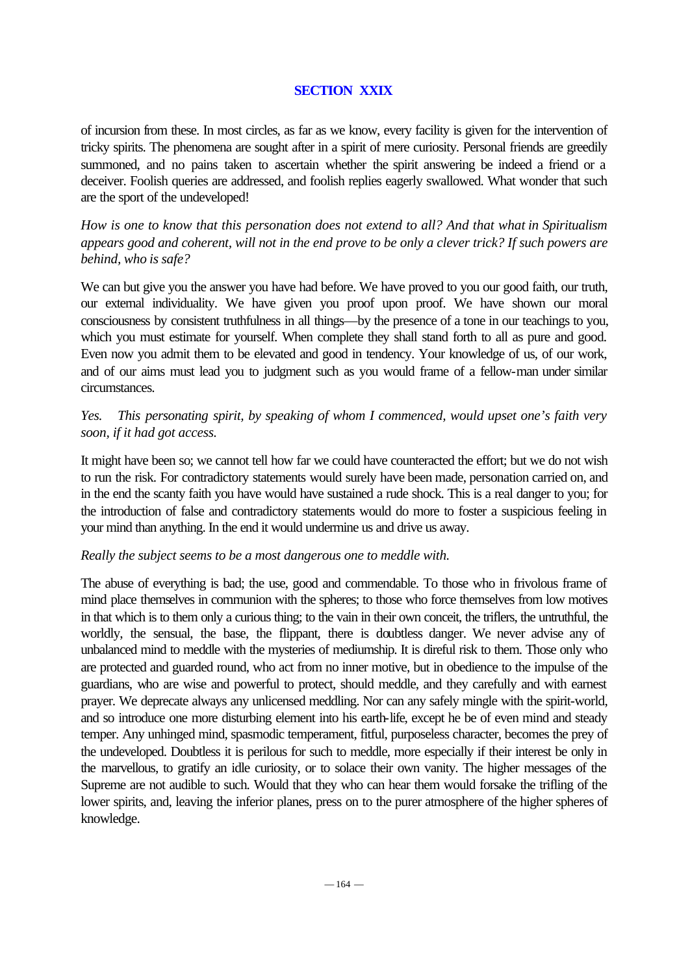of incursion from these. In most circles, as far as we know, every facility is given for the intervention of tricky spirits. The phenomena are sought after in a spirit of mere curiosity. Personal friends are greedily summoned, and no pains taken to ascertain whether the spirit answering be indeed a friend or a deceiver. Foolish queries are addressed, and foolish replies eagerly swallowed. What wonder that such are the sport of the undeveloped!

*How is one to know that this personation does not extend to all? And that what in Spiritualism appears good and coherent, will not in the end prove to be only a clever trick? If such powers are behind, who is safe?*

We can but give you the answer you have had before. We have proved to you our good faith, our truth, our external individuality. We have given you proof upon proof. We have shown our moral consciousness by consistent truthfulness in all things—by the presence of a tone in our teachings to you, which you must estimate for yourself. When complete they shall stand forth to all as pure and good. Even now you admit them to be elevated and good in tendency. Your knowledge of us, of our work, and of our aims must lead you to judgment such as you would frame of a fellow-man under similar circumstances.

# *Yes. This personating spirit, by speaking of whom I commenced, would upset one's faith very soon, if it had got access.*

It might have been so; we cannot tell how far we could have counteracted the effort; but we do not wish to run the risk. For contradictory statements would surely have been made, personation carried on, and in the end the scanty faith you have would have sustained a rude shock. This is a real danger to you; for the introduction of false and contradictory statements would do more to foster a suspicious feeling in your mind than anything. In the end it would undermine us and drive us away.

#### *Really the subject seems to be a most dangerous one to meddle with.*

The abuse of everything is bad; the use, good and commendable. To those who in frivolous frame of mind place themselves in communion with the spheres; to those who force themselves from low motives in that which is to them only a curious thing; to the vain in their own conceit, the triflers, the untruthful, the worldly, the sensual, the base, the flippant, there is doubtless danger. We never advise any of unbalanced mind to meddle with the mysteries of mediumship. It is direful risk to them. Those only who are protected and guarded round, who act from no inner motive, but in obedience to the impulse of the guardians, who are wise and powerful to protect, should meddle, and they carefully and with earnest prayer. We deprecate always any unlicensed meddling. Nor can any safely mingle with the spirit-world, and so introduce one more disturbing element into his earth-life, except he be of even mind and steady temper. Any unhinged mind, spasmodic temperament, fitful, purposeless character, becomes the prey of the undeveloped. Doubtless it is perilous for such to meddle, more especially if their interest be only in the marvellous, to gratify an idle curiosity, or to solace their own vanity. The higher messages of the Supreme are not audible to such. Would that they who can hear them would forsake the trifling of the lower spirits, and, leaving the inferior planes, press on to the purer atmosphere of the higher spheres of knowledge.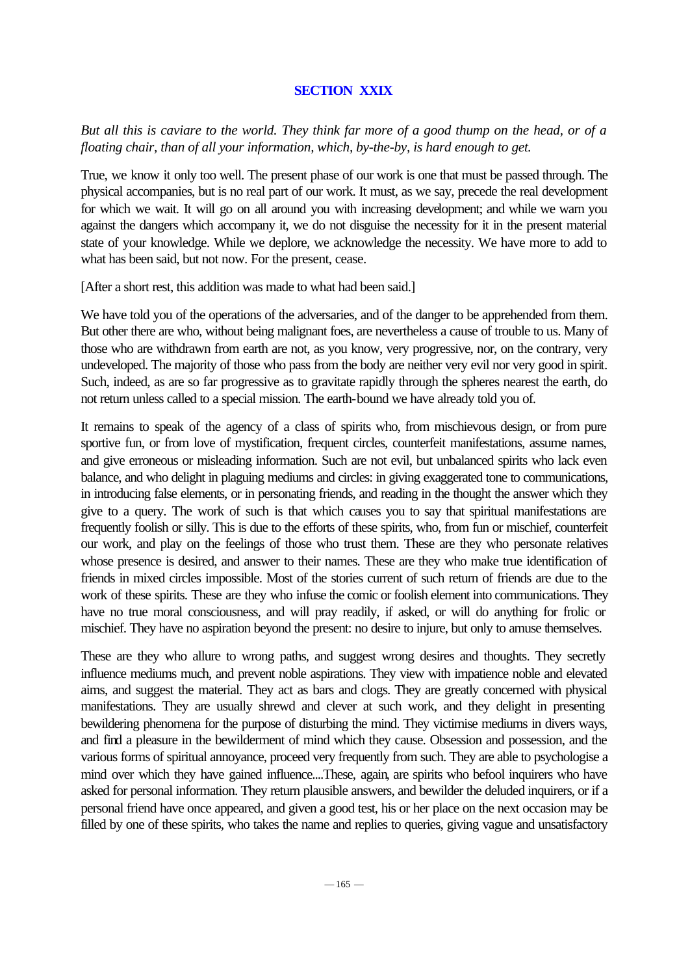*But all this is caviare to the world. They think far more of a good thump on the head, or of a floating chair, than of all your information, which, by-the-by, is hard enough to get.*

True, we know it only too well. The present phase of our work is one that must be passed through. The physical accompanies, but is no real part of our work. It must, as we say, precede the real development for which we wait. It will go on all around you with increasing development; and while we warn you against the dangers which accompany it, we do not disguise the necessity for it in the present material state of your knowledge. While we deplore, we acknowledge the necessity. We have more to add to what has been said, but not now. For the present, cease.

[After a short rest, this addition was made to what had been said.]

We have told you of the operations of the adversaries, and of the danger to be apprehended from them. But other there are who, without being malignant foes, are nevertheless a cause of trouble to us. Many of those who are withdrawn from earth are not, as you know, very progressive, nor, on the contrary, very undeveloped. The majority of those who pass from the body are neither very evil nor very good in spirit. Such, indeed, as are so far progressive as to gravitate rapidly through the spheres nearest the earth, do not return unless called to a special mission. The earth-bound we have already told you of.

It remains to speak of the agency of a class of spirits who, from mischievous design, or from pure sportive fun, or from love of mystification, frequent circles, counterfeit manifestations, assume names, and give erroneous or misleading information. Such are not evil, but unbalanced spirits who lack even balance, and who delight in plaguing mediums and circles: in giving exaggerated tone to communications, in introducing false elements, or in personating friends, and reading in the thought the answer which they give to a query. The work of such is that which causes you to say that spiritual manifestations are frequently foolish or silly. This is due to the efforts of these spirits, who, from fun or mischief, counterfeit our work, and play on the feelings of those who trust them. These are they who personate relatives whose presence is desired, and answer to their names. These are they who make true identification of friends in mixed circles impossible. Most of the stories current of such return of friends are due to the work of these spirits. These are they who infuse the comic or foolish element into communications. They have no true moral consciousness, and will pray readily, if asked, or will do anything for frolic or mischief. They have no aspiration beyond the present: no desire to injure, but only to amuse themselves.

These are they who allure to wrong paths, and suggest wrong desires and thoughts. They secretly influence mediums much, and prevent noble aspirations. They view with impatience noble and elevated aims, and suggest the material. They act as bars and clogs. They are greatly concerned with physical manifestations. They are usually shrewd and clever at such work, and they delight in presenting bewildering phenomena for the purpose of disturbing the mind. They victimise mediums in divers ways, and find a pleasure in the bewilderment of mind which they cause. Obsession and possession, and the various forms of spiritual annoyance, proceed very frequently from such. They are able to psychologise a mind over which they have gained influence....These, again, are spirits who befool inquirers who have asked for personal information. They return plausible answers, and bewilder the deluded inquirers, or if a personal friend have once appeared, and given a good test, his or her place on the next occasion may be filled by one of these spirits, who takes the name and replies to queries, giving vague and unsatisfactory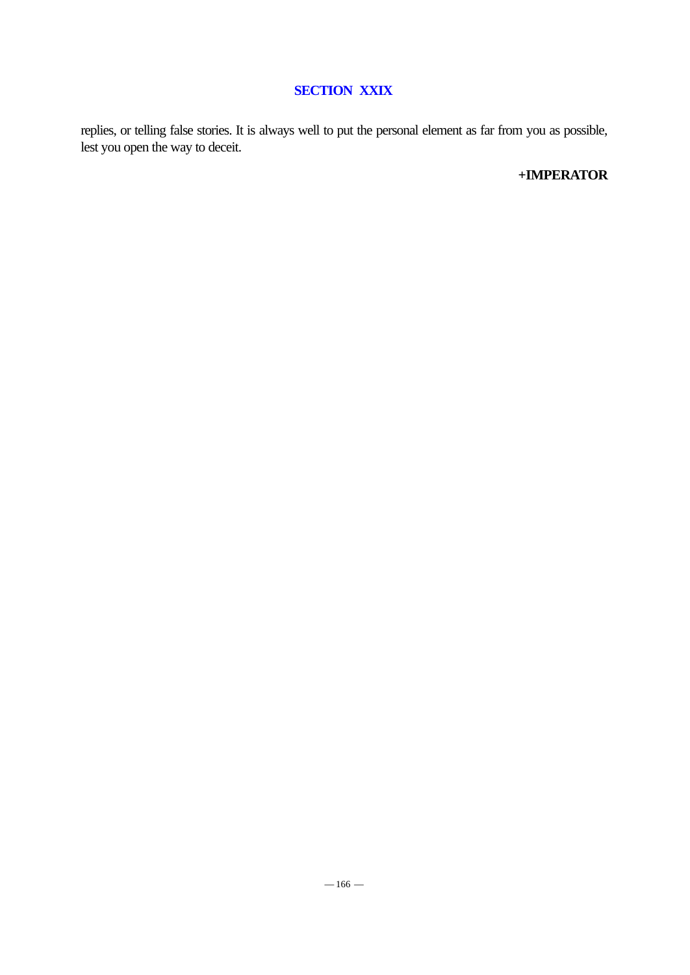replies, or telling false stories. It is always well to put the personal element as far from you as possible, lest you open the way to deceit.

# **+IMPERATOR**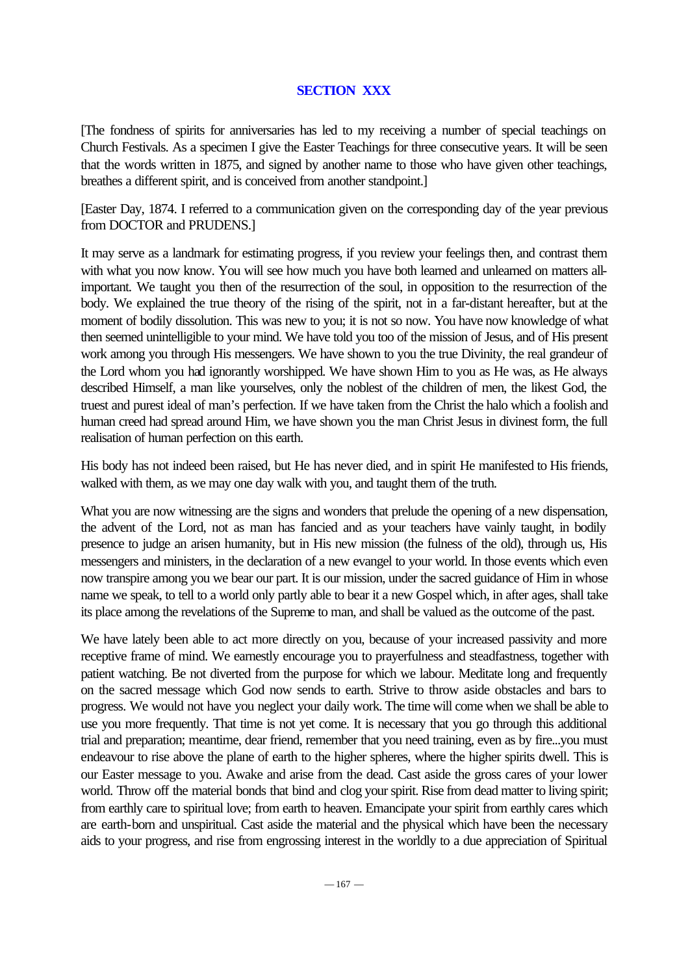[The fondness of spirits for anniversaries has led to my receiving a number of special teachings on Church Festivals. As a specimen I give the Easter Teachings for three consecutive years. It will be seen that the words written in 1875, and signed by another name to those who have given other teachings, breathes a different spirit, and is conceived from another standpoint.]

[Easter Day, 1874. I referred to a communication given on the corresponding day of the year previous from DOCTOR and PRUDENS.]

It may serve as a landmark for estimating progress, if you review your feelings then, and contrast them with what you now know. You will see how much you have both learned and unlearned on matters allimportant. We taught you then of the resurrection of the soul, in opposition to the resurrection of the body. We explained the true theory of the rising of the spirit, not in a far-distant hereafter, but at the moment of bodily dissolution. This was new to you; it is not so now. You have now knowledge of what then seemed unintelligible to your mind. We have told you too of the mission of Jesus, and of His present work among you through His messengers. We have shown to you the true Divinity, the real grandeur of the Lord whom you had ignorantly worshipped. We have shown Him to you as He was, as He always described Himself, a man like yourselves, only the noblest of the children of men, the likest God, the truest and purest ideal of man's perfection. If we have taken from the Christ the halo which a foolish and human creed had spread around Him, we have shown you the man Christ Jesus in divinest form, the full realisation of human perfection on this earth.

His body has not indeed been raised, but He has never died, and in spirit He manifested to His friends, walked with them, as we may one day walk with you, and taught them of the truth.

What you are now witnessing are the signs and wonders that prelude the opening of a new dispensation, the advent of the Lord, not as man has fancied and as your teachers have vainly taught, in bodily presence to judge an arisen humanity, but in His new mission (the fulness of the old), through us, His messengers and ministers, in the declaration of a new evangel to your world. In those events which even now transpire among you we bear our part. It is our mission, under the sacred guidance of Him in whose name we speak, to tell to a world only partly able to bear it a new Gospel which, in after ages, shall take its place among the revelations of the Supreme to man, and shall be valued as the outcome of the past.

We have lately been able to act more directly on you, because of your increased passivity and more receptive frame of mind. We earnestly encourage you to prayerfulness and steadfastness, together with patient watching. Be not diverted from the purpose for which we labour. Meditate long and frequently on the sacred message which God now sends to earth. Strive to throw aside obstacles and bars to progress. We would not have you neglect your daily work. The time will come when we shall be able to use you more frequently. That time is not yet come. It is necessary that you go through this additional trial and preparation; meantime, dear friend, remember that you need training, even as by fire...you must endeavour to rise above the plane of earth to the higher spheres, where the higher spirits dwell. This is our Easter message to you. Awake and arise from the dead. Cast aside the gross cares of your lower world. Throw off the material bonds that bind and clog your spirit. Rise from dead matter to living spirit; from earthly care to spiritual love; from earth to heaven. Emancipate your spirit from earthly cares which are earth-born and unspiritual. Cast aside the material and the physical which have been the necessary aids to your progress, and rise from engrossing interest in the worldly to a due appreciation of Spiritual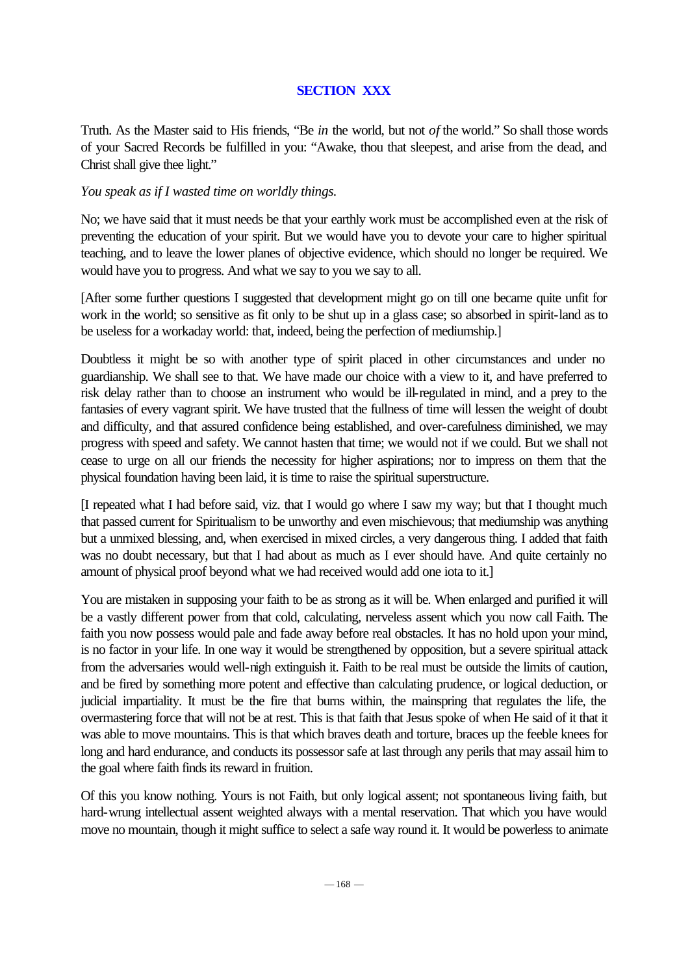Truth. As the Master said to His friends, "Be *in* the world, but not *of* the world." So shall those words of your Sacred Records be fulfilled in you: "Awake, thou that sleepest, and arise from the dead, and Christ shall give thee light."

#### *You speak as if I wasted time on worldly things.*

No; we have said that it must needs be that your earthly work must be accomplished even at the risk of preventing the education of your spirit. But we would have you to devote your care to higher spiritual teaching, and to leave the lower planes of objective evidence, which should no longer be required. We would have you to progress. And what we say to you we say to all.

[After some further questions I suggested that development might go on till one became quite unfit for work in the world; so sensitive as fit only to be shut up in a glass case; so absorbed in spirit-land as to be useless for a workaday world: that, indeed, being the perfection of mediumship.]

Doubtless it might be so with another type of spirit placed in other circumstances and under no guardianship. We shall see to that. We have made our choice with a view to it, and have preferred to risk delay rather than to choose an instrument who would be ill-regulated in mind, and a prey to the fantasies of every vagrant spirit. We have trusted that the fullness of time will lessen the weight of doubt and difficulty, and that assured confidence being established, and over-carefulness diminished, we may progress with speed and safety. We cannot hasten that time; we would not if we could. But we shall not cease to urge on all our friends the necessity for higher aspirations; nor to impress on them that the physical foundation having been laid, it is time to raise the spiritual superstructure.

[I repeated what I had before said, viz. that I would go where I saw my way; but that I thought much that passed current for Spiritualism to be unworthy and even mischievous; that mediumship was anything but a unmixed blessing, and, when exercised in mixed circles, a very dangerous thing. I added that faith was no doubt necessary, but that I had about as much as I ever should have. And quite certainly no amount of physical proof beyond what we had received would add one iota to it.]

You are mistaken in supposing your faith to be as strong as it will be. When enlarged and purified it will be a vastly different power from that cold, calculating, nerveless assent which you now call Faith. The faith you now possess would pale and fade away before real obstacles. It has no hold upon your mind, is no factor in your life. In one way it would be strengthened by opposition, but a severe spiritual attack from the adversaries would well-nigh extinguish it. Faith to be real must be outside the limits of caution, and be fired by something more potent and effective than calculating prudence, or logical deduction, or judicial impartiality. It must be the fire that burns within, the mainspring that regulates the life, the overmastering force that will not be at rest. This is that faith that Jesus spoke of when He said of it that it was able to move mountains. This is that which braves death and torture, braces up the feeble knees for long and hard endurance, and conducts its possessor safe at last through any perils that may assail him to the goal where faith finds its reward in fruition.

Of this you know nothing. Yours is not Faith, but only logical assent; not spontaneous living faith, but hard-wrung intellectual assent weighted always with a mental reservation. That which you have would move no mountain, though it might suffice to select a safe way round it. It would be powerless to animate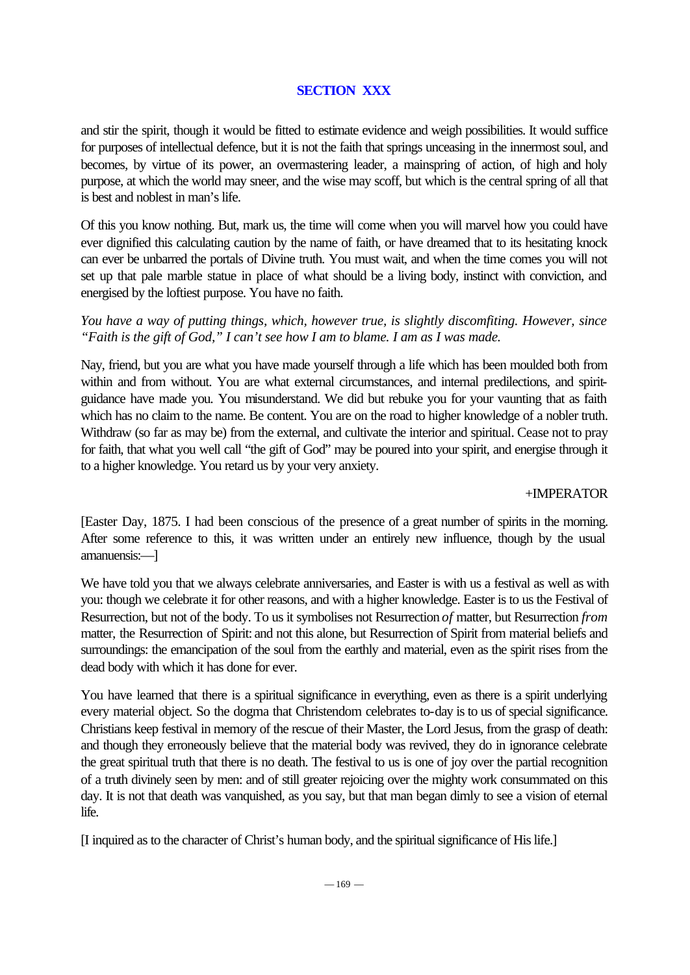and stir the spirit, though it would be fitted to estimate evidence and weigh possibilities. It would suffice for purposes of intellectual defence, but it is not the faith that springs unceasing in the innermost soul, and becomes, by virtue of its power, an overmastering leader, a mainspring of action, of high and holy purpose, at which the world may sneer, and the wise may scoff, but which is the central spring of all that is best and noblest in man's life.

Of this you know nothing. But, mark us, the time will come when you will marvel how you could have ever dignified this calculating caution by the name of faith, or have dreamed that to its hesitating knock can ever be unbarred the portals of Divine truth. You must wait, and when the time comes you will not set up that pale marble statue in place of what should be a living body, instinct with conviction, and energised by the loftiest purpose. You have no faith.

### *You have a way of putting things, which, however true, is slightly discomfiting. However, since "Faith is the gift of God," I can't see how I am to blame. I am as I was made.*

Nay, friend, but you are what you have made yourself through a life which has been moulded both from within and from without. You are what external circumstances, and internal predilections, and spiritguidance have made you. You misunderstand. We did but rebuke you for your vaunting that as faith which has no claim to the name. Be content. You are on the road to higher knowledge of a nobler truth. Withdraw (so far as may be) from the external, and cultivate the interior and spiritual. Cease not to pray for faith, that what you well call "the gift of God" may be poured into your spirit, and energise through it to a higher knowledge. You retard us by your very anxiety.

#### +IMPERATOR

[Easter Day, 1875. I had been conscious of the presence of a great number of spirits in the morning. After some reference to this, it was written under an entirely new influence, though by the usual amanuensis:—]

We have told you that we always celebrate anniversaries, and Easter is with us a festival as well as with you: though we celebrate it for other reasons, and with a higher knowledge. Easter is to us the Festival of Resurrection, but not of the body. To us it symbolises not Resurrection *of* matter, but Resurrection *from* matter, the Resurrection of Spirit: and not this alone, but Resurrection of Spirit from material beliefs and surroundings: the emancipation of the soul from the earthly and material, even as the spirit rises from the dead body with which it has done for ever.

You have learned that there is a spiritual significance in everything, even as there is a spirit underlying every material object. So the dogma that Christendom celebrates to-day is to us of special significance. Christians keep festival in memory of the rescue of their Master, the Lord Jesus, from the grasp of death: and though they erroneously believe that the material body was revived, they do in ignorance celebrate the great spiritual truth that there is no death. The festival to us is one of joy over the partial recognition of a truth divinely seen by men: and of still greater rejoicing over the mighty work consummated on this day. It is not that death was vanquished, as you say, but that man began dimly to see a vision of eternal life.

[I inquired as to the character of Christ's human body, and the spiritual significance of His life.]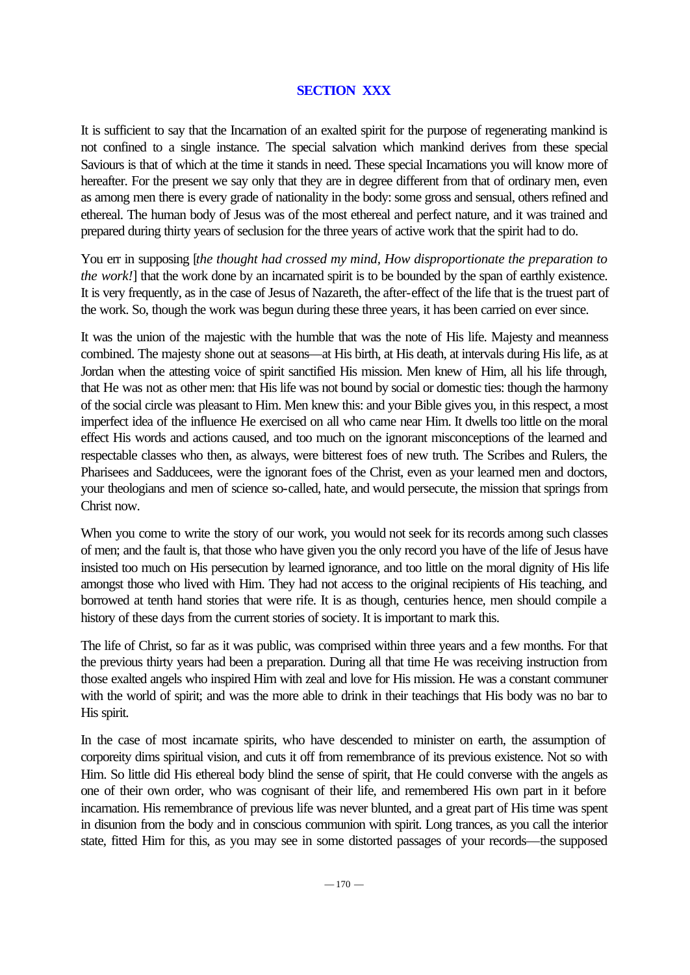It is sufficient to say that the Incarnation of an exalted spirit for the purpose of regenerating mankind is not confined to a single instance. The special salvation which mankind derives from these special Saviours is that of which at the time it stands in need. These special Incarnations you will know more of hereafter. For the present we say only that they are in degree different from that of ordinary men, even as among men there is every grade of nationality in the body: some gross and sensual, others refined and ethereal. The human body of Jesus was of the most ethereal and perfect nature, and it was trained and prepared during thirty years of seclusion for the three years of active work that the spirit had to do.

You err in supposing [*the thought had crossed my mind, How disproportionate the preparation to the work!* I that the work done by an incarnated spirit is to be bounded by the span of earthly existence. It is very frequently, as in the case of Jesus of Nazareth, the after-effect of the life that is the truest part of the work. So, though the work was begun during these three years, it has been carried on ever since.

It was the union of the majestic with the humble that was the note of His life. Majesty and meanness combined. The majesty shone out at seasons—at His birth, at His death, at intervals during His life, as at Jordan when the attesting voice of spirit sanctified His mission. Men knew of Him, all his life through, that He was not as other men: that His life was not bound by social or domestic ties: though the harmony of the social circle was pleasant to Him. Men knew this: and your Bible gives you, in this respect, a most imperfect idea of the influence He exercised on all who came near Him. It dwells too little on the moral effect His words and actions caused, and too much on the ignorant misconceptions of the learned and respectable classes who then, as always, were bitterest foes of new truth. The Scribes and Rulers, the Pharisees and Sadducees, were the ignorant foes of the Christ, even as your learned men and doctors, your theologians and men of science so-called, hate, and would persecute, the mission that springs from Christ now.

When you come to write the story of our work, you would not seek for its records among such classes of men; and the fault is, that those who have given you the only record you have of the life of Jesus have insisted too much on His persecution by learned ignorance, and too little on the moral dignity of His life amongst those who lived with Him. They had not access to the original recipients of His teaching, and borrowed at tenth hand stories that were rife. It is as though, centuries hence, men should compile a history of these days from the current stories of society. It is important to mark this.

The life of Christ, so far as it was public, was comprised within three years and a few months. For that the previous thirty years had been a preparation. During all that time He was receiving instruction from those exalted angels who inspired Him with zeal and love for His mission. He was a constant communer with the world of spirit; and was the more able to drink in their teachings that His body was no bar to His spirit.

In the case of most incarnate spirits, who have descended to minister on earth, the assumption of corporeity dims spiritual vision, and cuts it off from remembrance of its previous existence. Not so with Him. So little did His ethereal body blind the sense of spirit, that He could converse with the angels as one of their own order, who was cognisant of their life, and remembered His own part in it before incarnation. His remembrance of previous life was never blunted, and a great part of His time was spent in disunion from the body and in conscious communion with spirit. Long trances, as you call the interior state, fitted Him for this, as you may see in some distorted passages of your records—the supposed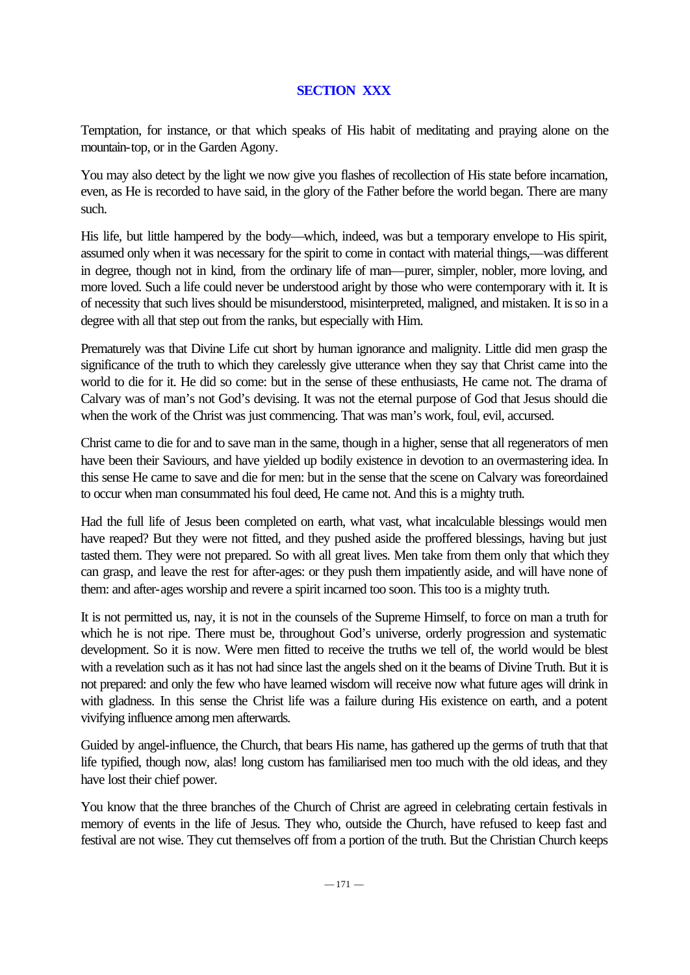Temptation, for instance, or that which speaks of His habit of meditating and praying alone on the mountain-top, or in the Garden Agony.

You may also detect by the light we now give you flashes of recollection of His state before incarnation, even, as He is recorded to have said, in the glory of the Father before the world began. There are many such.

His life, but little hampered by the body—which, indeed, was but a temporary envelope to His spirit, assumed only when it was necessary for the spirit to come in contact with material things,—was different in degree, though not in kind, from the ordinary life of man—purer, simpler, nobler, more loving, and more loved. Such a life could never be understood aright by those who were contemporary with it. It is of necessity that such lives should be misunderstood, misinterpreted, maligned, and mistaken. It is so in a degree with all that step out from the ranks, but especially with Him.

Prematurely was that Divine Life cut short by human ignorance and malignity. Little did men grasp the significance of the truth to which they carelessly give utterance when they say that Christ came into the world to die for it. He did so come: but in the sense of these enthusiasts, He came not. The drama of Calvary was of man's not God's devising. It was not the eternal purpose of God that Jesus should die when the work of the Christ was just commencing. That was man's work, foul, evil, accursed.

Christ came to die for and to save man in the same, though in a higher, sense that all regenerators of men have been their Saviours, and have yielded up bodily existence in devotion to an overmastering idea. In this sense He came to save and die for men: but in the sense that the scene on Calvary was foreordained to occur when man consummated his foul deed, He came not. And this is a mighty truth.

Had the full life of Jesus been completed on earth, what vast, what incalculable blessings would men have reaped? But they were not fitted, and they pushed aside the proffered blessings, having but just tasted them. They were not prepared. So with all great lives. Men take from them only that which they can grasp, and leave the rest for after-ages: or they push them impatiently aside, and will have none of them: and after-ages worship and revere a spirit incarned too soon. This too is a mighty truth.

It is not permitted us, nay, it is not in the counsels of the Supreme Himself, to force on man a truth for which he is not ripe. There must be, throughout God's universe, orderly progression and systematic development. So it is now. Were men fitted to receive the truths we tell of, the world would be blest with a revelation such as it has not had since last the angels shed on it the beams of Divine Truth. But it is not prepared: and only the few who have learned wisdom will receive now what future ages will drink in with gladness. In this sense the Christ life was a failure during His existence on earth, and a potent vivifying influence among men afterwards.

Guided by angel-influence, the Church, that bears His name, has gathered up the germs of truth that that life typified, though now, alas! long custom has familiarised men too much with the old ideas, and they have lost their chief power.

You know that the three branches of the Church of Christ are agreed in celebrating certain festivals in memory of events in the life of Jesus. They who, outside the Church, have refused to keep fast and festival are not wise. They cut themselves off from a portion of the truth. But the Christian Church keeps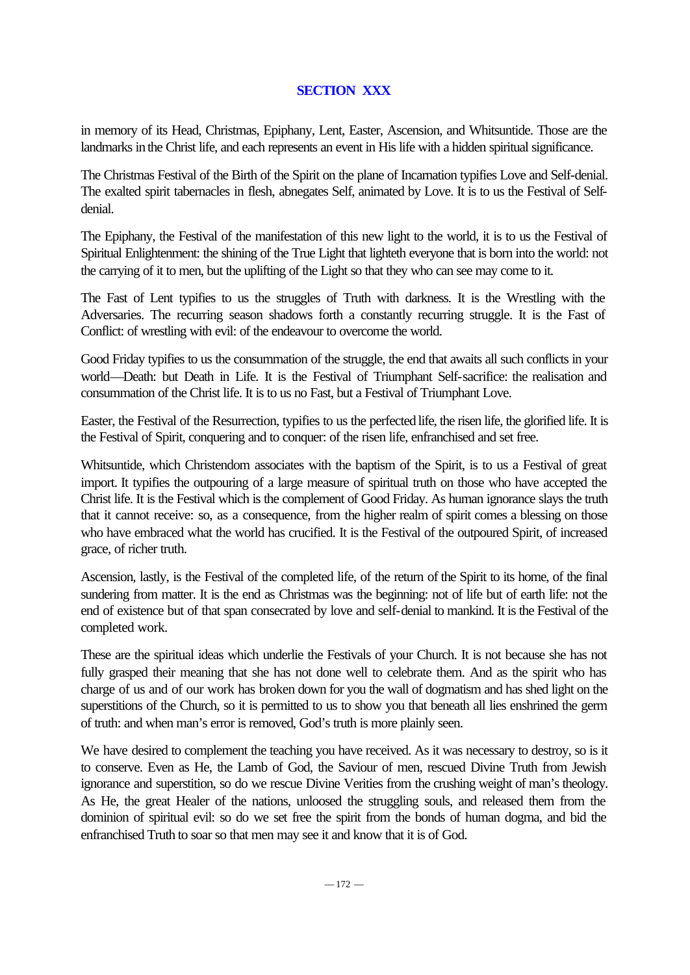in memory of its Head, Christmas, Epiphany, Lent, Easter, Ascension, and Whitsuntide. Those are the landmarks in the Christ life, and each represents an event in His life with a hidden spiritual significance.

The Christmas Festival of the Birth of the Spirit on the plane of Incarnation typifies Love and Self-denial. The exalted spirit tabernacles in flesh, abnegates Self, animated by Love. It is to us the Festival of Selfdenial.

The Epiphany, the Festival of the manifestation of this new light to the world, it is to us the Festival of Spiritual Enlightenment: the shining of the True Light that lighteth everyone that is born into the world: not the carrying of it to men, but the uplifting of the Light so that they who can see may come to it.

The Fast of Lent typifies to us the struggles of Truth with darkness. It is the Wrestling with the Adversaries. The recurring season shadows forth a constantly recurring struggle. It is the Fast of Conflict: of wrestling with evil: of the endeavour to overcome the world.

Good Friday typifies to us the consummation of the struggle, the end that awaits all such conflicts in your world—Death: but Death in Life. It is the Festival of Triumphant Self-sacrifice: the realisation and consummation of the Christ life. It is to us no Fast, but a Festival of Triumphant Love.

Easter, the Festival of the Resurrection, typifies to us the perfected life, the risen life, the glorified life. It is the Festival of Spirit, conquering and to conquer: of the risen life, enfranchised and set free.

Whitsuntide, which Christendom associates with the baptism of the Spirit, is to us a Festival of great import. It typifies the outpouring of a large measure of spiritual truth on those who have accepted the Christ life. It is the Festival which is the complement of Good Friday. As human ignorance slays the truth that it cannot receive: so, as a consequence, from the higher realm of spirit comes a blessing on those who have embraced what the world has crucified. It is the Festival of the outpoured Spirit, of increased grace, of richer truth.

Ascension, lastly, is the Festival of the completed life, of the return of the Spirit to its home, of the final sundering from matter. It is the end as Christmas was the beginning: not of life but of earth life: not the end of existence but of that span consecrated by love and self-denial to mankind. It is the Festival of the completed work.

These are the spiritual ideas which underlie the Festivals of your Church. It is not because she has not fully grasped their meaning that she has not done well to celebrate them. And as the spirit who has charge of us and of our work has broken down for you the wall of dogmatism and has shed light on the superstitions of the Church, so it is permitted to us to show you that beneath all lies enshrined the germ of truth: and when man's error is removed, God's truth is more plainly seen.

We have desired to complement the teaching you have received. As it was necessary to destroy, so is it to conserve. Even as He, the Lamb of God, the Saviour of men, rescued Divine Truth from Jewish ignorance and superstition, so do we rescue Divine Verities from the crushing weight of man's theology. As He, the great Healer of the nations, unloosed the struggling souls, and released them from the dominion of spiritual evil: so do we set free the spirit from the bonds of human dogma, and bid the enfranchised Truth to soar so that men may see it and know that it is of God.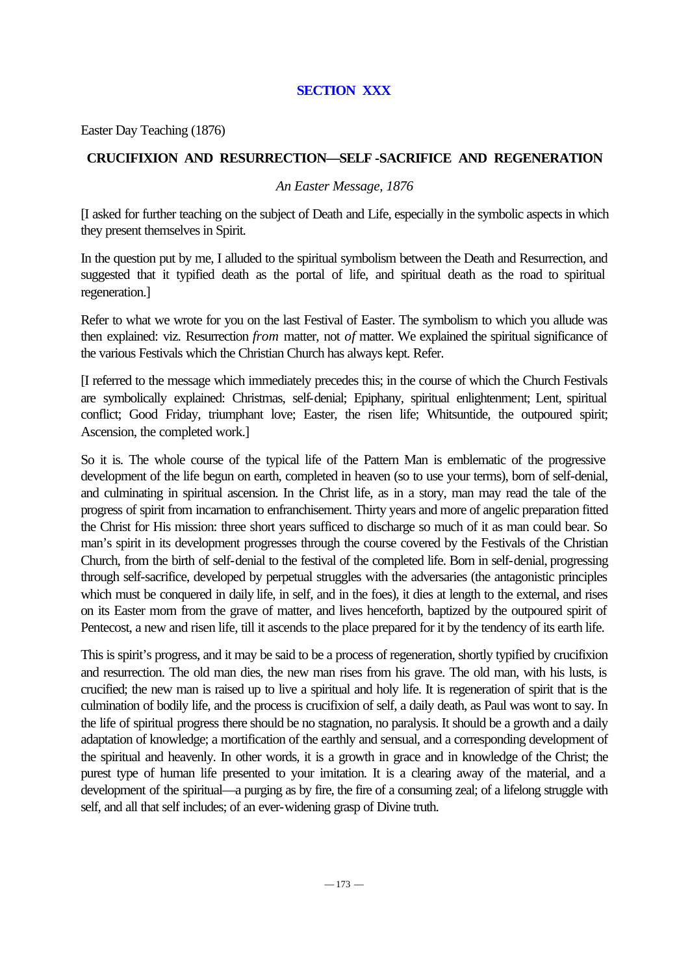Easter Day Teaching (1876)

# **CRUCIFIXION AND RESURRECTION—SELF -SACRIFICE AND REGENERATION**

*An Easter Message, 1876*

[I asked for further teaching on the subject of Death and Life, especially in the symbolic aspects in which they present themselves in Spirit.

In the question put by me, I alluded to the spiritual symbolism between the Death and Resurrection, and suggested that it typified death as the portal of life, and spiritual death as the road to spiritual regeneration.]

Refer to what we wrote for you on the last Festival of Easter. The symbolism to which you allude was then explained: viz. Resurrection *from* matter, not *of* matter. We explained the spiritual significance of the various Festivals which the Christian Church has always kept. Refer.

[I referred to the message which immediately precedes this; in the course of which the Church Festivals are symbolically explained: Christmas, self-denial; Epiphany, spiritual enlightenment; Lent, spiritual conflict; Good Friday, triumphant love; Easter, the risen life; Whitsuntide, the outpoured spirit; Ascension, the completed work.]

So it is. The whole course of the typical life of the Pattern Man is emblematic of the progressive development of the life begun on earth, completed in heaven (so to use your terms), born of self-denial, and culminating in spiritual ascension. In the Christ life, as in a story, man may read the tale of the progress of spirit from incarnation to enfranchisement. Thirty years and more of angelic preparation fitted the Christ for His mission: three short years sufficed to discharge so much of it as man could bear. So man's spirit in its development progresses through the course covered by the Festivals of the Christian Church, from the birth of self-denial to the festival of the completed life. Born in self-denial, progressing through self-sacrifice, developed by perpetual struggles with the adversaries (the antagonistic principles which must be conquered in daily life, in self, and in the foes), it dies at length to the external, and rises on its Easter morn from the grave of matter, and lives henceforth, baptized by the outpoured spirit of Pentecost, a new and risen life, till it ascends to the place prepared for it by the tendency of its earth life.

This is spirit's progress, and it may be said to be a process of regeneration, shortly typified by crucifixion and resurrection. The old man dies, the new man rises from his grave. The old man, with his lusts, is crucified; the new man is raised up to live a spiritual and holy life. It is regeneration of spirit that is the culmination of bodily life, and the process is crucifixion of self, a daily death, as Paul was wont to say. In the life of spiritual progress there should be no stagnation, no paralysis. It should be a growth and a daily adaptation of knowledge; a mortification of the earthly and sensual, and a corresponding development of the spiritual and heavenly. In other words, it is a growth in grace and in knowledge of the Christ; the purest type of human life presented to your imitation. It is a clearing away of the material, and a development of the spiritual—a purging as by fire, the fire of a consuming zeal; of a lifelong struggle with self, and all that self includes; of an ever-widening grasp of Divine truth.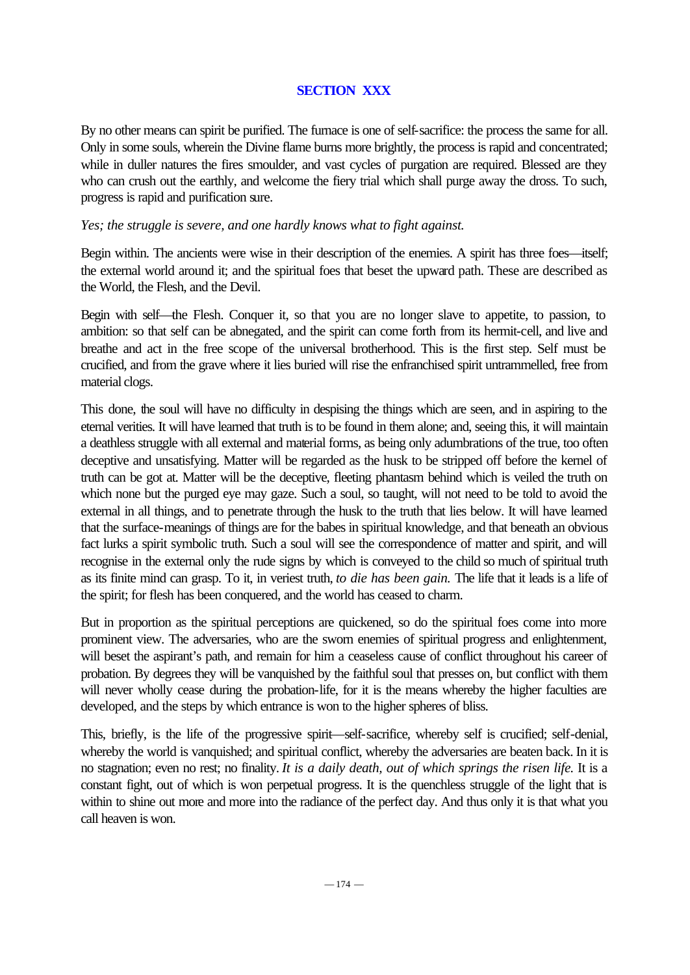By no other means can spirit be purified. The furnace is one of self-sacrifice: the process the same for all. Only in some souls, wherein the Divine flame burns more brightly, the process is rapid and concentrated; while in duller natures the fires smoulder, and vast cycles of purgation are required. Blessed are they who can crush out the earthly, and welcome the fiery trial which shall purge away the dross. To such, progress is rapid and purification sure.

#### *Yes; the struggle is severe, and one hardly knows what to fight against.*

Begin within. The ancients were wise in their description of the enemies. A spirit has three foes—itself; the external world around it; and the spiritual foes that beset the upward path. These are described as the World, the Flesh, and the Devil.

Begin with self—the Flesh. Conquer it, so that you are no longer slave to appetite, to passion, to ambition: so that self can be abnegated, and the spirit can come forth from its hermit-cell, and live and breathe and act in the free scope of the universal brotherhood. This is the first step. Self must be crucified, and from the grave where it lies buried will rise the enfranchised spirit untrammelled, free from material clogs.

This done, the soul will have no difficulty in despising the things which are seen, and in aspiring to the eternal verities. It will have learned that truth is to be found in them alone; and, seeing this, it will maintain a deathless struggle with all external and material forms, as being only adumbrations of the true, too often deceptive and unsatisfying. Matter will be regarded as the husk to be stripped off before the kernel of truth can be got at. Matter will be the deceptive, fleeting phantasm behind which is veiled the truth on which none but the purged eye may gaze. Such a soul, so taught, will not need to be told to avoid the external in all things, and to penetrate through the husk to the truth that lies below. It will have learned that the surface-meanings of things are for the babes in spiritual knowledge, and that beneath an obvious fact lurks a spirit symbolic truth. Such a soul will see the correspondence of matter and spirit, and will recognise in the external only the rude signs by which is conveyed to the child so much of spiritual truth as its finite mind can grasp. To it, in veriest truth, *to die has been gain.* The life that it leads is a life of the spirit; for flesh has been conquered, and the world has ceased to charm.

But in proportion as the spiritual perceptions are quickened, so do the spiritual foes come into more prominent view. The adversaries, who are the sworn enemies of spiritual progress and enlightenment, will beset the aspirant's path, and remain for him a ceaseless cause of conflict throughout his career of probation. By degrees they will be vanquished by the faithful soul that presses on, but conflict with them will never wholly cease during the probation-life, for it is the means whereby the higher faculties are developed, and the steps by which entrance is won to the higher spheres of bliss.

This, briefly, is the life of the progressive spirit—self-sacrifice, whereby self is crucified; self-denial, whereby the world is vanquished; and spiritual conflict, whereby the adversaries are beaten back. In it is no stagnation; even no rest; no finality. *It is a daily death, out of which springs the risen life.* It is a constant fight, out of which is won perpetual progress. It is the quenchless struggle of the light that is within to shine out more and more into the radiance of the perfect day. And thus only it is that what you call heaven is won.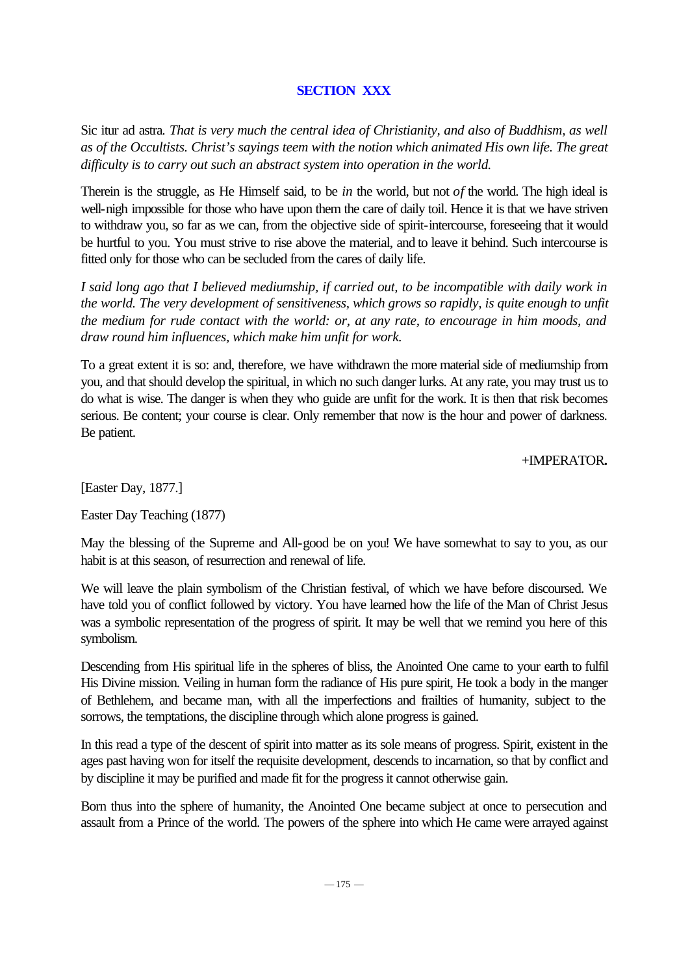Sic itur ad astra*. That is very much the central idea of Christianity, and also of Buddhism, as well as of the Occultists. Christ's sayings teem with the notion which animated His own life. The great difficulty is to carry out such an abstract system into operation in the world.*

Therein is the struggle, as He Himself said, to be *in* the world, but not *of* the world. The high ideal is well-nigh impossible for those who have upon them the care of daily toil. Hence it is that we have striven to withdraw you, so far as we can, from the objective side of spirit-intercourse, foreseeing that it would be hurtful to you. You must strive to rise above the material, and to leave it behind. Such intercourse is fitted only for those who can be secluded from the cares of daily life.

*I said long ago that I believed mediumship, if carried out, to be incompatible with daily work in the world. The very development of sensitiveness, which grows so rapidly, is quite enough to unfit the medium for rude contact with the world: or, at any rate, to encourage in him moods, and draw round him influences, which make him unfit for work.*

To a great extent it is so: and, therefore, we have withdrawn the more material side of mediumship from you, and that should develop the spiritual, in which no such danger lurks. At any rate, you may trust us to do what is wise. The danger is when they who guide are unfit for the work. It is then that risk becomes serious. Be content; your course is clear. Only remember that now is the hour and power of darkness. Be patient.

+IMPERATOR**.**

[Easter Day, 1877.]

Easter Day Teaching (1877)

May the blessing of the Supreme and All-good be on you! We have somewhat to say to you, as our habit is at this season, of resurrection and renewal of life.

We will leave the plain symbolism of the Christian festival, of which we have before discoursed. We have told you of conflict followed by victory. You have learned how the life of the Man of Christ Jesus was a symbolic representation of the progress of spirit. It may be well that we remind you here of this symbolism.

Descending from His spiritual life in the spheres of bliss, the Anointed One came to your earth to fulfil His Divine mission. Veiling in human form the radiance of His pure spirit, He took a body in the manger of Bethlehem, and became man, with all the imperfections and frailties of humanity, subject to the sorrows, the temptations, the discipline through which alone progress is gained.

In this read a type of the descent of spirit into matter as its sole means of progress. Spirit, existent in the ages past having won for itself the requisite development, descends to incarnation, so that by conflict and by discipline it may be purified and made fit for the progress it cannot otherwise gain.

Born thus into the sphere of humanity, the Anointed One became subject at once to persecution and assault from a Prince of the world. The powers of the sphere into which He came were arrayed against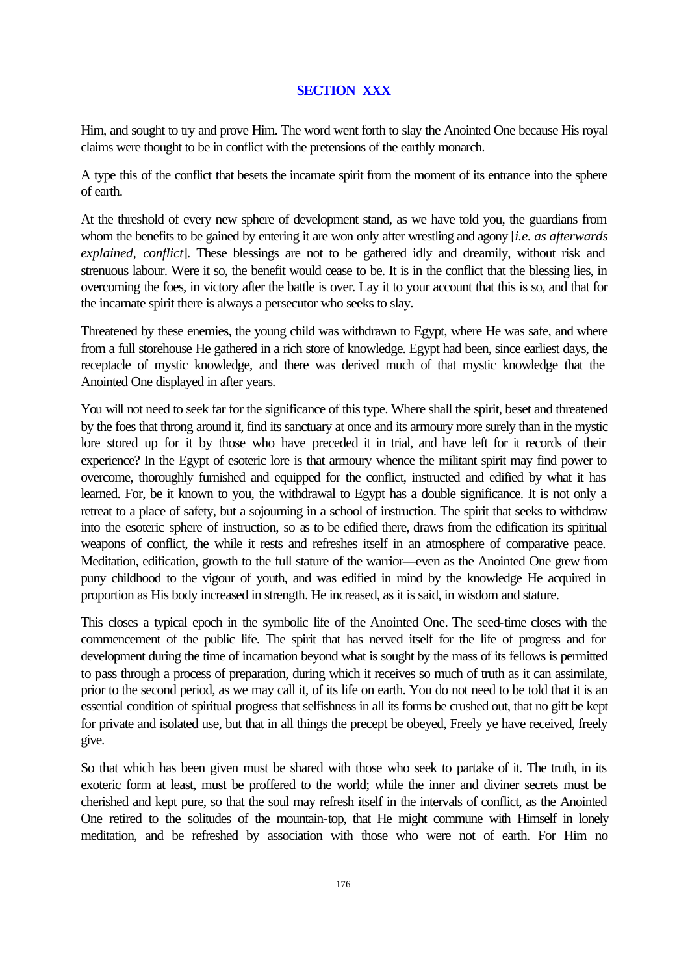Him, and sought to try and prove Him. The word went forth to slay the Anointed One because His royal claims were thought to be in conflict with the pretensions of the earthly monarch.

A type this of the conflict that besets the incarnate spirit from the moment of its entrance into the sphere of earth.

At the threshold of every new sphere of development stand, as we have told you, the guardians from whom the benefits to be gained by entering it are won only after wrestling and agony [*i.e. as afterwards explained, conflict*]. These blessings are not to be gathered idly and dreamily, without risk and strenuous labour. Were it so, the benefit would cease to be. It is in the conflict that the blessing lies, in overcoming the foes, in victory after the battle is over. Lay it to your account that this is so, and that for the incarnate spirit there is always a persecutor who seeks to slay.

Threatened by these enemies, the young child was withdrawn to Egypt, where He was safe, and where from a full storehouse He gathered in a rich store of knowledge. Egypt had been, since earliest days, the receptacle of mystic knowledge, and there was derived much of that mystic knowledge that the Anointed One displayed in after years.

You will not need to seek far for the significance of this type. Where shall the spirit, beset and threatened by the foes that throng around it, find its sanctuary at once and its armoury more surely than in the mystic lore stored up for it by those who have preceded it in trial, and have left for it records of their experience? In the Egypt of esoteric lore is that armoury whence the militant spirit may find power to overcome, thoroughly furnished and equipped for the conflict, instructed and edified by what it has learned. For, be it known to you, the withdrawal to Egypt has a double significance. It is not only a retreat to a place of safety, but a sojourning in a school of instruction. The spirit that seeks to withdraw into the esoteric sphere of instruction, so as to be edified there, draws from the edification its spiritual weapons of conflict, the while it rests and refreshes itself in an atmosphere of comparative peace. Meditation, edification, growth to the full stature of the warrior—even as the Anointed One grew from puny childhood to the vigour of youth, and was edified in mind by the knowledge He acquired in proportion as His body increased in strength. He increased, as it is said, in wisdom and stature.

This closes a typical epoch in the symbolic life of the Anointed One. The seed-time closes with the commencement of the public life. The spirit that has nerved itself for the life of progress and for development during the time of incarnation beyond what is sought by the mass of its fellows is permitted to pass through a process of preparation, during which it receives so much of truth as it can assimilate, prior to the second period, as we may call it, of its life on earth. You do not need to be told that it is an essential condition of spiritual progress that selfishness in all its forms be crushed out, that no gift be kept for private and isolated use, but that in all things the precept be obeyed, Freely ye have received, freely give.

So that which has been given must be shared with those who seek to partake of it. The truth, in its exoteric form at least, must be proffered to the world; while the inner and diviner secrets must be cherished and kept pure, so that the soul may refresh itself in the intervals of conflict, as the Anointed One retired to the solitudes of the mountain-top, that He might commune with Himself in lonely meditation, and be refreshed by association with those who were not of earth. For Him no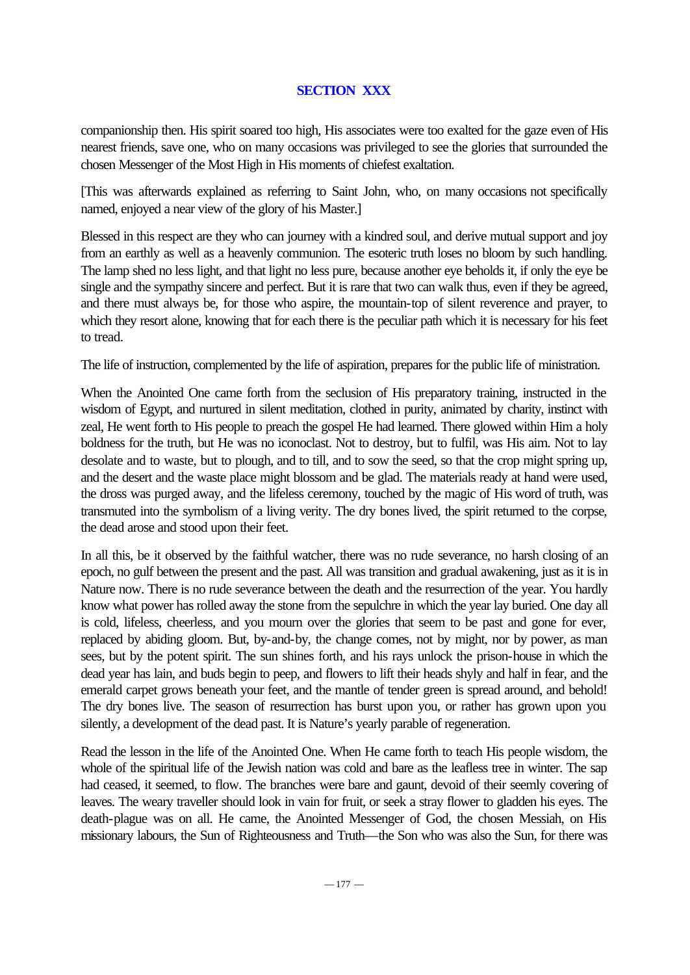companionship then. His spirit soared too high, His associates were too exalted for the gaze even of His nearest friends, save one, who on many occasions was privileged to see the glories that surrounded the chosen Messenger of the Most High in His moments of chiefest exaltation.

[This was afterwards explained as referring to Saint John, who, on many occasions not specifically named, enjoyed a near view of the glory of his Master.]

Blessed in this respect are they who can journey with a kindred soul, and derive mutual support and joy from an earthly as well as a heavenly communion. The esoteric truth loses no bloom by such handling. The lamp shed no less light, and that light no less pure, because another eye beholds it, if only the eye be single and the sympathy sincere and perfect. But it is rare that two can walk thus, even if they be agreed, and there must always be, for those who aspire, the mountain-top of silent reverence and prayer, to which they resort alone, knowing that for each there is the peculiar path which it is necessary for his feet to tread.

The life of instruction, complemented by the life of aspiration, prepares for the public life of ministration.

When the Anointed One came forth from the seclusion of His preparatory training, instructed in the wisdom of Egypt, and nurtured in silent meditation, clothed in purity, animated by charity, instinct with zeal, He went forth to His people to preach the gospel He had learned. There glowed within Him a holy boldness for the truth, but He was no iconoclast. Not to destroy, but to fulfil, was His aim. Not to lay desolate and to waste, but to plough, and to till, and to sow the seed, so that the crop might spring up, and the desert and the waste place might blossom and be glad. The materials ready at hand were used, the dross was purged away, and the lifeless ceremony, touched by the magic of His word of truth, was transmuted into the symbolism of a living verity. The dry bones lived, the spirit returned to the corpse, the dead arose and stood upon their feet.

In all this, be it observed by the faithful watcher, there was no rude severance, no harsh closing of an epoch, no gulf between the present and the past. All was transition and gradual awakening, just as it is in Nature now. There is no rude severance between the death and the resurrection of the year. You hardly know what power has rolled away the stone from the sepulchre in which the year lay buried. One day all is cold, lifeless, cheerless, and you mourn over the glories that seem to be past and gone for ever, replaced by abiding gloom. But, by-and-by, the change comes, not by might, nor by power, as man sees, but by the potent spirit. The sun shines forth, and his rays unlock the prison-house in which the dead year has lain, and buds begin to peep, and flowers to lift their heads shyly and half in fear, and the emerald carpet grows beneath your feet, and the mantle of tender green is spread around, and behold! The dry bones live. The season of resurrection has burst upon you, or rather has grown upon you silently, a development of the dead past. It is Nature's yearly parable of regeneration.

Read the lesson in the life of the Anointed One. When He came forth to teach His people wisdom, the whole of the spiritual life of the Jewish nation was cold and bare as the leafless tree in winter. The sap had ceased, it seemed, to flow. The branches were bare and gaunt, devoid of their seemly covering of leaves. The weary traveller should look in vain for fruit, or seek a stray flower to gladden his eyes. The death-plague was on all. He came, the Anointed Messenger of God, the chosen Messiah, on His missionary labours, the Sun of Righteousness and Truth—the Son who was also the Sun, for there was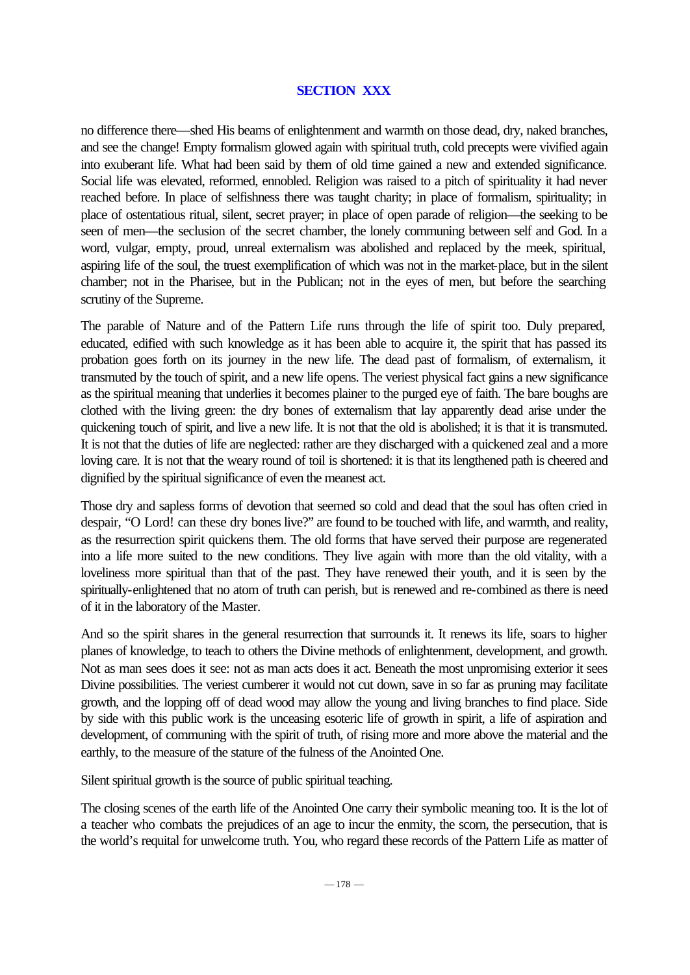no difference there—shed His beams of enlightenment and warmth on those dead, dry, naked branches, and see the change! Empty formalism glowed again with spiritual truth, cold precepts were vivified again into exuberant life. What had been said by them of old time gained a new and extended significance. Social life was elevated, reformed, ennobled. Religion was raised to a pitch of spirituality it had never reached before. In place of selfishness there was taught charity; in place of formalism, spirituality; in place of ostentatious ritual, silent, secret prayer; in place of open parade of religion—the seeking to be seen of men—the seclusion of the secret chamber, the lonely communing between self and God. In a word, vulgar, empty, proud, unreal externalism was abolished and replaced by the meek, spiritual, aspiring life of the soul, the truest exemplification of which was not in the market-place, but in the silent chamber; not in the Pharisee, but in the Publican; not in the eyes of men, but before the searching scrutiny of the Supreme.

The parable of Nature and of the Pattern Life runs through the life of spirit too. Duly prepared, educated, edified with such knowledge as it has been able to acquire it, the spirit that has passed its probation goes forth on its journey in the new life. The dead past of formalism, of externalism, it transmuted by the touch of spirit, and a new life opens. The veriest physical fact gains a new significance as the spiritual meaning that underlies it becomes plainer to the purged eye of faith. The bare boughs are clothed with the living green: the dry bones of externalism that lay apparently dead arise under the quickening touch of spirit, and live a new life. It is not that the old is abolished; it is that it is transmuted. It is not that the duties of life are neglected: rather are they discharged with a quickened zeal and a more loving care. It is not that the weary round of toil is shortened: it is that its lengthened path is cheered and dignified by the spiritual significance of even the meanest act.

Those dry and sapless forms of devotion that seemed so cold and dead that the soul has often cried in despair, "O Lord! can these dry bones live?" are found to be touched with life, and warmth, and reality, as the resurrection spirit quickens them. The old forms that have served their purpose are regenerated into a life more suited to the new conditions. They live again with more than the old vitality, with a loveliness more spiritual than that of the past. They have renewed their youth, and it is seen by the spiritually-enlightened that no atom of truth can perish, but is renewed and re-combined as there is need of it in the laboratory of the Master.

And so the spirit shares in the general resurrection that surrounds it. It renews its life, soars to higher planes of knowledge, to teach to others the Divine methods of enlightenment, development, and growth. Not as man sees does it see: not as man acts does it act. Beneath the most unpromising exterior it sees Divine possibilities. The veriest cumberer it would not cut down, save in so far as pruning may facilitate growth, and the lopping off of dead wood may allow the young and living branches to find place. Side by side with this public work is the unceasing esoteric life of growth in spirit, a life of aspiration and development, of communing with the spirit of truth, of rising more and more above the material and the earthly, to the measure of the stature of the fulness of the Anointed One.

Silent spiritual growth is the source of public spiritual teaching.

The closing scenes of the earth life of the Anointed One carry their symbolic meaning too. It is the lot of a teacher who combats the prejudices of an age to incur the enmity, the scorn, the persecution, that is the world's requital for unwelcome truth. You, who regard these records of the Pattern Life as matter of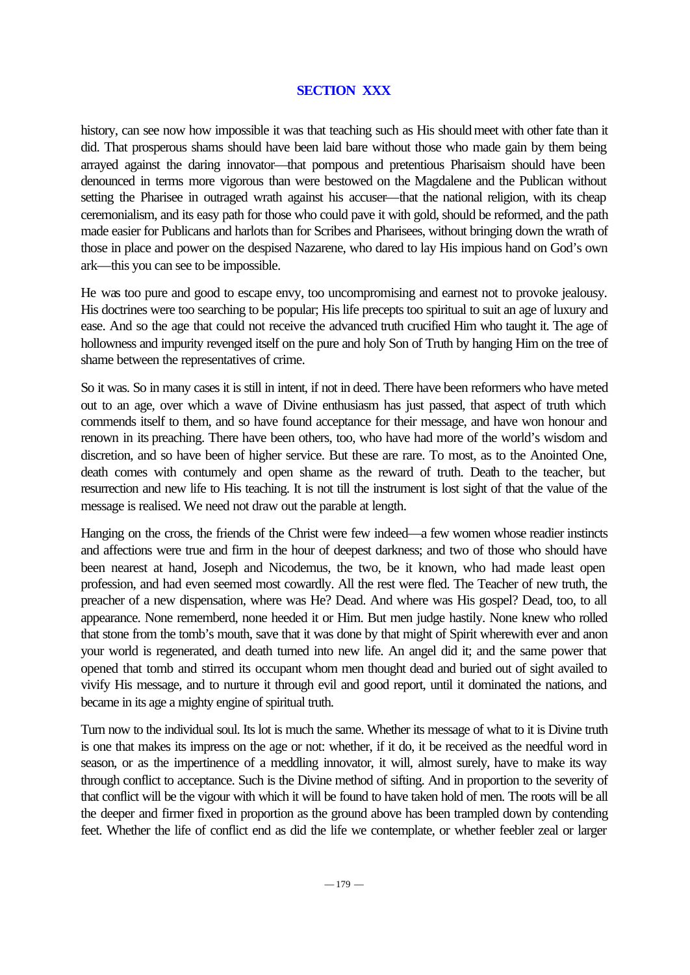history, can see now how impossible it was that teaching such as His should meet with other fate than it did. That prosperous shams should have been laid bare without those who made gain by them being arrayed against the daring innovator—that pompous and pretentious Pharisaism should have been denounced in terms more vigorous than were bestowed on the Magdalene and the Publican without setting the Pharisee in outraged wrath against his accuser—that the national religion, with its cheap ceremonialism, and its easy path for those who could pave it with gold, should be reformed, and the path made easier for Publicans and harlots than for Scribes and Pharisees, without bringing down the wrath of those in place and power on the despised Nazarene, who dared to lay His impious hand on God's own ark—this you can see to be impossible.

He was too pure and good to escape envy, too uncompromising and earnest not to provoke jealousy. His doctrines were too searching to be popular; His life precepts too spiritual to suit an age of luxury and ease. And so the age that could not receive the advanced truth crucified Him who taught it. The age of hollowness and impurity revenged itself on the pure and holy Son of Truth by hanging Him on the tree of shame between the representatives of crime.

So it was. So in many cases it is still in intent, if not in deed. There have been reformers who have meted out to an age, over which a wave of Divine enthusiasm has just passed, that aspect of truth which commends itself to them, and so have found acceptance for their message, and have won honour and renown in its preaching. There have been others, too, who have had more of the world's wisdom and discretion, and so have been of higher service. But these are rare. To most, as to the Anointed One, death comes with contumely and open shame as the reward of truth. Death to the teacher, but resurrection and new life to His teaching. It is not till the instrument is lost sight of that the value of the message is realised. We need not draw out the parable at length.

Hanging on the cross, the friends of the Christ were few indeed—a few women whose readier instincts and affections were true and firm in the hour of deepest darkness; and two of those who should have been nearest at hand, Joseph and Nicodemus, the two, be it known, who had made least open profession, and had even seemed most cowardly. All the rest were fled. The Teacher of new truth, the preacher of a new dispensation, where was He? Dead. And where was His gospel? Dead, too, to all appearance. None rememberd, none heeded it or Him. But men judge hastily. None knew who rolled that stone from the tomb's mouth, save that it was done by that might of Spirit wherewith ever and anon your world is regenerated, and death turned into new life. An angel did it; and the same power that opened that tomb and stirred its occupant whom men thought dead and buried out of sight availed to vivify His message, and to nurture it through evil and good report, until it dominated the nations, and became in its age a mighty engine of spiritual truth.

Turn now to the individual soul. Its lot is much the same. Whether its message of what to it is Divine truth is one that makes its impress on the age or not: whether, if it do, it be received as the needful word in season, or as the impertinence of a meddling innovator, it will, almost surely, have to make its way through conflict to acceptance. Such is the Divine method of sifting. And in proportion to the severity of that conflict will be the vigour with which it will be found to have taken hold of men. The roots will be all the deeper and firmer fixed in proportion as the ground above has been trampled down by contending feet. Whether the life of conflict end as did the life we contemplate, or whether feebler zeal or larger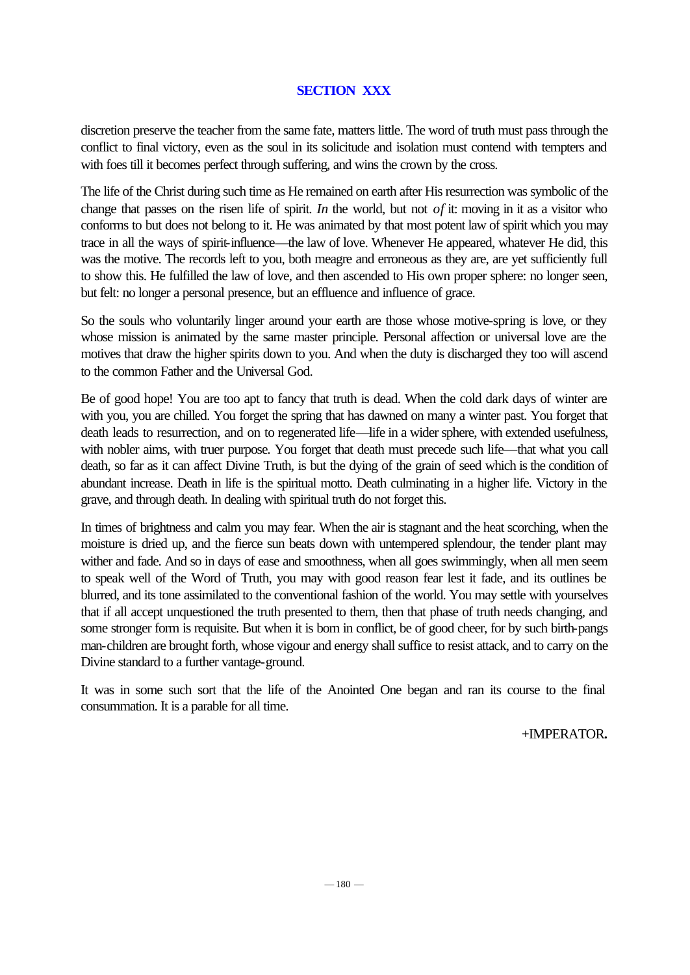discretion preserve the teacher from the same fate, matters little. The word of truth must pass through the conflict to final victory, even as the soul in its solicitude and isolation must contend with tempters and with foes till it becomes perfect through suffering, and wins the crown by the cross.

The life of the Christ during such time as He remained on earth after His resurrection was symbolic of the change that passes on the risen life of spirit. *In* the world, but not *of* it: moving in it as a visitor who conforms to but does not belong to it. He was animated by that most potent law of spirit which you may trace in all the ways of spirit-influence—the law of love. Whenever He appeared, whatever He did, this was the motive. The records left to you, both meagre and erroneous as they are, are yet sufficiently full to show this. He fulfilled the law of love, and then ascended to His own proper sphere: no longer seen, but felt: no longer a personal presence, but an effluence and influence of grace.

So the souls who voluntarily linger around your earth are those whose motive-spring is love, or they whose mission is animated by the same master principle. Personal affection or universal love are the motives that draw the higher spirits down to you. And when the duty is discharged they too will ascend to the common Father and the Universal God.

Be of good hope! You are too apt to fancy that truth is dead. When the cold dark days of winter are with you, you are chilled. You forget the spring that has dawned on many a winter past. You forget that death leads to resurrection, and on to regenerated life—life in a wider sphere, with extended usefulness, with nobler aims, with truer purpose. You forget that death must precede such life—that what you call death, so far as it can affect Divine Truth, is but the dying of the grain of seed which is the condition of abundant increase. Death in life is the spiritual motto. Death culminating in a higher life. Victory in the grave, and through death. In dealing with spiritual truth do not forget this.

In times of brightness and calm you may fear. When the air is stagnant and the heat scorching, when the moisture is dried up, and the fierce sun beats down with untempered splendour, the tender plant may wither and fade. And so in days of ease and smoothness, when all goes swimmingly, when all men seem to speak well of the Word of Truth, you may with good reason fear lest it fade, and its outlines be blurred, and its tone assimilated to the conventional fashion of the world. You may settle with yourselves that if all accept unquestioned the truth presented to them, then that phase of truth needs changing, and some stronger form is requisite. But when it is born in conflict, be of good cheer, for by such birth-pangs man-children are brought forth, whose vigour and energy shall suffice to resist attack, and to carry on the Divine standard to a further vantage-ground.

It was in some such sort that the life of the Anointed One began and ran its course to the final consummation. It is a parable for all time.

+IMPERATOR**.**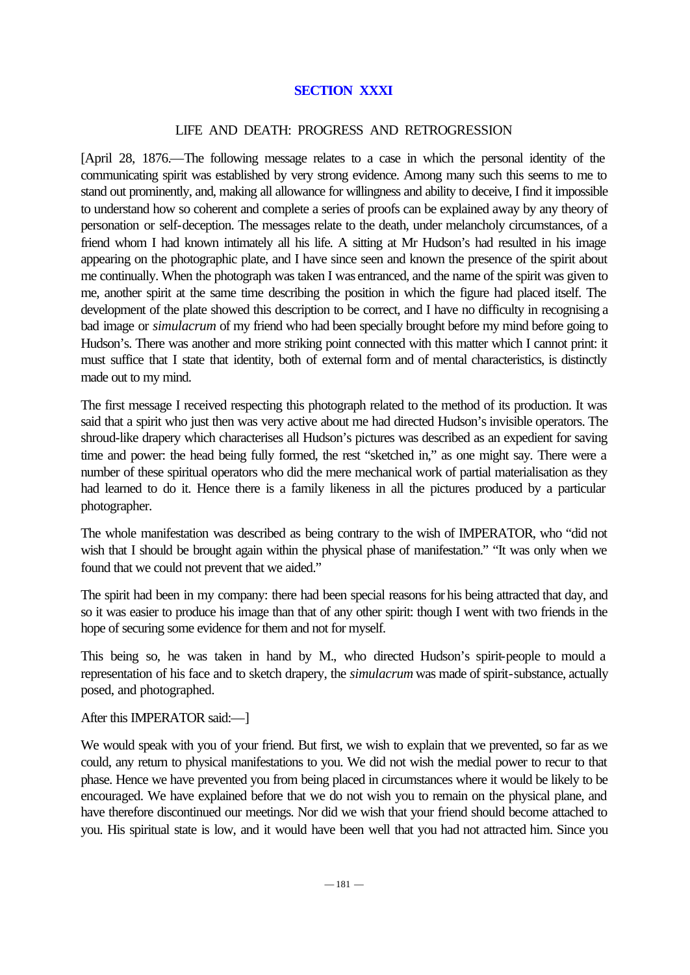### LIFE AND DEATH: PROGRESS AND RETROGRESSION

[April 28, 1876.—The following message relates to a case in which the personal identity of the communicating spirit was established by very strong evidence. Among many such this seems to me to stand out prominently, and, making all allowance for willingness and ability to deceive, I find it impossible to understand how so coherent and complete a series of proofs can be explained away by any theory of personation or self-deception. The messages relate to the death, under melancholy circumstances, of a friend whom I had known intimately all his life. A sitting at Mr Hudson's had resulted in his image appearing on the photographic plate, and I have since seen and known the presence of the spirit about me continually. When the photograph was taken I was entranced, and the name of the spirit was given to me, another spirit at the same time describing the position in which the figure had placed itself. The development of the plate showed this description to be correct, and I have no difficulty in recognising a bad image or *simulacrum* of my friend who had been specially brought before my mind before going to Hudson's. There was another and more striking point connected with this matter which I cannot print: it must suffice that I state that identity, both of external form and of mental characteristics, is distinctly made out to my mind.

The first message I received respecting this photograph related to the method of its production. It was said that a spirit who just then was very active about me had directed Hudson's invisible operators. The shroud-like drapery which characterises all Hudson's pictures was described as an expedient for saving time and power: the head being fully formed, the rest "sketched in," as one might say. There were a number of these spiritual operators who did the mere mechanical work of partial materialisation as they had learned to do it. Hence there is a family likeness in all the pictures produced by a particular photographer.

The whole manifestation was described as being contrary to the wish of IMPERATOR, who "did not wish that I should be brought again within the physical phase of manifestation." "It was only when we found that we could not prevent that we aided."

The spirit had been in my company: there had been special reasons for his being attracted that day, and so it was easier to produce his image than that of any other spirit: though I went with two friends in the hope of securing some evidence for them and not for myself.

This being so, he was taken in hand by M., who directed Hudson's spirit-people to mould a representation of his face and to sketch drapery, the *simulacrum* was made of spirit-substance, actually posed, and photographed.

### After this IMPERATOR said:—]

We would speak with you of your friend. But first, we wish to explain that we prevented, so far as we could, any return to physical manifestations to you. We did not wish the medial power to recur to that phase. Hence we have prevented you from being placed in circumstances where it would be likely to be encouraged. We have explained before that we do not wish you to remain on the physical plane, and have therefore discontinued our meetings. Nor did we wish that your friend should become attached to you. His spiritual state is low, and it would have been well that you had not attracted him. Since you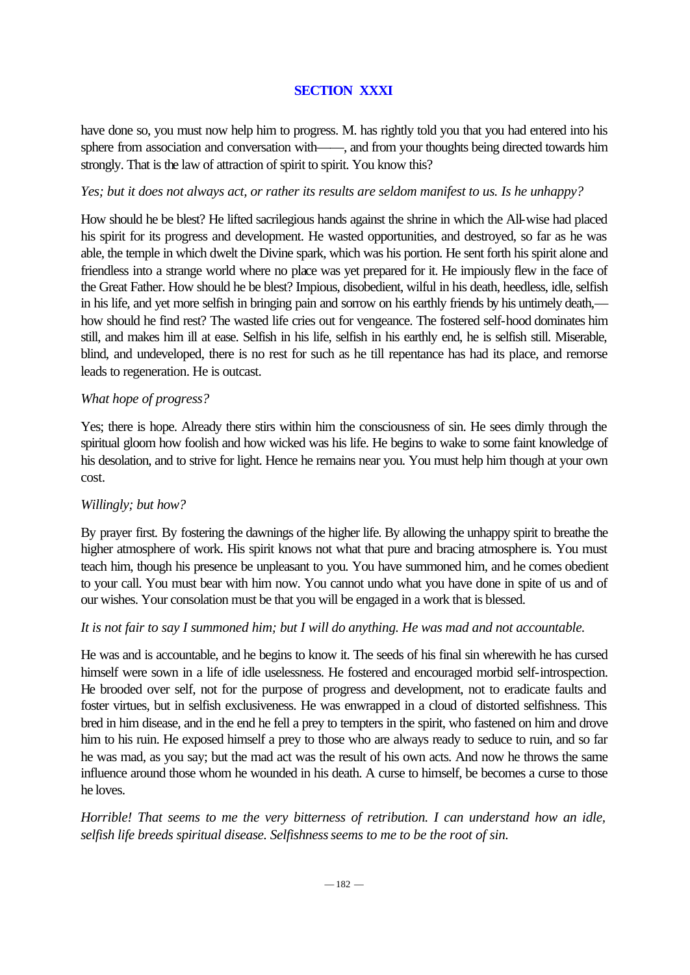have done so, you must now help him to progress. M. has rightly told you that you had entered into his sphere from association and conversation with——, and from your thoughts being directed towards him strongly. That is the law of attraction of spirit to spirit. You know this?

### *Yes; but it does not always act, or rather its results are seldom manifest to us. Is he unhappy?*

How should he be blest? He lifted sacrilegious hands against the shrine in which the All-wise had placed his spirit for its progress and development. He wasted opportunities, and destroyed, so far as he was able, the temple in which dwelt the Divine spark, which was his portion. He sent forth his spirit alone and friendless into a strange world where no place was yet prepared for it. He impiously flew in the face of the Great Father. How should he be blest? Impious, disobedient, wilful in his death, heedless, idle, selfish in his life, and yet more selfish in bringing pain and sorrow on his earthly friends by his untimely death, how should he find rest? The wasted life cries out for vengeance. The fostered self-hood dominates him still, and makes him ill at ease. Selfish in his life, selfish in his earthly end, he is selfish still. Miserable, blind, and undeveloped, there is no rest for such as he till repentance has had its place, and remorse leads to regeneration. He is outcast.

## *What hope of progress?*

Yes; there is hope. Already there stirs within him the consciousness of sin. He sees dimly through the spiritual gloom how foolish and how wicked was his life. He begins to wake to some faint knowledge of his desolation, and to strive for light. Hence he remains near you. You must help him though at your own cost.

#### *Willingly; but how?*

By prayer first. By fostering the dawnings of the higher life. By allowing the unhappy spirit to breathe the higher atmosphere of work. His spirit knows not what that pure and bracing atmosphere is. You must teach him, though his presence be unpleasant to you. You have summoned him, and he comes obedient to your call. You must bear with him now. You cannot undo what you have done in spite of us and of our wishes. Your consolation must be that you will be engaged in a work that is blessed.

## *It is not fair to say I summoned him; but I will do anything. He was mad and not accountable.*

He was and is accountable, and he begins to know it. The seeds of his final sin wherewith he has cursed himself were sown in a life of idle uselessness. He fostered and encouraged morbid self-introspection. He brooded over self, not for the purpose of progress and development, not to eradicate faults and foster virtues, but in selfish exclusiveness. He was enwrapped in a cloud of distorted selfishness. This bred in him disease, and in the end he fell a prey to tempters in the spirit, who fastened on him and drove him to his ruin. He exposed himself a prey to those who are always ready to seduce to ruin, and so far he was mad, as you say; but the mad act was the result of his own acts. And now he throws the same influence around those whom he wounded in his death. A curse to himself, be becomes a curse to those he loves.

*Horrible! That seems to me the very bitterness of retribution. I can understand how an idle, selfish life breeds spiritual disease. Selfishness seems to me to be the root of sin.*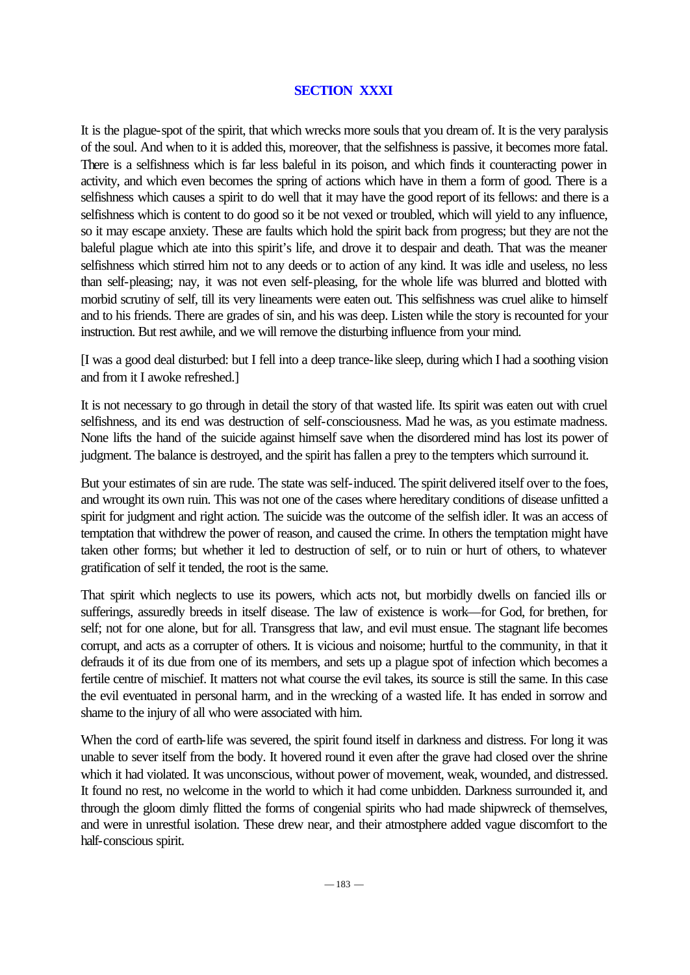It is the plague-spot of the spirit, that which wrecks more souls that you dream of. It is the very paralysis of the soul. And when to it is added this, moreover, that the selfishness is passive, it becomes more fatal. There is a selfishness which is far less baleful in its poison, and which finds it counteracting power in activity, and which even becomes the spring of actions which have in them a form of good. There is a selfishness which causes a spirit to do well that it may have the good report of its fellows: and there is a selfishness which is content to do good so it be not vexed or troubled, which will yield to any influence, so it may escape anxiety. These are faults which hold the spirit back from progress; but they are not the baleful plague which ate into this spirit's life, and drove it to despair and death. That was the meaner selfishness which stirred him not to any deeds or to action of any kind. It was idle and useless, no less than self-pleasing; nay, it was not even self-pleasing, for the whole life was blurred and blotted with morbid scrutiny of self, till its very lineaments were eaten out. This selfishness was cruel alike to himself and to his friends. There are grades of sin, and his was deep. Listen while the story is recounted for your instruction. But rest awhile, and we will remove the disturbing influence from your mind.

[I was a good deal disturbed: but I fell into a deep trance-like sleep, during which I had a soothing vision and from it I awoke refreshed.]

It is not necessary to go through in detail the story of that wasted life. Its spirit was eaten out with cruel selfishness, and its end was destruction of self-consciousness. Mad he was, as you estimate madness. None lifts the hand of the suicide against himself save when the disordered mind has lost its power of judgment. The balance is destroyed, and the spirit has fallen a prey to the tempters which surround it.

But your estimates of sin are rude. The state was self-induced. The spirit delivered itself over to the foes, and wrought its own ruin. This was not one of the cases where hereditary conditions of disease unfitted a spirit for judgment and right action. The suicide was the outcome of the selfish idler. It was an access of temptation that withdrew the power of reason, and caused the crime. In others the temptation might have taken other forms; but whether it led to destruction of self, or to ruin or hurt of others, to whatever gratification of self it tended, the root is the same.

That spirit which neglects to use its powers, which acts not, but morbidly dwells on fancied ills or sufferings, assuredly breeds in itself disease. The law of existence is work—for God, for brethen, for self; not for one alone, but for all. Transgress that law, and evil must ensue. The stagnant life becomes corrupt, and acts as a corrupter of others. It is vicious and noisome; hurtful to the community, in that it defrauds it of its due from one of its members, and sets up a plague spot of infection which becomes a fertile centre of mischief. It matters not what course the evil takes, its source is still the same. In this case the evil eventuated in personal harm, and in the wrecking of a wasted life. It has ended in sorrow and shame to the injury of all who were associated with him.

When the cord of earth-life was severed, the spirit found itself in darkness and distress. For long it was unable to sever itself from the body. It hovered round it even after the grave had closed over the shrine which it had violated. It was unconscious, without power of movement, weak, wounded, and distressed. It found no rest, no welcome in the world to which it had come unbidden. Darkness surrounded it, and through the gloom dimly flitted the forms of congenial spirits who had made shipwreck of themselves, and were in unrestful isolation. These drew near, and their atmostphere added vague discomfort to the half-conscious spirit.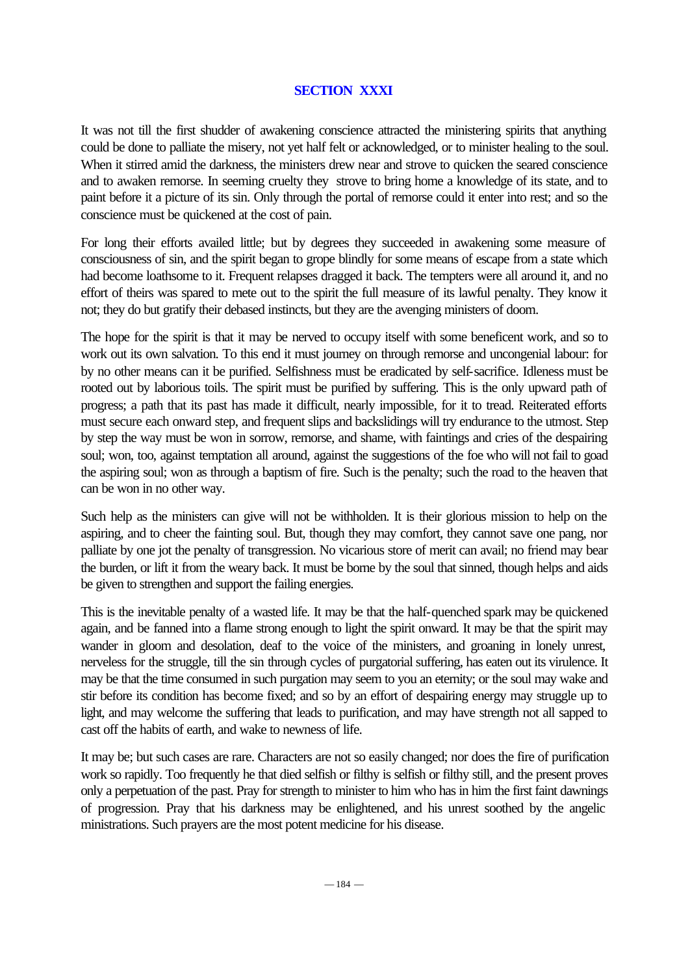It was not till the first shudder of awakening conscience attracted the ministering spirits that anything could be done to palliate the misery, not yet half felt or acknowledged, or to minister healing to the soul. When it stirred amid the darkness, the ministers drew near and strove to quicken the seared conscience and to awaken remorse. In seeming cruelty they strove to bring home a knowledge of its state, and to paint before it a picture of its sin. Only through the portal of remorse could it enter into rest; and so the conscience must be quickened at the cost of pain.

For long their efforts availed little; but by degrees they succeeded in awakening some measure of consciousness of sin, and the spirit began to grope blindly for some means of escape from a state which had become loathsome to it. Frequent relapses dragged it back. The tempters were all around it, and no effort of theirs was spared to mete out to the spirit the full measure of its lawful penalty. They know it not; they do but gratify their debased instincts, but they are the avenging ministers of doom.

The hope for the spirit is that it may be nerved to occupy itself with some beneficent work, and so to work out its own salvation. To this end it must journey on through remorse and uncongenial labour: for by no other means can it be purified. Selfishness must be eradicated by self-sacrifice. Idleness must be rooted out by laborious toils. The spirit must be purified by suffering. This is the only upward path of progress; a path that its past has made it difficult, nearly impossible, for it to tread. Reiterated efforts must secure each onward step, and frequent slips and backslidings will try endurance to the utmost. Step by step the way must be won in sorrow, remorse, and shame, with faintings and cries of the despairing soul; won, too, against temptation all around, against the suggestions of the foe who will not fail to goad the aspiring soul; won as through a baptism of fire. Such is the penalty; such the road to the heaven that can be won in no other way.

Such help as the ministers can give will not be withholden. It is their glorious mission to help on the aspiring, and to cheer the fainting soul. But, though they may comfort, they cannot save one pang, nor palliate by one jot the penalty of transgression. No vicarious store of merit can avail; no friend may bear the burden, or lift it from the weary back. It must be borne by the soul that sinned, though helps and aids be given to strengthen and support the failing energies.

This is the inevitable penalty of a wasted life. It may be that the half-quenched spark may be quickened again, and be fanned into a flame strong enough to light the spirit onward. It may be that the spirit may wander in gloom and desolation, deaf to the voice of the ministers, and groaning in lonely unrest, nerveless for the struggle, till the sin through cycles of purgatorial suffering, has eaten out its virulence. It may be that the time consumed in such purgation may seem to you an eternity; or the soul may wake and stir before its condition has become fixed; and so by an effort of despairing energy may struggle up to light, and may welcome the suffering that leads to purification, and may have strength not all sapped to cast off the habits of earth, and wake to newness of life.

It may be; but such cases are rare. Characters are not so easily changed; nor does the fire of purification work so rapidly. Too frequently he that died selfish or filthy is selfish or filthy still, and the present proves only a perpetuation of the past. Pray for strength to minister to him who has in him the first faint dawnings of progression. Pray that his darkness may be enlightened, and his unrest soothed by the angelic ministrations. Such prayers are the most potent medicine for his disease.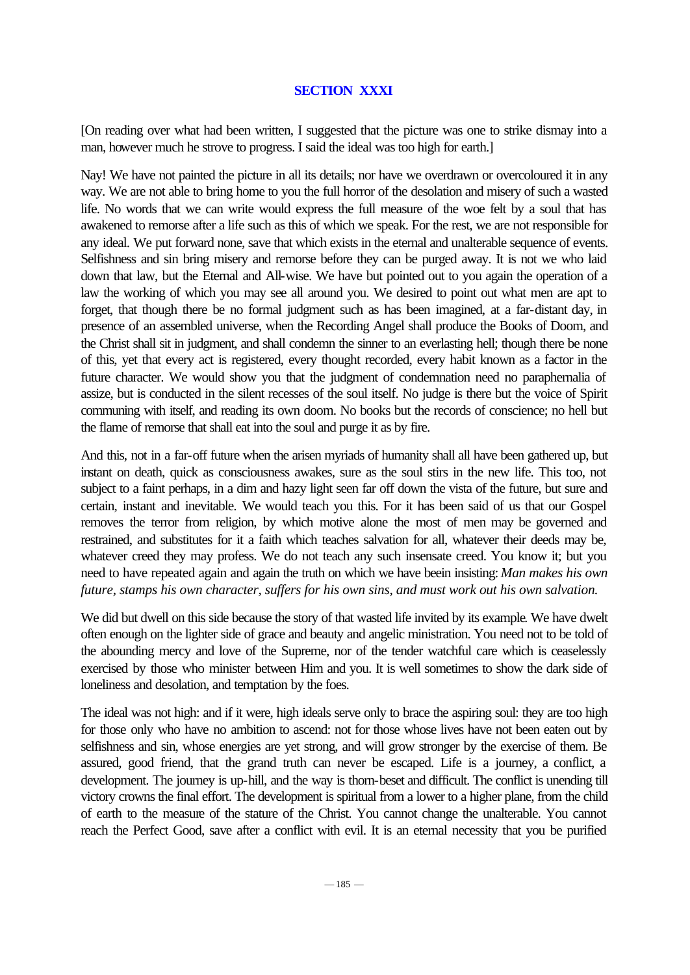[On reading over what had been written, I suggested that the picture was one to strike dismay into a man, however much he strove to progress. I said the ideal was too high for earth.]

Nay! We have not painted the picture in all its details; nor have we overdrawn or overcoloured it in any way. We are not able to bring home to you the full horror of the desolation and misery of such a wasted life. No words that we can write would express the full measure of the woe felt by a soul that has awakened to remorse after a life such as this of which we speak. For the rest, we are not responsible for any ideal. We put forward none, save that which exists in the eternal and unalterable sequence of events. Selfishness and sin bring misery and remorse before they can be purged away. It is not we who laid down that law, but the Eternal and All-wise. We have but pointed out to you again the operation of a law the working of which you may see all around you. We desired to point out what men are apt to forget, that though there be no formal judgment such as has been imagined, at a far-distant day, in presence of an assembled universe, when the Recording Angel shall produce the Books of Doom, and the Christ shall sit in judgment, and shall condemn the sinner to an everlasting hell; though there be none of this, yet that every act is registered, every thought recorded, every habit known as a factor in the future character. We would show you that the judgment of condemnation need no paraphernalia of assize, but is conducted in the silent recesses of the soul itself. No judge is there but the voice of Spirit communing with itself, and reading its own doom. No books but the records of conscience; no hell but the flame of remorse that shall eat into the soul and purge it as by fire.

And this, not in a far-off future when the arisen myriads of humanity shall all have been gathered up, but instant on death, quick as consciousness awakes, sure as the soul stirs in the new life. This too, not subject to a faint perhaps, in a dim and hazy light seen far off down the vista of the future, but sure and certain, instant and inevitable. We would teach you this. For it has been said of us that our Gospel removes the terror from religion, by which motive alone the most of men may be governed and restrained, and substitutes for it a faith which teaches salvation for all, whatever their deeds may be, whatever creed they may profess. We do not teach any such insensate creed. You know it; but you need to have repeated again and again the truth on which we have beein insisting: *Man makes his own future, stamps his own character, suffers for his own sins, and must work out his own salvation.*

We did but dwell on this side because the story of that wasted life invited by its example. We have dwelt often enough on the lighter side of grace and beauty and angelic ministration. You need not to be told of the abounding mercy and love of the Supreme, nor of the tender watchful care which is ceaselessly exercised by those who minister between Him and you. It is well sometimes to show the dark side of loneliness and desolation, and temptation by the foes.

The ideal was not high: and if it were, high ideals serve only to brace the aspiring soul: they are too high for those only who have no ambition to ascend: not for those whose lives have not been eaten out by selfishness and sin, whose energies are yet strong, and will grow stronger by the exercise of them. Be assured, good friend, that the grand truth can never be escaped. Life is a journey, a conflict, a development. The journey is up-hill, and the way is thorn-beset and difficult. The conflict is unending till victory crowns the final effort. The development is spiritual from a lower to a higher plane, from the child of earth to the measure of the stature of the Christ. You cannot change the unalterable. You cannot reach the Perfect Good, save after a conflict with evil. It is an eternal necessity that you be purified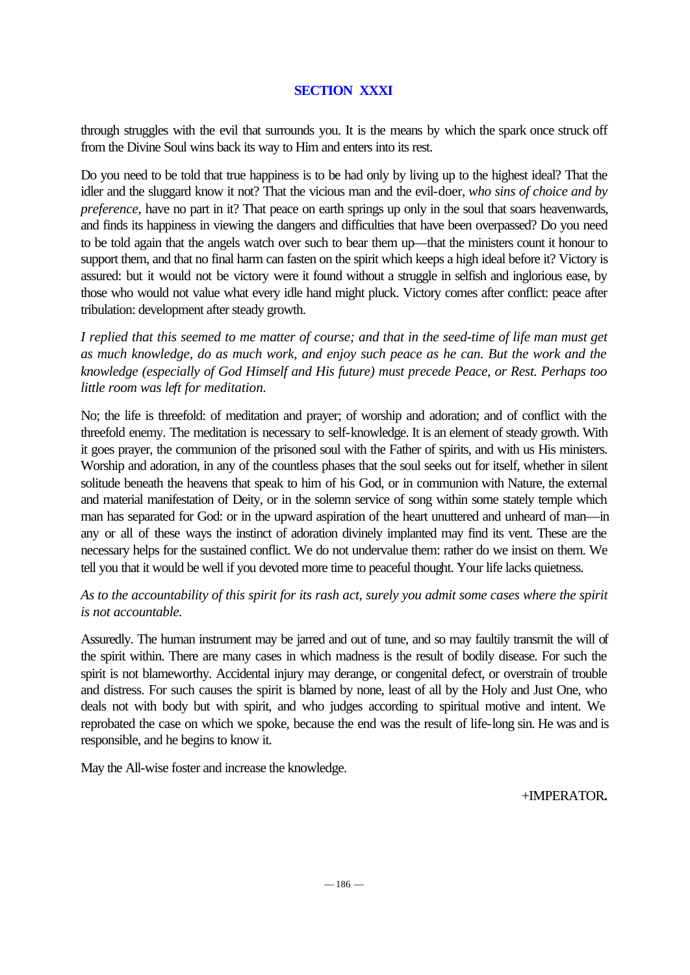through struggles with the evil that surrounds you. It is the means by which the spark once struck off from the Divine Soul wins back its way to Him and enters into its rest.

Do you need to be told that true happiness is to be had only by living up to the highest ideal? That the idler and the sluggard know it not? That the vicious man and the evil-doer, *who sins of choice and by preference*, have no part in it? That peace on earth springs up only in the soul that soars heavenwards, and finds its happiness in viewing the dangers and difficulties that have been overpassed? Do you need to be told again that the angels watch over such to bear them up—that the ministers count it honour to support them, and that no final harm can fasten on the spirit which keeps a high ideal before it? Victory is assured: but it would not be victory were it found without a struggle in selfish and inglorious ease, by those who would not value what every idle hand might pluck. Victory comes after conflict: peace after tribulation: development after steady growth.

*I replied that this seemed to me matter of course; and that in the seed-time of life man must get as much knowledge, do as much work, and enjoy such peace as he can. But the work and the knowledge (especially of God Himself and His future) must precede Peace, or Rest. Perhaps too little room was left for meditation.*

No; the life is threefold: of meditation and prayer; of worship and adoration; and of conflict with the threefold enemy. The meditation is necessary to self-knowledge. It is an element of steady growth. With it goes prayer, the communion of the prisoned soul with the Father of spirits, and with us His ministers. Worship and adoration, in any of the countless phases that the soul seeks out for itself, whether in silent solitude beneath the heavens that speak to him of his God, or in communion with Nature, the external and material manifestation of Deity, or in the solemn service of song within some stately temple which man has separated for God: or in the upward aspiration of the heart unuttered and unheard of man—in any or all of these ways the instinct of adoration divinely implanted may find its vent. These are the necessary helps for the sustained conflict. We do not undervalue them: rather do we insist on them. We tell you that it would be well if you devoted more time to peaceful thought. Your life lacks quietness.

## *As to the accountability of this spirit for its rash act, surely you admit some cases where the spirit is not accountable.*

Assuredly. The human instrument may be jarred and out of tune, and so may faultily transmit the will of the spirit within. There are many cases in which madness is the result of bodily disease. For such the spirit is not blameworthy. Accidental injury may derange, or congenital defect, or overstrain of trouble and distress. For such causes the spirit is blamed by none, least of all by the Holy and Just One, who deals not with body but with spirit, and who judges according to spiritual motive and intent. We reprobated the case on which we spoke, because the end was the result of life-long sin. He was and is responsible, and he begins to know it.

May the All-wise foster and increase the knowledge.

+IMPERATOR**.**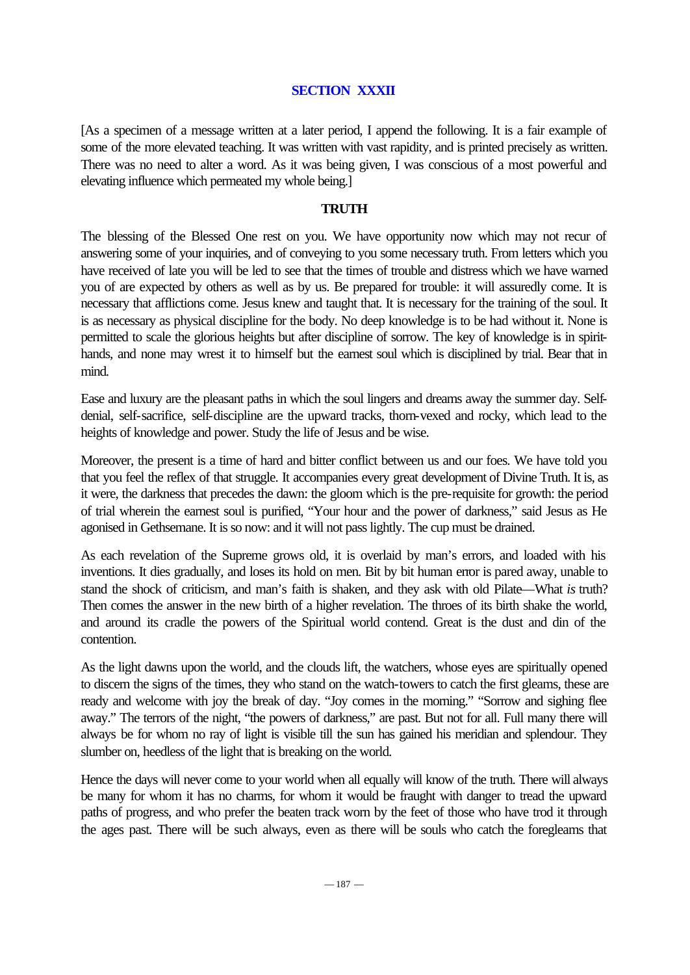[As a specimen of a message written at a later period, I append the following. It is a fair example of some of the more elevated teaching. It was written with vast rapidity, and is printed precisely as written. There was no need to alter a word. As it was being given, I was conscious of a most powerful and elevating influence which permeated my whole being.]

#### **TRUTH**

The blessing of the Blessed One rest on you. We have opportunity now which may not recur of answering some of your inquiries, and of conveying to you some necessary truth. From letters which you have received of late you will be led to see that the times of trouble and distress which we have warned you of are expected by others as well as by us. Be prepared for trouble: it will assuredly come. It is necessary that afflictions come. Jesus knew and taught that. It is necessary for the training of the soul. It is as necessary as physical discipline for the body. No deep knowledge is to be had without it. None is permitted to scale the glorious heights but after discipline of sorrow. The key of knowledge is in spirithands, and none may wrest it to himself but the earnest soul which is disciplined by trial. Bear that in mind.

Ease and luxury are the pleasant paths in which the soul lingers and dreams away the summer day. Selfdenial, self-sacrifice, self-discipline are the upward tracks, thorn-vexed and rocky, which lead to the heights of knowledge and power. Study the life of Jesus and be wise.

Moreover, the present is a time of hard and bitter conflict between us and our foes. We have told you that you feel the reflex of that struggle. It accompanies every great development of Divine Truth. It is, as it were, the darkness that precedes the dawn: the gloom which is the pre-requisite for growth: the period of trial wherein the earnest soul is purified, "Your hour and the power of darkness," said Jesus as He agonised in Gethsemane. It is so now: and it will not pass lightly. The cup must be drained.

As each revelation of the Supreme grows old, it is overlaid by man's errors, and loaded with his inventions. It dies gradually, and loses its hold on men. Bit by bit human error is pared away, unable to stand the shock of criticism, and man's faith is shaken, and they ask with old Pilate—What *is* truth? Then comes the answer in the new birth of a higher revelation. The throes of its birth shake the world, and around its cradle the powers of the Spiritual world contend. Great is the dust and din of the contention.

As the light dawns upon the world, and the clouds lift, the watchers, whose eyes are spiritually opened to discern the signs of the times, they who stand on the watch-towers to catch the first gleams, these are ready and welcome with joy the break of day. "Joy comes in the morning." "Sorrow and sighing flee away." The terrors of the night, "the powers of darkness," are past. But not for all. Full many there will always be for whom no ray of light is visible till the sun has gained his meridian and splendour. They slumber on, heedless of the light that is breaking on the world.

Hence the days will never come to your world when all equally will know of the truth. There will always be many for whom it has no charms, for whom it would be fraught with danger to tread the upward paths of progress, and who prefer the beaten track worn by the feet of those who have trod it through the ages past. There will be such always, even as there will be souls who catch the foregleams that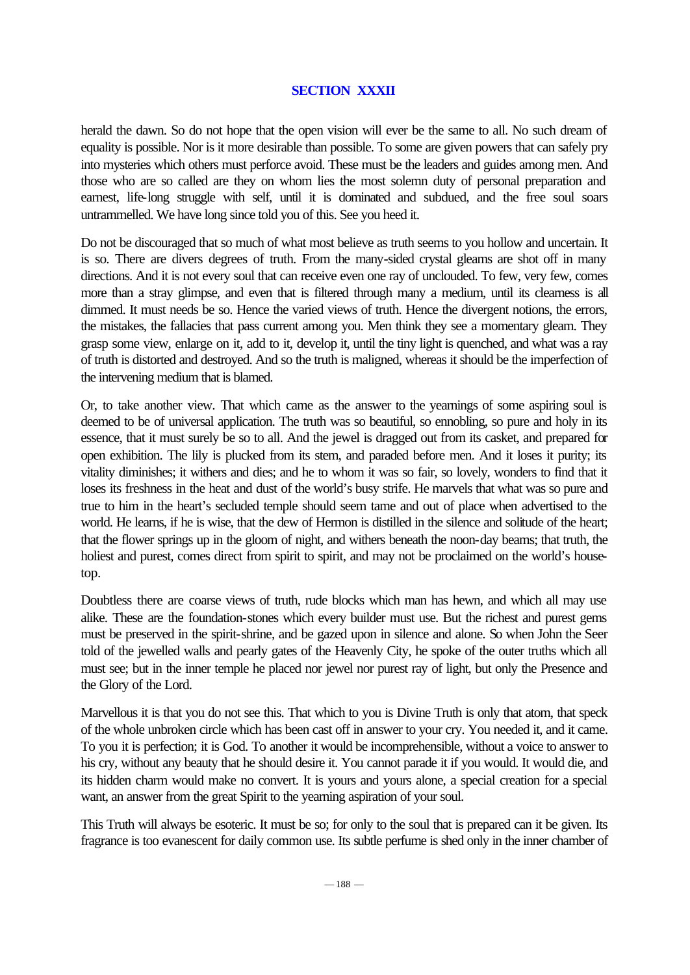herald the dawn. So do not hope that the open vision will ever be the same to all. No such dream of equality is possible. Nor is it more desirable than possible. To some are given powers that can safely pry into mysteries which others must perforce avoid. These must be the leaders and guides among men. And those who are so called are they on whom lies the most solemn duty of personal preparation and earnest, life-long struggle with self, until it is dominated and subdued, and the free soul soars untrammelled. We have long since told you of this. See you heed it.

Do not be discouraged that so much of what most believe as truth seems to you hollow and uncertain. It is so. There are divers degrees of truth. From the many-sided crystal gleams are shot off in many directions. And it is not every soul that can receive even one ray of unclouded. To few, very few, comes more than a stray glimpse, and even that is filtered through many a medium, until its clearness is all dimmed. It must needs be so. Hence the varied views of truth. Hence the divergent notions, the errors, the mistakes, the fallacies that pass current among you. Men think they see a momentary gleam. They grasp some view, enlarge on it, add to it, develop it, until the tiny light is quenched, and what was a ray of truth is distorted and destroyed. And so the truth is maligned, whereas it should be the imperfection of the intervening medium that is blamed.

Or, to take another view. That which came as the answer to the yearnings of some aspiring soul is deemed to be of universal application. The truth was so beautiful, so ennobling, so pure and holy in its essence, that it must surely be so to all. And the jewel is dragged out from its casket, and prepared for open exhibition. The lily is plucked from its stem, and paraded before men. And it loses it purity; its vitality diminishes; it withers and dies; and he to whom it was so fair, so lovely, wonders to find that it loses its freshness in the heat and dust of the world's busy strife. He marvels that what was so pure and true to him in the heart's secluded temple should seem tame and out of place when advertised to the world. He learns, if he is wise, that the dew of Hermon is distilled in the silence and solitude of the heart; that the flower springs up in the gloom of night, and withers beneath the noon-day beams; that truth, the holiest and purest, comes direct from spirit to spirit, and may not be proclaimed on the world's housetop.

Doubtless there are coarse views of truth, rude blocks which man has hewn, and which all may use alike. These are the foundation-stones which every builder must use. But the richest and purest gems must be preserved in the spirit-shrine, and be gazed upon in silence and alone. So when John the Seer told of the jewelled walls and pearly gates of the Heavenly City, he spoke of the outer truths which all must see; but in the inner temple he placed nor jewel nor purest ray of light, but only the Presence and the Glory of the Lord.

Marvellous it is that you do not see this. That which to you is Divine Truth is only that atom, that speck of the whole unbroken circle which has been cast off in answer to your cry. You needed it, and it came. To you it is perfection; it is God. To another it would be incomprehensible, without a voice to answer to his cry, without any beauty that he should desire it. You cannot parade it if you would. It would die, and its hidden charm would make no convert. It is yours and yours alone, a special creation for a special want, an answer from the great Spirit to the yearning aspiration of your soul.

This Truth will always be esoteric. It must be so; for only to the soul that is prepared can it be given. Its fragrance is too evanescent for daily common use. Its subtle perfume is shed only in the inner chamber of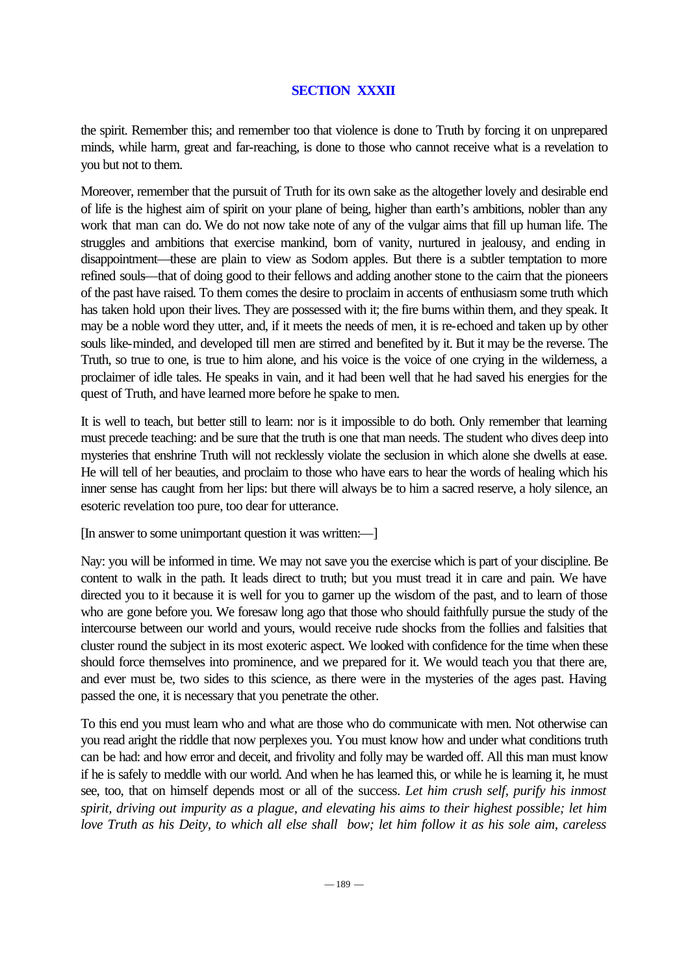the spirit. Remember this; and remember too that violence is done to Truth by forcing it on unprepared minds, while harm, great and far-reaching, is done to those who cannot receive what is a revelation to you but not to them.

Moreover, remember that the pursuit of Truth for its own sake as the altogether lovely and desirable end of life is the highest aim of spirit on your plane of being, higher than earth's ambitions, nobler than any work that man can do. We do not now take note of any of the vulgar aims that fill up human life. The struggles and ambitions that exercise mankind, born of vanity, nurtured in jealousy, and ending in disappointment—these are plain to view as Sodom apples. But there is a subtler temptation to more refined souls—that of doing good to their fellows and adding another stone to the cairn that the pioneers of the past have raised. To them comes the desire to proclaim in accents of enthusiasm some truth which has taken hold upon their lives. They are possessed with it; the fire burns within them, and they speak. It may be a noble word they utter, and, if it meets the needs of men, it is re-echoed and taken up by other souls like-minded, and developed till men are stirred and benefited by it. But it may be the reverse. The Truth, so true to one, is true to him alone, and his voice is the voice of one crying in the wilderness, a proclaimer of idle tales. He speaks in vain, and it had been well that he had saved his energies for the quest of Truth, and have learned more before he spake to men.

It is well to teach, but better still to learn: nor is it impossible to do both. Only remember that learning must precede teaching: and be sure that the truth is one that man needs. The student who dives deep into mysteries that enshrine Truth will not recklessly violate the seclusion in which alone she dwells at ease. He will tell of her beauties, and proclaim to those who have ears to hear the words of healing which his inner sense has caught from her lips: but there will always be to him a sacred reserve, a holy silence, an esoteric revelation too pure, too dear for utterance.

[In answer to some unimportant question it was written:—]

Nay: you will be informed in time. We may not save you the exercise which is part of your discipline. Be content to walk in the path. It leads direct to truth; but you must tread it in care and pain. We have directed you to it because it is well for you to garner up the wisdom of the past, and to learn of those who are gone before you. We foresaw long ago that those who should faithfully pursue the study of the intercourse between our world and yours, would receive rude shocks from the follies and falsities that cluster round the subject in its most exoteric aspect. We looked with confidence for the time when these should force themselves into prominence, and we prepared for it. We would teach you that there are, and ever must be, two sides to this science, as there were in the mysteries of the ages past. Having passed the one, it is necessary that you penetrate the other.

To this end you must learn who and what are those who do communicate with men. Not otherwise can you read aright the riddle that now perplexes you. You must know how and under what conditions truth can be had: and how error and deceit, and frivolity and folly may be warded off. All this man must know if he is safely to meddle with our world. And when he has learned this, or while he is learning it, he must see, too, that on himself depends most or all of the success. *Let him crush self, purify his inmost spirit, driving out impurity as a plague, and elevating his aims to their highest possible; let him love Truth as his Deity, to which all else shall bow; let him follow it as his sole aim, careless*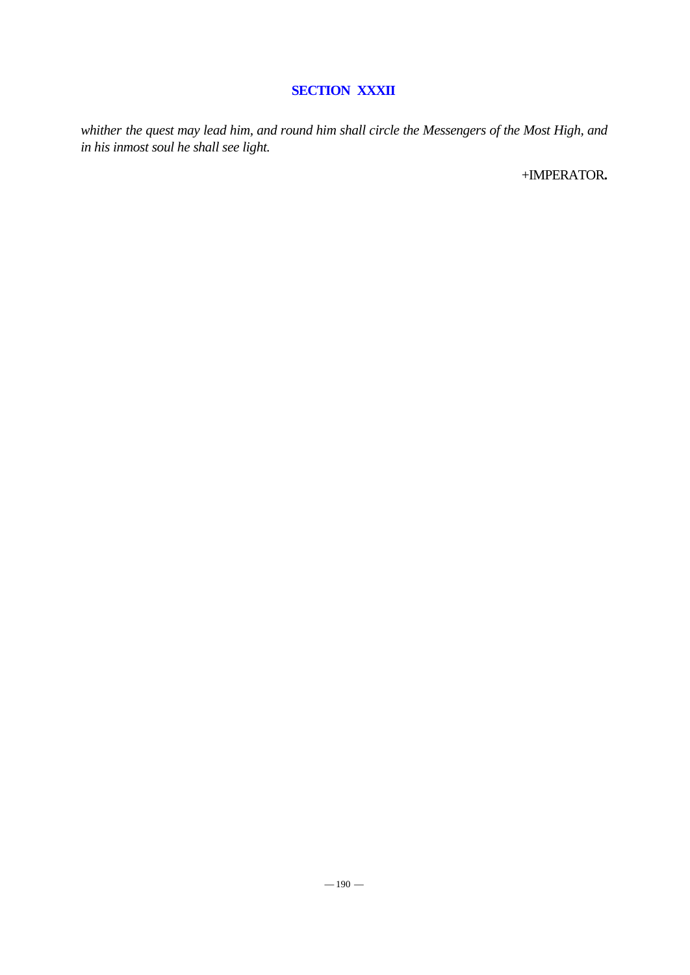*whither the quest may lead him, and round him shall circle the Messengers of the Most High, and in his inmost soul he shall see light.*

+IMPERATOR**.**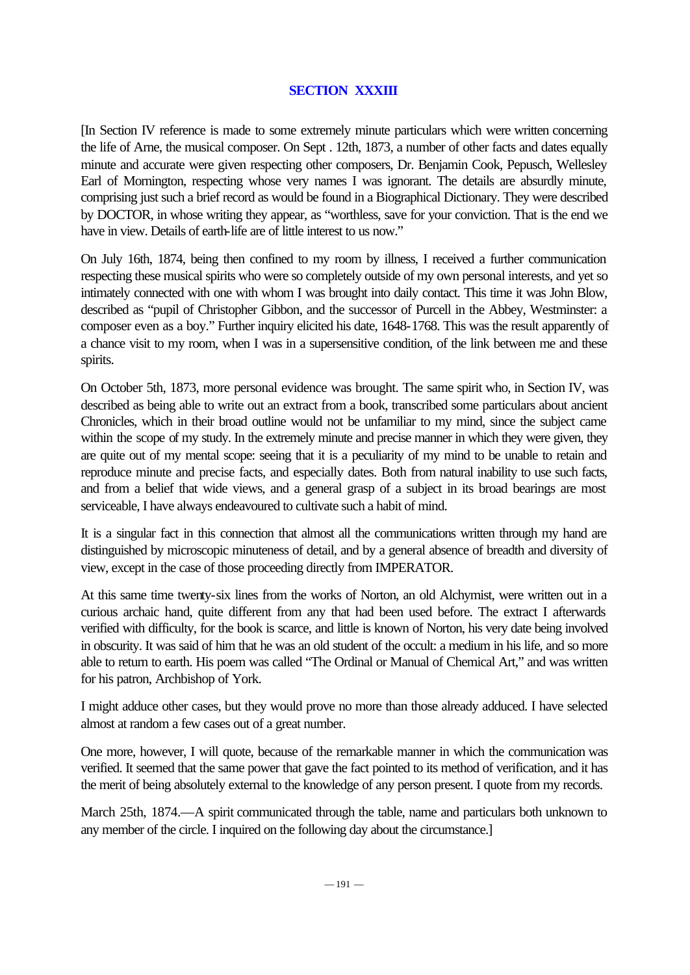[In Section IV reference is made to some extremely minute particulars which were written concerning the life of Arne, the musical composer. On Sept . 12th, 1873, a number of other facts and dates equally minute and accurate were given respecting other composers, Dr. Benjamin Cook, Pepusch, Wellesley Earl of Mornington, respecting whose very names I was ignorant. The details are absurdly minute, comprising just such a brief record as would be found in a Biographical Dictionary. They were described by DOCTOR, in whose writing they appear, as "worthless, save for your conviction. That is the end we have in view. Details of earth-life are of little interest to us now."

On July 16th, 1874, being then confined to my room by illness, I received a further communication respecting these musical spirits who were so completely outside of my own personal interests, and yet so intimately connected with one with whom I was brought into daily contact. This time it was John Blow, described as "pupil of Christopher Gibbon, and the successor of Purcell in the Abbey, Westminster: a composer even as a boy." Further inquiry elicited his date, 1648-1768. This was the result apparently of a chance visit to my room, when I was in a supersensitive condition, of the link between me and these spirits.

On October 5th, 1873, more personal evidence was brought. The same spirit who, in Section IV, was described as being able to write out an extract from a book, transcribed some particulars about ancient Chronicles, which in their broad outline would not be unfamiliar to my mind, since the subject came within the scope of my study. In the extremely minute and precise manner in which they were given, they are quite out of my mental scope: seeing that it is a peculiarity of my mind to be unable to retain and reproduce minute and precise facts, and especially dates. Both from natural inability to use such facts, and from a belief that wide views, and a general grasp of a subject in its broad bearings are most serviceable, I have always endeavoured to cultivate such a habit of mind.

It is a singular fact in this connection that almost all the communications written through my hand are distinguished by microscopic minuteness of detail, and by a general absence of breadth and diversity of view, except in the case of those proceeding directly from IMPERATOR.

At this same time twenty-six lines from the works of Norton, an old Alchymist, were written out in a curious archaic hand, quite different from any that had been used before. The extract I afterwards verified with difficulty, for the book is scarce, and little is known of Norton, his very date being involved in obscurity. It was said of him that he was an old student of the occult: a medium in his life, and so more able to return to earth. His poem was called "The Ordinal or Manual of Chemical Art," and was written for his patron, Archbishop of York.

I might adduce other cases, but they would prove no more than those already adduced. I have selected almost at random a few cases out of a great number.

One more, however, I will quote, because of the remarkable manner in which the communication was verified. It seemed that the same power that gave the fact pointed to its method of verification, and it has the merit of being absolutely external to the knowledge of any person present. I quote from my records.

March 25th, 1874.—A spirit communicated through the table, name and particulars both unknown to any member of the circle. I inquired on the following day about the circumstance.]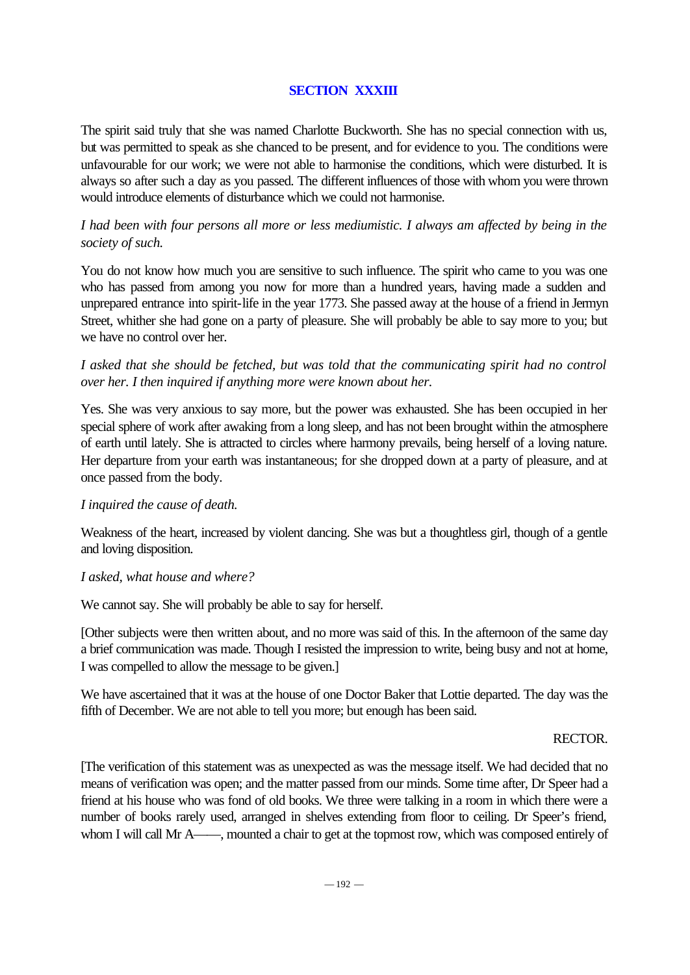The spirit said truly that she was named Charlotte Buckworth. She has no special connection with us, but was permitted to speak as she chanced to be present, and for evidence to you. The conditions were unfavourable for our work; we were not able to harmonise the conditions, which were disturbed. It is always so after such a day as you passed. The different influences of those with whom you were thrown would introduce elements of disturbance which we could not harmonise.

# *I had been with four persons all more or less mediumistic. I always am affected by being in the society of such.*

You do not know how much you are sensitive to such influence. The spirit who came to you was one who has passed from among you now for more than a hundred years, having made a sudden and unprepared entrance into spirit-life in the year 1773. She passed away at the house of a friend in Jermyn Street, whither she had gone on a party of pleasure. She will probably be able to say more to you; but we have no control over her.

## *I asked that she should be fetched, but was told that the communicating spirit had no control over her. I then inquired if anything more were known about her.*

Yes. She was very anxious to say more, but the power was exhausted. She has been occupied in her special sphere of work after awaking from a long sleep, and has not been brought within the atmosphere of earth until lately. She is attracted to circles where harmony prevails, being herself of a loving nature. Her departure from your earth was instantaneous; for she dropped down at a party of pleasure, and at once passed from the body.

#### *I inquired the cause of death.*

Weakness of the heart, increased by violent dancing. She was but a thoughtless girl, though of a gentle and loving disposition.

#### *I asked, what house and where?*

We cannot say. She will probably be able to say for herself.

[Other subjects were then written about, and no more was said of this. In the afternoon of the same day a brief communication was made. Though I resisted the impression to write, being busy and not at home, I was compelled to allow the message to be given.]

We have ascertained that it was at the house of one Doctor Baker that Lottie departed. The day was the fifth of December. We are not able to tell you more; but enough has been said.

#### RECTOR.

[The verification of this statement was as unexpected as was the message itself. We had decided that no means of verification was open; and the matter passed from our minds. Some time after, Dr Speer had a friend at his house who was fond of old books. We three were talking in a room in which there were a number of books rarely used, arranged in shelves extending from floor to ceiling. Dr Speer's friend, whom I will call Mr A——, mounted a chair to get at the topmost row, which was composed entirely of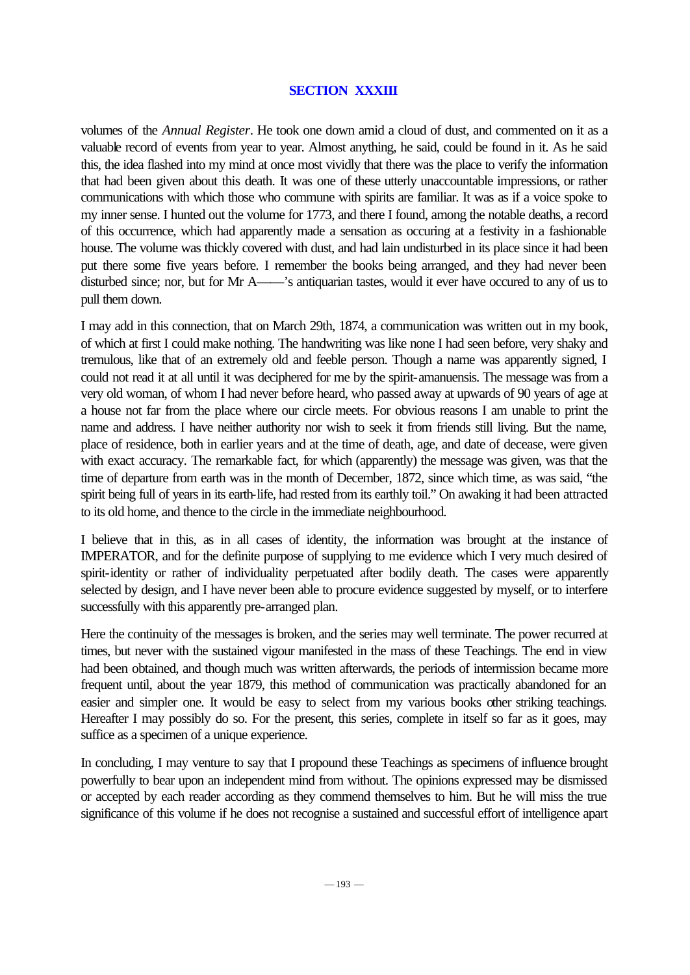volumes of the *Annual Register*. He took one down amid a cloud of dust, and commented on it as a valuable record of events from year to year. Almost anything, he said, could be found in it. As he said this, the idea flashed into my mind at once most vividly that there was the place to verify the information that had been given about this death. It was one of these utterly unaccountable impressions, or rather communications with which those who commune with spirits are familiar. It was as if a voice spoke to my inner sense. I hunted out the volume for 1773, and there I found, among the notable deaths, a record of this occurrence, which had apparently made a sensation as occuring at a festivity in a fashionable house. The volume was thickly covered with dust, and had lain undisturbed in its place since it had been put there some five years before. I remember the books being arranged, and they had never been disturbed since; nor, but for Mr A——'s antiquarian tastes, would it ever have occured to any of us to pull them down.

I may add in this connection, that on March 29th, 1874, a communication was written out in my book, of which at first I could make nothing. The handwriting was like none I had seen before, very shaky and tremulous, like that of an extremely old and feeble person. Though a name was apparently signed, I could not read it at all until it was deciphered for me by the spirit-amanuensis. The message was from a very old woman, of whom I had never before heard, who passed away at upwards of 90 years of age at a house not far from the place where our circle meets. For obvious reasons I am unable to print the name and address. I have neither authority nor wish to seek it from friends still living. But the name, place of residence, both in earlier years and at the time of death, age, and date of decease, were given with exact accuracy. The remarkable fact, for which (apparently) the message was given, was that the time of departure from earth was in the month of December, 1872, since which time, as was said, "the spirit being full of years in its earth-life, had rested from its earthly toil." On awaking it had been attracted to its old home, and thence to the circle in the immediate neighbourhood.

I believe that in this, as in all cases of identity, the information was brought at the instance of IMPERATOR, and for the definite purpose of supplying to me evidence which I very much desired of spirit-identity or rather of individuality perpetuated after bodily death. The cases were apparently selected by design, and I have never been able to procure evidence suggested by myself, or to interfere successfully with this apparently pre-arranged plan.

Here the continuity of the messages is broken, and the series may well terminate. The power recurred at times, but never with the sustained vigour manifested in the mass of these Teachings. The end in view had been obtained, and though much was written afterwards, the periods of intermission became more frequent until, about the year 1879, this method of communication was practically abandoned for an easier and simpler one. It would be easy to select from my various books other striking teachings. Hereafter I may possibly do so. For the present, this series, complete in itself so far as it goes, may suffice as a specimen of a unique experience.

In concluding, I may venture to say that I propound these Teachings as specimens of influence brought powerfully to bear upon an independent mind from without. The opinions expressed may be dismissed or accepted by each reader according as they commend themselves to him. But he will miss the true significance of this volume if he does not recognise a sustained and successful effort of intelligence apart